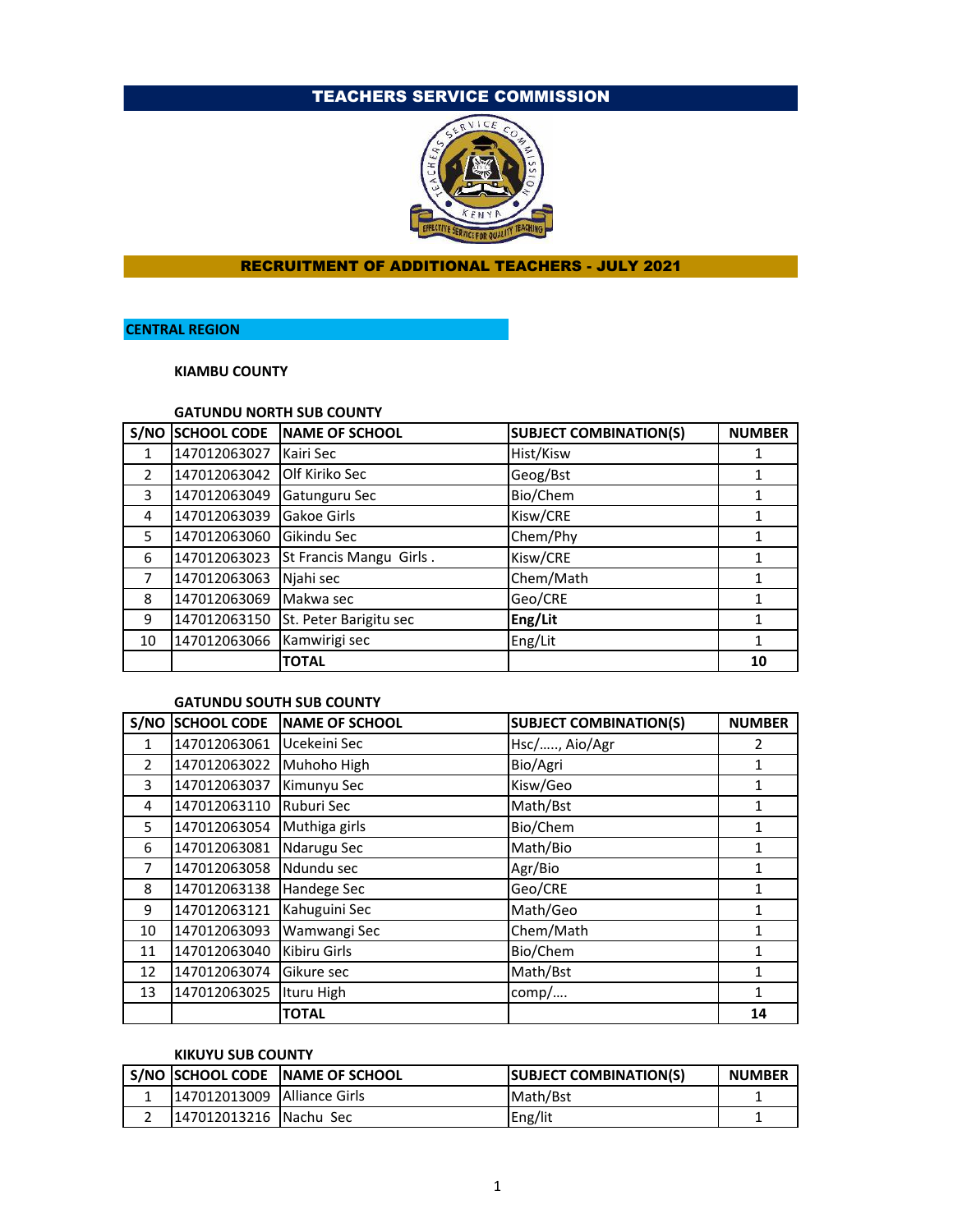# TEACHERS SERVICE COMMISSION



### RECRUITMENT OF ADDITIONAL TEACHERS - JULY 2021

# **CENTRAL REGION**

**KIAMBU COUNTY**

### **GATUNDU NORTH SUB COUNTY**

| S/NO          | <b>SCHOOL CODE</b> | NAME OF SCHOOL          | <b>SUBJECT COMBINATION(S)</b> | <b>NUMBER</b> |
|---------------|--------------------|-------------------------|-------------------------------|---------------|
| 1             | 147012063027       | Kairi Sec               | Hist/Kisw                     |               |
| $\mathcal{P}$ | 147012063042       | Olf Kiriko Sec          | Geog/Bst                      |               |
| 3             | 147012063049       | Gatunguru Sec           | Bio/Chem                      |               |
| 4             | 147012063039       | Gakoe Girls             | Kisw/CRE                      |               |
| 5             | 147012063060       | Gikindu Sec             | Chem/Phy                      |               |
| 6             | 147012063023       | St Francis Mangu Girls. | Kisw/CRE                      |               |
|               | 147012063063       | Njahi sec               | Chem/Math                     |               |
| 8             | 147012063069       | Makwa sec               | Geo/CRE                       |               |
| 9             | 147012063150       | St. Peter Barigitu sec  | Eng/Lit                       |               |
| 10            | 147012063066       | Kamwirigi sec           | Eng/Lit                       |               |
|               |                    | <b>TOTAL</b>            |                               | 10            |

#### **GATUNDU SOUTH SUB COUNTY**

|                | S/NO SCHOOL CODE | <b>NAME OF SCHOOL</b> | <b>SUBJECT COMBINATION(S)</b> | <b>NUMBER</b> |
|----------------|------------------|-----------------------|-------------------------------|---------------|
| $\mathbf{1}$   | 147012063061     | Ucekeini Sec          | Hsc/, Aio/Agr                 | 2             |
| $\overline{2}$ | 147012063022     | Muhoho High           | Bio/Agri                      | 1             |
| 3              | 147012063037     | Kimunyu Sec           | Kisw/Geo                      |               |
| 4              | 147012063110     | Ruburi Sec            | Math/Bst                      | 1             |
| 5              | 147012063054     | Muthiga girls         | Bio/Chem                      |               |
| 6              | 147012063081     | Ndarugu Sec           | Math/Bio                      | 1             |
| 7              | 147012063058     | Ndundu sec            | Agr/Bio                       |               |
| 8              | 147012063138     | Handege Sec           | Geo/CRE                       | 1             |
| 9              | 147012063121     | Kahuguini Sec         | Math/Geo                      |               |
| 10             | 147012063093     | Wamwangi Sec          | Chem/Math                     | 1             |
| 11             | 147012063040     | Kibiru Girls          | Bio/Chem                      |               |
| 12             | 147012063074     | Gikure sec            | Math/Bst                      | 1             |
| 13             | 147012063025     | Ituru High            | comp/                         | 1             |
|                |                  | <b>TOTAL</b>          |                               | 14            |

#### **KIKUYU SUB COUNTY**

|                               | S/NO SCHOOL CODE NAME OF SCHOOL | <b>SUBJECT COMBINATION(S)</b> | <b>NUMBER</b> |
|-------------------------------|---------------------------------|-------------------------------|---------------|
| 147012013009   Alliance Girls |                                 | Math/Bst                      |               |
| 147012013216   Nachu Sec      |                                 | Eng/lit                       |               |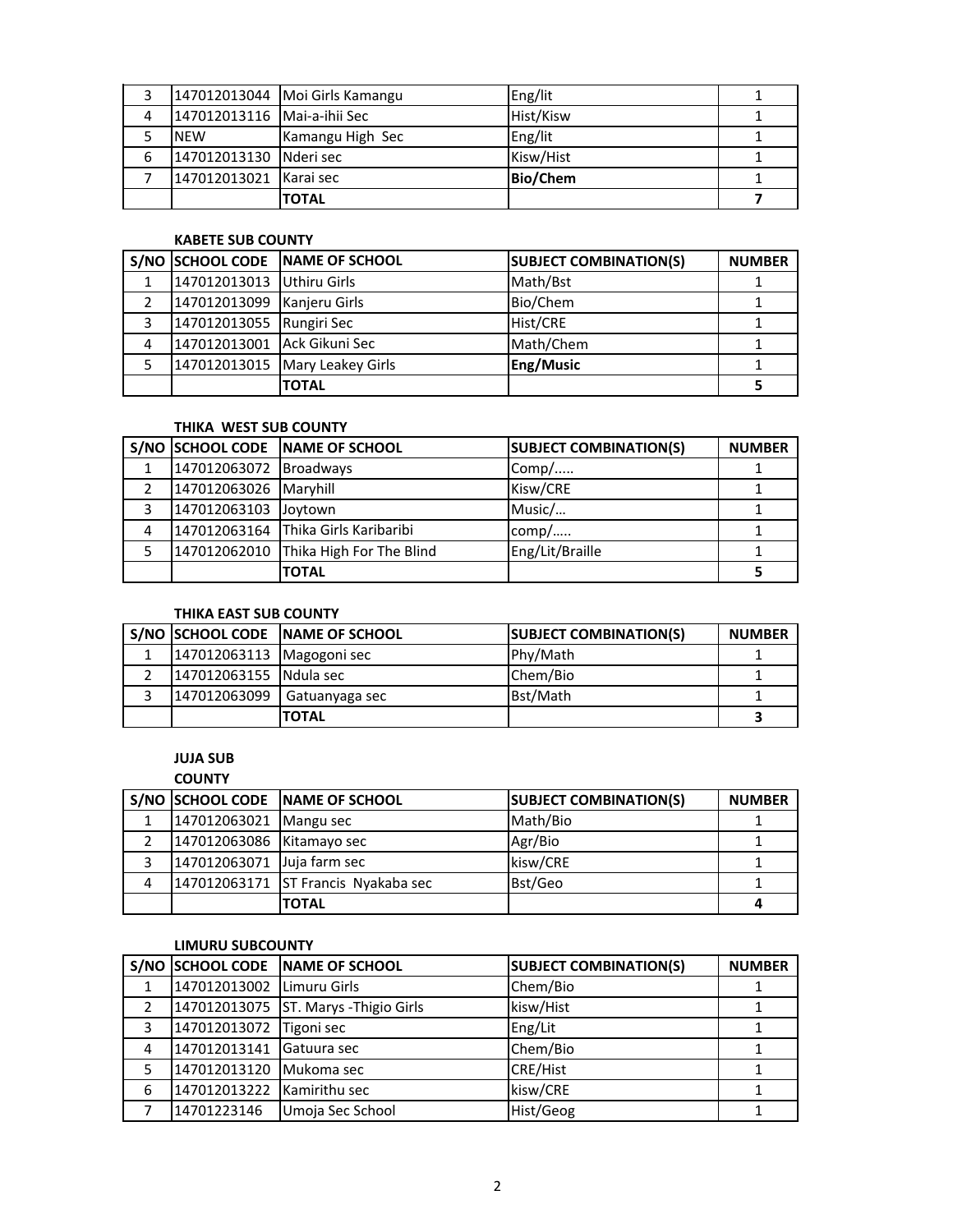|   |                               | 147012013044   Moi Girls Kamangu | Eng/lit         |  |
|---|-------------------------------|----------------------------------|-----------------|--|
| 4 | 147012013116   Mai-a-ihii Sec |                                  | Hist/Kisw       |  |
|   | <b>NEW</b>                    | Kamangu High Sec                 | Eng/lit         |  |
| 6 | 147012013130 Nderi sec        |                                  | Kisw/Hist       |  |
|   | 147012013021 Karai sec        |                                  | <b>Bio/Chem</b> |  |
|   |                               | <b>TOTAL</b>                     |                 |  |

### **KABETE SUB COUNTY**

|                |                             | S/NO SCHOOL CODE NAME OF SCHOOL  | <b>SUBJECT COMBINATION(S)</b> | <b>NUMBER</b> |
|----------------|-----------------------------|----------------------------------|-------------------------------|---------------|
|                | 147012013013 Uthiru Girls   |                                  | Math/Bst                      |               |
| $\mathfrak{p}$ | 147012013099 Kanjeru Girls  |                                  | Bio/Chem                      |               |
| 3              | 147012013055 Rungiri Sec    |                                  | Hist/CRE                      |               |
| 4              | 147012013001 Ack Gikuni Sec |                                  | Math/Chem                     |               |
|                |                             | 147012013015   Mary Leakey Girls | Eng/Music                     |               |
|                |                             | <b>TOTAL</b>                     |                               |               |

# **THIKA WEST SUB COUNTY**

|   |                        | S/NO SCHOOL CODE NAME OF SCHOOL       | <b>SUBJECT COMBINATION(S)</b> | <b>NUMBER</b> |
|---|------------------------|---------------------------------------|-------------------------------|---------------|
|   | 147012063072 Broadways |                                       | $Comp/$                       |               |
|   | 147012063026 Maryhill  |                                       | Kisw/CRE                      |               |
| 3 | 147012063103 Joytown   |                                       | Music/                        |               |
| 4 |                        | 147012063164 Thika Girls Karibaribi   | comp/                         |               |
|   |                        | 147012062010 Thika High For The Blind | Eng/Lit/Braille               |               |
|   |                        | <b>TOTAL</b>                          |                               |               |

### **THIKA EAST SUB COUNTY**

|                           | S/NO SCHOOL CODE NAME OF SCHOOL | <b>SUBJECT COMBINATION(S)</b> | <b>NUMBER</b> |
|---------------------------|---------------------------------|-------------------------------|---------------|
| 147012063113 Magogoni sec |                                 | Phy/Math                      |               |
| 147012063155 Ndula sec    |                                 | Chem/Bio                      |               |
| 147012063099              | Gatuanyaga sec                  | Bst/Math                      |               |
|                           | <b>ITOTAL</b>                   |                               |               |

# **JUJA SUB**

#### **COUNTY**

|   |                            | S/NO SCHOOL CODE NAME OF SCHOOL     | <b>SUBJECT COMBINATION(S)</b> | <b>NUMBER</b> |
|---|----------------------------|-------------------------------------|-------------------------------|---------------|
|   | 147012063021 Mangu sec     |                                     | Math/Bio                      |               |
|   | 147012063086 Kitamayo sec  |                                     | Agr/Bio                       |               |
|   | 147012063071 Juja farm sec |                                     | kisw/CRE                      |               |
| 4 |                            | 147012063171 ST Francis Nyakaba sec | Bst/Geo                       |               |
|   |                            | <b>TOTAL</b>                        |                               |               |

#### **LIMURU SUBCOUNTY**

|   |                            | S/NO SCHOOL CODE NAME OF SCHOOL       | <b>SUBJECT COMBINATION(S)</b> | <b>NUMBER</b> |
|---|----------------------------|---------------------------------------|-------------------------------|---------------|
|   | 147012013002 Limuru Girls  |                                       | Chem/Bio                      |               |
|   |                            | 147012013075 ST. Marys - Thigio Girls | kisw/Hist                     |               |
| 3 | 147012013072 Tigoni sec    |                                       | Eng/Lit                       |               |
| 4 | 147012013141 Gatuura sec   |                                       | Chem/Bio                      |               |
|   | 147012013120 Mukoma sec    |                                       | <b>CRE/Hist</b>               |               |
| 6 | 147012013222 Kamirithu sec |                                       | kisw/CRE                      |               |
|   | 14701223146                | Umoja Sec School                      | Hist/Geog                     |               |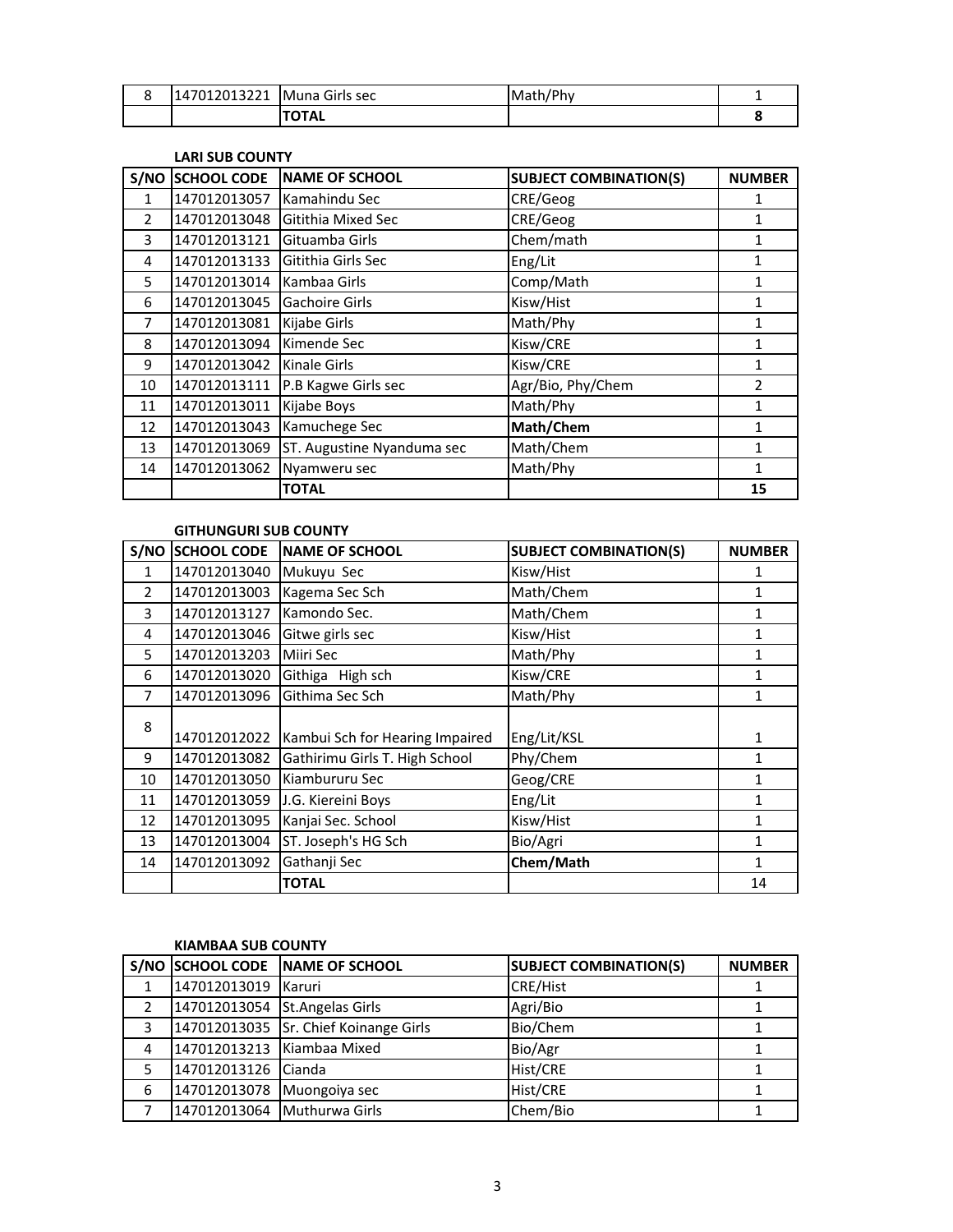| 147012013221 | Muna Girls sec | lMath/Phv |  |
|--------------|----------------|-----------|--|
|              | ΌΤΑΙ<br>111    |           |  |

#### **LARI SUB COUNTY**

| S/NO           | <b>SCHOOL CODE</b> | <b>NAME OF SCHOOL</b>      | <b>SUBJECT COMBINATION(S)</b> | <b>NUMBER</b>  |
|----------------|--------------------|----------------------------|-------------------------------|----------------|
| 1              | 147012013057       | Kamahindu Sec              | CRE/Geog                      |                |
| $\overline{2}$ | 147012013048       | Gitithia Mixed Sec         | CRE/Geog                      | 1              |
| 3              | 147012013121       | Gituamba Girls             | Chem/math                     | 1              |
| 4              | 147012013133       | Gitithia Girls Sec         | Eng/Lit                       | 1              |
| 5              | 147012013014       | Kambaa Girls               | Comp/Math                     | 1              |
| 6              | 147012013045       | <b>Gachoire Girls</b>      | Kisw/Hist                     | 1              |
| 7              | 147012013081       | Kijabe Girls               | Math/Phy                      | 1              |
| 8              | 147012013094       | Kimende Sec                | Kisw/CRE                      | 1              |
| 9              | 147012013042       | Kinale Girls               | Kisw/CRE                      | 1              |
| 10             | 147012013111       | P.B Kagwe Girls sec        | Agr/Bio, Phy/Chem             | $\mathfrak{p}$ |
| 11             | 147012013011       | Kijabe Boys                | Math/Phy                      | 1              |
| 12             | 147012013043       | Kamuchege Sec              | Math/Chem                     | 1              |
| 13             | 147012013069       | ST. Augustine Nyanduma sec | Math/Chem                     | 1              |
| 14             | 147012013062       | Nyamweru sec               | Math/Phy                      | 1              |
|                |                    | <b>TOTAL</b>               |                               | 15             |

#### **GITHUNGURI SUB COUNTY**

|               | S/NO SCHOOL CODE | <b>NAME OF SCHOOL</b>           | <b>SUBJECT COMBINATION(S)</b> | <b>NUMBER</b> |
|---------------|------------------|---------------------------------|-------------------------------|---------------|
| 1             | 147012013040     | Mukuyu Sec                      | Kisw/Hist                     | 1             |
| $\mathcal{P}$ | 147012013003     | Kagema Sec Sch                  | Math/Chem                     | 1             |
| 3             | 147012013127     | Kamondo Sec.                    | Math/Chem                     | 1             |
| 4             | 147012013046     | Gitwe girls sec                 | Kisw/Hist                     | 1             |
| 5             | 147012013203     | Miiri Sec                       | Math/Phy                      | 1             |
| 6             | 147012013020     | Githiga High sch                | Kisw/CRE                      | 1             |
| 7             | 147012013096     | Githima Sec Sch                 | Math/Phy                      | 1             |
| 8             |                  |                                 |                               |               |
|               | 147012012022     | Kambui Sch for Hearing Impaired | Eng/Lit/KSL                   | 1             |
| 9             | 147012013082     | Gathirimu Girls T. High School  | Phy/Chem                      | 1             |
| 10            | 147012013050     | Kiambururu Sec                  | Geog/CRE                      | 1             |
| 11            | 147012013059     | J.G. Kiereini Boys              | Eng/Lit                       | 1             |
| 12            | 147012013095     | Kanjai Sec. School              | Kisw/Hist                     | 1             |
| 13            | 147012013004     | ST. Joseph's HG Sch             | Bio/Agri                      | 1             |
| 14            | 147012013092     | Gathanji Sec                    | Chem/Math                     | 1             |
|               |                  | <b>TOTAL</b>                    |                               | 14            |

#### **KIAMBAA SUB COUNTY**

|              |                                | S/NO SCHOOL CODE NAME OF SCHOOL       | <b>SUBJECT COMBINATION(S)</b> | <b>NUMBER</b> |
|--------------|--------------------------------|---------------------------------------|-------------------------------|---------------|
| $\mathbf{1}$ | 147012013019                   | Karuri                                | <b>CRE/Hist</b>               |               |
|              | 147012013054 St. Angelas Girls |                                       | Agri/Bio                      |               |
| 3            |                                | 147012013035 Sr. Chief Koinange Girls | Bio/Chem                      |               |
| 4            | 147012013213 Kiambaa Mixed     |                                       | Bio/Agr                       |               |
| 5            | 147012013126 Cianda            |                                       | Hist/CRE                      |               |
| 6            | 147012013078 Muongoiya sec     |                                       | Hist/CRE                      |               |
|              | 147012013064 Muthurwa Girls    |                                       | Chem/Bio                      |               |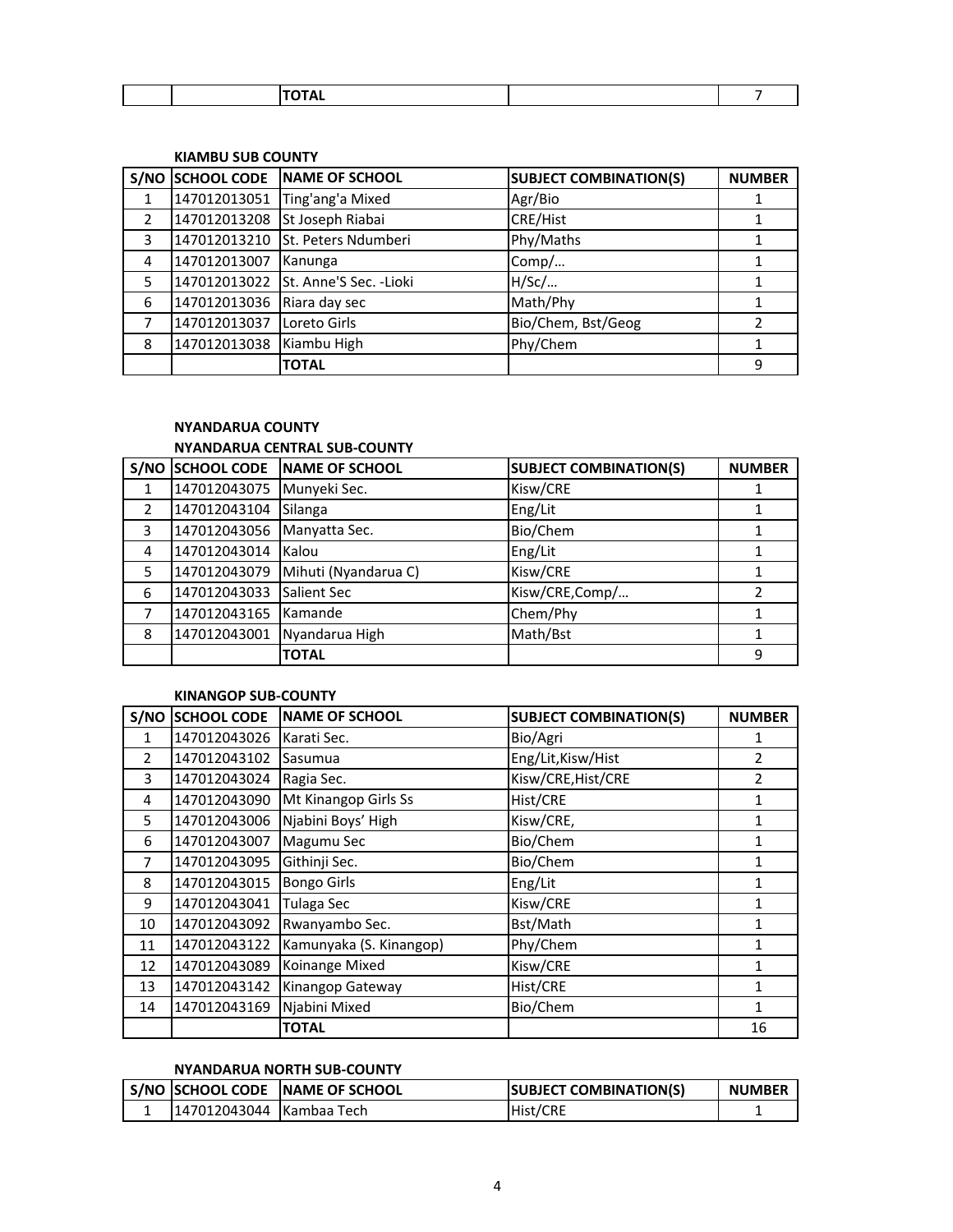| $- - - -$<br><u>ль</u> |  |  |  |
|------------------------|--|--|--|
|                        |  |  |  |

### **KIAMBU SUB COUNTY**

|                |              | S/NO SCHOOL CODE NAME OF SCHOOL      | <b>SUBJECT COMBINATION(S)</b> | <b>NUMBER</b> |
|----------------|--------------|--------------------------------------|-------------------------------|---------------|
|                | 147012013051 | Ting'ang'a Mixed                     | Agr/Bio                       |               |
| $\mathfrak{p}$ | 147012013208 | St Joseph Riabai                     | <b>CRE/Hist</b>               |               |
| 3              |              | 147012013210 St. Peters Ndumberi     | Phy/Maths                     |               |
| 4              | 147012013007 | Kanunga                              | Comp/                         |               |
| 5              |              | 147012013022 St. Anne'S Sec. - Lioki | H/SC/                         |               |
| 6              | 147012013036 | Riara day sec                        | Math/Phy                      |               |
|                | 147012013037 | Loreto Girls                         | Bio/Chem, Bst/Geog            | 2             |
| 8              | 147012013038 | Kiambu High                          | Phy/Chem                      |               |
|                |              | <b>TOTAL</b>                         |                               | 9             |

# **NYANDARUA COUNTY**

# **NYANDARUA CENTRAL SUB-COUNTY**

|   | S/NO SCHOOL CODE | NAME OF SCHOOL       | <b>SUBJECT COMBINATION(S)</b> | <b>NUMBER</b> |
|---|------------------|----------------------|-------------------------------|---------------|
|   | 147012043075     | Munyeki Sec.         | Kisw/CRE                      |               |
|   | 147012043104     | Silanga              | Eng/Lit                       |               |
| 3 | 147012043056     | Manyatta Sec.        | Bio/Chem                      |               |
| 4 | 147012043014     | <b>Kalou</b>         | Eng/Lit                       |               |
| 5 | 147012043079     | Mihuti (Nyandarua C) | Kisw/CRE                      |               |
| 6 | 147012043033     | <b>Salient Sec</b>   | Kisw/CRE,Comp/                |               |
|   | 147012043165     | Kamande              | Chem/Phy                      |               |
| 8 | 147012043001     | Nyandarua High       | Math/Bst                      |               |
|   |                  | <b>TOTAL</b>         |                               | ٩             |

#### **KINANGOP SUB-COUNTY**

| S/NO         | <b>SCHOOL CODE</b> | <b>NAME OF SCHOOL</b>   | <b>SUBJECT COMBINATION(S)</b> | <b>NUMBER</b>  |
|--------------|--------------------|-------------------------|-------------------------------|----------------|
| $\mathbf{1}$ | 147012043026       | Karati Sec.             | Bio/Agri                      | 1              |
| 2            | 147012043102       | Sasumua                 | Eng/Lit, Kisw/Hist            | $\overline{2}$ |
| 3            | 147012043024       | Ragia Sec.              | Kisw/CRE, Hist/CRE            | $\overline{2}$ |
| 4            | 147012043090       | Mt Kinangop Girls Ss    | Hist/CRE                      | 1              |
| 5            | 147012043006       | Njabini Boys' High      | Kisw/CRE,                     | 1              |
| 6            | 147012043007       | Magumu Sec              | Bio/Chem                      | 1              |
| 7            | 147012043095       | Githinji Sec.           | Bio/Chem                      | 1              |
| 8            | 147012043015       | <b>Bongo Girls</b>      | Eng/Lit                       | 1              |
| 9            | 147012043041       | Tulaga Sec              | Kisw/CRE                      | 1              |
| 10           | 147012043092       | Rwanyambo Sec.          | Bst/Math                      | 1              |
| 11           | 147012043122       | Kamunyaka (S. Kinangop) | Phy/Chem                      | 1              |
| 12           | 147012043089       | Koinange Mixed          | Kisw/CRE                      | 1              |
| 13           | 147012043142       | Kinangop Gateway        | Hist/CRE                      | 1              |
| 14           | 147012043169       | Njabini Mixed           | Bio/Chem                      | 1              |
|              |                    | <b>TOTAL</b>            |                               | 16             |

# **NYANDARUA NORTH SUB-COUNTY**

|                           | S/NO SCHOOL CODE NAME OF SCHOOL | <b>SUBJECT COMBINATION(S)</b> | <b>NUMBER</b> |
|---------------------------|---------------------------------|-------------------------------|---------------|
| 1147012043044 Kambaa Tech |                                 | Hist/CRE                      |               |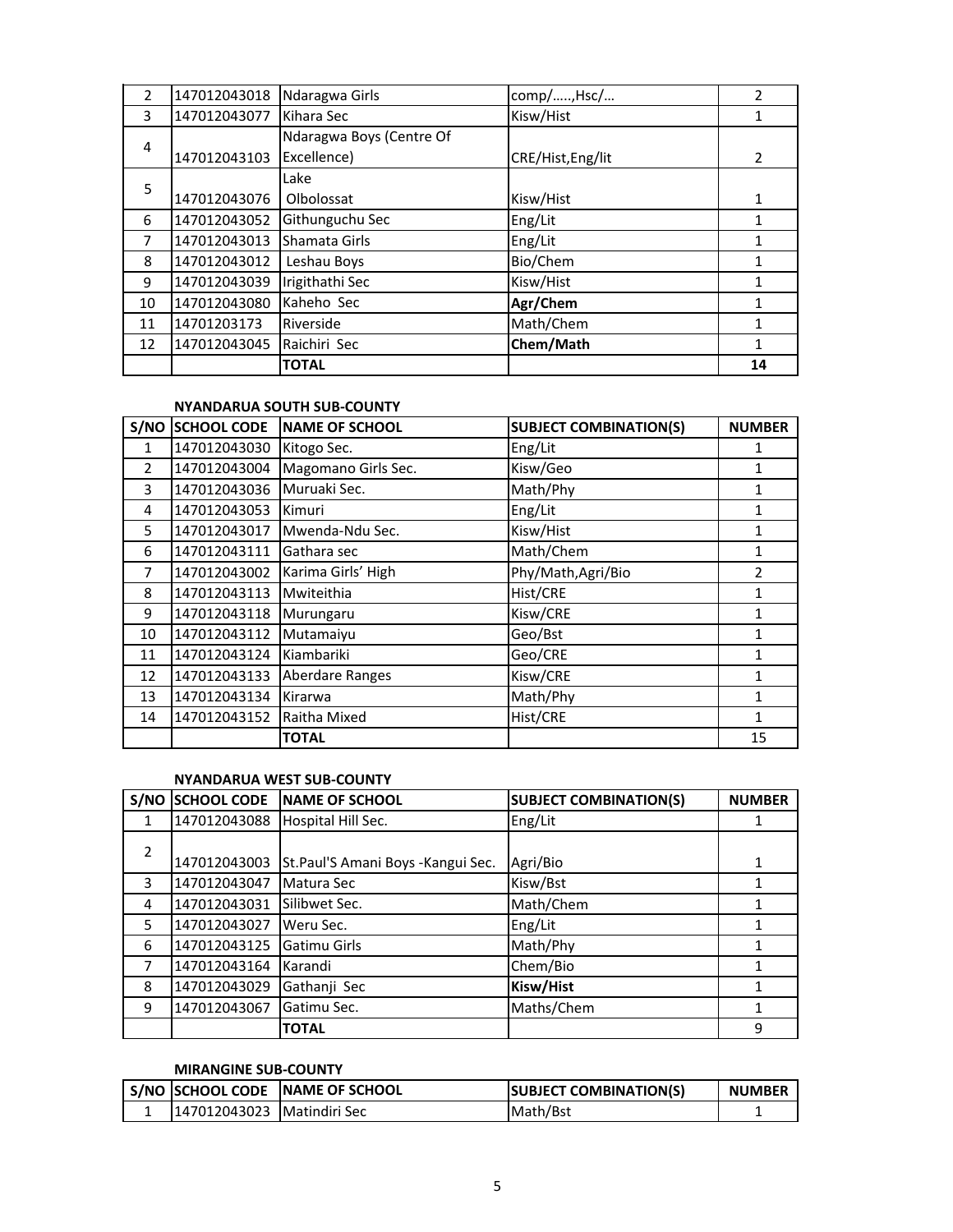| 2  | 147012043018 | Ndaragwa Girls           | comp/, Hsc/       | 2              |
|----|--------------|--------------------------|-------------------|----------------|
| 3  | 147012043077 | Kihara Sec               | Kisw/Hist         | 1              |
| 4  |              | Ndaragwa Boys (Centre Of |                   |                |
|    | 147012043103 | Excellence)              | CRE/Hist, Eng/lit | $\overline{2}$ |
| 5  |              | Lake                     |                   |                |
|    | 147012043076 | Olbolossat               | Kisw/Hist         | 1              |
| 6  | 147012043052 | Githunguchu Sec          | Eng/Lit           |                |
| 7  | 147012043013 | Shamata Girls            | Eng/Lit           | 1              |
| 8  | 147012043012 | Leshau Boys              | Bio/Chem          |                |
| 9  | 147012043039 | Irigithathi Sec          | Kisw/Hist         |                |
| 10 | 147012043080 | Kaheho Sec               | Agr/Chem          | 1              |
| 11 | 14701203173  | Riverside                | Math/Chem         |                |
| 12 | 147012043045 | Raichiri Sec             | Chem/Math         |                |
|    |              | <b>TOTAL</b>             |                   | 14             |

### **NYANDARUA SOUTH SUB-COUNTY**

| S/NO          | <b>SCHOOL CODE</b> | <b>NAME OF SCHOOL</b>  | <b>SUBJECT COMBINATION(S)</b> | <b>NUMBER</b> |
|---------------|--------------------|------------------------|-------------------------------|---------------|
| 1             | 147012043030       | Kitogo Sec.            | Eng/Lit                       | 1             |
| $\mathcal{P}$ | 147012043004       | Magomano Girls Sec.    | Kisw/Geo                      | 1             |
| 3             | 147012043036       | Muruaki Sec.           | Math/Phy                      | 1             |
| 4             | 147012043053       | Kimuri                 | Eng/Lit                       | 1             |
| 5             | 147012043017       | Mwenda-Ndu Sec.        | Kisw/Hist                     | 1             |
| 6             | 147012043111       | Gathara sec            | Math/Chem                     | 1             |
| 7             | 147012043002       | Karima Girls' High     | Phy/Math, Agri/Bio            | $\mathfrak z$ |
| 8             | 147012043113       | Mwiteithia             | Hist/CRE                      | 1             |
| 9             | 147012043118       | Murungaru              | Kisw/CRE                      | 1             |
| 10            | 147012043112       | Mutamaiyu              | Geo/Bst                       | 1             |
| 11            | 147012043124       | Kiambariki             | Geo/CRE                       | 1             |
| 12            | 147012043133       | <b>Aberdare Ranges</b> | Kisw/CRE                      | 1             |
| 13            | 147012043134       | Kirarwa                | Math/Phy                      | 1             |
| 14            | 147012043152       | Raitha Mixed           | Hist/CRE                      | 1             |
|               |                    | <b>TOTAL</b>           |                               | 15            |

# **NYANDARUA WEST SUB-COUNTY**

| S/NO           | <b>SCHOOL CODE</b> | <b>NAME OF SCHOOL</b>             | <b>SUBJECT COMBINATION(S)</b> | <b>NUMBER</b> |
|----------------|--------------------|-----------------------------------|-------------------------------|---------------|
| 1              | 147012043088       | Hospital Hill Sec.                | Eng/Lit                       |               |
| $\overline{2}$ | 147012043003       | St.Paul'S Amani Boys -Kangui Sec. | Agri/Bio                      | 1             |
| 3              | 147012043047       | Matura Sec                        | Kisw/Bst                      |               |
| 4              | 147012043031       | Silibwet Sec.                     | Math/Chem                     |               |
| 5              | 147012043027       | Weru Sec.                         | Eng/Lit                       |               |
| 6              | 147012043125       | Gatimu Girls                      | Math/Phy                      |               |
| 7              | 147012043164       | Karandi                           | Chem/Bio                      |               |
| 8              | 147012043029       | Gathanji Sec                      | Kisw/Hist                     |               |
| 9              | 147012043067       | Gatimu Sec.                       | Maths/Chem                    |               |
|                |                    | <b>TOTAL</b>                      |                               | 9             |

## **MIRANGINE SUB-COUNTY**

|                              | S/NO SCHOOL CODE NAME OF SCHOOL | <b>SUBJECT COMBINATION(S)</b> | <b>NUMBER</b> |
|------------------------------|---------------------------------|-------------------------------|---------------|
| 147012043023   Matindiri Sec |                                 | l Math/Bst                    |               |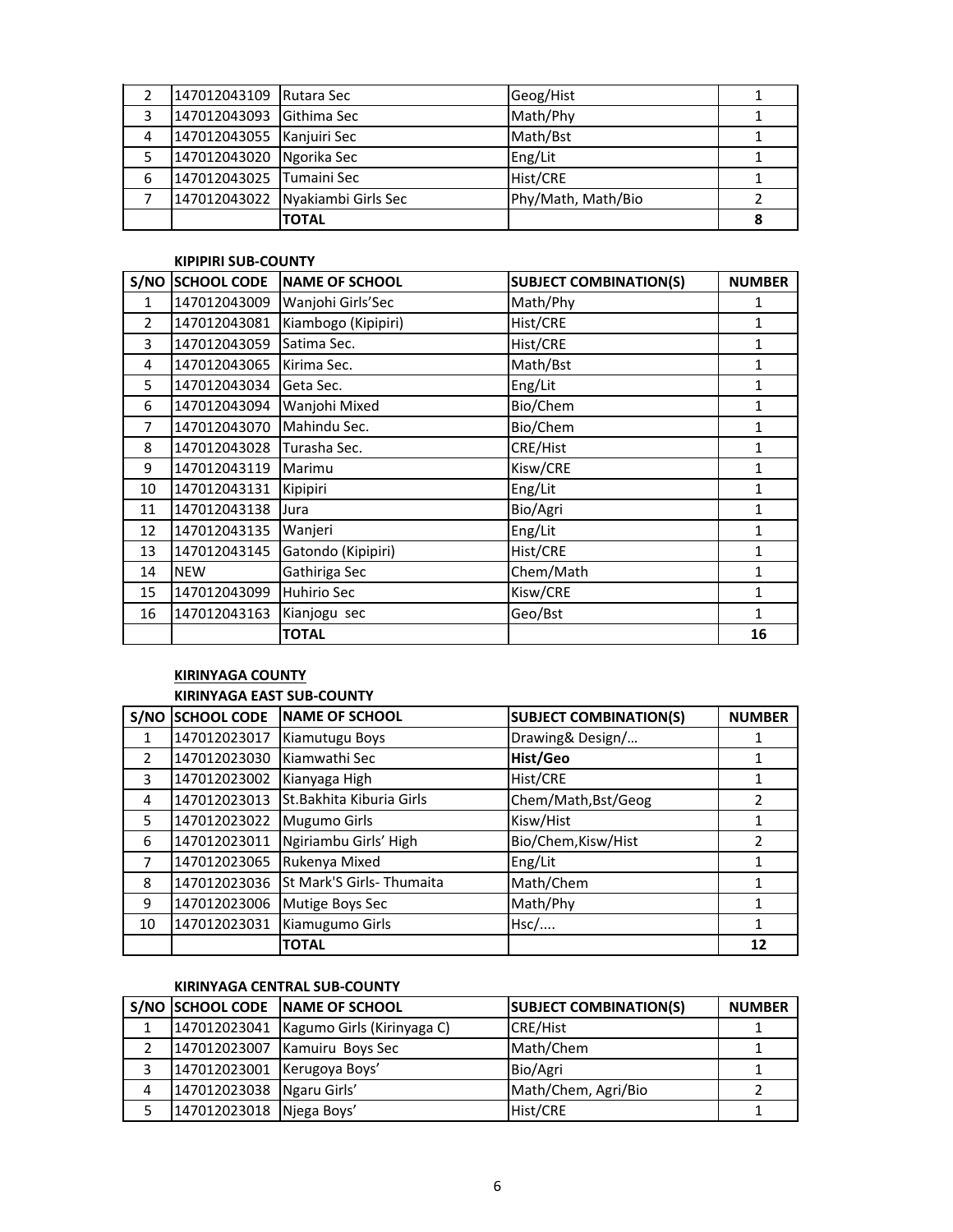|   | 147012043109 Rutara Sec  |                     | Geog/Hist          |  |
|---|--------------------------|---------------------|--------------------|--|
| 3 | 147012043093             | Githima Sec         | Math/Phy           |  |
| 4 | 147012043055             | Kanjuiri Sec        | Math/Bst           |  |
| 5 | 147012043020             | Ngorika Sec         | Eng/Lit            |  |
| 6 | 147012043025 Tumaini Sec |                     | Hist/CRE           |  |
|   | 147012043022             | Nyakiambi Girls Sec | Phy/Math, Math/Bio |  |
|   |                          | <b>TOTAL</b>        |                    |  |

#### **KIPIPIRI SUB-COUNTY**

| S/NO          | <b>SCHOOL CODE</b> | <b>NAME OF SCHOOL</b> | <b>SUBJECT COMBINATION(S)</b> | <b>NUMBER</b>  |
|---------------|--------------------|-----------------------|-------------------------------|----------------|
| $\mathbf{1}$  | 147012043009       | Wanjohi Girls'Sec     | Math/Phy                      | 1              |
| $\mathcal{P}$ | 147012043081       | Kiambogo (Kipipiri)   | Hist/CRE                      | 1              |
| 3             | 147012043059       | Satima Sec.           | Hist/CRE                      | 1              |
| 4             | 147012043065       | Kirima Sec.           | Math/Bst                      | 1              |
| 5             | 147012043034       | Geta Sec.             | Eng/Lit                       | $\mathbf{1}$   |
| 6             | 147012043094       | Wanjohi Mixed         | Bio/Chem                      | $\overline{1}$ |
| 7             | 147012043070       | Mahindu Sec.          | Bio/Chem                      | 1              |
| 8             | 147012043028       | Turasha Sec.          | CRE/Hist                      | 1              |
| 9             | 147012043119       | Marimu                | Kisw/CRE                      | 1              |
| 10            | 147012043131       | Kipipiri              | Eng/Lit                       | 1              |
| 11            | 147012043138       | Jura                  | Bio/Agri                      | 1              |
| 12            | 147012043135       | Wanjeri               | Eng/Lit                       | 1              |
| 13            | 147012043145       | Gatondo (Kipipiri)    | Hist/CRE                      | $\mathbf{1}$   |
| 14            | <b>NEW</b>         | Gathiriga Sec         | Chem/Math                     | $\mathbf{1}$   |
| 15            | 147012043099       | <b>Huhirio Sec</b>    | Kisw/CRE                      | 1              |
| 16            | 147012043163       | Kianjogu sec          | Geo/Bst                       | 1              |
|               |                    | <b>TOTAL</b>          |                               | 16             |

# **KIRINYAGA COUNTY KIRINYAGA EAST SUB-COUNTY**

| S/NO          | <b>SCHOOL CODE</b> | <b>NAME OF SCHOOL</b>     | <b>SUBJECT COMBINATION(S)</b> | <b>NUMBER</b> |
|---------------|--------------------|---------------------------|-------------------------------|---------------|
| 1             | 147012023017       | Kiamutugu Boys            | Drawing& Design/              |               |
| $\mathcal{P}$ | 147012023030       | Kiamwathi Sec             | Hist/Geo                      | 1             |
| 3             | 147012023002       | Kianyaga High             | Hist/CRE                      | 1             |
| 4             | 147012023013       | St. Bakhita Kiburia Girls | Chem/Math, Bst/Geog           | 2             |
| 5             | 147012023022       | <b>Mugumo Girls</b>       | Kisw/Hist                     |               |
| 6             | 147012023011       | Ngiriambu Girls' High     | Bio/Chem, Kisw/Hist           | $\mathfrak z$ |
| 7             | 147012023065       | Rukenya Mixed             | Eng/Lit                       |               |
| 8             | 147012023036       | St Mark'S Girls- Thumaita | Math/Chem                     |               |
| 9             | 147012023006       | Mutige Boys Sec           | Math/Phy                      |               |
| 10            | 147012023031       | Kiamugumo Girls           | Hsc/                          |               |
|               |                    | <b>TOTAL</b>              |                               | 12            |

# **KIRINYAGA CENTRAL SUB-COUNTY**

|   |                             | S/NO SCHOOL CODE NAME OF SCHOOL           | <b>SUBJECT COMBINATION(S)</b> | <b>NUMBER</b> |
|---|-----------------------------|-------------------------------------------|-------------------------------|---------------|
|   |                             | 147012023041   Kagumo Girls (Kirinyaga C) | <b>CRE/Hist</b>               |               |
|   |                             | 147012023007 Kamuiru Boys Sec             | Math/Chem                     |               |
|   | 147012023001 Kerugoya Boys' |                                           | Bio/Agri                      |               |
| 4 | 147012023038 Ngaru Girls'   |                                           | Math/Chem, Agri/Bio           |               |
|   | 147012023018 Njega Boys'    |                                           | Hist/CRE                      |               |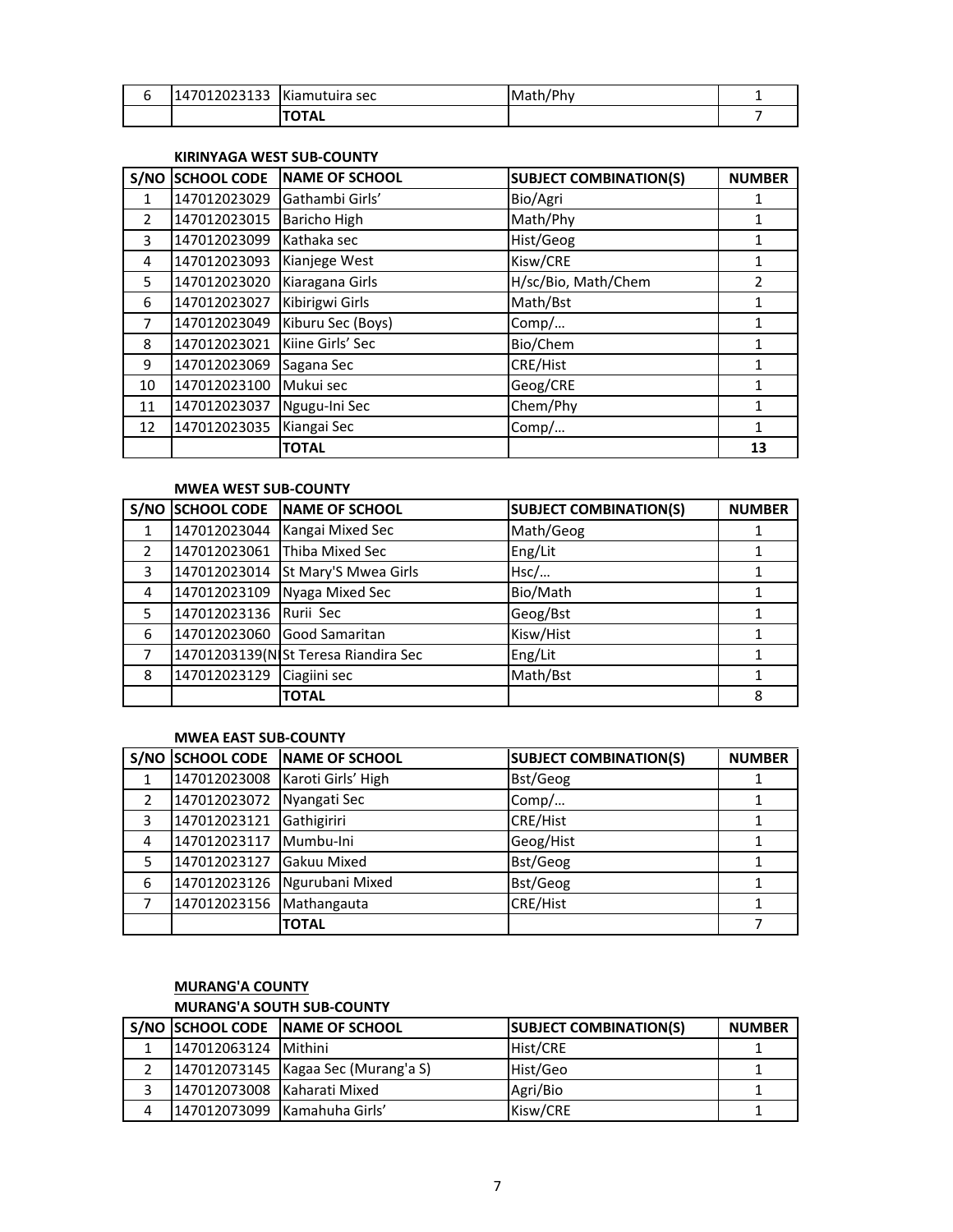| 147012023133<br>. JZJIJJ | Kiamutuira sec | Math/<br>. env |  |
|--------------------------|----------------|----------------|--|
|                          |                |                |  |

#### **KIRINYAGA WEST SUB-COUNTY**

| S/NO          | <b>SCHOOL CODE</b> | <b>NAME OF SCHOOL</b> | <b>SUBJECT COMBINATION(S)</b> | <b>NUMBER</b> |
|---------------|--------------------|-----------------------|-------------------------------|---------------|
| 1             | 147012023029       | Gathambi Girls'       | Bio/Agri                      |               |
| $\mathcal{P}$ | 147012023015       | <b>Baricho High</b>   | Math/Phy                      |               |
| 3             | 147012023099       | Kathaka sec           | Hist/Geog                     |               |
| 4             | 147012023093       | Kianjege West         | Kisw/CRE                      | 1             |
| 5             | 147012023020       | Kiaragana Girls       | H/sc/Bio, Math/Chem           | 2             |
| 6             | 147012023027       | Kibirigwi Girls       | Math/Bst                      |               |
| 7             | 147012023049       | Kiburu Sec (Boys)     | Comp/                         | 1             |
| 8             | 147012023021       | Kiine Girls' Sec      | Bio/Chem                      | 1             |
| 9             | 147012023069       | Sagana Sec            | <b>CRE/Hist</b>               | 1             |
| 10            | 147012023100       | Mukui sec             | Geog/CRE                      | 1             |
| 11            | 147012023037       | Ngugu-Ini Sec         | Chem/Phy                      | 1             |
| 12            | 147012023035       | Kiangai Sec           | Comp/                         | 1             |
|               |                    | <b>TOTAL</b>          |                               | 13            |

#### **MWEA WEST SUB-COUNTY**

|   | S/NO SCHOOL CODE       | NAME OF SCHOOL                       | <b>SUBJECT COMBINATION(S)</b> | <b>NUMBER</b> |
|---|------------------------|--------------------------------------|-------------------------------|---------------|
|   | 147012023044           | Kangai Mixed Sec                     | Math/Geog                     |               |
|   | 147012023061           | Thiba Mixed Sec                      | Eng/Lit                       |               |
| 3 |                        | 147012023014 St Mary'S Mwea Girls    | Hsc/                          |               |
| 4 | 147012023109           | Nyaga Mixed Sec                      | Bio/Math                      |               |
| 5 | 147012023136 Rurii Sec |                                      | Geog/Bst                      |               |
| 6 | 147012023060           | <b>Good Samaritan</b>                | Kisw/Hist                     |               |
|   |                        | 14701203139(N St Teresa Riandira Sec | Eng/Lit                       |               |
| 8 | 147012023129           | Ciagiini sec                         | Math/Bst                      |               |
|   |                        | <b>TOTAL</b>                         |                               | 8             |

# **MWEA EAST SUB-COUNTY**

|   |              | S/NO SCHOOL CODE NAME OF SCHOOL | <b>SUBJECT COMBINATION(S)</b> | <b>NUMBER</b> |
|---|--------------|---------------------------------|-------------------------------|---------------|
|   | 147012023008 | Karoti Girls' High              | Bst/Geog                      |               |
| 2 | 147012023072 | Nyangati Sec                    | Comp/                         |               |
| 3 | 147012023121 | Gathigiriri                     | <b>CRE/Hist</b>               |               |
| 4 | 147012023117 | Mumbu-Ini                       | Geog/Hist                     |               |
|   | 147012023127 | Gakuu Mixed                     | Bst/Geog                      |               |
| 6 | 147012023126 | Ngurubani Mixed                 | Bst/Geog                      |               |
|   | 147012023156 | Mathangauta                     | <b>CRE/Hist</b>               |               |
|   |              | <b>TOTAL</b>                    |                               |               |

# **MURANG'A COUNTY MURANG'A SOUTH SUB-COUNTY**

|   |                             | S/NO SCHOOL CODE NAME OF SCHOOL       | <b>ISUBJECT COMBINATION(S)</b> | <b>NUMBER</b> |
|---|-----------------------------|---------------------------------------|--------------------------------|---------------|
|   | 147012063124 Mithini        |                                       | Hist/CRE                       |               |
|   |                             | 147012073145   Kagaa Sec (Murang'a S) | Hist/Geo                       |               |
|   | 147012073008 Kaharati Mixed |                                       | Agri/Bio                       |               |
| 4 |                             | 147012073099   Kamahuha Girls'        | Kisw/CRE                       |               |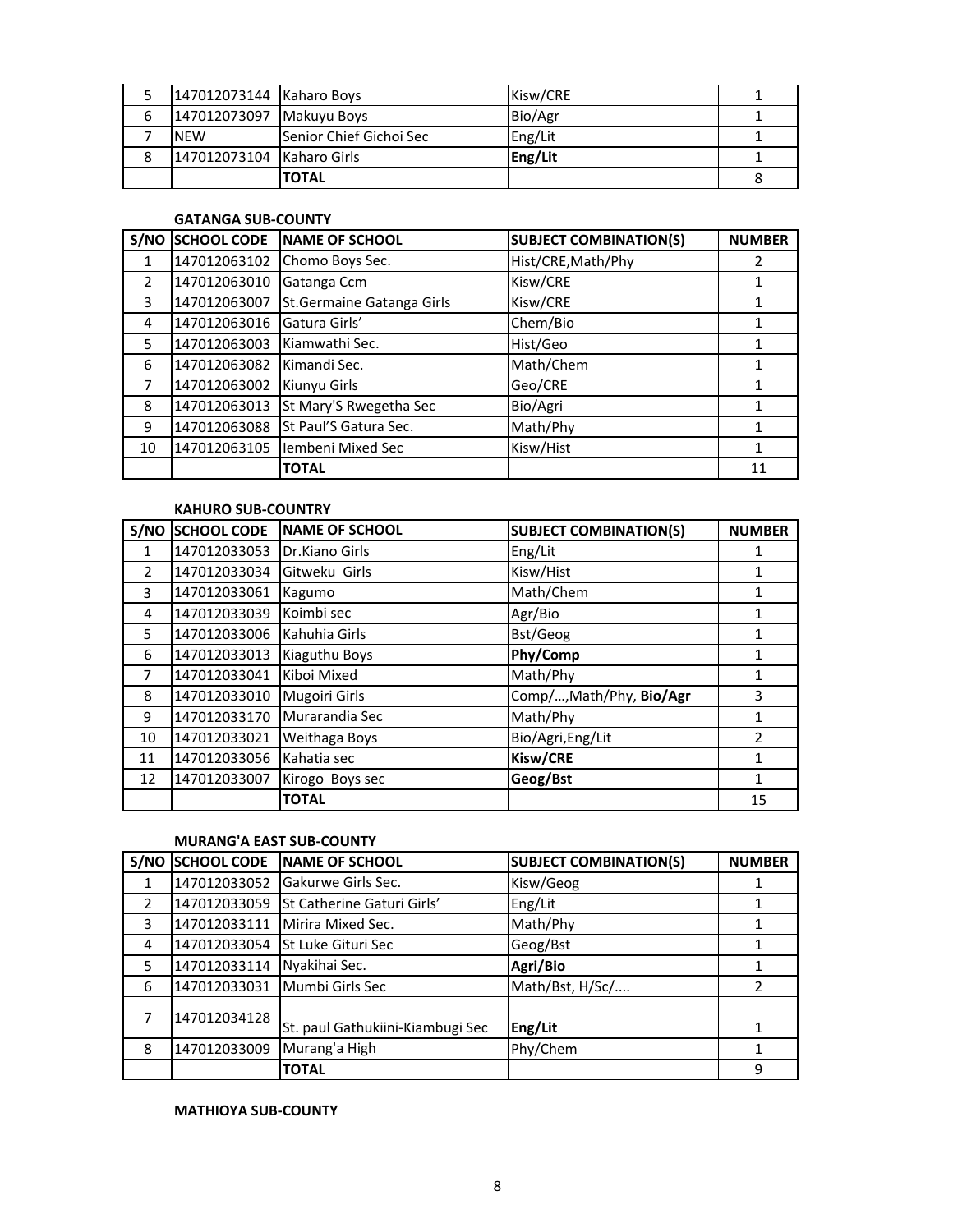|   | 147012073144 Kaharo Boys  |                          | Kisw/CRE |  |
|---|---------------------------|--------------------------|----------|--|
| b | 147012073097 Makuyu Boys  |                          | Bio/Agr  |  |
|   | <b>NEW</b>                | lSenior Chief Gichoi Sec | Eng/Lit  |  |
|   | 147012073104 Kaharo Girls |                          | Eng/Lit  |  |
|   |                           | <b>TOTAL</b>             |          |  |

#### **GATANGA SUB-COUNTY**

| S/NO          | <b>SCHOOL CODE</b> | <b>NAME OF SCHOOL</b>      | <b>SUBJECT COMBINATION(S)</b> | <b>NUMBER</b> |
|---------------|--------------------|----------------------------|-------------------------------|---------------|
| 1             | 147012063102       | Chomo Boys Sec.            | Hist/CRE, Math/Phy            | 2             |
| $\mathcal{P}$ | 147012063010       | Gatanga Ccm                | Kisw/CRE                      |               |
| 3             | 147012063007       | St. Germaine Gatanga Girls | Kisw/CRE                      |               |
| 4             | 147012063016       | Gatura Girls'              | Chem/Bio                      |               |
| 5             | 147012063003       | Kiamwathi Sec.             | Hist/Geo                      | 1             |
| 6             | 147012063082       | Kimandi Sec.               | Math/Chem                     |               |
| 7             | 147012063002       | Kiunyu Girls               | Geo/CRE                       |               |
| 8             | 147012063013       | St Mary'S Rwegetha Sec     | Bio/Agri                      |               |
| 9             | 147012063088       | St Paul'S Gatura Sec.      | Math/Phy                      |               |
| 10            | 147012063105       | Iembeni Mixed Sec          | Kisw/Hist                     | 1             |
|               |                    | <b>TOTAL</b>               |                               | 11            |

# **KAHURO SUB-COUNTRY**

| S/NO           | <b>SCHOOL CODE</b> | <b>NAME OF SCHOOL</b> | <b>SUBJECT COMBINATION(S)</b> | <b>NUMBER</b> |
|----------------|--------------------|-----------------------|-------------------------------|---------------|
| 1              | 147012033053       | Dr.Kiano Girls        | Eng/Lit                       |               |
| $\overline{2}$ | 147012033034       | Gitweku Girls         | Kisw/Hist                     |               |
| 3              | 147012033061       | Kagumo                | Math/Chem                     | 1             |
| 4              | 147012033039       | Koimbi sec            | Agr/Bio                       | 1             |
| 5              | 147012033006       | Kahuhia Girls         | Bst/Geog                      |               |
| 6              | 147012033013       | Kiaguthu Boys         | Phy/Comp                      | 1             |
| 7              | 147012033041       | Kiboi Mixed           | Math/Phy                      | 1             |
| 8              | 147012033010       | <b>Mugoiri Girls</b>  | Comp/, Math/Phy, Bio/Agr      | 3             |
| 9              | 147012033170       | Murarandia Sec        | Math/Phy                      | 1             |
| 10             | 147012033021       | Weithaga Boys         | Bio/Agri, Eng/Lit             | $\mathfrak z$ |
| 11             | 147012033056       | Kahatia sec           | Kisw/CRE                      | 1             |
| 12             | 147012033007       | Kirogo Boys sec       | Geog/Bst                      | 1             |
|                |                    | <b>TOTAL</b>          |                               | 15            |

# **MURANG'A EAST SUB-COUNTY**

| S/NO          | <b>SCHOOL CODE</b> | <b>NAME OF SCHOOL</b>            | <b>SUBJECT COMBINATION(S)</b> | <b>NUMBER</b> |
|---------------|--------------------|----------------------------------|-------------------------------|---------------|
|               | 147012033052       | Gakurwe Girls Sec.               | Kisw/Geog                     |               |
| $\mathcal{P}$ | 147012033059       | St Catherine Gaturi Girls'       | Eng/Lit                       |               |
| 3             | 147012033111       | Mirira Mixed Sec.                | Math/Phy                      |               |
| 4             | 147012033054       | St Luke Gituri Sec               | Geog/Bst                      |               |
| 5             | 147012033114       | Nyakihai Sec.                    | Agri/Bio                      |               |
| 6             | 147012033031       | Mumbi Girls Sec                  | Math/Bst, H/Sc/               | $\mathcal{P}$ |
| 7             | 147012034128       | St. paul Gathukiini-Kiambugi Sec | Eng/Lit                       | 1             |
| 8             | 147012033009       | Murang'a High                    | Phy/Chem                      |               |
|               |                    | <b>TOTAL</b>                     |                               | 9             |

## **MATHIOYA SUB-COUNTY**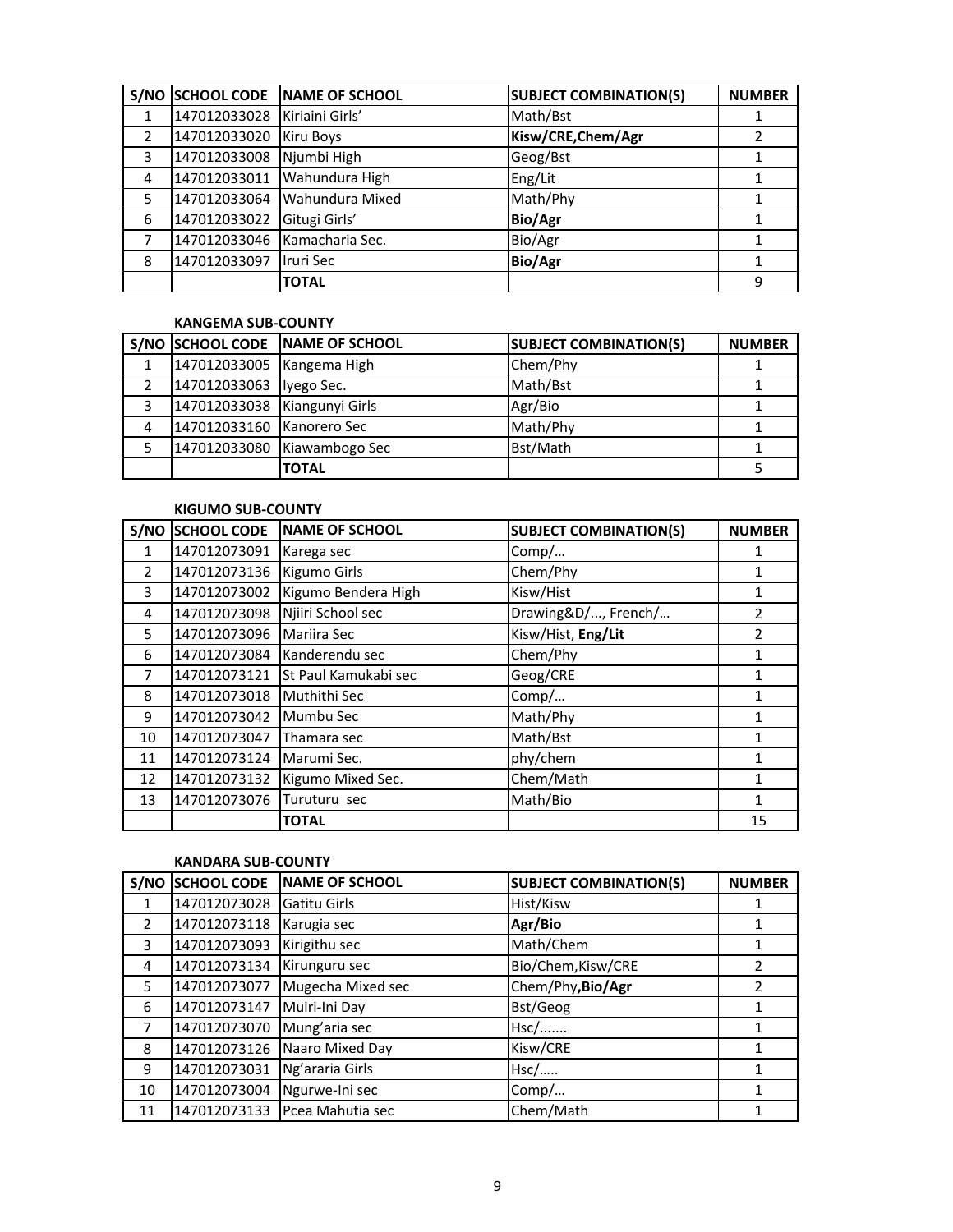|               | S/NO SCHOOL CODE | NAME OF SCHOOL   | <b>SUBJECT COMBINATION(S)</b> | <b>NUMBER</b> |
|---------------|------------------|------------------|-------------------------------|---------------|
|               | 147012033028     | Kiriaini Girls'  | Math/Bst                      |               |
| $\mathcal{P}$ | 147012033020     | <b>Kiru Boys</b> | Kisw/CRE, Chem/Agr            |               |
| 3             | 147012033008     | Njumbi High      | Geog/Bst                      |               |
| 4             | 147012033011     | Wahundura High   | Eng/Lit                       |               |
| 5             | 147012033064     | Wahundura Mixed  | Math/Phy                      |               |
| 6             | 147012033022     | Gitugi Girls'    | <b>Bio/Agr</b>                |               |
|               | 147012033046     | Kamacharia Sec.  | Bio/Agr                       |               |
| 8             | 147012033097     | Iruri Sec        | <b>Bio/Agr</b>                |               |
|               |                  | <b>TOTAL</b>     |                               | 9             |

#### **KANGEMA SUB-COUNTY**

|   |                              | S/NO SCHOOL CODE NAME OF SCHOOL | <b>SUBJECT COMBINATION(S)</b> | <b>NUMBER</b> |
|---|------------------------------|---------------------------------|-------------------------------|---------------|
|   | 147012033005 Kangema High    |                                 | Chem/Phy                      |               |
|   | 147012033063 lyego Sec.      |                                 | Math/Bst                      |               |
| 3 | 147012033038 Kiangunyi Girls |                                 | Agr/Bio                       |               |
| 4 | 147012033160 Kanorero Sec    |                                 | Math/Phy                      |               |
|   |                              | 147012033080 Kiawambogo Sec     | Bst/Math                      |               |
|   |                              | <b>TOTAL</b>                    |                               |               |

#### **KIGUMO SUB-COUNTY**

| S/NO          | <b>SCHOOL CODE</b> | <b>NAME OF SCHOOL</b> | <b>SUBJECT COMBINATION(S)</b> | <b>NUMBER</b> |
|---------------|--------------------|-----------------------|-------------------------------|---------------|
| 1             | 147012073091       | Karega sec            | Comp/                         | 1             |
| $\mathcal{P}$ | 147012073136       | <b>Kigumo Girls</b>   | Chem/Phy                      | 1             |
| 3             | 147012073002       | Kigumo Bendera High   | Kisw/Hist                     | 1             |
| 4             | 147012073098       | Njiiri School sec     | Drawing&D/, French/           | 2             |
| 5.            | 147012073096       | Mariira Sec           | Kisw/Hist, Eng/Lit            | $\mathfrak z$ |
| 6             | 147012073084       | Kanderendu sec        | Chem/Phy                      | 1             |
| 7             | 147012073121       | St Paul Kamukabi sec  | Geog/CRE                      |               |
| 8             | 147012073018       | Muthithi Sec          | Comp/                         | 1             |
| 9             | 147012073042       | Mumbu Sec             | Math/Phy                      |               |
| 10            | 147012073047       | Thamara sec           | Math/Bst                      | 1             |
| 11            | 147012073124       | Marumi Sec.           | phy/chem                      |               |
| 12            | 147012073132       | Kigumo Mixed Sec.     | Chem/Math                     | 1             |
| 13            | 147012073076       | Turuturu sec          | Math/Bio                      | 1             |
|               |                    | <b>TOTAL</b>          |                               | 15            |

#### **KANDARA SUB-COUNTY**

| S/NO          | <b>SCHOOL CODE</b> | <b>NAME OF SCHOOL</b> | <b>SUBJECT COMBINATION(S)</b> | <b>NUMBER</b> |
|---------------|--------------------|-----------------------|-------------------------------|---------------|
| 1             | 147012073028       | Gatitu Girls          | Hist/Kisw                     |               |
| $\mathcal{P}$ | 147012073118       | Karugia sec           | Agr/Bio                       |               |
| 3             | 147012073093       | Kirigithu sec         | Math/Chem                     |               |
| 4             | 147012073134       | Kirunguru sec         | Bio/Chem, Kisw/CRE            | 2             |
| 5             | 147012073077       | Mugecha Mixed sec     | Chem/Phy, Bio/Agr             | $\mathfrak z$ |
| 6             | 147012073147       | Muiri-Ini Day         | Bst/Geog                      |               |
|               | 147012073070       | Mung'aria sec         | $Hsc/$                        |               |
| 8             | 147012073126       | Naaro Mixed Day       | Kisw/CRE                      |               |
| 9             | 147012073031       | Ng'araria Girls       | Hsc/                          |               |
| 10            | 147012073004       | Ngurwe-Ini sec        | Comp/                         |               |
| 11            | 147012073133       | Pcea Mahutia sec      | Chem/Math                     |               |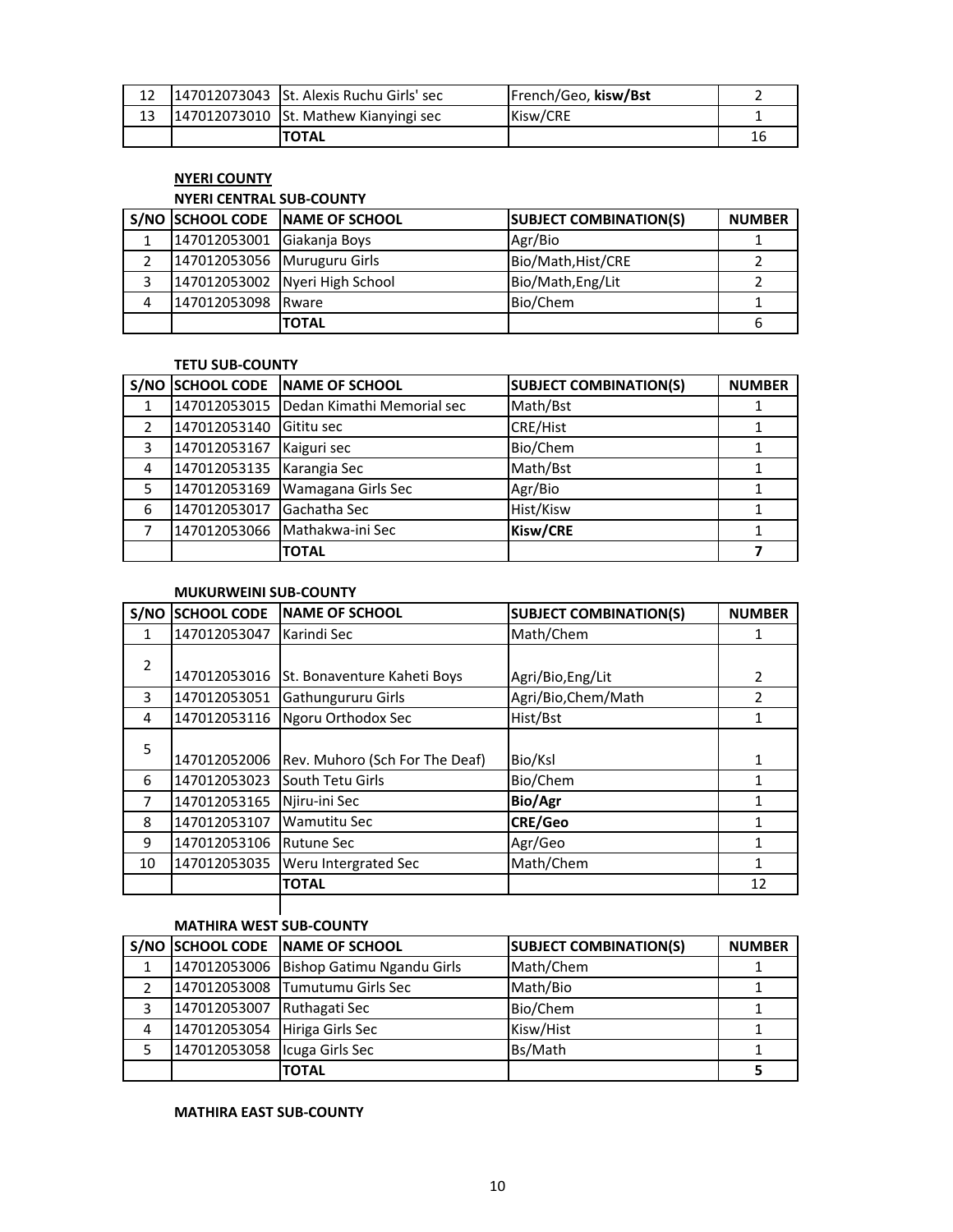|  | 12 147012073043 St. Alexis Ruchu Girls' sec | French/Geo, kisw/Bst |    |
|--|---------------------------------------------|----------------------|----|
|  | 147012073010 St. Mathew Kianyingi sec       | Kisw/CRE             |    |
|  | <b>TOTAL</b>                                |                      | 16 |

# **NYERI COUNTY**

# **NYERI CENTRAL SUB-COUNTY**

|   |                             | S/NO SCHOOL CODE NAME OF SCHOOL | <b>SUBJECT COMBINATION(S)</b> | <b>NUMBER</b> |
|---|-----------------------------|---------------------------------|-------------------------------|---------------|
|   | 147012053001 Giakanja Boys  |                                 | Agr/Bio                       |               |
|   | 147012053056 Muruguru Girls |                                 | Bio/Math, Hist/CRE            |               |
| 3 |                             | 147012053002 Nyeri High School  | Bio/Math, Eng/Lit             |               |
| 4 | 147012053098 Rware          |                                 | Bio/Chem                      |               |
|   |                             | <b>TOTAL</b>                    |                               | b             |

## **TETU SUB-COUNTY**

|   | S/NO SCHOOL CODE | <b>INAME OF SCHOOL</b>     | <b>SUBJECT COMBINATION(S)</b> | <b>NUMBER</b> |
|---|------------------|----------------------------|-------------------------------|---------------|
|   | 147012053015     | Dedan Kimathi Memorial sec | Math/Bst                      |               |
|   | 147012053140     | Gititu sec                 | <b>CRE/Hist</b>               |               |
| 3 | 147012053167     | Kaiguri sec                | Bio/Chem                      |               |
| 4 | 147012053135     | Karangia Sec               | Math/Bst                      |               |
| 5 | 147012053169     | Wamagana Girls Sec         | Agr/Bio                       |               |
| 6 | 147012053017     | Gachatha Sec               | Hist/Kisw                     |               |
|   | 147012053066     | Mathakwa-ini Sec           | Kisw/CRE                      |               |
|   |                  | <b>TOTAL</b>               |                               |               |

#### **MUKURWEINI SUB-COUNTY**

| S/NO | <b>SCHOOL CODE</b> | <b>INAME OF SCHOOL</b>             | <b>SUBJECT COMBINATION(S)</b> | <b>NUMBER</b> |
|------|--------------------|------------------------------------|-------------------------------|---------------|
| 1    | 147012053047       | Karindi Sec                        | Math/Chem                     |               |
| 2    | 147012053016       | <b>St. Bonaventure Kaheti Boys</b> | Agri/Bio, Eng/Lit             | 2             |
| 3    | 147012053051       | Gathungururu Girls                 | Agri/Bio, Chem/Math           | 2             |
| 4    | 147012053116       | Ngoru Orthodox Sec                 | Hist/Bst                      | 1             |
| 5    | 147012052006       | Rev. Muhoro (Sch For The Deaf)     | Bio/Ksl                       | 1             |
| 6    | 147012053023       | South Tetu Girls                   | Bio/Chem                      | 1             |
| 7    | 147012053165       | Njiru-ini Sec                      | Bio/Agr                       |               |
| 8    | 147012053107       | <b>Wamutitu Sec</b>                | <b>CRE/Geo</b>                |               |
| 9    | 147012053106       | <b>Rutune Sec</b>                  | Agr/Geo                       | 1             |
| 10   | 147012053035       | Weru Intergrated Sec               | Math/Chem                     |               |
|      |                    | <b>TOTAL</b>                       |                               | 12            |

# **MATHIRA WEST SUB-COUNTY**

|   |                                | S/NO SCHOOL CODE NAME OF SCHOOL         | <b>SUBJECT COMBINATION(S)</b> | <b>NUMBER</b> |
|---|--------------------------------|-----------------------------------------|-------------------------------|---------------|
|   |                                | 147012053006 Bishop Gatimu Ngandu Girls | Math/Chem                     |               |
|   |                                | 147012053008 Tumutumu Girls Sec         | Math/Bio                      |               |
|   | 147012053007 Ruthagati Sec     |                                         | Bio/Chem                      |               |
| 4 | 147012053054 Hiriga Girls Sec  |                                         | Kisw/Hist                     |               |
| 5 | 147012053058   Icuga Girls Sec |                                         | Bs/Math                       |               |
|   |                                | <b>TOTAL</b>                            |                               |               |

# **MATHIRA EAST SUB-COUNTY**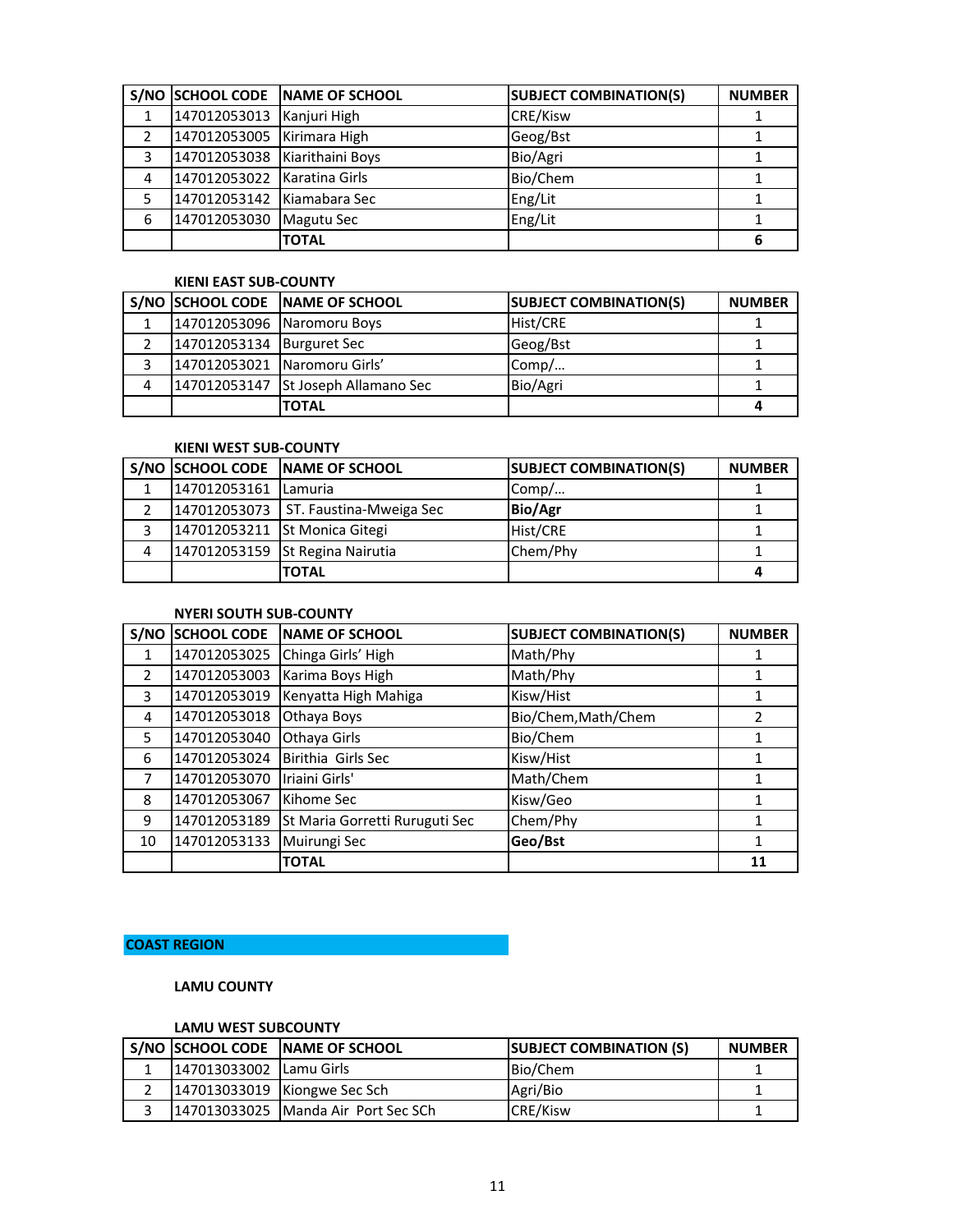|   | S/NO SCHOOL CODE              | NAME OF SCHOOL    | <b>SUBJECT COMBINATION(S)</b> | <b>NUMBER</b> |
|---|-------------------------------|-------------------|-------------------------------|---------------|
|   | 147012053013                  | Kanjuri High      | <b>CRE/Kisw</b>               |               |
|   | 147012053005 Kirimara High    |                   | Geog/Bst                      |               |
| 3 | 147012053038 Kiarithaini Boys |                   | Bio/Agri                      |               |
| 4 | 147012053022 Karatina Girls   |                   | Bio/Chem                      |               |
| 5 | 147012053142 Kiamabara Sec    |                   | Eng/Lit                       |               |
| 6 | 147012053030                  | <b>Magutu Sec</b> | Eng/Lit                       |               |
|   |                               | <b>TOTAL</b>      |                               |               |

#### **KIENI EAST SUB-COUNTY**

|   |                              | S/NO SCHOOL CODE NAME OF SCHOOL     | <b>SUBJECT COMBINATION(S)</b> | <b>NUMBER</b> |
|---|------------------------------|-------------------------------------|-------------------------------|---------------|
| 1 |                              | 147012053096 Naromoru Boys          | Hist/CRE                      |               |
|   | 147012053134 Burguret Sec    |                                     | Geog/Bst                      |               |
|   | 147012053021 Naromoru Girls' |                                     | Comp/                         |               |
| 4 |                              | 147012053147 St Joseph Allamano Sec | Bio/Agri                      |               |
|   |                              | <b>TOTAL</b>                        |                               |               |

## **KIENI WEST SUB-COUNTY**

|   |                      | S/NO SCHOOL CODE NAME OF SCHOOL        | <b>SUBJECT COMBINATION(S)</b> | <b>NUMBER</b> |
|---|----------------------|----------------------------------------|-------------------------------|---------------|
| 1 | 147012053161 Lamuria |                                        | Comp/                         |               |
|   |                      | 147012053073   ST. Faustina-Mweiga Sec | <b>Bio/Agr</b>                |               |
| 3 |                      | 147012053211 St Monica Gitegi          | Hist/CRE                      |               |
| 4 |                      | 147012053159 St Regina Nairutia        | Chem/Phy                      |               |
|   |                      | <b>'TOTAL</b>                          |                               |               |

### **NYERI SOUTH SUB-COUNTY**

| S/NO          | <b>SCHOOL CODE</b> | <b>NAME OF SCHOOL</b>          | <b>SUBJECT COMBINATION(S)</b> | <b>NUMBER</b> |
|---------------|--------------------|--------------------------------|-------------------------------|---------------|
| 1             | 147012053025       | Chinga Girls' High             | Math/Phy                      |               |
| $\mathcal{P}$ | 147012053003       | Karima Boys High               | Math/Phy                      |               |
| 3             | 147012053019       | Kenyatta High Mahiga           | Kisw/Hist                     |               |
| 4             | 147012053018       | Othaya Boys                    | Bio/Chem, Math/Chem           | $\mathfrak z$ |
| 5             | 147012053040       | Othaya Girls                   | Bio/Chem                      |               |
| 6             | 147012053024       | Birithia Girls Sec             | Kisw/Hist                     |               |
|               | 147012053070       | Iriaini Girls'                 | Math/Chem                     |               |
| 8             | 147012053067       | Kihome Sec                     | Kisw/Geo                      |               |
| 9             | 147012053189       | St Maria Gorretti Ruruguti Sec | Chem/Phy                      |               |
| 10            | 147012053133       | Muirungi Sec                   | Geo/Bst                       |               |
|               |                    | <b>TOTAL</b>                   |                               | 11            |

# **COAST REGION**

## **LAMU COUNTY**

# **LAMU WEST SUBCOUNTY**

|                         | I S/NO ISCHOOL CODE INAME OF SCHOOL | <b>SUBJECT COMBINATION (S)</b> | <b>NUMBER</b> |
|-------------------------|-------------------------------------|--------------------------------|---------------|
| 147013033002 Lamu Girls |                                     | Bio/Chem                       |               |
|                         | 147013033019 Kiongwe Sec Sch        | Agri/Bio                       |               |
|                         | 147013033025 Manda Air Port Sec SCh | <b>CRE/Kisw</b>                |               |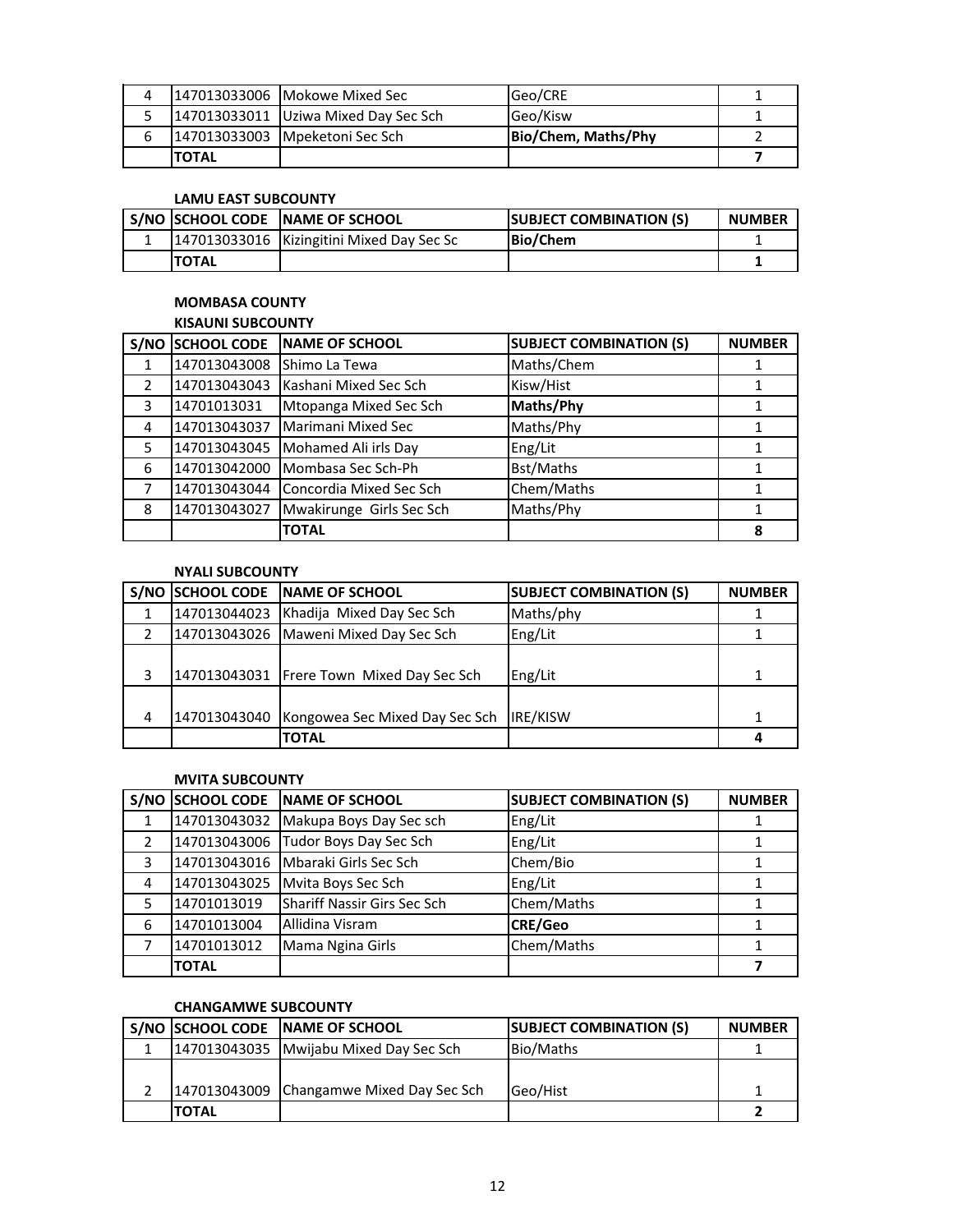| $\Delta$ |        | 147013033006 Mokowe Mixed Sec        | Geo/CRE             |  |
|----------|--------|--------------------------------------|---------------------|--|
|          |        | 147013033011 Uziwa Mixed Day Sec Sch | Geo/Kisw            |  |
| b        |        | 147013033003 Mpeketoni Sec Sch       | Bio/Chem, Maths/Phy |  |
|          | ΙΤΟΤΑΙ |                                      |                     |  |

# **LAMU EAST SUBCOUNTY**

|              | S/NO SCHOOL CODE NAME OF SCHOOL           | <b>ISUBJECT COMBINATION (S)</b> | <b>NUMBER</b> |
|--------------|-------------------------------------------|---------------------------------|---------------|
|              | 147013033016 Kizingitini Mixed Day Sec Sc | Bio/Chem                        |               |
| <b>TOTAL</b> |                                           |                                 |               |

# **MOMBASA COUNTY**

|               | S/NO SCHOOL CODE | NAME OF SCHOOL           | <b>SUBJECT COMBINATION (S)</b> | <b>NUMBER</b> |
|---------------|------------------|--------------------------|--------------------------------|---------------|
|               | 147013043008     | Shimo La Tewa            | Maths/Chem                     |               |
| $\mathcal{P}$ | 147013043043     | Kashani Mixed Sec Sch    | Kisw/Hist                      |               |
| 3             | 14701013031      | Mtopanga Mixed Sec Sch   | Maths/Phy                      |               |
| 4             | 147013043037     | Marimani Mixed Sec       | Maths/Phy                      |               |
| 5             | 147013043045     | Mohamed Ali irls Day     | Eng/Lit                        |               |
| 6             | 147013042000     | Mombasa Sec Sch-Ph       | Bst/Maths                      |               |
|               | 147013043044     | Concordia Mixed Sec Sch  | Chem/Maths                     |               |
| 8             | 147013043027     | Mwakirunge Girls Sec Sch | Maths/Phy                      |               |
|               |                  | <b>TOTAL</b>             |                                | 8             |

# **NYALI SUBCOUNTY**

|   | S/NO SCHOOL CODE NAME OF SCHOOL             | <b>SUBJECT COMBINATION (S)</b> | <b>NUMBER</b> |
|---|---------------------------------------------|--------------------------------|---------------|
|   | 147013044023 Khadija Mixed Day Sec Sch      | Maths/phy                      |               |
|   | 147013043026   Maweni Mixed Day Sec Sch     | Eng/Lit                        |               |
|   |                                             |                                |               |
| 3 | 147013043031 Frere Town Mixed Day Sec Sch   | Eng/Lit                        |               |
|   |                                             |                                |               |
| 4 | 147013043040 Kongowea Sec Mixed Day Sec Sch | <b>IRE/KISW</b>                |               |
|   | <b>TOTAL</b>                                |                                |               |

## **MVITA SUBCOUNTY**

|   |              | S/NO SCHOOL CODE NAME OF SCHOOL      | <b>SUBJECT COMBINATION (S)</b> | <b>NUMBER</b> |
|---|--------------|--------------------------------------|--------------------------------|---------------|
|   |              | 147013043032 Makupa Boys Day Sec sch | Eng/Lit                        |               |
|   |              | 147013043006 Tudor Boys Day Sec Sch  | Eng/Lit                        |               |
| 3 |              | 147013043016 Mbaraki Girls Sec Sch   | Chem/Bio                       |               |
| 4 | 147013043025 | Mvita Boys Sec Sch                   | Eng/Lit                        |               |
| 5 | 14701013019  | Shariff Nassir Girs Sec Sch          | Chem/Maths                     |               |
| 6 | 14701013004  | Allidina Visram                      | <b>CRE/Geo</b>                 |               |
|   | 14701013012  | Mama Ngina Girls                     | Chem/Maths                     |               |
|   | <b>TOTAL</b> |                                      |                                |               |

# **CHANGAMWE SUBCOUNTY**

|              | S/NO SCHOOL CODE NAME OF SCHOOL          | <b>SUBJECT COMBINATION (S)</b> | <b>NUMBER</b> |
|--------------|------------------------------------------|--------------------------------|---------------|
|              | 147013043035 Mwijabu Mixed Day Sec Sch   | Bio/Maths                      |               |
|              |                                          |                                |               |
|              | 147013043009 Changamwe Mixed Day Sec Sch | Geo/Hist                       |               |
| <b>TOTAL</b> |                                          |                                |               |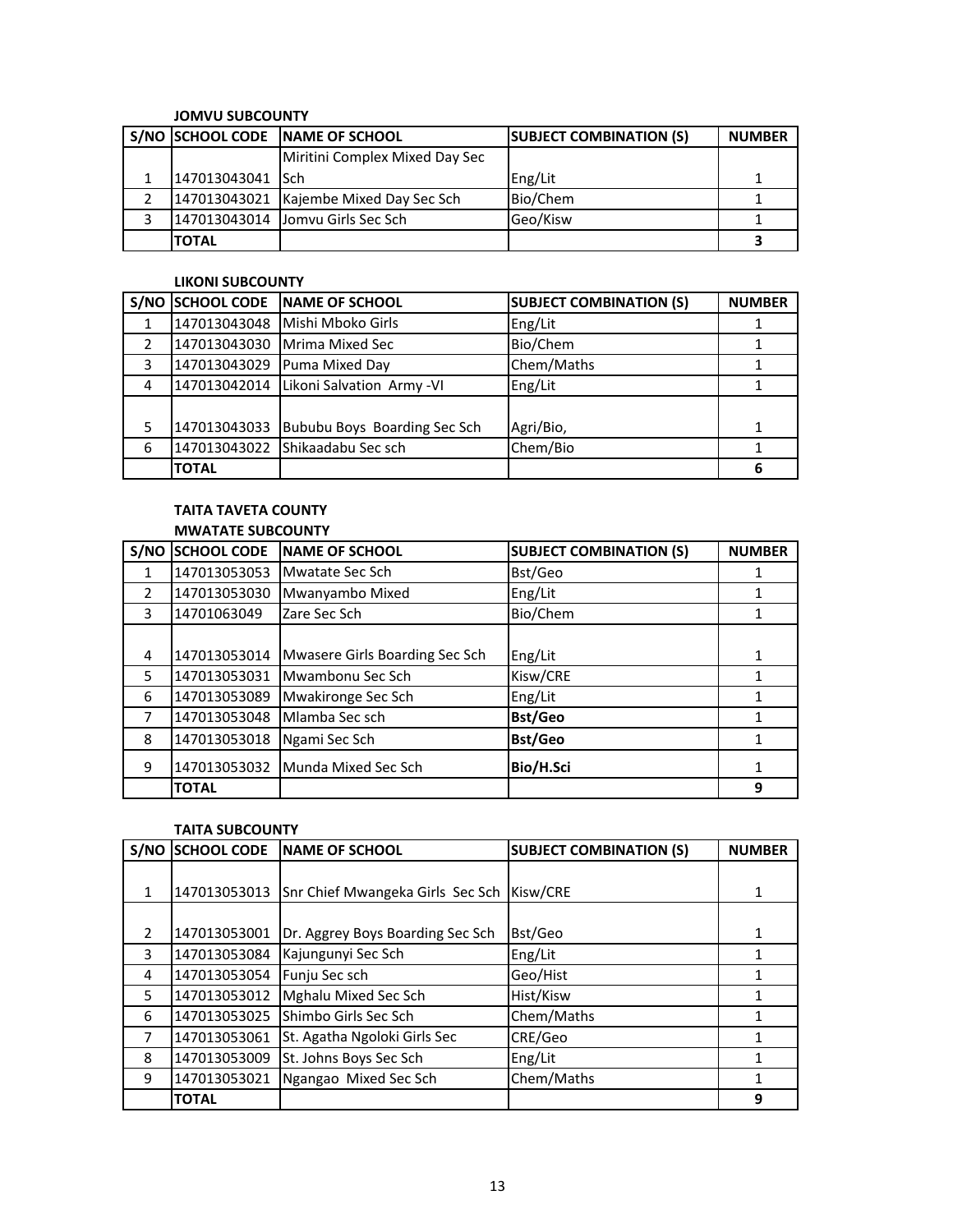#### **JOMVU SUBCOUNTY**

|                  | S/NO SCHOOL CODE NAME OF SCHOOL        | <b>SUBJECT COMBINATION (S)</b> | <b>NUMBER</b> |
|------------------|----------------------------------------|--------------------------------|---------------|
|                  | Miritini Complex Mixed Day Sec         |                                |               |
| 147013043041 Sch |                                        | Eng/Lit                        |               |
|                  | 147013043021 Kajembe Mixed Day Sec Sch | Bio/Chem                       |               |
|                  | 147013043014 Jomvu Girls Sec Sch       | Geo/Kisw                       |               |
| <b>TOTAL</b>     |                                        |                                |               |

#### **LIKONI SUBCOUNTY**

|               | <b>S/NO SCHOOL CODE</b> | <b>INAME OF SCHOOL</b>                 | <b>SUBJECT COMBINATION (S)</b> | <b>NUMBER</b> |
|---------------|-------------------------|----------------------------------------|--------------------------------|---------------|
|               | 147013043048            | Mishi Mboko Girls                      | Eng/Lit                        |               |
| $\mathcal{P}$ | 147013043030            | Mrima Mixed Sec                        | Bio/Chem                       |               |
| 3             | 147013043029            | Puma Mixed Day                         | Chem/Maths                     |               |
| 4             |                         | 147013042014 Likoni Salvation Army -VI | Eng/Lit                        |               |
|               |                         |                                        |                                |               |
| 5             | 147013043033            | Bububu Boys Boarding Sec Sch           | Agri/Bio,                      |               |
| 6             | 147013043022            | <b>Shikaadabu Sec sch</b>              | Chem/Bio                       |               |
|               | <b>TOTAL</b>            |                                        |                                | 6             |

## **TAITA TAVETA COUNTY MWATATE SUBCOUNTY**

| S/NO          | <b>SCHOOL CODE</b> | <b>NAME OF SCHOOL</b>          | <b>SUBJECT COMBINATION (S)</b> | <b>NUMBER</b> |
|---------------|--------------------|--------------------------------|--------------------------------|---------------|
| 1             | 147013053053       | Mwatate Sec Sch                | Bst/Geo                        |               |
| $\mathcal{P}$ | 147013053030       | Mwanyambo Mixed                | Eng/Lit                        |               |
| 3             | 14701063049        | Zare Sec Sch                   | Bio/Chem                       |               |
|               |                    |                                |                                |               |
| 4             | 147013053014       | Mwasere Girls Boarding Sec Sch | Eng/Lit                        |               |
| 5             | 147013053031       | Mwambonu Sec Sch               | Kisw/CRE                       |               |
| 6             | 147013053089       | Mwakironge Sec Sch             | Eng/Lit                        |               |
| 7             | 147013053048       | Mlamba Sec sch                 | <b>Bst/Geo</b>                 |               |
| 8             | 147013053018       | Ngami Sec Sch                  | <b>Bst/Geo</b>                 |               |
| 9             | 147013053032       | Munda Mixed Sec Sch            | Bio/H.Sci                      |               |
|               | <b>TOTAL</b>       |                                |                                | 9             |

#### **TAITA SUBCOUNTY**

|               | S/NO SCHOOL CODE | <b>INAME OF SCHOOL</b>           | <b>SUBJECT COMBINATION (S)</b> | <b>NUMBER</b> |
|---------------|------------------|----------------------------------|--------------------------------|---------------|
|               |                  |                                  |                                |               |
| 1             | 147013053013     | Snr Chief Mwangeka Girls Sec Sch | Kisw/CRE                       | 1             |
|               |                  |                                  |                                |               |
| $\mathcal{P}$ | 147013053001     | Dr. Aggrey Boys Boarding Sec Sch | Bst/Geo                        | 1             |
| 3             | 147013053084     | Kajungunyi Sec Sch               | Eng/Lit                        |               |
| 4             | 147013053054     | Funju Sec sch                    | Geo/Hist                       |               |
| 5             | 147013053012     | Mghalu Mixed Sec Sch             | Hist/Kisw                      |               |
| 6             | 147013053025     | Shimbo Girls Sec Sch             | Chem/Maths                     |               |
| 7             | 147013053061     | St. Agatha Ngoloki Girls Sec     | CRE/Geo                        |               |
| 8             | 147013053009     | St. Johns Boys Sec Sch           | Eng/Lit                        | 1             |
| 9             | 147013053021     | Ngangao Mixed Sec Sch            | Chem/Maths                     |               |
|               | <b>TOTAL</b>     |                                  |                                | 9             |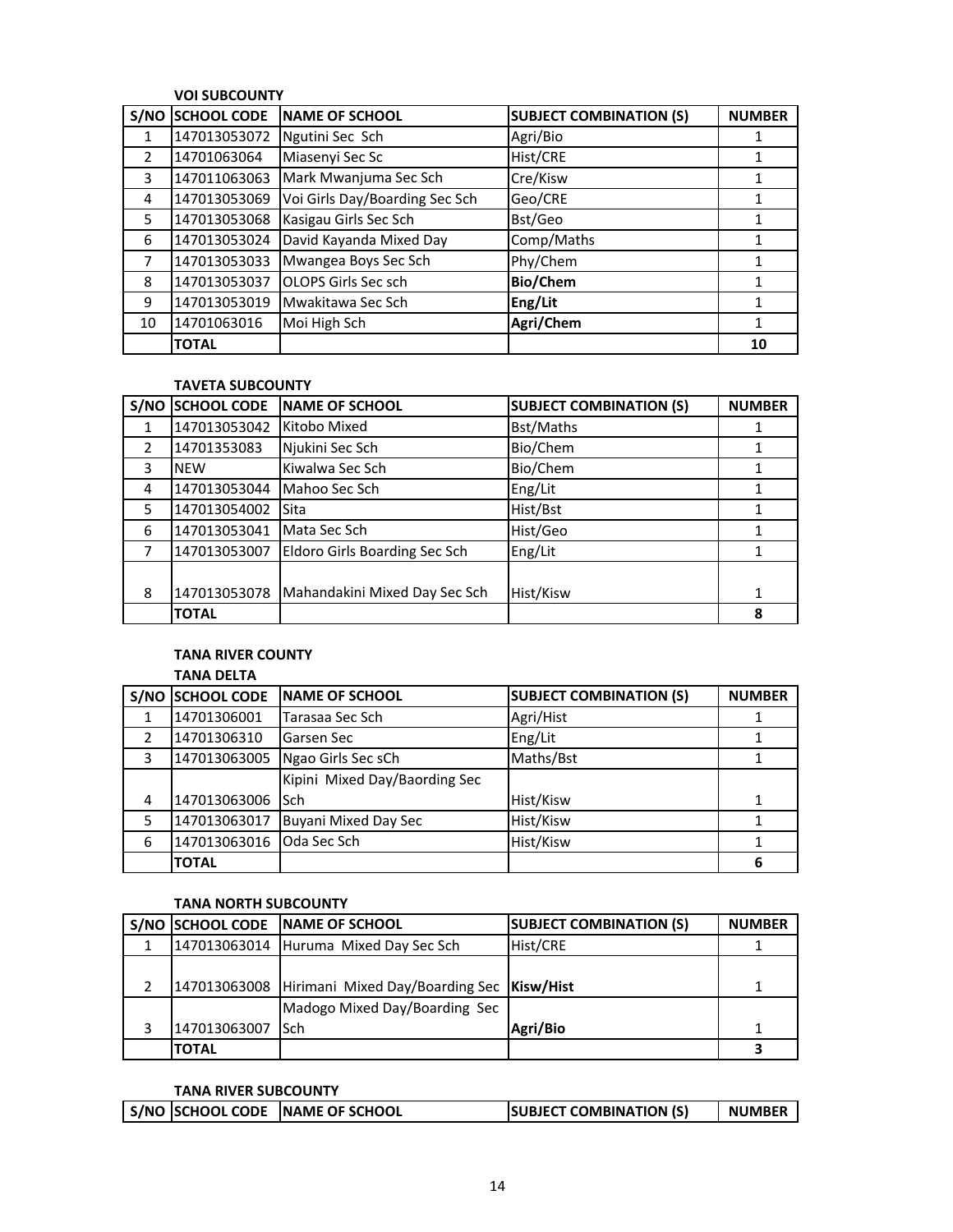# **VOI SUBCOUNTY**

| S/NO          | <b>SCHOOL CODE</b> | <b>NAME OF SCHOOL</b>          | <b>SUBJECT COMBINATION (S)</b> | <b>NUMBER</b> |
|---------------|--------------------|--------------------------------|--------------------------------|---------------|
| 1             | 147013053072       | Ngutini Sec Sch                | Agri/Bio                       |               |
| $\mathcal{P}$ | 14701063064        | Miasenyi Sec Sc                | Hist/CRE                       |               |
| 3             | 147011063063       | Mark Mwanjuma Sec Sch          | Cre/Kisw                       |               |
| 4             | 147013053069       | Voi Girls Day/Boarding Sec Sch | Geo/CRE                        |               |
| 5             | 147013053068       | Kasigau Girls Sec Sch          | Bst/Geo                        |               |
| 6             | 147013053024       | David Kayanda Mixed Day        | Comp/Maths                     |               |
| 7             | 147013053033       | Mwangea Boys Sec Sch           | Phy/Chem                       |               |
| 8             | 147013053037       | OLOPS Girls Sec sch            | <b>Bio/Chem</b>                |               |
| 9             | 147013053019       | Mwakitawa Sec Sch              | Eng/Lit                        |               |
| 10            | 14701063016        | Moi High Sch                   | Agri/Chem                      |               |
|               | <b>TOTAL</b>       |                                |                                | 10            |

## **TAVETA SUBCOUNTY**

| S/NO          | <b>SCHOOL CODE</b> | <b>NAME OF SCHOOL</b>         | <b>SUBJECT COMBINATION (S)</b> | <b>NUMBER</b> |
|---------------|--------------------|-------------------------------|--------------------------------|---------------|
|               | 147013053042       | Kitobo Mixed                  | Bst/Maths                      |               |
| $\mathcal{P}$ | 14701353083        | Njukini Sec Sch               | Bio/Chem                       | 1             |
| 3             | <b>NFW</b>         | Kiwalwa Sec Sch               | Bio/Chem                       |               |
| 4             | 147013053044       | Mahoo Sec Sch                 | Eng/Lit                        |               |
| .5            | 147013054002       | Sita                          | Hist/Bst                       |               |
| 6             | 147013053041       | Mata Sec Sch                  | Hist/Geo                       |               |
|               | 147013053007       | Eldoro Girls Boarding Sec Sch | Eng/Lit                        |               |
|               |                    |                               |                                |               |
| 8             | 147013053078       | Mahandakini Mixed Day Sec Sch | Hist/Kisw                      | 1             |
|               | <b>TOTAL</b>       |                               |                                | 8             |

#### **TANA RIVER COUNTY**

#### **TANA DELTA**

| S/NO          | <b>SCHOOL CODE</b> | <b>INAME OF SCHOOL</b>        | <b>SUBJECT COMBINATION (S)</b> | <b>NUMBER</b> |
|---------------|--------------------|-------------------------------|--------------------------------|---------------|
|               | 14701306001        | Tarasaa Sec Sch               | Agri/Hist                      |               |
| $\mathcal{P}$ | 14701306310        | Garsen Sec                    | Eng/Lit                        |               |
| 3             | 147013063005       | Ngao Girls Sec sCh            | Maths/Bst                      |               |
|               |                    | Kipini Mixed Day/Baording Sec |                                |               |
| 4             | 147013063006       | <b>Sch</b>                    | Hist/Kisw                      |               |
| 5             | 147013063017       | <b>Buyani Mixed Day Sec</b>   | Hist/Kisw                      |               |
| 6             | 147013063016       | Oda Sec Sch                   | Hist/Kisw                      |               |
|               | <b>TOTAL</b>       |                               |                                | 6             |

# **TANA NORTH SUBCOUNTY**

|              | S/NO SCHOOL CODE NAME OF SCHOOL                        | <b>SUBJECT COMBINATION (S)</b> | <b>NUMBER</b> |
|--------------|--------------------------------------------------------|--------------------------------|---------------|
|              | 147013063014 Huruma Mixed Day Sec Sch                  | Hist/CRE                       |               |
|              |                                                        |                                |               |
|              | 147013063008 Hirimani Mixed Day/Boarding Sec Kisw/Hist |                                |               |
|              | Madogo Mixed Day/Boarding Sec                          |                                |               |
| 147013063007 | <b>ISch</b>                                            | Agri/Bio                       | 1             |
| <b>TOTAL</b> |                                                        |                                |               |

#### **TANA RIVER SUBCOUNTY**

| <b>SUBJECT COMBINATION (S)</b> |
|--------------------------------|
|--------------------------------|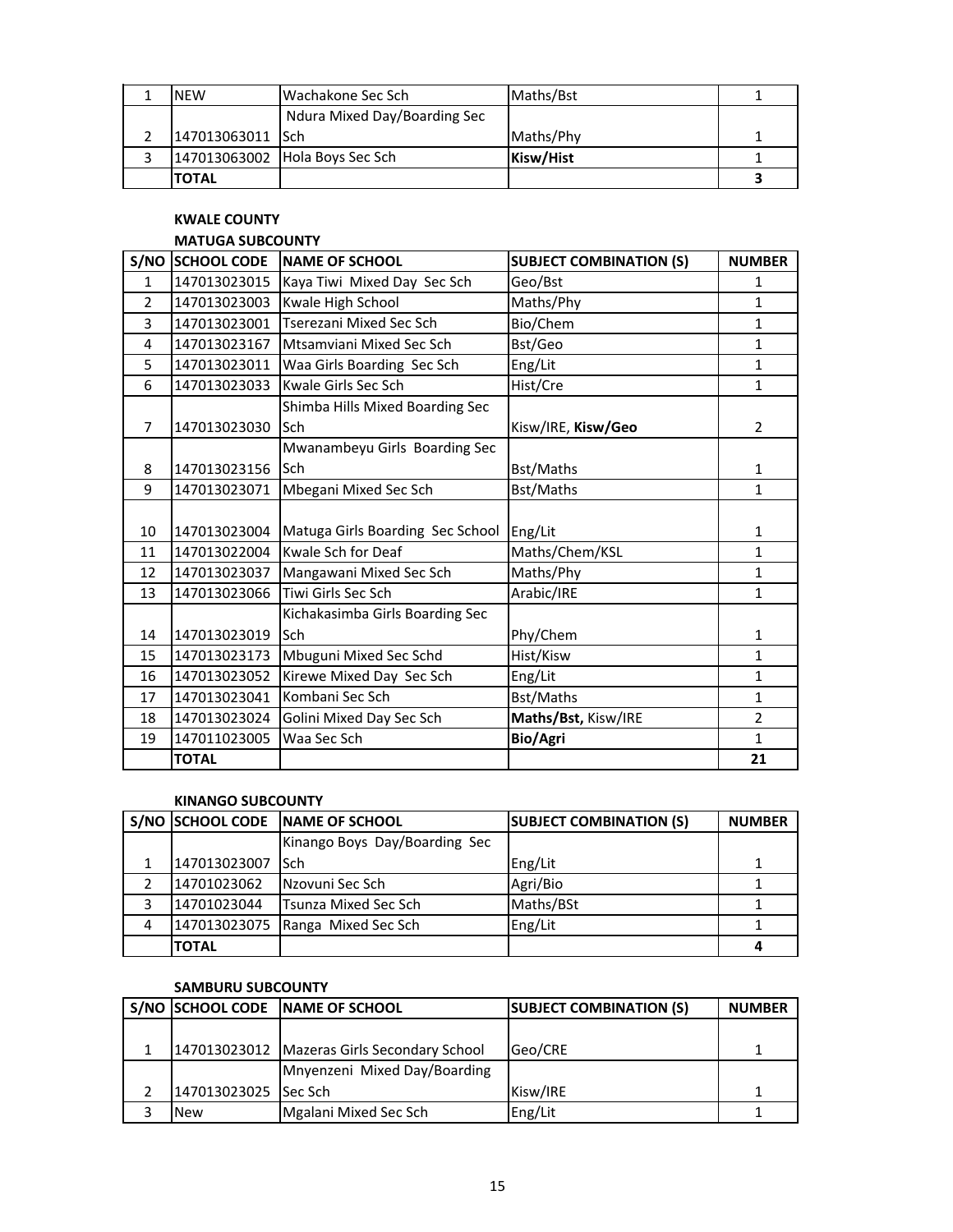| <b>NFW</b>       | Wachakone Sec Sch              | Maths/Bst |  |
|------------------|--------------------------------|-----------|--|
|                  | Ndura Mixed Day/Boarding Sec   |           |  |
| 147013063011 Sch |                                | Maths/Phy |  |
|                  | 147013063002 Hola Boys Sec Sch | Kisw/Hist |  |
| <b>TOTAL</b>     |                                |           |  |

### **KWALE COUNTY**

# **MATUGA SUBCOUNTY**

|                | S/NO SCHOOL CODE | <b>NAME OF SCHOOL</b>            | <b>SUBJECT COMBINATION (S)</b> | <b>NUMBER</b>  |
|----------------|------------------|----------------------------------|--------------------------------|----------------|
| $\mathbf{1}$   | 147013023015     | Kaya Tiwi Mixed Day Sec Sch      | Geo/Bst                        | $\mathbf{1}$   |
| $\mathfrak{p}$ | 147013023003     | Kwale High School                | Maths/Phy                      | $\mathbf{1}$   |
| 3              | 147013023001     | Tserezani Mixed Sec Sch          | Bio/Chem                       | $\mathbf{1}$   |
| 4              | 147013023167     | Mtsamviani Mixed Sec Sch         | Bst/Geo                        | $\mathbf{1}$   |
| 5              | 147013023011     | Waa Girls Boarding Sec Sch       | Eng/Lit                        | $\mathbf{1}$   |
| 6              | 147013023033     | Kwale Girls Sec Sch              | Hist/Cre                       | $\mathbf{1}$   |
|                |                  | Shimba Hills Mixed Boarding Sec  |                                |                |
| 7              | 147013023030     | <b>Sch</b>                       | Kisw/IRE, Kisw/Geo             | $\overline{2}$ |
|                |                  | Mwanambeyu Girls Boarding Sec    |                                |                |
| 8              | 147013023156     | <b>Sch</b>                       | Bst/Maths                      | 1              |
| 9              | 147013023071     | Mbegani Mixed Sec Sch            | Bst/Maths                      | $\mathbf{1}$   |
|                |                  |                                  |                                |                |
| 10             | 147013023004     | Matuga Girls Boarding Sec School | Eng/Lit                        | 1              |
| 11             | 147013022004     | Kwale Sch for Deaf               | Maths/Chem/KSL                 | $\mathbf{1}$   |
| 12             | 147013023037     | Mangawani Mixed Sec Sch          | Maths/Phy                      | 1              |
| 13             | 147013023066     | Tiwi Girls Sec Sch               | Arabic/IRE                     | $\mathbf{1}$   |
|                |                  | Kichakasimba Girls Boarding Sec  |                                |                |
| 14             | 147013023019     | <b>Sch</b>                       | Phy/Chem                       | 1              |
| 15             | 147013023173     | Mbuguni Mixed Sec Schd           | Hist/Kisw                      | $\mathbf{1}$   |
| 16             | 147013023052     | Kirewe Mixed Day Sec Sch         | Eng/Lit                        | $\mathbf{1}$   |
| 17             | 147013023041     | Kombani Sec Sch                  | Bst/Maths                      | $\mathbf{1}$   |
| 18             | 147013023024     | Golini Mixed Day Sec Sch         | Maths/Bst, Kisw/IRE            | $\overline{2}$ |
| 19             | 147011023005     | Waa Sec Sch                      | Bio/Agri                       | $\mathbf{1}$   |
|                | <b>TOTAL</b>     |                                  |                                | 21             |

#### **KINANGO SUBCOUNTY**

|   |              | S/NO SCHOOL CODE NAME OF SCHOOL  | <b>SUBJECT COMBINATION (S)</b> | <b>NUMBER</b> |
|---|--------------|----------------------------------|--------------------------------|---------------|
|   |              | Kinango Boys Day/Boarding Sec    |                                |               |
|   | 147013023007 | <b>ISch</b>                      | Eng/Lit                        |               |
|   | 14701023062  | Nzovuni Sec Sch                  | Agri/Bio                       |               |
|   | 14701023044  | <b>Tsunza Mixed Sec Sch</b>      | Maths/BSt                      |               |
| 4 |              | 147013023075 Ranga Mixed Sec Sch | Eng/Lit                        |               |
|   | <b>TOTAL</b> |                                  |                                |               |

#### **SAMBURU SUBCOUNTY**

|                      | S/NO SCHOOL CODE NAME OF SCHOOL               | <b>SUBJECT COMBINATION (S)</b> | <b>NUMBER</b> |
|----------------------|-----------------------------------------------|--------------------------------|---------------|
|                      |                                               |                                |               |
|                      | 147013023012   Mazeras Girls Secondary School | Geo/CRE                        |               |
|                      | Mnyenzeni Mixed Day/Boarding                  |                                |               |
| 147013023025 Sec Sch |                                               | Kisw/IRE                       |               |
| <b>New</b>           | Mgalani Mixed Sec Sch                         | Eng/Lit                        |               |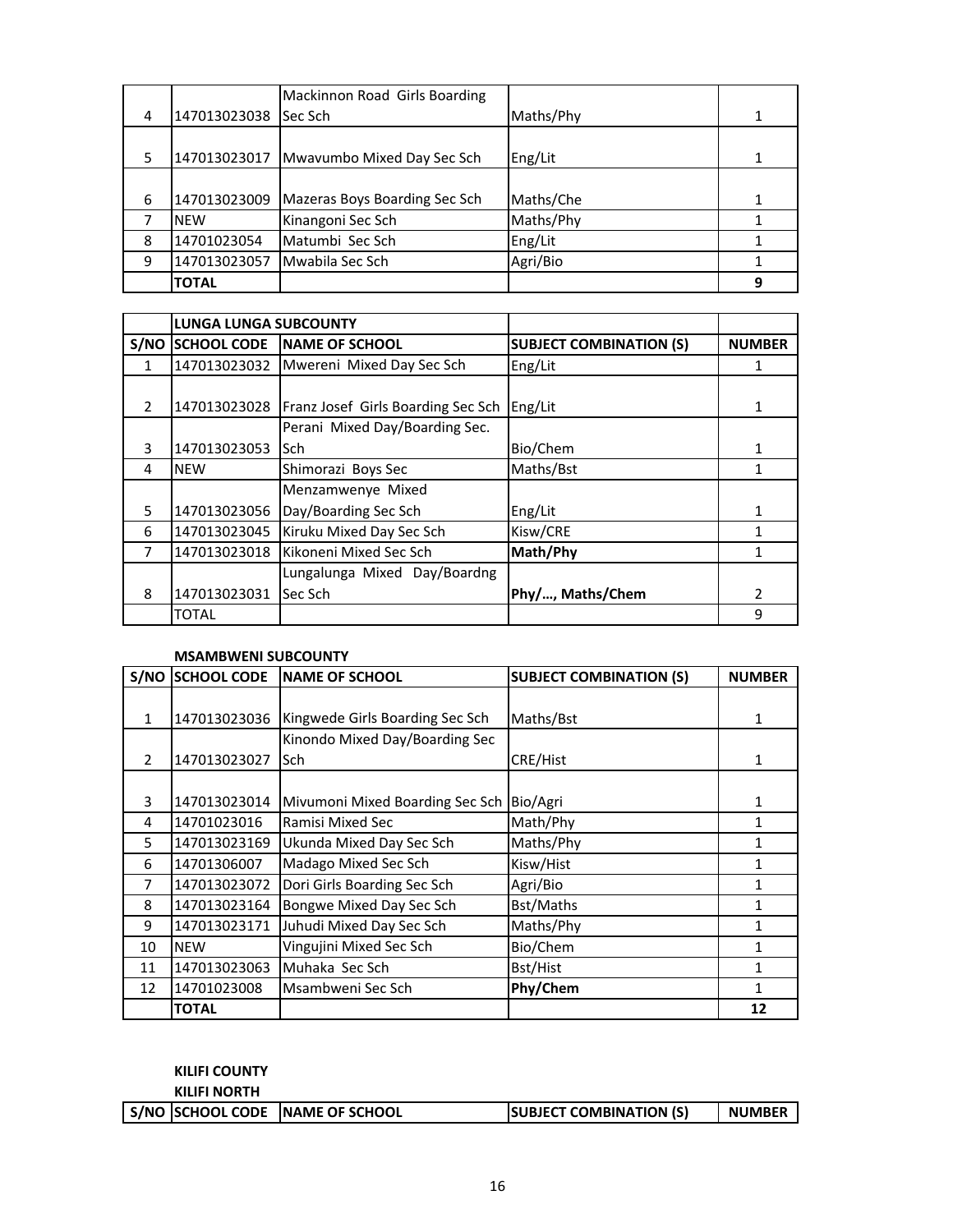|   |              | Mackinnon Road Girls Boarding |           |  |
|---|--------------|-------------------------------|-----------|--|
| 4 | 147013023038 | Sec Sch                       | Maths/Phy |  |
|   |              |                               |           |  |
| 5 | 147013023017 | Mwavumbo Mixed Day Sec Sch    | Eng/Lit   |  |
|   |              |                               |           |  |
| 6 | 147013023009 | Mazeras Boys Boarding Sec Sch | Maths/Che |  |
|   | <b>NEW</b>   | Kinangoni Sec Sch             | Maths/Phy |  |
| 8 | 14701023054  | Matumbi Sec Sch               | Eng/Lit   |  |
| 9 | 147013023057 | Mwabila Sec Sch               | Agri/Bio  |  |
|   | <b>TOTAL</b> |                               |           |  |

|   | <b>LUNGA LUNGA SUBCOUNTY</b> |                                    |                                |               |
|---|------------------------------|------------------------------------|--------------------------------|---------------|
|   | S/NO SCHOOL CODE             | NAME OF SCHOOL                     | <b>SUBJECT COMBINATION (S)</b> | <b>NUMBER</b> |
| 1 | 147013023032                 | Mwereni Mixed Day Sec Sch          | Eng/Lit                        |               |
|   |                              |                                    |                                |               |
| 2 | 147013023028                 | Franz Josef Girls Boarding Sec Sch | Eng/Lit                        | 1             |
|   |                              | Perani Mixed Day/Boarding Sec.     |                                |               |
| 3 | 147013023053                 | Sch                                | Bio/Chem                       | 1             |
| 4 | <b>NEW</b>                   | Shimorazi Boys Sec                 | Maths/Bst                      |               |
|   |                              | Menzamwenye Mixed                  |                                |               |
| 5 | 147013023056                 | Day/Boarding Sec Sch               | Eng/Lit                        | 1             |
| 6 | 147013023045                 | Kiruku Mixed Day Sec Sch           | Kisw/CRE                       |               |
| 7 | 147013023018                 | Kikoneni Mixed Sec Sch             | Math/Phy                       |               |
|   |                              | Lungalunga Mixed Day/Boardng       |                                |               |
| 8 | 147013023031                 | Sec Sch                            | Phy/, Maths/Chem               | 2             |
|   | TOTAL                        |                                    |                                | 9             |

### **MSAMBWENI SUBCOUNTY**

| S/NO          | <b>SCHOOL CODE</b> | <b>NAME OF SCHOOL</b>           | <b>SUBJECT COMBINATION (S)</b> | <b>NUMBER</b> |
|---------------|--------------------|---------------------------------|--------------------------------|---------------|
|               |                    |                                 |                                |               |
| $\mathbf{1}$  | 147013023036       | Kingwede Girls Boarding Sec Sch | Maths/Bst                      | 1             |
|               |                    | Kinondo Mixed Day/Boarding Sec  |                                |               |
| $\mathcal{P}$ | 147013023027       | lSch                            | CRE/Hist                       | 1             |
|               |                    |                                 |                                |               |
| 3             | 147013023014       | Mivumoni Mixed Boarding Sec Sch | Bio/Agri                       | 1             |
| 4             | 14701023016        | Ramisi Mixed Sec                | Math/Phy                       | 1             |
| 5             | 147013023169       | Ukunda Mixed Day Sec Sch        | Maths/Phy                      | 1             |
| 6             | 14701306007        | Madago Mixed Sec Sch            | Kisw/Hist                      | 1             |
| 7             | 147013023072       | Dori Girls Boarding Sec Sch     | Agri/Bio                       | 1             |
| 8             | 147013023164       | Bongwe Mixed Day Sec Sch        | Bst/Maths                      | 1             |
| 9             | 147013023171       | Juhudi Mixed Day Sec Sch        | Maths/Phy                      | 1             |
| 10            | <b>NEW</b>         | Vingujini Mixed Sec Sch         | Bio/Chem                       | 1             |
| 11            | 147013023063       | Muhaka Sec Sch                  | Bst/Hist                       | 1             |
| 12            | 14701023008        | Msambweni Sec Sch               | Phy/Chem                       | 1             |
|               | <b>TOTAL</b>       |                                 |                                | 12            |

# **KILIFI COUNTY**

## **KILIFI NORTH**

|  | S/NO SCHOOL CODE NAME OF SCHOOL | <b>SUBJECT COMBINATION (S)</b> | <b>NUMBER</b> |
|--|---------------------------------|--------------------------------|---------------|
|  |                                 |                                |               |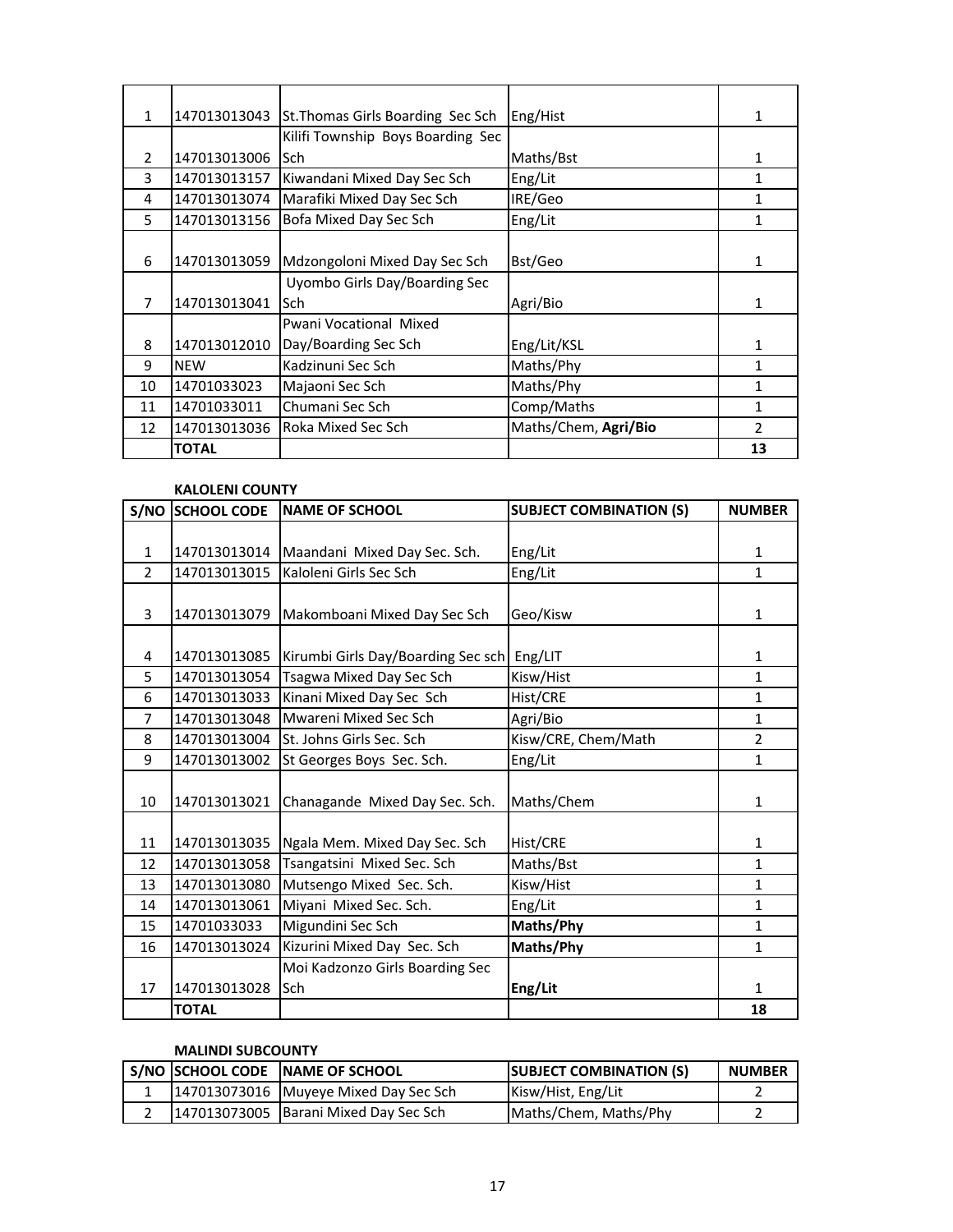| $\mathbf{1}$   | 147013013043 | St. Thomas Girls Boarding Sec Sch | Eng/Hist             | 1              |
|----------------|--------------|-----------------------------------|----------------------|----------------|
|                |              | Kilifi Township Boys Boarding Sec |                      |                |
| $\overline{2}$ | 147013013006 | lSch                              | Maths/Bst            | 1              |
| 3              | 147013013157 | Kiwandani Mixed Day Sec Sch       | Eng/Lit              | 1              |
| 4              | 147013013074 | Marafiki Mixed Day Sec Sch        | IRE/Geo              | 1              |
| 5              | 147013013156 | Bofa Mixed Day Sec Sch            | Eng/Lit              | 1              |
|                |              |                                   |                      |                |
| 6              | 147013013059 | Mdzongoloni Mixed Day Sec Sch     | Bst/Geo              | 1              |
|                |              | Uyombo Girls Day/Boarding Sec     |                      |                |
| 7              | 147013013041 | lSch                              | Agri/Bio             | 1              |
|                |              | Pwani Vocational Mixed            |                      |                |
| 8              | 147013012010 | Day/Boarding Sec Sch              | Eng/Lit/KSL          | 1              |
| 9              | <b>NEW</b>   | Kadzinuni Sec Sch                 | Maths/Phy            | 1              |
| 10             | 14701033023  | Majaoni Sec Sch                   | Maths/Phy            | 1              |
| 11             | 14701033011  | Chumani Sec Sch                   | Comp/Maths           | 1              |
| 12             | 147013013036 | Roka Mixed Sec Sch                | Maths/Chem, Agri/Bio | $\mathfrak{p}$ |
|                | <b>TOTAL</b> |                                   |                      | 13             |

# **KALOLENI COUNTY**

|                | S/NO SCHOOL CODE | <b>NAME OF SCHOOL</b>                      | <b>SUBJECT COMBINATION (S)</b> | <b>NUMBER</b>  |
|----------------|------------------|--------------------------------------------|--------------------------------|----------------|
|                |                  |                                            |                                |                |
| $\mathbf{1}$   | 147013013014     | Maandani Mixed Day Sec. Sch.               | Eng/Lit                        | 1              |
| $\overline{2}$ | 147013013015     | Kaloleni Girls Sec Sch                     | Eng/Lit                        | $\mathbf{1}$   |
|                |                  |                                            |                                |                |
| 3              | 147013013079     | Makomboani Mixed Day Sec Sch               | Geo/Kisw                       | 1              |
|                |                  |                                            |                                |                |
| 4              | 147013013085     | Kirumbi Girls Day/Boarding Sec sch Eng/LIT |                                | $\mathbf{1}$   |
| 5              | 147013013054     | Tsagwa Mixed Day Sec Sch                   | Kisw/Hist                      | $\mathbf{1}$   |
| 6              | 147013013033     | Kinani Mixed Day Sec Sch                   | Hist/CRE                       | $\mathbf{1}$   |
| $\overline{7}$ | 147013013048     | Mwareni Mixed Sec Sch                      | Agri/Bio                       | $\mathbf{1}$   |
| 8              | 147013013004     | St. Johns Girls Sec. Sch                   | Kisw/CRE, Chem/Math            | $\overline{2}$ |
| 9              | 147013013002     | St Georges Boys Sec. Sch.                  | Eng/Lit                        | $\mathbf{1}$   |
|                |                  |                                            |                                |                |
| 10             | 147013013021     | Chanagande Mixed Day Sec. Sch.             | Maths/Chem                     | 1              |
|                |                  |                                            |                                |                |
| 11             | 147013013035     | Ngala Mem. Mixed Day Sec. Sch              | Hist/CRE                       | 1              |
| 12             | 147013013058     | Tsangatsini Mixed Sec. Sch                 | Maths/Bst                      | 1              |
| 13             | 147013013080     | Mutsengo Mixed Sec. Sch.                   | Kisw/Hist                      | $\mathbf{1}$   |
| 14             | 147013013061     | Miyani Mixed Sec. Sch.                     | Eng/Lit                        | $\mathbf{1}$   |
| 15             | 14701033033      | Migundini Sec Sch                          | Maths/Phy                      | $\mathbf{1}$   |
| 16             | 147013013024     | Kizurini Mixed Day Sec. Sch                | Maths/Phy                      | 1              |
|                |                  | Moi Kadzonzo Girls Boarding Sec            |                                |                |
| 17             | 147013013028     | Sch                                        | Eng/Lit                        | 1              |
|                | <b>TOTAL</b>     |                                            |                                | 18             |

# **MALINDI SUBCOUNTY**

|  | S/NO SCHOOL CODE NAME OF SCHOOL       | <b>ISUBJECT COMBINATION (S)</b> | <b>NUMBER</b> |
|--|---------------------------------------|---------------------------------|---------------|
|  | 147013073016 Muyeye Mixed Day Sec Sch | Kisw/Hist, Eng/Lit              |               |
|  | 147013073005 Barani Mixed Day Sec Sch | Maths/Chem, Maths/Phy           |               |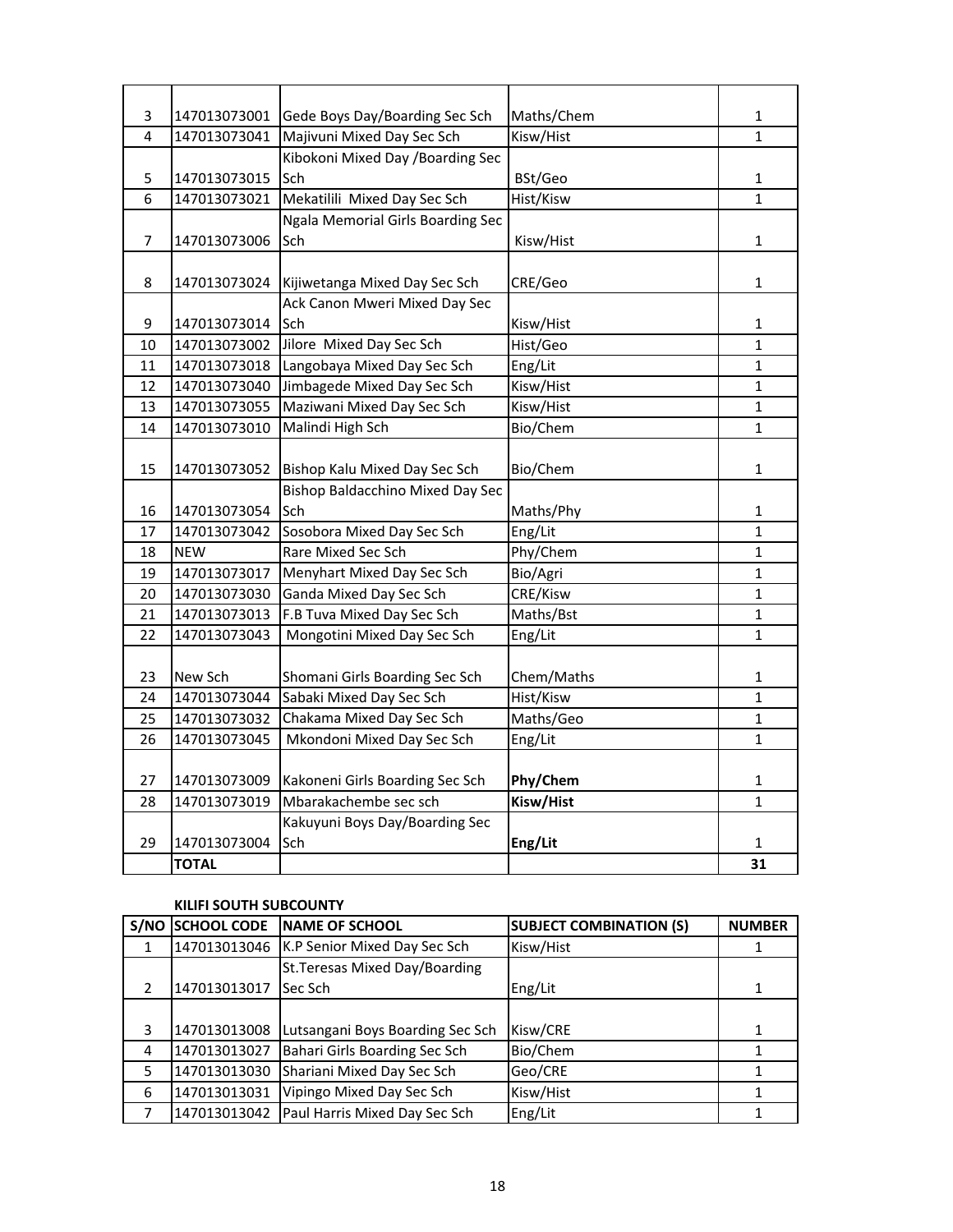| 3              | 147013073001 | Gede Boys Day/Boarding Sec Sch          | Maths/Chem | 1            |
|----------------|--------------|-----------------------------------------|------------|--------------|
| 4              | 147013073041 | Majivuni Mixed Day Sec Sch              | Kisw/Hist  | $\mathbf{1}$ |
|                |              | Kibokoni Mixed Day / Boarding Sec       |            |              |
| 5              | 147013073015 | Sch                                     | BSt/Geo    | 1            |
| 6              | 147013073021 | Mekatilili Mixed Day Sec Sch            | Hist/Kisw  | 1            |
|                |              | Ngala Memorial Girls Boarding Sec       |            |              |
| $\overline{7}$ | 147013073006 | Sch                                     | Kisw/Hist  | 1            |
|                |              |                                         |            |              |
| 8              | 147013073024 | Kijiwetanga Mixed Day Sec Sch           | CRE/Geo    | 1            |
|                |              | Ack Canon Mweri Mixed Day Sec           |            |              |
| 9              | 147013073014 | Sch                                     | Kisw/Hist  | 1            |
| 10             | 147013073002 | Jilore Mixed Day Sec Sch                | Hist/Geo   | $\mathbf{1}$ |
| 11             | 147013073018 | Langobaya Mixed Day Sec Sch             | Eng/Lit    | $\mathbf{1}$ |
| 12             | 147013073040 | Jimbagede Mixed Day Sec Sch             | Kisw/Hist  | $\mathbf{1}$ |
| 13             | 147013073055 | Maziwani Mixed Day Sec Sch              | Kisw/Hist  | $\mathbf{1}$ |
| 14             | 147013073010 | Malindi High Sch                        | Bio/Chem   | $\mathbf{1}$ |
|                |              |                                         |            |              |
| 15             | 147013073052 | Bishop Kalu Mixed Day Sec Sch           | Bio/Chem   | $\mathbf{1}$ |
|                |              | <b>Bishop Baldacchino Mixed Day Sec</b> |            |              |
| 16             | 147013073054 | Sch                                     | Maths/Phy  | 1            |
| 17             | 147013073042 | Sosobora Mixed Day Sec Sch              | Eng/Lit    | $\mathbf{1}$ |
| 18             | <b>NEW</b>   | Rare Mixed Sec Sch                      | Phy/Chem   | 1            |
| 19             | 147013073017 | Menyhart Mixed Day Sec Sch              | Bio/Agri   | 1            |
| 20             | 147013073030 | Ganda Mixed Day Sec Sch                 | CRE/Kisw   | 1            |
| 21             | 147013073013 | F.B Tuva Mixed Day Sec Sch              | Maths/Bst  | $\mathbf{1}$ |
| 22             | 147013073043 | Mongotini Mixed Day Sec Sch             | Eng/Lit    | 1            |
|                |              |                                         |            |              |
| 23             | New Sch      | Shomani Girls Boarding Sec Sch          | Chem/Maths | 1            |
| 24             | 147013073044 | Sabaki Mixed Day Sec Sch                | Hist/Kisw  | $\mathbf{1}$ |
| 25             | 147013073032 | Chakama Mixed Day Sec Sch               | Maths/Geo  | $\mathbf{1}$ |
| 26             | 147013073045 | Mkondoni Mixed Day Sec Sch              | Eng/Lit    | $\mathbf 1$  |
|                |              |                                         |            |              |
| 27             | 147013073009 | Kakoneni Girls Boarding Sec Sch         | Phy/Chem   | $\mathbf{1}$ |
| 28             | 147013073019 | Mbarakachembe sec sch                   | Kisw/Hist  | $\mathbf{1}$ |
|                |              | Kakuyuni Boys Day/Boarding Sec          |            |              |
| 29             | 147013073004 | Sch                                     | Eng/Lit    | 1            |
|                | <b>TOTAL</b> |                                         |            | 31           |

# **KILIFI SOUTH SUBCOUNTY**

| S/NO          | <b>SCHOOL CODE</b> | <b>INAME OF SCHOOL</b>           | <b>SUBJECT COMBINATION (S)</b> | <b>NUMBER</b> |
|---------------|--------------------|----------------------------------|--------------------------------|---------------|
|               | 147013013046       | K.P Senior Mixed Day Sec Sch     | Kisw/Hist                      |               |
|               |                    | St. Teresas Mixed Day/Boarding   |                                |               |
| $\mathcal{P}$ | 147013013017       | Sec Sch                          | Eng/Lit                        |               |
|               |                    |                                  |                                |               |
| 3             | 147013013008       | Lutsangani Boys Boarding Sec Sch | Kisw/CRE                       |               |
| 4             | 147013013027       | Bahari Girls Boarding Sec Sch    | Bio/Chem                       |               |
| 5             | 147013013030       | Shariani Mixed Day Sec Sch       | Geo/CRE                        |               |
| 6             | 147013013031       | Vipingo Mixed Day Sec Sch        | Kisw/Hist                      |               |
|               | 147013013042       | Paul Harris Mixed Day Sec Sch    | Eng/Lit                        |               |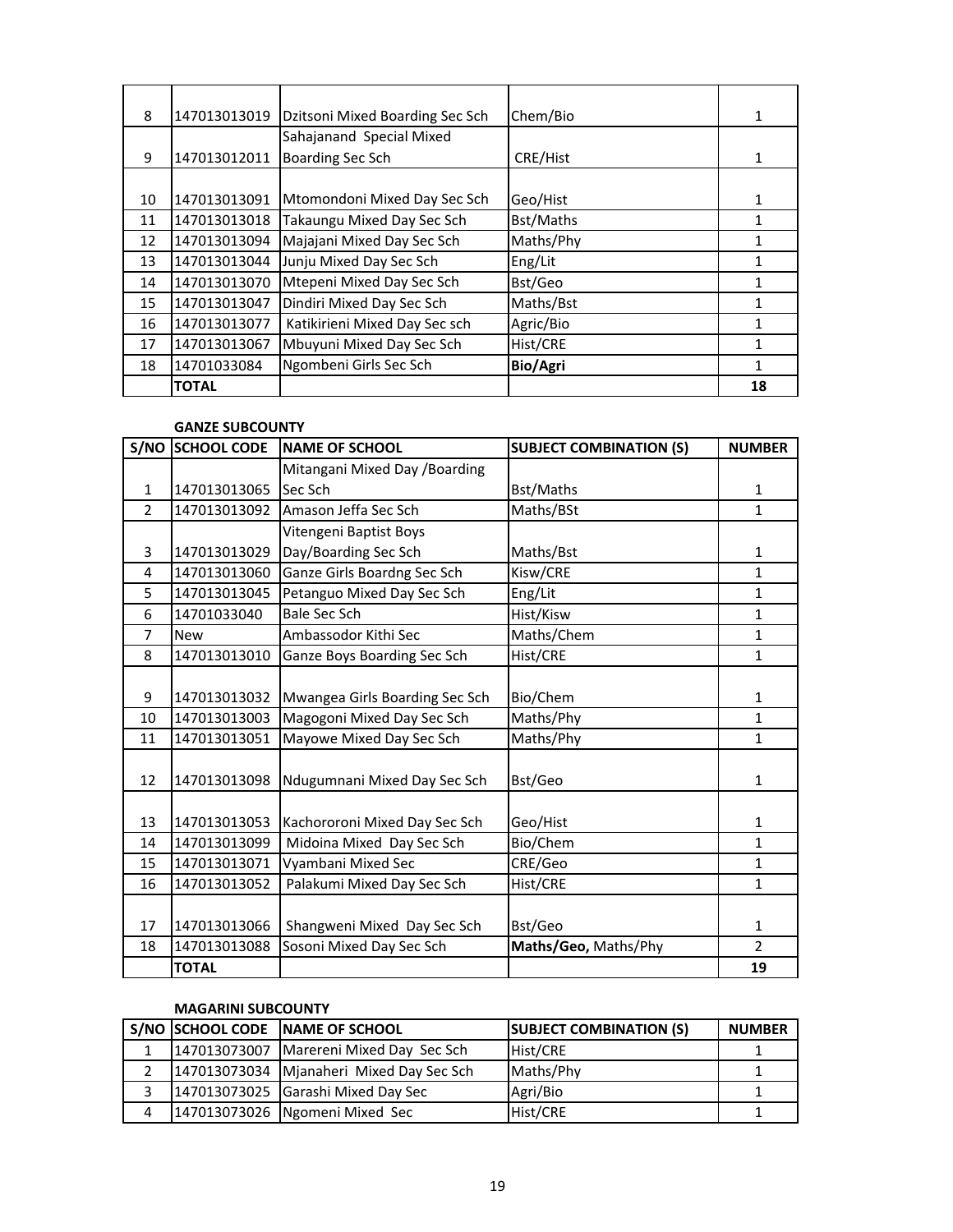| 8  | 147013013019 | Dzitsoni Mixed Boarding Sec Sch | Chem/Bio  | 1  |
|----|--------------|---------------------------------|-----------|----|
|    |              | Sahajanand Special Mixed        |           |    |
| 9  | 147013012011 | Boarding Sec Sch                | CRE/Hist  |    |
|    |              |                                 |           |    |
| 10 | 147013013091 | Mtomondoni Mixed Day Sec Sch    | Geo/Hist  |    |
| 11 | 147013013018 | Takaungu Mixed Day Sec Sch      | Bst/Maths | 1  |
| 12 | 147013013094 | Majajani Mixed Day Sec Sch      | Maths/Phy |    |
| 13 | 147013013044 | Junju Mixed Day Sec Sch         | Eng/Lit   | 1  |
| 14 | 147013013070 | Mtepeni Mixed Day Sec Sch       | Bst/Geo   |    |
| 15 | 147013013047 | Dindiri Mixed Day Sec Sch       | Maths/Bst |    |
| 16 | 147013013077 | Katikirieni Mixed Day Sec sch   | Agric/Bio |    |
| 17 | 147013013067 | Mbuyuni Mixed Day Sec Sch       | Hist/CRE  |    |
| 18 | 14701033084  | Ngombeni Girls Sec Sch          | Bio/Agri  |    |
|    | <b>TOTAL</b> |                                 |           | 18 |

## **GANZE SUBCOUNTY**

| S/NO           | <b>SCHOOL CODE</b> | <b>NAME OF SCHOOL</b>          | <b>SUBJECT COMBINATION (S)</b> | <b>NUMBER</b>  |
|----------------|--------------------|--------------------------------|--------------------------------|----------------|
|                |                    | Mitangani Mixed Day / Boarding |                                |                |
| $\mathbf{1}$   | 147013013065       | Sec Sch                        | Bst/Maths                      | 1              |
| $\overline{2}$ | 147013013092       | Amason Jeffa Sec Sch           | Maths/BSt                      | $\mathbf{1}$   |
|                |                    | Vitengeni Baptist Boys         |                                |                |
| 3              | 147013013029       | Day/Boarding Sec Sch           | Maths/Bst                      | 1              |
| 4              | 147013013060       | Ganze Girls Boardng Sec Sch    | Kisw/CRE                       | 1              |
| 5              | 147013013045       | Petanguo Mixed Day Sec Sch     | Eng/Lit                        | $\mathbf{1}$   |
| 6              | 14701033040        | <b>Bale Sec Sch</b>            | Hist/Kisw                      | $\mathbf{1}$   |
| $\overline{7}$ | <b>New</b>         | Ambassodor Kithi Sec           | Maths/Chem                     | $\mathbf{1}$   |
| 8              | 147013013010       | Ganze Boys Boarding Sec Sch    | Hist/CRE                       | $\mathbf{1}$   |
|                |                    |                                |                                |                |
| 9              | 147013013032       | Mwangea Girls Boarding Sec Sch | Bio/Chem                       | 1              |
| 10             | 147013013003       | Magogoni Mixed Day Sec Sch     | Maths/Phy                      | 1              |
| 11             | 147013013051       | Mayowe Mixed Day Sec Sch       | Maths/Phy                      | $\mathbf{1}$   |
|                |                    |                                |                                |                |
| 12             | 147013013098       | Ndugumnani Mixed Day Sec Sch   | Bst/Geo                        | 1              |
|                |                    |                                |                                |                |
| 13             | 147013013053       | Kachororoni Mixed Day Sec Sch  | Geo/Hist                       | 1              |
| 14             | 147013013099       | Midoina Mixed Day Sec Sch      | Bio/Chem                       | $\mathbf{1}$   |
| 15             | 147013013071       | Vyambani Mixed Sec             | CRE/Geo                        | $\mathbf{1}$   |
| 16             | 147013013052       | Palakumi Mixed Day Sec Sch     | Hist/CRE                       | 1              |
|                |                    |                                |                                |                |
| 17             | 147013013066       | Shangweni Mixed Day Sec Sch    | Bst/Geo                        | 1              |
| 18             | 147013013088       | Sosoni Mixed Day Sec Sch       | Maths/Geo, Maths/Phy           | $\overline{2}$ |
|                | <b>TOTAL</b>       |                                |                                | 19             |

## **MAGARINI SUBCOUNTY**

|   | S/NO SCHOOL CODE NAME OF SCHOOL           | <b>SUBJECT COMBINATION (S)</b> | <b>NUMBER</b> |
|---|-------------------------------------------|--------------------------------|---------------|
|   | 147013073007   Marereni Mixed Day Sec Sch | Hist/CRE                       |               |
|   | 147013073034 Mjanaheri Mixed Day Sec Sch  | Maths/Phy                      |               |
|   | 147013073025 Garashi Mixed Day Sec        | Agri/Bio                       |               |
| 4 | 147013073026   Ngomeni Mixed Sec          | Hist/CRE                       |               |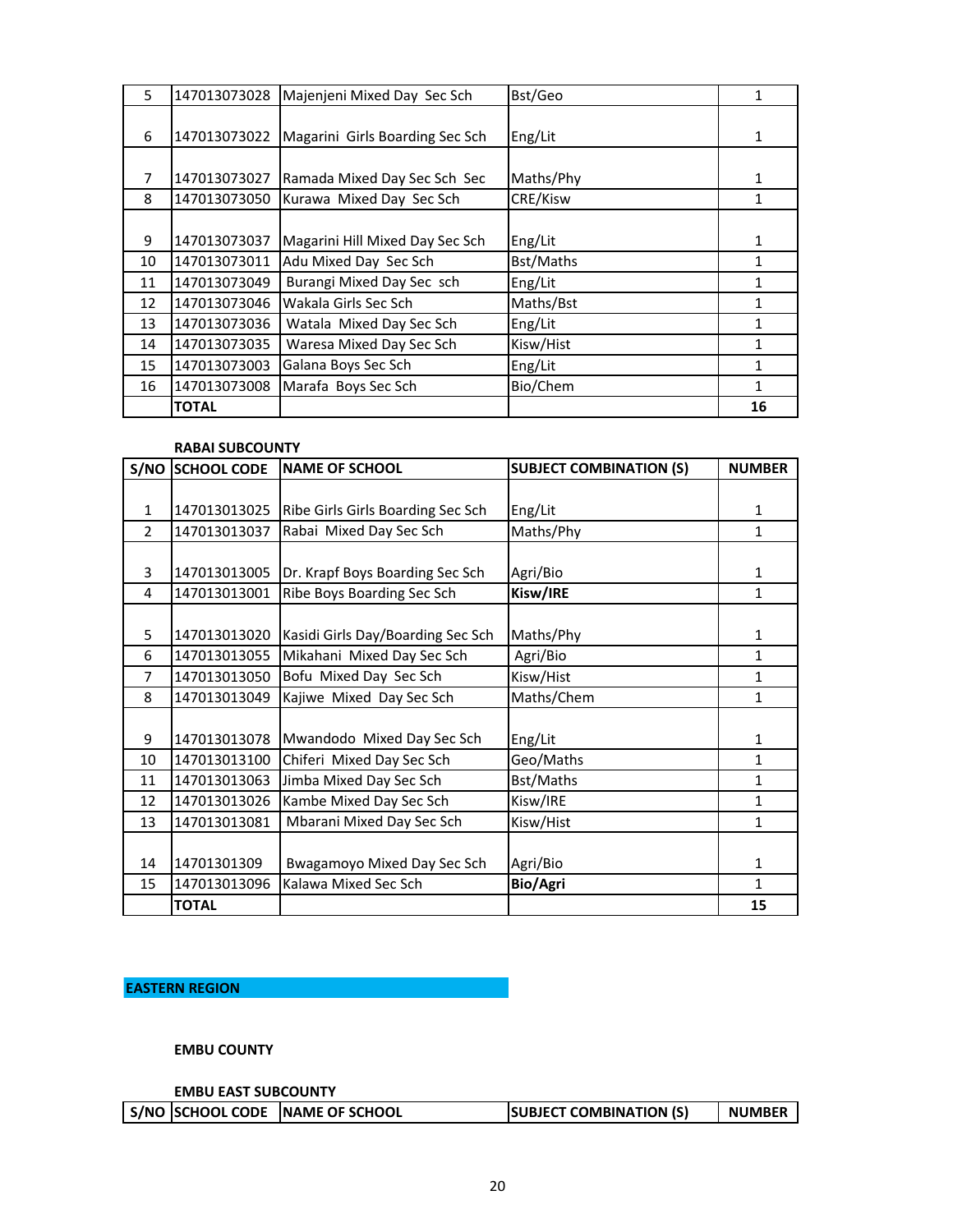| 5  | 147013073028 | Majenjeni Mixed Day Sec Sch     | Bst/Geo   | 1  |
|----|--------------|---------------------------------|-----------|----|
|    |              |                                 |           |    |
| 6  | 147013073022 | Magarini Girls Boarding Sec Sch | Eng/Lit   | 1  |
|    |              |                                 |           |    |
| 7  | 147013073027 | Ramada Mixed Day Sec Sch Sec    | Maths/Phy |    |
| 8  | 147013073050 | Kurawa Mixed Day Sec Sch        | CRE/Kisw  |    |
|    |              |                                 |           |    |
| 9  | 147013073037 | Magarini Hill Mixed Day Sec Sch | Eng/Lit   | 1  |
| 10 | 147013073011 | Adu Mixed Day Sec Sch           | Bst/Maths | 1  |
| 11 | 147013073049 | Burangi Mixed Day Sec sch       | Eng/Lit   |    |
| 12 | 147013073046 | Wakala Girls Sec Sch            | Maths/Bst |    |
| 13 | 147013073036 | Watala Mixed Day Sec Sch        | Eng/Lit   | 1  |
| 14 | 147013073035 | Waresa Mixed Day Sec Sch        | Kisw/Hist | 1  |
| 15 | 147013073003 | Galana Boys Sec Sch             | Eng/Lit   | 1  |
| 16 | 147013073008 | Marafa Boys Sec Sch             | Bio/Chem  | 1  |
|    | <b>TOTAL</b> |                                 |           | 16 |

#### **RABAI SUBCOUNTY**

|                | S/NO SCHOOL CODE | <b>INAME OF SCHOOL</b>             | <b>SUBJECT COMBINATION (S)</b> | <b>NUMBER</b> |
|----------------|------------------|------------------------------------|--------------------------------|---------------|
|                |                  |                                    |                                |               |
| $\mathbf{1}$   | 147013013025     | Ribe Girls Girls Boarding Sec Sch  | Eng/Lit                        | 1             |
| $\overline{2}$ | 147013013037     | Rabai Mixed Day Sec Sch            | Maths/Phy                      | 1             |
|                |                  |                                    |                                |               |
| 3              | 147013013005     | Dr. Krapf Boys Boarding Sec Sch    | Agri/Bio                       | 1             |
| 4              | 147013013001     | Ribe Boys Boarding Sec Sch         | Kisw/IRE                       | $\mathbf{1}$  |
|                |                  |                                    |                                |               |
| 5              | 147013013020     | Kasidi Girls Day/Boarding Sec Sch  | Maths/Phy                      | 1             |
| 6              | 147013013055     | Mikahani Mixed Day Sec Sch         | Agri/Bio                       | 1             |
| $\overline{7}$ | 147013013050     | Bofu Mixed Day Sec Sch             | Kisw/Hist                      | 1             |
| 8              | 147013013049     | Kajiwe Mixed Day Sec Sch           | Maths/Chem                     | $\mathbf{1}$  |
|                |                  |                                    |                                |               |
| 9              | 147013013078     | Mwandodo Mixed Day Sec Sch         | Eng/Lit                        | 1             |
| 10             | 147013013100     | Chiferi Mixed Day Sec Sch          | Geo/Maths                      | $\mathbf{1}$  |
| 11             | 147013013063     | Jimba Mixed Day Sec Sch            | Bst/Maths                      | 1             |
| 12             | 147013013026     | Kambe Mixed Day Sec Sch            | Kisw/IRE                       | $\mathbf{1}$  |
| 13             | 147013013081     | Mbarani Mixed Day Sec Sch          | Kisw/Hist                      | 1             |
|                |                  |                                    |                                |               |
| 14             | 14701301309      | <b>Bwagamoyo Mixed Day Sec Sch</b> | Agri/Bio                       | 1             |
| 15             | 147013013096     | Kalawa Mixed Sec Sch               | Bio/Agri                       | 1             |
|                | <b>TOTAL</b>     |                                    |                                | 15            |

# **EASTERN REGION**

**EMBU COUNTY**

**EMBU EAST SUBCOUNTY**

|  |  | S/NO SCHOOL CODE NAME OF SCHOOL | <b>SUBJECT COMBINATION (S)</b> | <b>NUMBER</b> |
|--|--|---------------------------------|--------------------------------|---------------|
|--|--|---------------------------------|--------------------------------|---------------|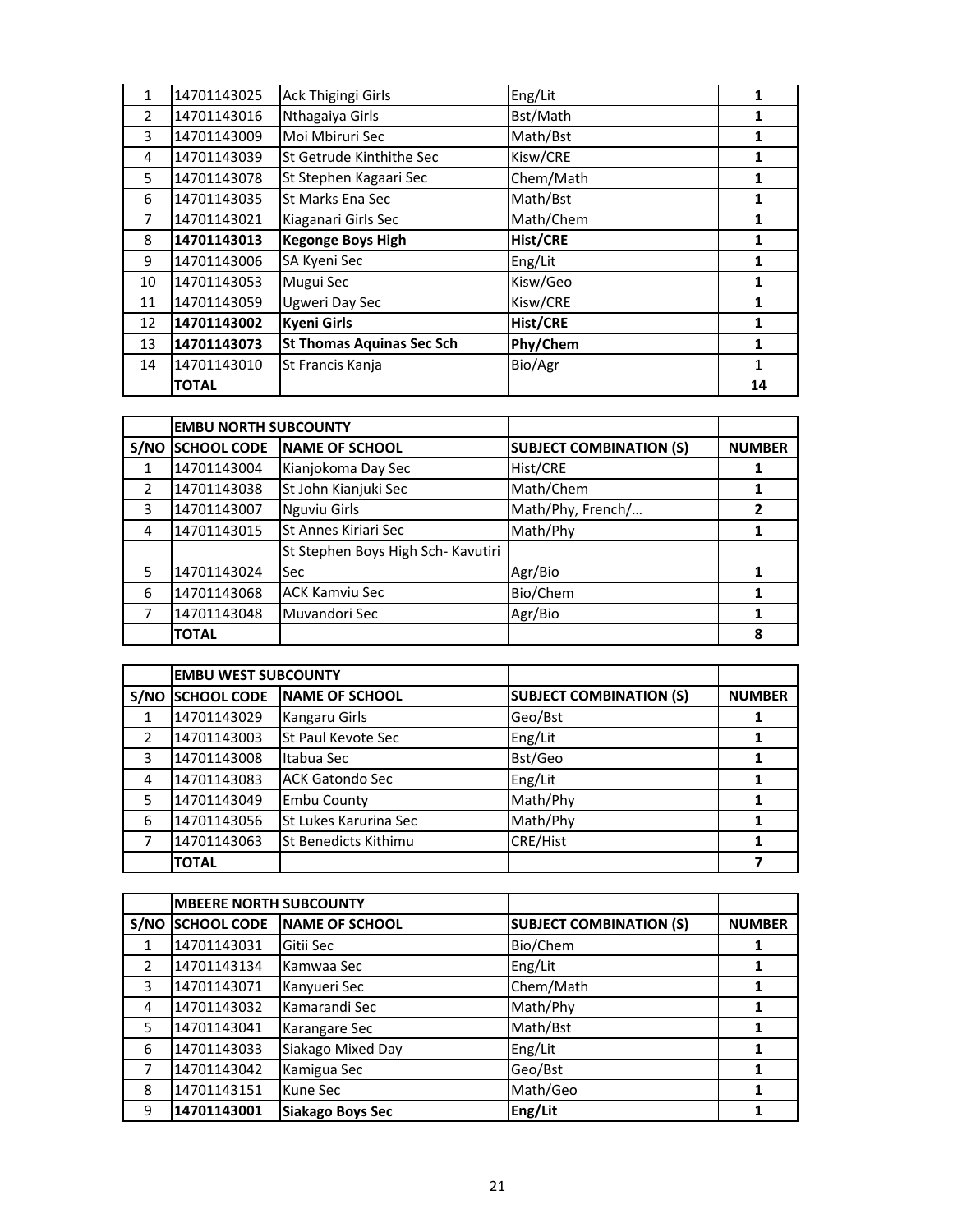| 1              | 14701143025  | Ack Thigingi Girls               | Eng/Lit         | 1  |
|----------------|--------------|----------------------------------|-----------------|----|
| $\overline{2}$ | 14701143016  | Nthagaiya Girls                  | Bst/Math        |    |
| 3              | 14701143009  | Moi Mbiruri Sec                  | Math/Bst        | 1  |
| 4              | 14701143039  | St Getrude Kinthithe Sec         | Kisw/CRE        |    |
| 5              | 14701143078  | St Stephen Kagaari Sec           | Chem/Math       | 1  |
| 6              | 14701143035  | St Marks Ena Sec                 | Math/Bst        | 1  |
| 7              | 14701143021  | Kiaganari Girls Sec              | Math/Chem       | 1  |
| 8              | 14701143013  | <b>Kegonge Boys High</b>         | <b>Hist/CRE</b> |    |
| 9              | 14701143006  | SA Kyeni Sec                     | Eng/Lit         | 1  |
| 10             | 14701143053  | Mugui Sec                        | Kisw/Geo        | 1  |
| 11             | 14701143059  | Ugweri Day Sec                   | Kisw/CRE        | 1  |
| 12             | 14701143002  | <b>Kyeni Girls</b>               | <b>Hist/CRE</b> | 1  |
| 13             | 14701143073  | <b>St Thomas Aquinas Sec Sch</b> | Phy/Chem        | 1  |
| 14             | 14701143010  | St Francis Kanja                 | Bio/Agr         | 1  |
|                | <b>TOTAL</b> |                                  |                 | 14 |

|               | <b>EMBU NORTH SUBCOUNTY</b> |                                    |                                |               |
|---------------|-----------------------------|------------------------------------|--------------------------------|---------------|
| S/NO          | <b>SCHOOL CODE</b>          | NAME OF SCHOOL                     | <b>SUBJECT COMBINATION (S)</b> | <b>NUMBER</b> |
|               | 14701143004                 | Kianjokoma Day Sec                 | Hist/CRE                       |               |
| $\mathcal{P}$ | 14701143038                 | St John Kianjuki Sec               | Math/Chem                      |               |
| 3             | 14701143007                 | <b>Nguviu Girls</b>                | Math/Phy, French/              |               |
| 4             | 14701143015                 | St Annes Kiriari Sec               | Math/Phy                       |               |
|               |                             | St Stephen Boys High Sch- Kavutiri |                                |               |
| 5             | 14701143024                 | <b>Sec</b>                         | Agr/Bio                        | 1             |
| 6             | 14701143068                 | <b>ACK Kamviu Sec</b>              | Bio/Chem                       |               |
|               | 14701143048                 | Muvandori Sec                      | Agr/Bio                        |               |
|               | <b>TOTAL</b>                |                                    |                                | 8             |

|   | <b>EMBU WEST SUBCOUNTY</b> |                             |                                |               |
|---|----------------------------|-----------------------------|--------------------------------|---------------|
|   | S/NO SCHOOL CODE           | NAME OF SCHOOL              | <b>SUBJECT COMBINATION (S)</b> | <b>NUMBER</b> |
|   | 14701143029                | Kangaru Girls               | Geo/Bst                        |               |
|   | 14701143003                | St Paul Kevote Sec          | Eng/Lit                        |               |
| 3 | 14701143008                | Itabua Sec                  | Bst/Geo                        |               |
| 4 | 14701143083                | <b>ACK Gatondo Sec</b>      | Eng/Lit                        |               |
| 5 | 14701143049                | <b>Embu County</b>          | Math/Phy                       |               |
| 6 | 14701143056                | St Lukes Karurina Sec       | Math/Phy                       |               |
|   | 14701143063                | <b>St Benedicts Kithimu</b> | <b>CRE/Hist</b>                |               |
|   | <b>TOTAL</b>               |                             |                                |               |

|               | <b>MBEERE NORTH SUBCOUNTY</b> |                         |                                |               |
|---------------|-------------------------------|-------------------------|--------------------------------|---------------|
| S/NO          | <b>SCHOOL CODE</b>            | <b>NAME OF SCHOOL</b>   | <b>SUBJECT COMBINATION (S)</b> | <b>NUMBER</b> |
|               | 14701143031                   | Gitii Sec               | Bio/Chem                       |               |
| $\mathcal{P}$ | 14701143134                   | Kamwaa Sec              | Eng/Lit                        |               |
| 3             | 14701143071                   | Kanyueri Sec            | Chem/Math                      |               |
| 4             | 14701143032                   | Kamarandi Sec           | Math/Phy                       | 1             |
| 5             | 14701143041                   | Karangare Sec           | Math/Bst                       |               |
| 6             | 14701143033                   | Siakago Mixed Day       | Eng/Lit                        |               |
| 7             | 14701143042                   | Kamigua Sec             | Geo/Bst                        | 1             |
| 8             | 14701143151                   | Kune Sec                | Math/Geo                       |               |
| 9             | 14701143001                   | <b>Siakago Boys Sec</b> | Eng/Lit                        |               |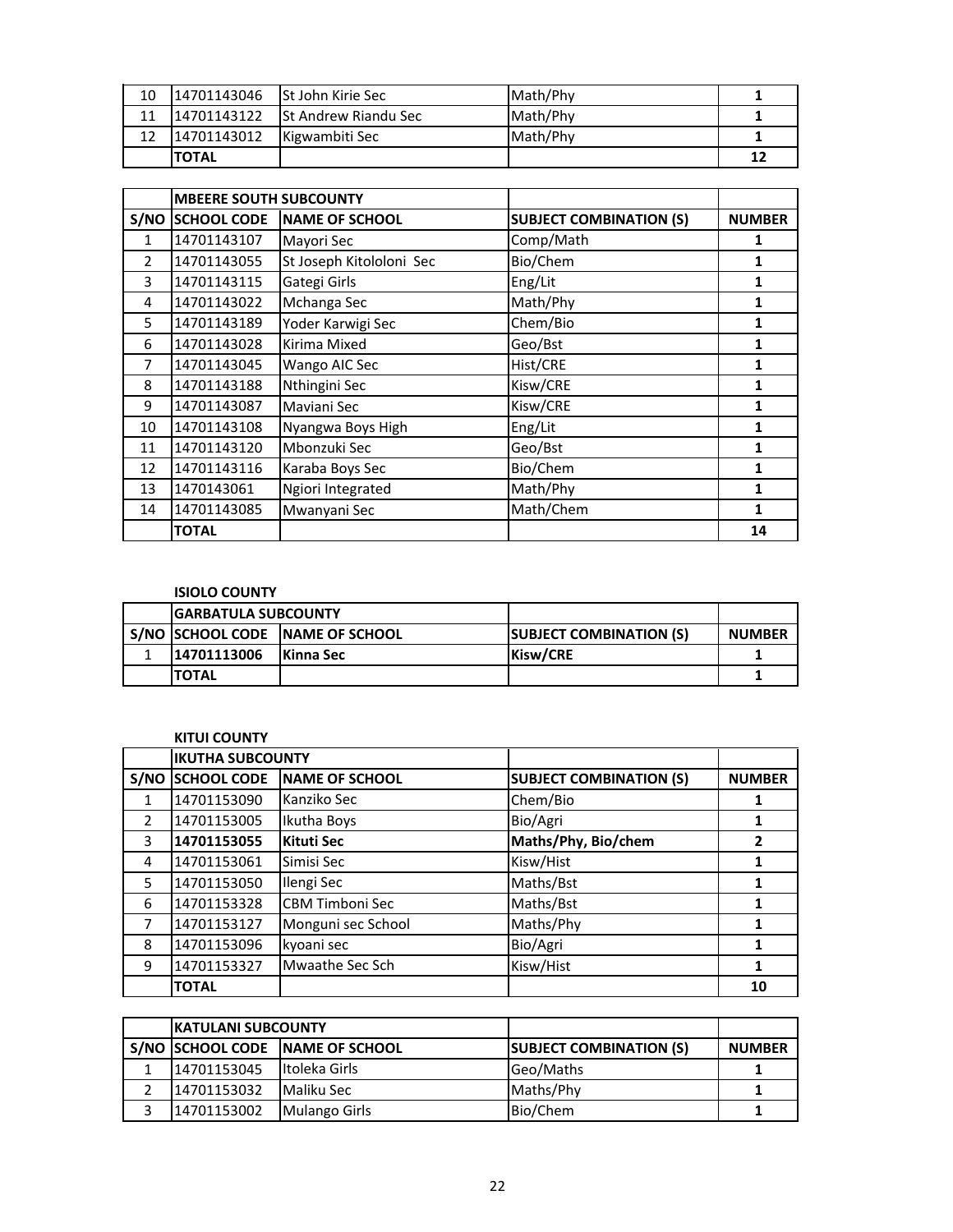| 10 | 14701143046   | <b>St John Kirie Sec</b>    | Math/Phy |    |
|----|---------------|-----------------------------|----------|----|
|    | 14701143122   | <b>St Andrew Riandu Sec</b> | Math/Phy |    |
|    | 14701143012   | Kigwambiti Sec              | Math/Phy |    |
|    | <b>'TOTAL</b> |                             |          | 12 |

|      | <b>MBEERE SOUTH SUBCOUNTY</b> |                          |                                |               |
|------|-------------------------------|--------------------------|--------------------------------|---------------|
| S/NO | <b>SCHOOL CODE</b>            | <b>NAME OF SCHOOL</b>    | <b>SUBJECT COMBINATION (S)</b> | <b>NUMBER</b> |
| 1    | 14701143107                   | Mayori Sec               | Comp/Math                      | 1             |
| 2    | 14701143055                   | St Joseph Kitololoni Sec | Bio/Chem                       | 1             |
| 3    | 14701143115                   | Gategi Girls             | Eng/Lit                        | 1             |
| 4    | 14701143022                   | Mchanga Sec              | Math/Phy                       | 1             |
| 5    | 14701143189                   | Yoder Karwigi Sec        | Chem/Bio                       | 1             |
| 6    | 14701143028                   | Kirima Mixed             | Geo/Bst                        | 1             |
| 7    | 14701143045                   | Wango AIC Sec            | Hist/CRE                       | 1             |
| 8    | 14701143188                   | Nthingini Sec            | Kisw/CRE                       | 1             |
| 9    | 14701143087                   | Maviani Sec              | Kisw/CRE                       | 1             |
| 10   | 14701143108                   | Nyangwa Boys High        | Eng/Lit                        | 1             |
| 11   | 14701143120                   | Mbonzuki Sec             | Geo/Bst                        | 1             |
| 12   | 14701143116                   | Karaba Boys Sec          | Bio/Chem                       | 1             |
| 13   | 1470143061                    | Ngiori Integrated        | Math/Phy                       | 1             |
| 14   | 14701143085                   | Mwanyani Sec             | Math/Chem                      | 1             |
|      | <b>TOTAL</b>                  |                          |                                | 14            |

# **ISIOLO COUNTY**

| <b>IGARBATULA SUBCOUNTY</b> |                                   |                                 |               |
|-----------------------------|-----------------------------------|---------------------------------|---------------|
|                             | S/NO ISCHOOL CODE INAME OF SCHOOL | <b>ISUBJECT COMBINATION (S)</b> | <b>NUMBER</b> |
| 14701113006                 | <b>Kinna Sec</b>                  | Kisw/CRE                        |               |
| <b>TOTAL</b>                |                                   |                                 |               |

## **KITUI COUNTY**

|                | <b>IKUTHA SUBCOUNTY</b> |                        |                                |               |
|----------------|-------------------------|------------------------|--------------------------------|---------------|
|                | S/NO SCHOOL CODE        | <b>NAME OF SCHOOL</b>  | <b>SUBJECT COMBINATION (S)</b> | <b>NUMBER</b> |
|                | 14701153090             | Kanziko Sec            | Chem/Bio                       | 1             |
| $\mathfrak{p}$ | 14701153005             | Ikutha Boys            | Bio/Agri                       |               |
| 3              | 14701153055             | <b>Kituti Sec</b>      | Maths/Phy, Bio/chem            | 2             |
| 4              | 14701153061             | Simisi Sec             | Kisw/Hist                      |               |
| 5              | 14701153050             | Ilengi Sec             | Maths/Bst                      | 1             |
| 6              | 14701153328             | <b>CBM Timboni Sec</b> | Maths/Bst                      | 1             |
| 7              | 14701153127             | Monguni sec School     | Maths/Phy                      | 1             |
| 8              | 14701153096             | kyoani sec             | Bio/Agri                       | 1             |
| 9              | 14701153327             | Mwaathe Sec Sch        | Kisw/Hist                      | 1             |
|                | <b>TOTAL</b>            |                        |                                | 10            |

| <b>KATULANI SUBCOUNTY</b> |                                 |                                |               |
|---------------------------|---------------------------------|--------------------------------|---------------|
|                           | S/NO SCHOOL CODE NAME OF SCHOOL | <b>SUBJECT COMBINATION (S)</b> | <b>NUMBER</b> |
| 14701153045               | Itoleka Girls                   | Geo/Maths                      |               |
| 14701153032               | Maliku Sec                      | Maths/Phy                      |               |
| 14701153002               | <b>Mulango Girls</b>            | Bio/Chem                       |               |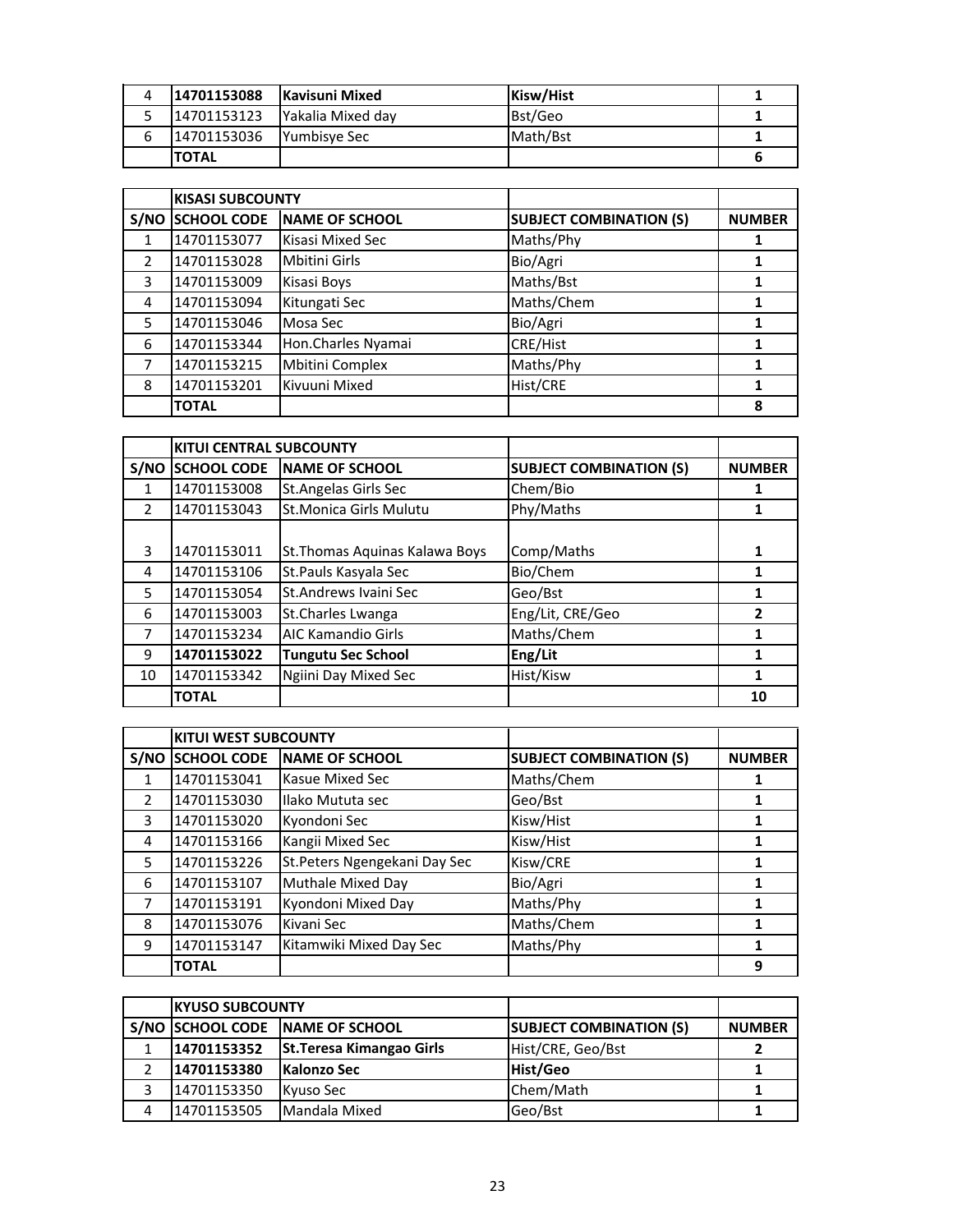| Δ | 14701153088   | Kavisuni Mixed            | Kisw/Hist |  |
|---|---------------|---------------------------|-----------|--|
|   | 14701153123   | <b>IYakalia Mixed dav</b> | Bst/Geo   |  |
|   | 14701153036   | <b>Yumbisve Sec</b>       | Math/Bst  |  |
|   | <b>ITOTAL</b> |                           |           |  |

|               | <b>KISASI SUBCOUNTY</b> |                        |                                |               |
|---------------|-------------------------|------------------------|--------------------------------|---------------|
| S/NO          | <b>SCHOOL CODE</b>      | <b>NAME OF SCHOOL</b>  | <b>SUBJECT COMBINATION (S)</b> | <b>NUMBER</b> |
| 1             | 14701153077             | Kisasi Mixed Sec       | Maths/Phy                      | 1             |
| $\mathcal{P}$ | 14701153028             | <b>Mbitini Girls</b>   | Bio/Agri                       |               |
| 3             | 14701153009             | Kisasi Boys            | Maths/Bst                      |               |
| 4             | 14701153094             | Kitungati Sec          | Maths/Chem                     | 1             |
| 5             | 14701153046             | Mosa Sec               | Bio/Agri                       |               |
| 6             | 14701153344             | Hon.Charles Nyamai     | <b>CRE/Hist</b>                |               |
| 7             | 14701153215             | <b>Mbitini Complex</b> | Maths/Phy                      | 1             |
| 8             | 14701153201             | Kivuuni Mixed          | Hist/CRE                       |               |
|               | <b>TOTAL</b>            |                        |                                | 8             |

|               | <b>KITUI CENTRAL SUBCOUNTY</b> |                                |                                |               |
|---------------|--------------------------------|--------------------------------|--------------------------------|---------------|
|               | S/NO SCHOOL CODE               | <b>INAME OF SCHOOL</b>         | <b>SUBJECT COMBINATION (S)</b> | <b>NUMBER</b> |
| 1             | 14701153008                    | <b>St.Angelas Girls Sec</b>    | Chem/Bio                       |               |
| $\mathcal{P}$ | 14701153043                    | St. Monica Girls Mulutu        | Phy/Maths                      | 1             |
|               |                                |                                |                                |               |
| 3             | 14701153011                    | St. Thomas Aquinas Kalawa Boys | Comp/Maths                     | 1             |
| 4             | 14701153106                    | St. Pauls Kasyala Sec          | Bio/Chem                       | 1             |
| 5             | 14701153054                    | St.Andrews Ivaini Sec          | Geo/Bst                        |               |
| 6             | 14701153003                    | St.Charles Lwanga              | Eng/Lit, CRE/Geo               | 2             |
| 7             | 14701153234                    | <b>AIC Kamandio Girls</b>      | Maths/Chem                     |               |
| 9             | 14701153022                    | <b>Tungutu Sec School</b>      | Eng/Lit                        |               |
| 10            | 14701153342                    | Ngiini Day Mixed Sec           | Hist/Kisw                      | 1             |
|               | <b>TOTAL</b>                   |                                |                                | 10            |

|               | <b>KITUI WEST SUBCOUNTY</b> |                               |                                |               |
|---------------|-----------------------------|-------------------------------|--------------------------------|---------------|
|               | S/NO SCHOOL CODE            | <b>NAME OF SCHOOL</b>         | <b>SUBJECT COMBINATION (S)</b> | <b>NUMBER</b> |
| $\mathbf{1}$  | 14701153041                 | Kasue Mixed Sec               | Maths/Chem                     |               |
| $\mathcal{P}$ | 14701153030                 | Ilako Mututa sec              | Geo/Bst                        |               |
| 3             | 14701153020                 | Kyondoni Sec                  | Kisw/Hist                      |               |
| 4             | 14701153166                 | Kangii Mixed Sec              | Kisw/Hist                      |               |
| 5             | 14701153226                 | St. Peters Ngengekani Day Sec | Kisw/CRE                       |               |
| 6             | 14701153107                 | Muthale Mixed Day             | Bio/Agri                       |               |
| 7             | 14701153191                 | Kyondoni Mixed Day            | Maths/Phy                      |               |
| 8             | 14701153076                 | Kivani Sec                    | Maths/Chem                     |               |
| 9             | 14701153147                 | Kitamwiki Mixed Day Sec       | Maths/Phy                      | 1             |
|               | <b>TOTAL</b>                |                               |                                | 9             |

|   | <b>IKYUSO SUBCOUNTY</b> |                                 |                                |               |
|---|-------------------------|---------------------------------|--------------------------------|---------------|
|   |                         | S/NO SCHOOL CODE NAME OF SCHOOL | <b>SUBJECT COMBINATION (S)</b> | <b>NUMBER</b> |
|   | 14701153352             | St. Teresa Kimangao Girls       | Hist/CRE, Geo/Bst              |               |
|   | 14701153380             | <b>Kalonzo Sec</b>              | Hist/Geo                       |               |
|   | 14701153350             | Kyuso Sec                       | Chem/Math                      |               |
| 4 | 14701153505             | Mandala Mixed                   | Geo/Bst                        |               |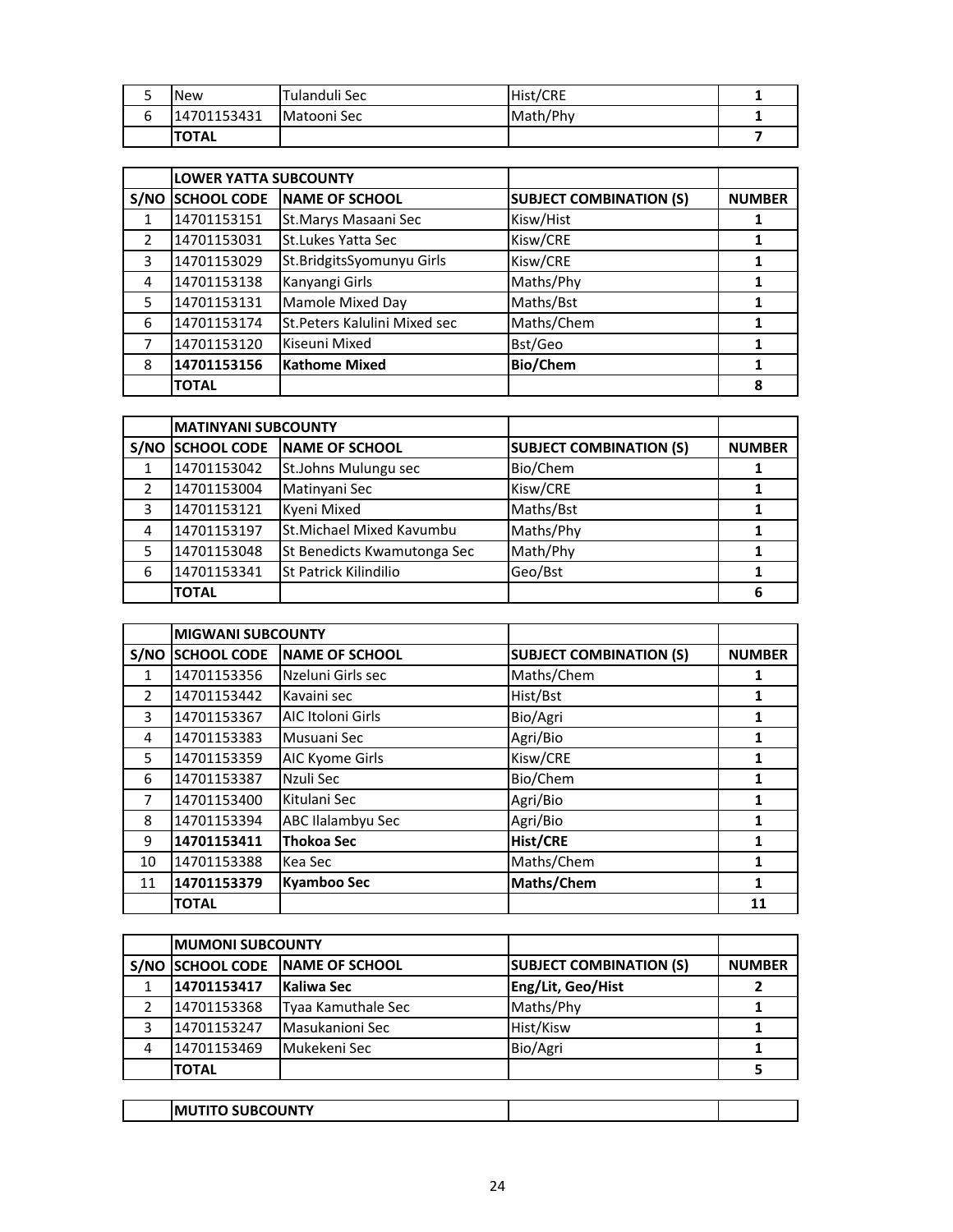| <b>New</b>   | Tulanduli Sec | Hist/CRE |  |
|--------------|---------------|----------|--|
| 14701153431  | Matooni Sec   | Math/Phy |  |
| <b>TOTAL</b> |               |          |  |

|               | <b>LOWER YATTA SUBCOUNTY</b> |                               |                                |               |
|---------------|------------------------------|-------------------------------|--------------------------------|---------------|
| S/NO          | <b>SCHOOL CODE</b>           | <b>NAME OF SCHOOL</b>         | <b>SUBJECT COMBINATION (S)</b> | <b>NUMBER</b> |
| 1             | 14701153151                  | St.Marys Masaani Sec          | Kisw/Hist                      |               |
| $\mathcal{P}$ | 14701153031                  | <b>St.Lukes Yatta Sec</b>     | Kisw/CRE                       |               |
| 3             | 14701153029                  | St.BridgitsSyomunyu Girls     | Kisw/CRE                       |               |
| 4             | 14701153138                  | Kanyangi Girls                | Maths/Phy                      | 1             |
| 5             | 14701153131                  | Mamole Mixed Day              | Maths/Bst                      |               |
| 6             | 14701153174                  | St. Peters Kalulini Mixed sec | Maths/Chem                     |               |
|               | 14701153120                  | Kiseuni Mixed                 | Bst/Geo                        | 1             |
| 8             | 14701153156                  | <b>Kathome Mixed</b>          | <b>Bio/Chem</b>                |               |
|               | <b>TOTAL</b>                 |                               |                                | 8             |

|   | <b>MATINYANI SUBCOUNTY</b> |                              |                                |               |
|---|----------------------------|------------------------------|--------------------------------|---------------|
|   | S/NO SCHOOL CODE           | NAME OF SCHOOL               | <b>SUBJECT COMBINATION (S)</b> | <b>NUMBER</b> |
|   | 14701153042                | St.Johns Mulungu sec         | Bio/Chem                       |               |
|   | 14701153004                | Matinyani Sec                | Kisw/CRE                       |               |
| 3 | 14701153121                | Kyeni Mixed                  | Maths/Bst                      |               |
| 4 | 14701153197                | St.Michael Mixed Kavumbu     | Maths/Phy                      |               |
|   | 14701153048                | St Benedicts Kwamutonga Sec  | Math/Phy                       |               |
| 6 | 14701153341                | <b>St Patrick Kilindilio</b> | Geo/Bst                        |               |
|   | <b>TOTAL</b>               |                              |                                |               |

|                | <b>MIGWANI SUBCOUNTY</b> |                       |                                |               |
|----------------|--------------------------|-----------------------|--------------------------------|---------------|
| S/NO           | <b>SCHOOL CODE</b>       | <b>NAME OF SCHOOL</b> | <b>SUBJECT COMBINATION (S)</b> | <b>NUMBER</b> |
| 1              | 14701153356              | Nzeluni Girls sec     | Maths/Chem                     | 1             |
| $\mathfrak{D}$ | 14701153442              | Kavaini sec           | Hist/Bst                       |               |
| 3              | 14701153367              | AIC Itoloni Girls     | Bio/Agri                       | 1             |
| 4              | 14701153383              | Musuani Sec           | Agri/Bio                       | 1             |
| 5              | 14701153359              | AIC Kyome Girls       | Kisw/CRE                       |               |
| 6              | 14701153387              | Nzuli Sec             | Bio/Chem                       | 1             |
| 7              | 14701153400              | Kitulani Sec          | Agri/Bio                       | 1             |
| 8              | 14701153394              | ABC Ilalambyu Sec     | Agri/Bio                       | 1             |
| 9              | 14701153411              | <b>Thokoa Sec</b>     | <b>Hist/CRE</b>                | 1             |
| 10             | 14701153388              | Kea Sec               | Maths/Chem                     | 1             |
| 11             | 14701153379              | <b>Kyamboo Sec</b>    | Maths/Chem                     | 1             |
|                | <b>TOTAL</b>             |                       |                                | 11            |

|   | <b>IMUMONI SUBCOUNTY</b> |                                 |                                |               |
|---|--------------------------|---------------------------------|--------------------------------|---------------|
|   |                          | S/NO SCHOOL CODE NAME OF SCHOOL | <b>SUBJECT COMBINATION (S)</b> | <b>NUMBER</b> |
|   | 14701153417              | <b>Kaliwa Sec</b>               | Eng/Lit, Geo/Hist              |               |
|   | 14701153368              | Tyaa Kamuthale Sec              | Maths/Phy                      |               |
| 3 | 14701153247              | Masukanioni Sec                 | Hist/Kisw                      |               |
| 4 | 14701153469              | Mukekeni Sec                    | Bio/Agri                       |               |
|   | <b>TOTAL</b>             |                                 |                                |               |

|  | TITO SUBCOUNTY<br><b>IMU</b> |  |  |
|--|------------------------------|--|--|
|--|------------------------------|--|--|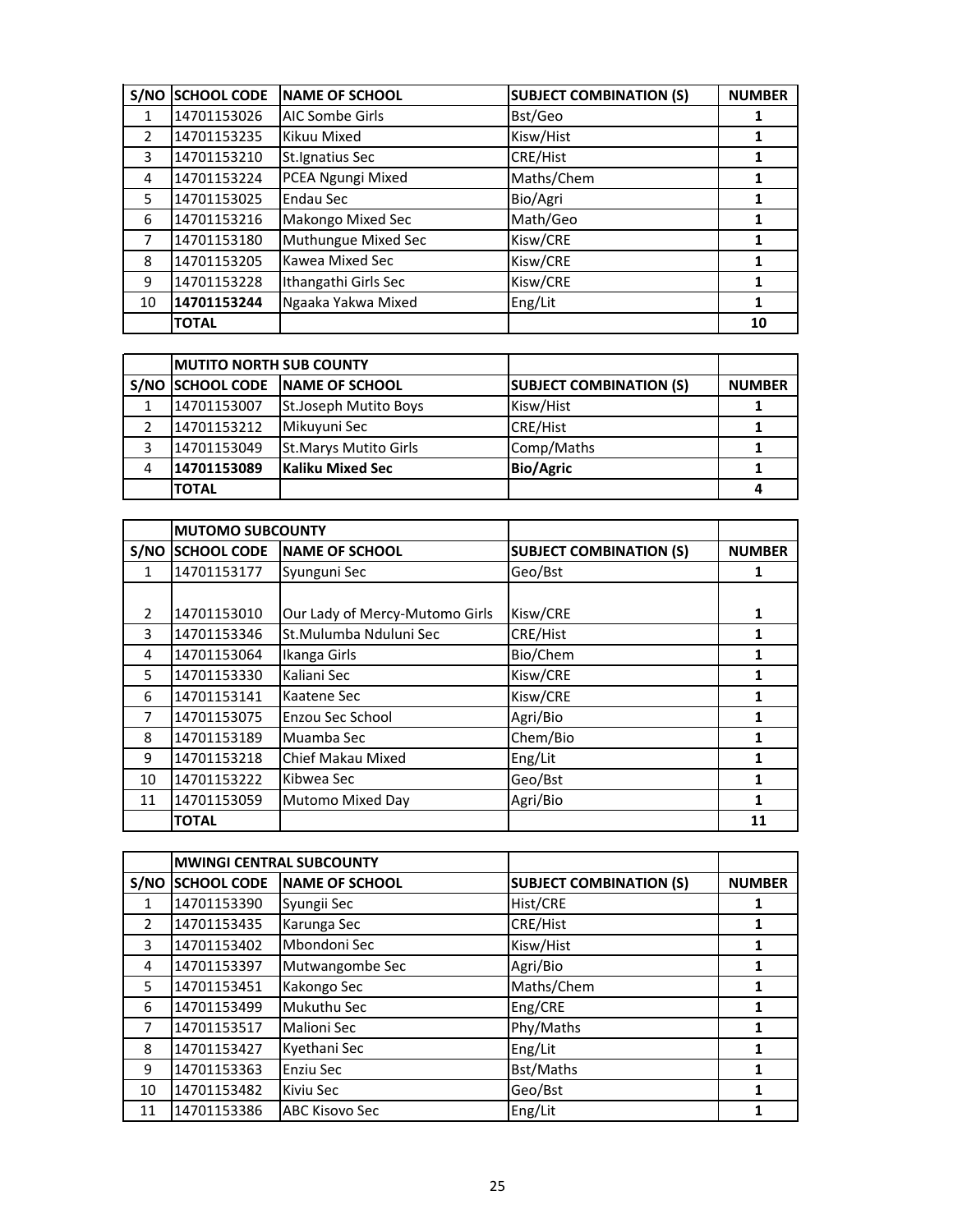| S/NO          | <b>SCHOOL CODE</b> | <b>NAME OF SCHOOL</b>    | <b>SUBJECT COMBINATION (S)</b> | <b>NUMBER</b> |
|---------------|--------------------|--------------------------|--------------------------------|---------------|
| $\mathbf{1}$  | 14701153026        | <b>AIC Sombe Girls</b>   | Bst/Geo                        |               |
| $\mathcal{P}$ | 14701153235        | Kikuu Mixed              | Kisw/Hist                      | 1             |
| 3             | 14701153210        | <b>St.Ignatius Sec</b>   | CRE/Hist                       | 1             |
| 4             | 14701153224        | PCEA Ngungi Mixed        | Maths/Chem                     |               |
| 5             | 14701153025        | Endau Sec                | Bio/Agri                       |               |
| 6             | 14701153216        | <b>Makongo Mixed Sec</b> | Math/Geo                       |               |
| 7             | 14701153180        | Muthungue Mixed Sec      | Kisw/CRE                       |               |
| 8             | 14701153205        | <b>Kawea Mixed Sec</b>   | Kisw/CRE                       | 1             |
| 9             | 14701153228        | Ithangathi Girls Sec     | Kisw/CRE                       |               |
| 10            | 14701153244        | Ngaaka Yakwa Mixed       | Eng/Lit                        | 1             |
|               | <b>TOTAL</b>       |                          |                                | 10            |

|   | <b>IMUTITO NORTH SUB COUNTY</b> |                                 |                                |               |
|---|---------------------------------|---------------------------------|--------------------------------|---------------|
|   |                                 | S/NO SCHOOL CODE NAME OF SCHOOL | <b>SUBJECT COMBINATION (S)</b> | <b>NUMBER</b> |
|   | 14701153007                     | St.Joseph Mutito Boys           | Kisw/Hist                      |               |
|   | 14701153212                     | Mikuyuni Sec                    | <b>CRE/Hist</b>                |               |
|   | 14701153049                     | <b>St.Marys Mutito Girls</b>    | Comp/Maths                     |               |
| 4 | 14701153089                     | Kaliku Mixed Sec                | <b>Bio/Agric</b>               |               |
|   | <b>TOTAL</b>                    |                                 |                                |               |

|               | <b>MUTOMO SUBCOUNTY</b> |                                |                                |               |
|---------------|-------------------------|--------------------------------|--------------------------------|---------------|
|               | <b>S/NO SCHOOL CODE</b> | <b>NAME OF SCHOOL</b>          | <b>SUBJECT COMBINATION (S)</b> | <b>NUMBER</b> |
| 1             | 14701153177             | Syunguni Sec                   | Geo/Bst                        | 1             |
|               |                         |                                |                                |               |
| $\mathcal{P}$ | 14701153010             | Our Lady of Mercy-Mutomo Girls | Kisw/CRE                       | 1             |
| 3             | 14701153346             | St.Mulumba Nduluni Sec         | CRE/Hist                       |               |
| 4             | 14701153064             | Ikanga Girls                   | Bio/Chem                       |               |
| 5             | 14701153330             | Kaliani Sec                    | Kisw/CRE                       |               |
| 6             | 14701153141             | Kaatene Sec                    | Kisw/CRE                       |               |
| 7             | 14701153075             | Enzou Sec School               | Agri/Bio                       |               |
| 8             | 14701153189             | Muamba Sec                     | Chem/Bio                       | 1             |
| 9             | 14701153218             | Chief Makau Mixed              | Eng/Lit                        |               |
| 10            | 14701153222             | Kibwea Sec                     | Geo/Bst                        | 1             |
| 11            | 14701153059             | <b>Mutomo Mixed Day</b>        | Agri/Bio                       | 1             |
|               | <b>TOTAL</b>            |                                |                                | 11            |

|               | <b>MWINGI CENTRAL SUBCOUNTY</b> |                       |                                |               |
|---------------|---------------------------------|-----------------------|--------------------------------|---------------|
|               | S/NO SCHOOL CODE                | <b>NAME OF SCHOOL</b> | <b>SUBJECT COMBINATION (S)</b> | <b>NUMBER</b> |
| 1             | 14701153390                     | Syungii Sec           | Hist/CRE                       | 1             |
| $\mathcal{P}$ | 14701153435                     | Karunga Sec           | CRE/Hist                       | 1             |
| 3             | 14701153402                     | Mbondoni Sec          | Kisw/Hist                      | 1             |
| 4             | 14701153397                     | Mutwangombe Sec       | Agri/Bio                       | 1             |
| 5             | 14701153451                     | Kakongo Sec           | Maths/Chem                     | 1             |
| 6             | 14701153499                     | Mukuthu Sec           | Eng/CRE                        | 1             |
| 7             | 14701153517                     | <b>Malioni Sec</b>    | Phy/Maths                      | 1             |
| 8             | 14701153427                     | Kyethani Sec          | Eng/Lit                        | 1             |
| 9             | 14701153363                     | Enziu Sec             | Bst/Maths                      | 1             |
| 10            | 14701153482                     | Kiviu Sec             | Geo/Bst                        | 1             |
| 11            | 14701153386                     | <b>ABC Kisovo Sec</b> | Eng/Lit                        |               |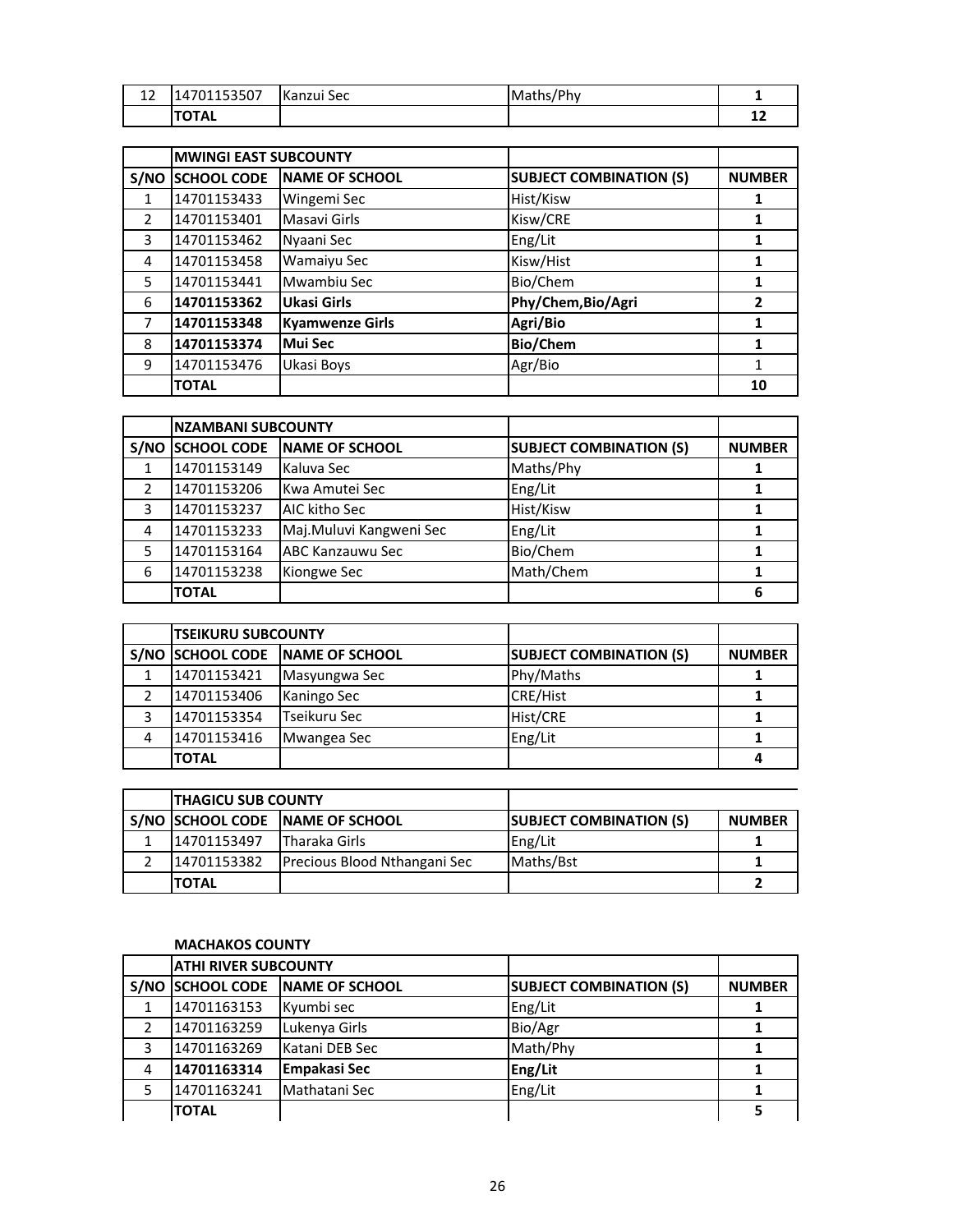| $\sim$<br>ᅭ | 14701153507  | Kanzui Sec | /Phy<br>Maths/ |              |
|-------------|--------------|------------|----------------|--------------|
|             | <b>TOTAL</b> |            |                | $\sim$<br>∸∸ |

|               | <b>MWINGI EAST SUBCOUNTY</b> |                        |                                |                |
|---------------|------------------------------|------------------------|--------------------------------|----------------|
|               | S/NO SCHOOL CODE             | <b>NAME OF SCHOOL</b>  | <b>SUBJECT COMBINATION (S)</b> | <b>NUMBER</b>  |
|               | 14701153433                  | Wingemi Sec            | Hist/Kisw                      |                |
| $\mathcal{P}$ | 14701153401                  | Masavi Girls           | Kisw/CRE                       | 1              |
| 3             | 14701153462                  | Nyaani Sec             | Eng/Lit                        |                |
| 4             | 14701153458                  | Wamaiyu Sec            | Kisw/Hist                      |                |
| 5             | 14701153441                  | Mwambiu Sec            | Bio/Chem                       | 1              |
| 6             | 14701153362                  | Ukasi Girls            | Phy/Chem, Bio/Agri             | $\overline{2}$ |
| 7             | 14701153348                  | <b>Kyamwenze Girls</b> | Agri/Bio                       | 1              |
| 8             | 14701153374                  | Mui Sec                | <b>Bio/Chem</b>                |                |
| 9             | 14701153476                  | Ukasi Boys             | Agr/Bio                        |                |
|               | <b>TOTAL</b>                 |                        |                                | 10             |

|               | <b>NZAMBANI SUBCOUNTY</b> |                         |                                |               |
|---------------|---------------------------|-------------------------|--------------------------------|---------------|
| S/NO          | <b>SCHOOL CODE</b>        | NAME OF SCHOOL          | <b>SUBJECT COMBINATION (S)</b> | <b>NUMBER</b> |
|               | 14701153149               | Kaluva Sec              | Maths/Phy                      |               |
| $\mathfrak z$ | 14701153206               | Kwa Amutei Sec          | Eng/Lit                        |               |
| 3             | 14701153237               | AIC kitho Sec           | Hist/Kisw                      |               |
| 4             | 14701153233               | Maj.Muluvi Kangweni Sec | Eng/Lit                        |               |
|               | 14701153164               | <b>ABC Kanzauwu Sec</b> | Bio/Chem                       |               |
| 6             | 14701153238               | Kiongwe Sec             | Math/Chem                      |               |
|               | <b>TOTAL</b>              |                         |                                | 6             |

|   | <b>TSEIKURU SUBCOUNTY</b> |                                 |                                |               |
|---|---------------------------|---------------------------------|--------------------------------|---------------|
|   |                           | S/NO SCHOOL CODE NAME OF SCHOOL | <b>SUBJECT COMBINATION (S)</b> | <b>NUMBER</b> |
|   | 14701153421               | Masyungwa Sec                   | Phy/Maths                      |               |
|   | 14701153406               | Kaningo Sec                     | <b>CRE/Hist</b>                |               |
|   | 14701153354               | Tseikuru Sec                    | Hist/CRE                       |               |
| 4 | 14701153416               | Mwangea Sec                     | Eng/Lit                        |               |
|   | <b>TOTAL</b>              |                                 |                                | 4             |

| <b>ITHAGICU SUB COUNTY</b> |                                     |                                |               |
|----------------------------|-------------------------------------|--------------------------------|---------------|
|                            | S/NO SCHOOL CODE NAME OF SCHOOL     | <b>SUBJECT COMBINATION (S)</b> | <b>NUMBER</b> |
| 14701153497                | <b>Tharaka Girls</b>                | Eng/Lit                        |               |
| 14701153382                | <b>Precious Blood Nthangani Sec</b> | Maths/Bst                      |               |
| <b>ITOTAL</b>              |                                     |                                |               |

# **MACHAKOS COUNTY**

|               | <b>ATHI RIVER SUBCOUNTY</b> |                        |                                |               |
|---------------|-----------------------------|------------------------|--------------------------------|---------------|
|               | S/NO SCHOOL CODE            | <b>INAME OF SCHOOL</b> | <b>SUBJECT COMBINATION (S)</b> | <b>NUMBER</b> |
|               | 14701163153                 | Kyumbi sec             | Eng/Lit                        |               |
| $\mathcal{P}$ | 14701163259                 | Lukenya Girls          | Bio/Agr                        |               |
| 3             | 14701163269                 | Katani DEB Sec         | Math/Phy                       |               |
| 4             | 14701163314                 | <b>Empakasi Sec</b>    | Eng/Lit                        |               |
|               | 14701163241                 | Mathatani Sec          | Eng/Lit                        |               |
|               | <b>TOTAL</b>                |                        |                                |               |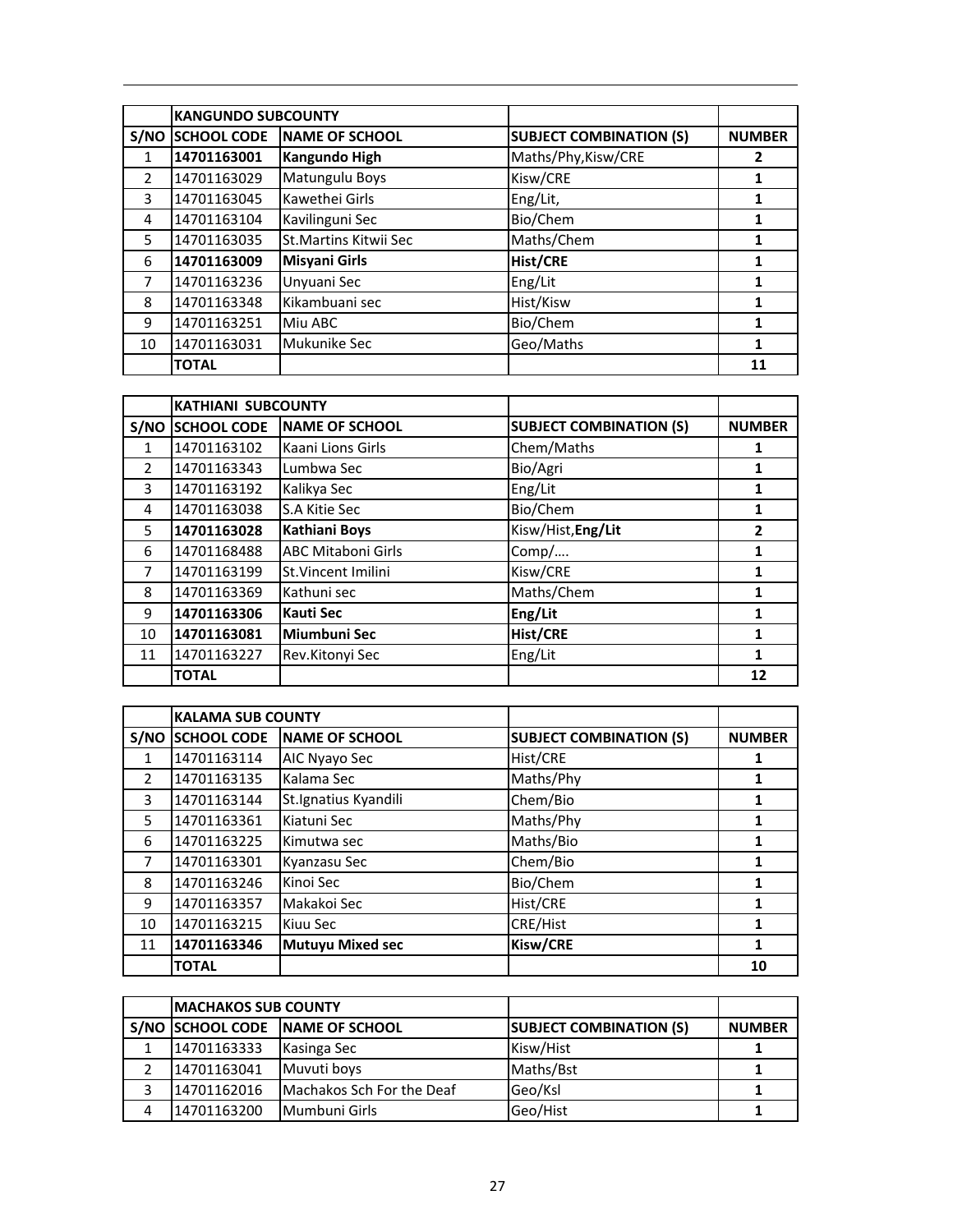|               | <b>KANGUNDO SUBCOUNTY</b> |                        |                                |               |
|---------------|---------------------------|------------------------|--------------------------------|---------------|
| S/NO          | <b>SCHOOL CODE</b>        | <b>NAME OF SCHOOL</b>  | <b>SUBJECT COMBINATION (S)</b> | <b>NUMBER</b> |
|               | 14701163001               | Kangundo High          | Maths/Phy, Kisw/CRE            | 2             |
| $\mathcal{P}$ | 14701163029               | Matungulu Boys         | Kisw/CRE                       | 1             |
| 3             | 14701163045               | Kawethei Girls         | Eng/Lit,                       | 1             |
| 4             | 14701163104               | Kavilinguni Sec        | Bio/Chem                       | 1             |
| 5             | 14701163035               | St. Martins Kitwii Sec | Maths/Chem                     | 1             |
| 6             | 14701163009               | <b>Misyani Girls</b>   | <b>Hist/CRE</b>                | 1             |
| 7             | 14701163236               | Unyuani Sec            | Eng/Lit                        | 1             |
| 8             | 14701163348               | Kikambuani sec         | Hist/Kisw                      | 1             |
| 9             | 14701163251               | Miu ABC                | Bio/Chem                       | 1             |
| 10            | 14701163031               | Mukunike Sec           | Geo/Maths                      | 1             |
|               | <b>TOTAL</b>              |                        |                                | 11            |

|                | <b>KATHIANI SUBCOUNTY</b> |                           |                                |               |
|----------------|---------------------------|---------------------------|--------------------------------|---------------|
| S/NO           | <b>SCHOOL CODE</b>        | <b>NAME OF SCHOOL</b>     | <b>SUBJECT COMBINATION (S)</b> | <b>NUMBER</b> |
| 1              | 14701163102               | Kaani Lions Girls         | Chem/Maths                     | 1             |
| $\overline{2}$ | 14701163343               | Lumbwa Sec                | Bio/Agri                       | 1             |
| 3              | 14701163192               | Kalikya Sec               | Eng/Lit                        | 1             |
| 4              | 14701163038               | S.A Kitie Sec             | Bio/Chem                       | 1             |
| 5              | 14701163028               | <b>Kathiani Boys</b>      | Kisw/Hist, Eng/Lit             | 2             |
| 6              | 14701168488               | <b>ABC Mitaboni Girls</b> | Comp/                          | 1             |
| $\overline{7}$ | 14701163199               | St.Vincent Imilini        | Kisw/CRE                       | 1             |
| 8              | 14701163369               | Kathuni sec               | Maths/Chem                     | 1             |
| 9              | 14701163306               | <b>Kauti Sec</b>          | Eng/Lit                        | 1             |
| 10             | 14701163081               | Miumbuni Sec              | <b>Hist/CRE</b>                | 1             |
| 11             | 14701163227               | Rev.Kitonyi Sec           | Eng/Lit                        | 1             |
|                | <b>TOTAL</b>              |                           |                                | 12            |

|               | <b>KALAMA SUB COUNTY</b> |                         |                                |               |
|---------------|--------------------------|-------------------------|--------------------------------|---------------|
| S/NO          | <b>SCHOOL CODE</b>       | <b>NAME OF SCHOOL</b>   | <b>SUBJECT COMBINATION (S)</b> | <b>NUMBER</b> |
| 1             | 14701163114              | AIC Nyayo Sec           | Hist/CRE                       | 1             |
| $\mathcal{P}$ | 14701163135              | Kalama Sec              | Maths/Phy                      |               |
| 3             | 14701163144              | St.Ignatius Kyandili    | Chem/Bio                       | 1             |
| 5             | 14701163361              | Kiatuni Sec             | Maths/Phy                      | 1             |
| 6             | 14701163225              | Kimutwa sec             | Maths/Bio                      | 1             |
| 7             | 14701163301              | Kyanzasu Sec            | Chem/Bio                       |               |
| 8             | 14701163246              | Kinoi Sec               | Bio/Chem                       |               |
| 9             | 14701163357              | Makakoi Sec             | Hist/CRE                       |               |
| 10            | 14701163215              | Kiuu Sec                | CRE/Hist                       |               |
| 11            | 14701163346              | <b>Mutuyu Mixed sec</b> | Kisw/CRE                       | 1             |
|               | <b>TOTAL</b>             |                         |                                | 10            |

| <b>IMACHAKOS SUB COUNTY</b> |                                 |                                |               |
|-----------------------------|---------------------------------|--------------------------------|---------------|
|                             | S/NO SCHOOL CODE NAME OF SCHOOL | <b>SUBJECT COMBINATION (S)</b> | <b>NUMBER</b> |
| 14701163333                 | Kasinga Sec                     | Kisw/Hist                      |               |
| 14701163041                 | Muvuti boys                     | Maths/Bst                      |               |
| 14701162016                 | Machakos Sch For the Deaf       | Geo/Ksl                        |               |
| 14701163200                 | Mumbuni Girls                   | Geo/Hist                       |               |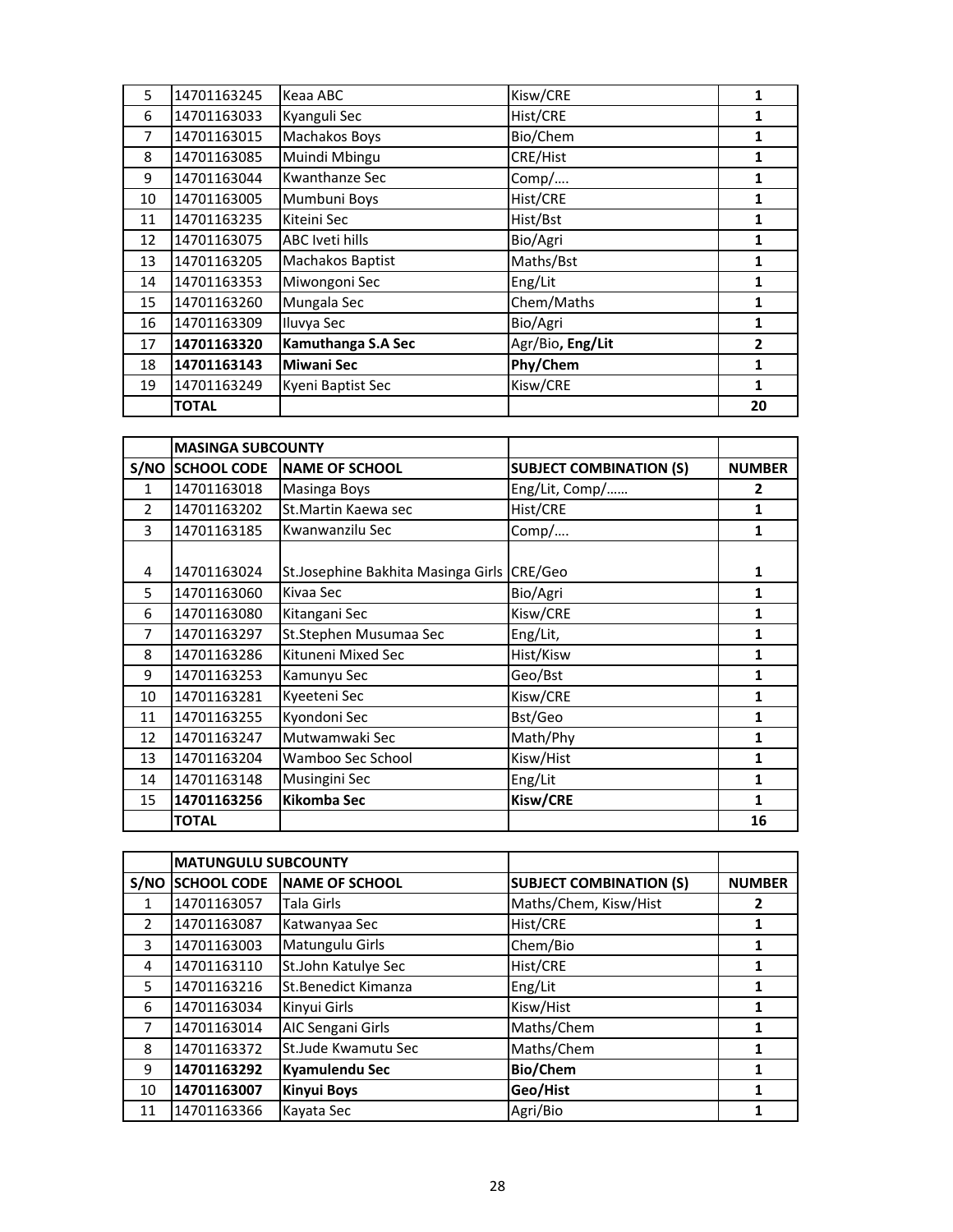| 5  | 14701163245  | Keaa ABC               | Kisw/CRE         | 1              |
|----|--------------|------------------------|------------------|----------------|
| 6  | 14701163033  | Kyanguli Sec           | Hist/CRE         | 1              |
| 7  | 14701163015  | Machakos Boys          | Bio/Chem         | 1              |
| 8  | 14701163085  | Muindi Mbingu          | CRE/Hist         | 1              |
| 9  | 14701163044  | Kwanthanze Sec         | Comp/            | 1              |
| 10 | 14701163005  | Mumbuni Boys           | Hist/CRE         | 1              |
| 11 | 14701163235  | Kiteini Sec            | Hist/Bst         | 1              |
| 12 | 14701163075  | <b>ABC Iveti hills</b> | Bio/Agri         | 1              |
| 13 | 14701163205  | Machakos Baptist       | Maths/Bst        | 1              |
| 14 | 14701163353  | Miwongoni Sec          | Eng/Lit          | 1              |
| 15 | 14701163260  | Mungala Sec            | Chem/Maths       | 1              |
| 16 | 14701163309  | Iluvya Sec             | Bio/Agri         | 1              |
| 17 | 14701163320  | Kamuthanga S.A Sec     | Agr/Bio, Eng/Lit | $\overline{2}$ |
| 18 | 14701163143  | <b>Miwani Sec</b>      | Phy/Chem         | 1              |
| 19 | 14701163249  | Kyeni Baptist Sec      | Kisw/CRE         | 1              |
|    | <b>TOTAL</b> |                        |                  | 20             |

|                | <b>MASINGA SUBCOUNTY</b> |                                    |                                |                |
|----------------|--------------------------|------------------------------------|--------------------------------|----------------|
|                | <b>S/NO SCHOOL CODE</b>  | <b>NAME OF SCHOOL</b>              | <b>SUBJECT COMBINATION (S)</b> | <b>NUMBER</b>  |
| $\mathbf{1}$   | 14701163018              | <b>Masinga Boys</b>                | Eng/Lit, Comp/                 | $\overline{2}$ |
| $\overline{2}$ | 14701163202              | St. Martin Kaewa sec               | Hist/CRE                       | 1              |
| 3              | 14701163185              | Kwanwanzilu Sec                    | Comp/                          | 1              |
|                |                          |                                    |                                |                |
| 4              | 14701163024              | St.Josephine Bakhita Masinga Girls | CRE/Geo                        | 1              |
| 5              | 14701163060              | Kivaa Sec                          | Bio/Agri                       | 1              |
| 6              | 14701163080              | Kitangani Sec                      | Kisw/CRE                       | 1              |
| 7              | 14701163297              | St.Stephen Musumaa Sec             | Eng/Lit,                       | 1              |
| 8              | 14701163286              | Kituneni Mixed Sec                 | Hist/Kisw                      | 1              |
| 9              | 14701163253              | Kamunyu Sec                        | Geo/Bst                        | 1              |
| 10             | 14701163281              | Kyeeteni Sec                       | Kisw/CRE                       | 1              |
| 11             | 14701163255              | Kyondoni Sec                       | Bst/Geo                        | 1              |
| 12             | 14701163247              | Mutwamwaki Sec                     | Math/Phy                       | 1              |
| 13             | 14701163204              | Wamboo Sec School                  | Kisw/Hist                      | 1              |
| 14             | 14701163148              | Musingini Sec                      | Eng/Lit                        | 1              |
| 15             | 14701163256              | <b>Kikomba Sec</b>                 | Kisw/CRE                       | 1              |
|                | <b>TOTAL</b>             |                                    |                                | 16             |

|               | <b>MATUNGULU SUBCOUNTY</b> |                       |                                |               |
|---------------|----------------------------|-----------------------|--------------------------------|---------------|
|               | S/NO SCHOOL CODE           | <b>NAME OF SCHOOL</b> | <b>SUBJECT COMBINATION (S)</b> | <b>NUMBER</b> |
| 1             | 14701163057                | Tala Girls            | Maths/Chem, Kisw/Hist          |               |
| $\mathcal{P}$ | 14701163087                | Katwanyaa Sec         | Hist/CRE                       |               |
| 3             | 14701163003                | Matungulu Girls       | Chem/Bio                       | 1             |
| 4             | 14701163110                | St.John Katulye Sec   | Hist/CRE                       | 1             |
| 5             | 14701163216                | St.Benedict Kimanza   | Eng/Lit                        | 1             |
| 6             | 14701163034                | Kinyui Girls          | Kisw/Hist                      | 1             |
| 7             | 14701163014                | AIC Sengani Girls     | Maths/Chem                     | 1             |
| 8             | 14701163372                | St.Jude Kwamutu Sec   | Maths/Chem                     | 1             |
| 9             | 14701163292                | Kyamulendu Sec        | <b>Bio/Chem</b>                | 1             |
| 10            | 14701163007                | <b>Kinyui Boys</b>    | Geo/Hist                       | 1             |
| 11            | 14701163366                | Kayata Sec            | Agri/Bio                       |               |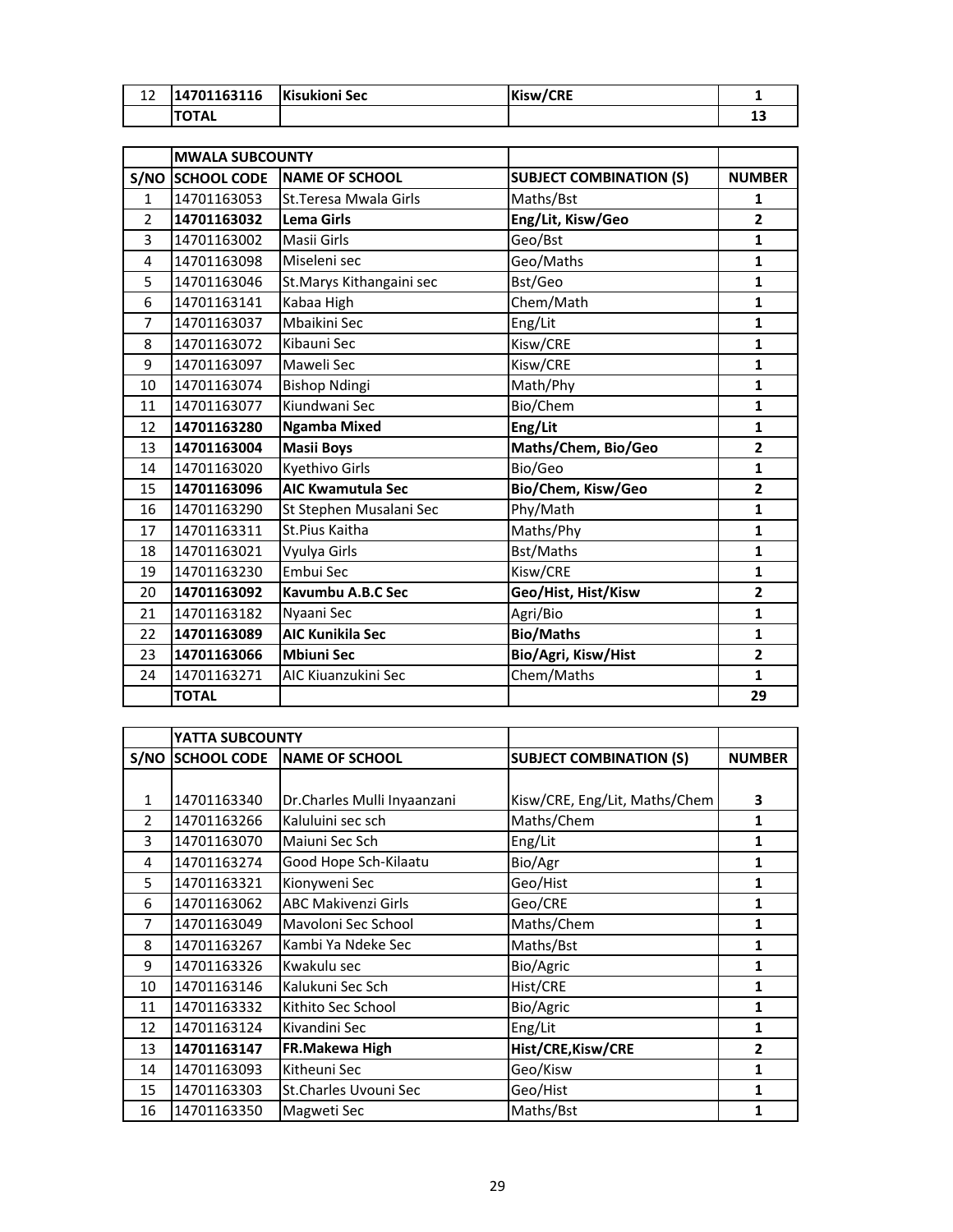| 12             | 14701163116            | <b>Kisukioni Sec</b>      | Kisw/CRE                       | $\mathbf{1}$   |
|----------------|------------------------|---------------------------|--------------------------------|----------------|
|                | <b>TOTAL</b>           |                           |                                | 13             |
|                |                        |                           |                                |                |
|                | <b>MWALA SUBCOUNTY</b> |                           |                                |                |
|                | S/NO SCHOOL CODE       | <b>NAME OF SCHOOL</b>     | <b>SUBJECT COMBINATION (S)</b> | <b>NUMBER</b>  |
| $\mathbf{1}$   | 14701163053            | St. Teresa Mwala Girls    | Maths/Bst                      | 1              |
| $\overline{2}$ | 14701163032            | <b>Lema Girls</b>         | Eng/Lit, Kisw/Geo              | $\overline{2}$ |
| 3              | 14701163002            | Masii Girls               | Geo/Bst                        | $\mathbf{1}$   |
| 4              | 14701163098            | Miseleni sec              | Geo/Maths                      | $\mathbf{1}$   |
| 5              | 14701163046            | St. Marys Kithangaini sec | Bst/Geo                        | $\mathbf{1}$   |
| 6              | 14701163141            | Kabaa High                | Chem/Math                      | $\mathbf{1}$   |
| $\overline{7}$ | 14701163037            | Mbaikini Sec              | Eng/Lit                        | $\mathbf{1}$   |
| 8              | 14701163072            | Kibauni Sec               | Kisw/CRE                       | $\mathbf{1}$   |
| 9              | 14701163097            | Maweli Sec                | Kisw/CRE                       | $\mathbf{1}$   |
| 10             | 14701163074            | <b>Bishop Ndingi</b>      | Math/Phy                       | $\mathbf{1}$   |
| 11             | 14701163077            | Kiundwani Sec             | Bio/Chem                       | 1              |
| 12             | 14701163280            | <b>Ngamba Mixed</b>       | Eng/Lit                        | $\mathbf{1}$   |
| 13             | 14701163004            | <b>Masii Boys</b>         | Maths/Chem, Bio/Geo            | $\mathbf{2}$   |
| 14             | 14701163020            | Kyethivo Girls            | Bio/Geo                        | $\mathbf{1}$   |
| 15             | 14701163096            | <b>AIC Kwamutula Sec</b>  | Bio/Chem, Kisw/Geo             | $\overline{2}$ |
| 16             | 14701163290            | St Stephen Musalani Sec   | Phy/Math                       | $\mathbf{1}$   |
| 17             | 14701163311            | St.Pius Kaitha            | Maths/Phy                      | $\mathbf{1}$   |
| 18             | 14701163021            | Vyulya Girls              | Bst/Maths                      | $\mathbf{1}$   |
| 19             | 14701163230            | Embui Sec                 | Kisw/CRE                       | 1              |
| 20             | 14701163092            | Kavumbu A.B.C Sec         | Geo/Hist, Hist/Kisw            | $\mathbf{2}$   |
| 21             | 14701163182            | Nyaani Sec                | Agri/Bio                       | $\mathbf{1}$   |
| 22             | 14701163089            | <b>AIC Kunikila Sec</b>   | <b>Bio/Maths</b>               | $\mathbf{1}$   |
| 23             | 14701163066            | <b>Mbiuni Sec</b>         | Bio/Agri, Kisw/Hist            | $\overline{2}$ |
| 24             | 14701163271            | AIC Kiuanzukini Sec       | Chem/Maths                     | $\mathbf{1}$   |
|                | <b>TOTAL</b>           |                           |                                | 29             |

|                | YATTA SUBCOUNTY         |                             |                                |                |
|----------------|-------------------------|-----------------------------|--------------------------------|----------------|
|                | <b>S/NO SCHOOL CODE</b> | <b>INAME OF SCHOOL</b>      | <b>SUBJECT COMBINATION (S)</b> | <b>NUMBER</b>  |
|                |                         |                             |                                |                |
| $\mathbf{1}$   | 14701163340             | Dr.Charles Mulli Inyaanzani | Kisw/CRE, Eng/Lit, Maths/Chem  | 3              |
| $\overline{2}$ | 14701163266             | Kaluluini sec sch           | Maths/Chem                     | 1              |
| 3              | 14701163070             | Maiuni Sec Sch              | Eng/Lit                        | 1              |
| 4              | 14701163274             | Good Hope Sch-Kilaatu       | Bio/Agr                        | 1              |
| 5              | 14701163321             | Kionyweni Sec               | Geo/Hist                       | 1              |
| 6              | 14701163062             | <b>ABC Makivenzi Girls</b>  | Geo/CRE                        | 1              |
| 7              | 14701163049             | Mavoloni Sec School         | Maths/Chem                     | 1              |
| 8              | 14701163267             | Kambi Ya Ndeke Sec          | Maths/Bst                      | 1              |
| 9              | 14701163326             | Kwakulu sec                 | Bio/Agric                      | 1              |
| 10             | 14701163146             | Kalukuni Sec Sch            | Hist/CRE                       | 1              |
| 11             | 14701163332             | Kithito Sec School          | Bio/Agric                      | 1              |
| 12             | 14701163124             | Kivandini Sec               | Eng/Lit                        | 1              |
| 13             | 14701163147             | FR.Makewa High              | Hist/CRE, Kisw/CRE             | $\overline{2}$ |
| 14             | 14701163093             | Kitheuni Sec                | Geo/Kisw                       | 1              |
| 15             | 14701163303             | St.Charles Uvouni Sec       | Geo/Hist                       | 1              |
| 16             | 14701163350             | Magweti Sec                 | Maths/Bst                      | 1              |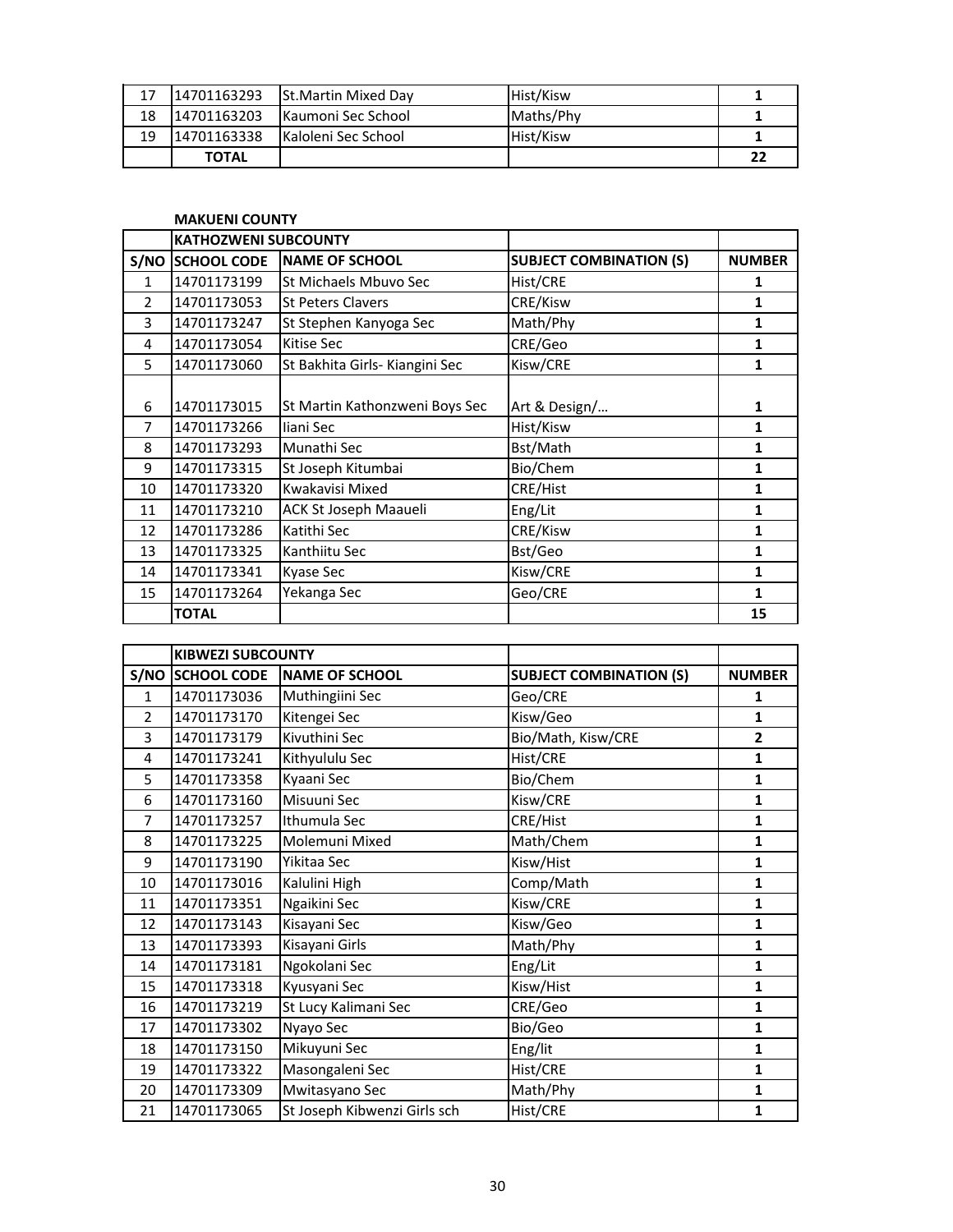| 17 | 14701163293  | <b>St.Martin Mixed Dav</b>  | Hist/Kisw |    |
|----|--------------|-----------------------------|-----------|----|
| 18 | 14701163203  | <b>Kaumoni Sec School</b>   | Maths/Phy |    |
| 19 | 14701163338  | <b>IKaloleni Sec School</b> | Hist/Kisw |    |
|    | <b>TOTAL</b> |                             |           | 22 |

|                | <b>MAKUENI COUNTY</b>       |                                |                                |               |
|----------------|-----------------------------|--------------------------------|--------------------------------|---------------|
|                | <b>KATHOZWENI SUBCOUNTY</b> |                                |                                |               |
|                | <b>S/NO SCHOOL CODE</b>     | <b>NAME OF SCHOOL</b>          | <b>SUBJECT COMBINATION (S)</b> | <b>NUMBER</b> |
| $\mathbf{1}$   | 14701173199                 | St Michaels Mbuvo Sec          | Hist/CRE                       | 1             |
| $\overline{2}$ | 14701173053                 | <b>St Peters Clavers</b>       | CRE/Kisw                       | 1             |
| 3              | 14701173247                 | St Stephen Kanyoga Sec         | Math/Phy                       | 1             |
| 4              | 14701173054                 | Kitise Sec                     | CRE/Geo                        | 1             |
| 5              | 14701173060                 | St Bakhita Girls- Kiangini Sec | Kisw/CRE                       | 1             |
|                |                             |                                |                                |               |
| 6              | 14701173015                 | St Martin Kathonzweni Boys Sec | Art & Design/                  | 1             |
| 7              | 14701173266                 | liani Sec                      | Hist/Kisw                      | 1             |
| 8              | 14701173293                 | Munathi Sec                    | Bst/Math                       | 1             |
| 9              | 14701173315                 | St Joseph Kitumbai             | Bio/Chem                       | 1             |
| 10             | 14701173320                 | Kwakavisi Mixed                | CRE/Hist                       | 1             |
| 11             | 14701173210                 | ACK St Joseph Maaueli          | Eng/Lit                        | 1             |
| 12             | 14701173286                 | Katithi Sec                    | CRE/Kisw                       | $\mathbf{1}$  |
| 13             | 14701173325                 | Kanthiitu Sec                  | Bst/Geo                        | 1             |
| 14             | 14701173341                 | <b>Kyase Sec</b>               | Kisw/CRE                       | 1             |
| 15             | 14701173264                 | Yekanga Sec                    | Geo/CRE                        | 1             |
|                | <b>TOTAL</b>                |                                |                                | 15            |

|                | <b>KIBWEZI SUBCOUNTY</b> |                              |                                |               |
|----------------|--------------------------|------------------------------|--------------------------------|---------------|
|                | S/NO SCHOOL CODE         | <b>NAME OF SCHOOL</b>        | <b>SUBJECT COMBINATION (S)</b> | <b>NUMBER</b> |
| $\mathbf{1}$   | 14701173036              | Muthingiini Sec              | Geo/CRE                        | 1             |
| $\mathcal{P}$  | 14701173170              | Kitengei Sec                 | Kisw/Geo                       | $\mathbf{1}$  |
| 3              | 14701173179              | Kivuthini Sec                | Bio/Math, Kisw/CRE             | $\mathbf{2}$  |
| 4              | 14701173241              | Kithyululu Sec               | Hist/CRE                       | $\mathbf{1}$  |
| 5              | 14701173358              | Kyaani Sec                   | Bio/Chem                       | 1             |
| 6              | 14701173160              | Misuuni Sec                  | Kisw/CRE                       | $\mathbf{1}$  |
| $\overline{7}$ | 14701173257              | Ithumula Sec                 | CRE/Hist                       | 1             |
| 8              | 14701173225              | Molemuni Mixed               | Math/Chem                      | $\mathbf{1}$  |
| 9              | 14701173190              | Yikitaa Sec                  | Kisw/Hist                      | $\mathbf{1}$  |
| 10             | 14701173016              | Kalulini High                | Comp/Math                      | 1             |
| 11             | 14701173351              | Ngaikini Sec                 | Kisw/CRE                       | $\mathbf{1}$  |
| 12             | 14701173143              | Kisayani Sec                 | Kisw/Geo                       | 1             |
| 13             | 14701173393              | Kisayani Girls               | Math/Phy                       | $\mathbf{1}$  |
| 14             | 14701173181              | Ngokolani Sec                | Eng/Lit                        | 1             |
| 15             | 14701173318              | Kyusyani Sec                 | Kisw/Hist                      | 1             |
| 16             | 14701173219              | St Lucy Kalimani Sec         | CRE/Geo                        | $\mathbf{1}$  |
| 17             | 14701173302              | Nyayo Sec                    | Bio/Geo                        | 1             |
| 18             | 14701173150              | Mikuyuni Sec                 | Eng/lit                        | $\mathbf{1}$  |
| 19             | 14701173322              | Masongaleni Sec              | Hist/CRE                       | $\mathbf{1}$  |
| 20             | 14701173309              | Mwitasyano Sec               | Math/Phy                       | 1             |
| 21             | 14701173065              | St Joseph Kibwenzi Girls sch | Hist/CRE                       | 1             |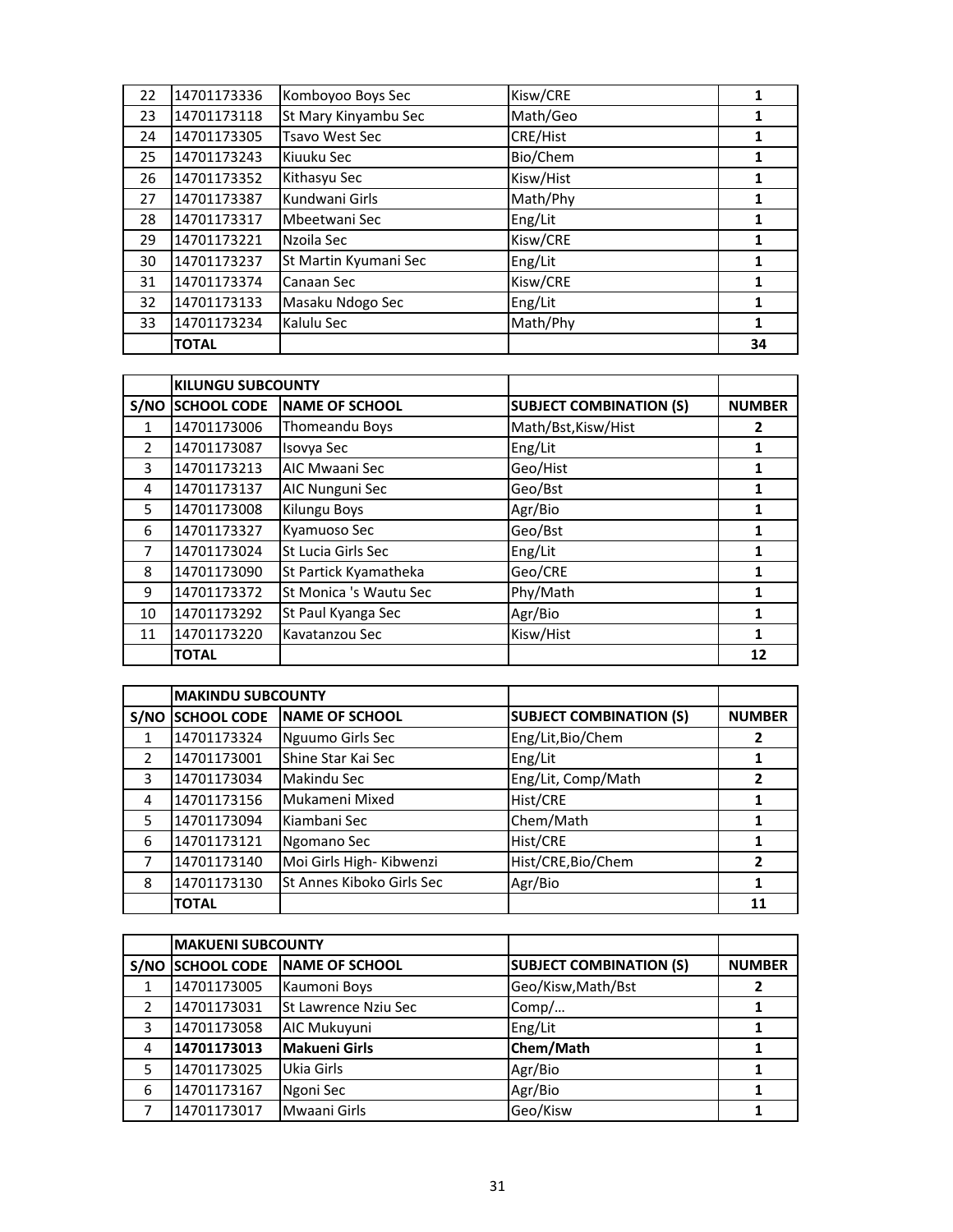| 22 | 14701173336  | Komboyoo Boys Sec     | Kisw/CRE  |    |
|----|--------------|-----------------------|-----------|----|
| 23 | 14701173118  | St Mary Kinyambu Sec  | Math/Geo  |    |
| 24 | 14701173305  | <b>Tsavo West Sec</b> | CRE/Hist  |    |
| 25 | 14701173243  | Kiuuku Sec            | Bio/Chem  | 1  |
| 26 | 14701173352  | Kithasyu Sec          | Kisw/Hist | 1  |
| 27 | 14701173387  | Kundwani Girls        | Math/Phy  | 1  |
| 28 | 14701173317  | Mbeetwani Sec         | Eng/Lit   | 1  |
| 29 | 14701173221  | Nzoila Sec            | Kisw/CRE  | 1  |
| 30 | 14701173237  | St Martin Kyumani Sec | Eng/Lit   |    |
| 31 | 14701173374  | Canaan Sec            | Kisw/CRE  |    |
| 32 | 14701173133  | Masaku Ndogo Sec      | Eng/Lit   |    |
| 33 | 14701173234  | Kalulu Sec            | Math/Phy  | 1  |
|    | <b>TOTAL</b> |                       |           | 34 |

|               | <b>KILUNGU SUBCOUNTY</b> |                        |                                |               |
|---------------|--------------------------|------------------------|--------------------------------|---------------|
| S/NO          | <b>SCHOOL CODE</b>       | <b>NAME OF SCHOOL</b>  | <b>SUBJECT COMBINATION (S)</b> | <b>NUMBER</b> |
| $\mathbf{1}$  | 14701173006              | Thomeandu Boys         | Math/Bst, Kisw/Hist            | 2             |
| $\mathcal{P}$ | 14701173087              | Isovya Sec             | Eng/Lit                        |               |
| 3             | 14701173213              | AIC Mwaani Sec         | Geo/Hist                       | 1             |
| 4             | 14701173137              | AIC Nunguni Sec        | Geo/Bst                        |               |
| 5             | 14701173008              | Kilungu Boys           | Agr/Bio                        |               |
| 6             | 14701173327              | Kyamuoso Sec           | Geo/Bst                        | 1             |
| 7             | 14701173024              | St Lucia Girls Sec     | Eng/Lit                        |               |
| 8             | 14701173090              | St Partick Kyamatheka  | Geo/CRE                        |               |
| 9             | 14701173372              | St Monica 's Wautu Sec | Phy/Math                       | 1             |
| 10            | 14701173292              | St Paul Kyanga Sec     | Agr/Bio                        | 1             |
| 11            | 14701173220              | Kavatanzou Sec         | Kisw/Hist                      | 1             |
|               | <b>TOTAL</b>             |                        |                                | 12            |

|               | <b>MAKINDU SUBCOUNTY</b> |                           |                                |               |
|---------------|--------------------------|---------------------------|--------------------------------|---------------|
| S/NO          | <b>SCHOOL CODE</b>       | <b>NAME OF SCHOOL</b>     | <b>SUBJECT COMBINATION (S)</b> | <b>NUMBER</b> |
| 1             | 14701173324              | Nguumo Girls Sec          | Eng/Lit, Bio/Chem              | 2             |
| $\mathcal{P}$ | 14701173001              | Shine Star Kai Sec        | Eng/Lit                        |               |
| 3             | 14701173034              | Makindu Sec               | Eng/Lit, Comp/Math             |               |
| 4             | 14701173156              | Mukameni Mixed            | Hist/CRE                       |               |
| 5             | 14701173094              | Kiambani Sec              | Chem/Math                      |               |
| 6             | 14701173121              | Ngomano Sec               | Hist/CRE                       |               |
|               | 14701173140              | Moi Girls High- Kibwenzi  | Hist/CRE, Bio/Chem             | 2             |
| 8             | 14701173130              | St Annes Kiboko Girls Sec | Agr/Bio                        |               |
|               | <b>TOTAL</b>             |                           |                                | 11            |

|      | <b>MAKUENI SUBCOUNTY</b> |                       |                                |               |
|------|--------------------------|-----------------------|--------------------------------|---------------|
| S/NO | <b>SCHOOL CODE</b>       | <b>NAME OF SCHOOL</b> | <b>SUBJECT COMBINATION (S)</b> | <b>NUMBER</b> |
|      | 14701173005              | Kaumoni Boys          | Geo/Kisw, Math/Bst             |               |
|      | 14701173031              | St Lawrence Nziu Sec  | Comp/                          |               |
| 3    | 14701173058              | AIC Mukuyuni          | Eng/Lit                        |               |
| 4    | 14701173013              | <b>Makueni Girls</b>  | Chem/Math                      |               |
| 5    | 14701173025              | Ukia Girls            | Agr/Bio                        |               |
| 6    | 14701173167              | Ngoni Sec             | Agr/Bio                        |               |
|      | 14701173017              | Mwaani Girls          | Geo/Kisw                       |               |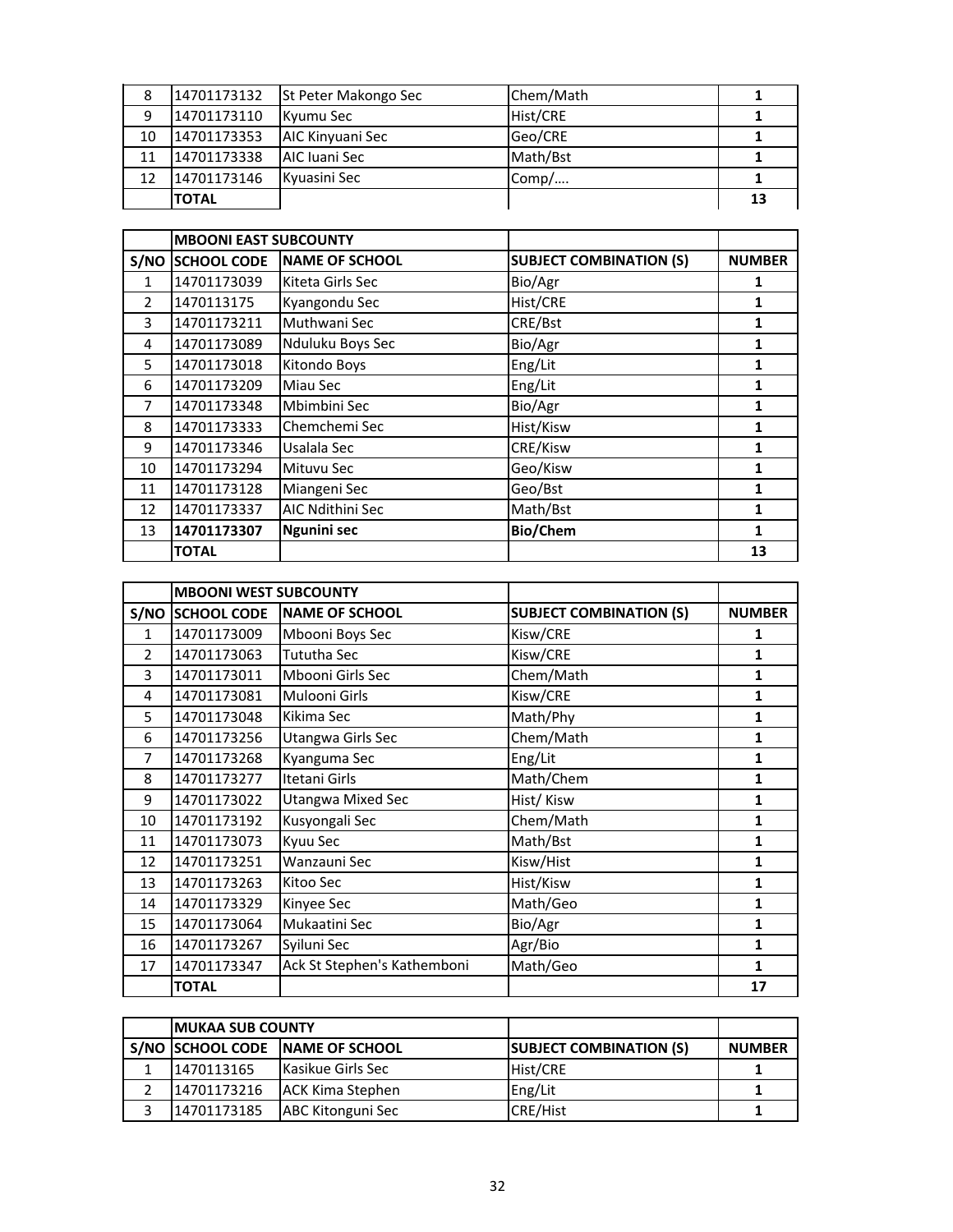| 8  | 14701173132  | <b>St Peter Makongo Sec</b> | Chem/Math |    |
|----|--------------|-----------------------------|-----------|----|
| 9  | 14701173110  | Kyumu Sec                   | Hist/CRE  |    |
| 10 | 14701173353  | AIC Kinyuani Sec            | Geo/CRE   |    |
| 11 | 14701173338  | AIC Iuani Sec               | Math/Bst  |    |
| 12 | 14701173146  | Kyuasini Sec                | Comp/     |    |
|    | <b>TOTAL</b> |                             |           | 13 |

|                | <b>MBOONI EAST SUBCOUNTY</b> |                       |                                |               |
|----------------|------------------------------|-----------------------|--------------------------------|---------------|
|                | S/NO SCHOOL CODE             | <b>NAME OF SCHOOL</b> | <b>SUBJECT COMBINATION (S)</b> | <b>NUMBER</b> |
| 1              | 14701173039                  | Kiteta Girls Sec      | Bio/Agr                        | 1             |
| $\overline{2}$ | 1470113175                   | Kyangondu Sec         | Hist/CRE                       | 1             |
| 3              | 14701173211                  | Muthwani Sec          | CRE/Bst                        | 1             |
| 4              | 14701173089                  | Nduluku Boys Sec      | Bio/Agr                        | 1             |
| 5              | 14701173018                  | Kitondo Boys          | Eng/Lit                        | 1             |
| 6              | 14701173209                  | Miau Sec              | Eng/Lit                        | 1             |
| 7              | 14701173348                  | Mbimbini Sec          | Bio/Agr                        | 1             |
| 8              | 14701173333                  | Chemchemi Sec         | Hist/Kisw                      | 1             |
| 9              | 14701173346                  | Usalala Sec           | CRE/Kisw                       | 1             |
| 10             | 14701173294                  | Mituvu Sec            | Geo/Kisw                       | 1             |
| 11             | 14701173128                  | Miangeni Sec          | Geo/Bst                        | 1             |
| 12             | 14701173337                  | AIC Ndithini Sec      | Math/Bst                       | 1             |
| 13             | 14701173307                  | <b>Ngunini sec</b>    | <b>Bio/Chem</b>                | 1             |
|                | <b>TOTAL</b>                 |                       |                                | 13            |

|               | <b>MBOONI WEST SUBCOUNTY</b> |                             |                                |               |
|---------------|------------------------------|-----------------------------|--------------------------------|---------------|
|               | S/NO SCHOOL CODE             | <b>NAME OF SCHOOL</b>       | <b>SUBJECT COMBINATION (S)</b> | <b>NUMBER</b> |
| $\mathbf{1}$  | 14701173009                  | Mbooni Boys Sec             | Kisw/CRE                       | 1             |
| $\mathcal{P}$ | 14701173063                  | <b>Tututha Sec</b>          | Kisw/CRE                       | 1             |
| 3             | 14701173011                  | Mbooni Girls Sec            | Chem/Math                      | 1             |
| 4             | 14701173081                  | Mulooni Girls               | Kisw/CRE                       | $\mathbf{1}$  |
| 5             | 14701173048                  | Kikima Sec                  | Math/Phy                       | 1             |
| 6             | 14701173256                  | Utangwa Girls Sec           | Chem/Math                      | 1             |
| 7             | 14701173268                  | Kyanguma Sec                | Eng/Lit                        | 1             |
| 8             | 14701173277                  | Itetani Girls               | Math/Chem                      | 1             |
| 9             | 14701173022                  | <b>Utangwa Mixed Sec</b>    | Hist/Kisw                      | 1             |
| 10            | 14701173192                  | Kusyongali Sec              | Chem/Math                      | 1             |
| 11            | 14701173073                  | Kyuu Sec                    | Math/Bst                       | 1             |
| 12            | 14701173251                  | Wanzauni Sec                | Kisw/Hist                      | 1             |
| 13            | 14701173263                  | Kitoo Sec                   | Hist/Kisw                      | 1             |
| 14            | 14701173329                  | Kinyee Sec                  | Math/Geo                       | 1             |
| 15            | 14701173064                  | Mukaatini Sec               | Bio/Agr                        | 1             |
| 16            | 14701173267                  | Syiluni Sec                 | Agr/Bio                        | 1             |
| 17            | 14701173347                  | Ack St Stephen's Kathemboni | Math/Geo                       | 1             |
|               | <b>TOTAL</b>                 |                             |                                | 17            |

| <b>IMUKAA SUB COUNTY</b> |                                 |                                |               |
|--------------------------|---------------------------------|--------------------------------|---------------|
|                          | S/NO SCHOOL CODE NAME OF SCHOOL | <b>SUBJECT COMBINATION (S)</b> | <b>NUMBER</b> |
| 1470113165               | <b>Kasikue Girls Sec</b>        | Hist/CRE                       |               |
| 14701173216              | <b>ACK Kima Stephen</b>         | Eng/Lit                        |               |
| 14701173185              | <b>ABC Kitonguni Sec</b>        | CRE/Hist                       |               |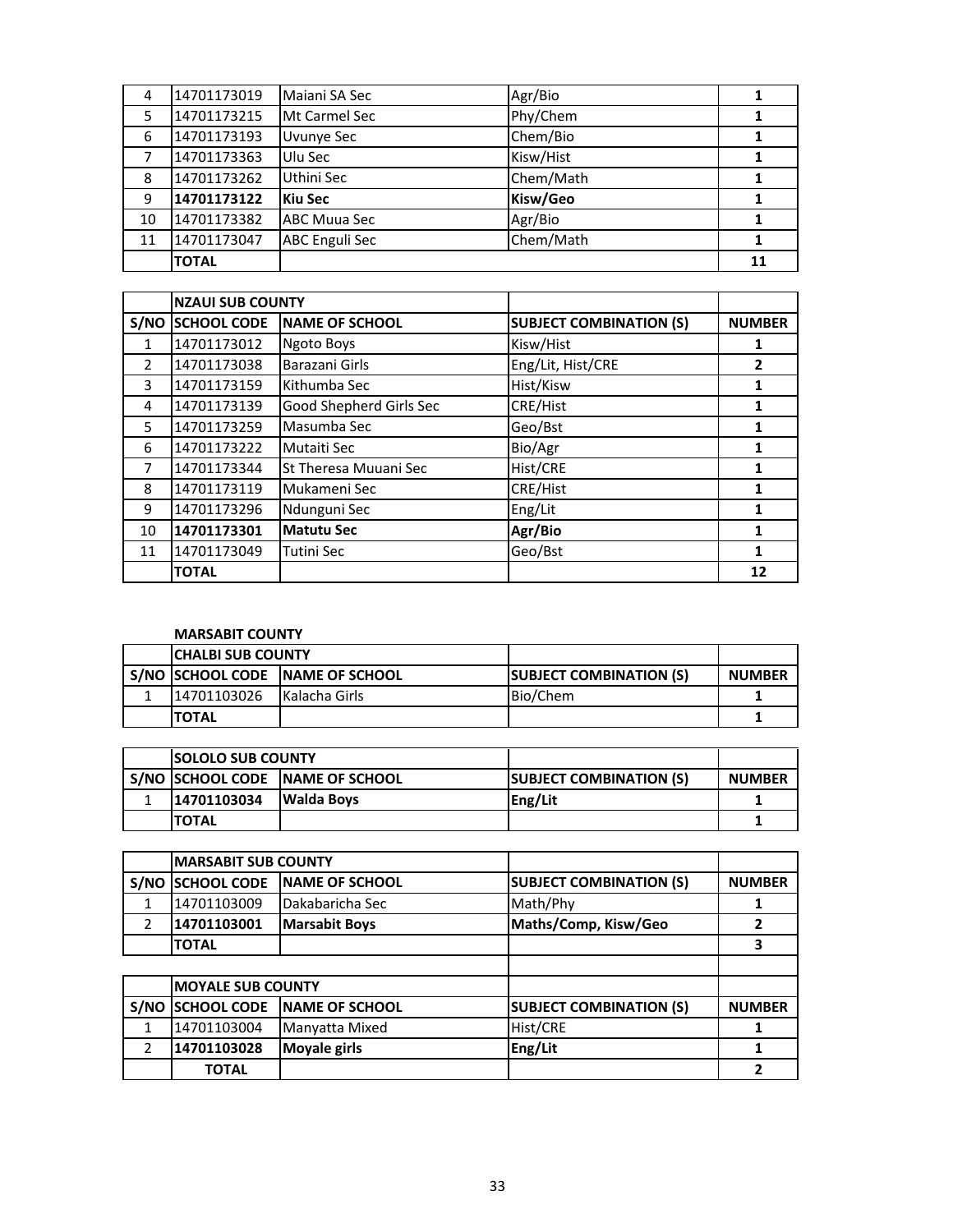| 4  | 14701173019  | Maiani SA Sec         | Agr/Bio   |    |
|----|--------------|-----------------------|-----------|----|
| 5  | 14701173215  | Mt Carmel Sec         | Phy/Chem  |    |
| 6  | 14701173193  | <b>Uvunye Sec</b>     | Chem/Bio  |    |
|    | 14701173363  | Ulu Sec               | Kisw/Hist |    |
| 8  | 14701173262  | Uthini Sec            | Chem/Math |    |
| 9  | 14701173122  | <b>Kiu Sec</b>        | Kisw/Geo  |    |
| 10 | 14701173382  | ABC Muua Sec          | Agr/Bio   |    |
| 11 | 14701173047  | <b>ABC Enguli Sec</b> | Chem/Math |    |
|    | <b>TOTAL</b> |                       |           | 11 |

|               | <b>NZAUI SUB COUNTY</b> |                              |                                |               |
|---------------|-------------------------|------------------------------|--------------------------------|---------------|
| S/NO          | <b>SCHOOL CODE</b>      | <b>NAME OF SCHOOL</b>        | <b>SUBJECT COMBINATION (S)</b> | <b>NUMBER</b> |
| 1             | 14701173012             | <b>Ngoto Boys</b>            | Kisw/Hist                      | 1             |
| $\mathcal{P}$ | 14701173038             | Barazani Girls               | Eng/Lit, Hist/CRE              | 2             |
| 3             | 14701173159             | Kithumba Sec                 | Hist/Kisw                      | 1             |
| 4             | 14701173139             | Good Shepherd Girls Sec      | <b>CRE/Hist</b>                | 1             |
| 5.            | 14701173259             | Masumba Sec                  | Geo/Bst                        | 1             |
| 6             | 14701173222             | Mutaiti Sec                  | Bio/Agr                        | 1             |
| 7             | 14701173344             | <b>St Theresa Muuani Sec</b> | Hist/CRE                       | 1             |
| 8             | 14701173119             | Mukameni Sec                 | <b>CRE/Hist</b>                | 1             |
| 9             | 14701173296             | Ndunguni Sec                 | Eng/Lit                        | 1             |
| 10            | 14701173301             | <b>Matutu Sec</b>            | Agr/Bio                        | $\mathbf{1}$  |
| 11            | 14701173049             | Tutini Sec                   | Geo/Bst                        | 1             |
|               | <b>TOTAL</b>            |                              |                                | 12            |

## **MARSABIT COUNTY**

| <b>CHALBI SUB COUNTY</b> |                                     |                                |               |
|--------------------------|-------------------------------------|--------------------------------|---------------|
|                          | I S/NO ISCHOOL CODE INAME OF SCHOOL | <b>SUBJECT COMBINATION (S)</b> | <b>NUMBER</b> |
| 14701103026              | <b>IKalacha Girls</b>               | Bio/Chem                       |               |
| <b>TOTAL</b>             |                                     |                                |               |

| <b>ISOLOLO SUB COUNTY</b> |                                   |                                |               |
|---------------------------|-----------------------------------|--------------------------------|---------------|
|                           | S/NO ISCHOOL CODE INAME OF SCHOOL | <b>SUBJECT COMBINATION (S)</b> | <b>NUMBER</b> |
| 14701103034               | <b>IWalda Bovs</b>                | Eng/Lit                        |               |
| <b>ITOTAL</b>             |                                   |                                |               |

|               | <b>MARSABIT SUB COUNTY</b> |                       |                                |               |
|---------------|----------------------------|-----------------------|--------------------------------|---------------|
| S/NO          | <b>SCHOOL CODE</b>         | <b>NAME OF SCHOOL</b> | <b>SUBJECT COMBINATION (S)</b> | <b>NUMBER</b> |
| 1             | 14701103009                | Dakabaricha Sec       | Math/Phy                       |               |
| $\mathcal{P}$ | 14701103001                | <b>Marsabit Boys</b>  | Maths/Comp, Kisw/Geo           |               |
|               | <b>TOTAL</b>               |                       |                                | 3             |
|               |                            |                       |                                |               |
|               | <b>MOYALE SUB COUNTY</b>   |                       |                                |               |
| S/NO          | <b>SCHOOL CODE</b>         | NAME OF SCHOOL        | <b>SUBJECT COMBINATION (S)</b> | <b>NUMBER</b> |
|               | 14701103004                | Manyatta Mixed        | Hist/CRE                       |               |
|               | 14701103028                | <b>Moyale girls</b>   | Eng/Lit                        |               |
|               | <b>TOTAL</b>               |                       |                                | 2             |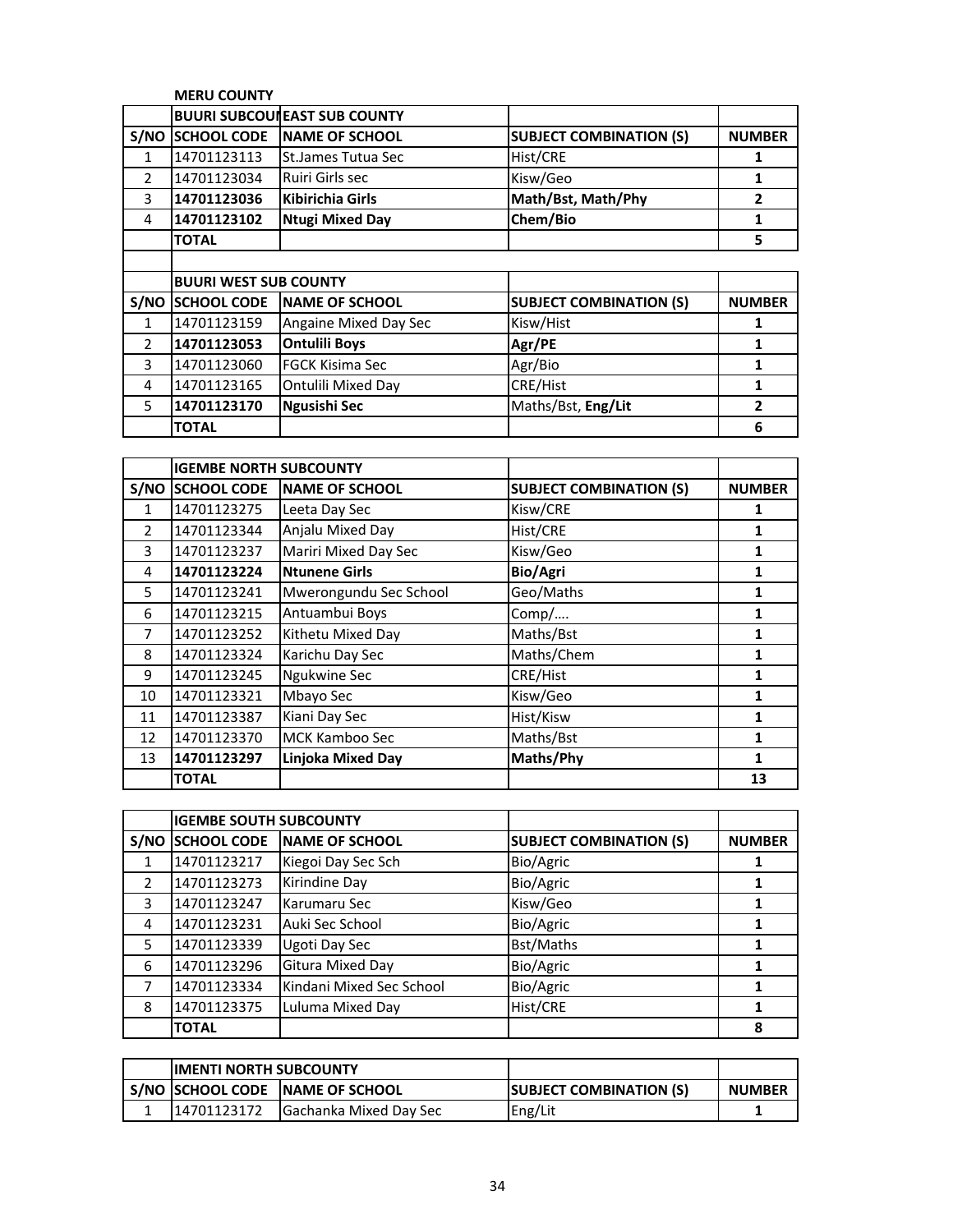|               | <b>MERU COUNTY</b>           |                                     |                                |                |  |
|---------------|------------------------------|-------------------------------------|--------------------------------|----------------|--|
|               |                              | <b>BUURI SUBCOUREAST SUB COUNTY</b> |                                |                |  |
| S/NO          | <b>SCHOOL CODE</b>           | <b>NAME OF SCHOOL</b>               | <b>SUBJECT COMBINATION (S)</b> | <b>NUMBER</b>  |  |
| 1             | 14701123113                  | St.James Tutua Sec                  | Hist/CRE                       | 1              |  |
| $\mathcal{P}$ | 14701123034                  | Ruiri Girls sec                     | Kisw/Geo                       | 1              |  |
| 3             | 14701123036                  | <b>Kibirichia Girls</b>             | Math/Bst, Math/Phy             | $\overline{2}$ |  |
| 4             | 14701123102                  | <b>Ntugi Mixed Day</b>              | Chem/Bio                       | 1              |  |
|               | <b>TOTAL</b>                 |                                     |                                | 5              |  |
|               |                              |                                     |                                |                |  |
|               | <b>BUURI WEST SUB COUNTY</b> |                                     |                                |                |  |
| S/NO          | <b>SCHOOL CODE</b>           | <b>NAME OF SCHOOL</b>               | <b>SUBJECT COMBINATION (S)</b> | <b>NUMBER</b>  |  |
| $\mathbf{1}$  | 14701123159                  | Angaine Mixed Day Sec               | Kisw/Hist                      | 1              |  |
| $\mathcal{P}$ | 14701123053                  | <b>Ontulili Boys</b>                | Agr/PE                         | 1              |  |
| 3             | 14701123060                  | <b>FGCK Kisima Sec</b>              | Agr/Bio                        | 1              |  |
| 4             | 14701123165                  | Ontulili Mixed Day                  | CRE/Hist                       | 1              |  |
| 5             | 14701123170                  | Ngusishi Sec                        | Maths/Bst, Eng/Lit             | 2              |  |
|               | <b>TOTAL</b>                 |                                     |                                | 6              |  |

|                | <b>IGEMBE NORTH SUBCOUNTY</b> |                          |                                |               |
|----------------|-------------------------------|--------------------------|--------------------------------|---------------|
| S/NO           | <b>SCHOOL CODE</b>            | <b>NAME OF SCHOOL</b>    | <b>SUBJECT COMBINATION (S)</b> | <b>NUMBER</b> |
| $\mathbf{1}$   | 14701123275                   | Leeta Day Sec            | Kisw/CRE                       | 1             |
| $\overline{2}$ | 14701123344                   | Anjalu Mixed Day         | Hist/CRE                       | 1             |
| 3              | 14701123237                   | Mariri Mixed Day Sec     | Kisw/Geo                       | 1             |
| 4              | 14701123224                   | <b>Ntunene Girls</b>     | Bio/Agri                       | 1             |
| 5              | 14701123241                   | Mwerongundu Sec School   | Geo/Maths                      | 1             |
| 6              | 14701123215                   | Antuambui Boys           | Comp/                          | 1             |
| $\overline{7}$ | 14701123252                   | Kithetu Mixed Day        | Maths/Bst                      | 1             |
| 8              | 14701123324                   | Karichu Day Sec          | Maths/Chem                     | 1             |
| 9              | 14701123245                   | Ngukwine Sec             | CRE/Hist                       | 1             |
| 10             | 14701123321                   | Mbayo Sec                | Kisw/Geo                       | 1             |
| 11             | 14701123387                   | Kiani Day Sec            | Hist/Kisw                      | 1             |
| 12             | 14701123370                   | <b>MCK Kamboo Sec</b>    | Maths/Bst                      | 1             |
| 13             | 14701123297                   | <b>Linjoka Mixed Day</b> | Maths/Phy                      | 1             |
|                | <b>TOTAL</b>                  |                          |                                | 13            |

|               | <b>IGEMBE SOUTH SUBCOUNTY</b> |                          |                                |               |
|---------------|-------------------------------|--------------------------|--------------------------------|---------------|
| S/NO          | <b>SCHOOL CODE</b>            | <b>NAME OF SCHOOL</b>    | <b>SUBJECT COMBINATION (S)</b> | <b>NUMBER</b> |
|               | 14701123217                   | Kiegoi Day Sec Sch       | Bio/Agric                      |               |
| $\mathcal{P}$ | 14701123273                   | Kirindine Day            | Bio/Agric                      |               |
| 3             | 14701123247                   | Karumaru Sec             | Kisw/Geo                       |               |
| 4             | 14701123231                   | Auki Sec School          | Bio/Agric                      |               |
| 5             | 14701123339                   | Ugoti Day Sec            | Bst/Maths                      |               |
| 6             | 14701123296                   | Gitura Mixed Day         | Bio/Agric                      |               |
| 7             | 14701123334                   | Kindani Mixed Sec School | Bio/Agric                      |               |
| 8             | 14701123375                   | Luluma Mixed Day         | Hist/CRE                       |               |
|               | <b>TOTAL</b>                  |                          |                                | 8             |

| <b>IIMENTI NORTH SUBCOUNTY</b> |                                  |                                |               |
|--------------------------------|----------------------------------|--------------------------------|---------------|
|                                | S/NO SCHOOL CODE INAME OF SCHOOL | <b>SUBJECT COMBINATION (S)</b> | <b>NUMBER</b> |
| 14701123172                    | <b>Gachanka Mixed Day Sec</b>    | Eng/Lit                        |               |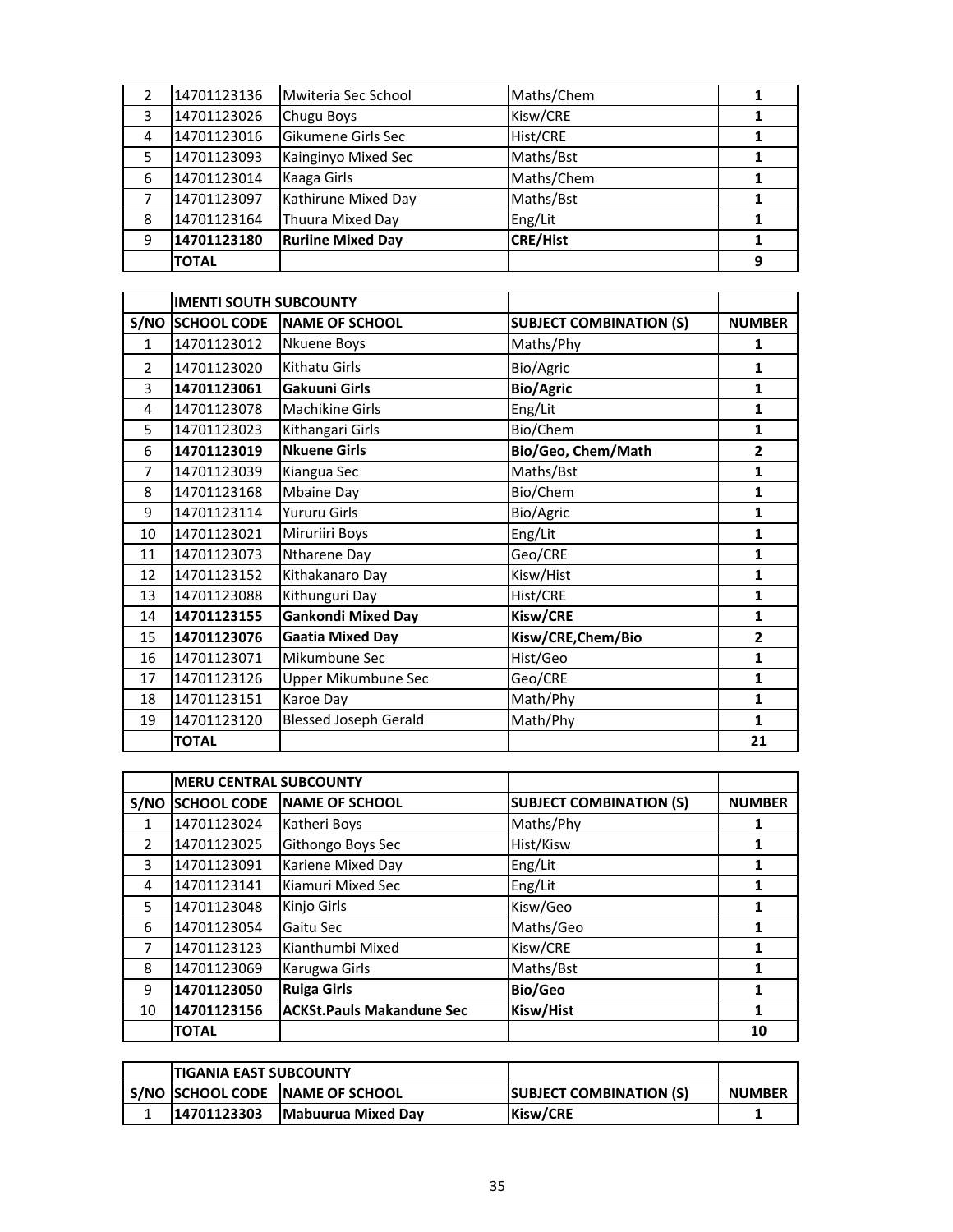|   | 14701123136  | Mwiteria Sec School      | Maths/Chem      |   |
|---|--------------|--------------------------|-----------------|---|
| 3 | 14701123026  | Chugu Boys               | Kisw/CRE        |   |
| 4 | 14701123016  | Gikumene Girls Sec       | <b>Hist/CRE</b> |   |
| 5 | 14701123093  | Kainginyo Mixed Sec      | Maths/Bst       |   |
| 6 | 14701123014  | Kaaga Girls              | Maths/Chem      |   |
|   | 14701123097  | Kathirune Mixed Day      | Maths/Bst       |   |
| 8 | 14701123164  | Thuura Mixed Day         | Eng/Lit         |   |
| 9 | 14701123180  | <b>Ruriine Mixed Day</b> | <b>CRE/Hist</b> |   |
|   | <b>TOTAL</b> |                          |                 | 9 |

|               | <b>IMENTI SOUTH SUBCOUNTY</b> |                              |                                |                |
|---------------|-------------------------------|------------------------------|--------------------------------|----------------|
|               | S/NO SCHOOL CODE              | <b>NAME OF SCHOOL</b>        | <b>SUBJECT COMBINATION (S)</b> | <b>NUMBER</b>  |
| $\mathbf{1}$  | 14701123012                   | Nkuene Boys                  | Maths/Phy                      | 1              |
| $\mathcal{P}$ | 14701123020                   | Kithatu Girls                | Bio/Agric                      | 1              |
| 3             | 14701123061                   | <b>Gakuuni Girls</b>         | <b>Bio/Agric</b>               | 1              |
| 4             | 14701123078                   | Machikine Girls              | Eng/Lit                        | 1              |
| 5             | 14701123023                   | Kithangari Girls             | Bio/Chem                       | 1              |
| 6             | 14701123019                   | <b>Nkuene Girls</b>          | Bio/Geo, Chem/Math             | $\mathbf{2}$   |
| 7             | 14701123039                   | Kiangua Sec                  | Maths/Bst                      | $\mathbf{1}$   |
| 8             | 14701123168                   | Mbaine Day                   | Bio/Chem                       | 1              |
| 9             | 14701123114                   | Yururu Girls                 | Bio/Agric                      | 1              |
| 10            | 14701123021                   | Miruriiri Boys               | Eng/Lit                        | 1              |
| 11            | 14701123073                   | Ntharene Day                 | Geo/CRE                        | 1              |
| 12            | 14701123152                   | Kithakanaro Day              | Kisw/Hist                      | 1              |
| 13            | 14701123088                   | Kithunguri Day               | Hist/CRE                       | $\mathbf{1}$   |
| 14            | 14701123155                   | <b>Gankondi Mixed Day</b>    | Kisw/CRE                       | 1              |
| 15            | 14701123076                   | <b>Gaatia Mixed Day</b>      | Kisw/CRE, Chem/Bio             | $\overline{2}$ |
| 16            | 14701123071                   | Mikumbune Sec                | Hist/Geo                       | $\mathbf{1}$   |
| 17            | 14701123126                   | Upper Mikumbune Sec          | Geo/CRE                        | 1              |
| 18            | 14701123151                   | Karoe Day                    | Math/Phy                       | 1              |
| 19            | 14701123120                   | <b>Blessed Joseph Gerald</b> | Math/Phy                       | 1              |
|               | <b>TOTAL</b>                  |                              |                                | 21             |

|               | <b>MERU CENTRAL SUBCOUNTY</b> |                                  |                                |               |
|---------------|-------------------------------|----------------------------------|--------------------------------|---------------|
| S/NO          | <b>SCHOOL CODE</b>            | <b>NAME OF SCHOOL</b>            | <b>SUBJECT COMBINATION (S)</b> | <b>NUMBER</b> |
| 1             | 14701123024                   | Katheri Boys                     | Maths/Phy                      |               |
| $\mathcal{P}$ | 14701123025                   | Githongo Boys Sec                | Hist/Kisw                      |               |
| 3             | 14701123091                   | Kariene Mixed Day                | Eng/Lit                        | 1             |
| 4             | 14701123141                   | Kiamuri Mixed Sec                | Eng/Lit                        | 1             |
| 5             | 14701123048                   | Kinjo Girls                      | Kisw/Geo                       |               |
| 6             | 14701123054                   | Gaitu Sec                        | Maths/Geo                      | 1             |
|               | 14701123123                   | Kianthumbi Mixed                 | Kisw/CRE                       |               |
| 8             | 14701123069                   | Karugwa Girls                    | Maths/Bst                      |               |
| 9             | 14701123050                   | <b>Ruiga Girls</b>               | Bio/Geo                        |               |
| 10            | 14701123156                   | <b>ACKSt.Pauls Makandune Sec</b> | Kisw/Hist                      | 1             |
|               | <b>TOTAL</b>                  |                                  |                                | 10            |

| <b>ITIGANIA EAST SUBCOUNTY</b> |                                 |                                |               |
|--------------------------------|---------------------------------|--------------------------------|---------------|
|                                | S/NO SCHOOL CODE NAME OF SCHOOL | <b>SUBJECT COMBINATION (S)</b> | <b>NUMBER</b> |
| 14701123303                    | Mabuurua Mixed Day              | <b>Kisw/CRE</b>                |               |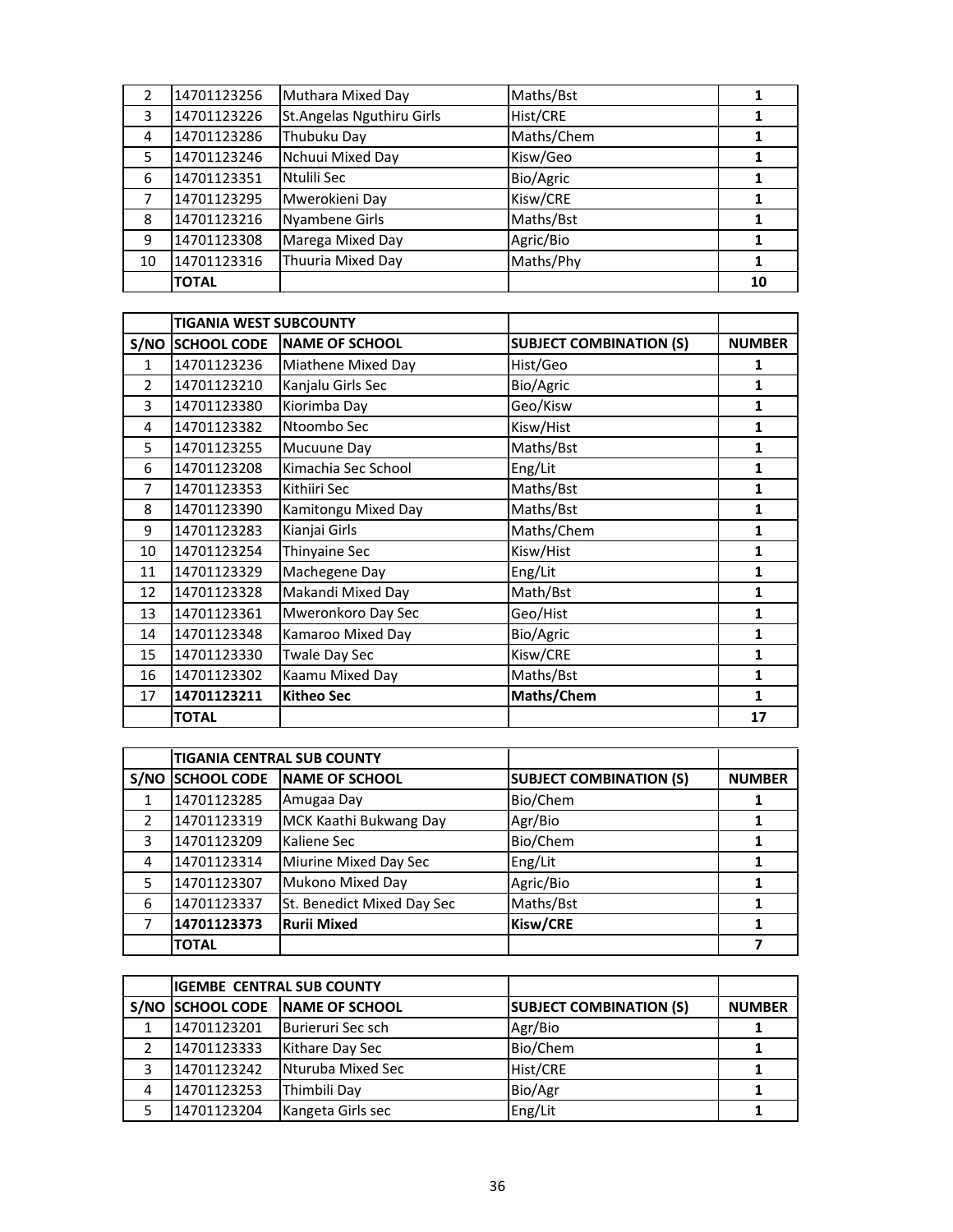|    | 14701123256  | Muthara Mixed Day          | Maths/Bst  |    |
|----|--------------|----------------------------|------------|----|
| 3  | 14701123226  | St. Angelas Nguthiru Girls | Hist/CRE   |    |
| 4  | 14701123286  | Thubuku Day                | Maths/Chem |    |
| 5  | 14701123246  | Nchuui Mixed Day           | Kisw/Geo   |    |
| 6  | 14701123351  | Ntulili Sec                | Bio/Agric  |    |
|    | 14701123295  | Mwerokieni Day             | Kisw/CRE   |    |
| 8  | 14701123216  | <b>Nyambene Girls</b>      | Maths/Bst  |    |
| 9  | 14701123308  | Marega Mixed Day           | Agric/Bio  |    |
| 10 | 14701123316  | Thuuria Mixed Day          | Maths/Phy  |    |
|    | <b>TOTAL</b> |                            |            | 10 |

|                | <b>TIGANIA WEST SUBCOUNTY</b> |                       |                                |               |
|----------------|-------------------------------|-----------------------|--------------------------------|---------------|
|                | S/NO SCHOOL CODE              | <b>NAME OF SCHOOL</b> | <b>SUBJECT COMBINATION (S)</b> | <b>NUMBER</b> |
| 1              | 14701123236                   | Miathene Mixed Day    | Hist/Geo                       | 1             |
| $\mathcal{P}$  | 14701123210                   | Kanjalu Girls Sec     | Bio/Agric                      | 1             |
| 3              | 14701123380                   | Kiorimba Day          | Geo/Kisw                       | 1             |
| 4              | 14701123382                   | Ntoombo Sec           | Kisw/Hist                      | $\mathbf{1}$  |
| 5              | 14701123255                   | Mucuune Day           | Maths/Bst                      | 1             |
| 6              | 14701123208                   | Kimachia Sec School   | Eng/Lit                        | 1             |
| $\overline{7}$ | 14701123353                   | Kithiiri Sec          | Maths/Bst                      | 1             |
| 8              | 14701123390                   | Kamitongu Mixed Day   | Maths/Bst                      | 1             |
| 9              | 14701123283                   | Kianjai Girls         | Maths/Chem                     | 1             |
| 10             | 14701123254                   | Thinyaine Sec         | Kisw/Hist                      | 1             |
| 11             | 14701123329                   | Machegene Day         | Eng/Lit                        | 1             |
| 12             | 14701123328                   | Makandi Mixed Day     | Math/Bst                       | $\mathbf{1}$  |
| 13             | 14701123361                   | Mweronkoro Day Sec    | Geo/Hist                       | 1             |
| 14             | 14701123348                   | Kamaroo Mixed Day     | Bio/Agric                      | 1             |
| 15             | 14701123330                   | <b>Twale Day Sec</b>  | Kisw/CRE                       | 1             |
| 16             | 14701123302                   | Kaamu Mixed Day       | Maths/Bst                      | 1             |
| 17             | 14701123211                   | <b>Kitheo Sec</b>     | Maths/Chem                     | 1             |
|                | <b>TOTAL</b>                  |                       |                                | 17            |

|      |                    | <b>TIGANIA CENTRAL SUB COUNTY</b> |                                |               |
|------|--------------------|-----------------------------------|--------------------------------|---------------|
| S/NO | <b>SCHOOL CODE</b> | <b>NAME OF SCHOOL</b>             | <b>SUBJECT COMBINATION (S)</b> | <b>NUMBER</b> |
|      | 14701123285        | Amugaa Day                        | Bio/Chem                       |               |
| 2    | 14701123319        | MCK Kaathi Bukwang Day            | Agr/Bio                        |               |
| 3    | 14701123209        | Kaliene Sec                       | Bio/Chem                       |               |
| 4    | 14701123314        | Miurine Mixed Day Sec             | Eng/Lit                        |               |
| 5    | 14701123307        | Mukono Mixed Day                  | Agric/Bio                      |               |
| 6    | 14701123337        | St. Benedict Mixed Day Sec        | Maths/Bst                      |               |
|      | 14701123373        | <b>Rurii Mixed</b>                | Kisw/CRE                       |               |
|      | <b>TOTAL</b>       |                                   |                                |               |

|   | <b>IGEMBE CENTRAL SUB COUNTY</b> |                        |                                |               |
|---|----------------------------------|------------------------|--------------------------------|---------------|
|   | S/NO SCHOOL CODE                 | <b>INAME OF SCHOOL</b> | <b>SUBJECT COMBINATION (S)</b> | <b>NUMBER</b> |
|   | 14701123201                      | Burieruri Sec sch      | Agr/Bio                        |               |
|   | 14701123333                      | Kithare Day Sec        | Bio/Chem                       |               |
|   | 14701123242                      | Nturuba Mixed Sec      | Hist/CRE                       |               |
| 4 | 14701123253                      | Thimbili Day           | Bio/Agr                        |               |
|   | 14701123204                      | Kangeta Girls sec      | Eng/Lit                        |               |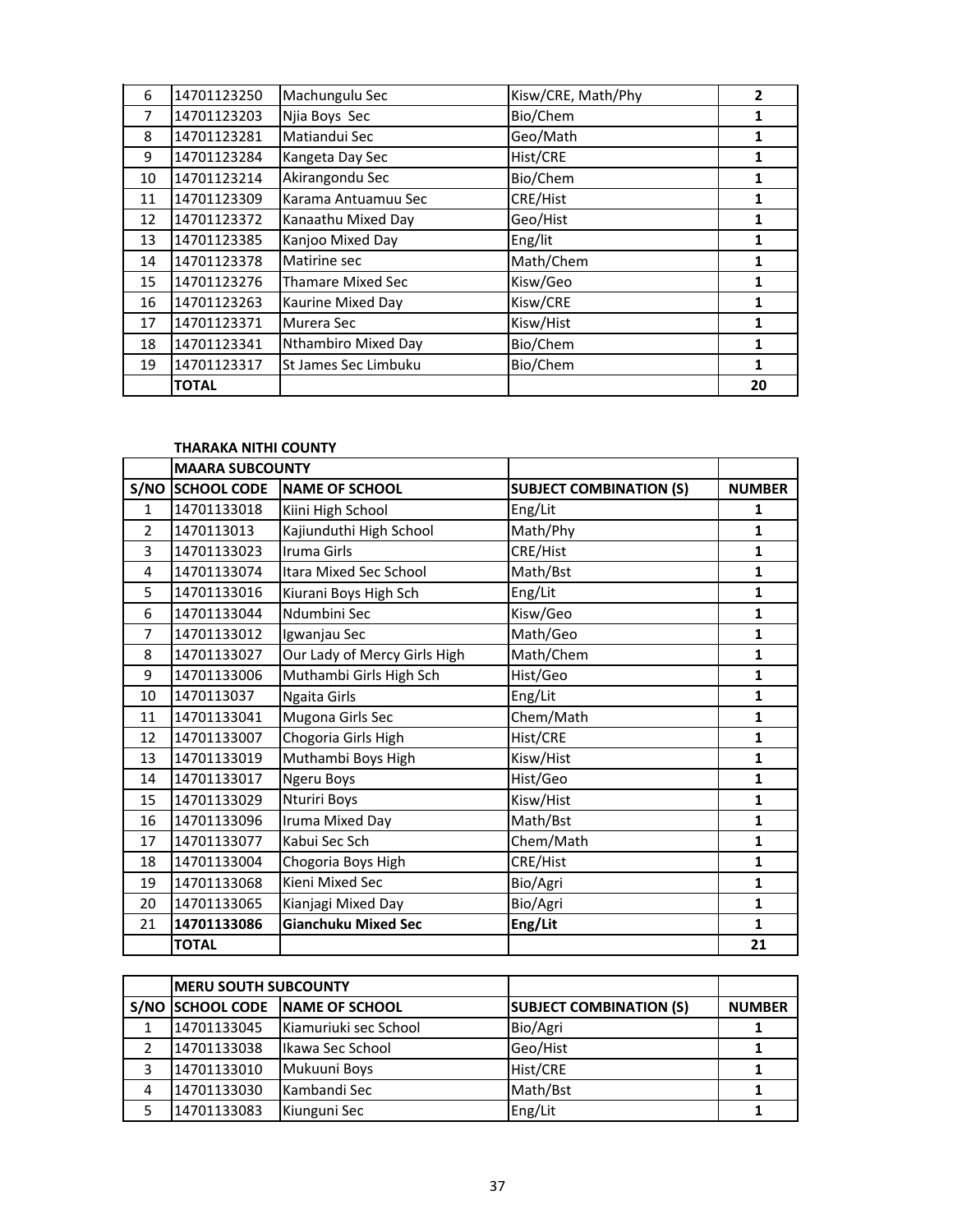| 6  | 14701123250  | Machungulu Sec           | Kisw/CRE, Math/Phy | $\overline{2}$ |
|----|--------------|--------------------------|--------------------|----------------|
| 7  | 14701123203  | Njia Boys Sec            | Bio/Chem           |                |
| 8  | 14701123281  | Matiandui Sec            | Geo/Math           | 1              |
| 9  | 14701123284  | Kangeta Day Sec          | Hist/CRE           | 1              |
| 10 | 14701123214  | Akirangondu Sec          | Bio/Chem           | 1              |
| 11 | 14701123309  | Karama Antuamuu Sec      | CRE/Hist           | 1              |
| 12 | 14701123372  | Kanaathu Mixed Day       | Geo/Hist           | 1              |
| 13 | 14701123385  | Kanjoo Mixed Day         | Eng/lit            | 1              |
| 14 | 14701123378  | Matirine sec             | Math/Chem          | 1              |
| 15 | 14701123276  | <b>Thamare Mixed Sec</b> | Kisw/Geo           | 1              |
| 16 | 14701123263  | Kaurine Mixed Day        | Kisw/CRE           | 1              |
| 17 | 14701123371  | Murera Sec               | Kisw/Hist          | 1              |
| 18 | 14701123341  | Nthambiro Mixed Day      | Bio/Chem           | 1              |
| 19 | 14701123317  | St James Sec Limbuku     | Bio/Chem           | 1              |
|    | <b>TOTAL</b> |                          |                    | 20             |

## **THARAKA NITHI COUNTY**

|                | <b>MAARA SUBCOUNTY</b> |                              |                                |               |
|----------------|------------------------|------------------------------|--------------------------------|---------------|
|                | S/NO SCHOOL CODE       | <b>NAME OF SCHOOL</b>        | <b>SUBJECT COMBINATION (S)</b> | <b>NUMBER</b> |
| $\mathbf{1}$   | 14701133018            | Kiini High School            | Eng/Lit                        | 1             |
| $\overline{2}$ | 1470113013             | Kajiunduthi High School      | Math/Phy                       | $\mathbf{1}$  |
| 3              | 14701133023            | Iruma Girls                  | CRE/Hist                       | $\mathbf{1}$  |
| 4              | 14701133074            | Itara Mixed Sec School       | Math/Bst                       | $\mathbf{1}$  |
| 5              | 14701133016            | Kiurani Boys High Sch        | Eng/Lit                        | $\mathbf{1}$  |
| 6              | 14701133044            | Ndumbini Sec                 | Kisw/Geo                       | $\mathbf{1}$  |
| $\overline{7}$ | 14701133012            | Igwanjau Sec                 | Math/Geo                       | $\mathbf{1}$  |
| 8              | 14701133027            | Our Lady of Mercy Girls High | Math/Chem                      | $\mathbf{1}$  |
| 9              | 14701133006            | Muthambi Girls High Sch      | Hist/Geo                       | $\mathbf{1}$  |
| 10             | 1470113037             | Ngaita Girls                 | Eng/Lit                        | $\mathbf{1}$  |
| 11             | 14701133041            | Mugona Girls Sec             | Chem/Math                      | $\mathbf{1}$  |
| 12             | 14701133007            | Chogoria Girls High          | Hist/CRE                       | $\mathbf{1}$  |
| 13             | 14701133019            | Muthambi Boys High           | Kisw/Hist                      | $\mathbf{1}$  |
| 14             | 14701133017            | Ngeru Boys                   | Hist/Geo                       | $\mathbf{1}$  |
| 15             | 14701133029            | <b>Nturiri Boys</b>          | Kisw/Hist                      | $\mathbf{1}$  |
| 16             | 14701133096            | Iruma Mixed Day              | Math/Bst                       | $\mathbf{1}$  |
| 17             | 14701133077            | Kabui Sec Sch                | Chem/Math                      | $\mathbf{1}$  |
| 18             | 14701133004            | Chogoria Boys High           | CRE/Hist                       | $\mathbf{1}$  |
| 19             | 14701133068            | Kieni Mixed Sec              | Bio/Agri                       | $\mathbf{1}$  |
| 20             | 14701133065            | Kianjagi Mixed Day           | Bio/Agri                       | $\mathbf{1}$  |
| 21             | 14701133086            | <b>Gianchuku Mixed Sec</b>   | Eng/Lit                        | $\mathbf{1}$  |
|                | <b>TOTAL</b>           |                              |                                | 21            |

|   | IMERU SOUTH SUBCOUNTY |                                 |                                |               |
|---|-----------------------|---------------------------------|--------------------------------|---------------|
|   |                       | S/NO SCHOOL CODE NAME OF SCHOOL | <b>SUBJECT COMBINATION (S)</b> | <b>NUMBER</b> |
|   | 14701133045           | Kiamuriuki sec School           | Bio/Agri                       |               |
|   | 14701133038           | Ikawa Sec School                | Geo/Hist                       |               |
|   | 14701133010           | Mukuuni Boys                    | Hist/CRE                       |               |
| 4 | 14701133030           | Kambandi Sec                    | Math/Bst                       |               |
|   | 14701133083           | Kiunguni Sec                    | Eng/Lit                        |               |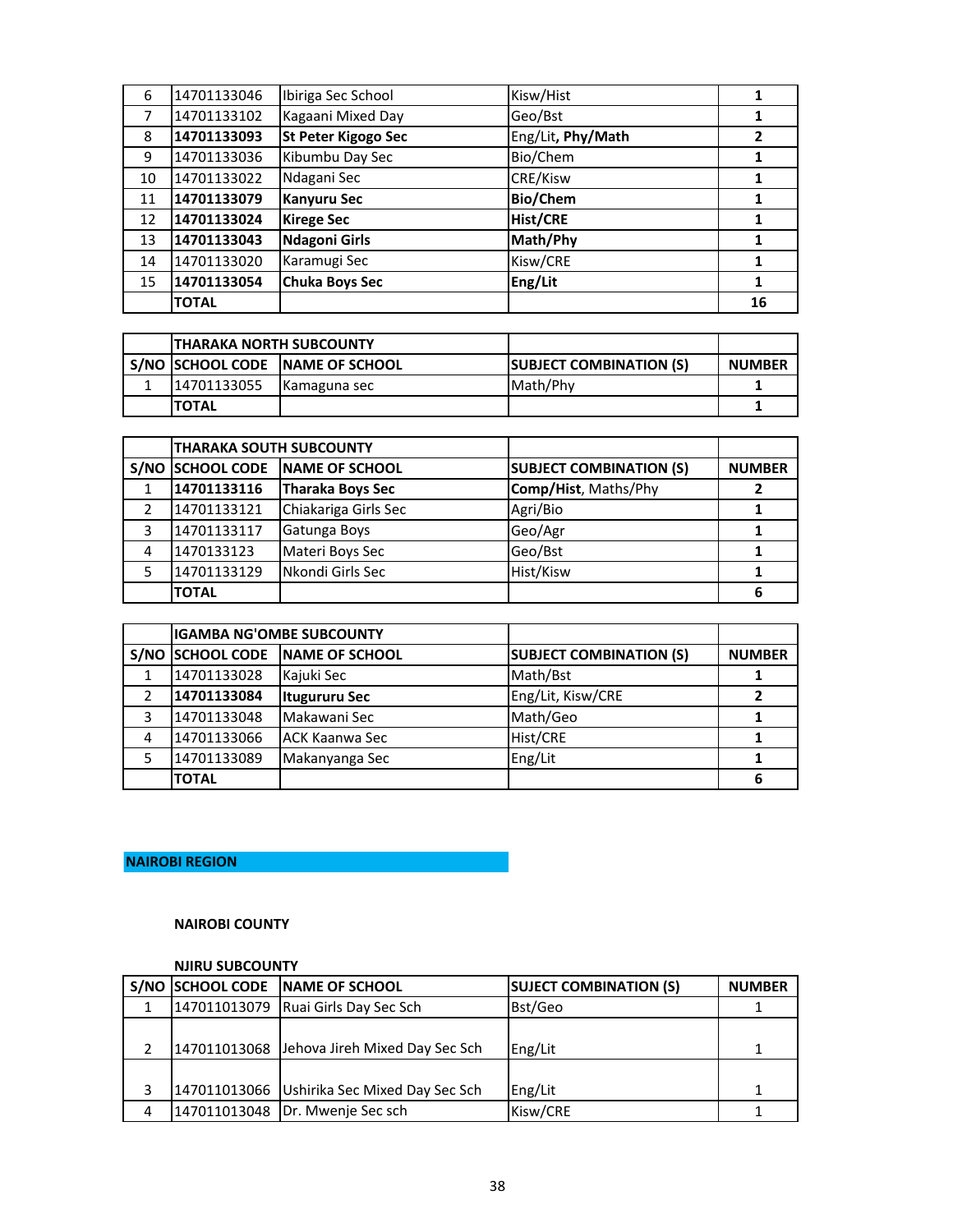| 6  | 14701133046  | Ibiriga Sec School    | Kisw/Hist         |    |
|----|--------------|-----------------------|-------------------|----|
|    | 14701133102  | Kagaani Mixed Day     | Geo/Bst           |    |
| 8  | 14701133093  | St Peter Kigogo Sec   | Eng/Lit, Phy/Math | 2  |
| 9  | 14701133036  | Kibumbu Day Sec       | Bio/Chem          |    |
| 10 | 14701133022  | Ndagani Sec           | CRE/Kisw          |    |
| 11 | 14701133079  | <b>Kanyuru Sec</b>    | <b>Bio/Chem</b>   |    |
| 12 | 14701133024  | <b>Kirege Sec</b>     | <b>Hist/CRE</b>   |    |
| 13 | 14701133043  | Ndagoni Girls         | Math/Phy          |    |
| 14 | 14701133020  | Karamugi Sec          | Kisw/CRE          |    |
| 15 | 14701133054  | <b>Chuka Boys Sec</b> | Eng/Lit           |    |
|    | <b>TOTAL</b> |                       |                   | 16 |

| ITHARAKA NORTH SUBCOUNTY |                                 |                                |               |
|--------------------------|---------------------------------|--------------------------------|---------------|
|                          | S/NO SCHOOL CODE NAME OF SCHOOL | <b>SUBJECT COMBINATION (S)</b> | <b>NUMBER</b> |
| 14701133055              | Kamaguna sec                    | Math/Phy                       |               |
| <b>ITOTAL</b>            |                                 |                                |               |

|      | <b>THARAKA SOUTH SUBCOUNTY</b> |                       |                                |               |
|------|--------------------------------|-----------------------|--------------------------------|---------------|
| S/NO | <b>SCHOOL CODE</b>             | <b>NAME OF SCHOOL</b> | <b>SUBJECT COMBINATION (S)</b> | <b>NUMBER</b> |
|      | 14701133116                    | Tharaka Boys Sec      | Comp/Hist, Maths/Phy           |               |
|      | 14701133121                    | Chiakariga Girls Sec  | Agri/Bio                       |               |
| 3    | 14701133117                    | Gatunga Boys          | Geo/Agr                        |               |
| 4    | 1470133123                     | Materi Boys Sec       | Geo/Bst                        |               |
|      | 14701133129                    | Nkondi Girls Sec      | Hist/Kisw                      |               |
|      | <b>TOTAL</b>                   |                       |                                |               |

|   | <b>IGAMBA NG'OMBE SUBCOUNTY</b> |                                 |                                |               |
|---|---------------------------------|---------------------------------|--------------------------------|---------------|
|   |                                 | S/NO SCHOOL CODE NAME OF SCHOOL | <b>SUBJECT COMBINATION (S)</b> | <b>NUMBER</b> |
|   | 14701133028                     | Kajuki Sec                      | Math/Bst                       |               |
|   | 14701133084                     | <b>Itugururu Sec</b>            | Eng/Lit, Kisw/CRE              |               |
| 3 | 14701133048                     | Makawani Sec                    | Math/Geo                       |               |
| 4 | 14701133066                     | <b>JACK Kaanwa Sec</b>          | Hist/CRE                       |               |
|   | 14701133089                     | Makanyanga Sec                  | Eng/Lit                        |               |
|   | <b>TOTAL</b>                    |                                 |                                |               |

# **NAIROBI REGION**

## **NAIROBI COUNTY**

#### **NJIRU SUBCOUNTY**

|  | S/NO SCHOOL CODE NAME OF SCHOOL             | <b>SUJECT COMBINATION (S)</b> | <b>NUMBER</b> |
|--|---------------------------------------------|-------------------------------|---------------|
|  | 147011013079 Ruai Girls Day Sec Sch         | Bst/Geo                       |               |
|  |                                             |                               |               |
|  | 147011013068 Jehova Jireh Mixed Day Sec Sch | Eng/Lit                       |               |
|  |                                             |                               |               |
|  | 147011013066 Ushirika Sec Mixed Day Sec Sch | Eng/Lit                       | 1             |
|  | 147011013048 Dr. Mwenje Sec sch             | Kisw/CRE                      |               |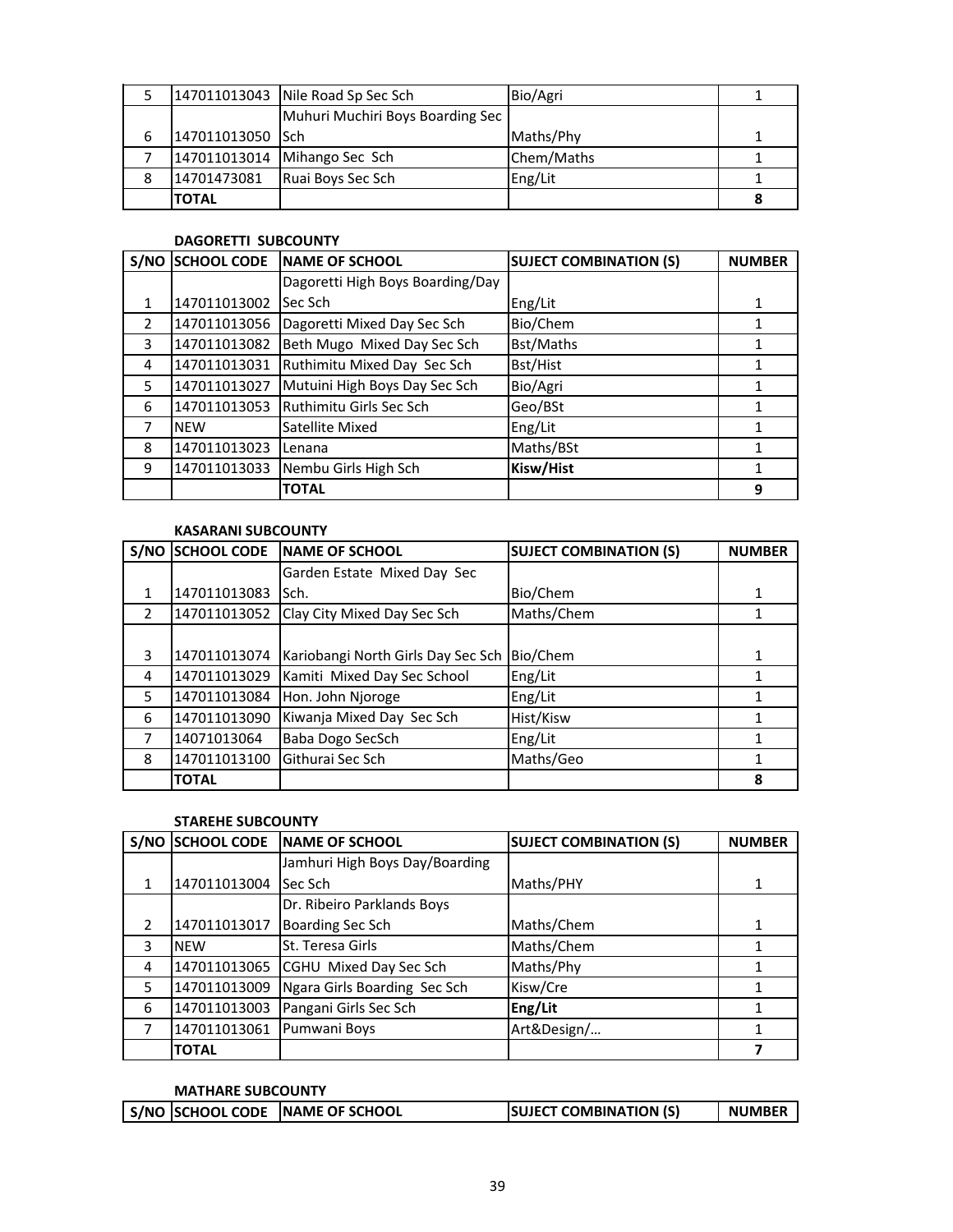|   |                  | 147011013043 Nile Road Sp Sec Sch | Bio/Agri   |  |
|---|------------------|-----------------------------------|------------|--|
|   |                  | Muhuri Muchiri Boys Boarding Sec  |            |  |
| 6 | 147011013050 Sch |                                   | Maths/Phy  |  |
|   |                  | 147011013014 Mihango Sec Sch      | Chem/Maths |  |
| 8 | 14701473081      | Ruai Boys Sec Sch                 | Eng/Lit    |  |
|   | <b>TOTAL</b>     |                                   |            |  |

## **DAGORETTI SUBCOUNTY**

| S/NO          | <b>SCHOOL CODE</b> | <b>NAME OF SCHOOL</b>            | <b>SUJECT COMBINATION (S)</b> | <b>NUMBER</b> |
|---------------|--------------------|----------------------------------|-------------------------------|---------------|
|               |                    | Dagoretti High Boys Boarding/Day |                               |               |
| 1             | 147011013002       | Sec Sch                          | Eng/Lit                       | 1             |
| $\mathcal{P}$ | 147011013056       | Dagoretti Mixed Day Sec Sch      | Bio/Chem                      |               |
| 3             | 147011013082       | Beth Mugo Mixed Day Sec Sch      | Bst/Maths                     |               |
| 4             | 147011013031       | Ruthimitu Mixed Day Sec Sch      | Bst/Hist                      |               |
| 5             | 147011013027       | Mutuini High Boys Day Sec Sch    | Bio/Agri                      |               |
| 6             | 147011013053       | Ruthimitu Girls Sec Sch          | Geo/BSt                       |               |
| 7             | <b>NEW</b>         | Satellite Mixed                  | Eng/Lit                       |               |
| 8             | 147011013023       | Lenana                           | Maths/BSt                     |               |
| 9             | 147011013033       | Nembu Girls High Sch             | Kisw/Hist                     |               |
|               |                    | <b>TOTAL</b>                     |                               | 9             |

## **KASARANI SUBCOUNTY**

|               | S/NO SCHOOL CODE | <b>INAME OF SCHOOL</b>             | <b>SUJECT COMBINATION (S)</b> | <b>NUMBER</b> |
|---------------|------------------|------------------------------------|-------------------------------|---------------|
|               |                  | Garden Estate Mixed Day Sec        |                               |               |
| 1             | 147011013083     | lSch.                              | Bio/Chem                      |               |
| $\mathcal{P}$ | 147011013052     | Clay City Mixed Day Sec Sch        | Maths/Chem                    |               |
|               |                  |                                    |                               |               |
| 3             | 147011013074     | Kariobangi North Girls Day Sec Sch | Bio/Chem                      |               |
| 4             | 147011013029     | Kamiti Mixed Day Sec School        | Eng/Lit                       |               |
| 5             | 147011013084     | Hon. John Njoroge                  | Eng/Lit                       |               |
| 6             | 147011013090     | Kiwanja Mixed Day Sec Sch          | Hist/Kisw                     |               |
| 7             | 14071013064      | Baba Dogo SecSch                   | Eng/Lit                       |               |
| 8             | 147011013100     | Githurai Sec Sch                   | Maths/Geo                     |               |
|               | <b>TOTAL</b>     |                                    |                               | 8             |

## **STAREHE SUBCOUNTY**

|               | S/NO SCHOOL CODE | <b>INAME OF SCHOOL</b>         | <b>SUJECT COMBINATION (S)</b> | <b>NUMBER</b> |
|---------------|------------------|--------------------------------|-------------------------------|---------------|
|               |                  | Jamhuri High Boys Day/Boarding |                               |               |
| 1             | 147011013004     | Sec Sch                        | Maths/PHY                     |               |
|               |                  | Dr. Ribeiro Parklands Boys     |                               |               |
| $\mathcal{P}$ | 147011013017     | <b>Boarding Sec Sch</b>        | Maths/Chem                    |               |
| 3             | <b>NEW</b>       | St. Teresa Girls               | Maths/Chem                    |               |
| 4             | 147011013065     | CGHU Mixed Day Sec Sch         | Maths/Phy                     |               |
| 5             | 147011013009     | Ngara Girls Boarding Sec Sch   | Kisw/Cre                      |               |
| 6             | 147011013003     | Pangani Girls Sec Sch          | Eng/Lit                       |               |
|               | 147011013061     | Pumwani Boys                   | Art&Design/                   |               |
|               | <b>TOTAL</b>     |                                |                               |               |

## **MATHARE SUBCOUNTY**

|  | S/NO SCHOOL CODE NAME OF SCHOOL | <b>SUJECT COMBINATION (S)</b> | <b>NUMBER</b> |
|--|---------------------------------|-------------------------------|---------------|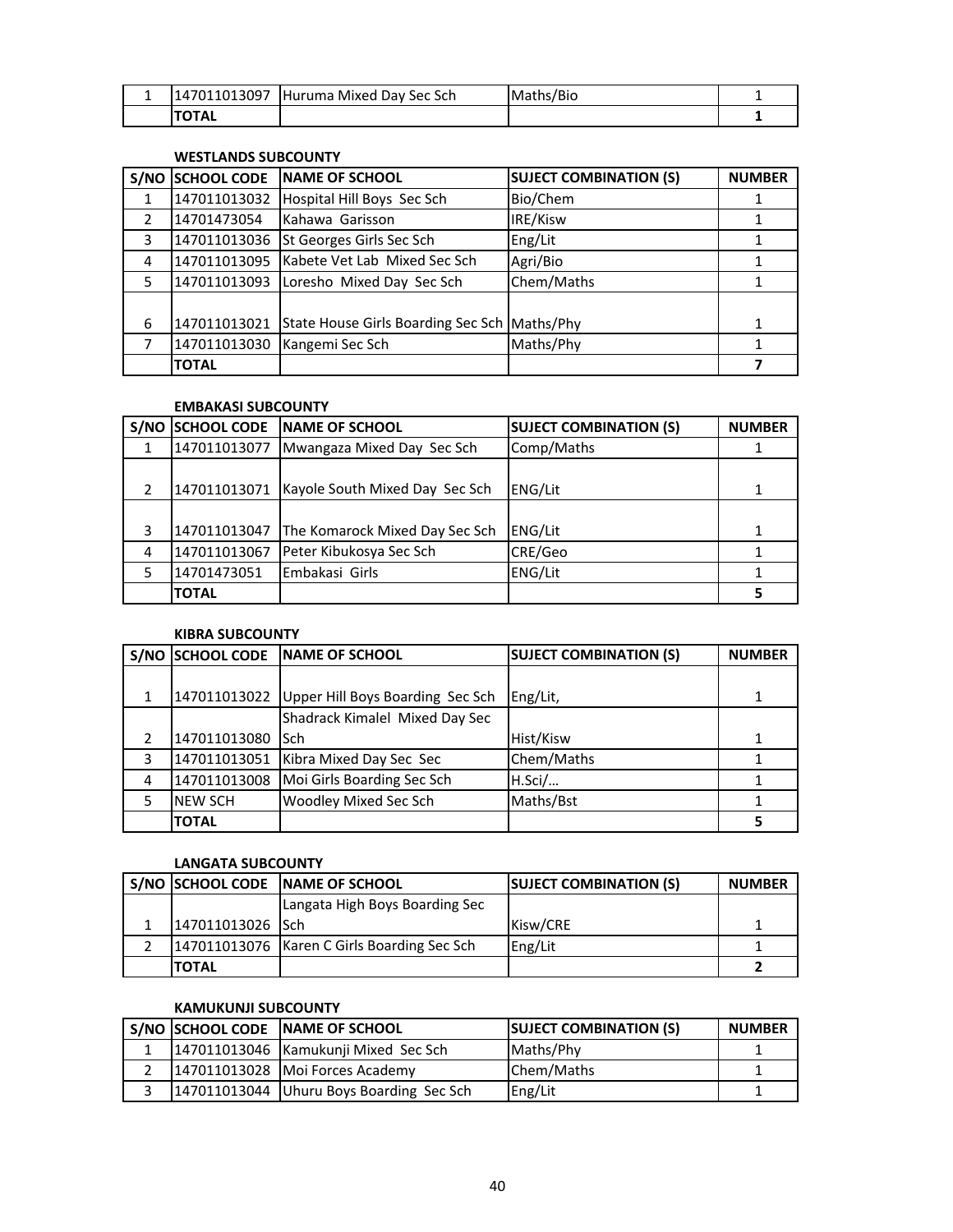| . . | 147011013097 | Huruma Mixed Day Sec Sch | Maths/Bio |  |
|-----|--------------|--------------------------|-----------|--|
|     | ገTAL         |                          |           |  |

## **WESTLANDS SUBCOUNTY**

| S/NO           | <b>SCHOOL CODE</b> | <b>INAME OF SCHOOL</b>                         | <b>SUJECT COMBINATION (S)</b> | <b>NUMBER</b> |
|----------------|--------------------|------------------------------------------------|-------------------------------|---------------|
|                | 147011013032       | Hospital Hill Boys Sec Sch                     | Bio/Chem                      |               |
| $\overline{2}$ | 14701473054        | Kahawa Garisson                                | IRE/Kisw                      |               |
| 3              | 147011013036       | St Georges Girls Sec Sch                       | Eng/Lit                       |               |
| 4              | 147011013095       | Kabete Vet Lab Mixed Sec Sch                   | Agri/Bio                      |               |
| 5              | 147011013093       | Loresho Mixed Day Sec Sch                      | Chem/Maths                    |               |
|                |                    |                                                |                               |               |
| 6              | 147011013021       | State House Girls Boarding Sec Sch   Maths/Phy |                               | 1             |
|                | 147011013030       | Kangemi Sec Sch                                | Maths/Phy                     |               |
|                | <b>TOTAL</b>       |                                                |                               |               |

#### **EMBAKASI SUBCOUNTY**

| S/NO | <b>SCHOOL CODE</b> | <b>INAME OF SCHOOL</b>         | <b>SUJECT COMBINATION (S)</b> | <b>NUMBER</b> |
|------|--------------------|--------------------------------|-------------------------------|---------------|
|      | 147011013077       | Mwangaza Mixed Day Sec Sch     | Comp/Maths                    |               |
|      |                    |                                |                               |               |
|      | 147011013071       | Kayole South Mixed Day Sec Sch | <b>ENG/Lit</b>                |               |
|      |                    |                                |                               |               |
| 3    | 147011013047       | The Komarock Mixed Day Sec Sch | ENG/Lit                       |               |
| 4    | 147011013067       | Peter Kibukosya Sec Sch        | CRE/Geo                       |               |
|      | 14701473051        | Embakasi Girls                 | <b>ENG/Lit</b>                |               |
|      | <b>TOTAL</b>       |                                |                               |               |

#### **KIBRA SUBCOUNTY**

|               | S/NO SCHOOL CODE | <b>INAME OF SCHOOL</b>           | <b>SUJECT COMBINATION (S)</b> | <b>NUMBER</b> |
|---------------|------------------|----------------------------------|-------------------------------|---------------|
|               |                  |                                  |                               |               |
| 1             | 147011013022     | Upper Hill Boys Boarding Sec Sch | Eng/Lit,                      |               |
|               |                  | Shadrack Kimalel Mixed Day Sec   |                               |               |
| $\mathfrak z$ | 147011013080     | <b>Sch</b>                       | Hist/Kisw                     |               |
| 3             | 147011013051     | Kibra Mixed Day Sec Sec          | Chem/Maths                    |               |
| 4             | 147011013008     | Moi Girls Boarding Sec Sch       | H.Sci/                        |               |
| 5             | <b>NEW SCH</b>   | Woodley Mixed Sec Sch            | Maths/Bst                     |               |
|               | <b>TOTAL</b>     |                                  |                               |               |

#### **LANGATA SUBCOUNTY**

|                  | S/NO SCHOOL CODE NAME OF SCHOOL             | <b>SUJECT COMBINATION (S)</b> | <b>NUMBER</b> |
|------------------|---------------------------------------------|-------------------------------|---------------|
|                  | Langata High Boys Boarding Sec              |                               |               |
| 147011013026 Sch |                                             | Kisw/CRE                      |               |
|                  | 147011013076 Karen C Girls Boarding Sec Sch | Eng/Lit                       |               |
| <b>TOTAL</b>     |                                             |                               |               |

## **KAMUKUNJI SUBCOUNTY**

|  | S/NO SCHOOL CODE NAME OF SCHOOL          | <b>SUJECT COMBINATION (S)</b> | <b>NUMBER</b> |
|--|------------------------------------------|-------------------------------|---------------|
|  | 147011013046 Kamukunji Mixed Sec Sch     | Maths/Phy                     |               |
|  | 147011013028   Moi Forces Academy        | Chem/Maths                    |               |
|  | 147011013044 Uhuru Boys Boarding Sec Sch | Eng/Lit                       |               |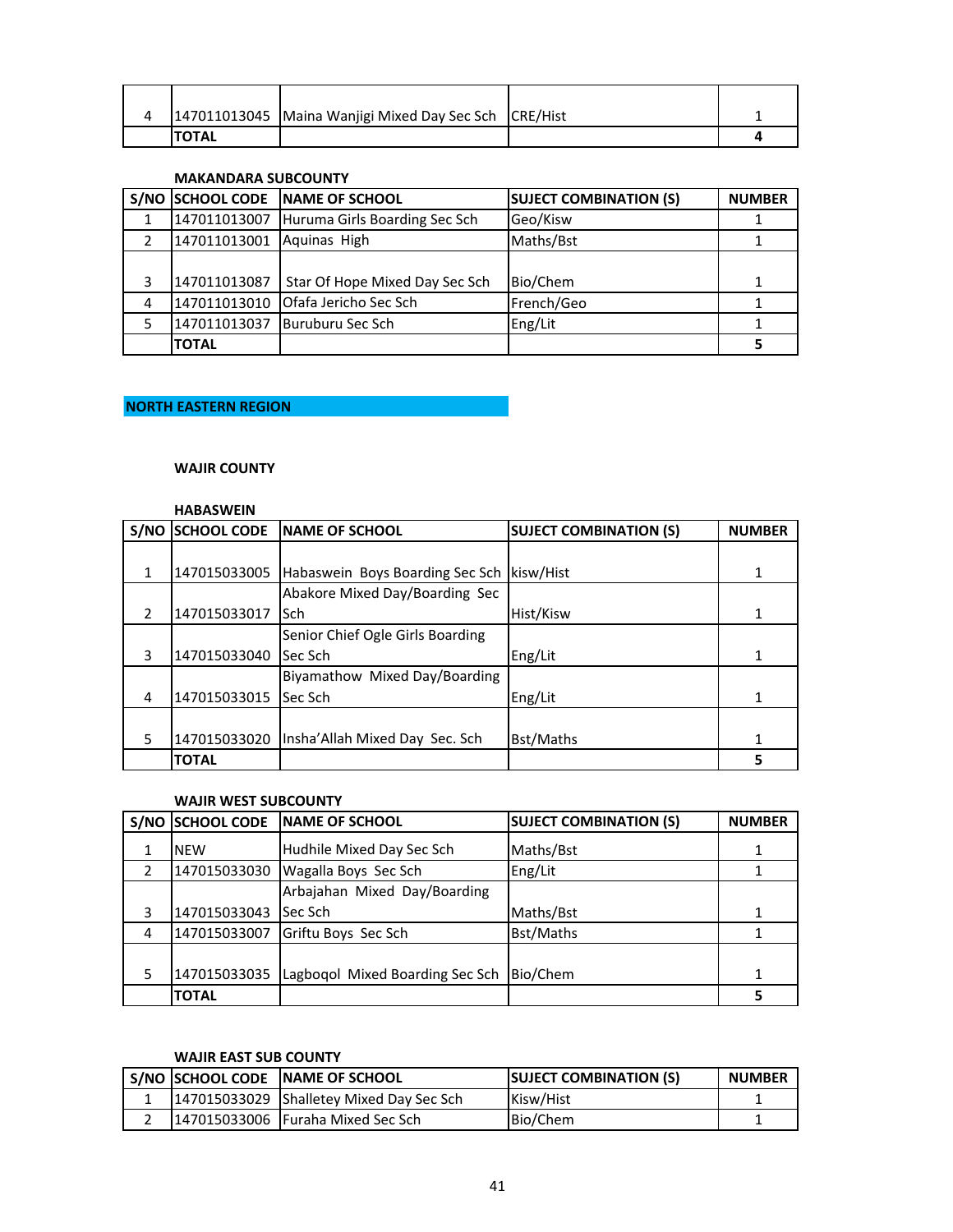|              | 147011013045   Maina Wanjigi Mixed Day Sec Sch   CRE/Hist |  |
|--------------|-----------------------------------------------------------|--|
| <b>TOTAL</b> |                                                           |  |

#### **MAKANDARA SUBCOUNTY**

|   |              | S/NO SCHOOL CODE NAME OF SCHOOL | <b>SUJECT COMBINATION (S)</b> | <b>NUMBER</b> |
|---|--------------|---------------------------------|-------------------------------|---------------|
|   | 147011013007 | Huruma Girls Boarding Sec Sch   | Geo/Kisw                      |               |
|   | 147011013001 | Aquinas High                    | Maths/Bst                     |               |
|   |              |                                 |                               |               |
|   | 147011013087 | Star Of Hope Mixed Day Sec Sch  | Bio/Chem                      |               |
| 4 | 147011013010 | Ofafa Jericho Sec Sch           | French/Geo                    |               |
|   | 147011013037 | Buruburu Sec Sch                | Eng/Lit                       |               |
|   | <b>TOTAL</b> |                                 |                               |               |

## **NORTH EASTERN REGION**

#### **WAJIR COUNTY**

#### **HABASWEIN**

| S/NO           | <b>SCHOOL CODE</b> | <b>INAME OF SCHOOL</b>                      | <b>SUJECT COMBINATION (S)</b> | <b>NUMBER</b> |
|----------------|--------------------|---------------------------------------------|-------------------------------|---------------|
|                |                    |                                             |                               |               |
| 1              | 147015033005       | Habaswein Boys Boarding Sec Sch   kisw/Hist |                               |               |
|                |                    | Abakore Mixed Day/Boarding Sec              |                               |               |
| 2              | 147015033017       | Sch                                         | Hist/Kisw                     | 1             |
|                |                    | Senior Chief Ogle Girls Boarding            |                               |               |
| 3              | 147015033040       | Sec Sch                                     | Eng/Lit                       |               |
|                |                    | Biyamathow Mixed Day/Boarding               |                               |               |
| $\overline{4}$ | 147015033015       | Sec Sch                                     | Eng/Lit                       |               |
|                |                    |                                             |                               |               |
| 5              | 147015033020       | Insha'Allah Mixed Day Sec. Sch              | Bst/Maths                     |               |
|                | <b>TOTAL</b>       |                                             |                               |               |

#### **WAJIR WEST SUBCOUNTY**

|               | S/NO SCHOOL CODE | <b>INAME OF SCHOOL</b>          | <b>SUJECT COMBINATION (S)</b> | <b>NUMBER</b> |
|---------------|------------------|---------------------------------|-------------------------------|---------------|
|               | <b>NEW</b>       | Hudhile Mixed Day Sec Sch       | Maths/Bst                     |               |
| $\mathcal{P}$ | 147015033030     | Wagalla Boys Sec Sch            | Eng/Lit                       |               |
|               |                  | Arbajahan Mixed Day/Boarding    |                               |               |
| 3             | 147015033043     | Sec Sch                         | Maths/Bst                     | 1             |
| 4             | 147015033007     | Griftu Boys Sec Sch             | <b>Bst/Maths</b>              |               |
|               |                  |                                 |                               |               |
| 5             | 147015033035     | Lagbogol Mixed Boarding Sec Sch | Bio/Chem                      | 1             |
|               | <b>TOTAL</b>     |                                 |                               |               |

## **WAJIR EAST SUB COUNTY**

|  | S/NO SCHOOL CODE NAME OF SCHOOL          | <b>SUJECT COMBINATION (S)</b> | <b>NUMBER</b> |
|--|------------------------------------------|-------------------------------|---------------|
|  | 147015033029 Shalletey Mixed Day Sec Sch | Kisw/Hist                     |               |
|  | 147015033006 Furaha Mixed Sec Sch        | Bio/Chem                      |               |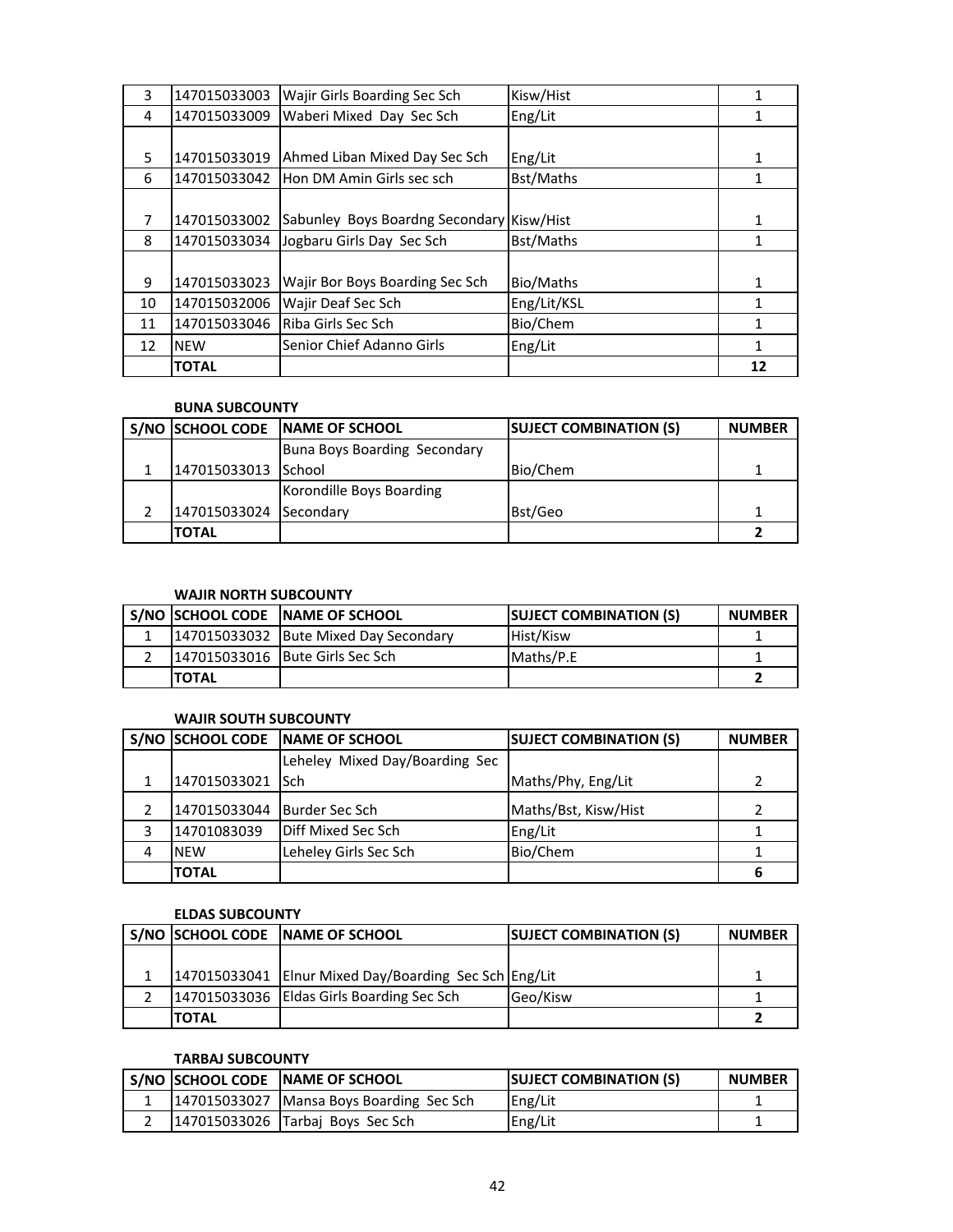| 3  | 147015033003 | Wajir Girls Boarding Sec Sch              | Kisw/Hist   | 1  |
|----|--------------|-------------------------------------------|-------------|----|
| 4  | 147015033009 | Waberi Mixed Day Sec Sch                  | Eng/Lit     | 1  |
|    |              |                                           |             |    |
| 5  | 147015033019 | Ahmed Liban Mixed Day Sec Sch             | Eng/Lit     | 1  |
| 6  | 147015033042 | Hon DM Amin Girls sec sch                 | Bst/Maths   | 1  |
|    |              |                                           |             |    |
| 7  | 147015033002 | Sabunley Boys Boardng Secondary Kisw/Hist |             | 1  |
| 8  | 147015033034 | Jogbaru Girls Day Sec Sch                 | Bst/Maths   | 1  |
|    |              |                                           |             |    |
| 9  | 147015033023 | Wajir Bor Boys Boarding Sec Sch           | Bio/Maths   | 1  |
| 10 | 147015032006 | Wajir Deaf Sec Sch                        | Eng/Lit/KSL | 1  |
| 11 | 147015033046 | Riba Girls Sec Sch                        | Bio/Chem    |    |
| 12 | <b>NEW</b>   | Senior Chief Adanno Girls                 | Eng/Lit     | 1  |
|    | <b>TOTAL</b> |                                           |             | 12 |

#### **BUNA SUBCOUNTY**

|                        | S/NO SCHOOL CODE NAME OF SCHOOL | <b>SUJECT COMBINATION (S)</b> | <b>NUMBER</b> |
|------------------------|---------------------------------|-------------------------------|---------------|
|                        | Buna Boys Boarding Secondary    |                               |               |
| 147015033013 School    |                                 | Bio/Chem                      |               |
|                        | Korondille Boys Boarding        |                               |               |
| 147015033024 Secondary |                                 | Bst/Geo                       |               |
| <b>TOTAL</b>           |                                 |                               |               |

## **WAJIR NORTH SUBCOUNTY**

|               | S/NO SCHOOL CODE NAME OF SCHOOL       | <b>SUJECT COMBINATION (S)</b> | <b>NUMBER</b> |
|---------------|---------------------------------------|-------------------------------|---------------|
|               | 147015033032 Bute Mixed Day Secondary | Hist/Kisw                     |               |
|               | 147015033016 Bute Girls Sec Sch       | Maths/P.E                     |               |
| <b>ITOTAL</b> |                                       |                               |               |

## **WAJIR SOUTH SUBCOUNTY**

|   |                               | S/NO SCHOOL CODE NAME OF SCHOOL | <b>SUJECT COMBINATION (S)</b> | <b>NUMBER</b> |
|---|-------------------------------|---------------------------------|-------------------------------|---------------|
|   |                               | Leheley Mixed Day/Boarding Sec  |                               |               |
|   | 147015033021 Sch              |                                 | Maths/Phy, Eng/Lit            | 2             |
|   | 147015033044   Burder Sec Sch |                                 | Maths/Bst, Kisw/Hist          |               |
|   | 14701083039                   | Diff Mixed Sec Sch              | Eng/Lit                       |               |
| 4 | <b>NEW</b>                    | Leheley Girls Sec Sch           | Bio/Chem                      |               |
|   | <b>TOTAL</b>                  |                                 |                               |               |

#### **ELDAS SUBCOUNTY**

|              | S/NO SCHOOL CODE NAME OF SCHOOL                       | <b>SUJECT COMBINATION (S)</b> | <b>NUMBER</b> |
|--------------|-------------------------------------------------------|-------------------------------|---------------|
|              |                                                       |                               |               |
|              | 147015033041 Elnur Mixed Day/Boarding Sec Sch Eng/Lit |                               |               |
|              | 147015033036 Eldas Girls Boarding Sec Sch             | Geo/Kisw                      |               |
| <b>TOTAL</b> |                                                       |                               |               |

## **TARBAJ SUBCOUNTY**

|  | S/NO SCHOOL CODE NAME OF SCHOOL          | <b>SUJECT COMBINATION (S)</b> | <b>NUMBER</b> |
|--|------------------------------------------|-------------------------------|---------------|
|  | 147015033027 Mansa Boys Boarding Sec Sch | Eng/Lit                       |               |
|  | 147015033026 Tarbaj Boys Sec Sch         | Eng/Lit                       |               |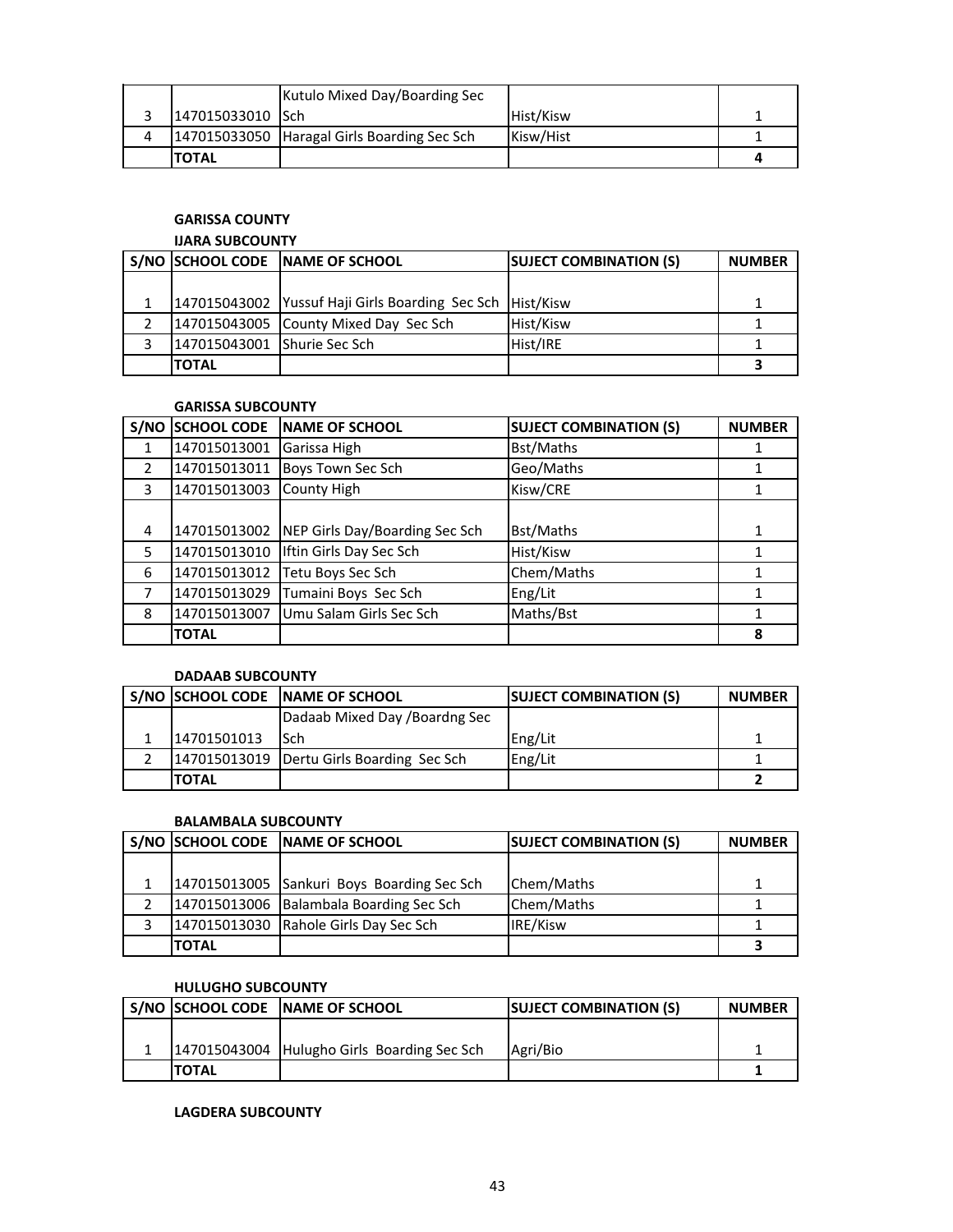|          |                  | Kutulo Mixed Day/Boarding Sec               |           |  |
|----------|------------------|---------------------------------------------|-----------|--|
|          | 147015033010 Sch |                                             | Hist/Kisw |  |
| $\Delta$ |                  | 147015033050 Haragal Girls Boarding Sec Sch | Kisw/Hist |  |
|          | <b>TOTAL</b>     |                                             |           |  |

## **GARISSA COUNTY**

## **IJARA SUBCOUNTY**

|                             | S/NO SCHOOL CODE NAME OF SCHOOL                           | <b>SUJECT COMBINATION (S)</b> | <b>NUMBER</b> |
|-----------------------------|-----------------------------------------------------------|-------------------------------|---------------|
|                             |                                                           |                               |               |
|                             | 147015043002 Yussuf Haji Girls Boarding Sec Sch Hist/Kisw |                               | 1             |
|                             | 147015043005 County Mixed Day Sec Sch                     | Hist/Kisw                     |               |
| 147015043001 Shurie Sec Sch |                                                           | Hist/IRE                      |               |
| <b>TOTAL</b>                |                                                           |                               |               |

#### **GARISSA SUBCOUNTY**

| S/NO          | <b>SCHOOL CODE</b> | <b>NAME OF SCHOOL</b>          | <b>SUJECT COMBINATION (S)</b> | <b>NUMBER</b> |
|---------------|--------------------|--------------------------------|-------------------------------|---------------|
|               | 147015013001       | Garissa High                   | Bst/Maths                     |               |
| $\mathcal{P}$ | 147015013011       | Boys Town Sec Sch              | Geo/Maths                     |               |
| 3             | 147015013003       | County High                    | Kisw/CRE                      |               |
|               |                    |                                |                               |               |
| 4             | 147015013002       | NEP Girls Day/Boarding Sec Sch | <b>Bst/Maths</b>              | 1             |
| 5             | 147015013010       | Iftin Girls Day Sec Sch        | Hist/Kisw                     |               |
| 6             | 147015013012       | Tetu Boys Sec Sch              | Chem/Maths                    |               |
|               | 147015013029       | Tumaini Boys Sec Sch           | Eng/Lit                       |               |
| 8             | 147015013007       | Umu Salam Girls Sec Sch        | Maths/Bst                     |               |
|               | <b>TOTAL</b>       |                                |                               | 8             |

## **DADAAB SUBCOUNTY**

|              | S/NO SCHOOL CODE NAME OF SCHOOL             | <b>SUJECT COMBINATION (S)</b> | <b>NUMBER</b> |
|--------------|---------------------------------------------|-------------------------------|---------------|
|              | Dadaab Mixed Day / Boardng Sec              |                               |               |
| 14701501013  | <b>ISch</b>                                 | Eng/Lit                       |               |
|              | 147015013019   Dertu Girls Boarding Sec Sch | Eng/Lit                       |               |
| <b>TOTAL</b> |                                             |                               |               |

#### **BALAMBALA SUBCOUNTY**

|              | S/NO SCHOOL CODE NAME OF SCHOOL            | <b>SUJECT COMBINATION (S)</b> | <b>NUMBER</b> |
|--------------|--------------------------------------------|-------------------------------|---------------|
|              |                                            |                               |               |
|              | 147015013005 Sankuri Boys Boarding Sec Sch | Chem/Maths                    |               |
|              | 147015013006 Balambala Boarding Sec Sch    | Chem/Maths                    |               |
|              | 147015013030 Rahole Girls Day Sec Sch      | IRE/Kisw                      |               |
| <b>TOTAL</b> |                                            |                               |               |

#### **HULUGHO SUBCOUNTY**

|              | S/NO SCHOOL CODE INAME OF SCHOOL            | <b>ISUJECT COMBINATION (S)</b> | <b>NUMBER</b> |
|--------------|---------------------------------------------|--------------------------------|---------------|
|              |                                             |                                |               |
|              | 147015043004 Hulugho Girls Boarding Sec Sch | Agri/Bio                       |               |
| <b>TOTAL</b> |                                             |                                |               |

**LAGDERA SUBCOUNTY**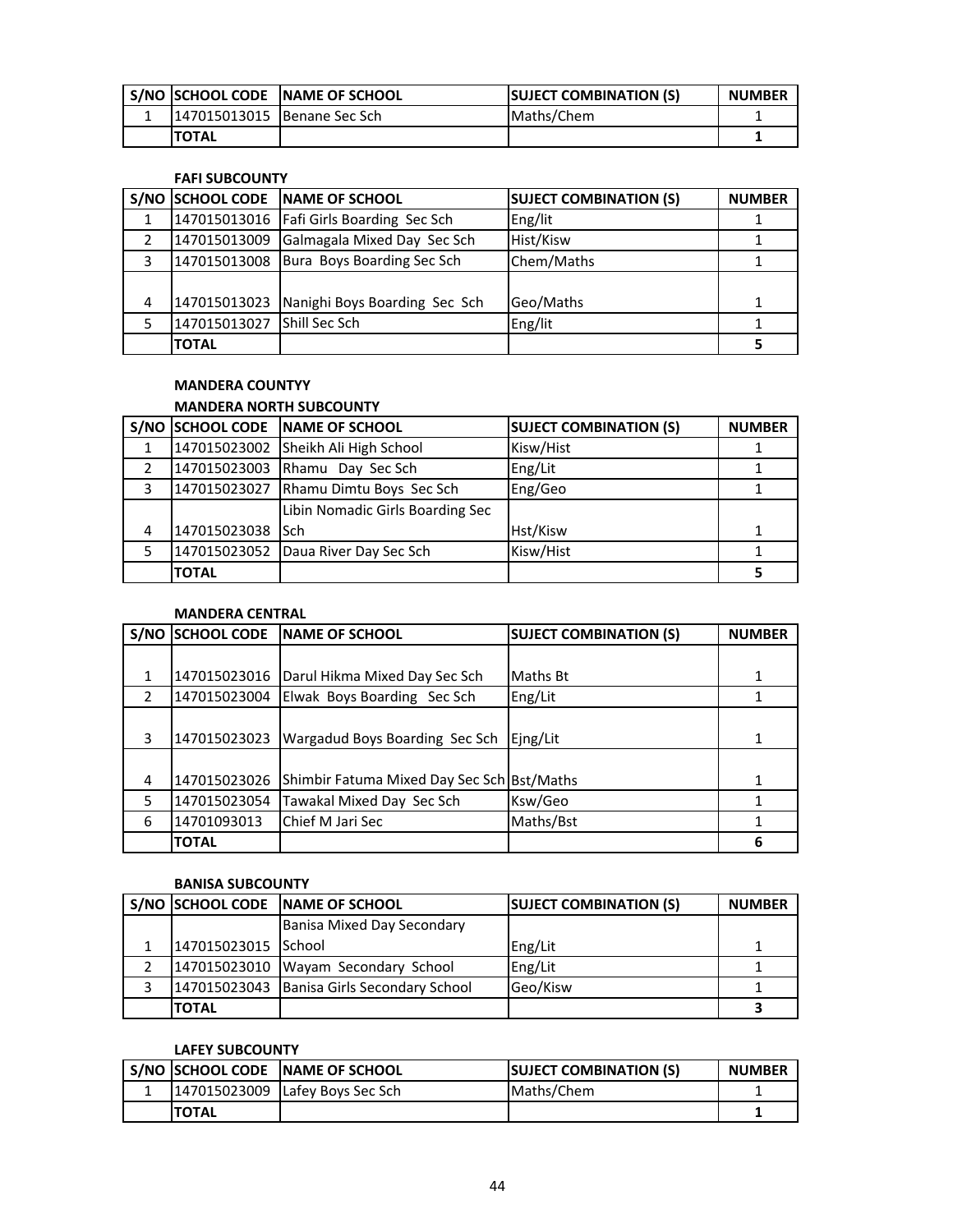|                             | S/NO SCHOOL CODE NAME OF SCHOOL | <b>ISUJECT COMBINATION (S)</b> | <b>NUMBER</b> |
|-----------------------------|---------------------------------|--------------------------------|---------------|
| 147015013015 Benane Sec Sch |                                 | Maths/Chem                     |               |
| <b>TOTAL</b>                |                                 |                                |               |

#### **FAFI SUBCOUNTY**

| S/NO |              | SCHOOL CODE NAME OF SCHOOL                 | <b>SUJECT COMBINATION (S)</b> | <b>NUMBER</b> |
|------|--------------|--------------------------------------------|-------------------------------|---------------|
|      |              | 147015013016   Fafi Girls Boarding Sec Sch | Eng/lit                       |               |
|      | 147015013009 | Galmagala Mixed Day Sec Sch                | Hist/Kisw                     |               |
| 3    |              | 147015013008 Bura Boys Boarding Sec Sch    | Chem/Maths                    |               |
|      |              |                                            |                               |               |
| 4    | 147015013023 | Nanighi Boys Boarding Sec Sch              | Geo/Maths                     |               |
|      | 147015013027 | <b>Shill Sec Sch</b>                       | Eng/lit                       |               |
|      | <b>TOTAL</b> |                                            |                               |               |

# **MANDERA COUNTYY**

## **MANDERA NORTH SUBCOUNTY**

|   |              | S/NO SCHOOL CODE NAME OF SCHOOL       | <b>SUJECT COMBINATION (S)</b> | <b>NUMBER</b> |
|---|--------------|---------------------------------------|-------------------------------|---------------|
|   |              | 147015023002 Sheikh Ali High School   | Kisw/Hist                     |               |
|   |              | 147015023003 Rhamu Day Sec Sch        | Eng/Lit                       |               |
| 3 |              | 147015023027 Rhamu Dimtu Boys Sec Sch | Eng/Geo                       |               |
|   |              | Libin Nomadic Girls Boarding Sec      |                               |               |
| 4 | 147015023038 | <b>I</b> Sch                          | Hst/Kisw                      |               |
| 5 |              | 147015023052 Daua River Day Sec Sch   | Kisw/Hist                     |               |
|   | <b>TOTAL</b> |                                       |                               |               |

## **MANDERA CENTRAL**

| S/NO          | <b>SCHOOL CODE</b> | <b>NAME OF SCHOOL</b>                      | <b>SUJECT COMBINATION (S)</b> | <b>NUMBER</b> |
|---------------|--------------------|--------------------------------------------|-------------------------------|---------------|
|               |                    |                                            |                               |               |
| 1             | 147015023016       | Darul Hikma Mixed Day Sec Sch              | Maths Bt                      |               |
| $\mathcal{P}$ | 147015023004       | Elwak Boys Boarding Sec Sch                | Eng/Lit                       |               |
|               |                    |                                            |                               |               |
| 3             | 147015023023       | Wargadud Boys Boarding Sec Sch             | Ejng/Lit                      | 1             |
|               |                    |                                            |                               |               |
| 4             | 147015023026       | Shimbir Fatuma Mixed Day Sec Sch Bst/Maths |                               | 1             |
| 5             | 147015023054       | Tawakal Mixed Day Sec Sch                  | Ksw/Geo                       |               |
| 6             | 14701093013        | Chief M Jari Sec                           | Maths/Bst                     |               |
|               | <b>TOTAL</b>       |                                            |                               | 6             |

#### **BANISA SUBCOUNTY**

|                     | S/NO SCHOOL CODE NAME OF SCHOOL              | <b>SUJECT COMBINATION (S)</b> | <b>NUMBER</b> |
|---------------------|----------------------------------------------|-------------------------------|---------------|
|                     | Banisa Mixed Day Secondary                   |                               |               |
| 147015023015 School |                                              | Eng/Lit                       |               |
|                     | 147015023010 Wayam Secondary School          | Eng/Lit                       |               |
|                     | 147015023043   Banisa Girls Secondary School | Geo/Kisw                      |               |
| <b>TOTAL</b>        |                                              |                               |               |

## **LAFEY SUBCOUNTY**

|              | S/NO SCHOOL CODE NAME OF SCHOOL | <b>SUJECT COMBINATION (S)</b> | <b>NUMBER</b> |
|--------------|---------------------------------|-------------------------------|---------------|
|              | 147015023009 Lafey Boys Sec Sch | Maths/Chem                    |               |
| <b>TOTAL</b> |                                 |                               |               |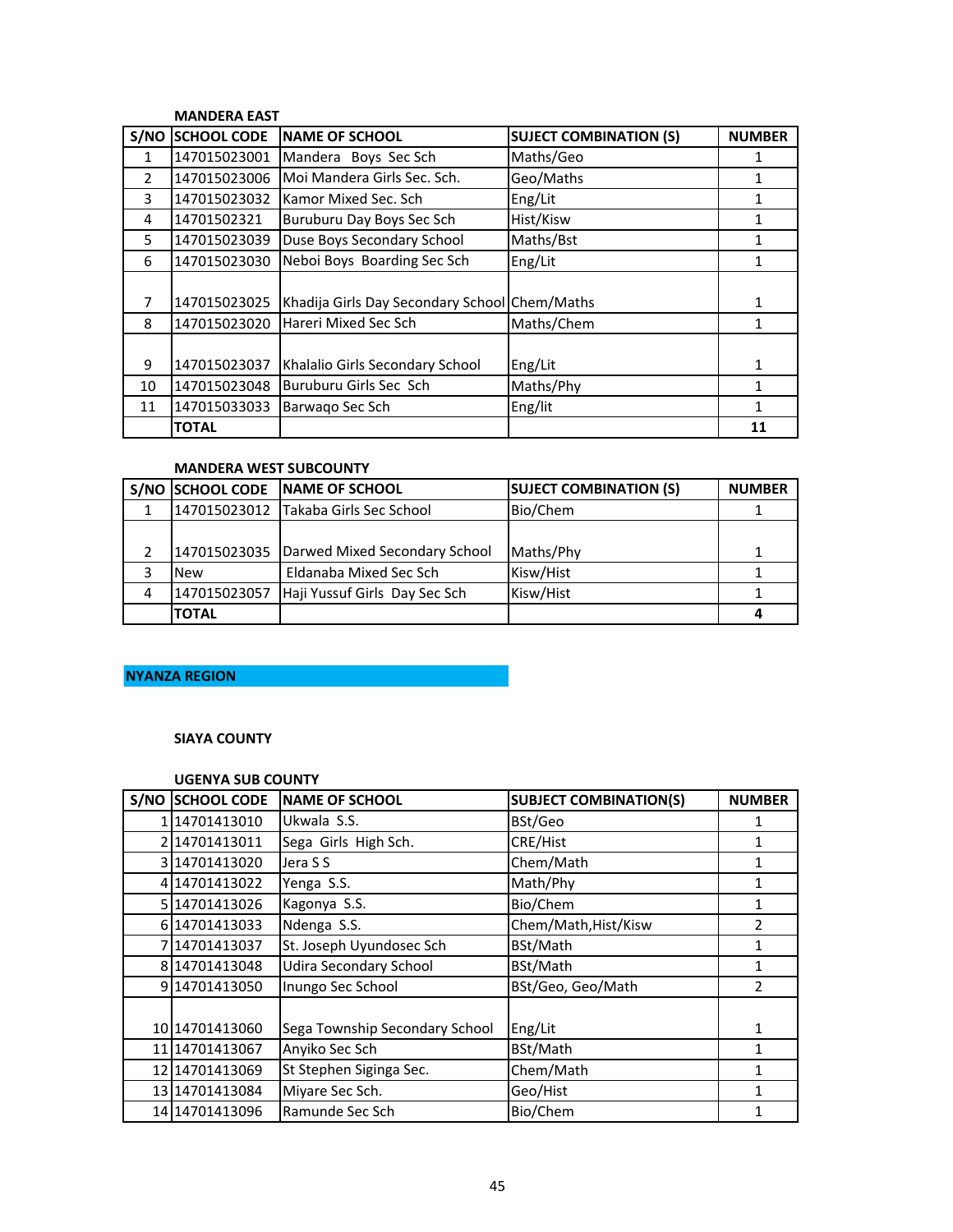#### **MANDERA EAST**

| S/NO           | <b>SCHOOL CODE</b> | <b>NAME OF SCHOOL</b>                         | <b>SUJECT COMBINATION (S)</b> | <b>NUMBER</b> |
|----------------|--------------------|-----------------------------------------------|-------------------------------|---------------|
| 1              | 147015023001       | Mandera Boys Sec Sch                          | Maths/Geo                     |               |
| $\overline{2}$ | 147015023006       | Moi Mandera Girls Sec. Sch.                   | Geo/Maths                     |               |
| 3              | 147015023032       | Kamor Mixed Sec. Sch                          | Eng/Lit                       | 1             |
| 4              | 14701502321        | Buruburu Day Boys Sec Sch                     | Hist/Kisw                     |               |
| 5.             | 147015023039       | Duse Boys Secondary School                    | Maths/Bst                     |               |
| 6              | 147015023030       | Neboi Boys Boarding Sec Sch                   | Eng/Lit                       | 1             |
|                |                    |                                               |                               |               |
| 7              | 147015023025       | Khadija Girls Day Secondary School Chem/Maths |                               |               |
| 8              | 147015023020       | Hareri Mixed Sec Sch                          | Maths/Chem                    |               |
|                |                    |                                               |                               |               |
| 9              | 147015023037       | Khalalio Girls Secondary School               | Eng/Lit                       | 1             |
| 10             | 147015023048       | Buruburu Girls Sec Sch                        | Maths/Phy                     | 1             |
| 11             | 147015033033       | Barwago Sec Sch                               | Eng/lit                       | 1             |
|                | <b>TOTAL</b>       |                                               |                               | 11            |

## **MANDERA WEST SUBCOUNTY**

|   |              | S/NO SCHOOL CODE NAME OF SCHOOL            | <b>SUJECT COMBINATION (S)</b> | <b>NUMBER</b> |
|---|--------------|--------------------------------------------|-------------------------------|---------------|
|   |              | 147015023012 Takaba Girls Sec School       | Bio/Chem                      |               |
|   |              |                                            |                               |               |
|   |              | 147015023035 Darwed Mixed Secondary School | Maths/Phy                     | 1             |
|   | <b>New</b>   | Eldanaba Mixed Sec Sch                     | Kisw/Hist                     |               |
| 4 | 147015023057 | Haji Yussuf Girls Day Sec Sch              | Kisw/Hist                     |               |
|   | <b>TOTAL</b> |                                            |                               |               |

## **NYANZA REGION**

## **SIAYA COUNTY**

#### **UGENYA SUB COUNTY**

| S/NO SCHOOL CODE | <b>NAME OF SCHOOL</b>          | <b>SUBJECT COMBINATION(S)</b> | <b>NUMBER</b> |
|------------------|--------------------------------|-------------------------------|---------------|
| 114701413010     | Ukwala S.S.                    | BSt/Geo                       |               |
| 2 14701413011    | Sega Girls High Sch.           | CRE/Hist                      | 1             |
| 3 14701413020    | Jera S S                       | Chem/Math                     | 1             |
| 4 14701413022    | Yenga S.S.                     | Math/Phy                      | 1             |
| 5 14701413026    | Kagonya S.S.                   | Bio/Chem                      | 1             |
| 6 14701413033    | Ndenga S.S.                    | Chem/Math, Hist/Kisw          | $\mathcal{P}$ |
| 714701413037     | St. Joseph Uyundosec Sch       | BSt/Math                      | 1             |
| 8 14701413048    | <b>Udira Secondary School</b>  | BSt/Math                      | 1             |
| 914701413050     | Inungo Sec School              | BSt/Geo, Geo/Math             | 2             |
|                  |                                |                               |               |
| 10 14701413060   | Sega Township Secondary School | Eng/Lit                       | 1             |
| 11 14701413067   | Anyiko Sec Sch                 | BSt/Math                      | 1             |
| 12 14701413069   | St Stephen Siginga Sec.        | Chem/Math                     |               |
| 13 1470 14130 84 | Miyare Sec Sch.                | Geo/Hist                      |               |
| 14 1470 1413096  | Ramunde Sec Sch                | Bio/Chem                      |               |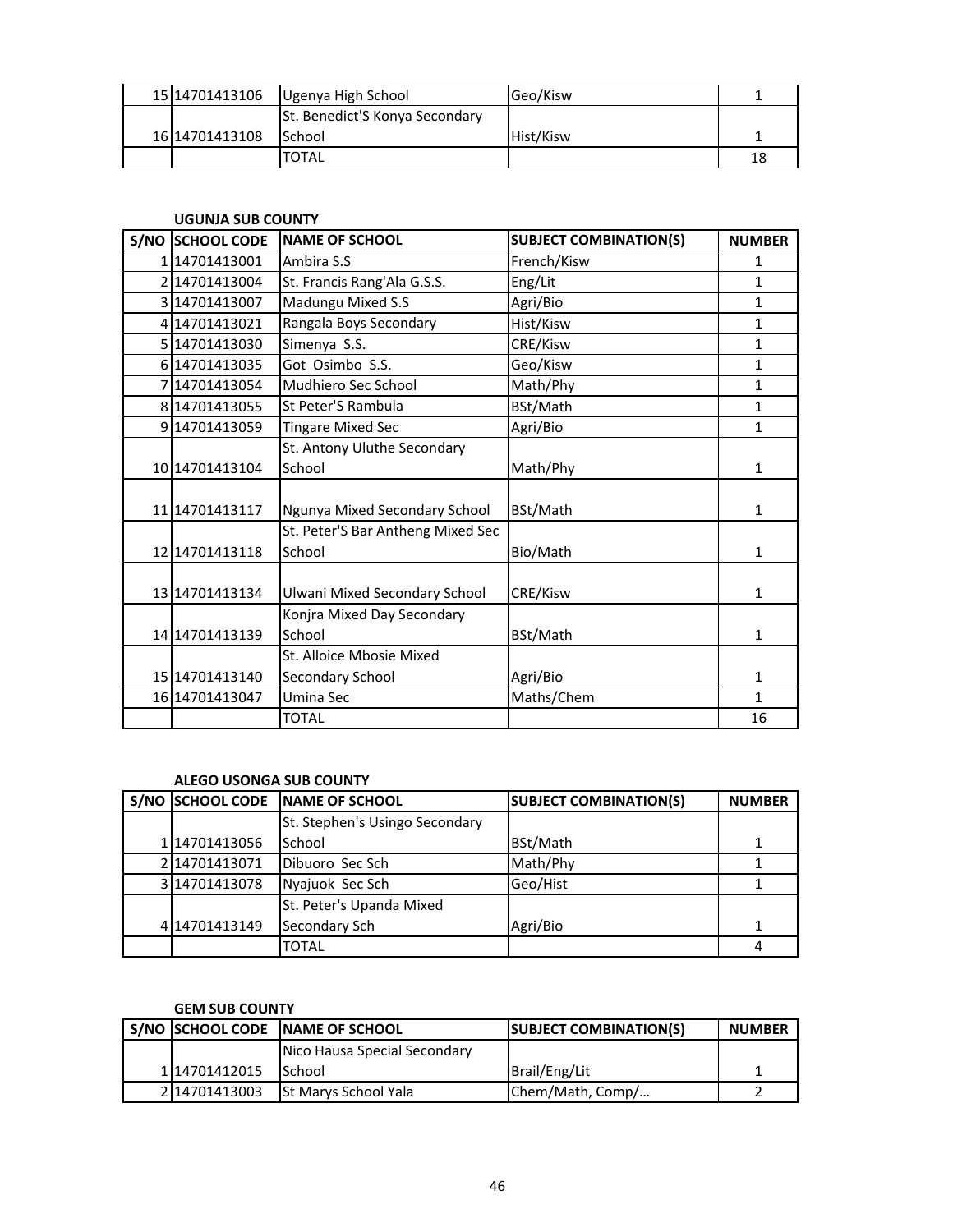| 15 1470 1413 106 | Ugenya High School             | Geo/Kisw  |    |
|------------------|--------------------------------|-----------|----|
|                  | St. Benedict'S Konya Secondary |           |    |
| 16 1470 1413 108 | <b>I</b> School                | Hist/Kisw |    |
|                  | TOTAL                          |           | 18 |

### **UGUNJA SUB COUNTY**

| S/NO SCHOOL CODE | <b>NAME OF SCHOOL</b>             | <b>SUBJECT COMBINATION(S)</b> | <b>NUMBER</b> |
|------------------|-----------------------------------|-------------------------------|---------------|
| 114701413001     | Ambira S.S                        | French/Kisw                   | 1             |
| 2 14701413004    | St. Francis Rang'Ala G.S.S.       | Eng/Lit                       | $\mathbf{1}$  |
| 3 14701413007    | Madungu Mixed S.S                 | Agri/Bio                      | $\mathbf{1}$  |
| 4 14701413021    | Rangala Boys Secondary            | Hist/Kisw                     | $\mathbf{1}$  |
| 5 14701413030    | Simenya S.S.                      | CRE/Kisw                      | $\mathbf{1}$  |
| 6 14701413035    | Got Osimbo S.S.                   | Geo/Kisw                      | $\mathbf{1}$  |
| 7 14701413054    | Mudhiero Sec School               | Math/Phy                      | $\mathbf{1}$  |
| 8 14701413055    | St Peter'S Rambula                | BSt/Math                      | $\mathbf{1}$  |
| 9 14701413059    | <b>Tingare Mixed Sec</b>          | Agri/Bio                      | $\mathbf{1}$  |
|                  | St. Antony Uluthe Secondary       |                               |               |
| 10 14701413104   | School                            | Math/Phy                      | 1             |
|                  |                                   |                               |               |
| 11 14701413117   | Ngunya Mixed Secondary School     | BSt/Math                      | 1             |
|                  | St. Peter'S Bar Antheng Mixed Sec |                               |               |
| 12 14701413118   | School                            | Bio/Math                      | 1             |
|                  |                                   |                               |               |
| 13 14701413134   | Ulwani Mixed Secondary School     | CRE/Kisw                      | 1             |
|                  | Konjra Mixed Day Secondary        |                               |               |
| 14 14701413139   | School                            | BSt/Math                      | 1             |
|                  | St. Alloice Mbosie Mixed          |                               |               |
| 15 1470 1413 140 | Secondary School                  | Agri/Bio                      | 1             |
| 16 14701413047   | Umina Sec                         | Maths/Chem                    | $\mathbf{1}$  |
|                  | TOTAL                             |                               | 16            |

## **ALEGO USONGA SUB COUNTY**

|               | S/NO SCHOOL CODE NAME OF SCHOOL | <b>SUBJECT COMBINATION(S)</b> | <b>NUMBER</b> |
|---------------|---------------------------------|-------------------------------|---------------|
|               | St. Stephen's Usingo Secondary  |                               |               |
| 114701413056  | School                          | BSt/Math                      |               |
| 2 14701413071 | Dibuoro Sec Sch                 | Math/Phy                      |               |
| 3 14701413078 | Nyajuok Sec Sch                 | Geo/Hist                      |               |
|               | St. Peter's Upanda Mixed        |                               |               |
| 4 14701413149 | Secondary Sch                   | Agri/Bio                      |               |
|               | <b>TOTAL</b>                    |                               | 4             |

## **GEM SUB COUNTY**

|               | S/NO SCHOOL CODE NAME OF SCHOOL | <b>SUBJECT COMBINATION(S)</b> | <b>NUMBER</b> |
|---------------|---------------------------------|-------------------------------|---------------|
|               | Nico Hausa Special Secondary    |                               |               |
| 114701412015  | <b>I</b> School                 | Brail/Eng/Lit                 |               |
| 2114701413003 | <b>St Marys School Yala</b>     | Chem/Math, Comp/              |               |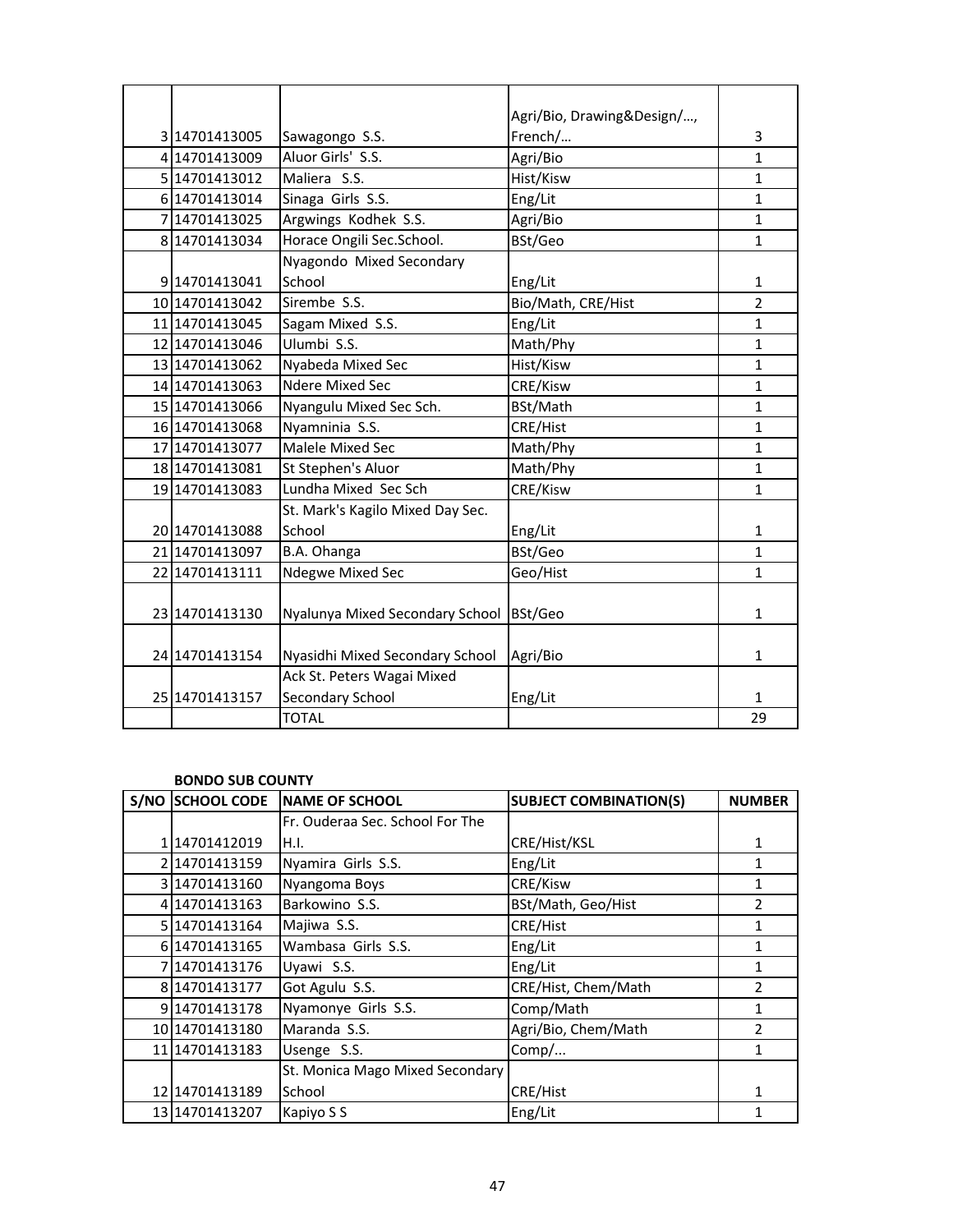|                |                                         | Agri/Bio, Drawing&Design/, |                |
|----------------|-----------------------------------------|----------------------------|----------------|
| 3 14701413005  | Sawagongo S.S.                          | French/                    | 3              |
| 4 14701413009  | Aluor Girls' S.S.                       | Agri/Bio                   | $\mathbf{1}$   |
| 5 14701413012  | Maliera S.S.                            | Hist/Kisw                  | $\mathbf{1}$   |
| 6 14701413014  | Sinaga Girls S.S.                       | Eng/Lit                    | 1              |
| 714701413025   | Argwings Kodhek S.S.                    | Agri/Bio                   | $\mathbf{1}$   |
| 8 14701413034  | Horace Ongili Sec.School.               | BSt/Geo                    | $\mathbf{1}$   |
|                | Nyagondo Mixed Secondary                |                            |                |
| 9 14701413041  | School                                  | Eng/Lit                    | $\mathbf{1}$   |
| 10 14701413042 | Sirembe S.S.                            | Bio/Math, CRE/Hist         | $\overline{2}$ |
| 11 14701413045 | Sagam Mixed S.S.                        | Eng/Lit                    | $\mathbf{1}$   |
| 12 14701413046 | Ulumbi S.S.                             | Math/Phy                   | $\mathbf{1}$   |
| 13 14701413062 | Nyabeda Mixed Sec                       | Hist/Kisw                  | 1              |
| 14 14701413063 | Ndere Mixed Sec                         | CRE/Kisw                   | $\mathbf{1}$   |
| 15 14701413066 | Nyangulu Mixed Sec Sch.                 | BSt/Math                   | 1              |
| 16 14701413068 | Nyamninia S.S.                          | CRE/Hist                   | $\mathbf{1}$   |
| 17 14701413077 | Malele Mixed Sec                        | Math/Phy                   | $\mathbf{1}$   |
| 18 14701413081 | St Stephen's Aluor                      | Math/Phy                   | 1              |
| 19 14701413083 | Lundha Mixed Sec Sch                    | CRE/Kisw                   | $\mathbf{1}$   |
|                | St. Mark's Kagilo Mixed Day Sec.        |                            |                |
| 20 14701413088 | School                                  | Eng/Lit                    | 1              |
| 21 14701413097 | B.A. Ohanga                             | BSt/Geo                    | $\mathbf{1}$   |
| 22 14701413111 | Ndegwe Mixed Sec                        | Geo/Hist                   | $\mathbf{1}$   |
|                |                                         |                            |                |
| 23 14701413130 | Nyalunya Mixed Secondary School BSt/Geo |                            | 1              |
|                |                                         |                            |                |
| 24 14701413154 | Nyasidhi Mixed Secondary School         | Agri/Bio                   | $\mathbf{1}$   |
|                | Ack St. Peters Wagai Mixed              |                            |                |
| 25 14701413157 | Secondary School                        | Eng/Lit                    | 1              |
|                | <b>TOTAL</b>                            |                            | 29             |

## **BONDO SUB COUNTY**

| S/NO SCHOOL CODE | <b>NAME OF SCHOOL</b>           | <b>SUBJECT COMBINATION(S)</b> | <b>NUMBER</b> |
|------------------|---------------------------------|-------------------------------|---------------|
|                  | Fr. Ouderaa Sec. School For The |                               |               |
| 1 14701412019    | H.I.                            | CRE/Hist/KSL                  | 1             |
| 214701413159     | Nyamira Girls S.S.              | Eng/Lit                       | 1             |
| 3114701413160    | Nyangoma Boys                   | CRE/Kisw                      |               |
| 4 14701413163    | Barkowino S.S.                  | BSt/Math, Geo/Hist            | 2             |
| 5 14701413164    | Majiwa S.S.                     | CRE/Hist                      | 1             |
| 6 1470 1413 165  | Wambasa Girls S.S.              | Eng/Lit                       | 1             |
| 714701413176     | Uyawi S.S.                      | Eng/Lit                       |               |
| 814701413177     | Got Agulu S.S.                  | CRE/Hist, Chem/Math           | $\mathcal{P}$ |
| 914701413178     | Nyamonye Girls S.S.             | Comp/Math                     | 1             |
| 10 14701413180   | Maranda S.S.                    | Agri/Bio, Chem/Math           | 2             |
| 11 1470 1413 183 | Usenge S.S.                     | Comp/                         | 1             |
|                  | St. Monica Mago Mixed Secondary |                               |               |
| 12 14701413189   | School                          | CRE/Hist                      | 1             |
| 13 1470 1413 207 | Kapiyo S S                      | Eng/Lit                       |               |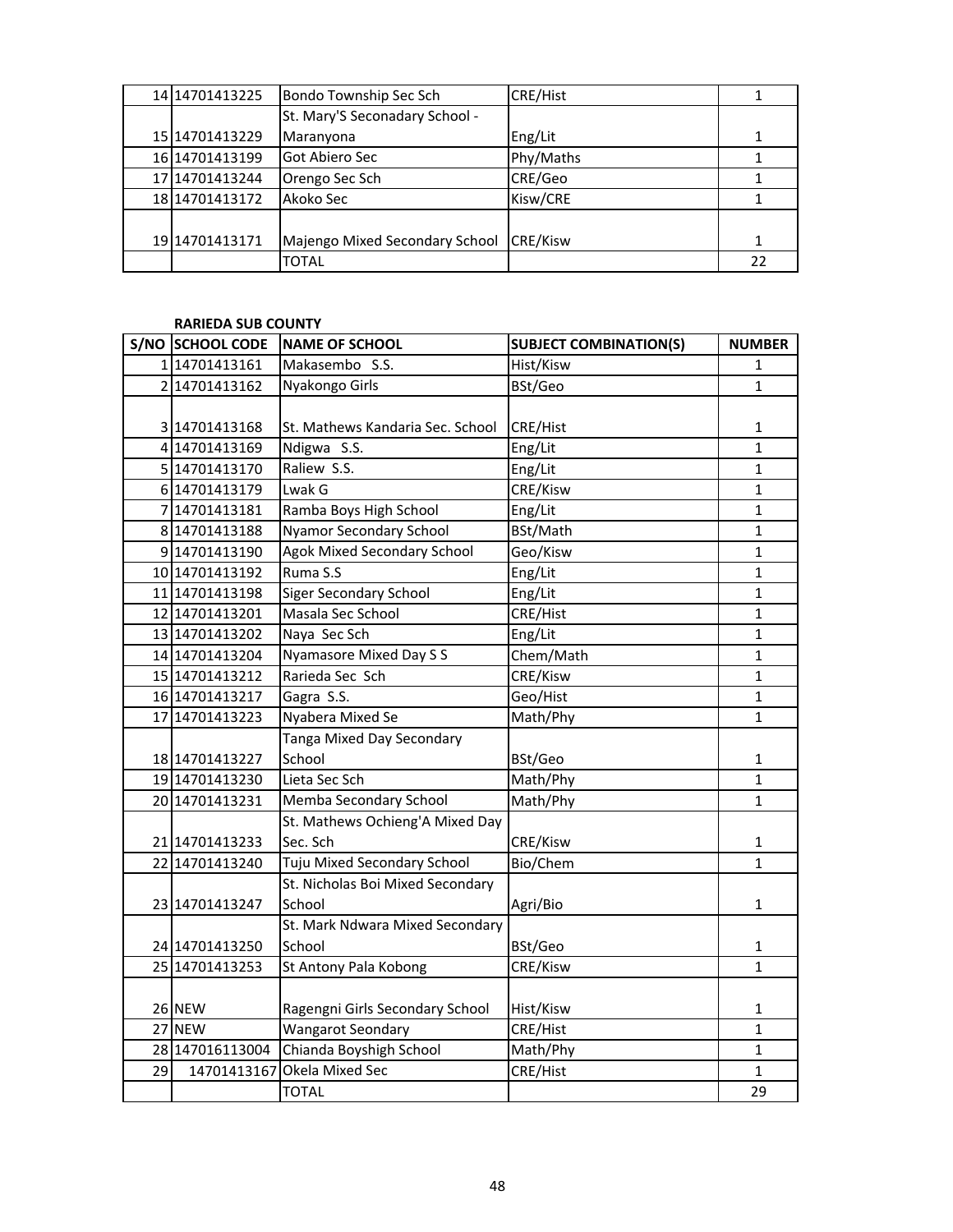| 14 14 70 14 13 22 5 | Bondo Township Sec Sch         | <b>CRE/Hist</b> |    |
|---------------------|--------------------------------|-----------------|----|
|                     | St. Mary'S Seconadary School - |                 |    |
| 15 1470 1413 229    | Maranyona                      | Eng/Lit         |    |
| 16 14701413199      | Got Abiero Sec                 | Phy/Maths       |    |
| 17 1470 1413 244    | Orengo Sec Sch                 | CRE/Geo         |    |
| 18 1470 1413 172    | Akoko Sec                      | Kisw/CRE        |    |
|                     |                                |                 |    |
| 19 1470 1413 171    | Majengo Mixed Secondary School | <b>CRE/Kisw</b> |    |
|                     | TOTAL                          |                 | 22 |

#### **RARIEDA SUB COUNTY**

|    | S/NO SCHOOL CODE | <b>NAME OF SCHOOL</b>              | <b>SUBJECT COMBINATION(S)</b> | <b>NUMBER</b> |
|----|------------------|------------------------------------|-------------------------------|---------------|
|    | 114701413161     | Makasembo S.S.                     | Hist/Kisw                     | 1             |
|    | 2 14701413162    | Nyakongo Girls                     | BSt/Geo                       | $\mathbf{1}$  |
|    |                  |                                    |                               |               |
|    | 3 14701413168    | St. Mathews Kandaria Sec. School   | CRE/Hist                      | 1             |
|    | 4 14701413169    | Ndigwa S.S.                        | Eng/Lit                       | 1             |
|    | 5 14701413170    | Raliew S.S.                        | Eng/Lit                       | 1             |
|    | 6 14701413179    | Lwak G                             | CRE/Kisw                      | 1             |
|    | 7 14701413181    | Ramba Boys High School             | Eng/Lit                       | 1             |
|    | 8 14701413188    | <b>Nyamor Secondary School</b>     | BSt/Math                      | 1             |
|    | 914701413190     | <b>Agok Mixed Secondary School</b> | Geo/Kisw                      | 1             |
|    | 10 14701413192   | Ruma S.S                           | Eng/Lit                       | 1             |
|    | 11 14701413198   | <b>Siger Secondary School</b>      | Eng/Lit                       | 1             |
|    | 12 14701413201   | Masala Sec School                  | CRE/Hist                      | 1             |
|    | 13 14701413202   | Naya Sec Sch                       | Eng/Lit                       | 1             |
|    | 14 14701413204   | Nyamasore Mixed Day S S            | Chem/Math                     | 1             |
|    | 15 14701413212   | Rarieda Sec Sch                    | CRE/Kisw                      | 1             |
|    | 16 14701413217   | Gagra S.S.                         | Geo/Hist                      | 1             |
|    | 17 14701413223   | Nyabera Mixed Se                   | Math/Phy                      | 1             |
|    |                  | Tanga Mixed Day Secondary          |                               |               |
|    | 18 14701413227   | School                             | BSt/Geo                       | 1             |
|    | 1914701413230    | Lieta Sec Sch                      | Math/Phy                      | 1             |
|    | 20 14701413231   | Memba Secondary School             | Math/Phy                      | 1             |
|    |                  | St. Mathews Ochieng'A Mixed Day    |                               |               |
|    | 21 14701413233   | Sec. Sch                           | CRE/Kisw                      | 1             |
|    | 22 14701413240   | Tuju Mixed Secondary School        | Bio/Chem                      | $\mathbf{1}$  |
|    |                  | St. Nicholas Boi Mixed Secondary   |                               |               |
|    | 23 14701413247   | School                             | Agri/Bio                      | 1             |
|    |                  | St. Mark Ndwara Mixed Secondary    |                               |               |
|    | 24 14701413250   | School                             | BSt/Geo                       | 1             |
|    | 25 14701413253   | St Antony Pala Kobong              | CRE/Kisw                      | 1             |
|    |                  |                                    |                               |               |
|    | 26 NEW           | Ragengni Girls Secondary School    | Hist/Kisw                     | 1             |
|    | 27 NEW           | <b>Wangarot Seondary</b>           | CRE/Hist                      | $\mathbf{1}$  |
|    | 28 147016113004  | Chianda Boyshigh School            | Math/Phy                      | $\mathbf{1}$  |
| 29 |                  | 14701413167 Okela Mixed Sec        | CRE/Hist                      | $\mathbf{1}$  |
|    |                  | <b>TOTAL</b>                       |                               | 29            |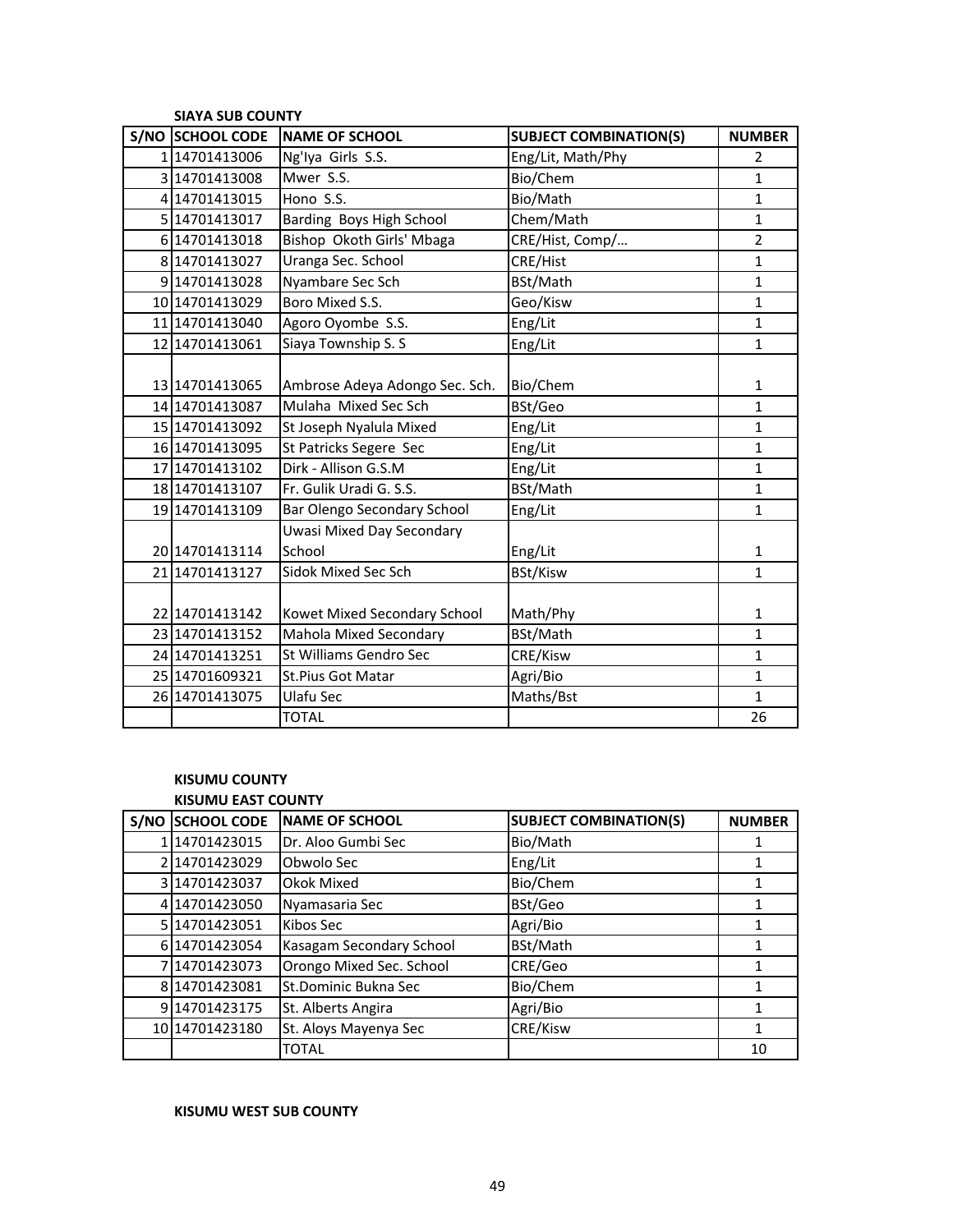| <b>SIAYA SUB COUNTY</b> |                                  |                               |                |  |
|-------------------------|----------------------------------|-------------------------------|----------------|--|
| S/NO SCHOOL CODE        | <b>NAME OF SCHOOL</b>            | <b>SUBJECT COMBINATION(S)</b> | <b>NUMBER</b>  |  |
| 114701413006            | Ng'lya Girls S.S.                | Eng/Lit, Math/Phy             | $\overline{2}$ |  |
| 3 14701413008           | Mwer S.S.                        | Bio/Chem                      | $\mathbf{1}$   |  |
| 4 14701413015           | Hono S.S.                        | Bio/Math                      | $\mathbf{1}$   |  |
| 5 14701413017           | Barding Boys High School         | Chem/Math                     | $\mathbf{1}$   |  |
| 6 14701413018           | Bishop Okoth Girls' Mbaga        | CRE/Hist, Comp/               | $\overline{2}$ |  |
| 8 14701413027           | Uranga Sec. School               | CRE/Hist                      | $\mathbf 1$    |  |
| 9 14701413028           | Nyambare Sec Sch                 | BSt/Math                      | $\mathbf{1}$   |  |
| 10 14701413029          | Boro Mixed S.S.                  | Geo/Kisw                      | $\mathbf{1}$   |  |
| 11 14701413040          | Agoro Oyombe S.S.                | Eng/Lit                       | $\mathbf{1}$   |  |
| 12 14701413061          | Siaya Township S. S              | Eng/Lit                       | $\mathbf{1}$   |  |
|                         |                                  |                               |                |  |
| 13 1470 14130 65        | Ambrose Adeya Adongo Sec. Sch.   | Bio/Chem                      | $\mathbf{1}$   |  |
| 14 14701413087          | Mulaha Mixed Sec Sch             | BSt/Geo                       | $\mathbf{1}$   |  |
| 15 14701413092          | St Joseph Nyalula Mixed          | Eng/Lit                       | $\mathbf{1}$   |  |
| 16 14701413095          | St Patricks Segere Sec           | Eng/Lit                       | $\mathbf{1}$   |  |
| 17 14701413102          | Dirk - Allison G.S.M             | Eng/Lit                       | $\mathbf{1}$   |  |
| 18 14701413107          | Fr. Gulik Uradi G. S.S.          | BSt/Math                      | $\mathbf{1}$   |  |
| 19 14701413109          | Bar Olengo Secondary School      | Eng/Lit                       | $\mathbf{1}$   |  |
|                         | <b>Uwasi Mixed Day Secondary</b> |                               |                |  |
| 20 14701413114          | School                           | Eng/Lit                       | $\mathbf{1}$   |  |
| 21 1470 1413 127        | Sidok Mixed Sec Sch              | BSt/Kisw                      | $\mathbf{1}$   |  |
|                         |                                  |                               |                |  |
| 22 14701413142          | Kowet Mixed Secondary School     | Math/Phy                      | $\mathbf{1}$   |  |
| 23 14701413152          | Mahola Mixed Secondary           | BSt/Math                      | 1              |  |
| 24 14701413251          | St Williams Gendro Sec           | CRE/Kisw                      | $\mathbf{1}$   |  |
| 25 14701609321          | St.Pius Got Matar                | Agri/Bio                      | $\mathbf{1}$   |  |
| 26 14701413075          | Ulafu Sec                        | Maths/Bst                     | $\mathbf{1}$   |  |
|                         | <b>TOTAL</b>                     |                               | 26             |  |

## **KISUMU COUNTY KISUMU EAST COUNTY**

| S/NO | <b>SCHOOL CODE</b> | <b>NAME OF SCHOOL</b>    | <b>SUBJECT COMBINATION(S)</b> | <b>NUMBER</b> |  |
|------|--------------------|--------------------------|-------------------------------|---------------|--|
|      | 114701423015       | Dr. Aloo Gumbi Sec       | Bio/Math                      |               |  |
|      | 14701423029        | Obwolo Sec               | Eng/Lit                       |               |  |
|      | 314701423037       | Okok Mixed               | Bio/Chem                      |               |  |
|      | 414701423050       | Nyamasaria Sec           | BSt/Geo                       |               |  |
|      | 5 1470 1423 051    | Kibos Sec                | Agri/Bio                      |               |  |
|      | 6 14701423054      | Kasagam Secondary School | BSt/Math                      |               |  |
|      | 714701423073       | Orongo Mixed Sec. School | CRE/Geo                       | 1             |  |
|      | 8 14701423081      | St.Dominic Bukna Sec     | Bio/Chem                      |               |  |
|      | 9 14701423175      | St. Alberts Angira       | Agri/Bio                      | 1             |  |
|      | 10 14701423180     | St. Aloys Mayenya Sec    | CRE/Kisw                      | 1             |  |
|      |                    | TOTAL                    |                               | 10            |  |

## **KISUMU WEST SUB COUNTY**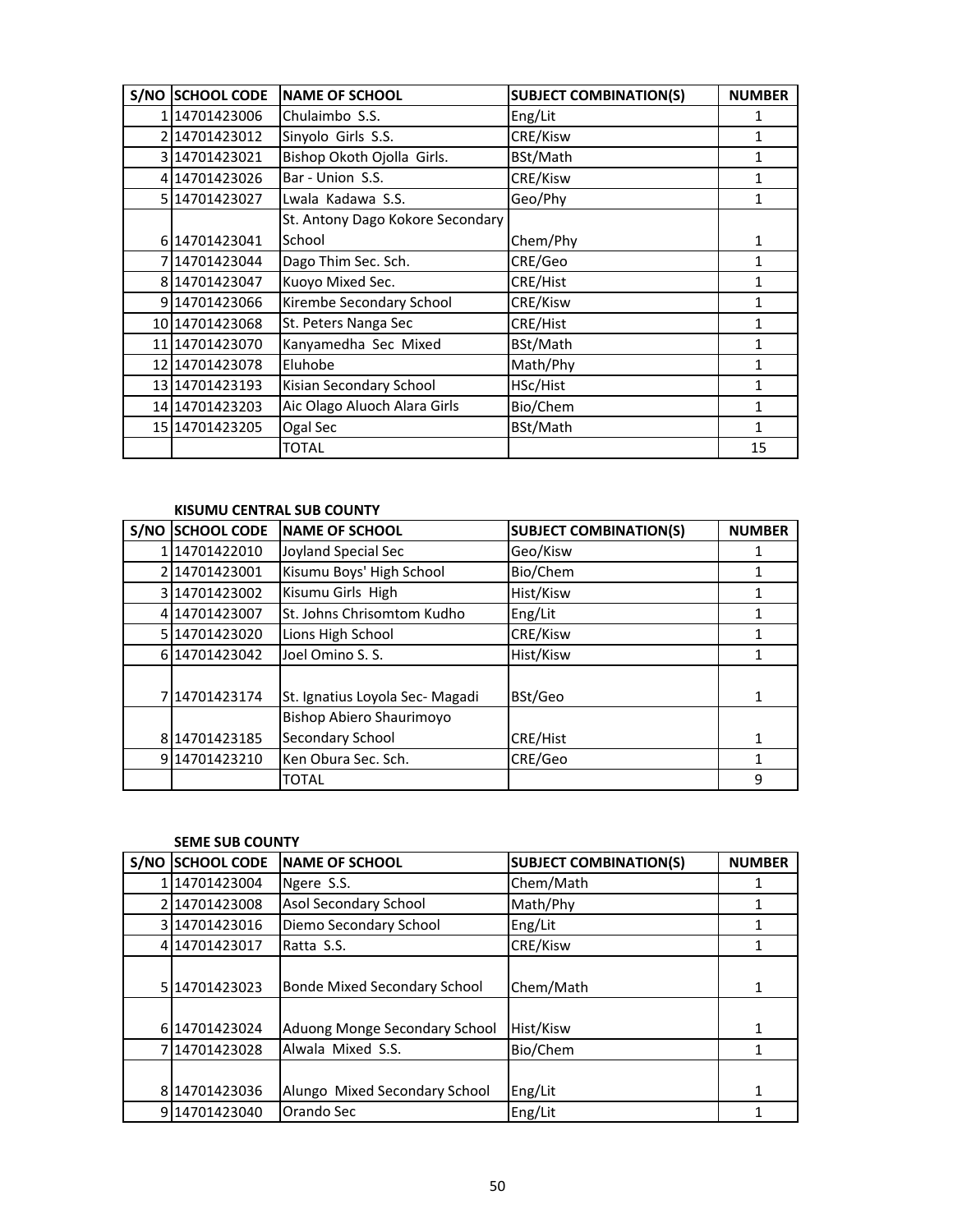| S/NO SCHOOL CODE | <b>NAME OF SCHOOL</b>            | <b>SUBJECT COMBINATION(S)</b> | <b>NUMBER</b> |
|------------------|----------------------------------|-------------------------------|---------------|
| 114701423006     | Chulaimbo S.S.                   | Eng/Lit                       | 1             |
| 214701423012     | Sinyolo Girls S.S.               | CRE/Kisw                      | 1             |
| 3 14701423021    | Bishop Okoth Ojolla Girls.       | BSt/Math                      | 1             |
| 4 14701423026    | Bar - Union S.S.                 | CRE/Kisw                      | 1             |
| 5 1470 14230 27  | Lwala Kadawa S.S.                | Geo/Phy                       | 1             |
|                  | St. Antony Dago Kokore Secondary |                               |               |
| 6 14701423041    | School                           | Chem/Phy                      | 1             |
| 714701423044     | Dago Thim Sec. Sch.              | CRE/Geo                       | 1             |
| 8 14701423047    | Kuoyo Mixed Sec.                 | CRE/Hist                      | 1             |
| 914701423066     | Kirembe Secondary School         | CRE/Kisw                      | 1             |
| 10 1470 1423068  | St. Peters Nanga Sec             | CRE/Hist                      | 1             |
| 11 14701423070   | Kanyamedha Sec Mixed             | BSt/Math                      | 1             |
| 12 14701423078   | Eluhobe                          | Math/Phy                      | 1             |
| 13 14701423193   | Kisian Secondary School          | HSc/Hist                      | 1             |
| 14 1470 1423 203 | Aic Olago Aluoch Alara Girls     | Bio/Chem                      | 1             |
| 15 1470 1423 205 | Ogal Sec                         | BSt/Math                      | 1             |
|                  | <b>TOTAL</b>                     |                               | 15            |

## **KISUMU CENTRAL SUB COUNTY**

| S/NO | <b>SCHOOL CODE</b> | <b>NAME OF SCHOOL</b>           | <b>SUBJECT COMBINATION(S)</b> | <b>NUMBER</b> |
|------|--------------------|---------------------------------|-------------------------------|---------------|
|      | 14701422010        | Joyland Special Sec             | Geo/Kisw                      |               |
|      | 2 14701423001      | Kisumu Boys' High School        | Bio/Chem                      |               |
|      | 3 14701423002      | Kisumu Girls High               | Hist/Kisw                     |               |
|      | 4 14701423007      | St. Johns Chrisomtom Kudho      | Eng/Lit                       | 1             |
|      | 5 14701423020      | Lions High School               | CRE/Kisw                      |               |
|      | 6 1470 14230 42    | Joel Omino S. S.                | Hist/Kisw                     |               |
|      | 714701423174       | St. Ignatius Loyola Sec- Magadi | BSt/Geo                       |               |
|      |                    | Bishop Abiero Shaurimoyo        |                               |               |
|      | 8 14701423185      | Secondary School                | CRE/Hist                      | 1             |
|      | 9 14701423210      | Ken Obura Sec. Sch.             | CRE/Geo                       |               |
|      |                    | <b>TOTAL</b>                    |                               | 9             |

#### **SEME SUB COUNTY**

| S/NO | <b>SCHOOL CODE</b> | <b>NAME OF SCHOOL</b>               | <b>SUBJECT COMBINATION(S)</b> | <b>NUMBER</b> |
|------|--------------------|-------------------------------------|-------------------------------|---------------|
|      | 14701423004        | Ngere S.S.                          | Chem/Math                     |               |
|      | 14701423008        | Asol Secondary School               | Math/Phy                      |               |
|      | 3 14701423016      | Diemo Secondary School              | Eng/Lit                       |               |
|      | 414701423017       | Ratta S.S.                          | CRE/Kisw                      |               |
|      | 5 1470 14230 23    | <b>Bonde Mixed Secondary School</b> | Chem/Math                     |               |
|      | 6 14701423024      | Aduong Monge Secondary School       | Hist/Kisw                     |               |
|      | 714701423028       | Alwala Mixed S.S.                   | Bio/Chem                      |               |
|      |                    |                                     |                               |               |
|      | 8 14701423036      | Alungo Mixed Secondary School       | Eng/Lit                       | 1             |
|      | 914701423040       | Orando Sec                          | Eng/Lit                       |               |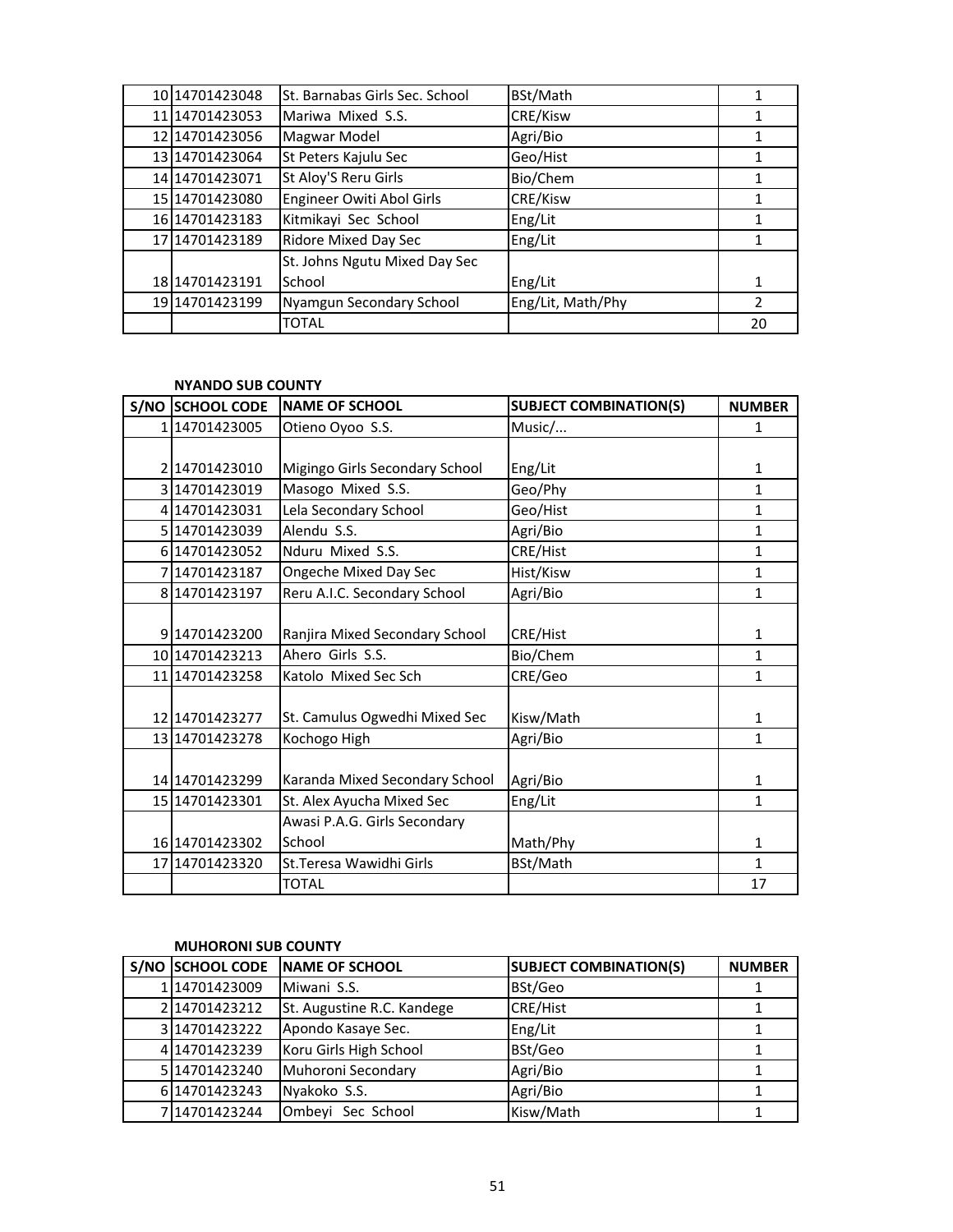| 10 14701423048   | St. Barnabas Girls Sec. School | BSt/Math          |    |
|------------------|--------------------------------|-------------------|----|
| 11 1470 14230 53 | Mariwa Mixed S.S.              | CRE/Kisw          |    |
| 12 1470 1423056  | Magwar Model                   | Agri/Bio          |    |
| 13 14701423064   | St Peters Kajulu Sec           | Geo/Hist          |    |
| 14 14701423071   | St Aloy'S Reru Girls           | Bio/Chem          |    |
| 15 14701423080   | Engineer Owiti Abol Girls      | CRE/Kisw          |    |
| 16 1470 1423 183 | Kitmikayi Sec School           | Eng/Lit           |    |
| 17 1470 1423 189 | <b>Ridore Mixed Day Sec</b>    | Eng/Lit           |    |
|                  | St. Johns Ngutu Mixed Day Sec  |                   |    |
| 18 1470 1423 191 | School                         | Eng/Lit           | 1  |
| 19 14701423199   | Nyamgun Secondary School       | Eng/Lit, Math/Phy | 2  |
|                  | <b>TOTAL</b>                   |                   | 20 |

## **NYANDO SUB COUNTY**

| S/NO SCHOOL CODE | <b>NAME OF SCHOOL</b>          | <b>SUBJECT COMBINATION(S)</b> | <b>NUMBER</b> |
|------------------|--------------------------------|-------------------------------|---------------|
| 114701423005     | Otieno Oyoo S.S.               | Music/                        | 1             |
|                  |                                |                               |               |
| 214701423010     | Migingo Girls Secondary School | Eng/Lit                       | 1             |
| 3 14701423019    | Masogo Mixed S.S.              | Geo/Phy                       | $\mathbf{1}$  |
| 4 14701423031    | Lela Secondary School          | Geo/Hist                      | $\mathbf{1}$  |
| 5 14701423039    | Alendu S.S.                    | Agri/Bio                      | 1             |
| 6 14701423052    | Nduru Mixed S.S.               | CRE/Hist                      | 1             |
| 714701423187     | Ongeche Mixed Day Sec          | Hist/Kisw                     | $\mathbf{1}$  |
| 8 14701423197    | Reru A.I.C. Secondary School   | Agri/Bio                      | $\mathbf{1}$  |
|                  |                                |                               |               |
| 9 14701423200    | Ranjira Mixed Secondary School | CRE/Hist                      | 1             |
| 10 14701423213   | Ahero Girls S.S.               | Bio/Chem                      | $\mathbf{1}$  |
| 11 14701423258   | Katolo Mixed Sec Sch           | CRE/Geo                       | $\mathbf{1}$  |
| 12 1470 1423 277 | St. Camulus Ogwedhi Mixed Sec  | Kisw/Math                     | 1             |
| 13 14701423278   | Kochogo High                   | Agri/Bio                      | $\mathbf{1}$  |
|                  |                                |                               |               |
| 14 14701423299   | Karanda Mixed Secondary School | Agri/Bio                      | 1             |
| 15 14701423301   | St. Alex Ayucha Mixed Sec      | Eng/Lit                       | 1             |
|                  | Awasi P.A.G. Girls Secondary   |                               |               |
| 16 14701423302   | School                         | Math/Phy                      | 1             |
| 17 14701423320   | St. Teresa Wawidhi Girls       | BSt/Math                      | 1             |
|                  | <b>TOTAL</b>                   |                               | 17            |

#### **MUHORONI SUB COUNTY**

| S/NO SCHOOL CODE | <b>INAME OF SCHOOL</b>     | <b>SUBJECT COMBINATION(S)</b> | <b>NUMBER</b> |
|------------------|----------------------------|-------------------------------|---------------|
| 114701423009     | Miwani S.S.                | BSt/Geo                       |               |
| 214701423212     | St. Augustine R.C. Kandege | <b>CRE/Hist</b>               |               |
| 3 14701423222    | Apondo Kasaye Sec.         | Eng/Lit                       |               |
| 4 14701423239    | Koru Girls High School     | BSt/Geo                       |               |
| 5 1470 1423 240  | Muhoroni Secondary         | Agri/Bio                      |               |
| 6 14701423243    | Nyakoko S.S.               | Agri/Bio                      |               |
| 714701423244     | Ombeyi Sec School          | Kisw/Math                     |               |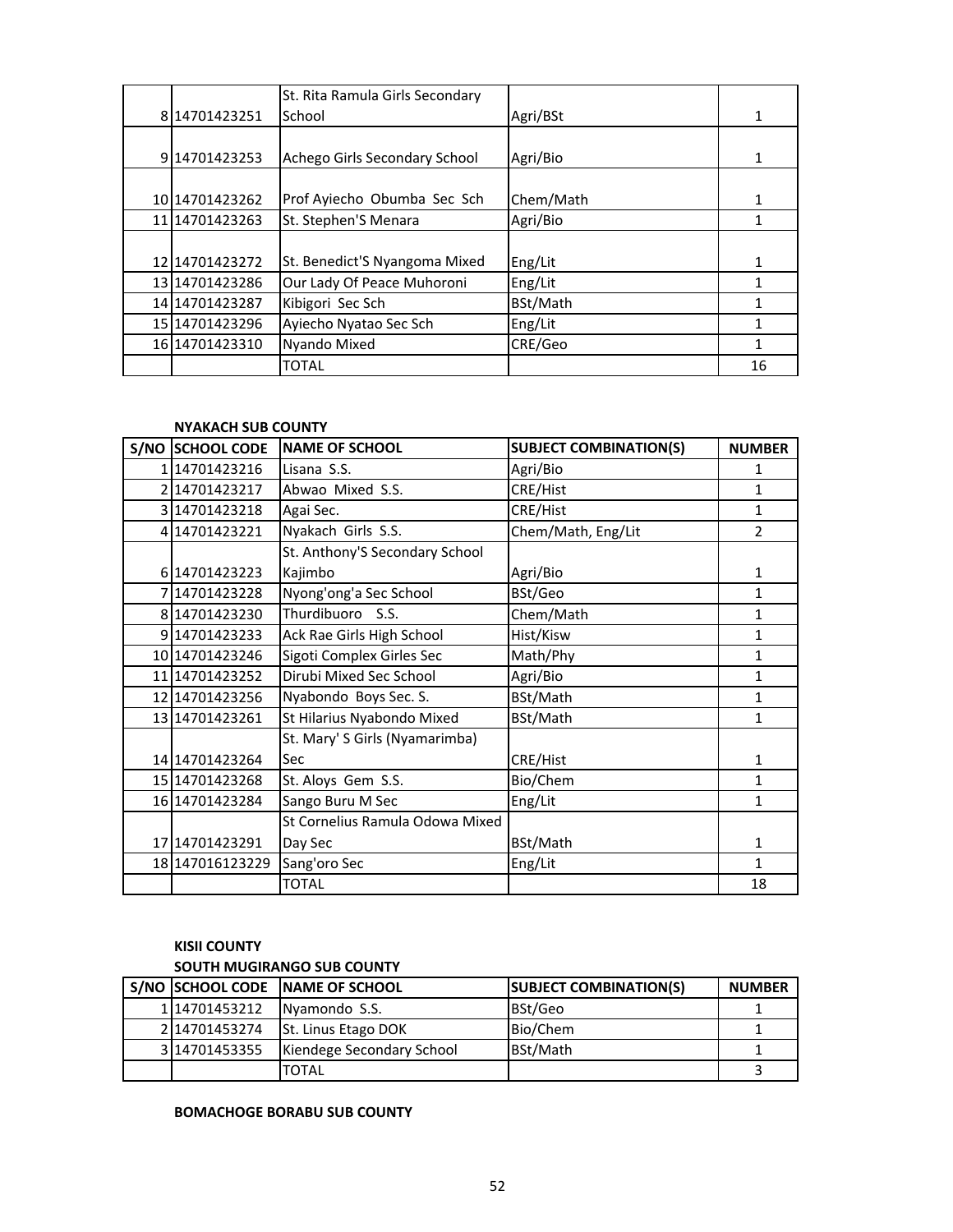|                  | St. Rita Ramula Girls Secondary |           |    |
|------------------|---------------------------------|-----------|----|
| 814701423251     | School                          | Agri/BSt  | 1  |
|                  |                                 |           |    |
| 9 14701423253    | Achego Girls Secondary School   | Agri/Bio  | 1  |
|                  |                                 |           |    |
| 10 1470 1423 262 | Prof Ayiecho Obumba Sec Sch     | Chem/Math | 1  |
| 11 1470 1423 263 | St. Stephen'S Menara            | Agri/Bio  |    |
|                  |                                 |           |    |
| 12 1470 1423 272 | St. Benedict'S Nyangoma Mixed   | Eng/Lit   | 1  |
| 13 1470 1423 286 | Our Lady Of Peace Muhoroni      | Eng/Lit   |    |
| 14 1470 1423 287 | Kibigori Sec Sch                | BSt/Math  | 1  |
| 15 1470 1423 296 | Ayiecho Nyatao Sec Sch          | Eng/Lit   | 1  |
| 16 14701423310   | <b>Nyando Mixed</b>             | CRE/Geo   |    |
|                  | <b>TOTAL</b>                    |           | 16 |

#### **NYAKACH SUB COUNTY**

| S/NO SCHOOL CODE | <b>NAME OF SCHOOL</b>           | <b>SUBJECT COMBINATION(S)</b> | <b>NUMBER</b>  |
|------------------|---------------------------------|-------------------------------|----------------|
| 114701423216     | Lisana S.S.                     | Agri/Bio                      | 1              |
| 2 14701423217    | Abwao Mixed S.S.                | CRE/Hist                      | 1              |
| 3 14701423218    | Agai Sec.                       | CRE/Hist                      | 1              |
| 4 14701423221    | Nyakach Girls S.S.              | Chem/Math, Eng/Lit            | $\overline{2}$ |
|                  | St. Anthony'S Secondary School  |                               |                |
| 6 14701423223    | Kajimbo                         | Agri/Bio                      | 1              |
| 714701423228     | Nyong'ong'a Sec School          | BSt/Geo                       | 1              |
| 8 14701423230    | Thurdibuoro S.S.                | Chem/Math                     | 1              |
| 914701423233     | Ack Rae Girls High School       | Hist/Kisw                     | 1              |
| 10 14701423246   | Sigoti Complex Girles Sec       | Math/Phy                      | 1              |
| 11 14701423252   | Dirubi Mixed Sec School         | Agri/Bio                      | $\mathbf{1}$   |
| 12 14701423256   | Nyabondo Boys Sec. S.           | BSt/Math                      | 1              |
| 13 14701423261   | St Hilarius Nyabondo Mixed      | BSt/Math                      | 1              |
|                  | St. Mary' S Girls (Nyamarimba)  |                               |                |
| 14 1470 1423 264 | Sec                             | CRE/Hist                      | 1              |
| 15 14701423268   | St. Aloys Gem S.S.              | Bio/Chem                      | $\mathbf{1}$   |
| 16 14701423284   | Sango Buru M Sec                | Eng/Lit                       | 1              |
|                  | St Cornelius Ramula Odowa Mixed |                               |                |
| 17 14701423291   | Day Sec                         | BSt/Math                      | 1              |
| 18 147016123229  | Sang'oro Sec                    | Eng/Lit                       | 1              |
|                  | <b>TOTAL</b>                    |                               | 18             |

## **KISII COUNTY**

## **SOUTH MUGIRANGO SUB COUNTY**

|              | S/NO SCHOOL CODE INAME OF SCHOOL | <b>SUBJECT COMBINATION(S)</b> | <b>NUMBER</b> |
|--------------|----------------------------------|-------------------------------|---------------|
| 114701453212 | Nyamondo S.S.                    | BSt/Geo                       |               |
| 214701453274 | <b>St. Linus Etago DOK</b>       | Bio/Chem                      |               |
| 314701453355 | Kiendege Secondary School        | BSt/Math                      |               |
|              | TOTAL                            |                               |               |

## **BOMACHOGE BORABU SUB COUNTY**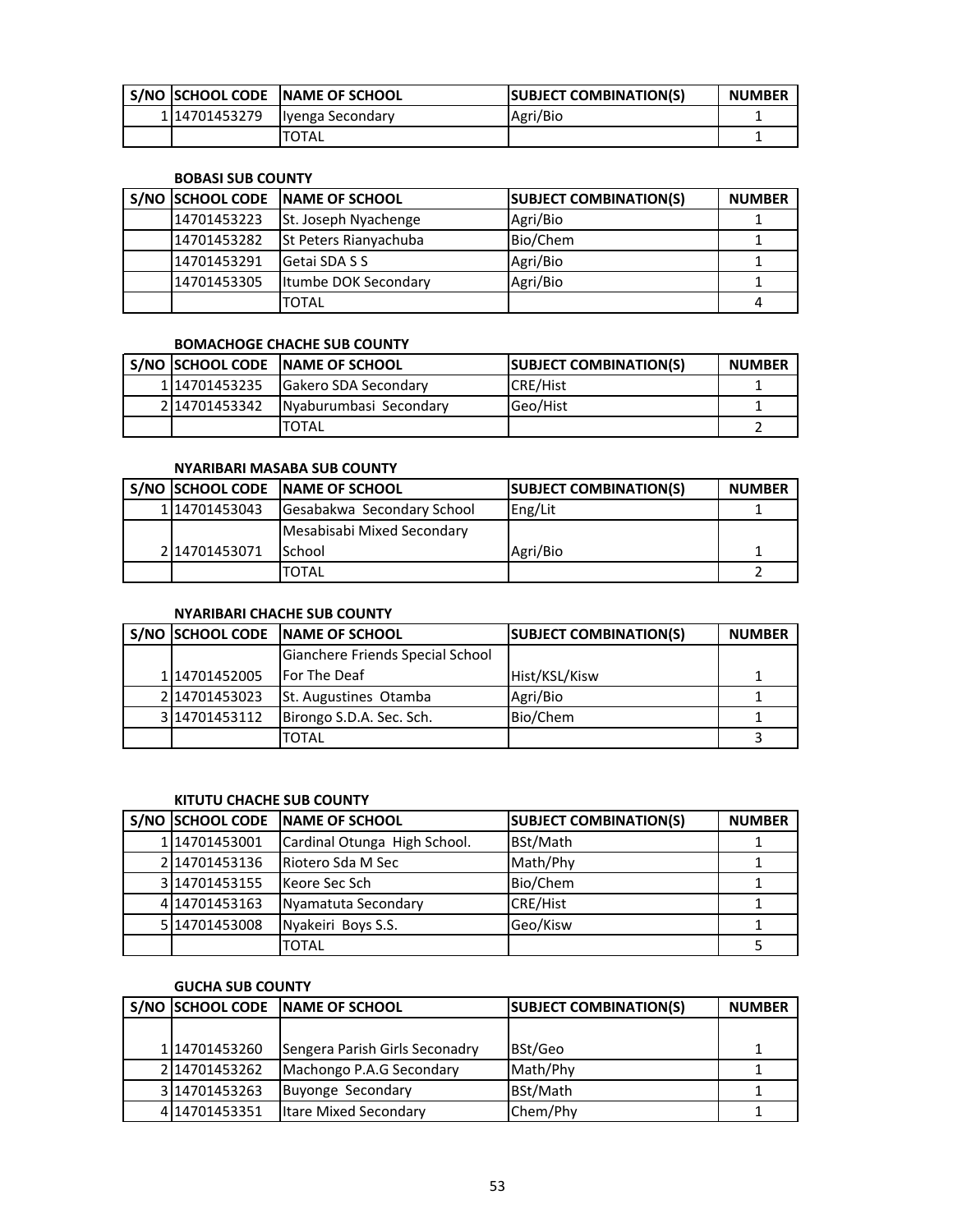|              | S/NO ISCHOOL CODE INAME OF SCHOOL | <b>ISUBJECT COMBINATION(S)</b> | <b>NUMBER</b> |
|--------------|-----------------------------------|--------------------------------|---------------|
| 114701453279 | Ilyenga Secondary                 | Agri/Bio                       |               |
|              | <b>TOTAL</b>                      |                                |               |

#### **BOBASI SUB COUNTY**

| S/NO SCHOOL CODE | <b>INAME OF SCHOOL</b>       | <b>SUBJECT COMBINATION(S)</b> | <b>NUMBER</b> |
|------------------|------------------------------|-------------------------------|---------------|
| 14701453223      | <b>St. Joseph Nyachenge</b>  | Agri/Bio                      |               |
| 14701453282      | <b>St Peters Rianyachuba</b> | Bio/Chem                      |               |
| 14701453291      | Getai SDA S S                | Agri/Bio                      |               |
| 14701453305      | Itumbe DOK Secondary         | Agri/Bio                      |               |
|                  | TOTAL                        |                               | 4             |

## **BOMACHOGE CHACHE SUB COUNTY**

|              | S/NO SCHOOL CODE NAME OF SCHOOL | <b>ISUBJECT COMBINATION(S)</b> | <b>NUMBER</b> |
|--------------|---------------------------------|--------------------------------|---------------|
| 114701453235 | <b>IGakero SDA Secondary</b>    | <b>CRE/Hist</b>                |               |
| 214701453342 | Nyaburumbasi Secondary          | Geo/Hist                       |               |
|              | TOTAL                           |                                |               |

## **NYARIBARI MASABA SUB COUNTY**

|              | S/NO SCHOOL CODE NAME OF SCHOOL | <b>SUBJECT COMBINATION(S)</b> | <b>NUMBER</b> |
|--------------|---------------------------------|-------------------------------|---------------|
| 114701453043 | Gesabakwa Secondary School      | Eng/Lit                       |               |
|              | Mesabisabi Mixed Secondary      |                               |               |
| 214701453071 | <b>School</b>                   | Agri/Bio                      |               |
|              | TOTAL                           |                               |               |

## **NYARIBARI CHACHE SUB COUNTY**

|               | S/NO SCHOOL CODE NAME OF SCHOOL  | <b>SUBJECT COMBINATION(S)</b> | <b>NUMBER</b> |
|---------------|----------------------------------|-------------------------------|---------------|
|               | Gianchere Friends Special School |                               |               |
| 114701452005  | For The Deaf                     | Hist/KSL/Kisw                 |               |
| 214701453023  | St. Augustines Otamba            | Agri/Bio                      |               |
| 3 14701453112 | Birongo S.D.A. Sec. Sch.         | Bio/Chem                      |               |
|               | TOTAL                            |                               |               |

## **KITUTU CHACHE SUB COUNTY**

|                | S/NO SCHOOL CODE NAME OF SCHOOL | <b>SUBJECT COMBINATION(S)</b> | <b>NUMBER</b> |
|----------------|---------------------------------|-------------------------------|---------------|
| 114701453001   | Cardinal Otunga High School.    | BSt/Math                      |               |
| 214701453136   | Riotero Sda M Sec               | Math/Phy                      |               |
| 314701453155   | Keore Sec Sch                   | Bio/Chem                      |               |
| 414701453163   | Nyamatuta Secondary             | <b>CRE/Hist</b>               |               |
| 5 1470 1453008 | Nyakeiri Boys S.S.              | Geo/Kisw                      |               |
|                | <b>TOTAL</b>                    |                               |               |

#### **GUCHA SUB COUNTY**

|               | S/NO SCHOOL CODE NAME OF SCHOOL | <b>SUBJECT COMBINATION(S)</b> | <b>NUMBER</b> |
|---------------|---------------------------------|-------------------------------|---------------|
|               |                                 |                               |               |
| 114701453260  | Sengera Parish Girls Seconadry  | BSt/Geo                       |               |
| 214701453262  | Machongo P.A.G Secondary        | Math/Phy                      |               |
| 3114701453263 | <b>Buyonge Secondary</b>        | BSt/Math                      |               |
| 414701453351  | <b>Itare Mixed Secondary</b>    | Chem/Phy                      |               |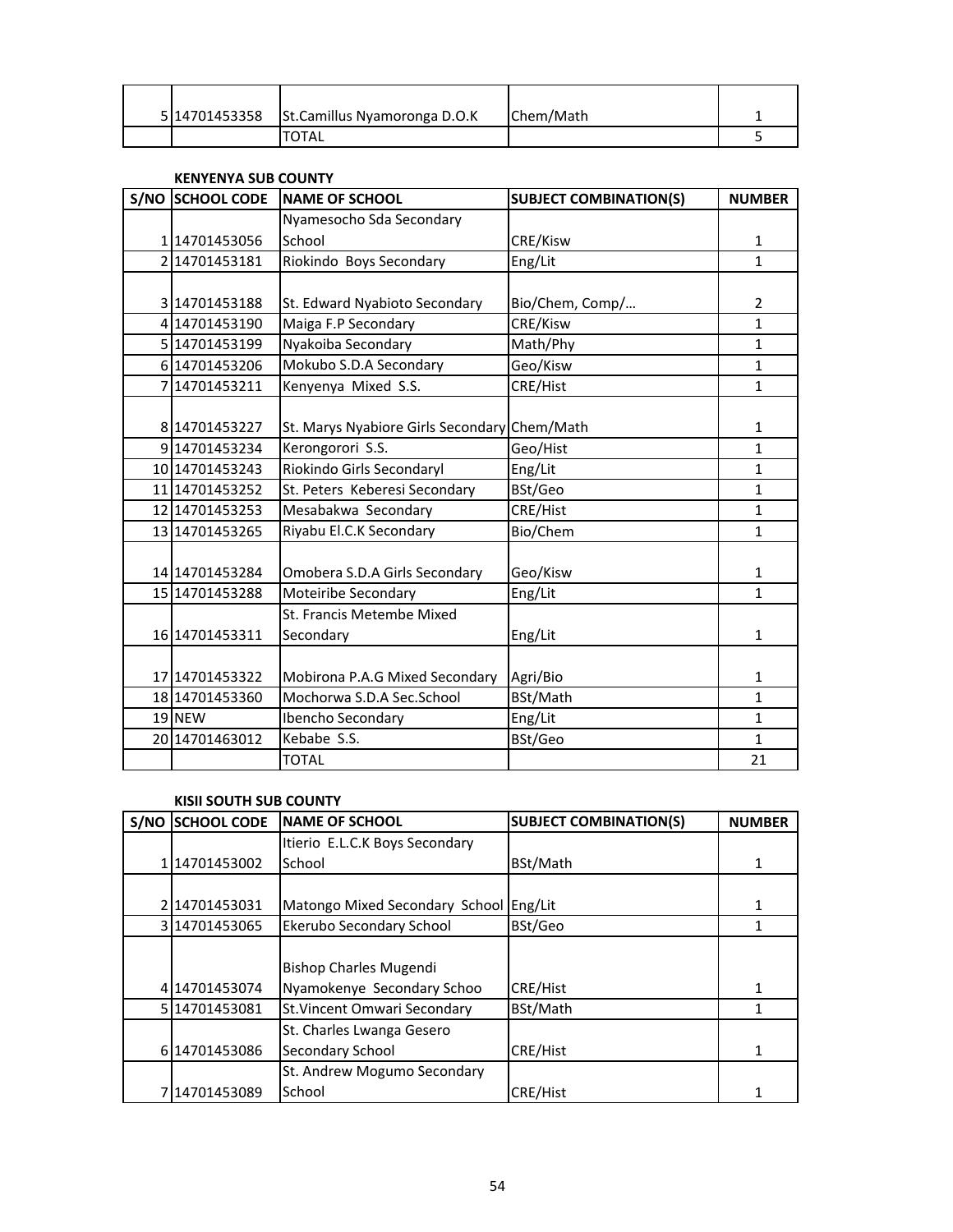|  | 5 14701453358 St.Camillus Nyamoronga D.O.K | Chem/Math |  |
|--|--------------------------------------------|-----------|--|
|  | <b>TOTAL</b>                               |           |  |

#### **KENYENYA SUB COUNTY**

| <b>S/NO SCHOOL CODE</b> | <b>NAME OF SCHOOL</b>              | <b>SUBJECT COMBINATION(S)</b> | <b>NUMBER</b>  |
|-------------------------|------------------------------------|-------------------------------|----------------|
|                         | Nyamesocho Sda Secondary           |                               |                |
| 114701453056            | School                             | CRE/Kisw                      | 1              |
| 2 14701453181           | Riokindo Boys Secondary            | Eng/Lit                       | $\mathbf{1}$   |
|                         |                                    |                               |                |
| 3 14701453188           | St. Edward Nyabioto Secondary      | Bio/Chem, Comp/               | $\overline{2}$ |
| 4 14701453190           | Maiga F.P Secondary                | CRE/Kisw                      | $\mathbf{1}$   |
| 5 14701453199           | Nyakoiba Secondary                 | Math/Phy                      | $\mathbf{1}$   |
| 6 14701453206           | Mokubo S.D.A Secondary             | Geo/Kisw                      | $\mathbf{1}$   |
| 7 14701453211           | Kenyenya Mixed S.S.                | CRE/Hist                      | $\mathbf{1}$   |
|                         |                                    |                               |                |
| 8 14701453227           | St. Marys Nyabiore Girls Secondary | Chem/Math                     | 1              |
| 9 14701453234           | Kerongorori S.S.                   | Geo/Hist                      | $\mathbf{1}$   |
| 10 14701453243          | Riokindo Girls Secondaryl          | Eng/Lit                       | $\mathbf{1}$   |
| 11 14701453252          | St. Peters Keberesi Secondary      | BSt/Geo                       | $\mathbf{1}$   |
| 12 14701453253          | Mesabakwa Secondary                | CRE/Hist                      | $\mathbf{1}$   |
| 13 14701453265          | Riyabu El.C.K Secondary            | Bio/Chem                      | $\mathbf{1}$   |
|                         |                                    |                               |                |
| 14 14701453284          | Omobera S.D.A Girls Secondary      | Geo/Kisw                      | 1              |
| 15 1470 1453 288        | Moteiribe Secondary                | Eng/Lit                       | $\mathbf{1}$   |
|                         | St. Francis Metembe Mixed          |                               |                |
| 16 14701453311          | Secondary                          | Eng/Lit                       | $\mathbf{1}$   |
|                         |                                    |                               |                |
| 17 14701453322          | Mobirona P.A.G Mixed Secondary     | Agri/Bio                      | $\mathbf{1}$   |
| 18 14701453360          | Mochorwa S.D.A Sec.School          | BSt/Math                      | $\mathbf{1}$   |
| 19 NEW                  | Ibencho Secondary                  | Eng/Lit                       | $\mathbf{1}$   |
| 20 14701463012          | Kebabe S.S.                        | BSt/Geo                       | $\mathbf{1}$   |
|                         | <b>TOTAL</b>                       |                               | 21             |

## **KISII SOUTH SUB COUNTY**

| S/NO | <b>SCHOOL CODE</b> | <b>INAME OF SCHOOL</b>                 | <b>SUBJECT COMBINATION(S)</b> | <b>NUMBER</b> |
|------|--------------------|----------------------------------------|-------------------------------|---------------|
|      |                    | Itierio E.L.C.K Boys Secondary         |                               |               |
|      | 14701453002.       | School                                 | BSt/Math                      |               |
|      |                    |                                        |                               |               |
|      | 14701453031        | Matongo Mixed Secondary School Eng/Lit |                               |               |
|      | 314701453065       | Ekerubo Secondary School               | BSt/Geo                       |               |
|      |                    |                                        |                               |               |
|      |                    | <b>Bishop Charles Mugendi</b>          |                               |               |
|      | 4 14701453074      | Nyamokenye Secondary Schoo             | CRE/Hist                      |               |
|      | 5 14701453081      | St. Vincent Omwari Secondary           | BSt/Math                      |               |
|      |                    | St. Charles Lwanga Gesero              |                               |               |
|      | 6 1470 1453086     | Secondary School                       | CRE/Hist                      |               |
|      |                    | St. Andrew Mogumo Secondary            |                               |               |
|      | 714701453089       | School                                 | CRE/Hist                      |               |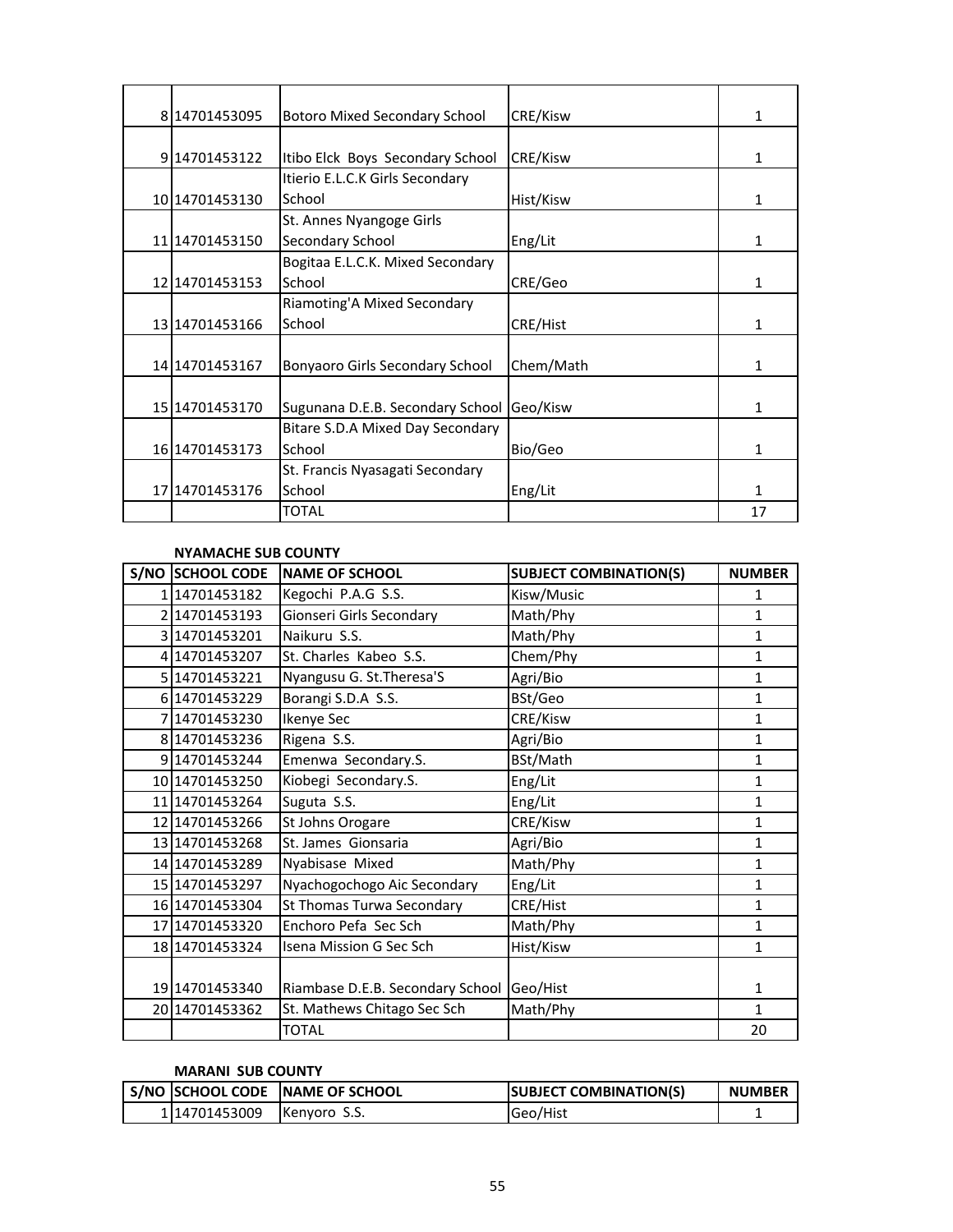| 814701453095     | <b>Botoro Mixed Secondary School</b> | CRE/Kisw  | 1  |
|------------------|--------------------------------------|-----------|----|
|                  |                                      |           |    |
| 9 14701453122    | Itibo Elck Boys Secondary School     | CRE/Kisw  | 1  |
|                  | Itierio E.L.C.K Girls Secondary      |           |    |
| 10 1470 1453 130 | School                               | Hist/Kisw | 1  |
|                  | St. Annes Nyangoge Girls             |           |    |
| 11 1470 1453 150 | Secondary School                     | Eng/Lit   | 1  |
|                  | Bogitaa E.L.C.K. Mixed Secondary     |           |    |
| 12 14701453153   | School                               | CRE/Geo   | 1  |
|                  | Riamoting'A Mixed Secondary          |           |    |
| 13 1470 1453 166 | School                               | CRE/Hist  | 1  |
|                  |                                      |           |    |
| 14 1470 1453 167 | Bonyaoro Girls Secondary School      | Chem/Math | 1  |
|                  |                                      |           |    |
| 15 14701453170   | Sugunana D.E.B. Secondary School     | Geo/Kisw  | 1  |
|                  | Bitare S.D.A Mixed Day Secondary     |           |    |
| 16 14701453173   | School                               | Bio/Geo   | 1  |
|                  | St. Francis Nyasagati Secondary      |           |    |
| 17 1470 1453 176 | School                               | Eng/Lit   | 1  |
|                  | <b>TOTAL</b>                         |           | 17 |

#### **NYAMACHE SUB COUNTY**

| S/NO SCHOOL CODE | <b>NAME OF SCHOOL</b>            | <b>SUBJECT COMBINATION(S)</b> | <b>NUMBER</b> |
|------------------|----------------------------------|-------------------------------|---------------|
| 114701453182     | Kegochi P.A.G S.S.               | Kisw/Music                    | 1             |
| 2 14701453193    | Gionseri Girls Secondary         | Math/Phy                      | $\mathbf{1}$  |
| 3 14701453201    | Naikuru S.S.                     | Math/Phy                      | $\mathbf{1}$  |
| 414701453207     | St. Charles Kabeo S.S.           | Chem/Phy                      | 1             |
| 5 14701453221    | Nyangusu G. St. Theresa'S        | Agri/Bio                      | $\mathbf{1}$  |
| 6 14701453229    | Borangi S.D.A S.S.               | BSt/Geo                       | $\mathbf{1}$  |
| 714701453230     | Ikenye Sec                       | CRE/Kisw                      | $\mathbf{1}$  |
| 8 14701453236    | Rigena S.S.                      | Agri/Bio                      | $\mathbf{1}$  |
| 914701453244     | Emenwa Secondary.S.              | BSt/Math                      | $\mathbf{1}$  |
| 10 14701453250   | Kiobegi Secondary.S.             | Eng/Lit                       | $\mathbf{1}$  |
| 11 1470 1453 264 | Suguta S.S.                      | Eng/Lit                       | $\mathbf{1}$  |
| 12 14701453266   | St Johns Orogare                 | CRE/Kisw                      | 1             |
| 13 14701453268   | St. James Gionsaria              | Agri/Bio                      | $\mathbf{1}$  |
| 14 14701453289   | Nyabisase Mixed                  | Math/Phy                      | $\mathbf{1}$  |
| 15 14701453297   | Nyachogochogo Aic Secondary      | Eng/Lit                       | 1             |
| 16 14701453304   | St Thomas Turwa Secondary        | CRE/Hist                      | $\mathbf{1}$  |
| 17 14701453320   | Enchoro Pefa Sec Sch             | Math/Phy                      | $\mathbf{1}$  |
| 18 14701453324   | Isena Mission G Sec Sch          | Hist/Kisw                     | 1             |
|                  |                                  |                               |               |
| 19 14701453340   | Riambase D.E.B. Secondary School | Geo/Hist                      | 1             |
| 20 14701453362   | St. Mathews Chitago Sec Sch      | Math/Phy                      | $\mathbf{1}$  |
|                  | <b>TOTAL</b>                     |                               | 20            |

## **MARANI SUB COUNTY**

|              | S/NO SCHOOL CODE NAME OF SCHOOL | <b>SUBJECT COMBINATION(S)</b> | <b>NUMBER</b> |
|--------------|---------------------------------|-------------------------------|---------------|
| 114701453009 | <b>IKenvoro S.S.</b>            | <b>Geo/Hist</b>               |               |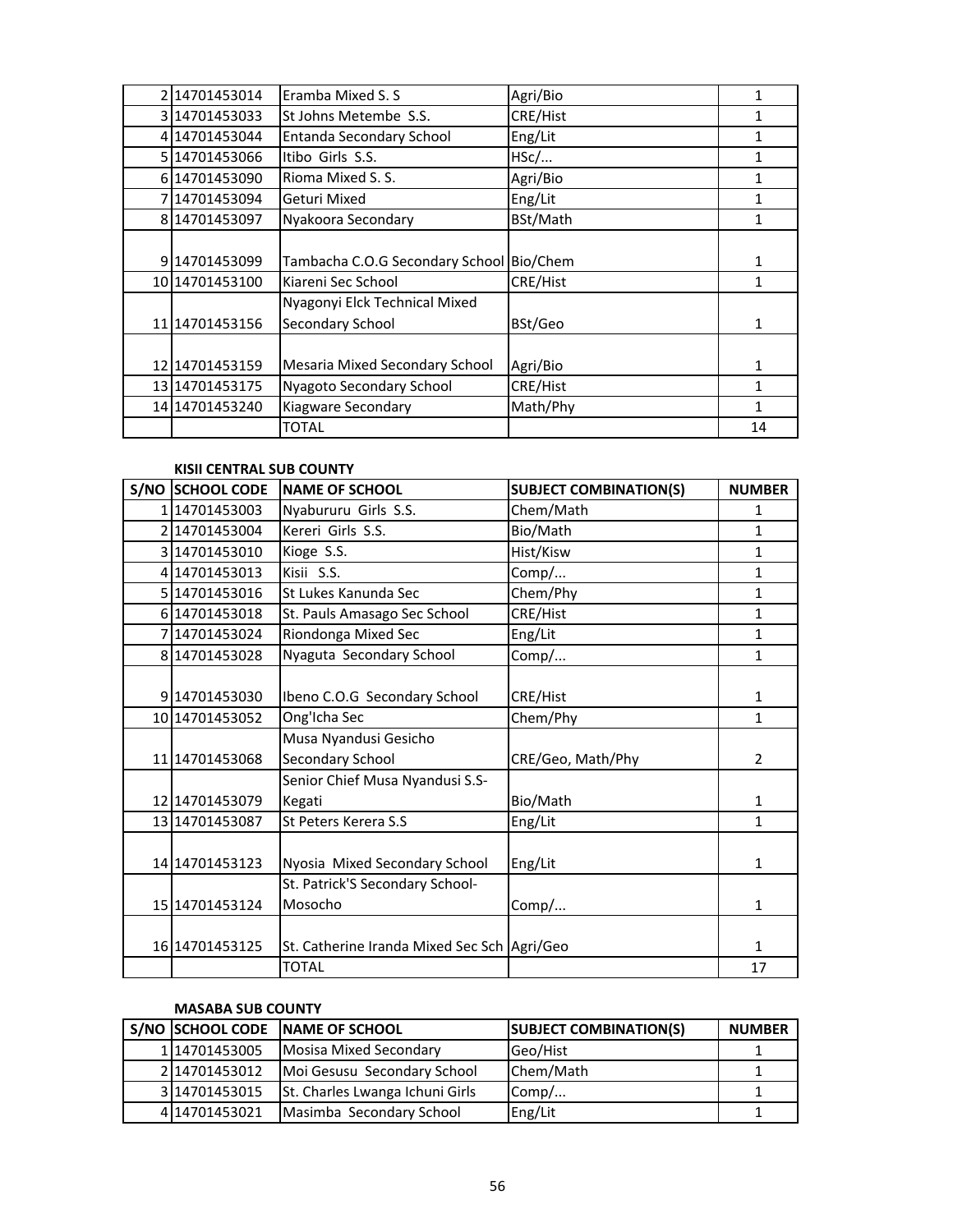| 214701453014     | Eramba Mixed S. S.                       | Agri/Bio |    |
|------------------|------------------------------------------|----------|----|
| 3 14701453033    | St Johns Metembe S.S.                    | CRE/Hist |    |
| 414701453044     | <b>Entanda Secondary School</b>          | Eng/Lit  | 1  |
| 5 14701453066    | Itibo Girls S.S.                         | HSC/     | 1  |
| 6 14701453090    | Rioma Mixed S. S.                        | Agri/Bio | 1  |
| 714701453094     | Geturi Mixed                             | Eng/Lit  | 1  |
| 8 14701453097    | Nyakoora Secondary                       | BSt/Math | 1  |
|                  |                                          |          |    |
| 914701453099     | Tambacha C.O.G Secondary School Bio/Chem |          | 1  |
| 10 1470 1453 100 | Kiareni Sec School                       | CRE/Hist | 1  |
|                  | Nyagonyi Elck Technical Mixed            |          |    |
| 11 1470 1453 156 | Secondary School                         | BSt/Geo  | 1  |
|                  |                                          |          |    |
| 12 1470 1453 159 | Mesaria Mixed Secondary School           | Agri/Bio | 1  |
| 13 1470 1453 175 | Nyagoto Secondary School                 | CRE/Hist | 1  |
| 14 14701453240   | <b>Kiagware Secondary</b>                | Math/Phy | 1  |
|                  | TOTAL                                    |          | 14 |

#### **KISII CENTRAL SUB COUNTY**

| <b>S/NO SCHOOL CODE</b> | <b>NAME OF SCHOOL</b>                       | <b>SUBJECT COMBINATION(S)</b> | <b>NUMBER</b>  |
|-------------------------|---------------------------------------------|-------------------------------|----------------|
| 114701453003            | Nyabururu Girls S.S.                        | Chem/Math                     | $\mathbf{1}$   |
| 2 14701453004           | Kereri Girls S.S.                           | Bio/Math                      | $\mathbf{1}$   |
| 3 14701453010           | Kioge S.S.                                  | Hist/Kisw                     | 1              |
| 4 14701453013           | Kisii S.S.                                  | Comp/                         | $\mathbf{1}$   |
| 5 14701453016           | St Lukes Kanunda Sec                        | Chem/Phy                      | $\mathbf{1}$   |
| 6 14701453018           | St. Pauls Amasago Sec School                | CRE/Hist                      | $\mathbf{1}$   |
| 7 14701453024           | Riondonga Mixed Sec                         | Eng/Lit                       | $\mathbf{1}$   |
| 8 14701453028           | Nyaguta Secondary School                    | Comp/                         | $\mathbf{1}$   |
|                         |                                             |                               |                |
| 914701453030            | Ibeno C.O.G Secondary School                | CRE/Hist                      | $\mathbf{1}$   |
| 10 14701453052          | Ong'Icha Sec                                | Chem/Phy                      | 1              |
|                         | Musa Nyandusi Gesicho                       |                               |                |
| 11 14701453068          | Secondary School                            | CRE/Geo, Math/Phy             | $\overline{2}$ |
|                         | Senior Chief Musa Nyandusi S.S-             |                               |                |
| 12 14701453079          | Kegati                                      | Bio/Math                      | 1              |
| 13 14701453087          | St Peters Kerera S.S                        | Eng/Lit                       | 1              |
|                         |                                             |                               |                |
| 14 14701453123          | Nyosia Mixed Secondary School               | Eng/Lit                       | 1              |
|                         | St. Patrick'S Secondary School-             |                               |                |
| 15 14701453124          | Mosocho                                     | Comp/                         | 1              |
|                         |                                             |                               |                |
| 16 14701453125          | St. Catherine Iranda Mixed Sec Sch Agri/Geo |                               | 1              |
|                         | <b>TOTAL</b>                                |                               | 17             |

## **MASABA SUB COUNTY**

|               | S/NO SCHOOL CODE NAME OF SCHOOL | <b>SUBJECT COMBINATION(S)</b> | <b>NUMBER</b> |
|---------------|---------------------------------|-------------------------------|---------------|
| 114701453005  | Mosisa Mixed Secondary          | Geo/Hist                      |               |
| 2 14701453012 | Moi Gesusu Secondary School     | Chem/Math                     |               |
| 3 14701453015 | St. Charles Lwanga Ichuni Girls | Comp/                         |               |
| 414701453021  | Masimba Secondary School        | Eng/Lit                       |               |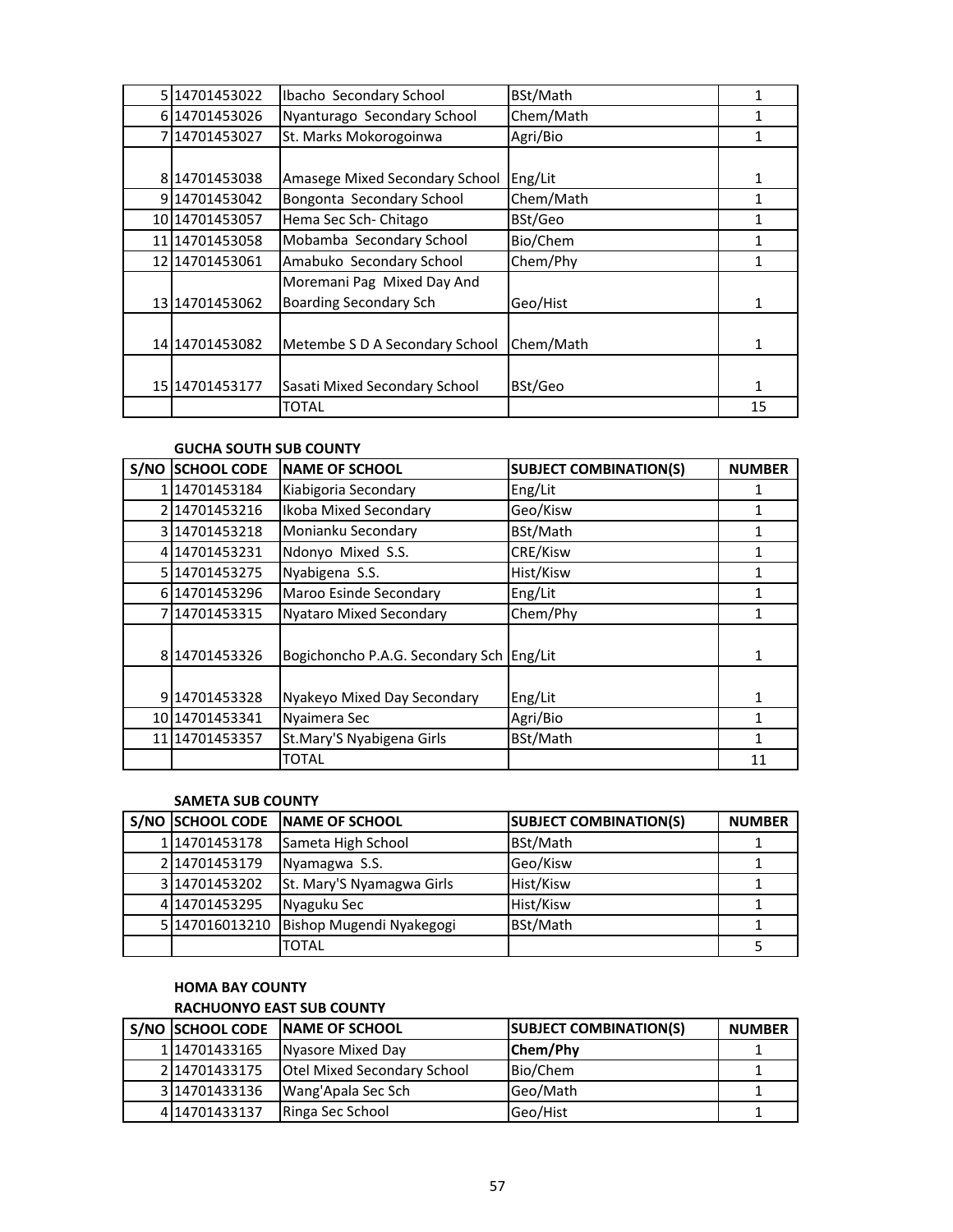| 5 14701453022    | Ibacho Secondary School        | BSt/Math  | 1  |
|------------------|--------------------------------|-----------|----|
| 6 14701453026    | Nyanturago Secondary School    | Chem/Math | 1  |
| 7 14701453027    | St. Marks Mokorogoinwa         | Agri/Bio  | 1  |
|                  |                                |           |    |
| 814701453038     | Amasege Mixed Secondary School | Eng/Lit   | 1  |
| 914701453042     | Bongonta Secondary School      | Chem/Math | 1  |
| 10 1470 14530 57 | Hema Sec Sch-Chitago           | BSt/Geo   |    |
| 11 1470 14530 58 | Mobamba Secondary School       | Bio/Chem  | 1  |
| 12 1470 14530 61 | Amabuko Secondary School       | Chem/Phy  | 1  |
|                  | Moremani Pag Mixed Day And     |           |    |
| 13 1470 14530 62 | <b>Boarding Secondary Sch</b>  | Geo/Hist  | 1  |
|                  |                                |           |    |
| 14 1470 14530 82 | Metembe S D A Secondary School | Chem/Math | 1  |
|                  |                                |           |    |
| 15 1470 1453 177 | Sasati Mixed Secondary School  | BSt/Geo   | 1  |
|                  | <b>TOTAL</b>                   |           | 15 |

#### **GUCHA SOUTH SUB COUNTY**

| S/NO | <b>SCHOOL CODE</b> | <b>NAME OF SCHOOL</b>                    | <b>SUBJECT COMBINATION(S)</b> | <b>NUMBER</b> |
|------|--------------------|------------------------------------------|-------------------------------|---------------|
|      | 114701453184       | Kiabigoria Secondary                     | Eng/Lit                       |               |
|      | 2 14701453216      | Ikoba Mixed Secondary                    | Geo/Kisw                      |               |
|      | 314701453218       | Monianku Secondary                       | BSt/Math                      |               |
|      | 414701453231       | Ndonyo Mixed S.S.                        | CRE/Kisw                      | 1             |
|      | 5 14701453275      | Nyabigena S.S.                           | Hist/Kisw                     |               |
|      | 6 14701453296      | Maroo Esinde Secondary                   | Eng/Lit                       |               |
|      | 7 14701453315      | <b>Nyataro Mixed Secondary</b>           | Chem/Phy                      |               |
|      | 814701453326       | Bogichoncho P.A.G. Secondary Sch Eng/Lit |                               | 1             |
|      | 914701453328       | Nyakeyo Mixed Day Secondary              | Eng/Lit                       | 1             |
|      | 10 1470 1453 341   | Nyaimera Sec                             | Agri/Bio                      | 1             |
|      | 11 1470 1453 357   | St.Mary'S Nyabigena Girls                | BSt/Math                      |               |
|      |                    | TOTAL                                    |                               | 11            |

#### **SAMETA SUB COUNTY**

| S/NO SCHOOL CODE | <b>NAME OF SCHOOL</b>     | <b>SUBJECT COMBINATION(S)</b> | <b>NUMBER</b> |
|------------------|---------------------------|-------------------------------|---------------|
| 114701453178     | Sameta High School        | BSt/Math                      |               |
| 2 14701453179    | Nyamagwa S.S.             | Geo/Kisw                      |               |
| 314701453202     | St. Mary'S Nyamagwa Girls | Hist/Kisw                     |               |
| 414701453295     | Nyaguku Sec               | Hist/Kisw                     |               |
| 5 147016013210   | Bishop Mugendi Nyakegogi  | BSt/Math                      |               |
|                  | <b>TOTAL</b>              |                               |               |

# **HOMA BAY COUNTY**

## **RACHUONYO EAST SUB COUNTY S/NO SCHOOL CODE NAME OF SCHOOL SUBJECT COMBINATION(S) NUMBER** 14701433165 Nyasore Mixed Day **Chem/Phy** 1 2 14701433175 Otel Mixed Secondary School Bio/Chem 1 14701433136 Wang'Apala Sec Sch Geo/Math 1 14701433137 Ringa Sec School Geo/Hist 1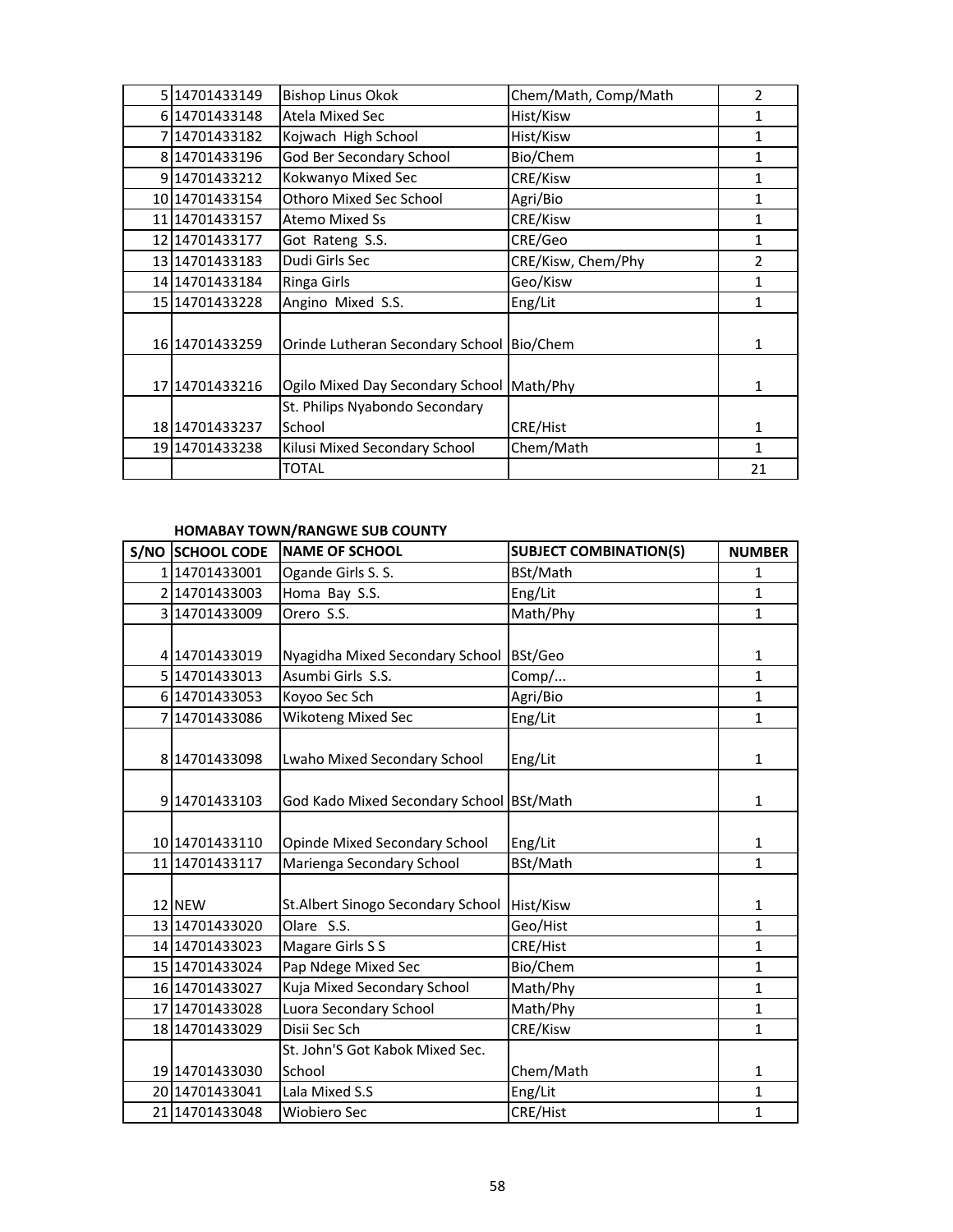| 5 1470 1433 149  | <b>Bishop Linus Okok</b>                  | Chem/Math, Comp/Math | $\overline{2}$ |
|------------------|-------------------------------------------|----------------------|----------------|
| 6 14701433148    | Atela Mixed Sec                           | Hist/Kisw            | 1              |
| 714701433182     | Kojwach High School                       | Hist/Kisw            | 1              |
| 8 14701433196    | God Ber Secondary School                  | Bio/Chem             | 1              |
| 914701433212     | Kokwanyo Mixed Sec                        | CRE/Kisw             | 1              |
| 10 14701433154   | Othoro Mixed Sec School                   | Agri/Bio             | 1              |
| 11 1470 1433 157 | <b>Atemo Mixed Ss</b>                     | CRE/Kisw             | 1              |
| 12 1470 1433 177 | Got Rateng S.S.                           | CRE/Geo              | 1              |
| 13 14701433183   | Dudi Girls Sec                            | CRE/Kisw, Chem/Phy   | $\mathfrak{p}$ |
| 14 1470 1433 184 | Ringa Girls                               | Geo/Kisw             | 1              |
| 15 14701433228   | Angino Mixed S.S.                         | Eng/Lit              | 1              |
| 16 14701433259   | Orinde Lutheran Secondary School Bio/Chem |                      | 1              |
| 17 1470 1433 216 | Ogilo Mixed Day Secondary School Math/Phy |                      | 1              |
|                  | St. Philips Nyabondo Secondary            |                      |                |
| 18 14701433237   | School                                    | CRE/Hist             | 1              |
| 19 14701433238   | Kilusi Mixed Secondary School             | Chem/Math            | 1              |
|                  | <b>TOTAL</b>                              |                      | 21             |

## **HOMABAY TOWN/RANGWE SUB COUNTY**

| S/NO SCHOOL CODE | <b>NAME OF SCHOOL</b>             | <b>SUBJECT COMBINATION(S)</b> | <b>NUMBER</b> |
|------------------|-----------------------------------|-------------------------------|---------------|
| 114701433001     | Ogande Girls S. S.                | BSt/Math                      | $\mathbf{1}$  |
| 214701433003     | Homa Bay S.S.                     | Eng/Lit                       | $\mathbf{1}$  |
| 3 14701433009    | Orero S.S.                        | Math/Phy                      | $\mathbf{1}$  |
|                  |                                   |                               |               |
| 4 14701433019    | Nyagidha Mixed Secondary School   | BSt/Geo                       | $\mathbf{1}$  |
| 5 14701433013    | Asumbi Girls S.S.                 | Comp/                         | $\mathbf{1}$  |
| 6 14701433053    | Koyoo Sec Sch                     | Agri/Bio                      | $\mathbf{1}$  |
| 7 14701433086    | Wikoteng Mixed Sec                | Eng/Lit                       | $\mathbf{1}$  |
|                  |                                   |                               |               |
| 8 14701433098    | Lwaho Mixed Secondary School      | Eng/Lit                       | 1             |
|                  |                                   |                               |               |
| 9 14701433103    | God Kado Mixed Secondary School   | BSt/Math                      | 1             |
|                  |                                   |                               |               |
| 10 14701433110   | Opinde Mixed Secondary School     | Eng/Lit                       | $\mathbf{1}$  |
| 11 14701433117   | Marienga Secondary School         | BSt/Math                      | $\mathbf{1}$  |
|                  |                                   |                               |               |
| 12 NEW           | St.Albert Sinogo Secondary School | Hist/Kisw                     | $\mathbf{1}$  |
| 13 14701433020   | Olare S.S.                        | Geo/Hist                      | $\mathbf{1}$  |
| 14 14701433023   | Magare Girls S S                  | CRE/Hist                      | $\mathbf{1}$  |
| 15 14701433024   | Pap Ndege Mixed Sec               | Bio/Chem                      | $\mathbf{1}$  |
| 16 14701433027   | Kuja Mixed Secondary School       | Math/Phy                      | $\mathbf{1}$  |
| 17 14701433028   | Luora Secondary School            | Math/Phy                      | $\mathbf{1}$  |
| 18 14701433029   | Disii Sec Sch                     | CRE/Kisw                      | $\mathbf{1}$  |
|                  | St. John'S Got Kabok Mixed Sec.   |                               |               |
| 19 14701433030   | School                            | Chem/Math                     | $\mathbf{1}$  |
| 20 14701433041   | Lala Mixed S.S                    | Eng/Lit                       | $\mathbf{1}$  |
| 21 14701433048   | <b>Wiobiero Sec</b>               | CRE/Hist                      | $\mathbf{1}$  |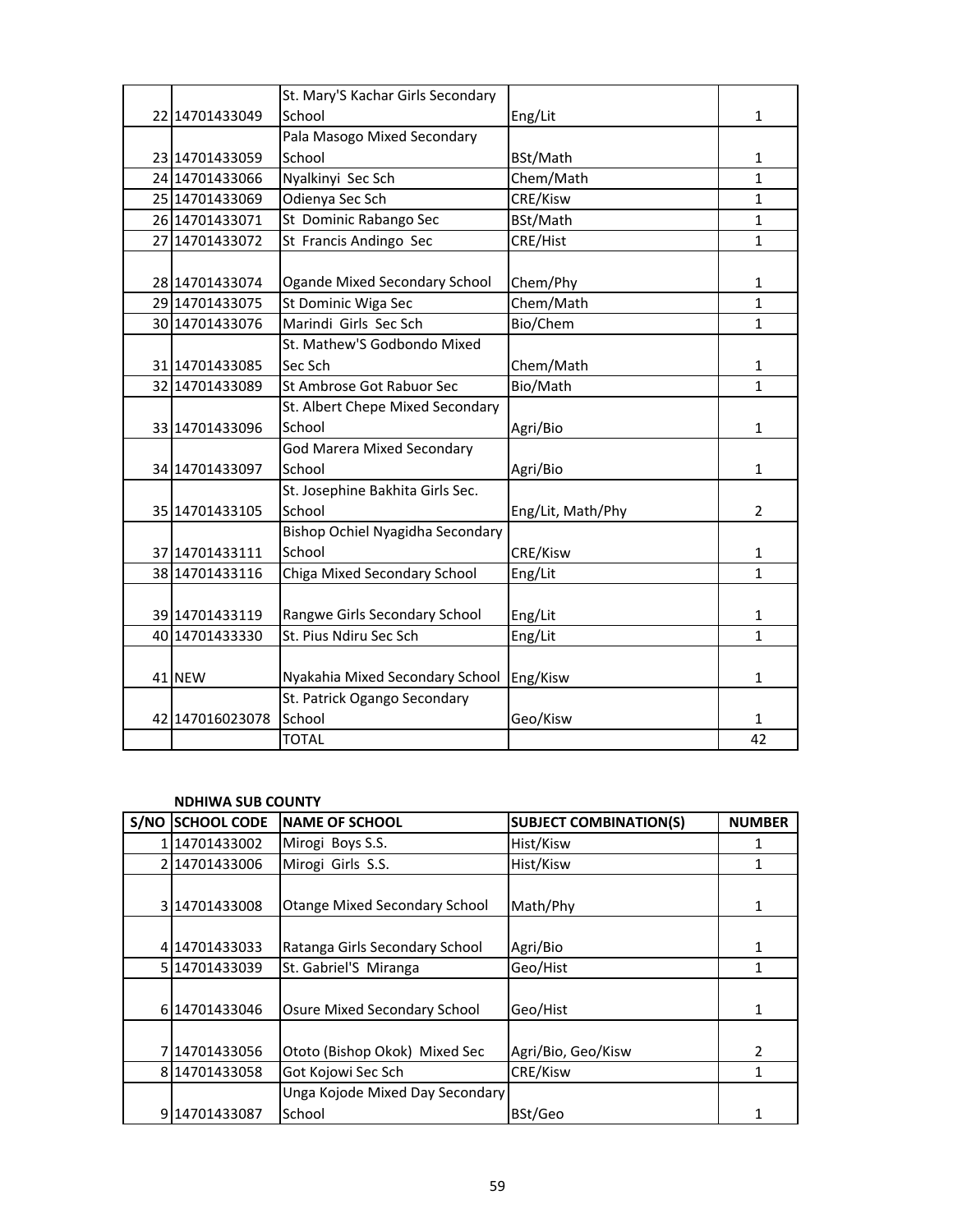|                  | St. Mary'S Kachar Girls Secondary |                   |                |
|------------------|-----------------------------------|-------------------|----------------|
| 22 14701433049   | School                            | Eng/Lit           | $\mathbf{1}$   |
|                  | Pala Masogo Mixed Secondary       |                   |                |
| 23 14701433059   | School                            | BSt/Math          | $\mathbf{1}$   |
| 24 14701433066   | Nyalkinyi Sec Sch                 | Chem/Math         | $\mathbf{1}$   |
| 25 14701433069   | Odienya Sec Sch                   | CRE/Kisw          | $\mathbf{1}$   |
| 26 14701433071   | St Dominic Rabango Sec            | BSt/Math          | $\mathbf{1}$   |
| 27 14701433072   | St Francis Andingo Sec            | CRE/Hist          | $\mathbf{1}$   |
|                  |                                   |                   |                |
| 28 14701433074   | Ogande Mixed Secondary School     | Chem/Phy          | $\mathbf{1}$   |
| 29 14701433075   | St Dominic Wiga Sec               | Chem/Math         | $\mathbf{1}$   |
| 30 14701433076   | Marindi Girls Sec Sch             | Bio/Chem          | 1              |
|                  | St. Mathew'S Godbondo Mixed       |                   |                |
| 31 1470 1433 085 | Sec Sch                           | Chem/Math         | $\mathbf{1}$   |
| 32 14701433089   | St Ambrose Got Rabuor Sec         | Bio/Math          | $\mathbf{1}$   |
|                  | St. Albert Chepe Mixed Secondary  |                   |                |
| 33 14701433096   | School                            | Agri/Bio          | $\mathbf{1}$   |
|                  | <b>God Marera Mixed Secondary</b> |                   |                |
| 34 14701433097   | School                            | Agri/Bio          | $\mathbf{1}$   |
|                  | St. Josephine Bakhita Girls Sec.  |                   |                |
| 35 14701433105   | School                            | Eng/Lit, Math/Phy | $\overline{2}$ |
|                  | Bishop Ochiel Nyagidha Secondary  |                   |                |
| 37 14701433111   | School                            | CRE/Kisw          | $\mathbf{1}$   |
| 38 14701433116   | Chiga Mixed Secondary School      | Eng/Lit           | 1              |
|                  |                                   |                   |                |
| 39 14701433119   | Rangwe Girls Secondary School     | Eng/Lit           | 1              |
| 40 1470 1433 330 | St. Pius Ndiru Sec Sch            | Eng/Lit           | $\mathbf{1}$   |
|                  |                                   |                   |                |
| 41 NEW           | Nyakahia Mixed Secondary School   | Eng/Kisw          | 1              |
|                  | St. Patrick Ogango Secondary      |                   |                |
| 42 147016023078  | School                            | Geo/Kisw          | $\mathbf{1}$   |
|                  | <b>TOTAL</b>                      |                   | 42             |

#### **NDHIWA SUB COUNTY**

| S/NO | <b>SCHOOL CODE</b> | <b>NAME OF SCHOOL</b>                | <b>SUBJECT COMBINATION(S)</b> | <b>NUMBER</b> |
|------|--------------------|--------------------------------------|-------------------------------|---------------|
|      | 14701433002        | Mirogi Boys S.S.                     | Hist/Kisw                     |               |
|      | 2 14701433006      | Mirogi Girls S.S.                    | Hist/Kisw                     | 1             |
|      | 3 14701433008      | <b>Otange Mixed Secondary School</b> | Math/Phy                      | 1             |
|      | 414701433033       | Ratanga Girls Secondary School       | Agri/Bio                      | 1             |
|      | 5 14701433039      | St. Gabriel'S Miranga                | Geo/Hist                      | 1             |
|      | 6 14701433046      | Osure Mixed Secondary School         | Geo/Hist                      | 1             |
|      | 7114701433056      | Ototo (Bishop Okok) Mixed Sec        | Agri/Bio, Geo/Kisw            | $\mathcal{P}$ |
|      | 814701433058       | Got Kojowi Sec Sch                   | CRE/Kisw                      | 1             |
|      |                    | Unga Kojode Mixed Day Secondary      |                               |               |
|      | 914701433087       | School                               | BSt/Geo                       |               |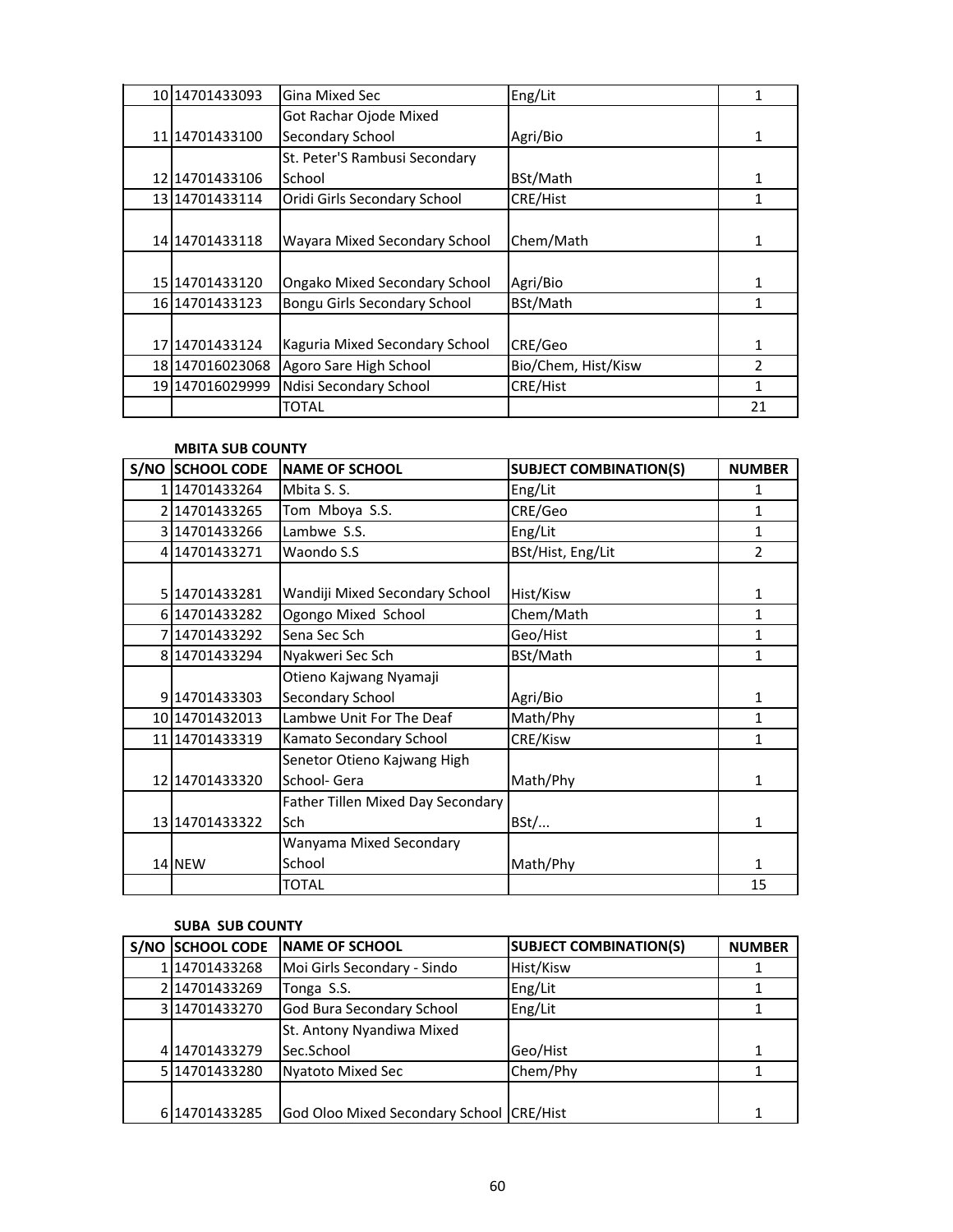| 10 1470 1433093       | Gina Mixed Sec                       | Eng/Lit             | 1             |
|-----------------------|--------------------------------------|---------------------|---------------|
|                       | Got Rachar Ojode Mixed               |                     |               |
| 11 1470 1433 100      | Secondary School                     | Agri/Bio            | 1             |
|                       | St. Peter'S Rambusi Secondary        |                     |               |
| 12 1470 1433 106      | School                               | BSt/Math            | 1             |
| 13 1470 1433 114      | Oridi Girls Secondary School         | CRE/Hist            | 1             |
|                       |                                      |                     |               |
| 14 14 70 14 3 3 1 1 8 | Wayara Mixed Secondary School        | Chem/Math           | 1             |
|                       |                                      |                     |               |
| 15 14701433120        | <b>Ongako Mixed Secondary School</b> | Agri/Bio            | 1             |
| 16 1470 1433 123      | Bongu Girls Secondary School         | BSt/Math            | 1             |
|                       |                                      |                     |               |
| 17 1470 1433 124      | Kaguria Mixed Secondary School       | CRE/Geo             | 1             |
| 18 147016023068       | Agoro Sare High School               | Bio/Chem, Hist/Kisw | $\mathfrak z$ |
| 19 147016029999       | Ndisi Secondary School               | CRE/Hist            | 1             |
|                       | <b>TOTAL</b>                         |                     | 21            |

#### **MBITA SUB COUNTY**

| <b>S/NO SCHOOL CODE</b> | <b>NAME OF SCHOOL</b>             | <b>SUBJECT COMBINATION(S)</b> | <b>NUMBER</b>  |
|-------------------------|-----------------------------------|-------------------------------|----------------|
| 114701433264            | Mbita S. S.                       | Eng/Lit                       | 1              |
| 2 14701433265           | Tom Mboya S.S.                    | CRE/Geo                       | $\mathbf{1}$   |
| 3 14701433266           | Lambwe S.S.                       | Eng/Lit                       | 1              |
| 414701433271            | Waondo S.S                        | BSt/Hist, Eng/Lit             | $\mathfrak{p}$ |
|                         |                                   |                               |                |
| 5 14701433281           | Wandiji Mixed Secondary School    | Hist/Kisw                     | 1              |
| 6 14701433282           | Ogongo Mixed School               | Chem/Math                     | $\mathbf{1}$   |
| 714701433292            | Sena Sec Sch                      | Geo/Hist                      | 1              |
| 814701433294            | Nyakweri Sec Sch                  | BSt/Math                      | 1              |
|                         | Otieno Kajwang Nyamaji            |                               |                |
| 914701433303            | Secondary School                  | Agri/Bio                      | 1              |
| 10 14701432013          | Lambwe Unit For The Deaf          | Math/Phy                      | 1              |
| 11 1470 1433 319        | Kamato Secondary School           | CRE/Kisw                      | 1              |
|                         | Senetor Otieno Kajwang High       |                               |                |
| 12 14701433320          | School- Gera                      | Math/Phy                      | 1              |
|                         | Father Tillen Mixed Day Secondary |                               |                |
| 13 14701433322          | <b>Sch</b>                        | BSt/                          | 1              |
|                         | Wanyama Mixed Secondary           |                               |                |
| 14 NEW                  | School                            | Math/Phy                      | 1              |
|                         | <b>TOTAL</b>                      |                               | 15             |

## **SUBA SUB COUNTY**

| S/NO SCHOOL CODE | <b>INAME OF SCHOOL</b>                   | <b>SUBJECT COMBINATION(S)</b> | <b>NUMBER</b> |
|------------------|------------------------------------------|-------------------------------|---------------|
| 114701433268     | Moi Girls Secondary - Sindo              | Hist/Kisw                     |               |
| 2 14701433269    | Tonga S.S.                               | Eng/Lit                       |               |
| 314701433270     | God Bura Secondary School                | Eng/Lit                       |               |
|                  | St. Antony Nyandiwa Mixed                |                               |               |
| 414701433279     | Sec.School                               | Geo/Hist                      |               |
| 5 1470 1433 280  | Nyatoto Mixed Sec                        | Chem/Phy                      |               |
|                  |                                          |                               |               |
| 6 14701433285    | God Oloo Mixed Secondary School CRE/Hist |                               |               |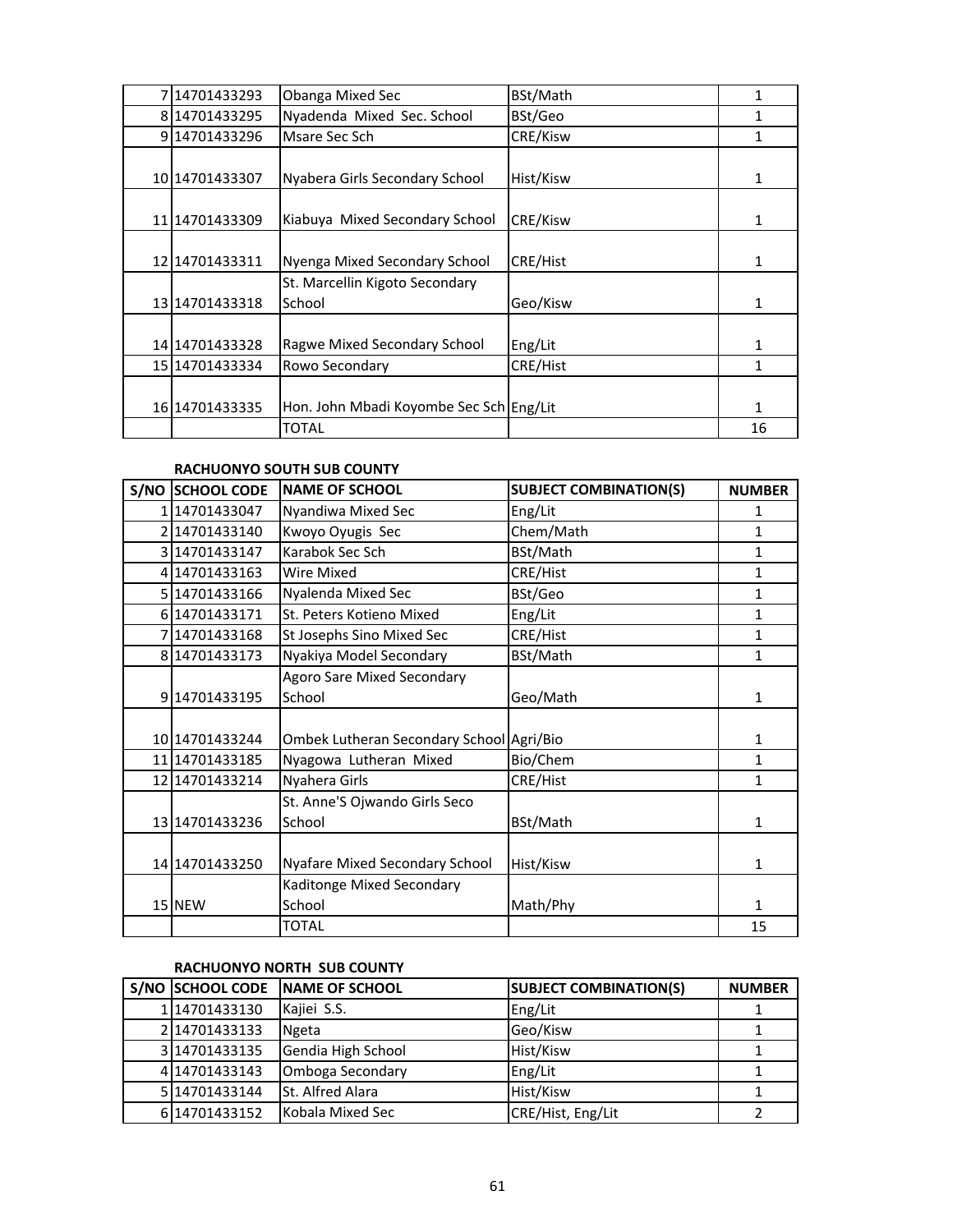| 714701433293     | <b>Obanga Mixed Sec</b>                  | BSt/Math        | 1  |
|------------------|------------------------------------------|-----------------|----|
| 814701433295     | Nyadenda Mixed Sec. School               | BSt/Geo         | 1  |
| 914701433296     | Msare Sec Sch                            | CRE/Kisw        | 1  |
| 10 1470 1433307  | Nyabera Girls Secondary School           | Hist/Kisw       | 1  |
| 11 1470 1433 309 | Kiabuya Mixed Secondary School           | <b>CRE/Kisw</b> | 1  |
| 12 1470 1433 311 | Nyenga Mixed Secondary School            | CRE/Hist        | 1  |
| 13 1470 1433 318 | St. Marcellin Kigoto Secondary<br>School | Geo/Kisw        | 1  |
| 14 14701433328   | Ragwe Mixed Secondary School             | Eng/Lit         | 1  |
| 15 1470 1433 334 | Rowo Secondary                           | CRE/Hist        | 1  |
| 16 14701433335   | Hon. John Mbadi Koyombe Sec Sch Eng/Lit  |                 | 1  |
|                  | TOTAL                                    |                 | 16 |

## **RACHUONYO SOUTH SUB COUNTY**

| S/NO SCHOOL CODE | <b>NAME OF SCHOOL</b>                       | <b>SUBJECT COMBINATION(S)</b> | <b>NUMBER</b> |
|------------------|---------------------------------------------|-------------------------------|---------------|
| 1 14701433047    | Nyandiwa Mixed Sec                          | Eng/Lit                       | 1             |
| 2 14701433140    | Kwoyo Oyugis Sec                            | Chem/Math                     | 1             |
| 3 14701433147    | Karabok Sec Sch                             | BSt/Math                      | 1             |
| 4 14701433163    | Wire Mixed                                  | CRE/Hist                      | 1             |
| 5 14701433166    | Nyalenda Mixed Sec                          | BSt/Geo                       | $\mathbf{1}$  |
| 6 14701433171    | St. Peters Kotieno Mixed                    | Eng/Lit                       | 1             |
| 7 14701433168    | St Josephs Sino Mixed Sec                   | CRE/Hist                      | 1             |
| 8 14701433173    | Nyakiya Model Secondary                     | BSt/Math                      | 1             |
| 914701433195     | <b>Agoro Sare Mixed Secondary</b><br>School | Geo/Math                      | 1             |
| 10 14701433244   | Ombek Lutheran Secondary School Agri/Bio    |                               | 1             |
| 11 1470 1433 185 | Nyagowa Lutheran Mixed                      | Bio/Chem                      | 1             |
| 12 14701433214   | Nyahera Girls                               | CRE/Hist                      | 1             |
| 13 14701433236   | St. Anne'S Ojwando Girls Seco<br>School     | BSt/Math                      | 1             |
| 14 14701433250   | Nyafare Mixed Secondary School              | Hist/Kisw                     | 1             |
| 15 NEW           | Kaditonge Mixed Secondary<br>School         | Math/Phy                      | 1             |
|                  | TOTAL                                       |                               | 15            |

# **RACHUONYO NORTH SUB COUNTY**

|                 | S/NO SCHOOL CODE NAME OF SCHOOL | <b>SUBJECT COMBINATION(S)</b> | <b>NUMBER</b> |
|-----------------|---------------------------------|-------------------------------|---------------|
| 114701433130    | Kajiei S.S.                     | Eng/Lit                       |               |
| 214701433133    | Ngeta                           | Geo/Kisw                      |               |
| 3 14701433135   | Gendia High School              | Hist/Kisw                     |               |
| 414701433143    | Omboga Secondary                | Eng/Lit                       |               |
| 5 1470 1433 144 | St. Alfred Alara                | Hist/Kisw                     |               |
| 6 1470 1433 152 | Kobala Mixed Sec                | CRE/Hist, Eng/Lit             |               |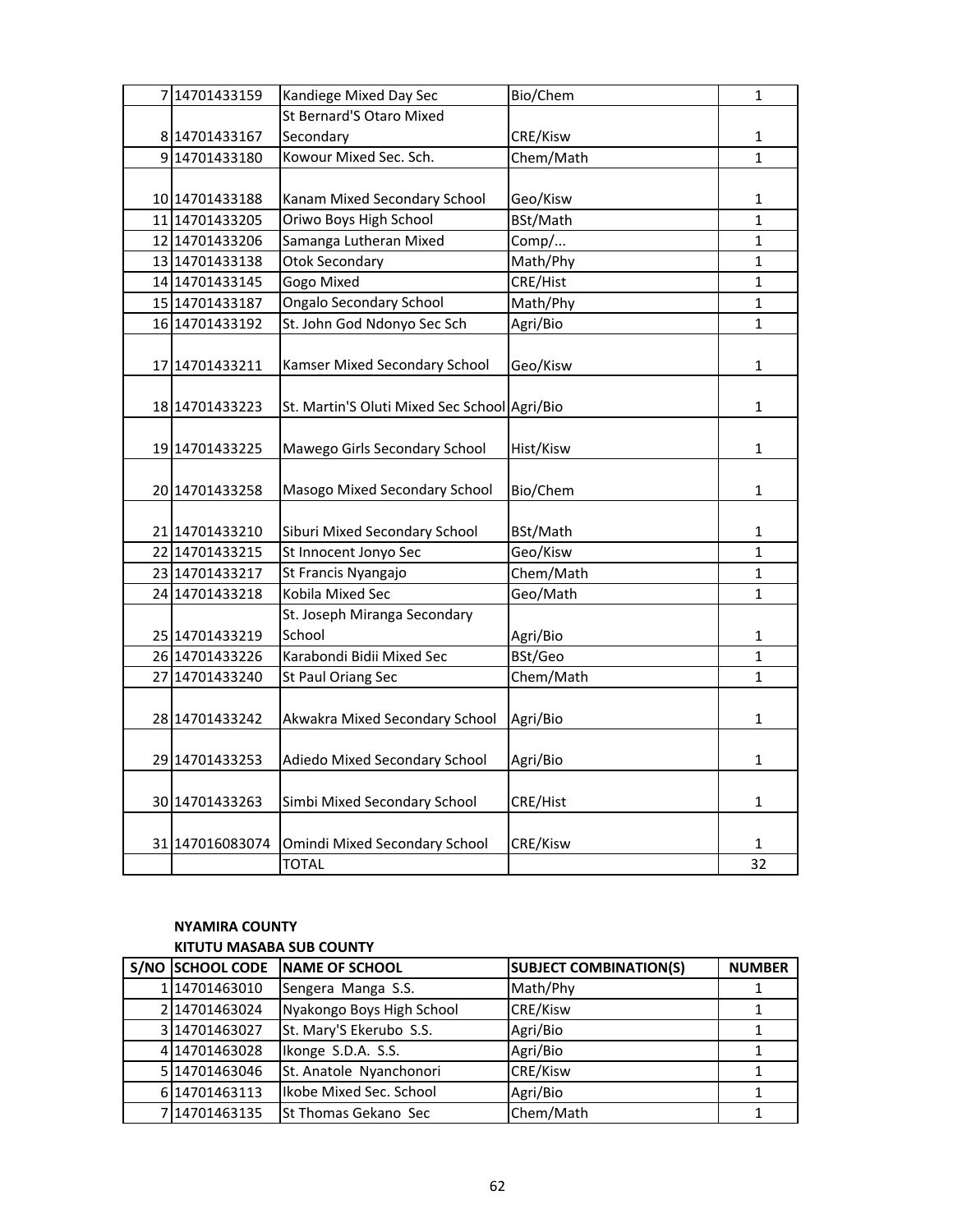| 7 14701433159   | Kandiege Mixed Day Sec                       | Bio/Chem  | $\mathbf{1}$   |
|-----------------|----------------------------------------------|-----------|----------------|
|                 | St Bernard'S Otaro Mixed                     |           |                |
| 8 14701433167   | Secondary                                    | CRE/Kisw  | $\mathbf 1$    |
| 914701433180    | Kowour Mixed Sec. Sch.                       | Chem/Math | $\mathbf{1}$   |
|                 |                                              |           |                |
| 10 14701433188  | Kanam Mixed Secondary School                 | Geo/Kisw  | $\mathbf{1}$   |
| 11 14701433205  | Oriwo Boys High School                       | BSt/Math  | $\overline{1}$ |
| 12 14701433206  | Samanga Lutheran Mixed                       | Comp/     | 1              |
| 13 14701433138  | <b>Otok Secondary</b>                        | Math/Phy  | $\mathbf 1$    |
| 14 14701433145  | Gogo Mixed                                   | CRE/Hist  | $\mathbf{1}$   |
| 15 14701433187  | <b>Ongalo Secondary School</b>               | Math/Phy  | $\mathbf{1}$   |
| 16 14701433192  | St. John God Ndonyo Sec Sch                  | Agri/Bio  | $\mathbf{1}$   |
|                 |                                              |           |                |
| 17 14701433211  | Kamser Mixed Secondary School                | Geo/Kisw  | $\mathbf{1}$   |
|                 |                                              |           |                |
| 18 14701433223  | St. Martin'S Oluti Mixed Sec School Agri/Bio |           | $\mathbf{1}$   |
|                 |                                              |           |                |
| 19 14701433225  | Mawego Girls Secondary School                | Hist/Kisw | $\mathbf{1}$   |
|                 |                                              |           |                |
| 20 14701433258  | Masogo Mixed Secondary School                | Bio/Chem  | $\mathbf{1}$   |
|                 |                                              |           |                |
| 21 14701433210  | Siburi Mixed Secondary School                | BSt/Math  | 1              |
| 22 14701433215  | St Innocent Jonyo Sec                        | Geo/Kisw  | $\mathbf{1}$   |
| 23 14701433217  | St Francis Nyangajo                          | Chem/Math | $\mathbf{1}$   |
| 24 14701433218  | Kobila Mixed Sec                             | Geo/Math  | 1              |
|                 | St. Joseph Miranga Secondary                 |           |                |
| 25 14701433219  | School                                       | Agri/Bio  | 1              |
| 26 14701433226  | Karabondi Bidii Mixed Sec                    | BSt/Geo   | 1              |
| 27 14701433240  | St Paul Oriang Sec                           | Chem/Math | 1              |
|                 |                                              |           |                |
| 28 14701433242  | Akwakra Mixed Secondary School               | Agri/Bio  | $\mathbf 1$    |
|                 |                                              |           |                |
| 29 14701433253  | Adiedo Mixed Secondary School                | Agri/Bio  | $\mathbf 1$    |
|                 |                                              |           |                |
| 30 14701433263  | Simbi Mixed Secondary School                 | CRE/Hist  | $\mathbf 1$    |
|                 |                                              |           |                |
| 31 147016083074 | Omindi Mixed Secondary School                | CRE/Kisw  | 1              |
|                 | <b>TOTAL</b>                                 |           | 32             |

## **NYAMIRA COUNTY KITUTU MASABA SUB COUNTY**

| S/NO SCHOOL CODE | NAME OF SCHOOL               | <b>SUBJECT COMBINATION(S)</b> | <b>NUMBER</b> |
|------------------|------------------------------|-------------------------------|---------------|
| 114701463010     | Sengera Manga S.S.           | Math/Phy                      |               |
| 214701463024     | Nyakongo Boys High School    | CRE/Kisw                      |               |
| 3 14701463027    | St. Mary'S Ekerubo S.S.      | Agri/Bio                      |               |
| 414701463028     | Ikonge S.D.A. S.S.           | Agri/Bio                      |               |
| 5 1470 1463 046  | St. Anatole Nyanchonori      | CRE/Kisw                      |               |
| 6 14701463113    | Ikobe Mixed Sec. School      | Agri/Bio                      |               |
| 714701463135     | <b>ISt Thomas Gekano Sec</b> | Chem/Math                     |               |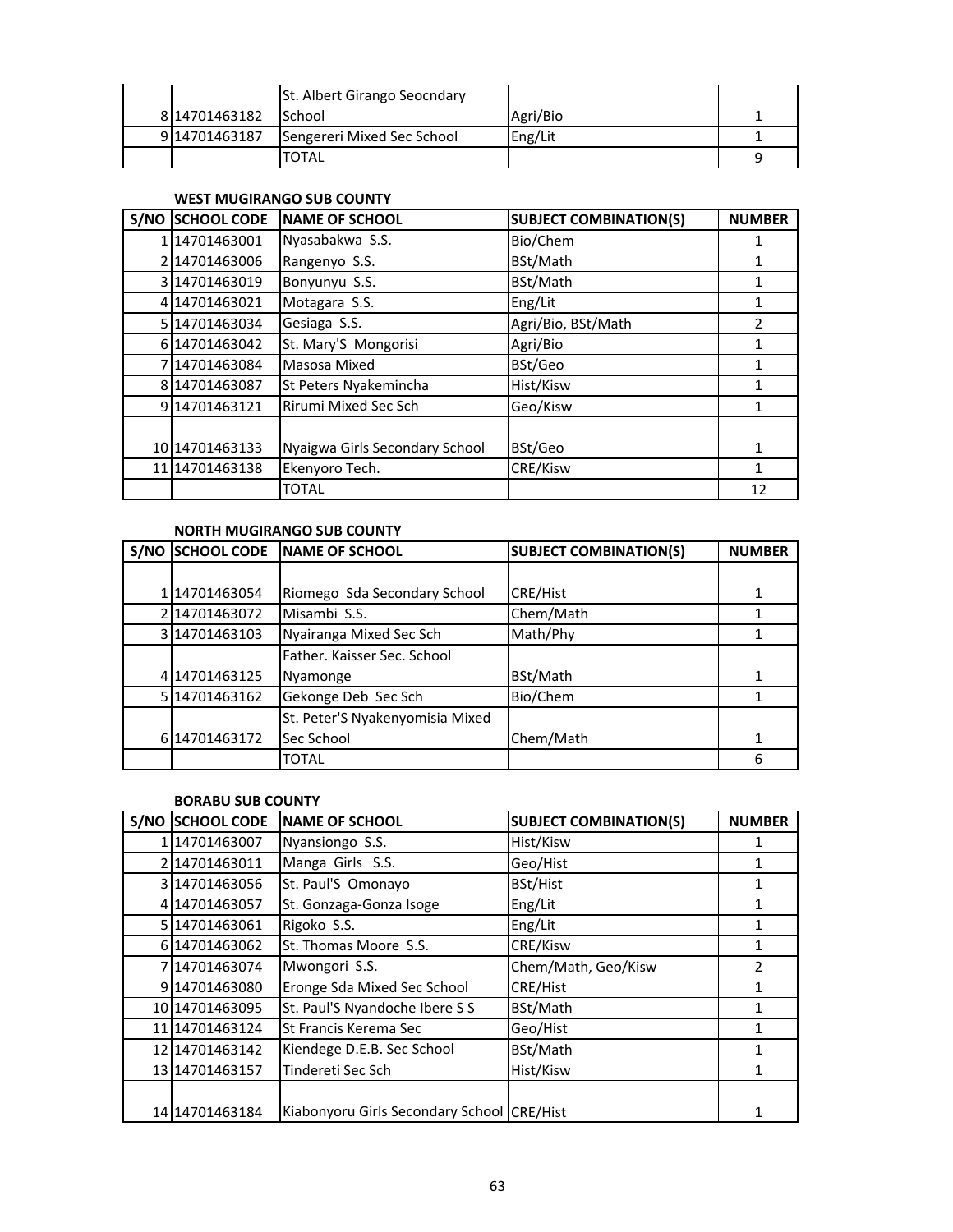|                 | St. Albert Girango Seocndary |          |   |
|-----------------|------------------------------|----------|---|
| 8 1470 1463 182 | <b>ISchool</b>               | Agri/Bio |   |
| 914701463187    | Sengereri Mixed Sec School   | Eng/Lit  |   |
|                 | TOTAL                        |          | a |

## **WEST MUGIRANGO SUB COUNTY**

| S/NO SCHOOL CODE | <b>NAME OF SCHOOL</b>          | <b>SUBJECT COMBINATION(S)</b> | <b>NUMBER</b> |
|------------------|--------------------------------|-------------------------------|---------------|
| 1 1470 1463001   | Nyasabakwa S.S.                | Bio/Chem                      |               |
| 214701463006     | Rangenyo S.S.                  | BSt/Math                      |               |
| 3 14701463019    | Bonyunyu S.S.                  | BSt/Math                      |               |
| 414701463021     | Motagara S.S.                  | Eng/Lit                       | 1             |
| 5 14701463034    | Gesiaga S.S.                   | Agri/Bio, BSt/Math            | 2             |
| 6 1470 1463 042  | St. Mary'S Mongorisi           | Agri/Bio                      |               |
| 714701463084     | Masosa Mixed                   | BSt/Geo                       |               |
| 8 14701463087    | St Peters Nyakemincha          | Hist/Kisw                     |               |
| 914701463121     | <b>Rirumi Mixed Sec Sch</b>    | Geo/Kisw                      |               |
|                  |                                |                               |               |
| 10 1470 1463 133 | Nyaigwa Girls Secondary School | BSt/Geo                       | 1             |
| 11 1470 1463 138 | Ekenyoro Tech.                 | CRE/Kisw                      | 1             |
|                  | <b>TOTAL</b>                   |                               | 12            |

## **NORTH MUGIRANGO SUB COUNTY**

| S/NO | <b>SCHOOL CODE</b> | <b>NAME OF SCHOOL</b>           | <b>SUBJECT COMBINATION(S)</b> | <b>NUMBER</b> |
|------|--------------------|---------------------------------|-------------------------------|---------------|
|      |                    |                                 |                               |               |
|      | 14701463054        | Riomego Sda Secondary School    | <b>CRE/Hist</b>               |               |
|      | 214701463072       | Misambi S.S.                    | Chem/Math                     |               |
|      | 3 14701463103      | Nyairanga Mixed Sec Sch         | Math/Phy                      |               |
|      |                    | Father. Kaisser Sec. School     |                               |               |
|      | 414701463125       | Nyamonge                        | BSt/Math                      | 1             |
|      | 5 14701463162      | Gekonge Deb Sec Sch             | Bio/Chem                      |               |
|      |                    | St. Peter'S Nyakenyomisia Mixed |                               |               |
|      | 6 14701463172      | Sec School                      | Chem/Math                     |               |
|      |                    | <b>TOTAL</b>                    |                               | 6             |

## **BORABU SUB COUNTY**

| S/NO | <b>SCHOOL CODE</b> | <b>NAME OF SCHOOL</b>                      | <b>SUBJECT COMBINATION(S)</b> | <b>NUMBER</b> |
|------|--------------------|--------------------------------------------|-------------------------------|---------------|
|      | 14701463007        | Nyansiongo S.S.                            | Hist/Kisw                     |               |
|      | 2 14701463011      | Manga Girls S.S.                           | Geo/Hist                      | 1             |
|      | 314701463056       | St. Paul'S Omonayo                         | BSt/Hist                      |               |
|      | 4 14701463057      | St. Gonzaga-Gonza Isoge                    | Eng/Lit                       | 1             |
|      | 5 1470 1463061     | Rigoko S.S.                                | Eng/Lit                       |               |
|      | 6 14701463062      | St. Thomas Moore S.S.                      | CRE/Kisw                      | 1             |
|      | 714701463074       | Mwongori S.S.                              | Chem/Math, Geo/Kisw           | 2             |
|      | 914701463080       | Eronge Sda Mixed Sec School                | CRE/Hist                      |               |
|      | 10 1470 1463095    | St. Paul'S Nyandoche Ibere S S             | BSt/Math                      |               |
|      | 11 1470 1463 124   | St Francis Kerema Sec                      | Geo/Hist                      |               |
|      | 12 1470 1463 142   | Kiendege D.E.B. Sec School                 | BSt/Math                      |               |
|      | 13 1470 1463 157   | Tindereti Sec Sch                          | Hist/Kisw                     |               |
|      | 14 1470 1463 184   | Kiabonyoru Girls Secondary School CRE/Hist |                               |               |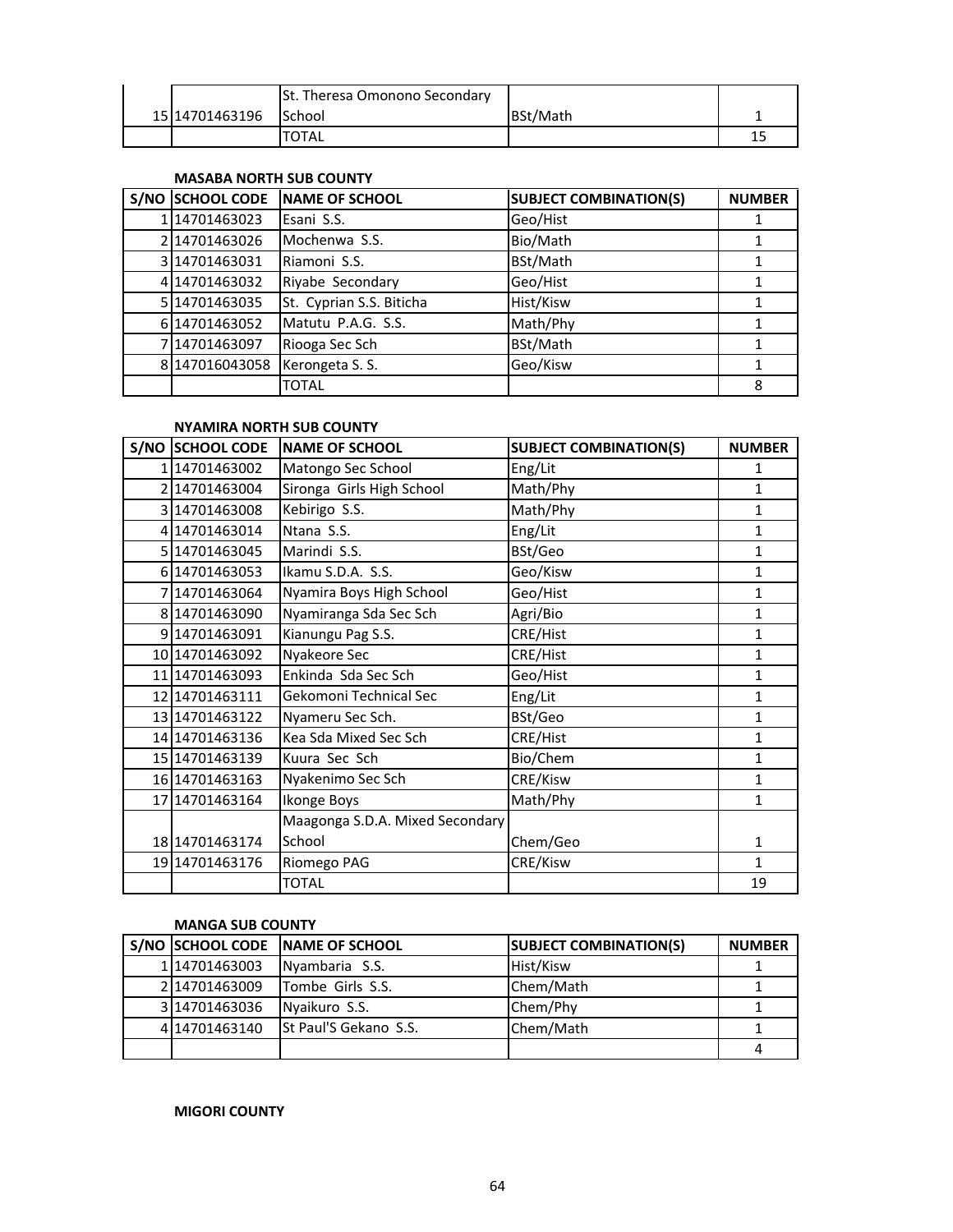|                  | St. Theresa Omonono Secondary |          |    |
|------------------|-------------------------------|----------|----|
| 15 1470 1463 196 | <b>School</b>                 | BSt/Math |    |
|                  | TOTAL                         |          | -- |

#### **MASABA NORTH SUB COUNTY**

| S/NO SCHOOL CODE | <b>NAME OF SCHOOL</b>    | <b>SUBJECT COMBINATION(S)</b> | <b>NUMBER</b> |
|------------------|--------------------------|-------------------------------|---------------|
| 114701463023     | Esani S.S.               | Geo/Hist                      |               |
| 214701463026     | Mochenwa S.S.            | Bio/Math                      |               |
| 3 14701463031    | Riamoni S.S.             | BSt/Math                      |               |
| 414701463032     | Riyabe Secondary         | Geo/Hist                      |               |
| 5 14701463035    | St. Cyprian S.S. Biticha | Hist/Kisw                     |               |
| 6 1470 1463 052  | Matutu P.A.G. S.S.       | Math/Phy                      |               |
| 714701463097     | Riooga Sec Sch           | BSt/Math                      |               |
| 8 147016043058   | Kerongeta S. S.          | Geo/Kisw                      |               |
|                  | TOTAL                    |                               | 8             |

## **NYAMIRA NORTH SUB COUNTY**

| <b>S/NO SCHOOL CODE</b> | <b>INAME OF SCHOOL</b>          | <b>SUBJECT COMBINATION(S)</b> | <b>NUMBER</b> |
|-------------------------|---------------------------------|-------------------------------|---------------|
| 114701463002            | Matongo Sec School              | Eng/Lit                       | 1             |
| 2 14701463004           | Sironga Girls High School       | Math/Phy                      | $\mathbf{1}$  |
| 3 14701463008           | Kebirigo S.S.                   | Math/Phy                      | 1             |
| 4 14701463014           | Ntana S.S.                      | Eng/Lit                       | $\mathbf{1}$  |
| 5 14701463045           | Marindi S.S.                    | BSt/Geo                       | 1             |
| 6 14701463053           | Ikamu S.D.A. S.S.               | Geo/Kisw                      | 1             |
| 7 14701463064           | Nyamira Boys High School        | Geo/Hist                      | $\mathbf{1}$  |
| 8 14701463090           | Nyamiranga Sda Sec Sch          | Agri/Bio                      | 1             |
| 9 14701463091           | Kianungu Pag S.S.               | CRE/Hist                      | $\mathbf{1}$  |
| 10 14701463092          | Nyakeore Sec                    | CRE/Hist                      | $\mathbf{1}$  |
| 11 1470 1463 093        | Enkinda Sda Sec Sch             | Geo/Hist                      | $\mathbf{1}$  |
| 12 14701463111          | Gekomoni Technical Sec          | Eng/Lit                       | $\mathbf{1}$  |
| 13 14701463122          | Nyameru Sec Sch.                | BSt/Geo                       | $\mathbf{1}$  |
| 14 14701463136          | Kea Sda Mixed Sec Sch           | CRE/Hist                      | $\mathbf{1}$  |
| 15 14701463139          | Kuura Sec Sch                   | Bio/Chem                      | 1             |
| 16 14701463163          | Nyakenimo Sec Sch               | CRE/Kisw                      | $\mathbf{1}$  |
| 17 14701463164          | <b>Ikonge Boys</b>              | Math/Phy                      | $\mathbf{1}$  |
|                         | Maagonga S.D.A. Mixed Secondary |                               |               |
| 18 14701463174          | School                          | Chem/Geo                      | 1             |
| 19 14701463176          | Riomego PAG                     | CRE/Kisw                      | $\mathbf{1}$  |
|                         | <b>TOTAL</b>                    |                               | 19            |

## **MANGA SUB COUNTY**

|               | S/NO SCHOOL CODE NAME OF SCHOOL | <b>SUBJECT COMBINATION(S)</b> | <b>NUMBER</b> |
|---------------|---------------------------------|-------------------------------|---------------|
| 1114701463003 | Nyambaria S.S.                  | Hist/Kisw                     |               |
| 214701463009  | Tombe Girls S.S.                | Chem/Math                     |               |
| 3 14701463036 | Nyaikuro S.S.                   | Chem/Phy                      |               |
| 414701463140  | <b>St Paul'S Gekano S.S.</b>    | Chem/Math                     |               |
|               |                                 |                               |               |

**MIGORI COUNTY**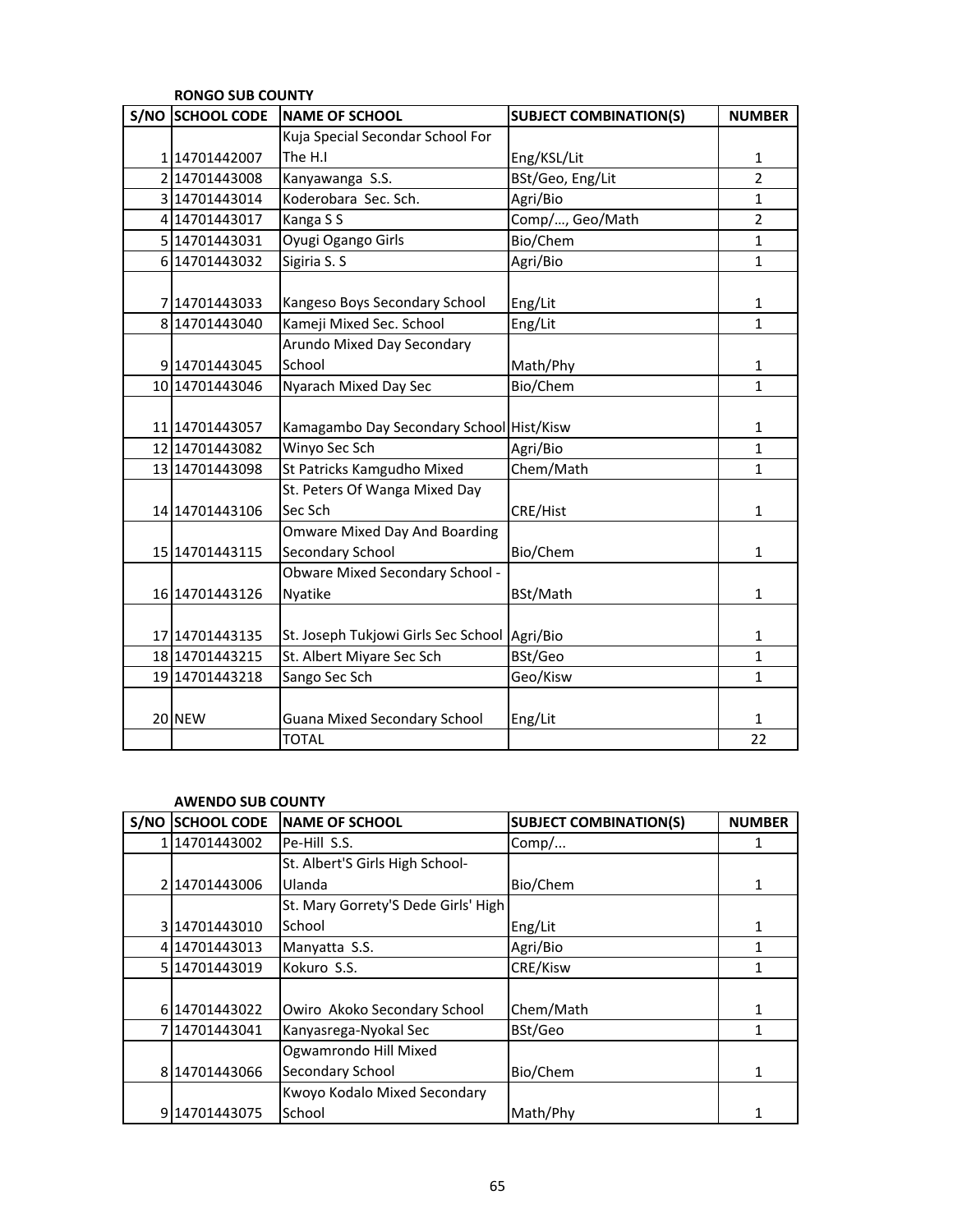| S/NO SCHOOL CODE | <b>NAME OF SCHOOL</b>                    | <b>SUBJECT COMBINATION(S)</b> | <b>NUMBER</b>  |
|------------------|------------------------------------------|-------------------------------|----------------|
|                  | Kuja Special Secondar School For         |                               |                |
| 114701442007     | The H.I                                  | Eng/KSL/Lit                   | $\mathbf{1}$   |
| 2 14701443008    | Kanyawanga S.S.                          | BSt/Geo, Eng/Lit              | $\overline{2}$ |
| 3 14701443014    | Koderobara Sec. Sch.                     | Agri/Bio                      | $\mathbf{1}$   |
| 4 14701443017    | Kanga S S                                | Comp/, Geo/Math               | $\overline{2}$ |
| 5 14701443031    | Oyugi Ogango Girls                       | Bio/Chem                      | $\mathbf{1}$   |
| 6 14701443032    | Sigiria S. S                             | Agri/Bio                      | $\mathbf{1}$   |
| 7 14701443033    | Kangeso Boys Secondary School            | Eng/Lit                       | 1              |
| 8 14701443040    | Kameji Mixed Sec. School                 | Eng/Lit                       | 1              |
|                  | Arundo Mixed Day Secondary               |                               |                |
| 9 14701443045    | School                                   | Math/Phy                      | 1              |
| 10 14701443046   | Nyarach Mixed Day Sec                    | Bio/Chem                      | $\mathbf{1}$   |
|                  |                                          |                               |                |
| 11 1470 1443 057 | Kamagambo Day Secondary School Hist/Kisw |                               | 1              |
| 12 14701443082   | Winyo Sec Sch                            | Agri/Bio                      | $\mathbf{1}$   |
| 13 14701443098   | St Patricks Kamgudho Mixed               | Chem/Math                     | $\mathbf{1}$   |
|                  | St. Peters Of Wanga Mixed Day            |                               |                |
| 14 14701443106   | Sec Sch                                  | CRE/Hist                      | 1              |
|                  | <b>Omware Mixed Day And Boarding</b>     |                               |                |
| 15 14701443115   | <b>Secondary School</b>                  | Bio/Chem                      | $\mathbf{1}$   |
|                  | Obware Mixed Secondary School -          |                               |                |
| 16 14701443126   | Nyatike                                  | BSt/Math                      | $\mathbf{1}$   |
|                  |                                          |                               |                |
| 17 1470 1443 135 | St. Joseph Tukjowi Girls Sec School      | Agri/Bio                      | 1              |
| 18 14701443215   | St. Albert Miyare Sec Sch                | BSt/Geo                       | 1              |
| 19 14701443218   | Sango Sec Sch                            | Geo/Kisw                      | $\mathbf 1$    |
|                  |                                          |                               |                |
| 20 NEW           | <b>Guana Mixed Secondary School</b>      | Eng/Lit                       | $\mathbf{1}$   |
|                  | <b>TOTAL</b>                             |                               | 22             |

#### **RONGO SUB COUNTY**

#### **AWENDO SUB COUNTY**

| S/NO | <b>SCHOOL CODE</b> | <b>NAME OF SCHOOL</b>               | <b>SUBJECT COMBINATION(S)</b> | <b>NUMBER</b> |
|------|--------------------|-------------------------------------|-------------------------------|---------------|
|      | 14701443002        | Pe-Hill S.S.                        | Comp/                         |               |
|      |                    | St. Albert'S Girls High School-     |                               |               |
|      | 214701443006       | Ulanda                              | Bio/Chem                      |               |
|      |                    | St. Mary Gorrety'S Dede Girls' High |                               |               |
|      | 14701443010        | School                              | Eng/Lit                       | 1             |
|      | 414701443013       | Manyatta S.S.                       | Agri/Bio                      |               |
|      | 5 14701443019      | Kokuro S.S.                         | CRE/Kisw                      |               |
|      |                    |                                     |                               |               |
|      | 6 1470 1443 022    | Owiro Akoko Secondary School        | Chem/Math                     |               |
|      | 7 1470 1443 041    | Kanyasrega-Nyokal Sec               | BSt/Geo                       | 1             |
|      |                    | Ogwamrondo Hill Mixed               |                               |               |
|      | 814701443066       | Secondary School                    | Bio/Chem                      | 1             |
|      |                    | Kwoyo Kodalo Mixed Secondary        |                               |               |
|      | 914701443075       | School                              | Math/Phy                      |               |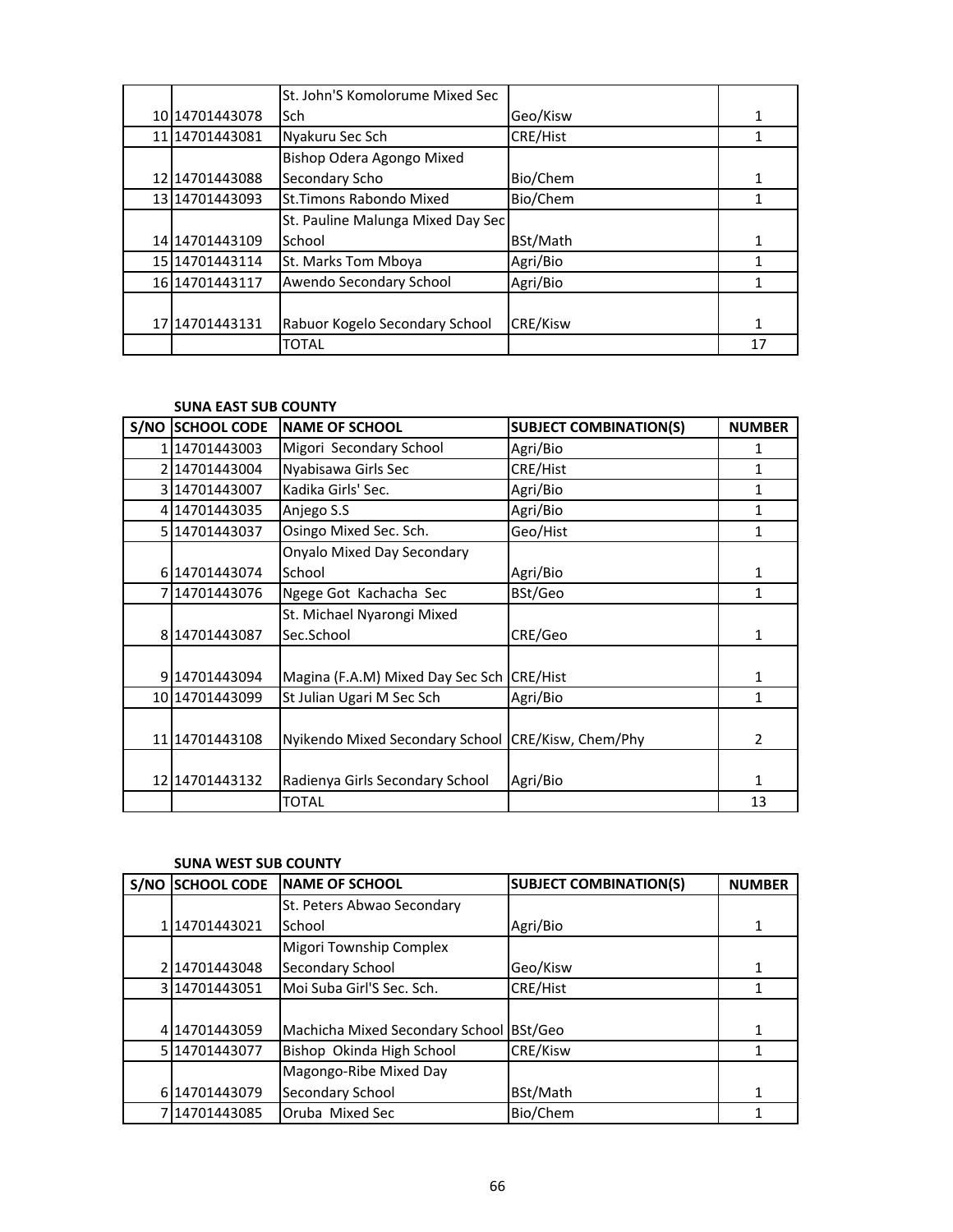|                      | St. John'S Komolorume Mixed Sec   |                 |    |
|----------------------|-----------------------------------|-----------------|----|
| 10 1470 14430 78     | Sch                               | Geo/Kisw        |    |
| 11 1470 14430 81     | Nyakuru Sec Sch                   | <b>CRE/Hist</b> |    |
|                      | Bishop Odera Agongo Mixed         |                 |    |
| 12 1470 1443 088     | Secondary Scho                    | Bio/Chem        | 1  |
| 13 1470 1443 093     | <b>St.Timons Rabondo Mixed</b>    | Bio/Chem        |    |
|                      | St. Pauline Malunga Mixed Day Sec |                 |    |
| 14 14 70 14 4 3 10 9 | School                            | BSt/Math        |    |
| 15 1470 1443 114     | St. Marks Tom Mboya               | Agri/Bio        |    |
| 16 1470 1443 117     | Awendo Secondary School           | Agri/Bio        |    |
|                      |                                   |                 |    |
| 17 1470 1443 131     | Rabuor Kogelo Secondary School    | <b>CRE/Kisw</b> | 1  |
|                      | <b>TOTAL</b>                      |                 | 17 |

## **SUNA EAST SUB COUNTY**

| S/NO SCHOOL CODE | <b>NAME OF SCHOOL</b>                              | <b>SUBJECT COMBINATION(S)</b> | <b>NUMBER</b>  |
|------------------|----------------------------------------------------|-------------------------------|----------------|
| 114701443003     | Migori Secondary School                            | Agri/Bio                      | 1              |
| 214701443004     | Nyabisawa Girls Sec                                | CRE/Hist                      | 1              |
| 3114701443007    | Kadika Girls' Sec.                                 | Agri/Bio                      | 1              |
| 414701443035     | Anjego S.S                                         | Agri/Bio                      | 1              |
| 5 1470 1443 037  | Osingo Mixed Sec. Sch.                             | Geo/Hist                      | 1              |
|                  | Onyalo Mixed Day Secondary                         |                               |                |
| 6 14701443074    | School                                             | Agri/Bio                      | 1              |
| 714701443076     | Ngege Got Kachacha Sec                             | BSt/Geo                       | 1              |
|                  | St. Michael Nyarongi Mixed                         |                               |                |
| 8 14701443087    | Sec.School                                         | CRE/Geo                       | 1              |
|                  |                                                    |                               |                |
| 9 1470 1443 094  | Magina (F.A.M) Mixed Day Sec Sch                   | <b>CRE/Hist</b>               | 1              |
| 10 14701443099   | St Julian Ugari M Sec Sch                          | Agri/Bio                      | 1              |
|                  |                                                    |                               |                |
| 11 1470 1443 108 | Nyikendo Mixed Secondary School CRE/Kisw, Chem/Phy |                               | $\overline{2}$ |
|                  |                                                    |                               |                |
| 12 14701443132   | Radienya Girls Secondary School                    | Agri/Bio                      | 1              |
|                  | TOTAL                                              |                               | 13             |

## **SUNA WEST SUB COUNTY**

| S/NO | <b>SCHOOL CODE</b> | <b>NAME OF SCHOOL</b>           | <b>SUBJECT COMBINATION(S)</b> | <b>NUMBER</b> |
|------|--------------------|---------------------------------|-------------------------------|---------------|
|      |                    | St. Peters Abwao Secondary      |                               |               |
|      | 114701443021       | School                          | Agri/Bio                      | 1             |
|      |                    | Migori Township Complex         |                               |               |
|      | 214701443048       | <b>Secondary School</b>         | Geo/Kisw                      |               |
|      | 3 14701443051      | Moi Suba Girl'S Sec. Sch.       | <b>CRE/Hist</b>               |               |
|      |                    |                                 |                               |               |
|      | 4 14701443059      | Machicha Mixed Secondary School | BSt/Geo                       |               |
|      | 5 1470 1443 077    | Bishop Okinda High School       | <b>CRE/Kisw</b>               |               |
|      |                    | Magongo-Ribe Mixed Day          |                               |               |
|      | 6 14701443079      | <b>Secondary School</b>         | BSt/Math                      | 1             |
|      | 7114701443085      | Oruba Mixed Sec                 | Bio/Chem                      |               |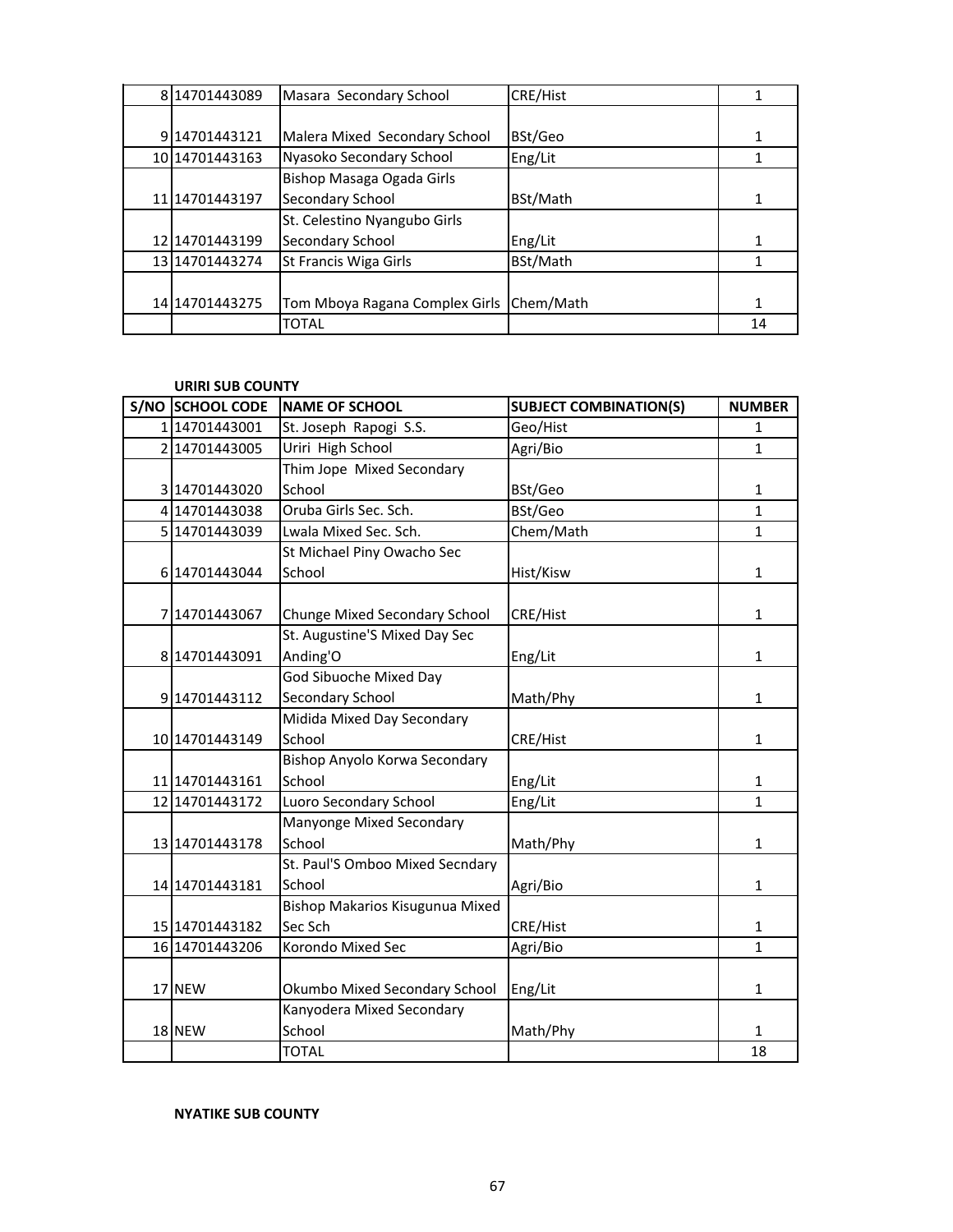| 814701443089          | Masara Secondary School        | CRE/Hist  |    |
|-----------------------|--------------------------------|-----------|----|
|                       |                                |           |    |
| 914701443121          | Malera Mixed Secondary School  | BSt/Geo   |    |
| 10 14701443163        | Nyasoko Secondary School       | Eng/Lit   |    |
|                       | Bishop Masaga Ogada Girls      |           |    |
| 11 1470 1443 197      | Secondary School               | BSt/Math  |    |
|                       | St. Celestino Nyangubo Girls   |           |    |
| 12 14701443199        | Secondary School               | Eng/Lit   |    |
| 13 1470 1443 274      | St Francis Wiga Girls          | BSt/Math  |    |
|                       |                                |           |    |
| 14 14 70 14 4 3 2 7 5 | Tom Mboya Ragana Complex Girls | Chem/Math |    |
|                       | <b>TOTAL</b>                   |           | 14 |

## **URIRI SUB COUNTY**

| S/NO SCHOOL CODE | <b>NAME OF SCHOOL</b>           | <b>SUBJECT COMBINATION(S)</b> | <b>NUMBER</b> |
|------------------|---------------------------------|-------------------------------|---------------|
| 114701443001     | St. Joseph Rapogi S.S.          | Geo/Hist                      | 1             |
| 2 14701443005    | Uriri High School               | Agri/Bio                      | $\mathbf{1}$  |
|                  | Thim Jope Mixed Secondary       |                               |               |
| 3 14701443020    | School                          | BSt/Geo                       | 1             |
| 4 14701443038    | Oruba Girls Sec. Sch.           | BSt/Geo                       | $\mathbf{1}$  |
| 5 14701443039    | Lwala Mixed Sec. Sch.           | Chem/Math                     | $\mathbf{1}$  |
|                  | St Michael Piny Owacho Sec      |                               |               |
| 6 14701443044    | School                          | Hist/Kisw                     | 1             |
|                  |                                 |                               |               |
| 7 14701443067    | Chunge Mixed Secondary School   | CRE/Hist                      | $\mathbf{1}$  |
|                  | St. Augustine'S Mixed Day Sec   |                               |               |
| 8 14701443091    | Anding'O                        | Eng/Lit                       | $\mathbf{1}$  |
|                  | God Sibuoche Mixed Day          |                               |               |
| 9 14701443112    | Secondary School                | Math/Phy                      | $\mathbf{1}$  |
|                  | Midida Mixed Day Secondary      |                               |               |
| 10 14701443149   | School                          | CRE/Hist                      | 1             |
|                  | Bishop Anyolo Korwa Secondary   |                               |               |
| 11 14701443161   | School                          | Eng/Lit                       | 1             |
| 12 14701443172   | Luoro Secondary School          | Eng/Lit                       | $\mathbf{1}$  |
|                  | Manyonge Mixed Secondary        |                               |               |
| 13 14701443178   | School                          | Math/Phy                      | $\mathbf{1}$  |
|                  | St. Paul'S Omboo Mixed Secndary |                               |               |
| 14 14701443181   | School                          | Agri/Bio                      | 1             |
|                  | Bishop Makarios Kisugunua Mixed |                               |               |
| 15 14701443182   | Sec Sch                         | CRE/Hist                      | $\mathbf{1}$  |
| 16 14701443206   | Korondo Mixed Sec               | Agri/Bio                      | $\mathbf{1}$  |
|                  |                                 |                               |               |
| 17 NEW           | Okumbo Mixed Secondary School   | Eng/Lit                       | $\mathbf{1}$  |
|                  | Kanyodera Mixed Secondary       |                               |               |
| 18 NEW           | School                          | Math/Phy                      | 1             |
|                  | <b>TOTAL</b>                    |                               | 18            |

**NYATIKE SUB COUNTY**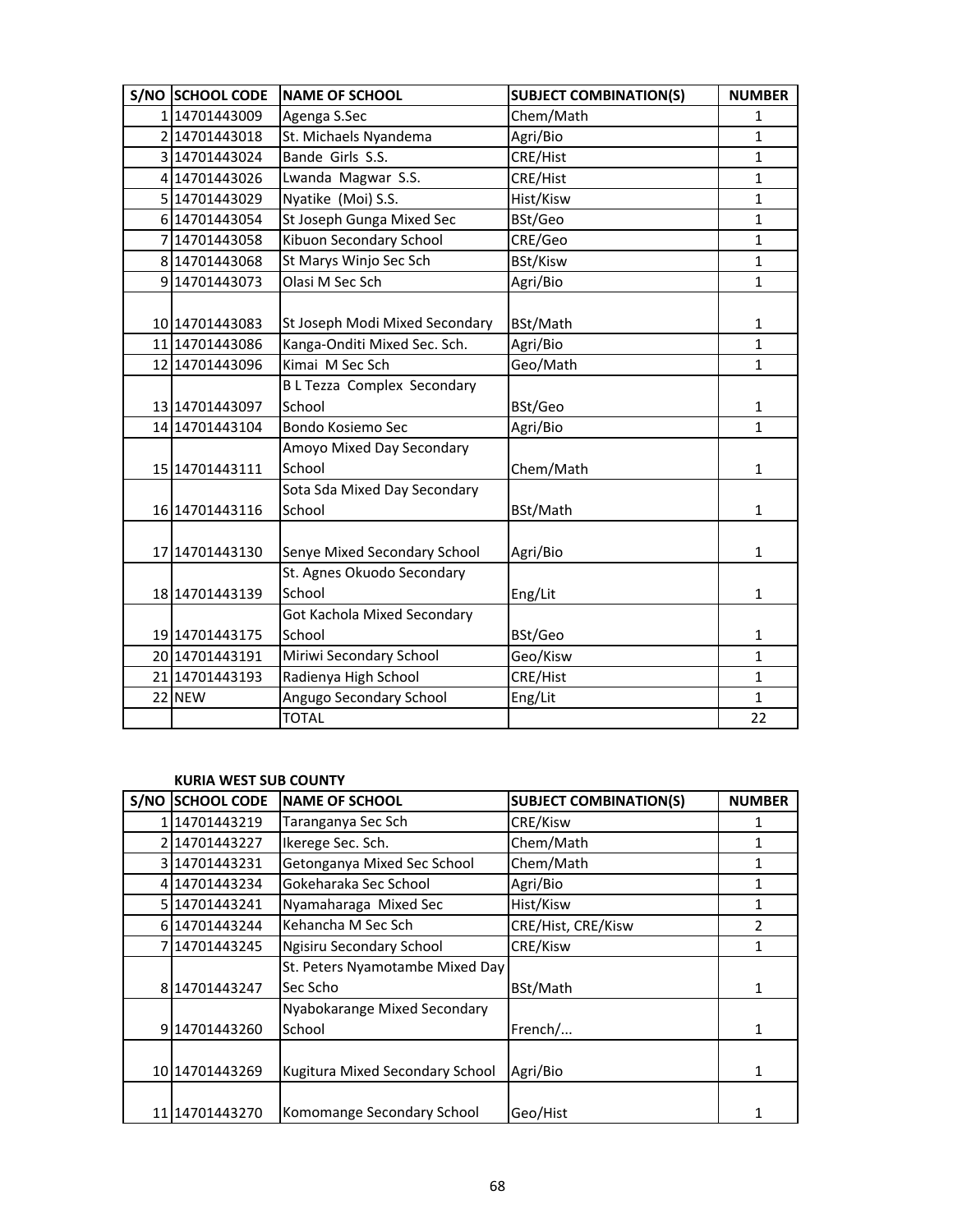| S/NO SCHOOL CODE | <b>NAME OF SCHOOL</b>                       | <b>SUBJECT COMBINATION(S)</b> | <b>NUMBER</b>  |
|------------------|---------------------------------------------|-------------------------------|----------------|
| 114701443009     | Agenga S.Sec                                | Chem/Math                     | 1              |
| 2 14701443018    | St. Michaels Nyandema                       | Agri/Bio                      | $\overline{1}$ |
| 3 14701443024    | Bande Girls S.S.                            | CRE/Hist                      | $\mathbf{1}$   |
| 4 14701443026    | Lwanda Magwar S.S.                          | CRE/Hist                      | 1              |
| 5 14701443029    | Nyatike (Moi) S.S.                          | Hist/Kisw                     | $\mathbf{1}$   |
| 6 14701443054    | St Joseph Gunga Mixed Sec                   | BSt/Geo                       | $\mathbf{1}$   |
| 7 14701443058    | Kibuon Secondary School                     | CRE/Geo                       | $\mathbf 1$    |
| 8 14701443068    | St Marys Winjo Sec Sch                      | <b>BSt/Kisw</b>               | 1              |
| 9 14701443073    | Olasi M Sec Sch                             | Agri/Bio                      | $\mathbf{1}$   |
| 10 14701443083   | St Joseph Modi Mixed Secondary              | BSt/Math                      | $\mathbf{1}$   |
| 11 1470 1443086  | Kanga-Onditi Mixed Sec. Sch.                | Agri/Bio                      | $\mathbf{1}$   |
| 12 14701443096   | Kimai M Sec Sch                             | Geo/Math                      | $\mathbf{1}$   |
| 13 14701443097   | <b>BL Tezza Complex Secondary</b><br>School | BSt/Geo                       | 1              |
| 14 14701443104   | Bondo Kosiemo Sec                           | Agri/Bio                      | 1              |
| 15 14701443111   | Amoyo Mixed Day Secondary<br>School         | Chem/Math                     | 1              |
| 16 14701443116   | Sota Sda Mixed Day Secondary<br>School      | BSt/Math                      | $\mathbf{1}$   |
| 17 14701443130   | Senye Mixed Secondary School                | Agri/Bio                      | $\mathbf{1}$   |
| 18 14701443139   | St. Agnes Okuodo Secondary<br>School        | Eng/Lit                       | 1              |
| 19 14701443175   | Got Kachola Mixed Secondary<br>School       | BSt/Geo                       | $\mathbf{1}$   |
| 20 14701443191   | Miriwi Secondary School                     | Geo/Kisw                      | $\mathbf{1}$   |
| 21 14701443193   | Radienya High School                        | CRE/Hist                      | $\mathbf{1}$   |
| 22 NEW           | Angugo Secondary School                     | Eng/Lit                       | $\mathbf{1}$   |
|                  | <b>TOTAL</b>                                |                               | 22             |

## **KURIA WEST SUB COUNTY**

| S/NO | <b>SCHOOL CODE</b> | <b>NAME OF SCHOOL</b>           | <b>SUBJECT COMBINATION(S)</b> | <b>NUMBER</b> |
|------|--------------------|---------------------------------|-------------------------------|---------------|
|      | 1114701443219      | Taranganya Sec Sch              | CRE/Kisw                      |               |
|      | 214701443227       | Ikerege Sec. Sch.               | Chem/Math                     |               |
|      | 3 1470 1443 231    | Getonganya Mixed Sec School     | Chem/Math                     |               |
|      | 414701443234       | Gokeharaka Sec School           | Agri/Bio                      | 1             |
|      | 5 1470 1443 241    | Nyamaharaga Mixed Sec           | Hist/Kisw                     |               |
|      | 6 1470 1443 244    | Kehancha M Sec Sch              | CRE/Hist, CRE/Kisw            | 2             |
|      | 7114701443245      | Ngisiru Secondary School        | CRE/Kisw                      | 1             |
|      |                    | St. Peters Nyamotambe Mixed Day |                               |               |
|      | 814701443247       | Sec Scho                        | BSt/Math                      | 1             |
|      |                    | Nyabokarange Mixed Secondary    |                               |               |
|      | 9 14701443260      | School                          | French/                       | 1             |
|      |                    |                                 |                               |               |
|      | 10 1470 1443 269   | Kugitura Mixed Secondary School | Agri/Bio                      |               |
|      |                    |                                 |                               |               |
|      | 11 1470 1443 270   | Komomange Secondary School      | Geo/Hist                      |               |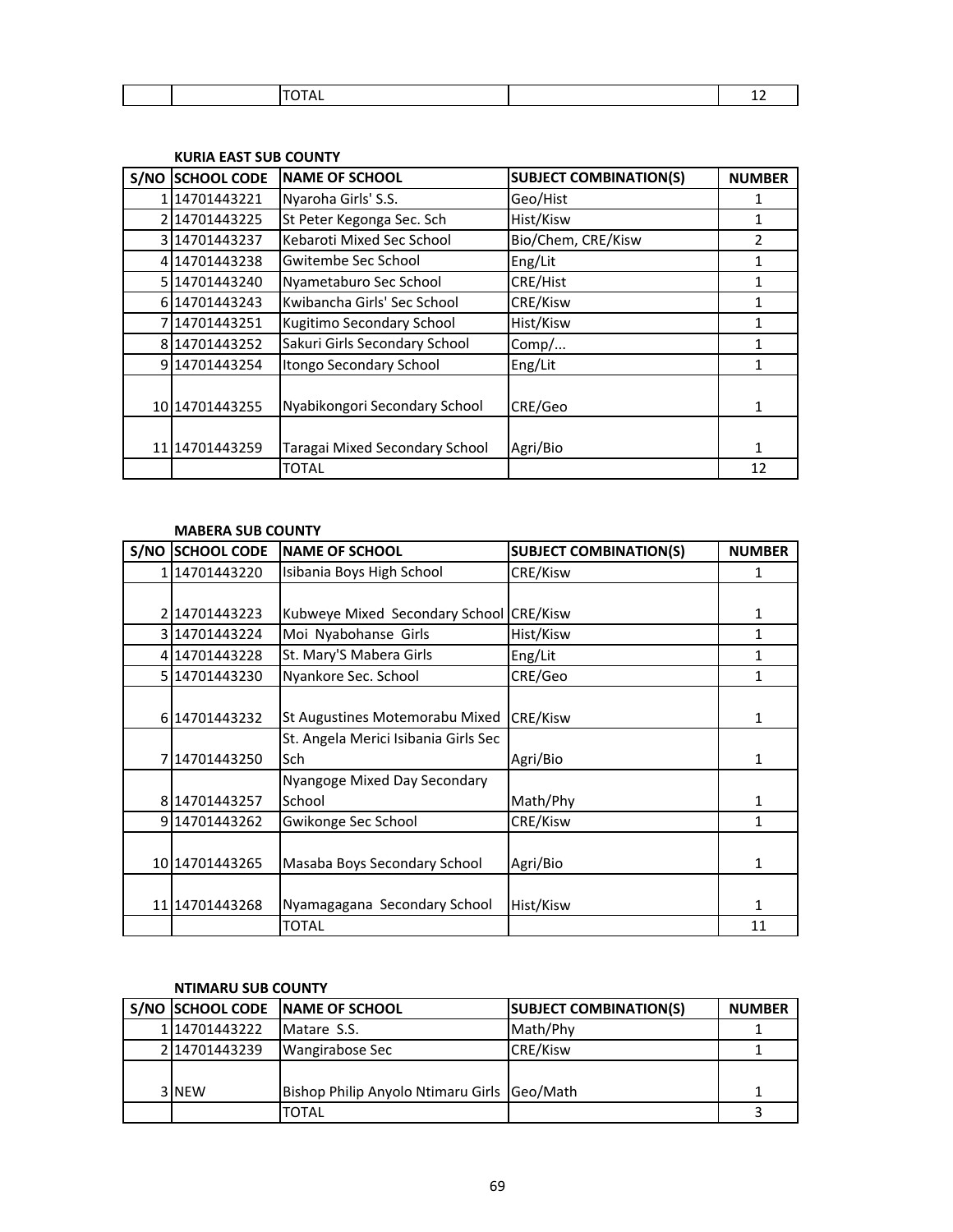|  |  | -- |
|--|--|----|
|  |  |    |

## **KURIA EAST SUB COUNTY**

| S/NO | <b>SCHOOL CODE</b> | <b>NAME OF SCHOOL</b>          | <b>SUBJECT COMBINATION(S)</b> | <b>NUMBER</b> |
|------|--------------------|--------------------------------|-------------------------------|---------------|
|      | 14701443221        | Nyaroha Girls' S.S.            | Geo/Hist                      |               |
|      | 214701443225       | St Peter Kegonga Sec. Sch      | Hist/Kisw                     |               |
|      | 3 14701443237      | Kebaroti Mixed Sec School      | Bio/Chem, CRE/Kisw            | 2             |
|      | 414701443238       | Gwitembe Sec School            | Eng/Lit                       | 1             |
|      | 5 14701443240      | Nyametaburo Sec School         | CRE/Hist                      |               |
|      | 6 1470 1443 243    | Kwibancha Girls' Sec School    | CRE/Kisw                      | 1             |
|      | 714701443251       | Kugitimo Secondary School      | Hist/Kisw                     | 1             |
|      | 814701443252       | Sakuri Girls Secondary School  | Comp/                         | 1             |
|      | 9 14701443254      | Itongo Secondary School        | Eng/Lit                       |               |
|      |                    |                                |                               |               |
|      | 10 1470 1443 255   | Nyabikongori Secondary School  | CRE/Geo                       | 1             |
|      |                    |                                |                               |               |
|      | 11 1470 1443 259   | Taragai Mixed Secondary School | Agri/Bio                      |               |
|      |                    | TOTAL                          |                               | 12            |

#### **MABERA SUB COUNTY**

| <b>S/NO SCHOOL CODE</b> | <b>NAME OF SCHOOL</b>                | <b>SUBJECT COMBINATION(S)</b> | <b>NUMBER</b> |
|-------------------------|--------------------------------------|-------------------------------|---------------|
| 114701443220            | Isibania Boys High School            | CRE/Kisw                      | 1             |
|                         |                                      |                               |               |
| 214701443223            | Kubweye Mixed Secondary School       | <b>CRE/Kisw</b>               | 1             |
| 314701443224            | Moi Nyabohanse Girls                 | Hist/Kisw                     | 1             |
| 414701443228            | St. Mary'S Mabera Girls              | Eng/Lit                       | 1             |
| 5 1470 1443 230         | Nyankore Sec. School                 | CRE/Geo                       | 1             |
|                         |                                      |                               |               |
| 6 1470 1443 232         | St Augustines Motemorabu Mixed       | <b>CRE/Kisw</b>               | 1             |
|                         | St. Angela Merici Isibania Girls Sec |                               |               |
| 714701443250            | lSch.                                | Agri/Bio                      | 1             |
|                         | Nyangoge Mixed Day Secondary         |                               |               |
| 814701443257            | School                               | Math/Phy                      | 1             |
| 914701443262            | Gwikonge Sec School                  | CRE/Kisw                      | 1             |
|                         |                                      |                               |               |
| 10 14701443265          | Masaba Boys Secondary School         | Agri/Bio                      | 1             |
|                         |                                      |                               |               |
| 11 1470 1443 268        | Nyamagagana Secondary School         | Hist/Kisw                     | 1             |
|                         | <b>TOTAL</b>                         |                               | 11            |

#### **NTIMARU SUB COUNTY**

|              | S/NO SCHOOL CODE NAME OF SCHOOL             | <b>SUBJECT COMBINATION(S)</b> | <b>NUMBER</b> |
|--------------|---------------------------------------------|-------------------------------|---------------|
| 114701443222 | Matare S.S.                                 | Math/Phy                      |               |
| 214701443239 | Wangirabose Sec                             | <b>CRE/Kisw</b>               |               |
|              |                                             |                               |               |
| 3 NEW        | Bishop Philip Anyolo Ntimaru Girls Geo/Math |                               |               |
|              | <b>TOTAL</b>                                |                               |               |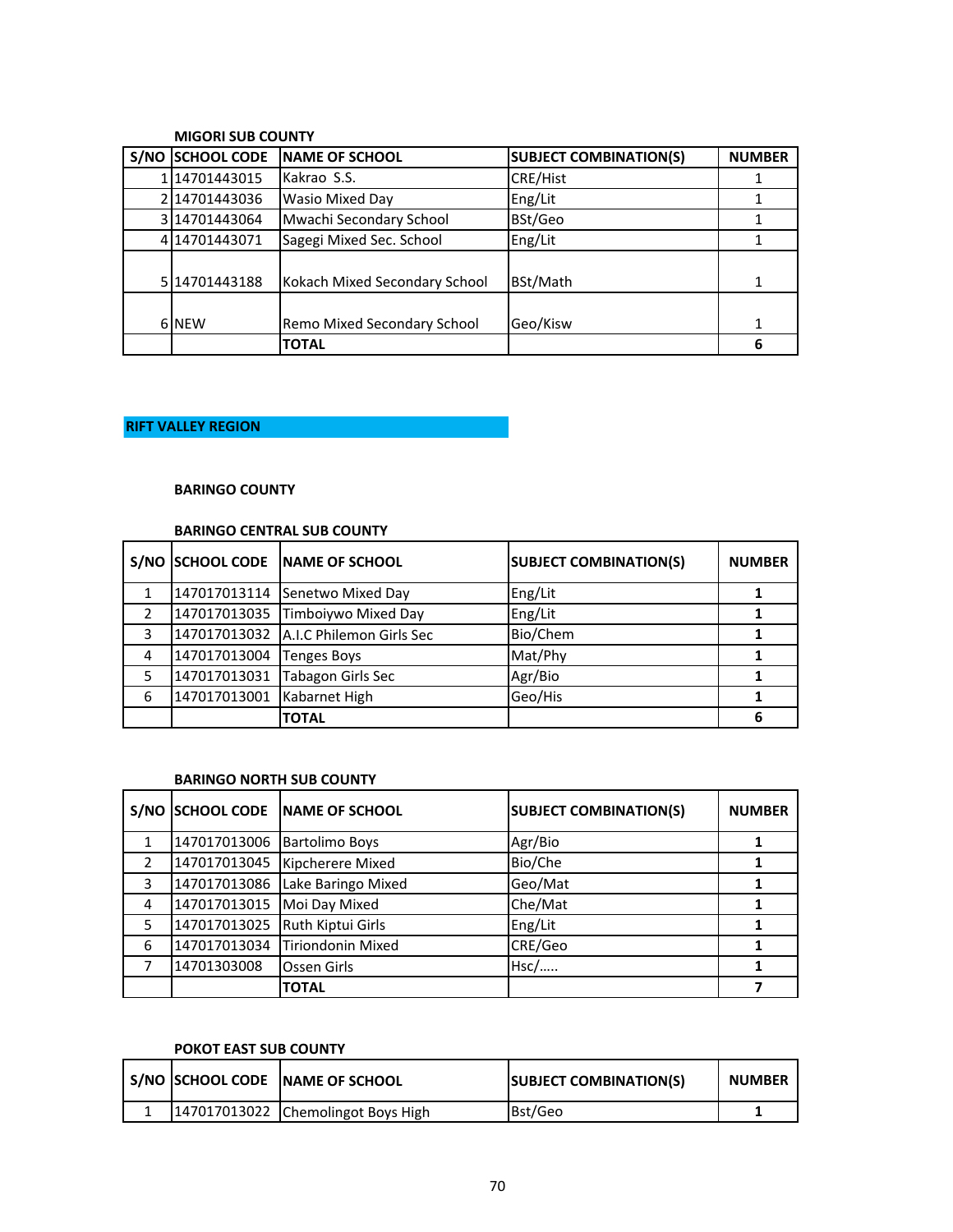|      | IVIIUUNI SUD LUUINI T |                               |                               |               |  |
|------|-----------------------|-------------------------------|-------------------------------|---------------|--|
| S/NO | <b>SCHOOL CODE</b>    | <b>NAME OF SCHOOL</b>         | <b>SUBJECT COMBINATION(S)</b> | <b>NUMBER</b> |  |
|      | 14701443015           | Kakrao S.S.                   | <b>CRE/Hist</b>               |               |  |
|      | 14701443036           | Wasio Mixed Day               | Eng/Lit                       |               |  |
|      | 14701443064           | Mwachi Secondary School       | BSt/Geo                       |               |  |
|      | 414701443071          | Sagegi Mixed Sec. School      | Eng/Lit                       |               |  |
| 5    | 14701443188           | Kokach Mixed Secondary School | BSt/Math                      |               |  |
|      | 6 NEW                 | Remo Mixed Secondary School   | Geo/Kisw                      |               |  |
|      |                       | <b>TOTAL</b>                  |                               | 6             |  |

# **MIGORI SUB COUNTY**

## **RIFT VALLEY REGION**

## **BARINGO COUNTY**

## **BARINGO CENTRAL SUB COUNTY**

|   |              | S/NO SCHOOL CODE NAME OF SCHOOL         | <b>SUBJECT COMBINATION(S)</b> | <b>NUMBER</b> |
|---|--------------|-----------------------------------------|-------------------------------|---------------|
|   |              | 147017013114 Senetwo Mixed Day          | Eng/Lit                       |               |
|   |              | 147017013035 Timboiywo Mixed Day        | Eng/Lit                       |               |
| 3 |              | 147017013032   A.I.C Philemon Girls Sec | Bio/Chem                      |               |
| 4 | 147017013004 | <b>Tenges Boys</b>                      | Mat/Phy                       |               |
|   | 147017013031 | Tabagon Girls Sec                       | Agr/Bio                       |               |
| 6 | 147017013001 | Kabarnet High                           | Geo/His                       |               |
|   |              | <b>TOTAL</b>                            |                               |               |

## **BARINGO NORTH SUB COUNTY**

| S/NO          | <b>SCHOOL CODE</b> | <b>INAME OF SCHOOL</b> | <b>SUBJECT COMBINATION(S)</b> | <b>NUMBER</b> |
|---------------|--------------------|------------------------|-------------------------------|---------------|
|               | 147017013006       | <b>Bartolimo Boys</b>  | Agr/Bio                       |               |
| $\mathcal{P}$ | 147017013045       | Kipcherere Mixed       | Bio/Che                       |               |
| 3             | 147017013086       | Lake Baringo Mixed     | Geo/Mat                       |               |
| 4             | 147017013015       | Moi Day Mixed          | Che/Mat                       |               |
| 5             | 147017013025       | Ruth Kiptui Girls      | Eng/Lit                       |               |
| 6             | 147017013034       | Tiriondonin Mixed      | CRE/Geo                       |               |
|               | 14701303008        | Ossen Girls            | Hsc/                          |               |
|               |                    | <b>TOTAL</b>           |                               |               |

#### **POKOT EAST SUB COUNTY**

|  | S/NO SCHOOL CODE NAME OF SCHOOL    | <b>SUBJECT COMBINATION(S)</b> | <b>NUMBER</b> |
|--|------------------------------------|-------------------------------|---------------|
|  | 147017013022 Chemolingot Boys High | Bst/Geo                       |               |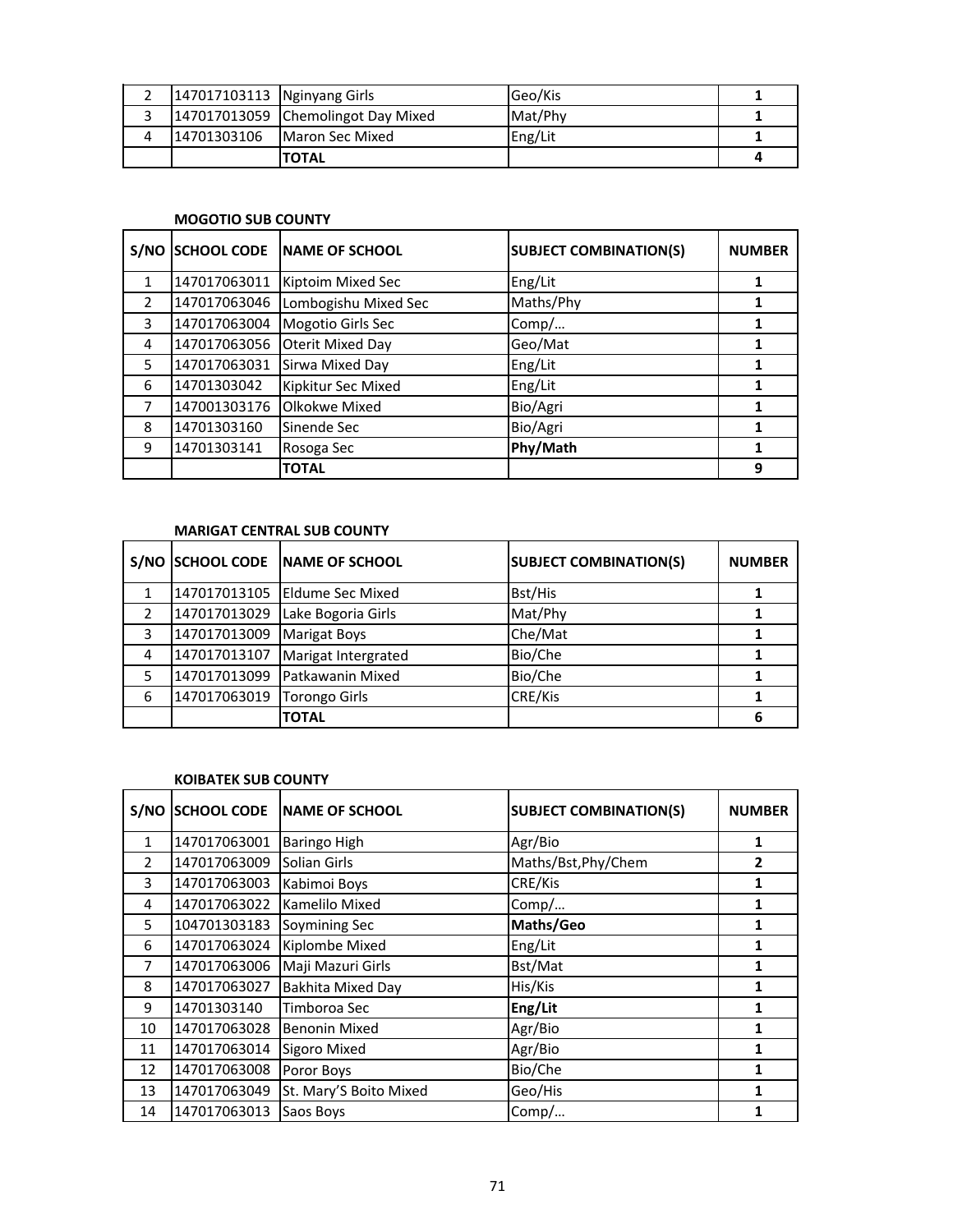|   | 147017103113 Nginyang Girls |                                    | Geo/Kis |  |
|---|-----------------------------|------------------------------------|---------|--|
|   |                             | 147017013059 Chemolingot Day Mixed | Mat/Phy |  |
| Δ | 14701303106                 | <b>Maron Sec Mixed</b>             | Eng/Lit |  |
|   |                             | <b>TOTAL</b>                       |         |  |

#### **MOGOTIO SUB COUNTY**

| S/NO         | <b>SCHOOL CODE</b> | <b>NAME OF SCHOOL</b>   | <b>SUBJECT COMBINATION(S)</b> | <b>NUMBER</b> |
|--------------|--------------------|-------------------------|-------------------------------|---------------|
| $\mathbf{1}$ | 147017063011       | Kiptoim Mixed Sec       | Eng/Lit                       |               |
| 2            | 147017063046       | Lombogishu Mixed Sec    | Maths/Phy                     |               |
| 3            | 147017063004       | Mogotio Girls Sec       | Comp/                         |               |
| 4            | 147017063056       | <b>Oterit Mixed Day</b> | Geo/Mat                       |               |
| 5            | 147017063031       | Sirwa Mixed Day         | Eng/Lit                       |               |
| 6            | 14701303042        | Kipkitur Sec Mixed      | Eng/Lit                       |               |
| 7            | 147001303176       | Olkokwe Mixed           | Bio/Agri                      |               |
| 8            | 14701303160        | Sinende Sec             | Bio/Agri                      |               |
| 9            | 14701303141        | Rosoga Sec              | Phy/Math                      |               |
|              |                    | <b>TOTAL</b>            |                               | 9             |

## **MARIGAT CENTRAL SUB COUNTY**

|   |              | S/NO SCHOOL CODE NAME OF SCHOOL | <b>SUBJECT COMBINATION(S)</b> | <b>NUMBER</b> |
|---|--------------|---------------------------------|-------------------------------|---------------|
|   |              | 147017013105 Eldume Sec Mixed   | Bst/His                       |               |
|   | 147017013029 | Lake Bogoria Girls              | Mat/Phy                       |               |
| 3 | 147017013009 | <b>Marigat Boys</b>             | Che/Mat                       |               |
| 4 | 147017013107 | Marigat Intergrated             | Bio/Che                       |               |
|   | 147017013099 | Patkawanin Mixed                | Bio/Che                       |               |
| 6 | 147017063019 | <b>Torongo Girls</b>            | CRE/Kis                       |               |
|   |              | <b>TOTAL</b>                    |                               |               |

## **KOIBATEK SUB COUNTY**

| S/NO           | <b>SCHOOL CODE</b> | <b>NAME OF SCHOOL</b>  | <b>SUBJECT COMBINATION(S)</b> | <b>NUMBER</b> |
|----------------|--------------------|------------------------|-------------------------------|---------------|
| $\mathbf{1}$   | 147017063001       | <b>Baringo High</b>    | Agr/Bio                       | 1             |
| $\overline{2}$ | 147017063009       | Solian Girls           | Maths/Bst, Phy/Chem           | $\mathbf{2}$  |
| 3              | 147017063003       | Kabimoi Boys           | CRE/Kis                       | 1             |
| 4              | 147017063022       | Kamelilo Mixed         | Comp/                         | 1             |
| 5              | 104701303183       | Soymining Sec          | Maths/Geo                     | 1             |
| 6              | 147017063024       | Kiplombe Mixed         | Eng/Lit                       | 1             |
| 7              | 147017063006       | Maji Mazuri Girls      | Bst/Mat                       | 1             |
| 8              | 147017063027       | Bakhita Mixed Day      | His/Kis                       | 1             |
| 9              | 14701303140        | Timboroa Sec           | Eng/Lit                       | 1             |
| 10             | 147017063028       | <b>Benonin Mixed</b>   | Agr/Bio                       | 1             |
| 11             | 147017063014       | Sigoro Mixed           | Agr/Bio                       | 1             |
| 12             | 147017063008       | Poror Boys             | Bio/Che                       | 1             |
| 13             | 147017063049       | St. Mary'S Boito Mixed | Geo/His                       | 1             |
| 14             | 147017063013       | Saos Boys              | Comp/                         | 1             |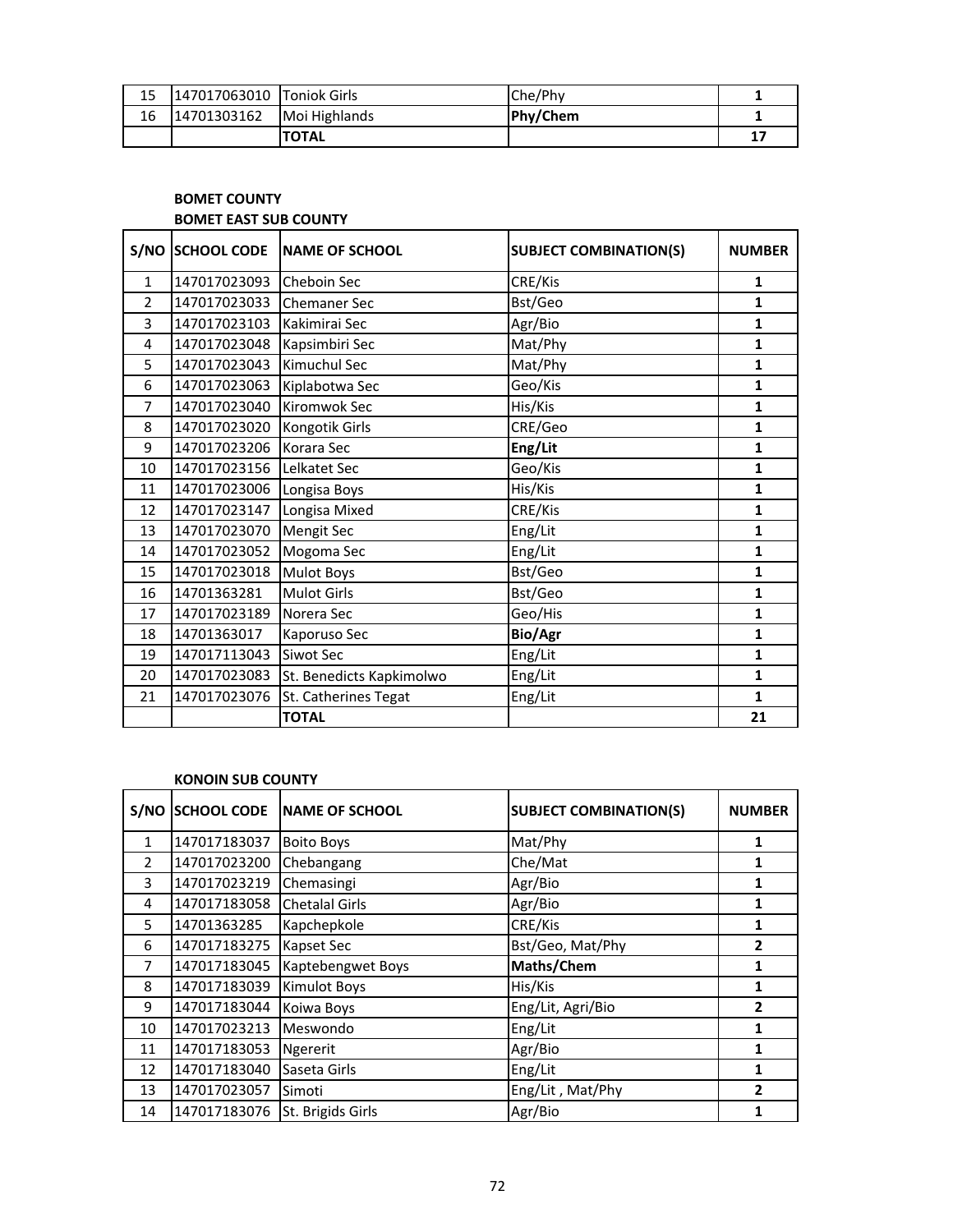| 15 | 147017063010 Toniok Girls |               | Che/Phy         |    |
|----|---------------------------|---------------|-----------------|----|
| 16 | 14701303162               | Moi Highlands | <b>Phy/Chem</b> |    |
|    |                           | <b>TOTAL</b>  |                 | 17 |

## **BOMET COUNTY BOMET EAST SUB COUNTY**

| S/NO           | <b>SCHOOL CODE</b> | <b>NAME OF SCHOOL</b>    | <b>SUBJECT COMBINATION(S)</b> | <b>NUMBER</b> |
|----------------|--------------------|--------------------------|-------------------------------|---------------|
| $\mathbf{1}$   | 147017023093       | Cheboin Sec              | CRE/Kis                       | $\mathbf{1}$  |
| $\overline{2}$ | 147017023033       | <b>Chemaner Sec</b>      | Bst/Geo                       | 1             |
| 3              | 147017023103       | Kakimirai Sec            | Agr/Bio                       | 1             |
| 4              | 147017023048       | Kapsimbiri Sec           | Mat/Phy                       | $\mathbf{1}$  |
| 5              | 147017023043       | Kimuchul Sec             | Mat/Phy                       | $\mathbf{1}$  |
| 6              | 147017023063       | Kiplabotwa Sec           | Geo/Kis                       | $\mathbf{1}$  |
| 7              | 147017023040       | Kiromwok Sec             | His/Kis                       | 1             |
| 8              | 147017023020       | Kongotik Girls           | CRE/Geo                       | 1             |
| 9              | 147017023206       | Korara Sec               | Eng/Lit                       | $\mathbf{1}$  |
| 10             | 147017023156       | Lelkatet Sec             | Geo/Kis                       | $\mathbf{1}$  |
| 11             | 147017023006       | Longisa Boys             | His/Kis                       | $\mathbf{1}$  |
| 12             | 147017023147       | Longisa Mixed            | CRE/Kis                       | 1             |
| 13             | 147017023070       | <b>Mengit Sec</b>        | Eng/Lit                       | $\mathbf{1}$  |
| 14             | 147017023052       | Mogoma Sec               | Eng/Lit                       | $\mathbf{1}$  |
| 15             | 147017023018       | <b>Mulot Boys</b>        | Bst/Geo                       | 1             |
| 16             | 14701363281        | <b>Mulot Girls</b>       | Bst/Geo                       | 1             |
| 17             | 147017023189       | Norera Sec               | Geo/His                       | $\mathbf{1}$  |
| 18             | 14701363017        | Kaporuso Sec             | Bio/Agr                       | $\mathbf{1}$  |
| 19             | 147017113043       | Siwot Sec                | Eng/Lit                       | 1             |
| 20             | 147017023083       | St. Benedicts Kapkimolwo | Eng/Lit                       | $\mathbf{1}$  |
| 21             | 147017023076       | St. Catherines Tegat     | Eng/Lit                       | $\mathbf{1}$  |
|                |                    | <b>TOTAL</b>             |                               | 21            |

#### **KONOIN SUB COUNTY**

| S/NO           | <b>SCHOOL CODE</b> | <b>NAME OF SCHOOL</b> | <b>SUBJECT COMBINATION(S)</b> | <b>NUMBER</b> |
|----------------|--------------------|-----------------------|-------------------------------|---------------|
| 1              | 147017183037       | <b>Boito Boys</b>     | Mat/Phy                       |               |
| $\overline{2}$ | 147017023200       | Chebangang            | Che/Mat                       | 1             |
| 3              | 147017023219       | Chemasingi            | Agr/Bio                       | 1             |
| 4              | 147017183058       | <b>Chetalal Girls</b> | Agr/Bio                       | 1             |
| 5              | 14701363285        | Kapchepkole           | CRE/Kis                       | 1             |
| 6              | 147017183275       | Kapset Sec            | Bst/Geo, Mat/Phy              | 2             |
| 7              | 147017183045       | Kaptebengwet Boys     | Maths/Chem                    | 1             |
| 8              | 147017183039       | <b>Kimulot Boys</b>   | His/Kis                       | 1             |
| 9              | 147017183044       | Koiwa Boys            | Eng/Lit, Agri/Bio             | 2             |
| 10             | 147017023213       | Meswondo              | Eng/Lit                       | 1             |
| 11             | 147017183053       | <b>Ngererit</b>       | Agr/Bio                       | 1             |
| 12             | 147017183040       | Saseta Girls          | Eng/Lit                       | 1             |
| 13             | 147017023057       | Simoti                | Eng/Lit, Mat/Phy              | 2             |
| 14             | 147017183076       | St. Brigids Girls     | Agr/Bio                       |               |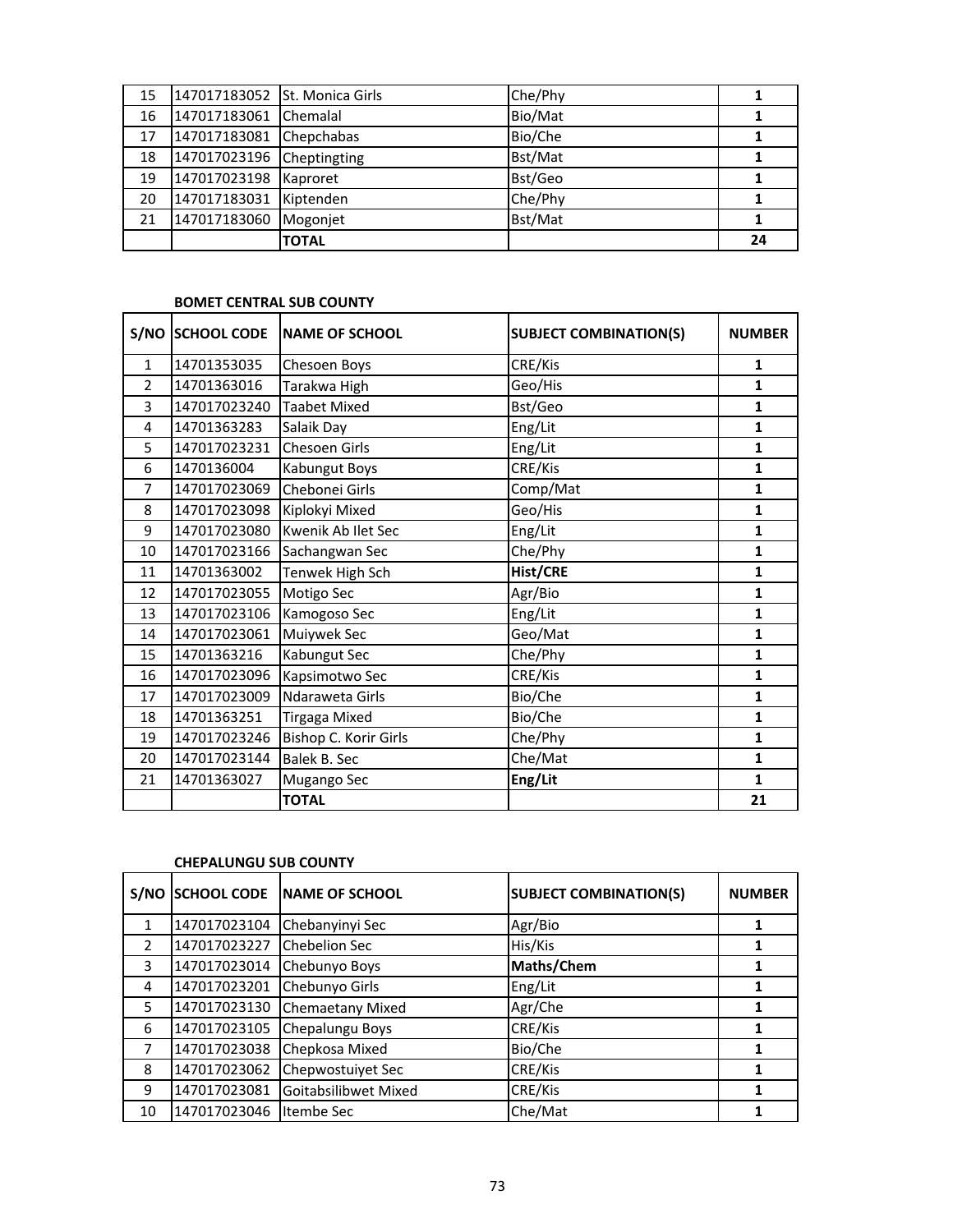| 15 | 147017183052 St. Monica Girls |                 | Che/Phy |    |
|----|-------------------------------|-----------------|---------|----|
| 16 | 147017183061                  | <b>Chemalal</b> | Bio/Mat |    |
| 17 | 147017183081                  | Chepchabas      | Bio/Che |    |
| 18 | 147017023196                  | Cheptingting    | Bst/Mat |    |
| 19 | 147017023198                  | Kaproret        | Bst/Geo |    |
| 20 | 147017183031                  | Kiptenden       | Che/Phy |    |
| 21 | 147017183060                  | Mogonjet        | Bst/Mat |    |
|    |                               | <b>TOTAL</b>    |         | 24 |

# **BOMET CENTRAL SUB COUNTY**

|                | S/NO SCHOOL CODE | <b>NAME OF SCHOOL</b> | <b>SUBJECT COMBINATION(S)</b> | <b>NUMBER</b> |
|----------------|------------------|-----------------------|-------------------------------|---------------|
| $\mathbf{1}$   | 14701353035      | Chesoen Boys          | CRE/Kis                       | $\mathbf{1}$  |
| $\overline{2}$ | 14701363016      | Tarakwa High          | Geo/His                       | $\mathbf{1}$  |
| 3              | 147017023240     | <b>Taabet Mixed</b>   | Bst/Geo                       | $\mathbf{1}$  |
| 4              | 14701363283      | Salaik Day            | Eng/Lit                       | $\mathbf{1}$  |
| 5              | 147017023231     | Chesoen Girls         | Eng/Lit                       | $\mathbf{1}$  |
| 6              | 1470136004       | Kabungut Boys         | CRE/Kis                       | $\mathbf{1}$  |
| $\overline{7}$ | 147017023069     | Chebonei Girls        | Comp/Mat                      | $\mathbf{1}$  |
| 8              | 147017023098     | Kiplokyi Mixed        | Geo/His                       | $\mathbf{1}$  |
| 9              | 147017023080     | Kwenik Ab Ilet Sec    | Eng/Lit                       | $\mathbf{1}$  |
| 10             | 147017023166     | Sachangwan Sec        | Che/Phy                       | $\mathbf{1}$  |
| 11             | 14701363002      | Tenwek High Sch       | Hist/CRE                      | $\mathbf{1}$  |
| 12             | 147017023055     | Motigo Sec            | Agr/Bio                       | $\mathbf{1}$  |
| 13             | 147017023106     | Kamogoso Sec          | Eng/Lit                       | $\mathbf{1}$  |
| 14             | 147017023061     | Muiywek Sec           | Geo/Mat                       | $\mathbf{1}$  |
| 15             | 14701363216      | Kabungut Sec          | Che/Phy                       | $\mathbf{1}$  |
| 16             | 147017023096     | Kapsimotwo Sec        | CRE/Kis                       | $\mathbf{1}$  |
| 17             | 147017023009     | Ndaraweta Girls       | Bio/Che                       | $\mathbf{1}$  |
| 18             | 14701363251      | <b>Tirgaga Mixed</b>  | Bio/Che                       | $\mathbf{1}$  |
| 19             | 147017023246     | Bishop C. Korir Girls | Che/Phy                       | $\mathbf{1}$  |
| 20             | 147017023144     | Balek B. Sec          | Che/Mat                       | $\mathbf{1}$  |
| 21             | 14701363027      | Mugango Sec           | Eng/Lit                       | $\mathbf{1}$  |
|                |                  | <b>TOTAL</b>          |                               | 21            |

## **CHEPALUNGU SUB COUNTY**

| S/NO          | <b>SCHOOL CODE</b> | NAME OF SCHOOL       | <b>SUBJECT COMBINATION(S)</b> | <b>NUMBER</b> |
|---------------|--------------------|----------------------|-------------------------------|---------------|
| 1             | 147017023104       | Chebanyinyi Sec      | Agr/Bio                       |               |
| $\mathcal{P}$ | 147017023227       | <b>Chebelion Sec</b> | His/Kis                       |               |
| 3             | 147017023014       | Chebunyo Boys        | Maths/Chem                    | 1             |
| 4             | 147017023201       | Chebunyo Girls       | Eng/Lit                       |               |
| 5             | 147017023130       | Chemaetany Mixed     | Agr/Che                       |               |
| 6             | 147017023105       | Chepalungu Boys      | CRE/Kis                       |               |
| 7             | 147017023038       | Chepkosa Mixed       | Bio/Che                       |               |
| 8             | 147017023062       | Chepwostuiyet Sec    | CRE/Kis                       |               |
| 9             | 147017023081       | Goitabsilibwet Mixed | CRE/Kis                       |               |
| 10            | 147017023046       | Itembe Sec           | Che/Mat                       |               |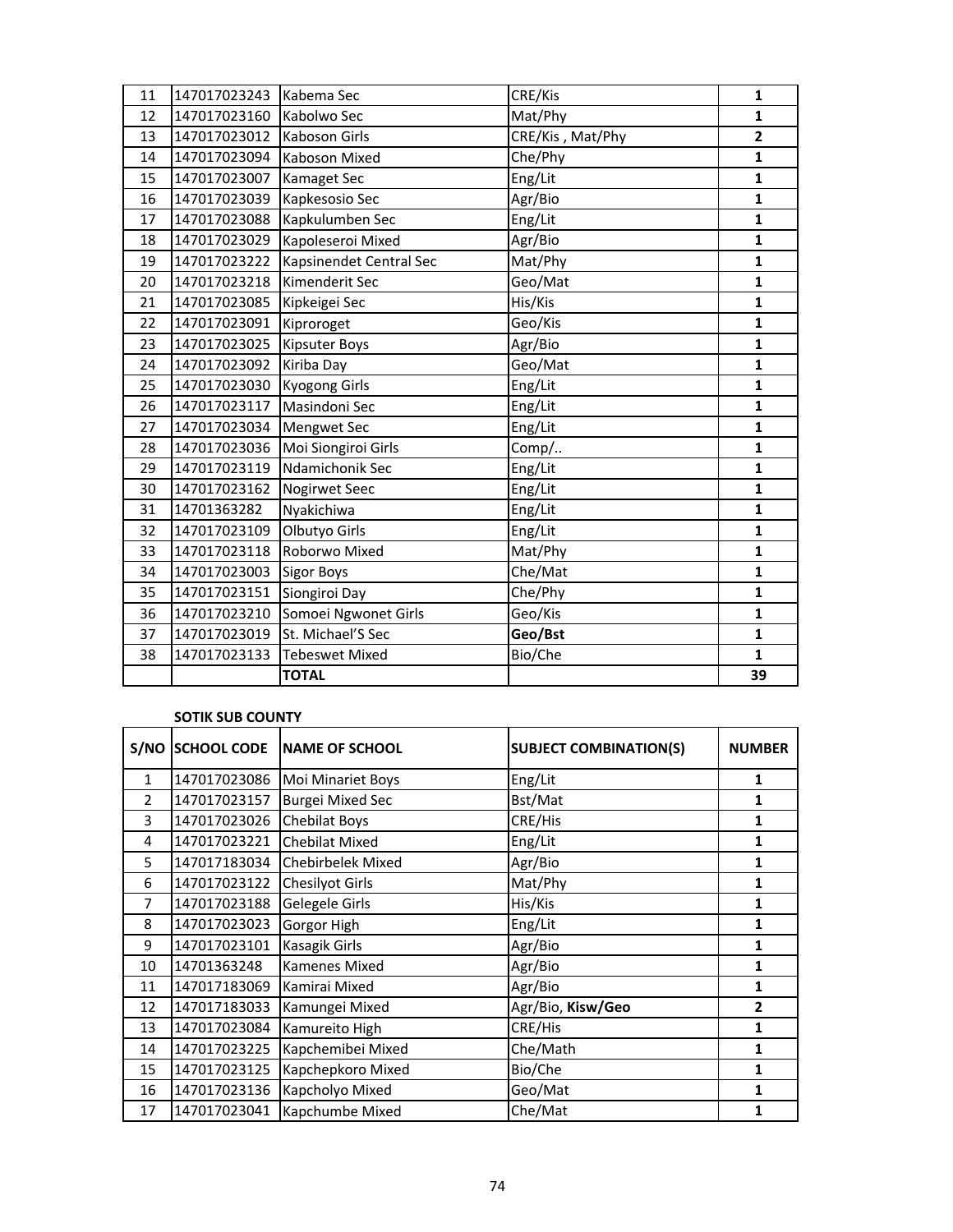| 11 | 147017023243 | Kabema Sec              | CRE/Kis          | 1            |
|----|--------------|-------------------------|------------------|--------------|
| 12 | 147017023160 | Kabolwo Sec             | Mat/Phy          | $\mathbf{1}$ |
| 13 | 147017023012 | Kaboson Girls           | CRE/Kis, Mat/Phy | $\mathbf{2}$ |
| 14 | 147017023094 | Kaboson Mixed           | Che/Phy          | 1            |
| 15 | 147017023007 | Kamaget Sec             | Eng/Lit          | $\mathbf{1}$ |
| 16 | 147017023039 | Kapkesosio Sec          | Agr/Bio          | 1            |
| 17 | 147017023088 | Kapkulumben Sec         | Eng/Lit          | $\mathbf{1}$ |
| 18 | 147017023029 | Kapoleseroi Mixed       | Agr/Bio          | 1            |
| 19 | 147017023222 | Kapsinendet Central Sec | Mat/Phy          | 1            |
| 20 | 147017023218 | Kimenderit Sec          | Geo/Mat          | $\mathbf{1}$ |
| 21 | 147017023085 | Kipkeigei Sec           | His/Kis          | $\mathbf{1}$ |
| 22 | 147017023091 | Kiproroget              | Geo/Kis          | 1            |
| 23 | 147017023025 | Kipsuter Boys           | Agr/Bio          | $\mathbf{1}$ |
| 24 | 147017023092 | Kiriba Day              | Geo/Mat          | 1            |
| 25 | 147017023030 | <b>Kyogong Girls</b>    | Eng/Lit          | 1            |
| 26 | 147017023117 | Masindoni Sec           | Eng/Lit          | 1            |
| 27 | 147017023034 | Mengwet Sec             | Eng/Lit          | 1            |
| 28 | 147017023036 | Moi Siongiroi Girls     | Comp/            | $\mathbf{1}$ |
| 29 | 147017023119 | Ndamichonik Sec         | Eng/Lit          | 1            |
| 30 | 147017023162 | Nogirwet Seec           | Eng/Lit          | $\mathbf{1}$ |
| 31 | 14701363282  | Nyakichiwa              | Eng/Lit          | $\mathbf{1}$ |
| 32 | 147017023109 | Olbutyo Girls           | Eng/Lit          | 1            |
| 33 | 147017023118 | Roborwo Mixed           | Mat/Phy          | $\mathbf{1}$ |
| 34 | 147017023003 | <b>Sigor Boys</b>       | Che/Mat          | 1            |
| 35 | 147017023151 | Siongiroi Day           | Che/Phy          | 1            |
| 36 | 147017023210 | Somoei Ngwonet Girls    | Geo/Kis          | 1            |
| 37 | 147017023019 | St. Michael'S Sec       | Geo/Bst          | 1            |
| 38 | 147017023133 | <b>Tebeswet Mixed</b>   | Bio/Che          | $\mathbf{1}$ |
|    |              | <b>TOTAL</b>            |                  | 39           |

## **SOTIK SUB COUNTY**

|                | <b>S/NO SCHOOL CODE</b> | <b>NAME OF SCHOOL</b>   | <b>SUBJECT COMBINATION(S)</b> | <b>NUMBER</b>  |
|----------------|-------------------------|-------------------------|-------------------------------|----------------|
| $\mathbf{1}$   | 147017023086            | Moi Minariet Boys       | Eng/Lit                       | 1              |
| $\overline{2}$ | 147017023157            | <b>Burgei Mixed Sec</b> | Bst/Mat                       | 1              |
| 3              | 147017023026            | <b>Chebilat Boys</b>    | CRE/His                       | 1              |
| 4              | 147017023221            | <b>Chebilat Mixed</b>   | Eng/Lit                       | 1              |
| 5              | 147017183034            | Chebirbelek Mixed       | Agr/Bio                       | 1              |
| 6              | 147017023122            | <b>Chesilyot Girls</b>  | Mat/Phy                       | 1              |
| 7              | 147017023188            | Gelegele Girls          | His/Kis                       | 1              |
| 8              | 147017023023            | Gorgor High             | Eng/Lit                       | 1              |
| 9              | 147017023101            | Kasagik Girls           | Agr/Bio                       | 1              |
| 10             | 14701363248             | Kamenes Mixed           | Agr/Bio                       | 1              |
| 11             | 147017183069            | Kamirai Mixed           | Agr/Bio                       | 1              |
| 12             | 147017183033            | Kamungei Mixed          | Agr/Bio, Kisw/Geo             | $\overline{2}$ |
| 13             | 147017023084            | Kamureito High          | CRE/His                       | 1              |
| 14             | 147017023225            | Kapchemibei Mixed       | Che/Math                      | 1              |
| 15             | 147017023125            | Kapchepkoro Mixed       | Bio/Che                       | 1              |
| 16             | 147017023136            | Kapcholyo Mixed         | Geo/Mat                       | 1              |
| 17             | 147017023041            | Kapchumbe Mixed         | Che/Mat                       | 1              |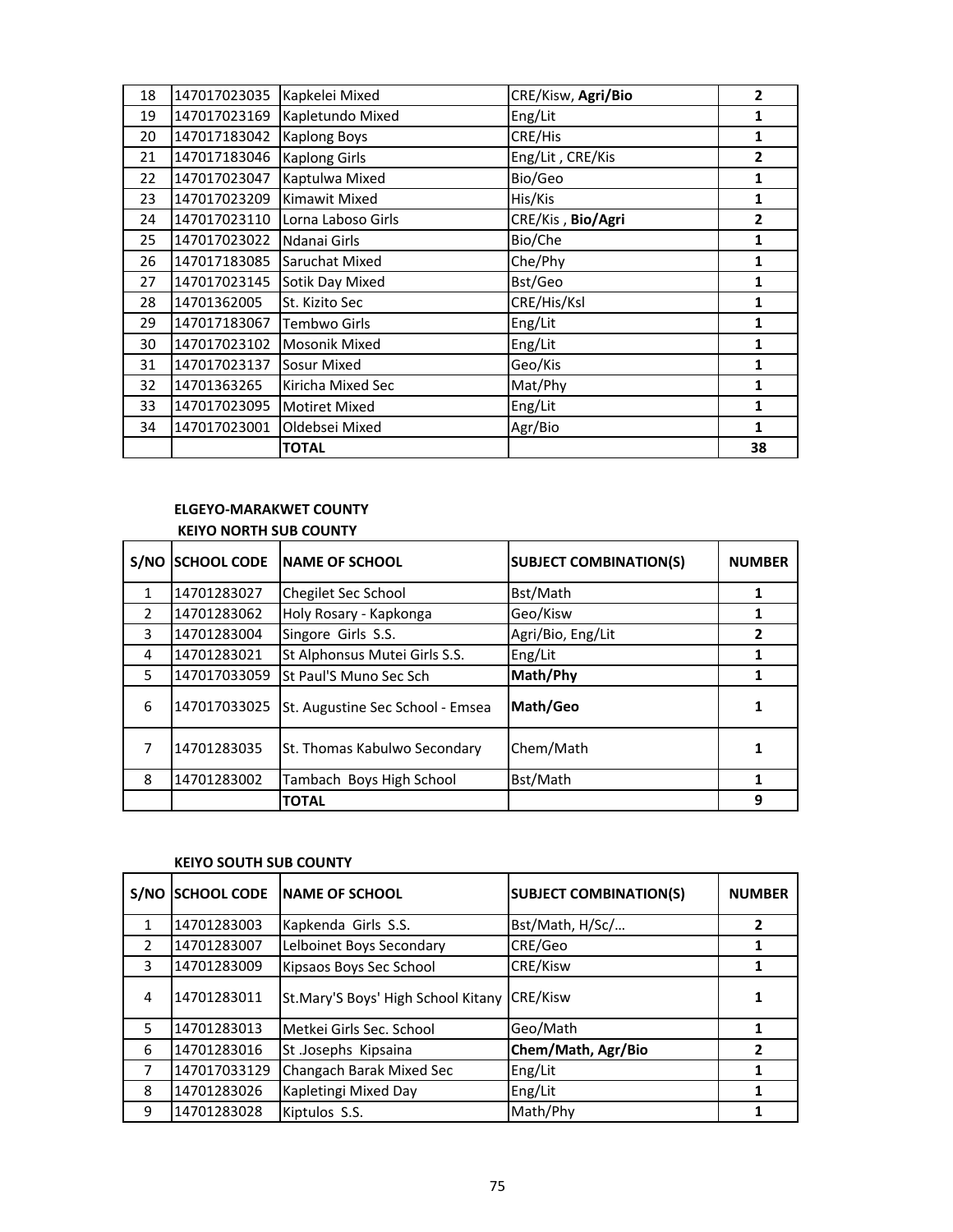| 18 | 147017023035 | Kapkelei Mixed       | CRE/Kisw, Agri/Bio | $\overline{2}$ |
|----|--------------|----------------------|--------------------|----------------|
| 19 | 147017023169 | Kapletundo Mixed     | Eng/Lit            | 1              |
| 20 | 147017183042 | <b>Kaplong Boys</b>  | CRE/His            | 1              |
| 21 | 147017183046 | <b>Kaplong Girls</b> | Eng/Lit, CRE/Kis   | $\overline{2}$ |
| 22 | 147017023047 | Kaptulwa Mixed       | Bio/Geo            | 1              |
| 23 | 147017023209 | Kimawit Mixed        | His/Kis            | 1              |
| 24 | 147017023110 | Lorna Laboso Girls   | CRE/Kis, Bio/Agri  | $\overline{2}$ |
| 25 | 147017023022 | Ndanai Girls         | Bio/Che            | 1              |
| 26 | 147017183085 | Saruchat Mixed       | Che/Phy            | 1              |
| 27 | 147017023145 | Sotik Day Mixed      | Bst/Geo            | 1              |
| 28 | 14701362005  | St. Kizito Sec       | CRE/His/Ksl        | 1              |
| 29 | 147017183067 | Tembwo Girls         | Eng/Lit            | 1              |
| 30 | 147017023102 | Mosonik Mixed        | Eng/Lit            | 1              |
| 31 | 147017023137 | Sosur Mixed          | Geo/Kis            | 1              |
| 32 | 14701363265  | Kiricha Mixed Sec    | Mat/Phy            | 1              |
| 33 | 147017023095 | <b>Motiret Mixed</b> | Eng/Lit            | 1              |
| 34 | 147017023001 | Oldebsei Mixed       | Agr/Bio            | 1              |
|    |              | <b>TOTAL</b>         |                    | 38             |

# **ELGEYO-MARAKWET COUNTY KEIYO NORTH SUB COUNTY**

|               | <b>S/NO SCHOOL CODE</b> | <b>INAME OF SCHOOL</b>           | <b>SUBJECT COMBINATION(S)</b> | <b>NUMBER</b> |
|---------------|-------------------------|----------------------------------|-------------------------------|---------------|
| 1             | 14701283027             | <b>Chegilet Sec School</b>       | Bst/Math                      |               |
| $\mathcal{P}$ | 14701283062             | Holy Rosary - Kapkonga           | Geo/Kisw                      |               |
| 3             | 14701283004             | Singore Girls S.S.               | Agri/Bio, Eng/Lit             | 2             |
| 4             | 14701283021             | St Alphonsus Mutei Girls S.S.    | Eng/Lit                       |               |
| 5             | 147017033059            | St Paul'S Muno Sec Sch           | Math/Phy                      |               |
| 6             | 147017033025            | St. Augustine Sec School - Emsea | Math/Geo                      |               |
|               | 14701283035             | St. Thomas Kabulwo Secondary     | Chem/Math                     |               |
| 8             | 14701283002             | Tambach Boys High School         | Bst/Math                      |               |
|               |                         | <b>TOTAL</b>                     |                               | 9             |

#### **KEIYO SOUTH SUB COUNTY**

| S/NO          | <b>SCHOOL CODE</b> | <b>NAME OF SCHOOL</b>              | <b>SUBJECT COMBINATION(S)</b> | <b>NUMBER</b> |
|---------------|--------------------|------------------------------------|-------------------------------|---------------|
| 1             | 14701283003        | Kapkenda Girls S.S.                | Bst/Math, H/Sc/               | 2             |
| $\mathcal{P}$ | 14701283007        | Lelboinet Boys Secondary           | CRE/Geo                       |               |
| 3             | 14701283009        | Kipsaos Boys Sec School            | CRE/Kisw                      |               |
| 4             | 14701283011        | St.Mary'S Boys' High School Kitany | <b>CRE/Kisw</b>               |               |
| 5.            | 14701283013        | Metkei Girls Sec. School           | Geo/Math                      |               |
| 6             | 14701283016        | St Josephs Kipsaina                | Chem/Math, Agr/Bio            |               |
| 7             | 147017033129       | Changach Barak Mixed Sec           | Eng/Lit                       |               |
| 8             | 14701283026        | Kapletingi Mixed Day               | Eng/Lit                       |               |
| 9             | 14701283028        | Kiptulos S.S.                      | Math/Phy                      |               |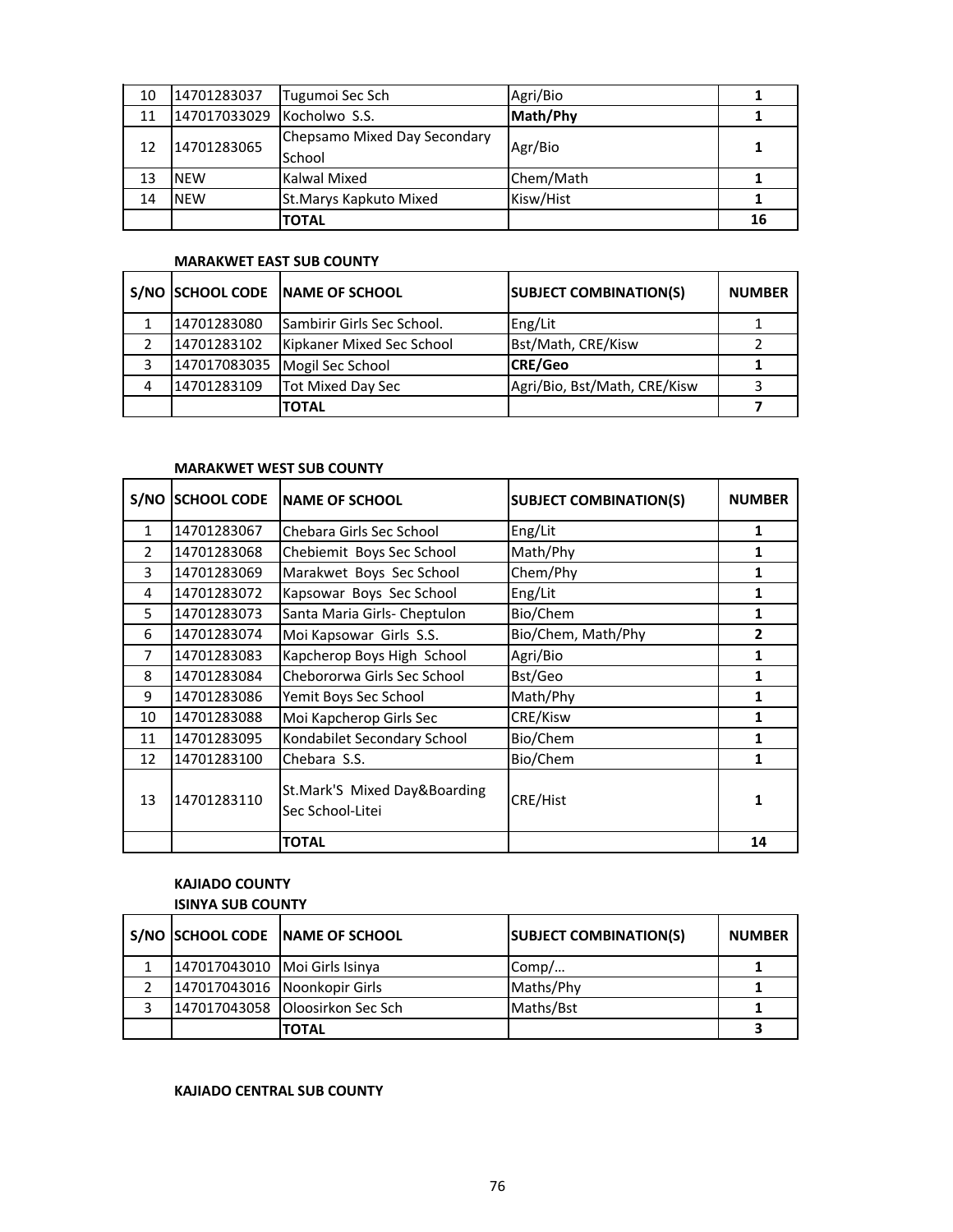| 10 | 14701283037  | Tugumoi Sec Sch                        | Agri/Bio  |    |
|----|--------------|----------------------------------------|-----------|----|
| 11 | 147017033029 | Kocholwo S.S.                          | Math/Phy  |    |
| 12 | 14701283065  | Chepsamo Mixed Day Secondary<br>School | Agr/Bio   |    |
| 13 | <b>NEW</b>   | Kalwal Mixed                           | Chem/Math |    |
| 14 | <b>NEW</b>   | St. Marys Kapkuto Mixed                | Kisw/Hist |    |
|    |              | <b>TOTAL</b>                           |           | 16 |

#### **MARAKWET EAST SUB COUNTY**

|              | S/NO SCHOOL CODE NAME OF SCHOOL   | <b>SUBJECT COMBINATION(S)</b> | <b>NUMBER</b> |
|--------------|-----------------------------------|-------------------------------|---------------|
| 14701283080  | <b>Sambirir Girls Sec School.</b> | Eng/Lit                       |               |
| 14701283102  | Kipkaner Mixed Sec School         | Bst/Math, CRE/Kisw            |               |
| 147017083035 | Mogil Sec School                  | <b>CRE/Geo</b>                |               |
| 14701283109  | <b>Tot Mixed Day Sec</b>          | Agri/Bio, Bst/Math, CRE/Kisw  |               |
|              | <b>TOTAL</b>                      |                               |               |

#### **MARAKWET WEST SUB COUNTY**

| S/NO           | <b>SCHOOL CODE</b> | <b>INAME OF SCHOOL</b>                           | <b>SUBJECT COMBINATION(S)</b> | <b>NUMBER</b> |
|----------------|--------------------|--------------------------------------------------|-------------------------------|---------------|
| $\mathbf{1}$   | 14701283067        | Chebara Girls Sec School                         | Eng/Lit                       | 1             |
| $\mathcal{P}$  | 14701283068        | Chebiemit Boys Sec School                        | Math/Phy                      | 1             |
| 3              | 14701283069        | Marakwet Boys Sec School                         | Chem/Phy                      | 1             |
| 4              | 14701283072        | Kapsowar Boys Sec School                         | Eng/Lit                       | 1             |
| 5              | 14701283073        | Santa Maria Girls- Cheptulon                     | Bio/Chem                      | 1             |
| 6              | 14701283074        | Moi Kapsowar Girls S.S.                          | Bio/Chem, Math/Phy            | 2             |
| $\overline{7}$ | 14701283083        | Kapcherop Boys High School                       | Agri/Bio                      | 1             |
| 8              | 14701283084        | Chebororwa Girls Sec School                      | Bst/Geo                       | 1             |
| 9              | 14701283086        | Yemit Boys Sec School                            | Math/Phy                      | 1             |
| 10             | 14701283088        | Moi Kapcherop Girls Sec                          | CRE/Kisw                      | 1             |
| 11             | 14701283095        | Kondabilet Secondary School                      | Bio/Chem                      | 1             |
| 12             | 14701283100        | Chebara S.S.                                     | Bio/Chem                      | 1             |
| 13             | 14701283110        | St.Mark'S Mixed Day&Boarding<br>Sec School-Litei | CRE/Hist                      | 1             |
|                |                    | <b>TOTAL</b>                                     |                               | 14            |

# **KAJIADO COUNTY**

# **ISINYA SUB COUNTY S/NO SCHOOL CODE NAME OF SCHOOL SUBJECT COMBINATION(S) NUMBER** 1 147017043010 Moi Girls Isinya Comp/… **1** 2 147017043016 Noonkopir Girls Maths/Phy Maths/Phy 3 147017043058 Oloosirkon Sec Sch Maths/Bst **1 TOTAL 3**

#### **KAJIADO CENTRAL SUB COUNTY**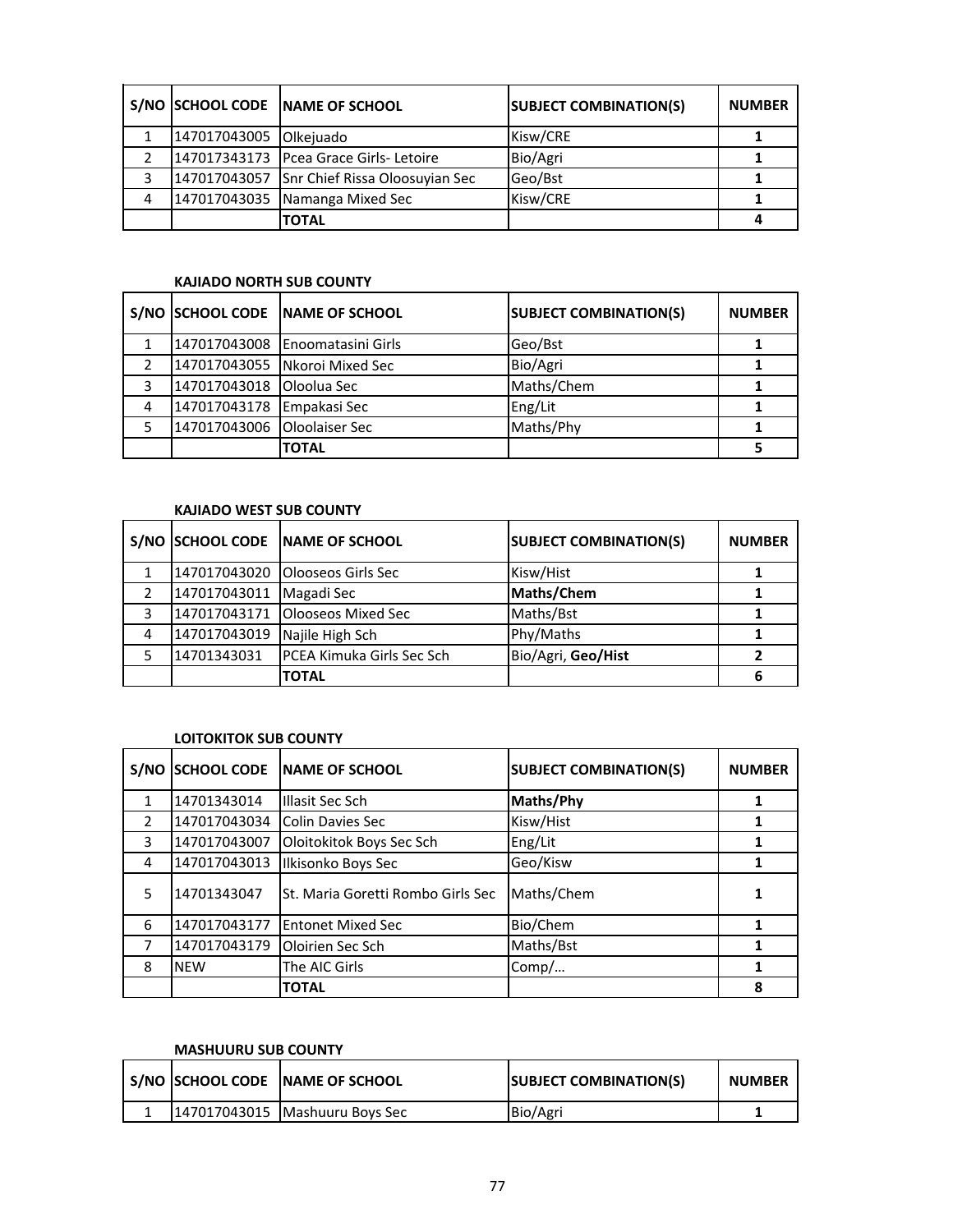|   |                        | S/NO SCHOOL CODE NAME OF SCHOOL             | <b>SUBJECT COMBINATION(S)</b> | <b>NUMBER</b> |
|---|------------------------|---------------------------------------------|-------------------------------|---------------|
|   | 147017043005 Olkejuado |                                             | Kisw/CRE                      |               |
|   |                        | 147017343173 Pcea Grace Girls- Letoire      | Bio/Agri                      |               |
| 3 |                        | 147017043057 Snr Chief Rissa Oloosuyian Sec | Geo/Bst                       |               |
| 4 |                        | 147017043035 Namanga Mixed Sec              | Kisw/CRE                      |               |
|   |                        | <b>TOTAL</b>                                |                               |               |

#### **KAJIADO NORTH SUB COUNTY**

|   |                             | S/NO SCHOOL CODE NAME OF SCHOOL  | <b>SUBJECT COMBINATION(S)</b> | <b>NUMBER</b> |
|---|-----------------------------|----------------------------------|-------------------------------|---------------|
|   |                             | 147017043008 IEnoomatasini Girls | Geo/Bst                       |               |
|   |                             | 147017043055 Nkoroi Mixed Sec    | Bio/Agri                      |               |
| 3 | 147017043018 Oloolua Sec    |                                  | Maths/Chem                    |               |
| 4 | 147017043178 Empakasi Sec   |                                  | Eng/Lit                       |               |
|   | 147017043006 Oloolaiser Sec |                                  | Maths/Phy                     |               |
|   |                             | <b>TOTAL</b>                     |                               |               |

### **KAJIADO WEST SUB COUNTY**

|               |              | S/NO SCHOOL CODE NAME OF SCHOOL  | <b>SUBJECT COMBINATION(S)</b> | <b>NUMBER</b> |
|---------------|--------------|----------------------------------|-------------------------------|---------------|
|               |              | 147017043020 Olooseos Girls Sec  | Kisw/Hist                     |               |
| $\mathcal{P}$ | 147017043011 | Magadi Sec                       | Maths/Chem                    |               |
| 3             |              | 147017043171 Olooseos Mixed Sec  | Maths/Bst                     |               |
| 4             | 147017043019 | Najile High Sch                  | Phy/Maths                     |               |
|               | 14701343031  | <b>PCEA Kimuka Girls Sec Sch</b> | Bio/Agri, Geo/Hist            |               |
|               |              | <b>TOTAL</b>                     |                               | 6             |

## **LOITOKITOK SUB COUNTY**

| S/NO          | <b>SCHOOL CODE</b> | <b>INAME OF SCHOOL</b>            | <b>SUBJECT COMBINATION(S)</b> | <b>NUMBER</b> |
|---------------|--------------------|-----------------------------------|-------------------------------|---------------|
| 1             | 14701343014        | Illasit Sec Sch                   | Maths/Phy                     |               |
| $\mathcal{P}$ | 147017043034       | Colin Davies Sec                  | Kisw/Hist                     |               |
| 3             | 147017043007       | Oloitokitok Boys Sec Sch          | Eng/Lit                       |               |
| 4             | 147017043013       | Ilkisonko Boys Sec                | Geo/Kisw                      | 1             |
| 5             | 14701343047        | St. Maria Goretti Rombo Girls Sec | Maths/Chem                    |               |
| 6             | 147017043177       | <b>Entonet Mixed Sec</b>          | Bio/Chem                      |               |
|               | 147017043179       | Oloirien Sec Sch                  | Maths/Bst                     |               |
| 8             | <b>NEW</b>         | The AIC Girls                     | Comp/                         |               |
|               |                    | <b>TOTAL</b>                      |                               | 8             |

#### **MASHUURU SUB COUNTY**

|  | S/NO SCHOOL CODE NAME OF SCHOOL  | <b>SUBJECT COMBINATION(S)</b> | <b>NUMBER</b> |
|--|----------------------------------|-------------------------------|---------------|
|  | 147017043015   Mashuuru Boys Sec | Bio/Agri                      |               |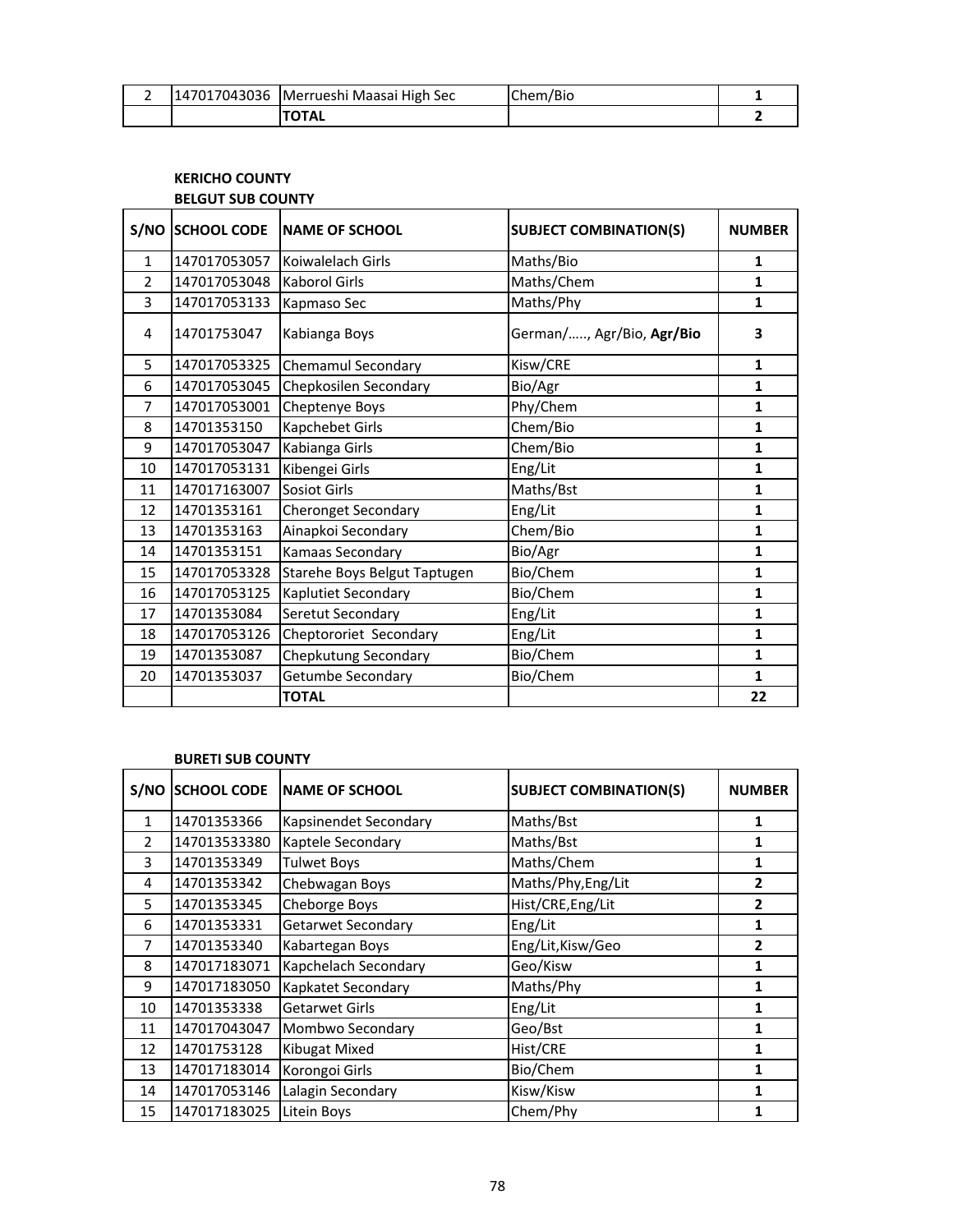|  | 147017043036 Merrueshi Maasai High Sec | Chem/Bio |  |
|--|----------------------------------------|----------|--|
|  |                                        |          |  |

#### **KERICHO COUNTY BELGUT SUB COUNTY**

| S/NO           | <b>SCHOOL CODE</b> | <b>NAME OF SCHOOL</b>        | <b>SUBJECT COMBINATION(S)</b> | <b>NUMBER</b> |
|----------------|--------------------|------------------------------|-------------------------------|---------------|
| $\mathbf{1}$   | 147017053057       | Koiwalelach Girls            | Maths/Bio                     | $\mathbf{1}$  |
| $\overline{2}$ | 147017053048       | <b>Kaborol Girls</b>         | Maths/Chem                    | $\mathbf{1}$  |
| 3              | 147017053133       | Kapmaso Sec                  | Maths/Phy                     | 1             |
| 4              | 14701753047        | Kabianga Boys                | German/, Agr/Bio, Agr/Bio     | 3             |
| 5              | 147017053325       | Chemamul Secondary           | Kisw/CRE                      | $\mathbf{1}$  |
| 6              | 147017053045       | Chepkosilen Secondary        | Bio/Agr                       | $\mathbf{1}$  |
| 7              | 147017053001       | Cheptenye Boys               | Phy/Chem                      | 1             |
| 8              | 14701353150        | Kapchebet Girls              | Chem/Bio                      | $\mathbf{1}$  |
| 9              | 147017053047       | Kabianga Girls               | Chem/Bio                      | $\mathbf{1}$  |
| 10             | 147017053131       | Kibengei Girls               | Eng/Lit                       | $\mathbf{1}$  |
| 11             | 147017163007       | Sosiot Girls                 | Maths/Bst                     | 1             |
| 12             | 14701353161        | <b>Cheronget Secondary</b>   | Eng/Lit                       | $\mathbf{1}$  |
| 13             | 14701353163        | Ainapkoi Secondary           | Chem/Bio                      | $\mathbf{1}$  |
| 14             | 14701353151        | Kamaas Secondary             | Bio/Agr                       | $\mathbf{1}$  |
| 15             | 147017053328       | Starehe Boys Belgut Taptugen | Bio/Chem                      | $\mathbf{1}$  |
| 16             | 147017053125       | Kaplutiet Secondary          | Bio/Chem                      | $\mathbf{1}$  |
| 17             | 14701353084        | Seretut Secondary            | Eng/Lit                       | $\mathbf{1}$  |
| 18             | 147017053126       | Cheptororiet Secondary       | Eng/Lit                       | $\mathbf{1}$  |
| 19             | 14701353087        | Chepkutung Secondary         | Bio/Chem                      | $\mathbf{1}$  |
| 20             | 14701353037        | Getumbe Secondary            | Bio/Chem                      | $\mathbf{1}$  |
|                |                    | <b>TOTAL</b>                 |                               | 22            |

#### **BURETI SUB COUNTY**

| S/NO         | <b>SCHOOL CODE</b> | <b>NAME OF SCHOOL</b> | <b>SUBJECT COMBINATION(S)</b> | <b>NUMBER</b>  |
|--------------|--------------------|-----------------------|-------------------------------|----------------|
| $\mathbf{1}$ | 14701353366        | Kapsinendet Secondary | Maths/Bst                     | 1              |
| 2            | 147013533380       | Kaptele Secondary     | Maths/Bst                     | 1              |
| 3            | 14701353349        | <b>Tulwet Boys</b>    | Maths/Chem                    | 1              |
| 4            | 14701353342        | Chebwagan Boys        | Maths/Phy, Eng/Lit            | 2              |
| 5.           | 14701353345        | Cheborge Boys         | Hist/CRE, Eng/Lit             | $\overline{2}$ |
| 6            | 14701353331        | Getarwet Secondary    | Eng/Lit                       | 1              |
| 7            | 14701353340        | Kabartegan Boys       | Eng/Lit, Kisw/Geo             | 2              |
| 8            | 147017183071       | Kapchelach Secondary  | Geo/Kisw                      | 1              |
| 9            | 147017183050       | Kapkatet Secondary    | Maths/Phy                     | 1              |
| 10           | 14701353338        | Getarwet Girls        | Eng/Lit                       | 1              |
| 11           | 147017043047       | Mombwo Secondary      | Geo/Bst                       | 1              |
| 12           | 14701753128        | Kibugat Mixed         | Hist/CRE                      | 1              |
| 13           | 147017183014       | Korongoi Girls        | Bio/Chem                      | 1              |
| 14           | 147017053146       | Lalagin Secondary     | Kisw/Kisw                     | 1              |
| 15           | 147017183025       | Litein Boys           | Chem/Phy                      |                |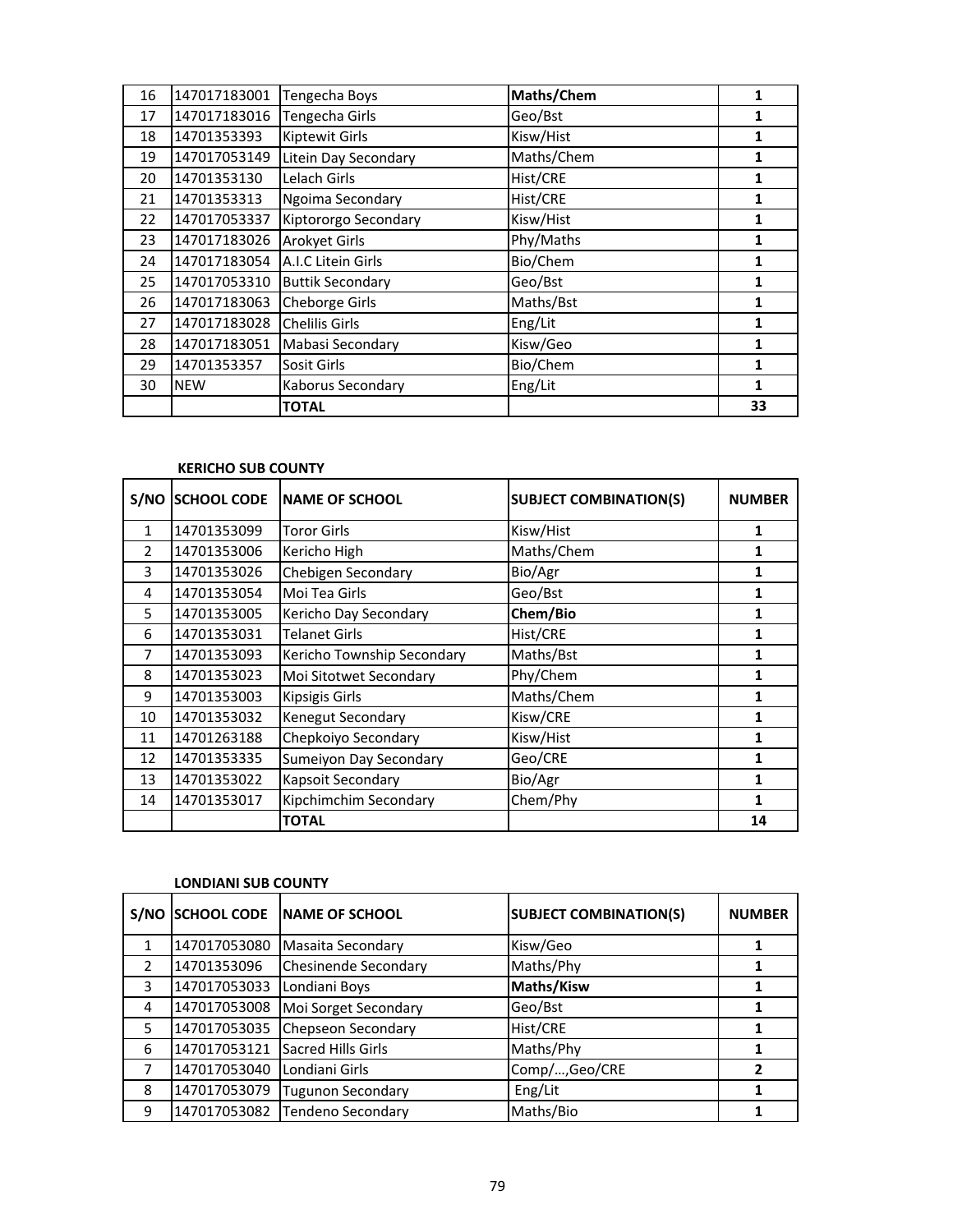| 16 | 147017183001 | Tengecha Boys           | Maths/Chem | 1  |
|----|--------------|-------------------------|------------|----|
| 17 | 147017183016 | Tengecha Girls          | Geo/Bst    |    |
| 18 | 14701353393  | <b>Kiptewit Girls</b>   | Kisw/Hist  |    |
| 19 | 147017053149 | Litein Day Secondary    | Maths/Chem | 1  |
| 20 | 14701353130  | Lelach Girls            | Hist/CRE   | 1  |
| 21 | 14701353313  | Ngoima Secondary        | Hist/CRE   |    |
| 22 | 147017053337 | Kiptororgo Secondary    | Kisw/Hist  | 1  |
| 23 | 147017183026 | <b>Arokyet Girls</b>    | Phy/Maths  | 1  |
| 24 | 147017183054 | A.I.C Litein Girls      | Bio/Chem   | 1  |
| 25 | 147017053310 | <b>Buttik Secondary</b> | Geo/Bst    | 1  |
| 26 | 147017183063 | Cheborge Girls          | Maths/Bst  | 1  |
| 27 | 147017183028 | <b>Chelilis Girls</b>   | Eng/Lit    | 1  |
| 28 | 147017183051 | Mabasi Secondary        | Kisw/Geo   | 1  |
| 29 | 14701353357  | Sosit Girls             | Bio/Chem   | 1  |
| 30 | <b>NEW</b>   | Kaborus Secondary       | Eng/Lit    | 1  |
|    |              | <b>TOTAL</b>            |            | 33 |

#### **KERICHO SUB COUNTY**

| S/NO          | <b>SCHOOL CODE</b> | <b>INAME OF SCHOOL</b>     | <b>SUBJECT COMBINATION(S)</b> | <b>NUMBER</b> |
|---------------|--------------------|----------------------------|-------------------------------|---------------|
| $\mathbf{1}$  | 14701353099        | <b>Toror Girls</b>         | Kisw/Hist                     | 1             |
| $\mathcal{P}$ | 14701353006        | Kericho High               | Maths/Chem                    | 1             |
| 3             | 14701353026        | Chebigen Secondary         | Bio/Agr                       | 1             |
| 4             | 14701353054        | Moi Tea Girls              | Geo/Bst                       | 1             |
| 5             | 14701353005        | Kericho Day Secondary      | Chem/Bio                      | 1             |
| 6             | 14701353031        | <b>Telanet Girls</b>       | Hist/CRE                      | 1             |
| 7             | 14701353093        | Kericho Township Secondary | Maths/Bst                     | 1             |
| 8             | 14701353023        | Moi Sitotwet Secondary     | Phy/Chem                      | 1             |
| 9             | 14701353003        | <b>Kipsigis Girls</b>      | Maths/Chem                    | 1             |
| 10            | 14701353032        | <b>Kenegut Secondary</b>   | Kisw/CRE                      | 1             |
| 11            | 14701263188        | Chepkoiyo Secondary        | Kisw/Hist                     | 1             |
| 12            | 14701353335        | Sumeiyon Day Secondary     | Geo/CRE                       | 1             |
| 13            | 14701353022        | <b>Kapsoit Secondary</b>   | Bio/Agr                       | 1             |
| 14            | 14701353017        | Kipchimchim Secondary      | Chem/Phy                      | 1             |
|               |                    | <b>TOTAL</b>               |                               | 14            |

#### **LONDIANI SUB COUNTY**

| S/NO          | <b>SCHOOL CODE</b> | <b>INAME OF SCHOOL</b>      | <b>SUBJECT COMBINATION(S)</b> | <b>NUMBER</b> |
|---------------|--------------------|-----------------------------|-------------------------------|---------------|
|               | 147017053080       | Masaita Secondary           | Kisw/Geo                      |               |
| $\mathcal{P}$ | 14701353096        | <b>Chesinende Secondary</b> | Maths/Phy                     |               |
| 3             | 147017053033       | Londiani Boys               | Maths/Kisw                    |               |
| 4             | 147017053008       | Moi Sorget Secondary        | Geo/Bst                       |               |
| 5             | 147017053035       | Chepseon Secondary          | Hist/CRE                      |               |
| 6             | 147017053121       | Sacred Hills Girls          | Maths/Phy                     |               |
|               | 147017053040       | Londiani Girls              | Comp/,Geo/CRE                 |               |
| 8             | 147017053079       | <b>Tugunon Secondary</b>    | Eng/Lit                       |               |
| 9             | 147017053082       | <b>Tendeno Secondary</b>    | Maths/Bio                     |               |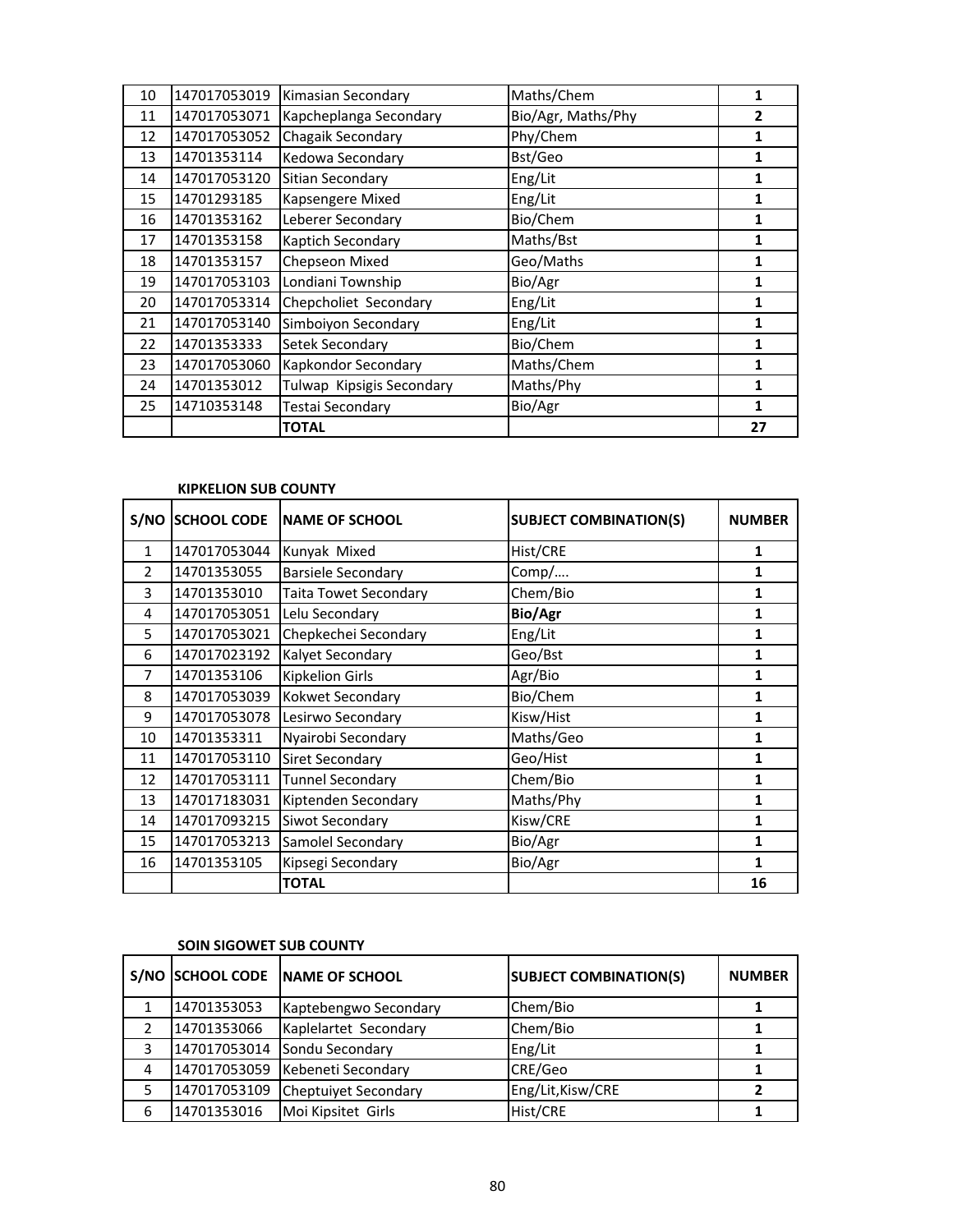| 10 | 147017053019 | Kimasian Secondary        | Maths/Chem         | 1  |
|----|--------------|---------------------------|--------------------|----|
| 11 | 147017053071 | Kapcheplanga Secondary    | Bio/Agr, Maths/Phy | 2  |
| 12 | 147017053052 | Chagaik Secondary         | Phy/Chem           | 1  |
| 13 | 14701353114  | Kedowa Secondary          | Bst/Geo            | 1  |
| 14 | 147017053120 | Sitian Secondary          | Eng/Lit            | 1  |
| 15 | 14701293185  | Kapsengere Mixed          | Eng/Lit            | 1  |
| 16 | 14701353162  | Leberer Secondary         | Bio/Chem           | 1  |
| 17 | 14701353158  | Kaptich Secondary         | Maths/Bst          | 1  |
| 18 | 14701353157  | Chepseon Mixed            | Geo/Maths          | 1  |
| 19 | 147017053103 | Londiani Township         | Bio/Agr            | 1  |
| 20 | 147017053314 | Chepcholiet Secondary     | Eng/Lit            | 1  |
| 21 | 147017053140 | Simboiyon Secondary       | Eng/Lit            | 1  |
| 22 | 14701353333  | Setek Secondary           | Bio/Chem           | 1  |
| 23 | 147017053060 | Kapkondor Secondary       | Maths/Chem         | 1  |
| 24 | 14701353012  | Tulwap Kipsigis Secondary | Maths/Phy          | 1  |
| 25 | 14710353148  | Testai Secondary          | Bio/Agr            | 1  |
|    |              | <b>TOTAL</b>              |                    | 27 |

#### **KIPKELION SUB COUNTY**

| S/NO         | <b>SCHOOL CODE</b> | <b>NAME OF SCHOOL</b>     | <b>SUBJECT COMBINATION(S)</b> | <b>NUMBER</b> |
|--------------|--------------------|---------------------------|-------------------------------|---------------|
| $\mathbf{1}$ | 147017053044       | Kunyak Mixed              | Hist/CRE                      | 1             |
| 2            | 14701353055        | <b>Barsiele Secondary</b> | Comp/                         | 1             |
| 3            | 14701353010        | Taita Towet Secondary     | Chem/Bio                      | 1             |
| 4            | 147017053051       | Lelu Secondary            | Bio/Agr                       | 1             |
| 5            | 147017053021       | Chepkechei Secondary      | Eng/Lit                       | 1             |
| 6            | 147017023192       | Kalyet Secondary          | Geo/Bst                       | 1             |
| 7            | 14701353106        | Kipkelion Girls           | Agr/Bio                       | 1             |
| 8            | 147017053039       | Kokwet Secondary          | Bio/Chem                      | 1             |
| 9            | 147017053078       | Lesirwo Secondary         | Kisw/Hist                     | 1             |
| 10           | 14701353311        | Nyairobi Secondary        | Maths/Geo                     | 1             |
| 11           | 147017053110       | Siret Secondary           | Geo/Hist                      | 1             |
| 12           | 147017053111       | <b>Tunnel Secondary</b>   | Chem/Bio                      | 1             |
| 13           | 147017183031       | Kiptenden Secondary       | Maths/Phy                     | 1             |
| 14           | 147017093215       | Siwot Secondary           | Kisw/CRE                      | 1             |
| 15           | 147017053213       | Samolel Secondary         | Bio/Agr                       | 1             |
| 16           | 14701353105        | Kipsegi Secondary         | Bio/Agr                       | 1             |
|              |                    | <b>TOTAL</b>              |                               | 16            |

## **SOIN SIGOWET SUB COUNTY**

|   |              | S/NO SCHOOL CODE NAME OF SCHOOL | <b>SUBJECT COMBINATION(S)</b> | <b>NUMBER</b> |
|---|--------------|---------------------------------|-------------------------------|---------------|
|   | 14701353053  | Kaptebengwo Secondary           | Chem/Bio                      |               |
|   | 14701353066  | Kaplelartet Secondary           | Chem/Bio                      |               |
| 3 |              | 147017053014 Sondu Secondary    | Eng/Lit                       |               |
| 4 | 147017053059 | Kebeneti Secondary              | CRE/Geo                       |               |
|   | 147017053109 | Cheptuiyet Secondary            | Eng/Lit, Kisw/CRE             |               |
| 6 | 14701353016  | Moi Kipsitet Girls              | Hist/CRE                      |               |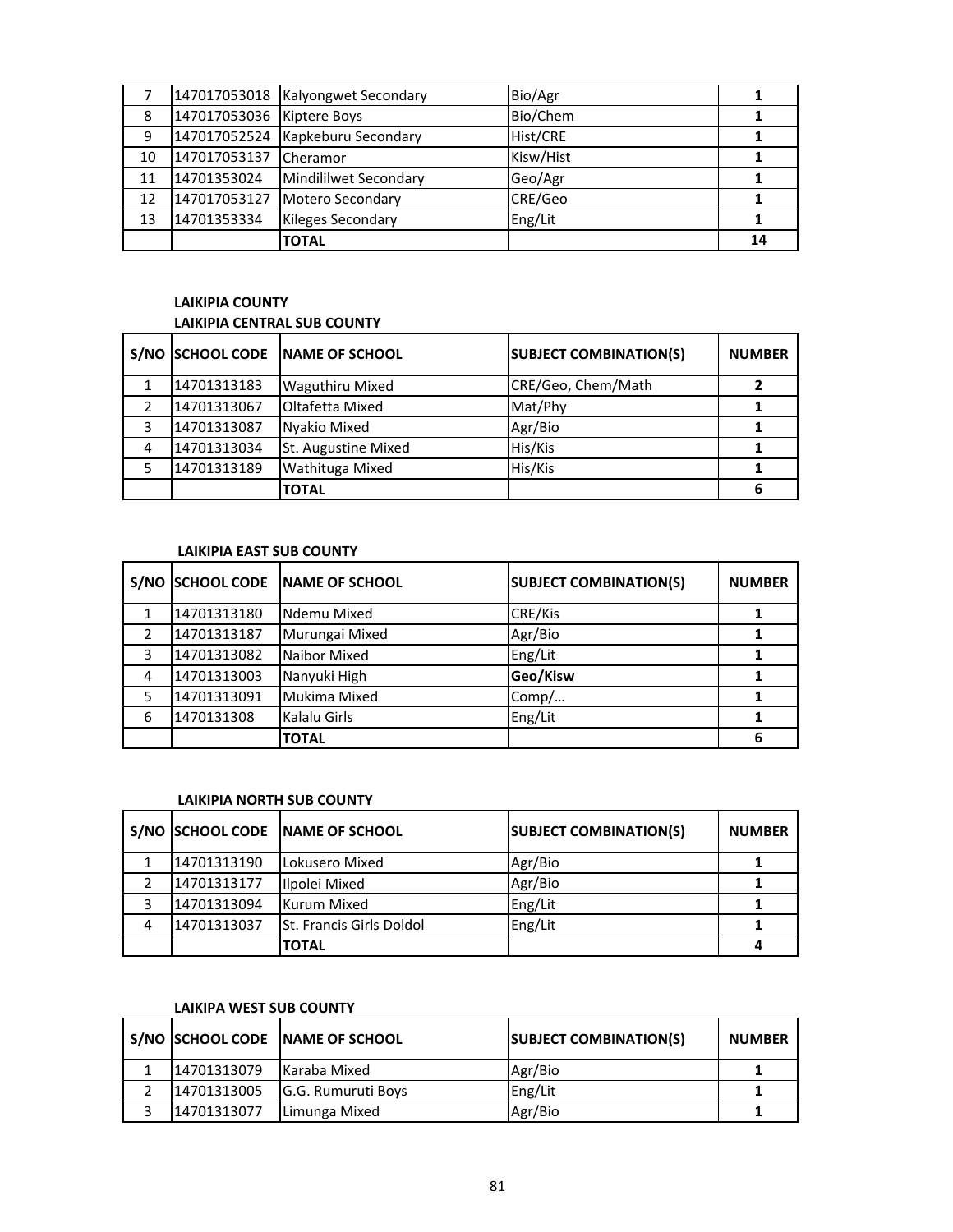|    |                           | 147017053018   Kalyongwet Secondary | Bio/Agr   |    |
|----|---------------------------|-------------------------------------|-----------|----|
| 8  | 147017053036 Kiptere Boys |                                     | Bio/Chem  |    |
| 9  |                           | 147017052524 Kapkeburu Secondary    | Hist/CRE  |    |
| 10 | 147017053137              | Cheramor                            | Kisw/Hist |    |
| 11 | 14701353024               | Mindililwet Secondary               | Geo/Agr   |    |
| 12 | 147017053127              | Motero Secondary                    | CRE/Geo   |    |
| 13 | 14701353334               | <b>Kileges Secondary</b>            | Eng/Lit   |    |
|    |                           | <b>TOTAL</b>                        |           | 14 |

# **LAIKIPIA COUNTY LAIKIPIA CENTRAL SUB COUNTY**

|   |             | S/NO SCHOOL CODE NAME OF SCHOOL | <b>SUBJECT COMBINATION(S)</b> | <b>NUMBER</b> |
|---|-------------|---------------------------------|-------------------------------|---------------|
|   | 14701313183 | <b>Waguthiru Mixed</b>          | CRE/Geo, Chem/Math            |               |
|   | 14701313067 | Oltafetta Mixed                 | Mat/Phy                       |               |
| 3 | 14701313087 | Nyakio Mixed                    | Agr/Bio                       |               |
| 4 | 14701313034 | St. Augustine Mixed             | His/Kis                       |               |
|   | 14701313189 | Wathituga Mixed                 | His/Kis                       |               |
|   |             | <b>TOTAL</b>                    |                               |               |

## **LAIKIPIA EAST SUB COUNTY**

|   | S/NO SCHOOL CODE | <b>INAME OF SCHOOL</b> | <b>SUBJECT COMBINATION(S)</b> | <b>NUMBER</b> |
|---|------------------|------------------------|-------------------------------|---------------|
|   | 14701313180      | Ndemu Mixed            | CRE/Kis                       |               |
|   | 14701313187      | Murungai Mixed         | Agr/Bio                       |               |
| 3 | 14701313082      | Naibor Mixed           | Eng/Lit                       |               |
| 4 | 14701313003      | Nanyuki High           | Geo/Kisw                      |               |
|   | 14701313091      | Mukima Mixed           | Comp/                         |               |
| 6 | 1470131308       | Kalalu Girls           | Eng/Lit                       |               |
|   |                  | <b>TOTAL</b>           |                               |               |

# **LAIKIPIA NORTH SUB COUNTY**

|   |             | S/NO SCHOOL CODE NAME OF SCHOOL | <b>SUBJECT COMBINATION(S)</b> | <b>NUMBER</b> |
|---|-------------|---------------------------------|-------------------------------|---------------|
|   | 14701313190 | Lokusero Mixed                  | Agr/Bio                       |               |
|   | 14701313177 | Ilpolei Mixed                   | Agr/Bio                       |               |
|   | 14701313094 | Kurum Mixed                     | Eng/Lit                       |               |
| 4 | 14701313037 | <b>St. Francis Girls Doldol</b> | Eng/Lit                       |               |
|   |             | <b>TOTAL</b>                    |                               |               |

# **LAIKIPA WEST SUB COUNTY**

|             | S/NO SCHOOL CODE NAME OF SCHOOL | <b>SUBJECT COMBINATION(S)</b> | <b>NUMBER</b> |
|-------------|---------------------------------|-------------------------------|---------------|
| 14701313079 | Karaba Mixed                    | Agr/Bio                       |               |
| 14701313005 | <b>G.G. Rumuruti Boys</b>       | Eng/Lit                       |               |
| 14701313077 | Limunga Mixed                   | Agr/Bio                       |               |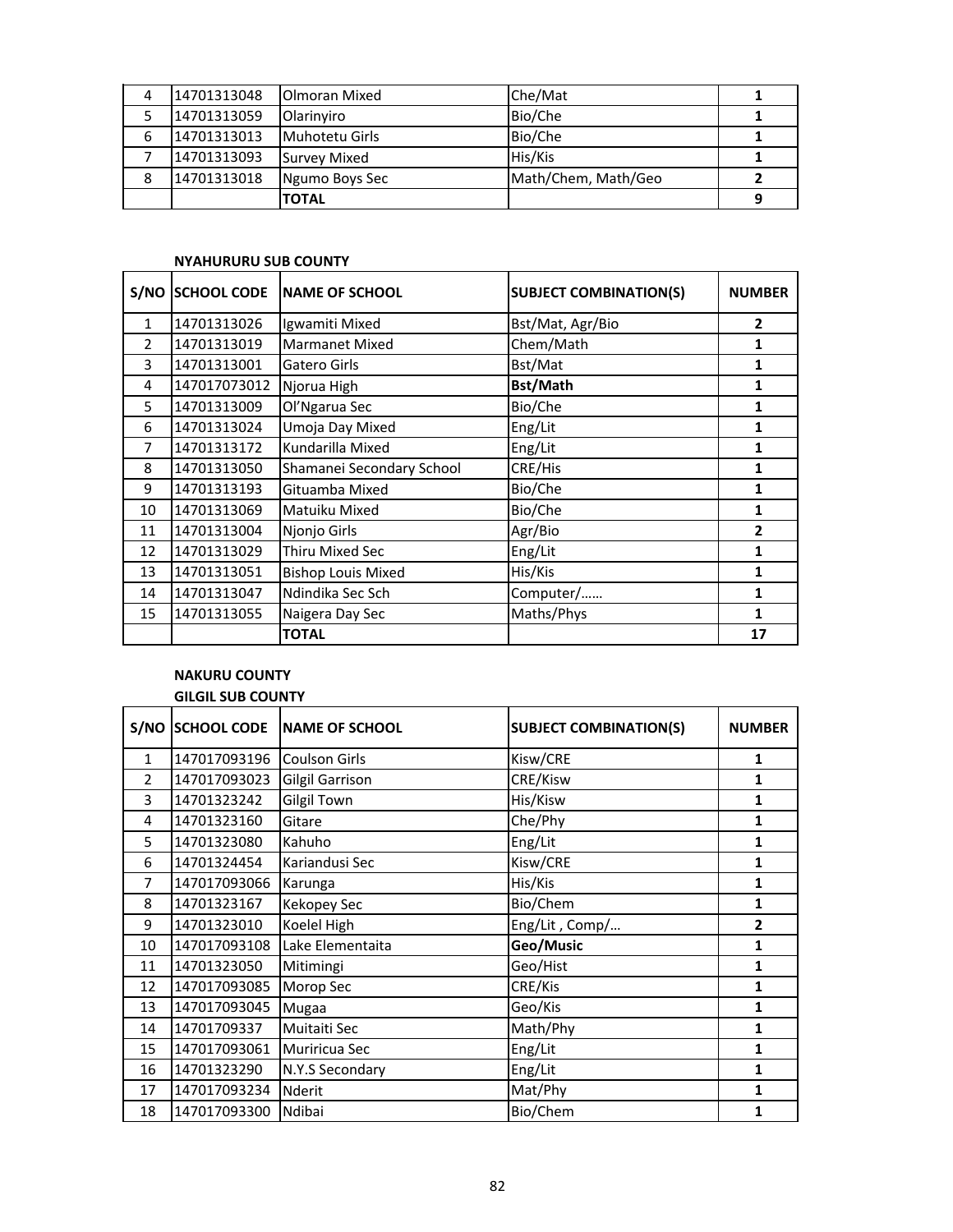| 4 | 14701313048 | <b>Olmoran Mixed</b>  | Che/Mat             |   |
|---|-------------|-----------------------|---------------------|---|
|   | 14701313059 | <b>Olarinviro</b>     | Bio/Che             |   |
| 6 | 14701313013 | <b>Muhotetu Girls</b> | Bio/Che             |   |
|   | 14701313093 | Survey Mixed          | His/Kis             |   |
| 8 | 14701313018 | Ngumo Boys Sec        | Math/Chem, Math/Geo |   |
|   |             | <b>TOTAL</b>          |                     | q |

#### **NYAHURURU SUB COUNTY**

| S/NO           | <b>SCHOOL CODE</b> | <b>INAME OF SCHOOL</b>    | <b>SUBJECT COMBINATION(S)</b> | <b>NUMBER</b>  |
|----------------|--------------------|---------------------------|-------------------------------|----------------|
| $\mathbf{1}$   | 14701313026        | Igwamiti Mixed            | Bst/Mat, Agr/Bio              | $\overline{2}$ |
| $\mathcal{P}$  | 14701313019        | <b>Marmanet Mixed</b>     | Chem/Math                     | 1              |
| 3              | 14701313001        | Gatero Girls              | Bst/Mat                       | 1              |
| 4              | 147017073012       | Njorua High               | <b>Bst/Math</b>               | 1              |
| 5              | 14701313009        | Ol'Ngarua Sec             | Bio/Che                       | 1              |
| 6              | 14701313024        | Umoja Day Mixed           | Eng/Lit                       | 1              |
| $\overline{7}$ | 14701313172        | Kundarilla Mixed          | Eng/Lit                       | 1              |
| 8              | 14701313050        | Shamanei Secondary School | CRE/His                       | 1              |
| 9              | 14701313193        | Gituamba Mixed            | Bio/Che                       | 1              |
| 10             | 14701313069        | Matuiku Mixed             | Bio/Che                       | 1              |
| 11             | 14701313004        | Njonjo Girls              | Agr/Bio                       | 2              |
| 12             | 14701313029        | <b>Thiru Mixed Sec</b>    | Eng/Lit                       | 1              |
| 13             | 14701313051        | <b>Bishop Louis Mixed</b> | His/Kis                       | 1              |
| 14             | 14701313047        | Ndindika Sec Sch          | Computer/                     | 1              |
| 15             | 14701313055        | Naigera Day Sec           | Maths/Phys                    | 1              |
|                |                    | <b>TOTAL</b>              |                               | 17             |

# **NAKURU COUNTY GILGIL SUB COUNTY**

| S/NO           | <b>SCHOOL CODE</b> | <b>INAME OF SCHOOL</b> | <b>SUBJECT COMBINATION(S)</b> | <b>NUMBER</b> |
|----------------|--------------------|------------------------|-------------------------------|---------------|
| $\mathbf{1}$   | 147017093196       | <b>Coulson Girls</b>   | Kisw/CRE                      | 1             |
| $\overline{2}$ | 147017093023       | <b>Gilgil Garrison</b> | CRE/Kisw                      | 1             |
| 3              | 14701323242        | <b>Gilgil Town</b>     | His/Kisw                      | 1             |
| 4              | 14701323160        | Gitare                 | Che/Phy                       | 1             |
| 5              | 14701323080        | Kahuho                 | Eng/Lit                       | 1             |
| 6              | 14701324454        | Kariandusi Sec         | Kisw/CRE                      | 1             |
| 7              | 147017093066       | Karunga                | His/Kis                       | 1             |
| 8              | 14701323167        | <b>Kekopey Sec</b>     | Bio/Chem                      | 1             |
| 9              | 14701323010        | Koelel High            | Eng/Lit, Comp/                | 2             |
| 10             | 147017093108       | Lake Elementaita       | Geo/Music                     | 1             |
| 11             | 14701323050        | Mitimingi              | Geo/Hist                      | 1             |
| 12             | 147017093085       | Morop Sec              | CRE/Kis                       | 1             |
| 13             | 147017093045       | <b>Mugaa</b>           | Geo/Kis                       | 1             |
| 14             | 14701709337        | Muitaiti Sec           | Math/Phy                      | 1             |
| 15             | 147017093061       | Muriricua Sec          | Eng/Lit                       | 1             |
| 16             | 14701323290        | N.Y.S Secondary        | Eng/Lit                       | 1             |
| 17             | 147017093234       | Nderit                 | Mat/Phy                       | 1             |
| 18             | 147017093300       | Ndibai                 | Bio/Chem                      | 1             |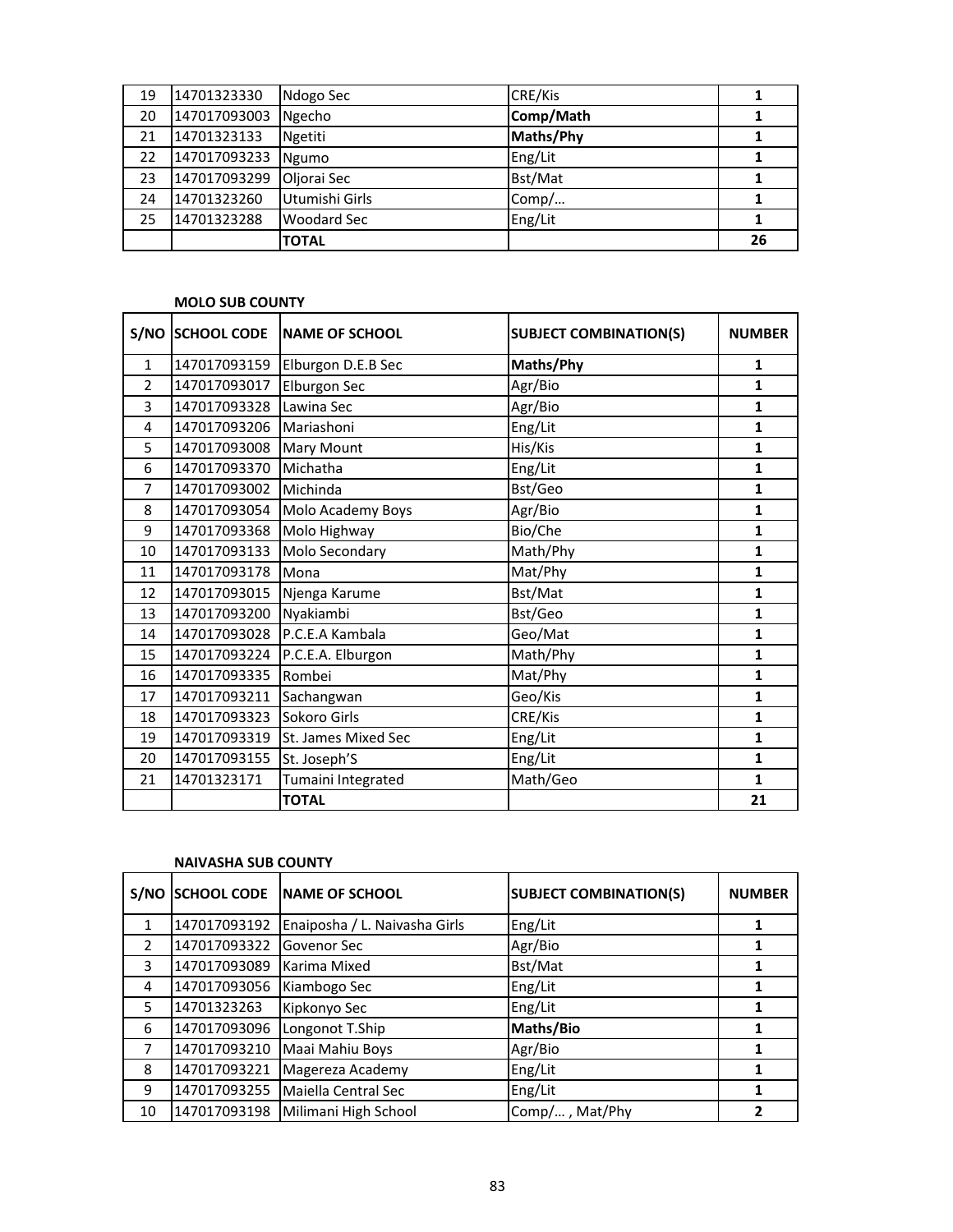| 19 | 14701323330  | Ndogo Sec      | CRE/Kis   |    |
|----|--------------|----------------|-----------|----|
| 20 | 147017093003 | Ngecho         | Comp/Math |    |
| 21 | 14701323133  | Ngetiti        | Maths/Phy |    |
| 22 | 147017093233 | Ngumo          | Eng/Lit   |    |
| 23 | 147017093299 | Oljorai Sec    | Bst/Mat   |    |
| 24 | 14701323260  | Utumishi Girls | Comp/     |    |
| 25 | 14701323288  | Woodard Sec    | Eng/Lit   |    |
|    |              | <b>TOTAL</b>   |           | 26 |

## **MOLO SUB COUNTY**

| S/NO           | <b>SCHOOL CODE</b> | <b>NAME OF SCHOOL</b> | <b>SUBJECT COMBINATION(S)</b> | <b>NUMBER</b> |
|----------------|--------------------|-----------------------|-------------------------------|---------------|
| $\mathbf{1}$   | 147017093159       | Elburgon D.E.B Sec    | Maths/Phy                     | 1             |
| $\overline{2}$ | 147017093017       | Elburgon Sec          | Agr/Bio                       | 1             |
| 3              | 147017093328       | Lawina Sec            | Agr/Bio                       | $\mathbf{1}$  |
| 4              | 147017093206       | Mariashoni            | Eng/Lit                       | $\mathbf{1}$  |
| 5              | 147017093008       | <b>Mary Mount</b>     | His/Kis                       | 1             |
| 6              | 147017093370       | Michatha              | Eng/Lit                       | 1             |
| $\overline{7}$ | 147017093002       | Michinda              | Bst/Geo                       | $\mathbf{1}$  |
| 8              | 147017093054       | Molo Academy Boys     | Agr/Bio                       | $\mathbf{1}$  |
| 9              | 147017093368       | Molo Highway          | Bio/Che                       | 1             |
| 10             | 147017093133       | Molo Secondary        | Math/Phy                      | 1             |
| 11             | 147017093178       | Mona                  | Mat/Phy                       | 1             |
| 12             | 147017093015       | Njenga Karume         | Bst/Mat                       | 1             |
| 13             | 147017093200       | Nyakiambi             | Bst/Geo                       | $\mathbf{1}$  |
| 14             | 147017093028       | P.C.E.A Kambala       | Geo/Mat                       | 1             |
| 15             | 147017093224       | P.C.E.A. Elburgon     | Math/Phy                      | $\mathbf{1}$  |
| 16             | 147017093335       | Rombei                | Mat/Phy                       | 1             |
| 17             | 147017093211       | Sachangwan            | Geo/Kis                       | 1             |
| 18             | 147017093323       | Sokoro Girls          | CRE/Kis                       | 1             |
| 19             | 147017093319       | St. James Mixed Sec   | Eng/Lit                       | $\mathbf{1}$  |
| 20             | 147017093155       | St. Joseph'S          | Eng/Lit                       | 1             |
| 21             | 14701323171        | Tumaini Integrated    | Math/Geo                      | 1             |
|                |                    | <b>TOTAL</b>          |                               | 21            |

#### **NAIVASHA SUB COUNTY**

| S/NO           |              | SCHOOL CODE NAME OF SCHOOL    | <b>SUBJECT COMBINATION(S)</b> | <b>NUMBER</b> |
|----------------|--------------|-------------------------------|-------------------------------|---------------|
| 1              | 147017093192 | Enaiposha / L. Naivasha Girls | Eng/Lit                       |               |
| $\overline{2}$ | 147017093322 | Govenor Sec                   | Agr/Bio                       | 1             |
| 3              | 147017093089 | Karima Mixed                  | Bst/Mat                       |               |
| 4              | 147017093056 | Kiambogo Sec                  | Eng/Lit                       |               |
| 5              | 14701323263  | Kipkonyo Sec                  | Eng/Lit                       |               |
| 6              | 147017093096 | Longonot T.Ship               | Maths/Bio                     |               |
| 7              | 147017093210 | Maai Mahiu Boys               | Agr/Bio                       |               |
| 8              | 147017093221 | Magereza Academy              | Eng/Lit                       |               |
| 9              | 147017093255 | Maiella Central Sec           | Eng/Lit                       |               |
| 10             | 147017093198 | Milimani High School          | Comp/, Mat/Phy                |               |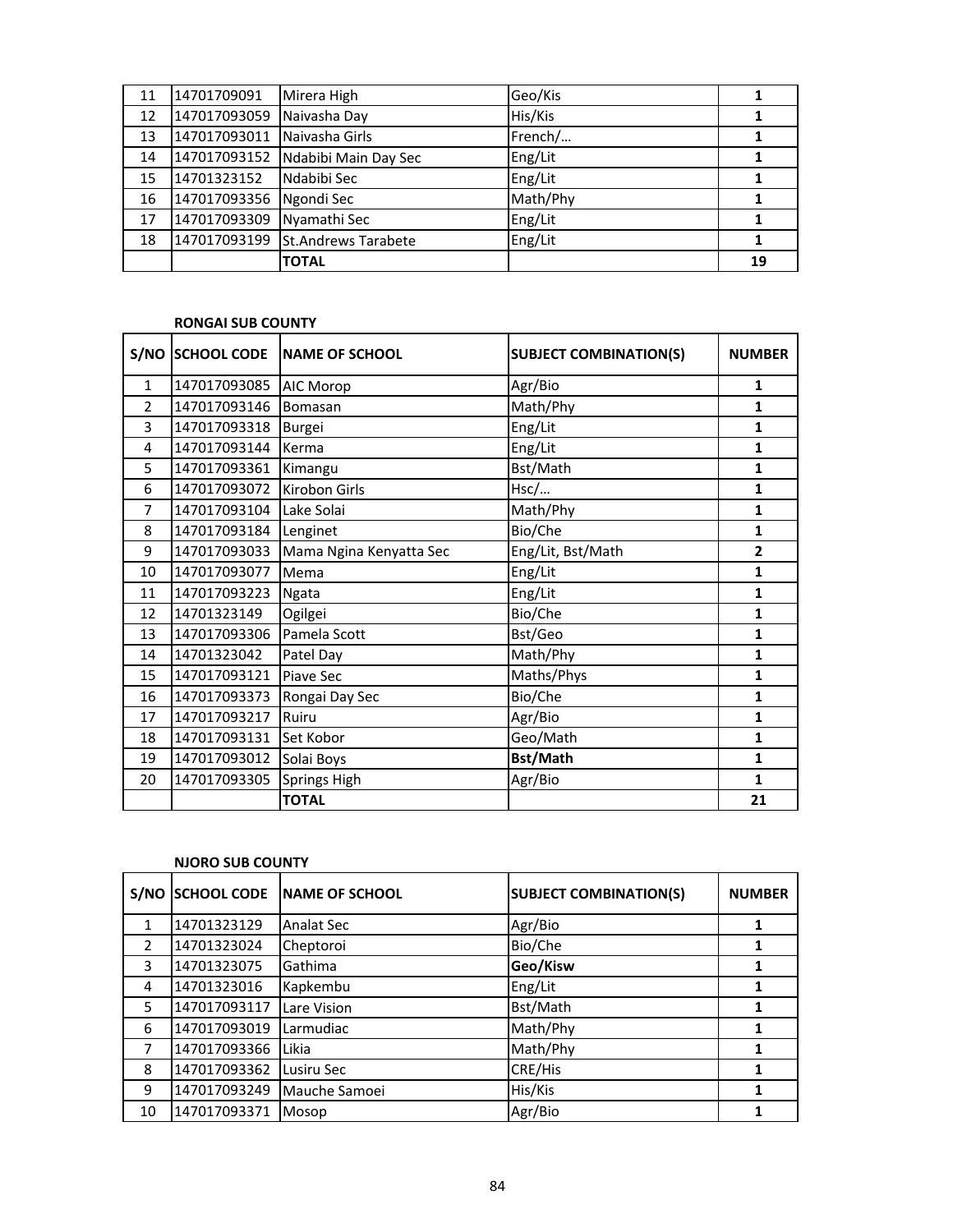| 11 | 14701709091  | Mirera High                | Geo/Kis  |    |
|----|--------------|----------------------------|----------|----|
| 12 | 147017093059 | Naivasha Day               | His/Kis  |    |
| 13 | 147017093011 | Naivasha Girls             | French/  |    |
| 14 | 147017093152 | Ndabibi Main Day Sec       | Eng/Lit  |    |
| 15 | 14701323152  | Ndabibi Sec                | Eng/Lit  |    |
| 16 | 147017093356 | Ngondi Sec                 | Math/Phy |    |
| 17 | 147017093309 | Nyamathi Sec               | Eng/Lit  |    |
| 18 | 147017093199 | <b>St.Andrews Tarabete</b> | Eng/Lit  |    |
|    |              | <b>TOTAL</b>               |          | 19 |

#### **RONGAI SUB COUNTY**

| S/NO           | <b>SCHOOL CODE</b> | <b>NAME OF SCHOOL</b>   | <b>SUBJECT COMBINATION(S)</b> | <b>NUMBER</b>  |
|----------------|--------------------|-------------------------|-------------------------------|----------------|
| $\mathbf{1}$   | 147017093085       | AIC Morop               | Agr/Bio                       | 1              |
| $\mathcal{P}$  | 147017093146       | Bomasan                 | Math/Phy                      | 1              |
| 3              | 147017093318       | Burgei                  | Eng/Lit                       | 1              |
| 4              | 147017093144       | Kerma                   | Eng/Lit                       | 1              |
| 5              | 147017093361       | Kimangu                 | Bst/Math                      | 1              |
| 6              | 147017093072       | Kirobon Girls           | Hsc/                          | $\mathbf{1}$   |
| $\overline{7}$ | 147017093104       | Lake Solai              | Math/Phy                      | 1              |
| 8              | 147017093184       | Lenginet                | Bio/Che                       | 1              |
| 9              | 147017093033       | Mama Ngina Kenyatta Sec | Eng/Lit, Bst/Math             | $\overline{2}$ |
| 10             | 147017093077       | Mema                    | Eng/Lit                       | $\mathbf{1}$   |
| 11             | 147017093223       | <b>Ngata</b>            | Eng/Lit                       | $\mathbf{1}$   |
| 12             | 14701323149        | Ogilgei                 | Bio/Che                       | $\mathbf{1}$   |
| 13             | 147017093306       | Pamela Scott            | Bst/Geo                       | 1              |
| 14             | 14701323042        | Patel Day               | Math/Phy                      | $\mathbf{1}$   |
| 15             | 147017093121       | Piave Sec               | Maths/Phys                    | 1              |
| 16             | 147017093373       | Rongai Day Sec          | Bio/Che                       | 1              |
| 17             | 147017093217       | Ruiru                   | Agr/Bio                       | 1              |
| 18             | 147017093131       | Set Kobor               | Geo/Math                      | $\mathbf{1}$   |
| 19             | 147017093012       | Solai Boys              | Bst/Math                      | 1              |
| 20             | 147017093305       | <b>Springs High</b>     | Agr/Bio                       | $\mathbf{1}$   |
|                |                    | <b>TOTAL</b>            |                               | 21             |

| S/NO           | <b>SCHOOL CODE</b> | <b>NAME OF SCHOOL</b> | <b>SUBJECT COMBINATION(S)</b> | <b>NUMBER</b> |
|----------------|--------------------|-----------------------|-------------------------------|---------------|
| 1              | 14701323129        | <b>Analat Sec</b>     | Agr/Bio                       | 1             |
| 2              | 14701323024        | Cheptoroi             | Bio/Che                       |               |
| 3              | 14701323075        | Gathima               | Geo/Kisw                      |               |
| 4              | 14701323016        | Kapkembu              | Eng/Lit                       |               |
| 5              | 147017093117       | Lare Vision           | Bst/Math                      |               |
| 6              | 147017093019       | Larmudiac             | Math/Phy                      |               |
| $\overline{7}$ | 147017093366       | Likia                 | Math/Phy                      |               |
| 8              | 147017093362       | Lusiru Sec            | CRE/His                       |               |
| 9              | 147017093249       | Mauche Samoei         | His/Kis                       |               |
| 10             | 147017093371       | Mosop                 | Agr/Bio                       |               |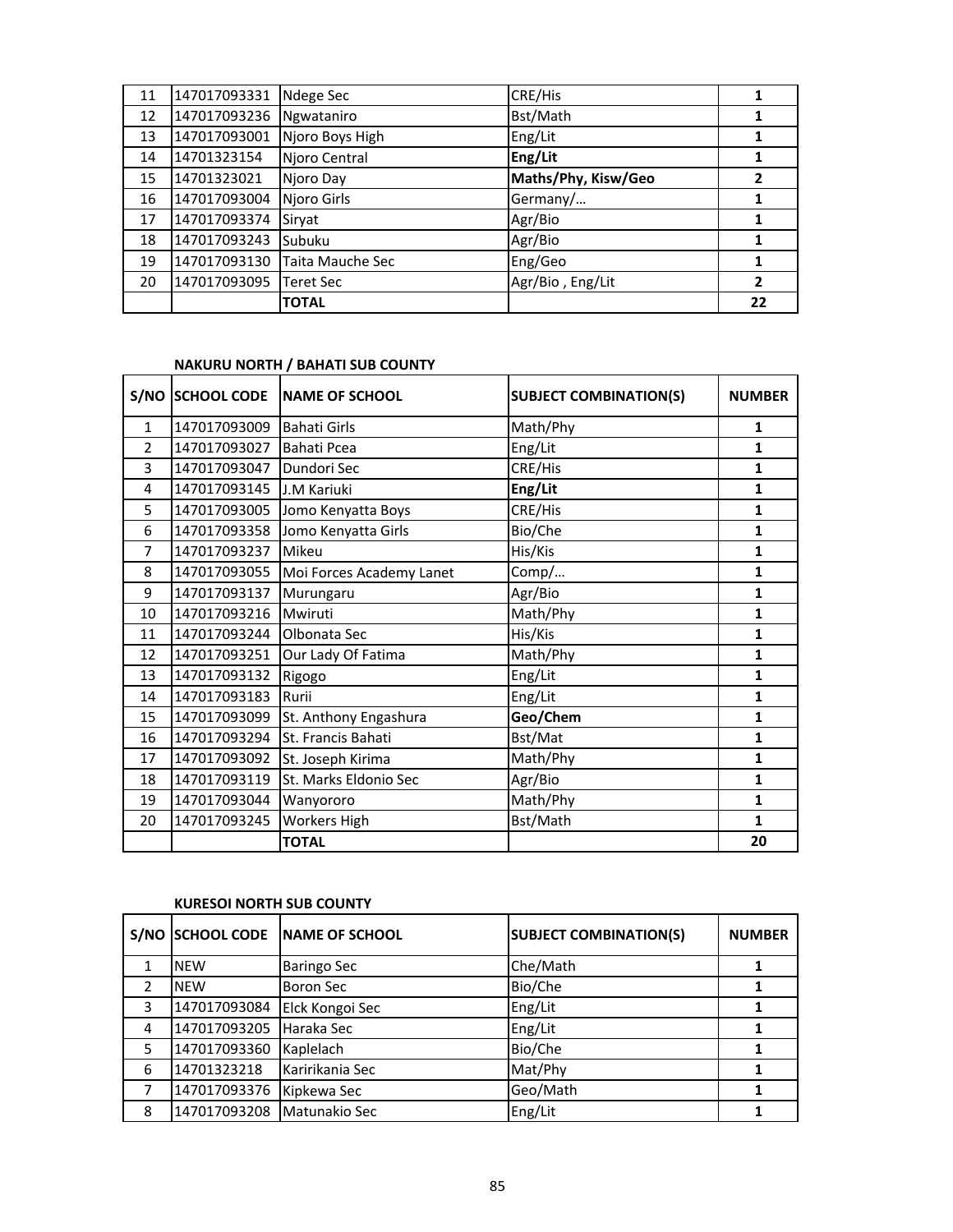| 11 | 147017093331 | Ndege Sec        | CRE/His             |    |
|----|--------------|------------------|---------------------|----|
| 12 | 147017093236 | Ngwataniro       | Bst/Math            |    |
| 13 | 147017093001 | Njoro Boys High  | Eng/Lit             |    |
| 14 | 14701323154  | Njoro Central    | Eng/Lit             |    |
| 15 | 14701323021  | Njoro Day        | Maths/Phy, Kisw/Geo | 2  |
| 16 | 147017093004 | Njoro Girls      | Germany/            |    |
| 17 | 147017093374 | Sirvat           | Agr/Bio             |    |
| 18 | 147017093243 | Subuku           | Agr/Bio             |    |
| 19 | 147017093130 | Taita Mauche Sec | Eng/Geo             |    |
| 20 | 147017093095 | Teret Sec        | Agr/Bio, Eng/Lit    | 2  |
|    |              | <b>TOTAL</b>     |                     | 22 |

## **NAKURU NORTH / BAHATI SUB COUNTY**

| S/NO           | <b>SCHOOL CODE</b> | <b>NAME OF SCHOOL</b>    | <b>SUBJECT COMBINATION(S)</b> | <b>NUMBER</b> |
|----------------|--------------------|--------------------------|-------------------------------|---------------|
| $\mathbf{1}$   | 147017093009       | <b>Bahati Girls</b>      | Math/Phy                      | 1             |
| $\mathcal{P}$  | 147017093027       | Bahati Pcea              | Eng/Lit                       | 1             |
| 3              | 147017093047       | Dundori Sec              | CRE/His                       | 1             |
| 4              | 147017093145       | J.M Kariuki              | Eng/Lit                       | 1             |
| 5              | 147017093005       | Jomo Kenyatta Boys       | CRE/His                       | $\mathbf{1}$  |
| 6              | 147017093358       | Jomo Kenyatta Girls      | Bio/Che                       | $\mathbf{1}$  |
| $\overline{7}$ | 147017093237       | Mikeu                    | His/Kis                       | 1             |
| 8              | 147017093055       | Moi Forces Academy Lanet | Comp/                         | 1             |
| 9              | 147017093137       | Murungaru                | Agr/Bio                       | $\mathbf{1}$  |
| 10             | 147017093216       | Mwiruti                  | Math/Phy                      | $\mathbf{1}$  |
| 11             | 147017093244       | Olbonata Sec             | His/Kis                       | $\mathbf{1}$  |
| 12             | 147017093251       | Our Lady Of Fatima       | Math/Phy                      | 1             |
| 13             | 147017093132       | Rigogo                   | Eng/Lit                       | $\mathbf{1}$  |
| 14             | 147017093183       | Rurii                    | Eng/Lit                       | 1             |
| 15             | 147017093099       | St. Anthony Engashura    | Geo/Chem                      | $\mathbf{1}$  |
| 16             | 147017093294       | St. Francis Bahati       | Bst/Mat                       | $\mathbf{1}$  |
| 17             | 147017093092       | St. Joseph Kirima        | Math/Phy                      | $\mathbf{1}$  |
| 18             | 147017093119       | St. Marks Eldonio Sec    | Agr/Bio                       | $\mathbf{1}$  |
| 19             | 147017093044       | Wanyororo                | Math/Phy                      | $\mathbf{1}$  |
| 20             | 147017093245       | <b>Workers High</b>      | Bst/Math                      | $\mathbf{1}$  |
|                |                    | <b>TOTAL</b>             |                               | 20            |

#### **KURESOI NORTH SUB COUNTY**

| S/NO | <b>SCHOOL CODE</b> | <b>INAME OF SCHOOL</b> | <b>SUBJECT COMBINATION(S)</b> | <b>NUMBER</b> |
|------|--------------------|------------------------|-------------------------------|---------------|
|      | <b>NEW</b>         | <b>Baringo Sec</b>     | Che/Math                      |               |
| 2    | <b>NEW</b>         | Boron Sec              | Bio/Che                       |               |
| 3    | 147017093084       | Elck Kongoi Sec        | Eng/Lit                       |               |
| 4    | 147017093205       | Haraka Sec             | Eng/Lit                       |               |
| 5    | 147017093360       | Kaplelach              | Bio/Che                       |               |
| 6    | 14701323218        | Karirikania Sec        | Mat/Phy                       |               |
|      | 147017093376       | Kipkewa Sec            | Geo/Math                      |               |
| 8    | 147017093208       | Matunakio Sec          | Eng/Lit                       |               |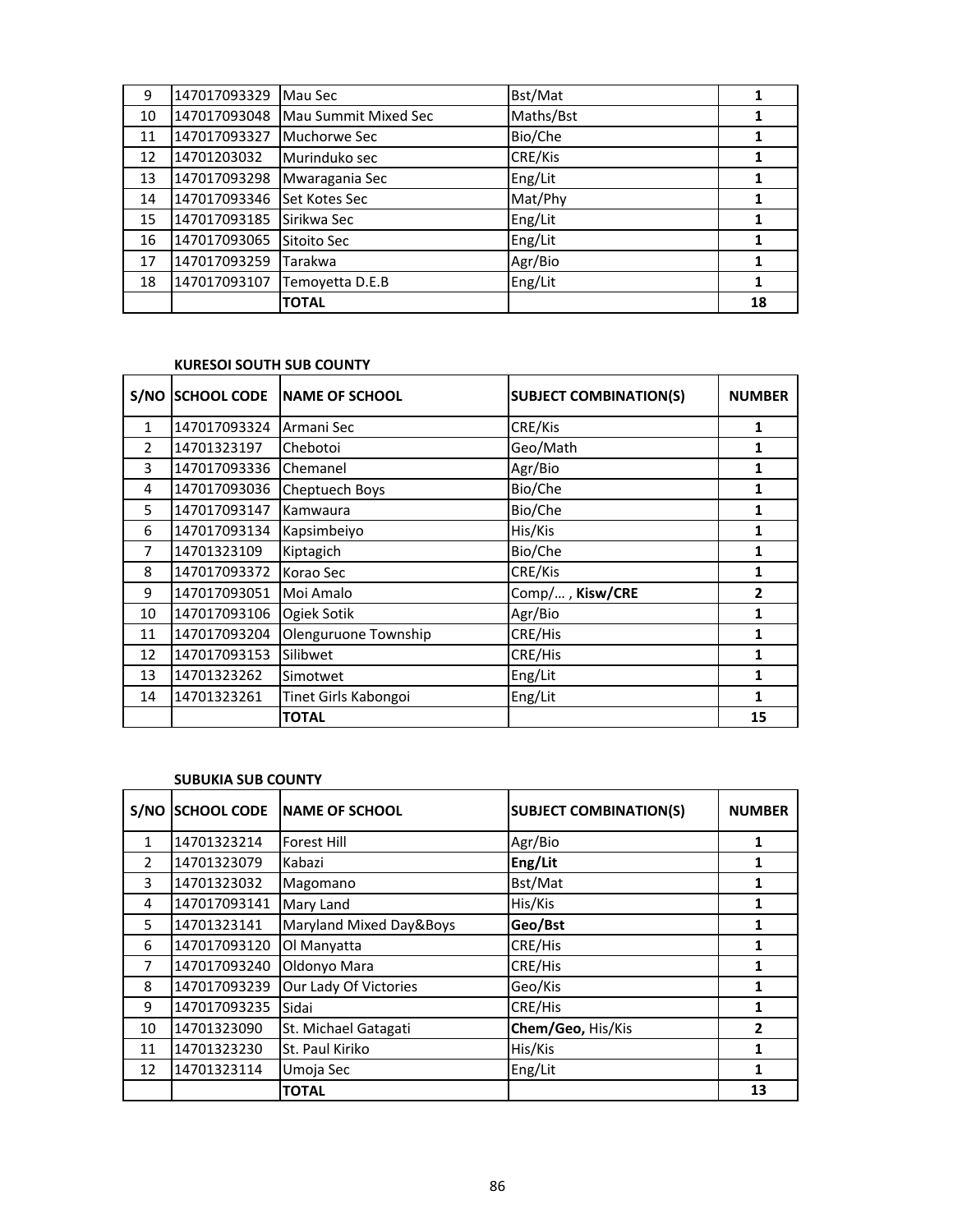|    |              | <b>TOTAL</b>         |           | 18 |
|----|--------------|----------------------|-----------|----|
| 18 | 147017093107 | Temoyetta D.E.B      | Eng/Lit   |    |
| 17 | 147017093259 | Tarakwa              | Agr/Bio   |    |
| 16 | 147017093065 | Sitoito Sec          | Eng/Lit   |    |
| 15 | 147017093185 | Sirikwa Sec          | Eng/Lit   |    |
| 14 | 147017093346 | Set Kotes Sec        | Mat/Phy   |    |
| 13 | 147017093298 | Mwaragania Sec       | Eng/Lit   |    |
| 12 | 14701203032  | Murinduko sec        | CRE/Kis   |    |
| 11 | 147017093327 | Muchorwe Sec         | Bio/Che   |    |
| 10 | 147017093048 | Mau Summit Mixed Sec | Maths/Bst |    |
| 9  | 147017093329 | Mau Sec              | Bst/Mat   |    |

#### **KURESOI SOUTH SUB COUNTY**

| S/NO           | <b>SCHOOL CODE</b> | <b>NAME OF SCHOOL</b> | <b>SUBJECT COMBINATION(S)</b> | <b>NUMBER</b>  |
|----------------|--------------------|-----------------------|-------------------------------|----------------|
| $\mathbf{1}$   | 147017093324       | Armani Sec            | CRE/Kis                       | 1              |
| $\overline{2}$ | 14701323197        | Chebotoi              | Geo/Math                      | 1              |
| 3              | 147017093336       | Chemanel              | Agr/Bio                       | 1              |
| 4              | 147017093036       | Cheptuech Boys        | Bio/Che                       | 1              |
| 5              | 147017093147       | Kamwaura              | Bio/Che                       | 1              |
| 6              | 147017093134       | Kapsimbeiyo           | His/Kis                       | 1              |
| 7              | 14701323109        | Kiptagich             | Bio/Che                       | 1              |
| 8              | 147017093372       | Korao Sec             | CRE/Kis                       | 1              |
| 9              | 147017093051       | Moi Amalo             | Comp/, Kisw/CRE               | $\overline{2}$ |
| 10             | 147017093106       | Ogiek Sotik           | Agr/Bio                       | 1              |
| 11             | 147017093204       | Olenguruone Township  | CRE/His                       | 1              |
| 12             | 147017093153       | Silibwet              | CRE/His                       | 1              |
| 13             | 14701323262        | Simotwet              | Eng/Lit                       | 1              |
| 14             | 14701323261        | Tinet Girls Kabongoi  | Eng/Lit                       | 1              |
|                |                    | <b>TOTAL</b>          |                               | 15             |

## **SUBUKIA SUB COUNTY**

| S/NO          | <b>SCHOOL CODE</b> | <b>NAME OF SCHOOL</b>   | <b>SUBJECT COMBINATION(S)</b> | <b>NUMBER</b> |
|---------------|--------------------|-------------------------|-------------------------------|---------------|
| 1             | 14701323214        | <b>Forest Hill</b>      | Agr/Bio                       | 1             |
| $\mathcal{P}$ | 14701323079        | Kabazi                  | Eng/Lit                       |               |
| 3             | 14701323032        | Magomano                | Bst/Mat                       | 1             |
| 4             | 147017093141       | Mary Land               | His/Kis                       | 1             |
| 5             | 14701323141        | Maryland Mixed Day&Boys | Geo/Bst                       | 1             |
| 6             | 147017093120       | Ol Manyatta             | CRE/His                       | 1             |
| 7             | 147017093240       | Oldonyo Mara            | CRE/His                       | 1             |
| 8             | 147017093239       | Our Lady Of Victories   | Geo/Kis                       | 1             |
| 9             | 147017093235       | Sidai                   | CRE/His                       | 1             |
| 10            | 14701323090        | St. Michael Gatagati    | Chem/Geo, His/Kis             | 2             |
| 11            | 14701323230        | St. Paul Kiriko         | His/Kis                       | 1             |
| 12            | 14701323114        | Umoja Sec               | Eng/Lit                       | 1             |
|               |                    | <b>TOTAL</b>            |                               | 13            |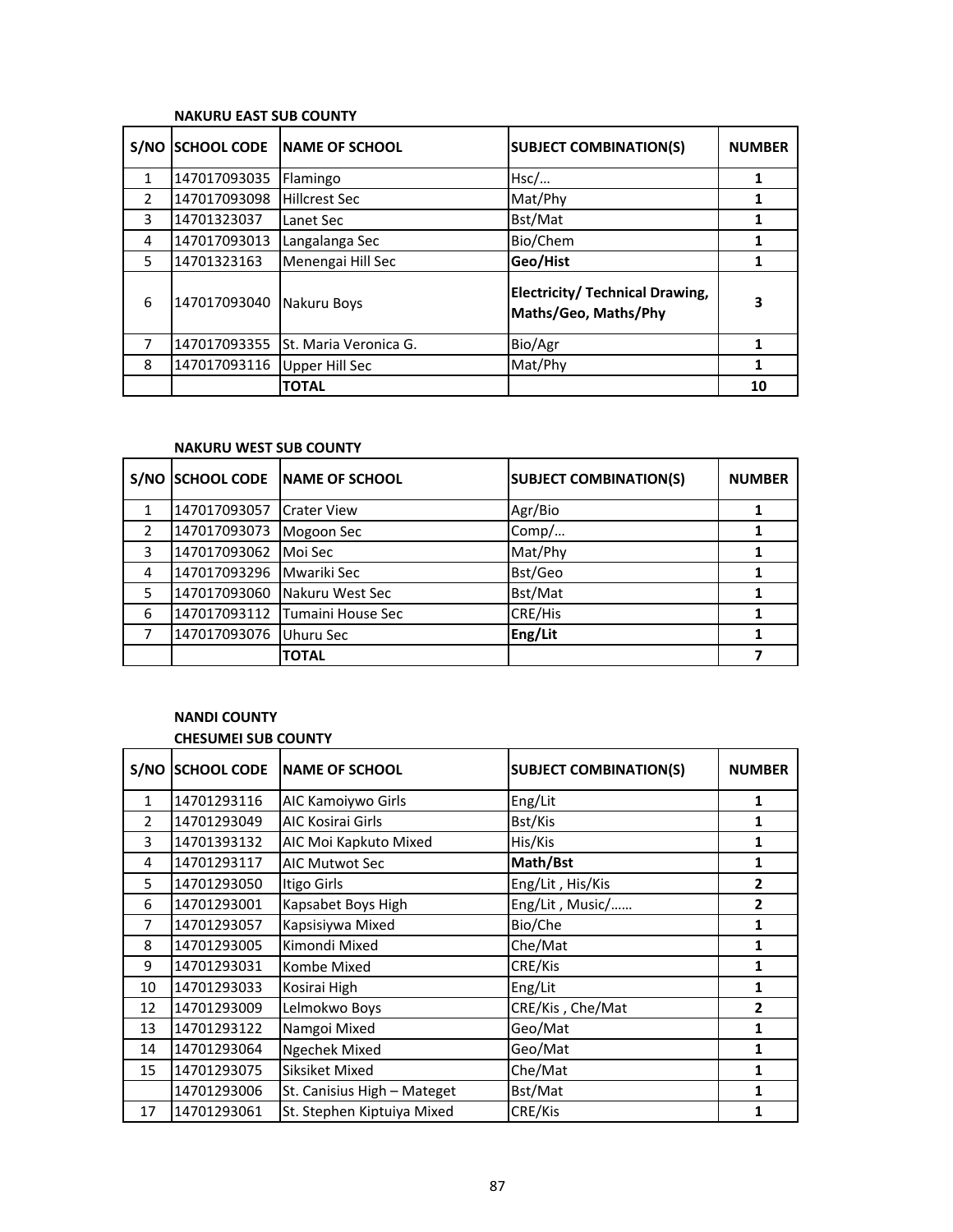### **NAKURU EAST SUB COUNTY**

|               |              | S/NO SCHOOL CODE NAME OF SCHOOL | <b>SUBJECT COMBINATION(S)</b>                           | <b>NUMBER</b> |
|---------------|--------------|---------------------------------|---------------------------------------------------------|---------------|
|               | 147017093035 | Flamingo                        | Hsc/                                                    |               |
| $\mathcal{P}$ | 147017093098 | <b>Hillcrest Sec</b>            | Mat/Phy                                                 |               |
| 3             | 14701323037  | Lanet Sec                       | Bst/Mat                                                 |               |
| 4             | 147017093013 | Langalanga Sec                  | Bio/Chem                                                |               |
| 5             | 14701323163  | Menengai Hill Sec               | Geo/Hist                                                |               |
| 6             | 147017093040 | Nakuru Boys                     | Electricity/ Technical Drawing,<br>Maths/Geo, Maths/Phy | 3             |
|               | 147017093355 | St. Maria Veronica G.           | Bio/Agr                                                 |               |
| 8             | 147017093116 | <b>Upper Hill Sec</b>           | Mat/Phy                                                 |               |
|               |              | <b>TOTAL</b>                    |                                                         | 10            |

# **NAKURU WEST SUB COUNTY**

| S/NO          | <b>SCHOOL CODE</b> | <b>INAME OF SCHOOL</b>   | <b>SUBJECT COMBINATION(S)</b> | <b>NUMBER</b> |
|---------------|--------------------|--------------------------|-------------------------------|---------------|
|               | 147017093057       | <b>Crater View</b>       | Agr/Bio                       |               |
| $\mathcal{P}$ | 147017093073       | Mogoon Sec               | Comp/                         |               |
| 3             | 147017093062       | Moi Sec                  | Mat/Phy                       |               |
| 4             | 147017093296       | Mwariki Sec              | Bst/Geo                       |               |
| 5             | 147017093060       | Nakuru West Sec          | Bst/Mat                       |               |
| 6             | 147017093112       | <b>Tumaini House Sec</b> | CRE/His                       |               |
|               | 147017093076       | Uhuru Sec                | Eng/Lit                       |               |
|               |                    | <b>TOTAL</b>             |                               |               |

# **NANDI COUNTY**

# **CHESUMEI SUB COUNTY**

| S/NO          | <b>SCHOOL CODE</b> | NAME OF SCHOOL              | <b>SUBJECT COMBINATION(S)</b> | <b>NUMBER</b>  |
|---------------|--------------------|-----------------------------|-------------------------------|----------------|
| $\mathbf{1}$  | 14701293116        | AIC Kamoiywo Girls          | Eng/Lit                       | 1              |
| $\mathcal{P}$ | 14701293049        | AIC Kosirai Girls           | Bst/Kis                       | 1              |
| 3             | 14701393132        | AIC Moi Kapkuto Mixed       | His/Kis                       | 1              |
| 4             | 14701293117        | <b>AIC Mutwot Sec</b>       | Math/Bst                      | 1              |
| 5             | 14701293050        | Itigo Girls                 | Eng/Lit, His/Kis              | $\overline{2}$ |
| 6             | 14701293001        | Kapsabet Boys High          | Eng/Lit, Music/               | 2              |
| 7             | 14701293057        | Kapsisiywa Mixed            | Bio/Che                       | 1              |
| 8             | 14701293005        | Kimondi Mixed               | Che/Mat                       | 1              |
| 9             | 14701293031        | Kombe Mixed                 | CRE/Kis                       | 1              |
| 10            | 14701293033        | Kosirai High                | Eng/Lit                       | 1              |
| 12            | 14701293009        | Lelmokwo Boys               | CRE/Kis, Che/Mat              | $\overline{2}$ |
| 13            | 14701293122        | Namgoi Mixed                | Geo/Mat                       | 1              |
| 14            | 14701293064        | <b>Ngechek Mixed</b>        | Geo/Mat                       | 1              |
| 15            | 14701293075        | Siksiket Mixed              | Che/Mat                       | 1              |
|               | 14701293006        | St. Canisius High - Mateget | Bst/Mat                       | 1              |
| 17            | 14701293061        | St. Stephen Kiptuiya Mixed  | CRE/Kis                       | 1              |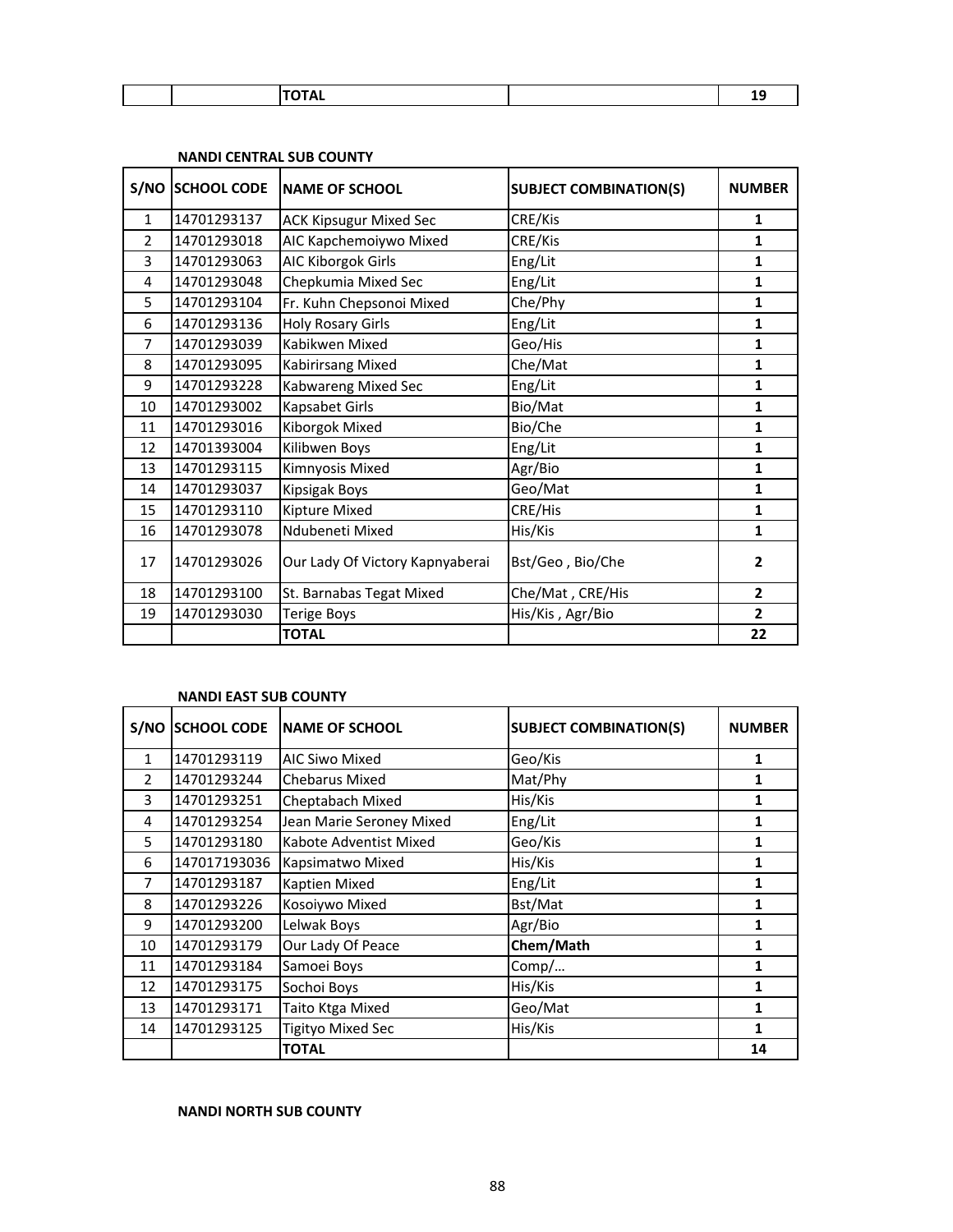| $\sim$ $\sim$ $\sim$ $\sim$<br><u>ль</u> | -- |
|------------------------------------------|----|

|                | S/NO SCHOOL CODE | <b>NAME OF SCHOOL</b>           | <b>SUBJECT COMBINATION(S)</b> | <b>NUMBER</b>  |
|----------------|------------------|---------------------------------|-------------------------------|----------------|
| 1              | 14701293137      | <b>ACK Kipsugur Mixed Sec</b>   | CRE/Kis                       | $\mathbf{1}$   |
| $\overline{2}$ | 14701293018      | AIC Kapchemoiywo Mixed          | CRE/Kis                       | 1              |
| 3              | 14701293063      | AIC Kiborgok Girls              | Eng/Lit                       | $\mathbf{1}$   |
| 4              | 14701293048      | Chepkumia Mixed Sec             | Eng/Lit                       | $\mathbf{1}$   |
| 5              | 14701293104      | Fr. Kuhn Chepsonoi Mixed        | Che/Phy                       | $\mathbf{1}$   |
| 6              | 14701293136      | <b>Holy Rosary Girls</b>        | Eng/Lit                       | $\mathbf{1}$   |
| 7              | 14701293039      | Kabikwen Mixed                  | Geo/His                       | $\mathbf{1}$   |
| 8              | 14701293095      | Kabirirsang Mixed               | Che/Mat                       | $\mathbf{1}$   |
| 9              | 14701293228      | Kabwareng Mixed Sec             | Eng/Lit                       | 1              |
| 10             | 14701293002      | Kapsabet Girls                  | Bio/Mat                       | $\mathbf{1}$   |
| 11             | 14701293016      | Kiborgok Mixed                  | Bio/Che                       | 1              |
| 12             | 14701393004      | Kilibwen Boys                   | Eng/Lit                       | $\mathbf{1}$   |
| 13             | 14701293115      | Kimnyosis Mixed                 | Agr/Bio                       | 1              |
| 14             | 14701293037      | Kipsigak Boys                   | Geo/Mat                       | $\mathbf{1}$   |
| 15             | 14701293110      | Kipture Mixed                   | CRE/His                       | 1              |
| 16             | 14701293078      | Ndubeneti Mixed                 | His/Kis                       | 1              |
| 17             | 14701293026      | Our Lady Of Victory Kapnyaberai | Bst/Geo, Bio/Che              | $\mathbf{2}$   |
| 18             | 14701293100      | St. Barnabas Tegat Mixed        | Che/Mat, CRE/His              | $\overline{2}$ |
| 19             | 14701293030      | <b>Terige Boys</b>              | His/Kis, Agr/Bio              | $\overline{2}$ |
|                |                  | <b>TOTAL</b>                    |                               | 22             |

# **NANDI CENTRAL SUB COUNTY**

# **NANDI EAST SUB COUNTY**

| S/NO           | <b>SCHOOL CODE</b> | <b>NAME OF SCHOOL</b>    | <b>SUBJECT COMBINATION(S)</b> | <b>NUMBER</b> |
|----------------|--------------------|--------------------------|-------------------------------|---------------|
| $\mathbf{1}$   | 14701293119        | <b>AIC Siwo Mixed</b>    | Geo/Kis                       | 1             |
| $\overline{2}$ | 14701293244        | <b>Chebarus Mixed</b>    | Mat/Phy                       | 1             |
| 3              | 14701293251        | Cheptabach Mixed         | His/Kis                       | 1             |
| 4              | 14701293254        | Jean Marie Seroney Mixed | Eng/Lit                       | 1             |
| 5              | 14701293180        | Kabote Adventist Mixed   | Geo/Kis                       | 1             |
| 6              | 147017193036       | Kapsimatwo Mixed         | His/Kis                       | 1             |
| 7              | 14701293187        | Kaptien Mixed            | Eng/Lit                       | 1             |
| 8              | 14701293226        | Kosoiywo Mixed           | Bst/Mat                       | 1             |
| 9              | 14701293200        | Lelwak Boys              | Agr/Bio                       | 1             |
| 10             | 14701293179        | Our Lady Of Peace        | Chem/Math                     | 1             |
| 11             | 14701293184        | Samoei Boys              | Comp/                         | 1             |
| 12             | 14701293175        | Sochoi Boys              | His/Kis                       | 1             |
| 13             | 14701293171        | Taito Ktga Mixed         | Geo/Mat                       | 1             |
| 14             | 14701293125        | Tigityo Mixed Sec        | His/Kis                       | 1             |
|                |                    | <b>TOTAL</b>             |                               | 14            |

# **NANDI NORTH SUB COUNTY**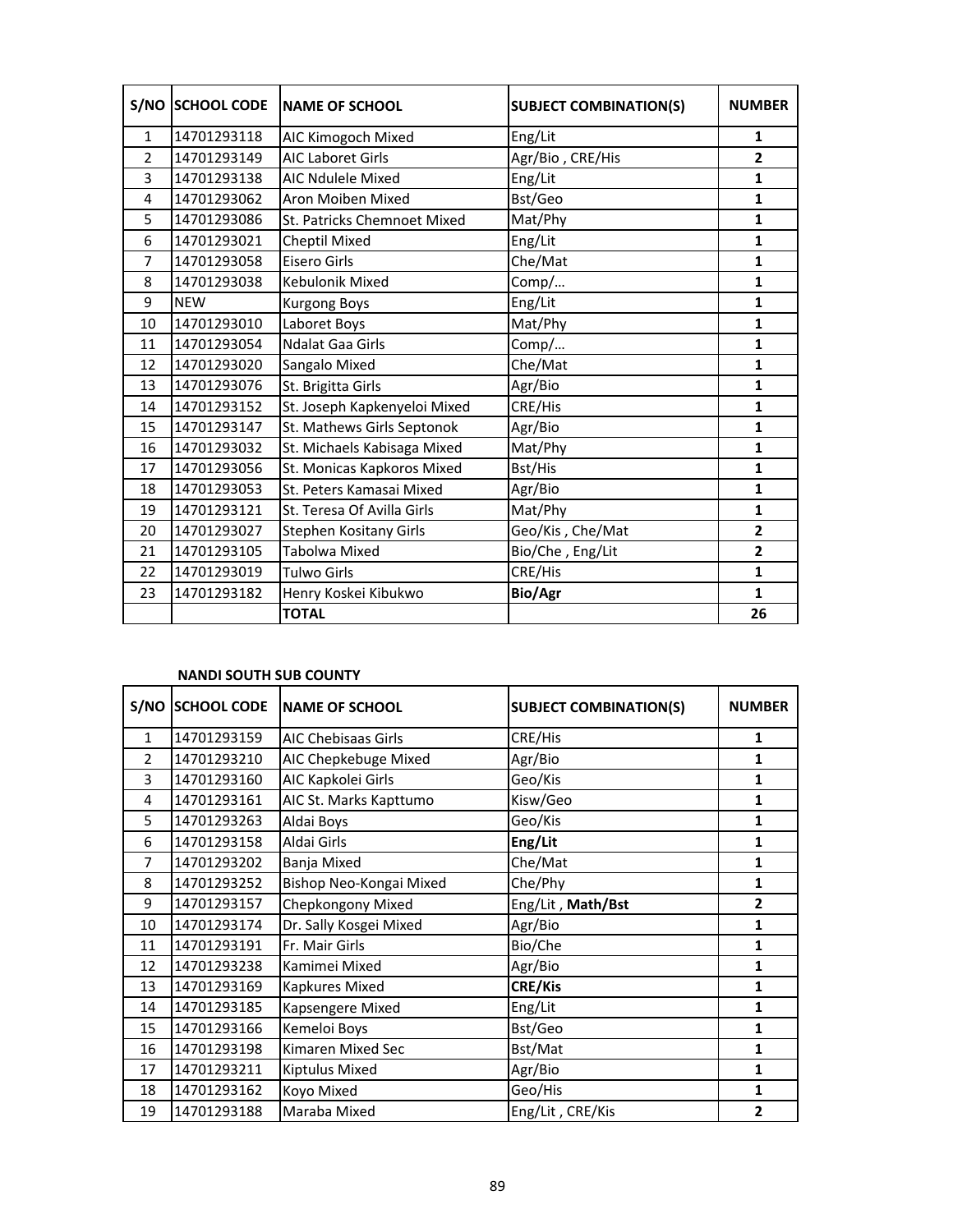|                | <b>S/NO SCHOOL CODE</b> | <b>NAME OF SCHOOL</b>        | <b>SUBJECT COMBINATION(S)</b> | <b>NUMBER</b>           |
|----------------|-------------------------|------------------------------|-------------------------------|-------------------------|
| $\mathbf{1}$   | 14701293118             | AIC Kimogoch Mixed           | Eng/Lit                       | 1                       |
| 2              | 14701293149             | <b>AIC Laboret Girls</b>     | Agr/Bio, CRE/His              | $\overline{2}$          |
| 3              | 14701293138             | <b>AIC Ndulele Mixed</b>     | Eng/Lit                       | $\mathbf{1}$            |
| 4              | 14701293062             | Aron Moiben Mixed            | Bst/Geo                       | $\mathbf{1}$            |
| 5              | 14701293086             | St. Patricks Chemnoet Mixed  | Mat/Phy                       | 1                       |
| 6              | 14701293021             | Cheptil Mixed                | Eng/Lit                       | $\mathbf{1}$            |
| $\overline{7}$ | 14701293058             | Eisero Girls                 | Che/Mat                       | $\mathbf{1}$            |
| 8              | 14701293038             | Kebulonik Mixed              | Comp/                         | $\mathbf{1}$            |
| 9              | <b>NEW</b>              | <b>Kurgong Boys</b>          | Eng/Lit                       | $\mathbf{1}$            |
| 10             | 14701293010             | Laboret Boys                 | Mat/Phy                       | 1                       |
| 11             | 14701293054             | <b>Ndalat Gaa Girls</b>      | Comp/                         | 1                       |
| 12             | 14701293020             | Sangalo Mixed                | Che/Mat                       | $\mathbf{1}$            |
| 13             | 14701293076             | St. Brigitta Girls           | Agr/Bio                       | $\mathbf{1}$            |
| 14             | 14701293152             | St. Joseph Kapkenyeloi Mixed | CRE/His                       | $\mathbf{1}$            |
| 15             | 14701293147             | St. Mathews Girls Septonok   | Agr/Bio                       | $\mathbf{1}$            |
| 16             | 14701293032             | St. Michaels Kabisaga Mixed  | Mat/Phy                       | $\mathbf{1}$            |
| 17             | 14701293056             | St. Monicas Kapkoros Mixed   | Bst/His                       | 1                       |
| 18             | 14701293053             | St. Peters Kamasai Mixed     | Agr/Bio                       | $\mathbf{1}$            |
| 19             | 14701293121             | St. Teresa Of Avilla Girls   | Mat/Phy                       | 1                       |
| 20             | 14701293027             | Stephen Kositany Girls       | Geo/Kis, Che/Mat              | $\overline{\mathbf{2}}$ |
| 21             | 14701293105             | Tabolwa Mixed                | Bio/Che, Eng/Lit              | $\overline{2}$          |
| 22             | 14701293019             | Tulwo Girls                  | CRE/His                       | $\mathbf{1}$            |
| 23             | 14701293182             | Henry Koskei Kibukwo         | <b>Bio/Agr</b>                | $\mathbf{1}$            |
|                |                         | <b>TOTAL</b>                 |                               | 26                      |

### **NANDI SOUTH SUB COUNTY**

|                | S/NO SCHOOL CODE | <b>NAME OF SCHOOL</b>   | <b>SUBJECT COMBINATION(S)</b> | <b>NUMBER</b>  |
|----------------|------------------|-------------------------|-------------------------------|----------------|
| $\mathbf{1}$   | 14701293159      | AIC Chebisaas Girls     | CRE/His                       | 1              |
| $\overline{2}$ | 14701293210      | AIC Chepkebuge Mixed    | Agr/Bio                       | 1              |
| 3              | 14701293160      | AIC Kapkolei Girls      | Geo/Kis                       | 1              |
| 4              | 14701293161      | AIC St. Marks Kapttumo  | Kisw/Geo                      | 1              |
| 5              | 14701293263      | Aldai Boys              | Geo/Kis                       | 1              |
| 6              | 14701293158      | Aldai Girls             | Eng/Lit                       | 1              |
| 7              | 14701293202      | Banja Mixed             | Che/Mat                       | 1              |
| 8              | 14701293252      | Bishop Neo-Kongai Mixed | Che/Phy                       | 1              |
| 9              | 14701293157      | Chepkongony Mixed       | Eng/Lit, Math/Bst             | $\overline{2}$ |
| 10             | 14701293174      | Dr. Sally Kosgei Mixed  | Agr/Bio                       | 1              |
| 11             | 14701293191      | Fr. Mair Girls          | Bio/Che                       | $\mathbf{1}$   |
| 12             | 14701293238      | Kamimei Mixed           | Agr/Bio                       | 1              |
| 13             | 14701293169      | <b>Kapkures Mixed</b>   | <b>CRE/Kis</b>                | 1              |
| 14             | 14701293185      | Kapsengere Mixed        | Eng/Lit                       | 1              |
| 15             | 14701293166      | Kemeloi Boys            | Bst/Geo                       | 1              |
| 16             | 14701293198      | Kimaren Mixed Sec       | Bst/Mat                       | 1              |
| 17             | 14701293211      | Kiptulus Mixed          | Agr/Bio                       | 1              |
| 18             | 14701293162      | Koyo Mixed              | Geo/His                       | 1              |
| 19             | 14701293188      | Maraba Mixed            | Eng/Lit, CRE/Kis              | $\overline{2}$ |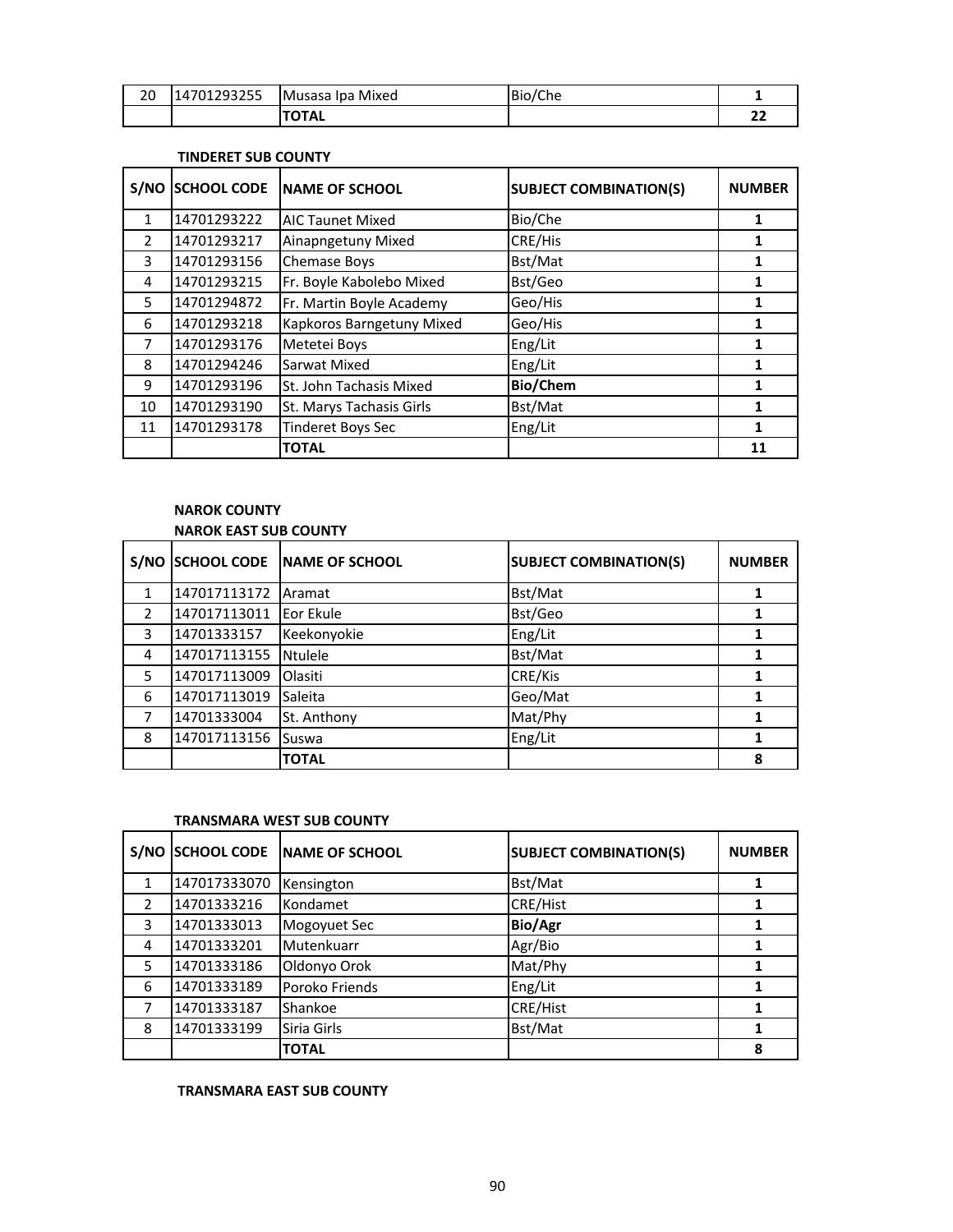| 20 | 14701293255 | Musasa Ipa Mixed | Bio/Che |        |
|----|-------------|------------------|---------|--------|
|    |             | <b>TOTAL</b>     |         | ~<br>" |

#### **TINDERET SUB COUNTY**

| S/NO          | <b>SCHOOL CODE</b> | <b>INAME OF SCHOOL</b>    | <b>SUBJECT COMBINATION(S)</b> | <b>NUMBER</b> |
|---------------|--------------------|---------------------------|-------------------------------|---------------|
| $\mathbf{1}$  | 14701293222        | <b>AIC Taunet Mixed</b>   | Bio/Che                       | 1             |
| $\mathcal{P}$ | 14701293217        | Ainapngetuny Mixed        | CRE/His                       |               |
| 3             | 14701293156        | Chemase Boys              | Bst/Mat                       | 1             |
| 4             | 14701293215        | Fr. Boyle Kabolebo Mixed  | Bst/Geo                       |               |
| 5             | 14701294872        | Fr. Martin Boyle Academy  | Geo/His                       |               |
| 6             | 14701293218        | Kapkoros Barngetuny Mixed | Geo/His                       | 1             |
| 7             | 14701293176        | Metetei Boys              | Eng/Lit                       |               |
| 8             | 14701294246        | Sarwat Mixed              | Eng/Lit                       |               |
| 9             | 14701293196        | St. John Tachasis Mixed   | <b>Bio/Chem</b>               | 1             |
| 10            | 14701293190        | St. Marys Tachasis Girls  | Bst/Mat                       | 1             |
| 11            | 14701293178        | <b>Tinderet Boys Sec</b>  | Eng/Lit                       | 1             |
|               |                    | <b>TOTAL</b>              |                               | 11            |

# **NAROK COUNTY NAROK EAST SUB COUNTY**

| S/NO          | <b>SCHOOL CODE</b> | <b>INAME OF SCHOOL</b> | <b>SUBJECT COMBINATION(S)</b> | <b>NUMBER</b> |
|---------------|--------------------|------------------------|-------------------------------|---------------|
|               | 147017113172       | Aramat                 | Bst/Mat                       |               |
| $\mathcal{P}$ | 147017113011       | <b>Eor Ekule</b>       | Bst/Geo                       |               |
| 3             | 14701333157        | Keekonyokie            | Eng/Lit                       |               |
| 4             | 147017113155       | <b>Ntulele</b>         | Bst/Mat                       |               |
| 5             | 147017113009       | Olasiti                | CRE/Kis                       |               |
| 6             | 147017113019       | Saleita                | Geo/Mat                       |               |
|               | 14701333004        | St. Anthony            | Mat/Phy                       |               |
| 8             | 147017113156       | <b>Suswa</b>           | Eng/Lit                       |               |
|               |                    | <b>TOTAL</b>           |                               | 8             |

#### **TRANSMARA WEST SUB COUNTY**

| S/NO          | <b>SCHOOL CODE</b> | <b>INAME OF SCHOOL</b> | <b>SUBJECT COMBINATION(S)</b> | <b>NUMBER</b> |
|---------------|--------------------|------------------------|-------------------------------|---------------|
|               | 147017333070       | Kensington             | Bst/Mat                       |               |
| $\mathcal{P}$ | 14701333216        | Kondamet               | CRE/Hist                      |               |
| 3             | 14701333013        | Mogoyuet Sec           | <b>Bio/Agr</b>                |               |
| 4             | 14701333201        | Mutenkuarr             | Agr/Bio                       |               |
| 5             | 14701333186        | Oldonyo Orok           | Mat/Phy                       |               |
| 6             | 14701333189        | Poroko Friends         | Eng/Lit                       |               |
| 7             | 14701333187        | Shankoe                | CRE/Hist                      |               |
| 8             | 14701333199        | Siria Girls            | Bst/Mat                       |               |
|               |                    | <b>TOTAL</b>           |                               | 8             |

## **TRANSMARA EAST SUB COUNTY**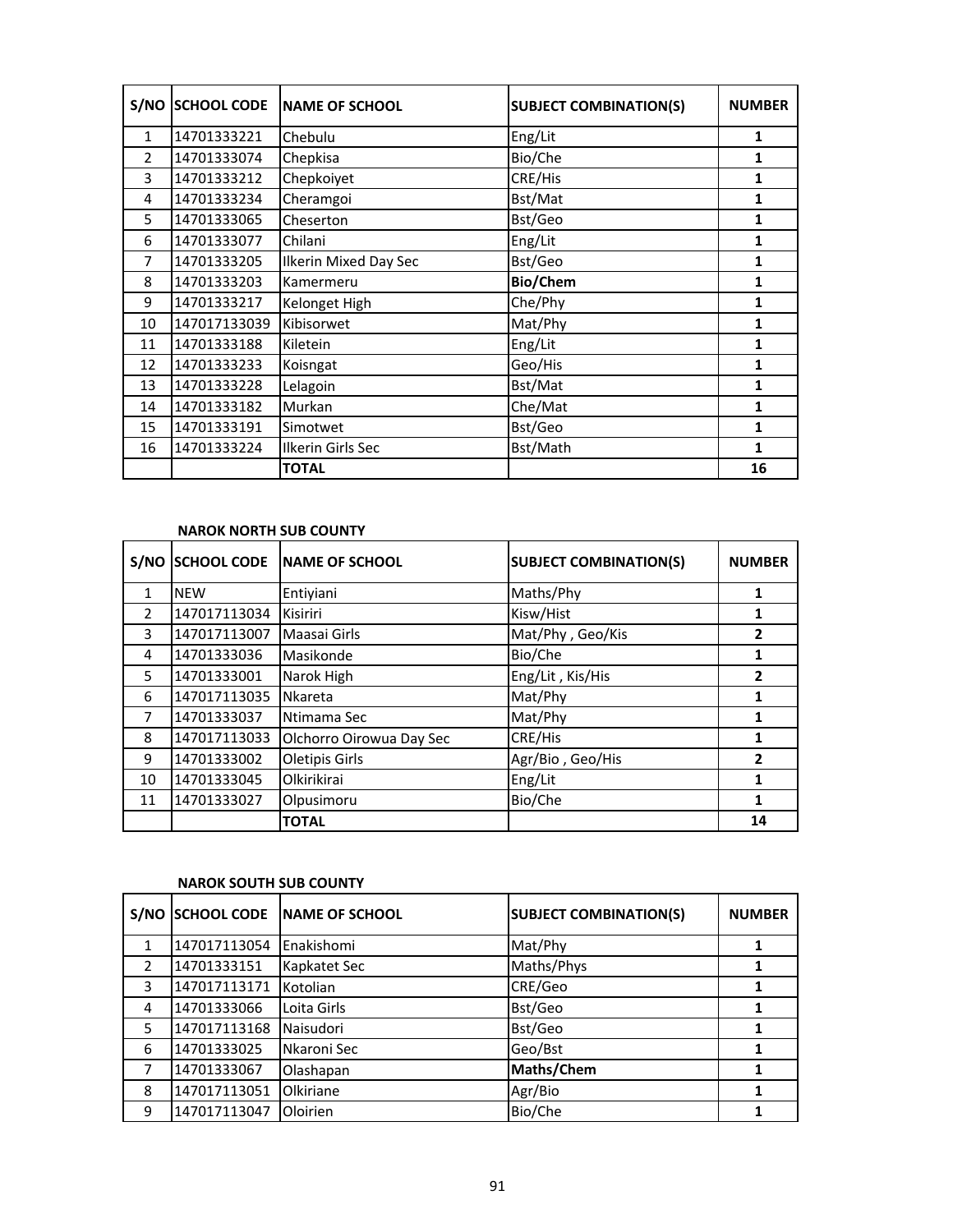| S/NO           | <b>SCHOOL CODE</b> | <b>NAME OF SCHOOL</b>        | <b>SUBJECT COMBINATION(S)</b> | <b>NUMBER</b> |
|----------------|--------------------|------------------------------|-------------------------------|---------------|
| $\mathbf{1}$   | 14701333221        | Chebulu                      | Eng/Lit                       | 1             |
| $\overline{2}$ | 14701333074        | Chepkisa                     | Bio/Che                       | 1             |
| 3              | 14701333212        | Chepkoiyet                   | CRE/His                       | 1             |
| 4              | 14701333234        | Cheramgoi                    | Bst/Mat                       | 1             |
| 5              | 14701333065        | Cheserton                    | Bst/Geo                       | 1             |
| 6              | 14701333077        | Chilani                      | Eng/Lit                       | 1             |
| 7              | 14701333205        | <b>Ilkerin Mixed Day Sec</b> | Bst/Geo                       | 1             |
| 8              | 14701333203        | Kamermeru                    | Bio/Chem                      | 1             |
| 9              | 14701333217        | Kelonget High                | Che/Phy                       | 1             |
| 10             | 147017133039       | Kibisorwet                   | Mat/Phy                       | 1             |
| 11             | 14701333188        | Kiletein                     | Eng/Lit                       | 1             |
| 12             | 14701333233        | Koisngat                     | Geo/His                       | 1             |
| 13             | 14701333228        | Lelagoin                     | Bst/Mat                       | $\mathbf{1}$  |
| 14             | 14701333182        | Murkan                       | Che/Mat                       | 1             |
| 15             | 14701333191        | Simotwet                     | Bst/Geo                       | 1             |
| 16             | 14701333224        | Ilkerin Girls Sec            | Bst/Math                      | 1             |
|                |                    | <b>TOTAL</b>                 |                               | 16            |

## **NAROK NORTH SUB COUNTY**

| S/NO          | <b>SCHOOL CODE</b> | <b>NAME OF SCHOOL</b>    | <b>SUBJECT COMBINATION(S)</b> | <b>NUMBER</b> |
|---------------|--------------------|--------------------------|-------------------------------|---------------|
| $\mathbf{1}$  | <b>NEW</b>         | Entiyiani                | Maths/Phy                     | 1             |
| $\mathcal{P}$ | 147017113034       | <b>Kisiriri</b>          | Kisw/Hist                     | 1             |
| 3             | 147017113007       | Maasai Girls             | Mat/Phy, Geo/Kis              | 2             |
| 4             | 14701333036        | Masikonde                | Bio/Che                       |               |
| 5             | 14701333001        | Narok High               | Eng/Lit, Kis/His              | 2             |
| 6             | 147017113035       | <b>Nkareta</b>           | Mat/Phy                       | 1             |
| 7             | 14701333037        | Ntimama Sec              | Mat/Phy                       |               |
| 8             | 147017113033       | Olchorro Oirowua Day Sec | CRE/His                       |               |
| 9             | 14701333002        | Oletipis Girls           | Agr/Bio, Geo/His              | 2             |
| 10            | 14701333045        | Olkirikirai              | Eng/Lit                       |               |
| 11            | 14701333027        | Olpusimoru               | Bio/Che                       | 1             |
|               |                    | <b>TOTAL</b>             |                               | 14            |

#### **NAROK SOUTH SUB COUNTY**

| S/NO          | <b>SCHOOL CODE</b> | <b>INAME OF SCHOOL</b> | <b>SUBJECT COMBINATION(S)</b> | <b>NUMBER</b> |
|---------------|--------------------|------------------------|-------------------------------|---------------|
| 1             | 147017113054       | Enakishomi             | Mat/Phy                       |               |
| $\mathcal{P}$ | 14701333151        | Kapkatet Sec           | Maths/Phys                    |               |
| 3             | 147017113171       | Kotolian               | CRE/Geo                       |               |
| 4             | 14701333066        | Loita Girls            | Bst/Geo                       |               |
| 5             | 147017113168       | Naisudori              | Bst/Geo                       |               |
| 6             | 14701333025        | Nkaroni Sec            | Geo/Bst                       |               |
| 7             | 14701333067        | Olashapan              | Maths/Chem                    |               |
| 8             | 147017113051       | Olkiriane              | Agr/Bio                       |               |
| 9             | 147017113047       | Oloirien               | Bio/Che                       |               |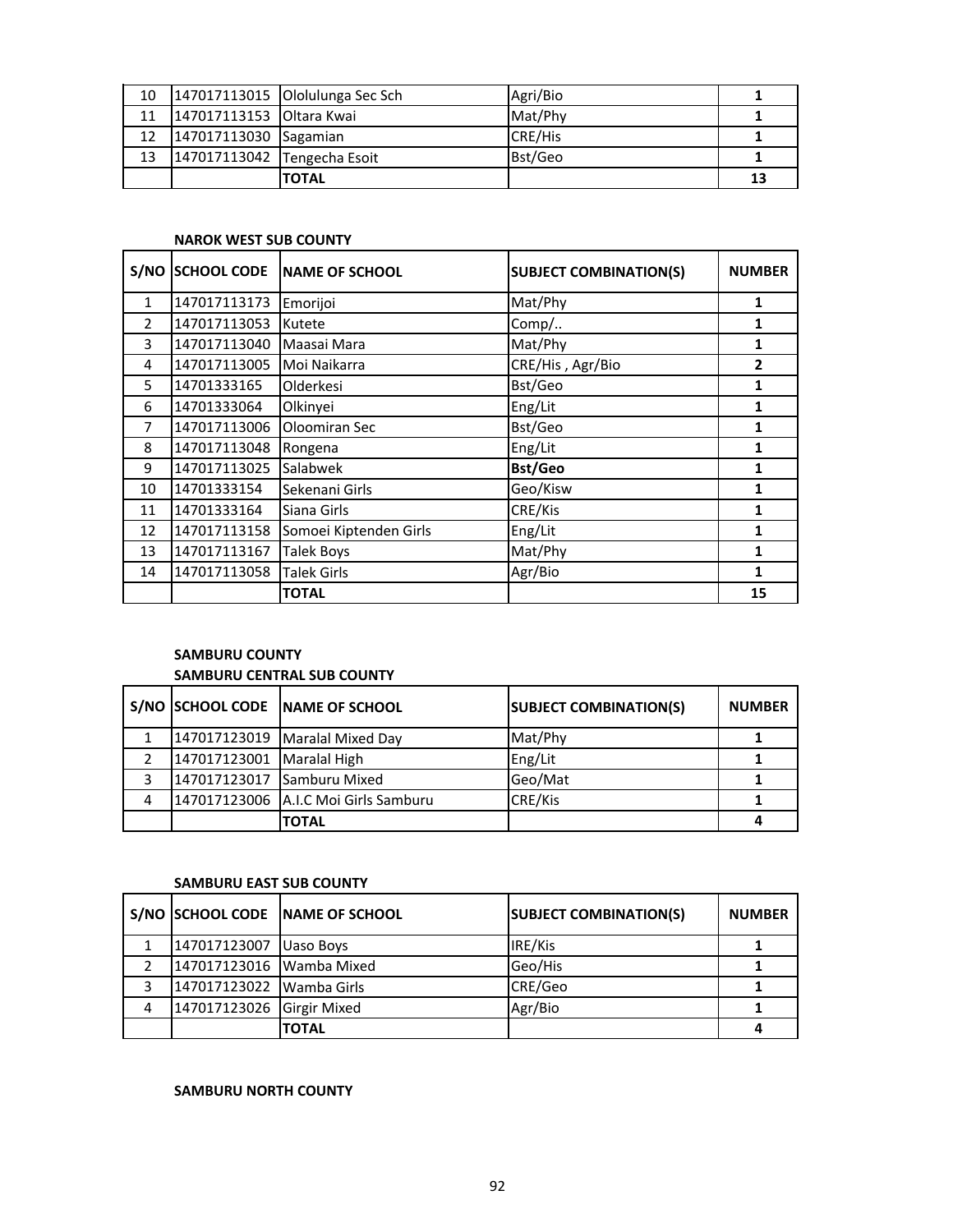| 10 |                             | 147017113015 Ololulunga Sec Sch | Agri/Bio |    |
|----|-----------------------------|---------------------------------|----------|----|
| 11 | 147017113153 Oltara Kwai    |                                 | Mat/Phy  |    |
| 12 | 147017113030 Sagamian       |                                 | CRE/His  |    |
| 13 | 147017113042 Tengecha Esoit |                                 | Bst/Geo  |    |
|    |                             | <b>TOTAL</b>                    |          | 13 |

#### **NAROK WEST SUB COUNTY**

|               | S/NO SCHOOL CODE | <b>INAME OF SCHOOL</b> | <b>SUBJECT COMBINATION(S)</b> | <b>NUMBER</b> |
|---------------|------------------|------------------------|-------------------------------|---------------|
| $\mathbf{1}$  | 147017113173     | Emorijoi               | Mat/Phy                       | 1             |
| $\mathcal{P}$ | 147017113053     | Kutete                 | $Comp/$                       | 1             |
| 3             | 147017113040     | Maasai Mara            | Mat/Phy                       | 1             |
| 4             | 147017113005     | Moi Naikarra           | CRE/His, Agr/Bio              | 2             |
| 5             | 14701333165      | Olderkesi              | Bst/Geo                       | 1             |
| 6             | 14701333064      | Olkinyei               | Eng/Lit                       | 1             |
| 7             | 147017113006     | Oloomiran Sec          | Bst/Geo                       | 1             |
| 8             | 147017113048     | Rongena                | Eng/Lit                       | 1             |
| 9             | 147017113025     | Salabwek               | <b>Bst/Geo</b>                | 1             |
| 10            | 14701333154      | Sekenani Girls         | Geo/Kisw                      | 1             |
| 11            | 14701333164      | Siana Girls            | CRE/Kis                       | 1             |
| 12            | 147017113158     | Somoei Kiptenden Girls | Eng/Lit                       | 1             |
| 13            | 147017113167     | <b>Talek Boys</b>      | Mat/Phy                       | 1             |
| 14            | 147017113058     | <b>Talek Girls</b>     | Agr/Bio                       | 1             |
|               |                  | <b>TOTAL</b>           |                               | 15            |

# **SAMBURU COUNTY SAMBURU CENTRAL SUB COUNTY**

|   |                            | S/NO SCHOOL CODE NAME OF SCHOOL      | <b>SUBJECT COMBINATION(S)</b> | <b>NUMBER</b> |
|---|----------------------------|--------------------------------------|-------------------------------|---------------|
|   |                            | 147017123019   Maralal Mixed Day     | Mat/Phy                       |               |
|   | 147017123001 Maralal High  |                                      | Eng/Lit                       |               |
|   | 147017123017 Samburu Mixed |                                      | Geo/Mat                       |               |
| 4 |                            | 147017123006 A.I.C Moi Girls Samburu | CRE/Kis                       |               |
|   |                            | <b>TOTAL</b>                         |                               |               |

#### **SAMBURU EAST SUB COUNTY**

|   |                           | S/NO SCHOOL CODE NAME OF SCHOOL | <b>SUBJECT COMBINATION(S)</b> | <b>NUMBER</b> |
|---|---------------------------|---------------------------------|-------------------------------|---------------|
|   | 147017123007 Uaso Boys    |                                 | IRE/Kis                       |               |
|   | 147017123016 Wamba Mixed  |                                 | Geo/His                       |               |
|   | 147017123022 Wamba Girls  |                                 | CRE/Geo                       |               |
| 4 | 147017123026 Girgir Mixed |                                 | Agr/Bio                       |               |
|   |                           | <b>TOTAL</b>                    |                               |               |

#### **SAMBURU NORTH COUNTY**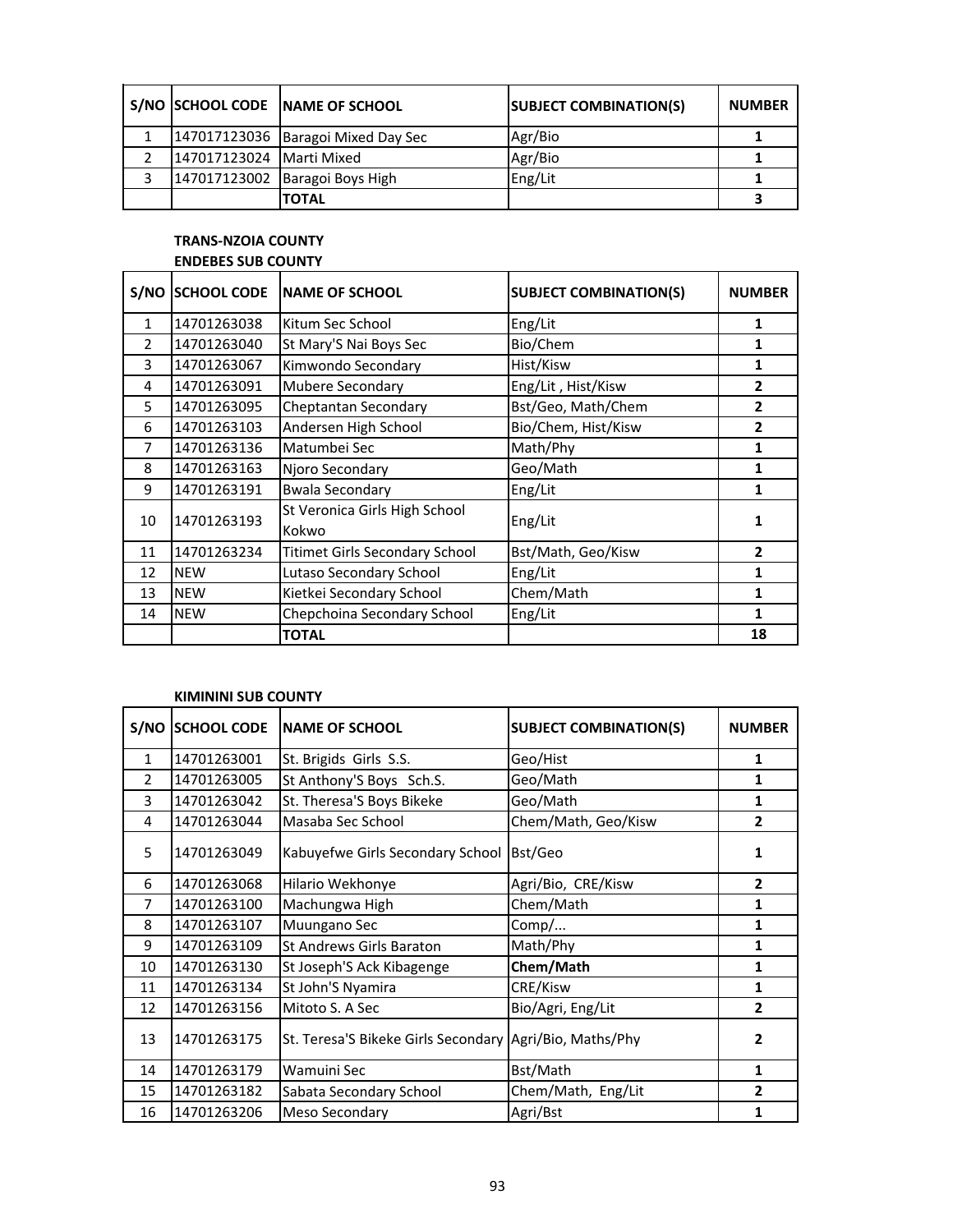|                          | S/NO SCHOOL CODE NAME OF SCHOOL    | <b>SUBJECT COMBINATION(S)</b> | <b>NUMBER</b> |
|--------------------------|------------------------------------|-------------------------------|---------------|
|                          | 147017123036 Baragoi Mixed Day Sec | Agr/Bio                       |               |
| 147017123024 Marti Mixed |                                    | Agr/Bio                       |               |
|                          | 147017123002 Baragoi Boys High     | Eng/Lit                       |               |
|                          | <b>TOTAL</b>                       |                               |               |

# **TRANS-NZOIA COUNTY ENDEBES SUB COUNTY**

| S/NO           | <b>SCHOOL CODE</b> | <b>INAME OF SCHOOL</b>                 | <b>SUBJECT COMBINATION(S)</b> | <b>NUMBER</b>  |
|----------------|--------------------|----------------------------------------|-------------------------------|----------------|
| $\mathbf{1}$   | 14701263038        | Kitum Sec School                       | Eng/Lit                       | 1              |
| 2              | 14701263040        | St Mary'S Nai Boys Sec                 | Bio/Chem                      | 1              |
| 3              | 14701263067        | Kimwondo Secondary                     | Hist/Kisw                     | 1              |
| 4              | 14701263091        | <b>Mubere Secondary</b>                | Eng/Lit, Hist/Kisw            | $\overline{2}$ |
| 5              | 14701263095        | Cheptantan Secondary                   | Bst/Geo, Math/Chem            | 2              |
| 6              | 14701263103        | Andersen High School                   | Bio/Chem, Hist/Kisw           | $\overline{2}$ |
| $\overline{7}$ | 14701263136        | Matumbei Sec                           | Math/Phy                      | 1              |
| 8              | 14701263163        | Njoro Secondary                        | Geo/Math                      | 1              |
| 9              | 14701263191        | <b>Bwala Secondary</b>                 | Eng/Lit                       | 1              |
| 10             | 14701263193        | St Veronica Girls High School<br>Kokwo | Eng/Lit                       | 1              |
| 11             | 14701263234        | <b>Titimet Girls Secondary School</b>  | Bst/Math, Geo/Kisw            | $\mathfrak z$  |
| 12             | <b>NEW</b>         | Lutaso Secondary School                | Eng/Lit                       | 1              |
| 13             | <b>NEW</b>         | Kietkei Secondary School               | Chem/Math                     | 1              |
| 14             | <b>NEW</b>         | Chepchoina Secondary School            | Eng/Lit                       | 1              |
|                |                    | <b>TOTAL</b>                           |                               | 18             |

# **KIMININI SUB COUNTY**

|               | S/NO SCHOOL CODE | <b>INAME OF SCHOOL</b>                                  | <b>SUBJECT COMBINATION(S)</b> | <b>NUMBER</b>  |
|---------------|------------------|---------------------------------------------------------|-------------------------------|----------------|
| $\mathbf{1}$  | 14701263001      | St. Brigids Girls S.S.                                  | Geo/Hist                      | 1              |
| $\mathcal{P}$ | 14701263005      | St Anthony'S Boys Sch.S.                                | Geo/Math                      | 1              |
| 3             | 14701263042      | St. Theresa'S Boys Bikeke                               | Geo/Math                      | 1              |
| 4             | 14701263044      | Masaba Sec School                                       | Chem/Math, Geo/Kisw           | $\overline{2}$ |
| 5             | 14701263049      | Kabuyefwe Girls Secondary School                        | Bst/Geo                       | 1              |
| 6             | 14701263068      | Hilario Wekhonye                                        | Agri/Bio, CRE/Kisw            | $\overline{2}$ |
| 7             | 14701263100      | Machungwa High                                          | Chem/Math                     | 1              |
| 8             | 14701263107      | Muungano Sec                                            | Comp/                         | 1              |
| 9             | 14701263109      | St Andrews Girls Baraton                                | Math/Phy                      | 1              |
| 10            | 14701263130      | St Joseph'S Ack Kibagenge                               | Chem/Math                     | 1              |
| 11            | 14701263134      | St John'S Nyamira                                       | CRE/Kisw                      | 1              |
| 12            | 14701263156      | Mitoto S. A Sec                                         | Bio/Agri, Eng/Lit             | $\overline{2}$ |
| 13            | 14701263175      | St. Teresa'S Bikeke Girls Secondary Agri/Bio, Maths/Phy |                               | 2              |
| 14            | 14701263179      | Wamuini Sec                                             | Bst/Math                      | 1              |
| 15            | 14701263182      | Sabata Secondary School                                 | Chem/Math, Eng/Lit            | 2              |
| 16            | 14701263206      | Meso Secondary                                          | Agri/Bst                      | 1              |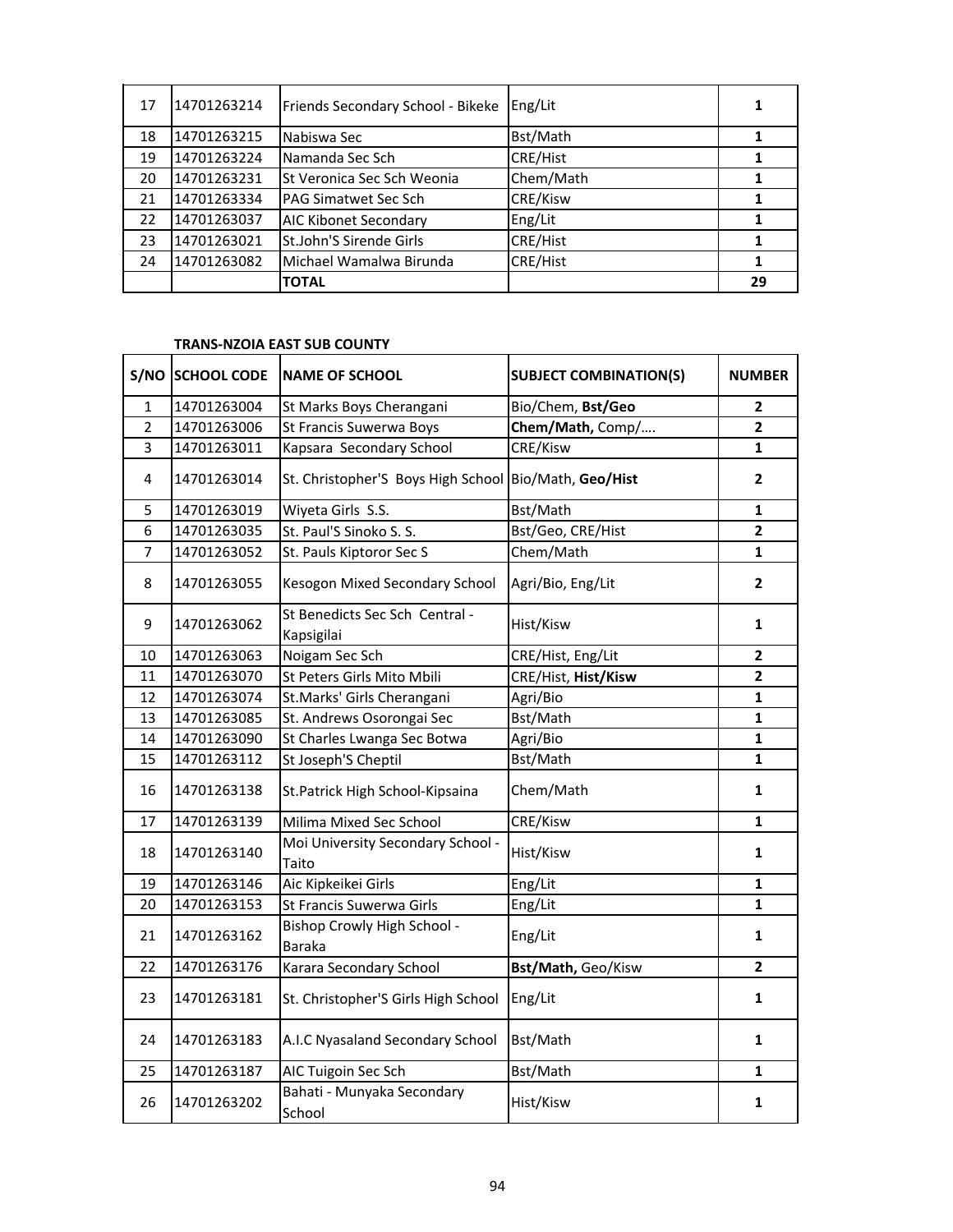| 17 | 14701263214 | Friends Secondary School - Bikeke | Eng/Lit         |    |
|----|-------------|-----------------------------------|-----------------|----|
| 18 | 14701263215 | Nabiswa Sec                       | Bst/Math        |    |
| 19 | 14701263224 | Namanda Sec Sch                   | <b>CRE/Hist</b> |    |
| 20 | 14701263231 | St Veronica Sec Sch Weonia        | Chem/Math       |    |
| 21 | 14701263334 | PAG Simatwet Sec Sch              | CRE/Kisw        |    |
| 22 | 14701263037 | <b>AIC Kibonet Secondary</b>      | Eng/Lit         |    |
| 23 | 14701263021 | St.John'S Sirende Girls           | <b>CRE/Hist</b> |    |
| 24 | 14701263082 | Michael Wamalwa Birunda           | <b>CRE/Hist</b> |    |
|    |             | <b>TOTAL</b>                      |                 | 29 |

## **TRANS-NZOIA EAST SUB COUNTY**

|                | S/NO SCHOOL CODE | <b>NAME OF SCHOOL</b>                        | <b>SUBJECT COMBINATION(S)</b> | <b>NUMBER</b>  |
|----------------|------------------|----------------------------------------------|-------------------------------|----------------|
| $\mathbf{1}$   | 14701263004      | St Marks Boys Cherangani                     | Bio/Chem, Bst/Geo             | $\overline{2}$ |
| $\overline{2}$ | 14701263006      | St Francis Suwerwa Boys                      | Chem/Math, Comp/              | $\overline{2}$ |
| 3              | 14701263011      | Kapsara Secondary School                     | CRE/Kisw                      | $\mathbf{1}$   |
| 4              | 14701263014      | St. Christopher'S Boys High School           | Bio/Math, Geo/Hist            | $\overline{2}$ |
| 5              | 14701263019      | Wiyeta Girls S.S.                            | Bst/Math                      | 1              |
| 6              | 14701263035      | St. Paul'S Sinoko S. S.                      | Bst/Geo, CRE/Hist             | $\overline{2}$ |
| 7              | 14701263052      | St. Pauls Kiptoror Sec S                     | Chem/Math                     | $\mathbf{1}$   |
| 8              | 14701263055      | Kesogon Mixed Secondary School               | Agri/Bio, Eng/Lit             | $\overline{2}$ |
| 9              | 14701263062      | St Benedicts Sec Sch Central -<br>Kapsigilai | Hist/Kisw                     | 1              |
| 10             | 14701263063      | Noigam Sec Sch                               | CRE/Hist, Eng/Lit             | $\mathbf 2$    |
| 11             | 14701263070      | St Peters Girls Mito Mbili                   | CRE/Hist, Hist/Kisw           | $\mathbf{2}$   |
| 12             | 14701263074      | St.Marks' Girls Cherangani                   | Agri/Bio                      | $\mathbf{1}$   |
| 13             | 14701263085      | St. Andrews Osorongai Sec                    | Bst/Math                      | $\mathbf{1}$   |
| 14             | 14701263090      | St Charles Lwanga Sec Botwa                  | Agri/Bio                      | $\mathbf{1}$   |
| 15             | 14701263112      | St Joseph'S Cheptil                          | Bst/Math                      | 1              |
| 16             | 14701263138      | St.Patrick High School-Kipsaina              | Chem/Math                     | 1              |
| 17             | 14701263139      | Milima Mixed Sec School                      | CRE/Kisw                      | $\mathbf{1}$   |
| 18             | 14701263140      | Moi University Secondary School -<br>Taito   | Hist/Kisw                     | 1              |
| 19             | 14701263146      | Aic Kipkeikei Girls                          | Eng/Lit                       | 1              |
| 20             | 14701263153      | St Francis Suwerwa Girls                     | Eng/Lit                       | 1              |
| 21             | 14701263162      | Bishop Crowly High School -<br><b>Baraka</b> | Eng/Lit                       | 1              |
| 22             | 14701263176      | Karara Secondary School                      | Bst/Math, Geo/Kisw            | $\overline{2}$ |
| 23             | 14701263181      | St. Christopher'S Girls High School          | Eng/Lit                       | 1              |
| 24             | 14701263183      | A.I.C Nyasaland Secondary School             | Bst/Math                      | 1              |
| 25             | 14701263187      | AIC Tuigoin Sec Sch                          | Bst/Math                      | 1              |
| 26             | 14701263202      | Bahati - Munyaka Secondary<br>School         | Hist/Kisw                     | 1              |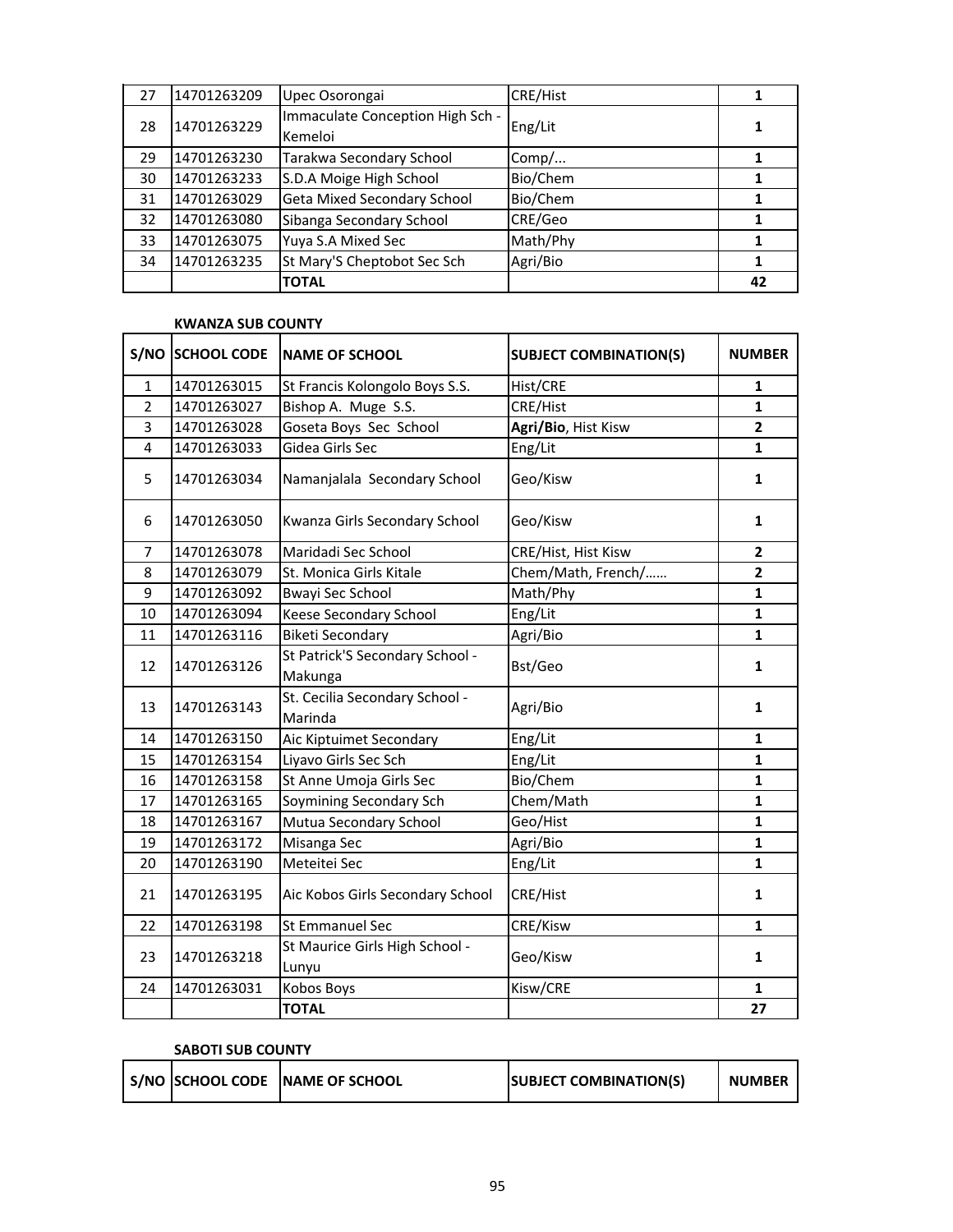| 27 | 14701263209 | Upec Osorongai                              | <b>CRE/Hist</b> |    |
|----|-------------|---------------------------------------------|-----------------|----|
| 28 | 14701263229 | Immaculate Conception High Sch -<br>Kemeloi | Eng/Lit         |    |
| 29 | 14701263230 | Tarakwa Secondary School                    | Comp/           |    |
| 30 | 14701263233 | S.D.A Moige High School                     | Bio/Chem        |    |
| 31 | 14701263029 | <b>Geta Mixed Secondary School</b>          | Bio/Chem        |    |
| 32 | 14701263080 | Sibanga Secondary School                    | CRE/Geo         |    |
| 33 | 14701263075 | Yuya S.A Mixed Sec                          | Math/Phy        |    |
| 34 | 14701263235 | St Mary'S Cheptobot Sec Sch                 | Agri/Bio        |    |
|    |             | <b>TOTAL</b>                                |                 | 42 |

## **KWANZA SUB COUNTY**

| S/NO           | <b>SCHOOL CODE</b> | <b>NAME OF SCHOOL</b>                      | <b>SUBJECT COMBINATION(S)</b> | <b>NUMBER</b>  |
|----------------|--------------------|--------------------------------------------|-------------------------------|----------------|
| $\mathbf{1}$   | 14701263015        | St Francis Kolongolo Boys S.S.             | Hist/CRE                      | 1              |
| $\overline{2}$ | 14701263027        | Bishop A. Muge S.S.                        | CRE/Hist                      | $\mathbf{1}$   |
| 3              | 14701263028        | Goseta Boys Sec School                     | Agri/Bio, Hist Kisw           | $\mathbf{2}$   |
| 4              | 14701263033        | Gidea Girls Sec                            | Eng/Lit                       | 1              |
| 5              | 14701263034        | Namanjalala Secondary School               | Geo/Kisw                      | 1              |
| 6              | 14701263050        | Kwanza Girls Secondary School              | Geo/Kisw                      | 1              |
| $\overline{7}$ | 14701263078        | Maridadi Sec School                        | CRE/Hist, Hist Kisw           | 2              |
| 8              | 14701263079        | St. Monica Girls Kitale                    | Chem/Math, French/            | $\overline{2}$ |
| 9              | 14701263092        | <b>Bwayi Sec School</b>                    | Math/Phy                      | $\mathbf{1}$   |
| 10             | 14701263094        | Keese Secondary School                     | Eng/Lit                       | $\mathbf{1}$   |
| 11             | 14701263116        | <b>Biketi Secondary</b>                    | Agri/Bio                      | $\mathbf{1}$   |
| 12             | 14701263126        | St Patrick'S Secondary School -<br>Makunga | Bst/Geo                       | $\mathbf{1}$   |
| 13             | 14701263143        | St. Cecilia Secondary School -<br>Marinda  | Agri/Bio                      | 1              |
| 14             | 14701263150        | Aic Kiptuimet Secondary                    | Eng/Lit                       | 1              |
| 15             | 14701263154        | Liyavo Girls Sec Sch                       | Eng/Lit                       | $\mathbf{1}$   |
| 16             | 14701263158        | St Anne Umoja Girls Sec                    | Bio/Chem                      | $\mathbf{1}$   |
| 17             | 14701263165        | Soymining Secondary Sch                    | Chem/Math                     | $\mathbf{1}$   |
| 18             | 14701263167        | Mutua Secondary School                     | Geo/Hist                      | 1              |
| 19             | 14701263172        | Misanga Sec                                | Agri/Bio                      | $\mathbf{1}$   |
| 20             | 14701263190        | Meteitei Sec                               | Eng/Lit                       | 1              |
| 21             | 14701263195        | Aic Kobos Girls Secondary School           | CRE/Hist                      | 1              |
| 22             | 14701263198        | <b>St Emmanuel Sec</b>                     | CRE/Kisw                      | $\mathbf{1}$   |
| 23             | 14701263218        | St Maurice Girls High School -<br>Lunyu    | Geo/Kisw                      | $\mathbf{1}$   |
| 24             | 14701263031        | Kobos Boys                                 | Kisw/CRE                      | 1              |
|                |                    | <b>TOTAL</b>                               |                               | 27             |

| <b>SABOTI SUB COUNTY</b> |  |
|--------------------------|--|
|                          |  |

|  |  | S/NO ISCHOOL CODE INAME OF SCHOOL | <b>SUBJECT COMBINATION(S)</b> | <b>NUMBER</b> |
|--|--|-----------------------------------|-------------------------------|---------------|
|--|--|-----------------------------------|-------------------------------|---------------|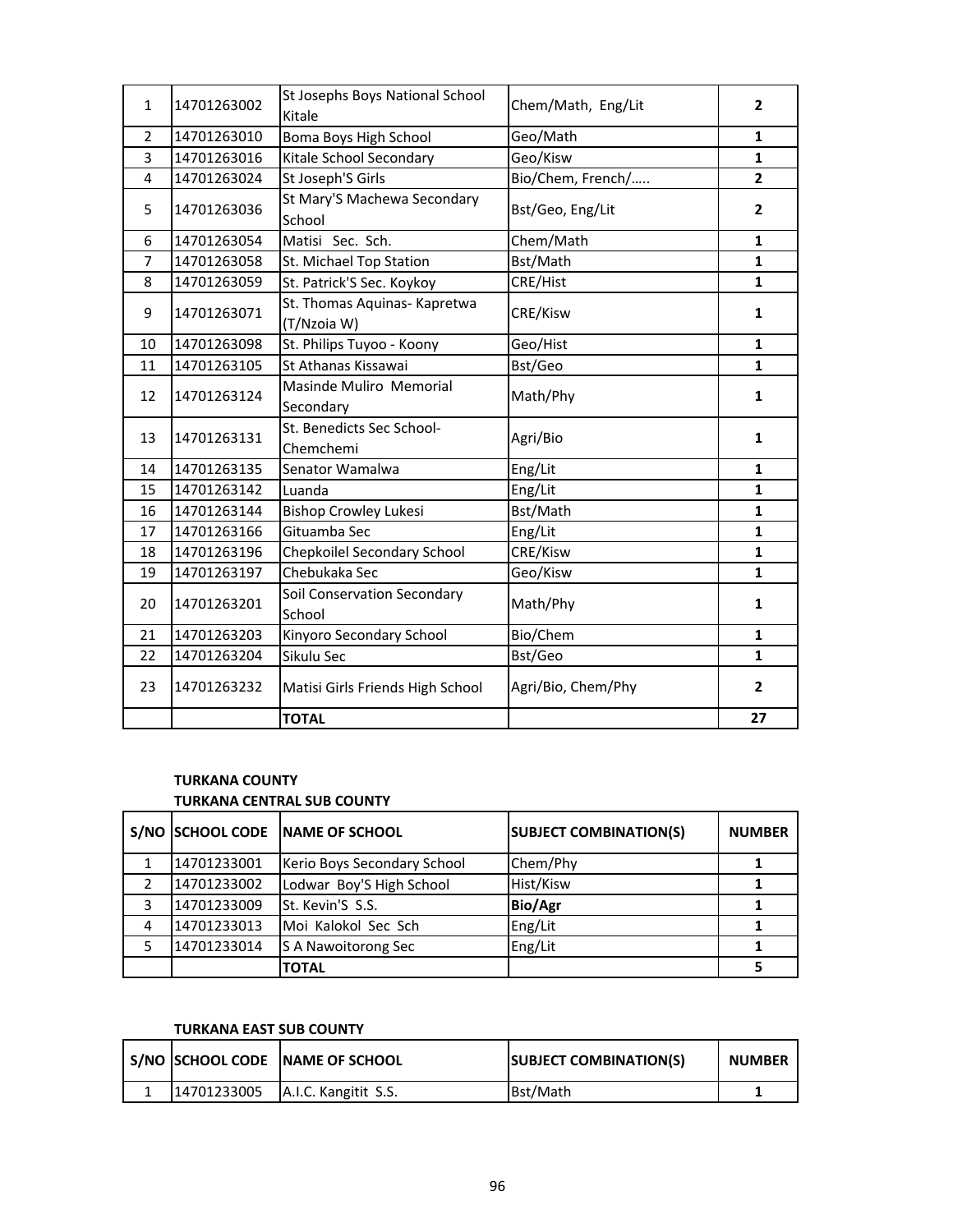| $\mathbf{1}$   | 14701263002 | St Josephs Boys National School<br>Kitale   | Chem/Math, Eng/Lit | 2              |
|----------------|-------------|---------------------------------------------|--------------------|----------------|
| $\overline{2}$ | 14701263010 | Boma Boys High School                       | Geo/Math           | 1              |
| 3              | 14701263016 | Kitale School Secondary                     | Geo/Kisw           | $\mathbf{1}$   |
| 4              | 14701263024 | St Joseph'S Girls                           | Bio/Chem, French/  | $\overline{2}$ |
| 5              | 14701263036 | St Mary'S Machewa Secondary<br>School       | Bst/Geo, Eng/Lit   | $\overline{2}$ |
| 6              | 14701263054 | Matisi Sec. Sch.                            | Chem/Math          | 1              |
| $\overline{7}$ | 14701263058 | St. Michael Top Station                     | Bst/Math           | $\mathbf{1}$   |
| 8              | 14701263059 | St. Patrick'S Sec. Koykoy                   | CRE/Hist           | $\mathbf{1}$   |
| 9              | 14701263071 | St. Thomas Aquinas- Kapretwa<br>(T/Nzoia W) | CRE/Kisw           | 1              |
| 10             | 14701263098 | St. Philips Tuyoo - Koony                   | Geo/Hist           | 1              |
| 11             | 14701263105 | St Athanas Kissawai                         | Bst/Geo            | $\mathbf{1}$   |
| 12             | 14701263124 | Masinde Muliro Memorial<br>Secondary        | Math/Phy           | $\mathbf{1}$   |
| 13             | 14701263131 | St. Benedicts Sec School-<br>Chemchemi      | Agri/Bio           | $\mathbf{1}$   |
| 14             | 14701263135 | Senator Wamalwa                             | Eng/Lit            | $\mathbf{1}$   |
| 15             | 14701263142 | Luanda                                      | Eng/Lit            | $\mathbf{1}$   |
| 16             | 14701263144 | <b>Bishop Crowley Lukesi</b>                | Bst/Math           | $\mathbf{1}$   |
| 17             | 14701263166 | Gituamba Sec                                | Eng/Lit            | $\mathbf{1}$   |
| 18             | 14701263196 | Chepkoilel Secondary School                 | CRE/Kisw           | $\mathbf{1}$   |
| 19             | 14701263197 | Chebukaka Sec                               | Geo/Kisw           | $\mathbf{1}$   |
| 20             | 14701263201 | Soil Conservation Secondary<br>School       | Math/Phy           | $\mathbf{1}$   |
| 21             | 14701263203 | Kinyoro Secondary School                    | Bio/Chem           | 1              |
| 22             | 14701263204 | Sikulu Sec                                  | Bst/Geo            | $\mathbf{1}$   |
| 23             | 14701263232 | Matisi Girls Friends High School            | Agri/Bio, Chem/Phy | $\overline{2}$ |
|                |             | <b>TOTAL</b>                                |                    | 27             |

# **TURKANA COUNTY TURKANA CENTRAL SUB COUNTY**

|   |             | S/NO SCHOOL CODE NAME OF SCHOOL | <b>SUBJECT COMBINATION(S)</b> | <b>NUMBER</b> |
|---|-------------|---------------------------------|-------------------------------|---------------|
|   | 14701233001 | Kerio Boys Secondary School     | Chem/Phy                      |               |
|   | 14701233002 | Lodwar Boy'S High School        | Hist/Kisw                     |               |
| 3 | 14701233009 | St. Kevin'S S.S.                | <b>Bio/Agr</b>                |               |
| 4 | 14701233013 | Moi Kalokol Sec Sch             | Eng/Lit                       |               |
|   | 14701233014 | S A Nawoitorong Sec             | Eng/Lit                       |               |
|   |             | <b>TOTAL</b>                    |                               |               |

# **TURKANA EAST SUB COUNTY**

|             | S/NO SCHOOL CODE NAME OF SCHOOL | <b>SUBJECT COMBINATION(S)</b> | <b>NUMBER</b> |
|-------------|---------------------------------|-------------------------------|---------------|
| 14701233005 | A.I.C. Kangitit S.S.            | Bst/Math                      |               |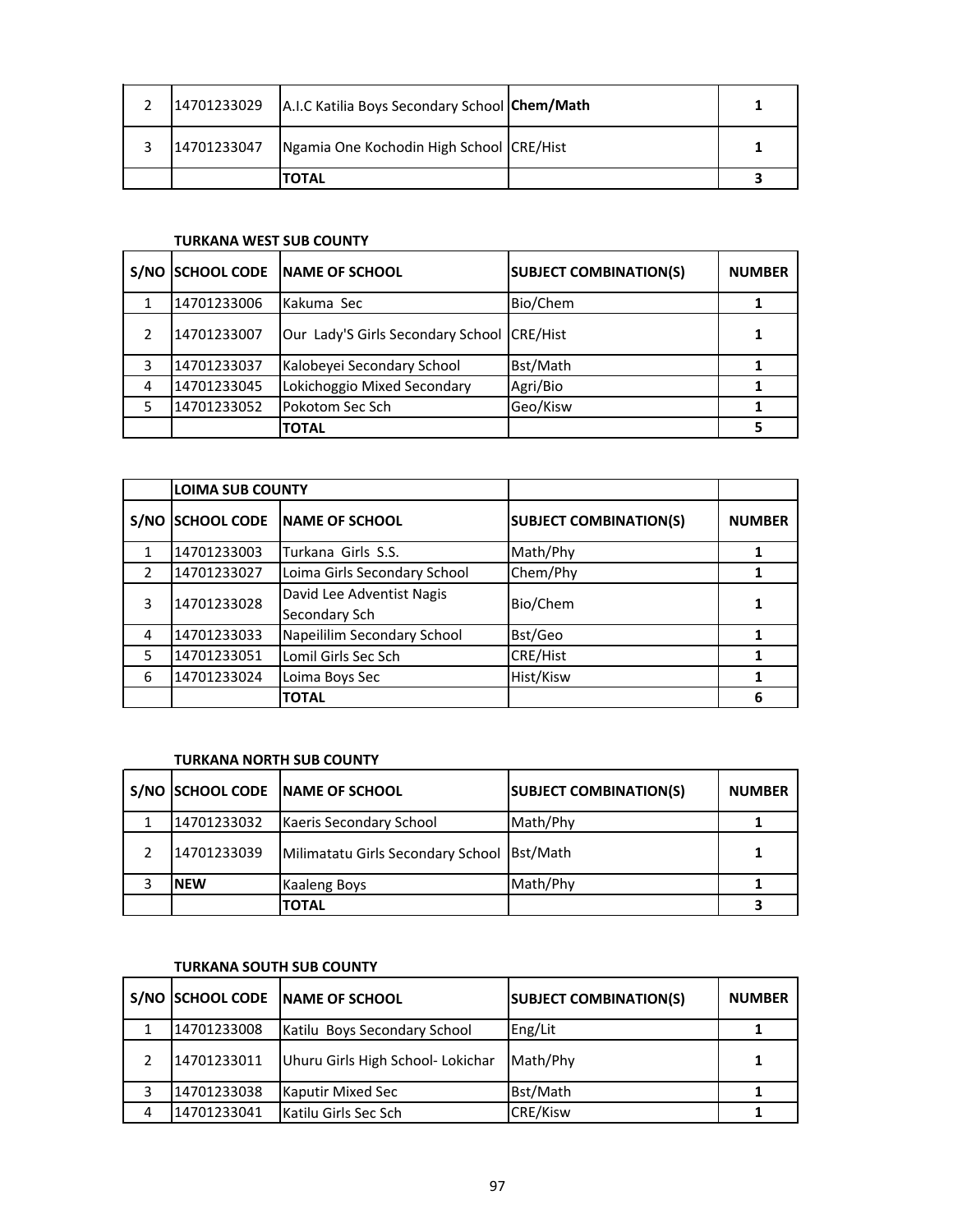| 14701233029 | A.I.C Katilia Boys Secondary School Chem/Math |  |
|-------------|-----------------------------------------------|--|
| 14701233047 | Ngamia One Kochodin High School CRE/Hist      |  |
|             | TOTAL                                         |  |

# **TURKANA WEST SUB COUNTY**

| S/NO          | <b>SCHOOL CODE</b> | <b>INAME OF SCHOOL</b>                     | <b>SUBJECT COMBINATION(S)</b> | <b>NUMBER</b> |
|---------------|--------------------|--------------------------------------------|-------------------------------|---------------|
|               | 14701233006        | Kakuma Sec                                 | Bio/Chem                      |               |
| $\mathcal{P}$ | 14701233007        | Our Lady'S Girls Secondary School CRE/Hist |                               |               |
| 3             | 14701233037        | Kalobeyei Secondary School                 | Bst/Math                      |               |
| 4             | 14701233045        | Lokichoggio Mixed Secondary                | Agri/Bio                      |               |
| 5             | 14701233052        | Pokotom Sec Sch                            | Geo/Kisw                      |               |
|               |                    | <b>TOTAL</b>                               |                               |               |

|               | <b>LOIMA SUB COUNTY</b> |                                            |                               |               |
|---------------|-------------------------|--------------------------------------------|-------------------------------|---------------|
| S/NO          | <b>SCHOOL CODE</b>      | <b>NAME OF SCHOOL</b>                      | <b>SUBJECT COMBINATION(S)</b> | <b>NUMBER</b> |
|               | 14701233003             | Turkana Girls S.S.                         | Math/Phy                      |               |
| $\mathcal{P}$ | 14701233027             | Loima Girls Secondary School               | Chem/Phy                      |               |
| 3             | 14701233028             | David Lee Adventist Nagis<br>Secondary Sch | Bio/Chem                      |               |
| 4             | 14701233033             | Napeililim Secondary School                | Bst/Geo                       |               |
| 5             | 14701233051             | Lomil Girls Sec Sch                        | CRE/Hist                      |               |
| 6             | 14701233024             | Loima Boys Sec                             | Hist/Kisw                     |               |
|               |                         | <b>TOTAL</b>                               |                               | 6             |

#### **TURKANA NORTH SUB COUNTY**

|             | S/NO SCHOOL CODE NAME OF SCHOOL              | <b>SUBJECT COMBINATION(S)</b> | <b>NUMBER</b> |
|-------------|----------------------------------------------|-------------------------------|---------------|
| 14701233032 | Kaeris Secondary School                      | Math/Phy                      |               |
| 14701233039 | Milimatatu Girls Secondary School   Bst/Math |                               |               |
| <b>NEW</b>  | Kaaleng Boys                                 | Math/Phy                      |               |
|             | <b>TOTAL</b>                                 |                               |               |

# **TURKANA SOUTH SUB COUNTY**

|   |             | S/NO SCHOOL CODE NAME OF SCHOOL   | <b>SUBJECT COMBINATION(S)</b> | <b>NUMBER</b> |
|---|-------------|-----------------------------------|-------------------------------|---------------|
|   | 14701233008 | Katilu Boys Secondary School      | Eng/Lit                       |               |
|   | 14701233011 | Uhuru Girls High School- Lokichar | Math/Phy                      |               |
|   | 14701233038 | Kaputir Mixed Sec                 | Bst/Math                      |               |
| 4 | 14701233041 | Katilu Girls Sec Sch              | CRE/Kisw                      |               |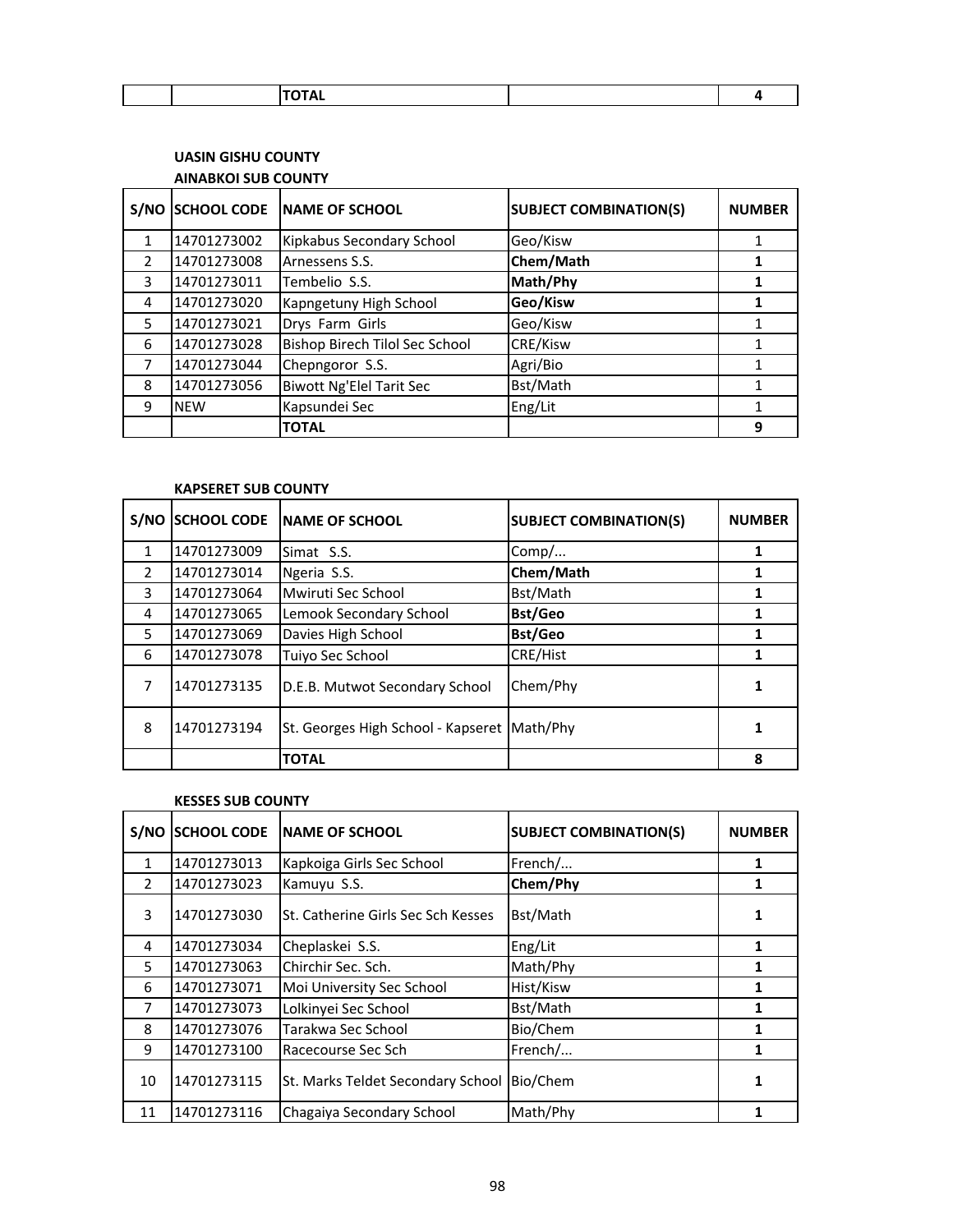# **UASIN GISHU COUNTY AINABKOI SUB COUNTY**

| S/NO          | <b>SCHOOL CODE</b> | <b>NAME OF SCHOOL</b>           | <b>SUBJECT COMBINATION(S)</b> | <b>NUMBER</b> |
|---------------|--------------------|---------------------------------|-------------------------------|---------------|
| $\mathbf{1}$  | 14701273002        | Kipkabus Secondary School       | Geo/Kisw                      | 1             |
| $\mathcal{P}$ | 14701273008        | Arnessens S.S.                  | Chem/Math                     | 1             |
| 3             | 14701273011        | Tembelio S.S.                   | Math/Phy                      | 1             |
| 4             | 14701273020        | Kapngetuny High School          | Geo/Kisw                      | 1             |
| 5             | 14701273021        | Drys Farm Girls                 | Geo/Kisw                      | 1             |
| 6             | 14701273028        | Bishop Birech Tilol Sec School  | CRE/Kisw                      |               |
| 7             | 14701273044        | Chepngoror S.S.                 | Agri/Bio                      |               |
| 8             | 14701273056        | <b>Biwott Ng'Elel Tarit Sec</b> | Bst/Math                      |               |
| 9             | <b>NEW</b>         | Kapsundei Sec                   | Eng/Lit                       |               |
|               |                    | <b>TOTAL</b>                    |                               | 9             |

#### **KAPSERET SUB COUNTY**

| S/NO          | <b>SCHOOL CODE</b> | <b>INAME OF SCHOOL</b>                      | <b>SUBJECT COMBINATION(S)</b> | <b>NUMBER</b> |
|---------------|--------------------|---------------------------------------------|-------------------------------|---------------|
| 1             | 14701273009        | Simat S.S.                                  | Comp/                         |               |
| $\mathcal{P}$ | 14701273014        | Ngeria S.S.                                 | Chem/Math                     |               |
| 3             | 14701273064        | Mwiruti Sec School                          | Bst/Math                      |               |
| 4             | 14701273065        | Lemook Secondary School                     | <b>Bst/Geo</b>                |               |
| 5             | 14701273069        | Davies High School                          | <b>Bst/Geo</b>                |               |
| 6             | 14701273078        | Tuiyo Sec School                            | CRE/Hist                      |               |
| 7             | 14701273135        | D.E.B. Mutwot Secondary School              | Chem/Phy                      |               |
| 8             | 14701273194        | St. Georges High School - Kapseret Math/Phy |                               |               |
|               |                    | <b>TOTAL</b>                                |                               | 8             |

#### **KESSES SUB COUNTY**

| S/NO          | <b>SCHOOL CODE</b> | <b>INAME OF SCHOOL</b>             | <b>SUBJECT COMBINATION(S)</b> | <b>NUMBER</b> |
|---------------|--------------------|------------------------------------|-------------------------------|---------------|
| $\mathbf{1}$  | 14701273013        | Kapkoiga Girls Sec School          | French/                       | 1             |
| $\mathcal{P}$ | 14701273023        | Kamuyu S.S.                        | Chem/Phy                      | 1             |
| 3             | 14701273030        | St. Catherine Girls Sec Sch Kesses | Bst/Math                      | 1             |
| 4             | 14701273034        | Cheplaskei S.S.                    | Eng/Lit                       | 1             |
| 5             | 14701273063        | Chirchir Sec. Sch.                 | Math/Phy                      |               |
| 6             | 14701273071        | Moi University Sec School          | Hist/Kisw                     | 1             |
| 7             | 14701273073        | Lolkinyei Sec School               | Bst/Math                      |               |
| 8             | 14701273076        | Tarakwa Sec School                 | Bio/Chem                      | 1             |
| 9             | 14701273100        | Racecourse Sec Sch                 | French/                       |               |
| 10            | 14701273115        | St. Marks Teldet Secondary School  | Bio/Chem                      | 1             |
| 11            | 14701273116        | Chagaiya Secondary School          | Math/Phy                      |               |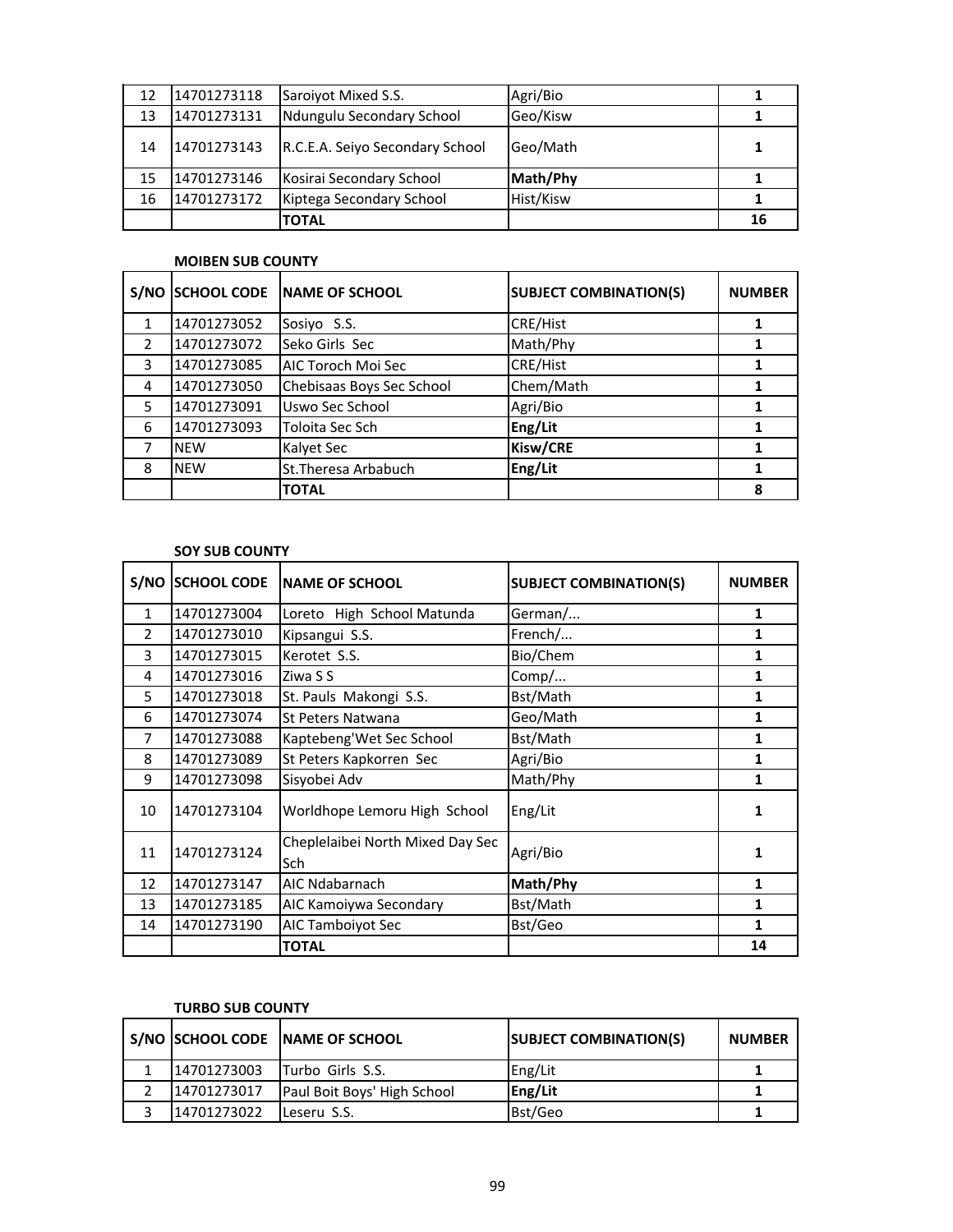| 12 | 14701273118 | Saroivot Mixed S.S.             | Agri/Bio  |    |
|----|-------------|---------------------------------|-----------|----|
| 13 | 14701273131 | Ndungulu Secondary School       | Geo/Kisw  |    |
| 14 | 14701273143 | R.C.E.A. Seiyo Secondary School | Geo/Math  |    |
| 15 | 14701273146 | Kosirai Secondary School        | Math/Phy  |    |
| 16 | 14701273172 | Kiptega Secondary School        | Hist/Kisw |    |
|    |             | <b>TOTAL</b>                    |           | 16 |

#### **MOIBEN SUB COUNTY**

| S/NO          | <b>SCHOOL CODE</b> | <b>NAME OF SCHOOL</b>     | <b>SUBJECT COMBINATION(S)</b> | <b>NUMBER</b> |
|---------------|--------------------|---------------------------|-------------------------------|---------------|
|               | 14701273052        | Sosiyo S.S.               | CRE/Hist                      |               |
| $\mathcal{P}$ | 14701273072        | Seko Girls Sec            | Math/Phy                      |               |
| 3             | 14701273085        | AIC Toroch Moi Sec        | <b>CRE/Hist</b>               |               |
| 4             | 14701273050        | Chebisaas Boys Sec School | Chem/Math                     |               |
| 5             | 14701273091        | Uswo Sec School           | Agri/Bio                      |               |
| 6             | 14701273093        | Toloita Sec Sch           | Eng/Lit                       |               |
|               | <b>NEW</b>         | Kalyet Sec                | Kisw/CRE                      |               |
| 8             | <b>NEW</b>         | St. Theresa Arbabuch      | Eng/Lit                       |               |
|               |                    | <b>TOTAL</b>              |                               | 8             |

#### **SOY SUB COUNTY**

| S/NO          | <b>SCHOOL CODE</b> | <b>INAME OF SCHOOL</b>                  | <b>SUBJECT COMBINATION(S)</b> | <b>NUMBER</b> |
|---------------|--------------------|-----------------------------------------|-------------------------------|---------------|
| $\mathbf{1}$  | 14701273004        | Loreto High School Matunda              | German/                       | 1             |
| $\mathcal{P}$ | 14701273010        | Kipsangui S.S.                          | French/                       | 1             |
| 3             | 14701273015        | Kerotet S.S.                            | Bio/Chem                      | 1             |
| 4             | 14701273016        | Ziwa S S                                | Comp/                         | 1             |
| 5             | 14701273018        | St. Pauls Makongi S.S.                  | Bst/Math                      | 1             |
| 6             | 14701273074        | St Peters Natwana                       | Geo/Math                      | 1             |
| 7             | 14701273088        | Kaptebeng'Wet Sec School                | Bst/Math                      | 1             |
| 8             | 14701273089        | St Peters Kapkorren Sec                 | Agri/Bio                      | 1             |
| 9             | 14701273098        | Sisyobei Adv                            | Math/Phy                      | 1             |
| 10            | 14701273104        | Worldhope Lemoru High School            | Eng/Lit                       | 1             |
| 11            | 14701273124        | Cheplelaibei North Mixed Day Sec<br>Sch | Agri/Bio                      | 1             |
| 12            | 14701273147        | AIC Ndabarnach                          | Math/Phy                      | 1             |
| 13            | 14701273185        | AIC Kamoiywa Secondary                  | Bst/Math                      | 1             |
| 14            | 14701273190        | AIC Tamboiyot Sec                       | Bst/Geo                       | 1             |
|               |                    | <b>TOTAL</b>                            |                               | 14            |

## **TURBO SUB COUNTY**

|             | S/NO SCHOOL CODE NAME OF SCHOOL | <b>SUBJECT COMBINATION(S)</b> | <b>NUMBER</b> |
|-------------|---------------------------------|-------------------------------|---------------|
| 14701273003 | <b>ITurbo Girls S.S.</b>        | Eng/Lit                       |               |
| 14701273017 | Paul Boit Boys' High School     | Eng/Lit                       |               |
| 14701273022 | Leseru S.S.                     | Bst/Geo                       |               |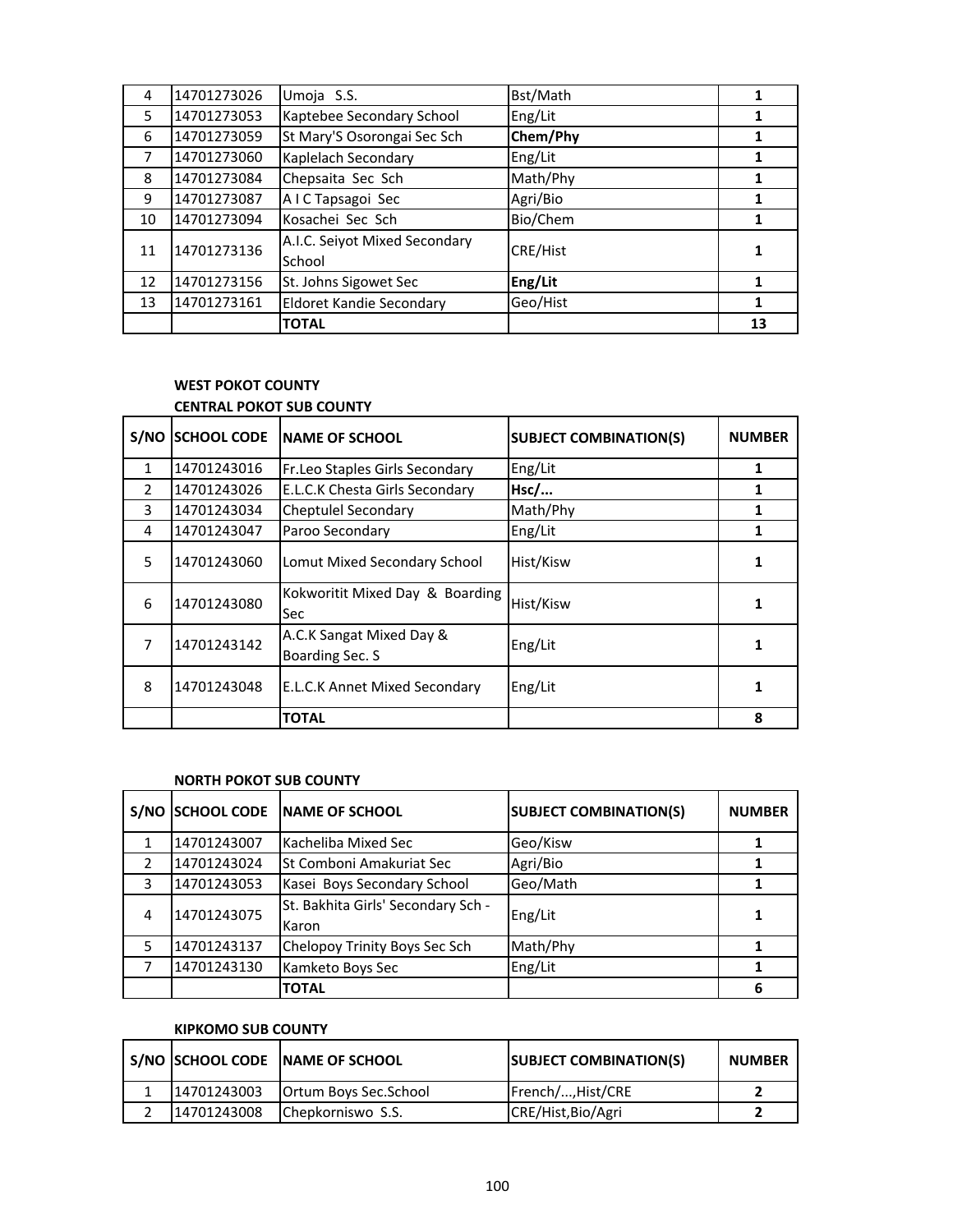| 4  | 14701273026 | Umoja S.S.                              | Bst/Math        |    |
|----|-------------|-----------------------------------------|-----------------|----|
| 5. | 14701273053 | Kaptebee Secondary School               | Eng/Lit         |    |
| 6  | 14701273059 | St Mary'S Osorongai Sec Sch             | Chem/Phy        | 1  |
| 7  | 14701273060 | Kaplelach Secondary                     | Eng/Lit         |    |
| 8  | 14701273084 | Chepsaita Sec Sch                       | Math/Phy        |    |
| 9  | 14701273087 | AIC Tapsagoi Sec                        | Agri/Bio        |    |
| 10 | 14701273094 | Kosachei Sec Sch                        | Bio/Chem        |    |
| 11 | 14701273136 | A.I.C. Seiyot Mixed Secondary<br>School | <b>CRE/Hist</b> |    |
| 12 | 14701273156 | St. Johns Sigowet Sec                   | Eng/Lit         |    |
| 13 | 14701273161 | <b>Eldoret Kandie Secondary</b>         | Geo/Hist        |    |
|    |             | <b>TOTAL</b>                            |                 | 13 |

#### **WEST POKOT COUNTY CENTRAL POKOT SUB COUNTY**

| S/NO          | <b>SCHOOL CODE</b> | NAME OF SCHOOL                                | <b>SUBJECT COMBINATION(S)</b> | <b>NUMBER</b> |
|---------------|--------------------|-----------------------------------------------|-------------------------------|---------------|
| 1             | 14701243016        | Fr.Leo Staples Girls Secondary                | Eng/Lit                       |               |
| $\mathcal{P}$ | 14701243026        | E.L.C.K Chesta Girls Secondary                | Hsc/                          |               |
| 3             | 14701243034        | Cheptulel Secondary                           | Math/Phy                      |               |
| 4             | 14701243047        | Paroo Secondary                               | Eng/Lit                       |               |
| 5             | 14701243060        | Lomut Mixed Secondary School                  | Hist/Kisw                     |               |
| 6             | 14701243080        | Kokworitit Mixed Day & Boarding<br><b>Sec</b> | Hist/Kisw                     | 1             |
| 7             | 14701243142        | A.C.K Sangat Mixed Day &<br>Boarding Sec. S   | Eng/Lit                       |               |
| 8             | 14701243048        | <b>E.L.C.K Annet Mixed Secondary</b>          | Eng/Lit                       |               |
|               |                    | <b>TOTAL</b>                                  |                               | 8             |

# **NORTH POKOT SUB COUNTY**

| S/NO          | <b>SCHOOL CODE</b> | <b>INAME OF SCHOOL</b>                      | <b>SUBJECT COMBINATION(S)</b> | <b>NUMBER</b> |
|---------------|--------------------|---------------------------------------------|-------------------------------|---------------|
|               | 14701243007        | Kacheliba Mixed Sec                         | Geo/Kisw                      |               |
| $\mathcal{P}$ | 14701243024        | <b>I</b> St Comboni Amakuriat Sec           | Agri/Bio                      |               |
| 3             | 14701243053        | Kasei Boys Secondary School                 | Geo/Math                      |               |
| 4             | 14701243075        | St. Bakhita Girls' Secondary Sch -<br>Karon | Eng/Lit                       |               |
| 5             | 14701243137        | Chelopoy Trinity Boys Sec Sch               | Math/Phy                      |               |
|               | 14701243130        | Kamketo Boys Sec                            | Eng/Lit                       |               |
|               |                    | <b>TOTAL</b>                                |                               | 6             |

## **KIPKOMO SUB COUNTY**

|             | S/NO SCHOOL CODE NAME OF SCHOOL | <b>SUBJECT COMBINATION(S)</b> | <b>NUMBER</b> |
|-------------|---------------------------------|-------------------------------|---------------|
| 14701243003 | <b>Ortum Boys Sec.School</b>    | French/, Hist/CRE             |               |
| 14701243008 | <b>IChepkorniswo S.S.</b>       | CRE/Hist, Bio/Agri            |               |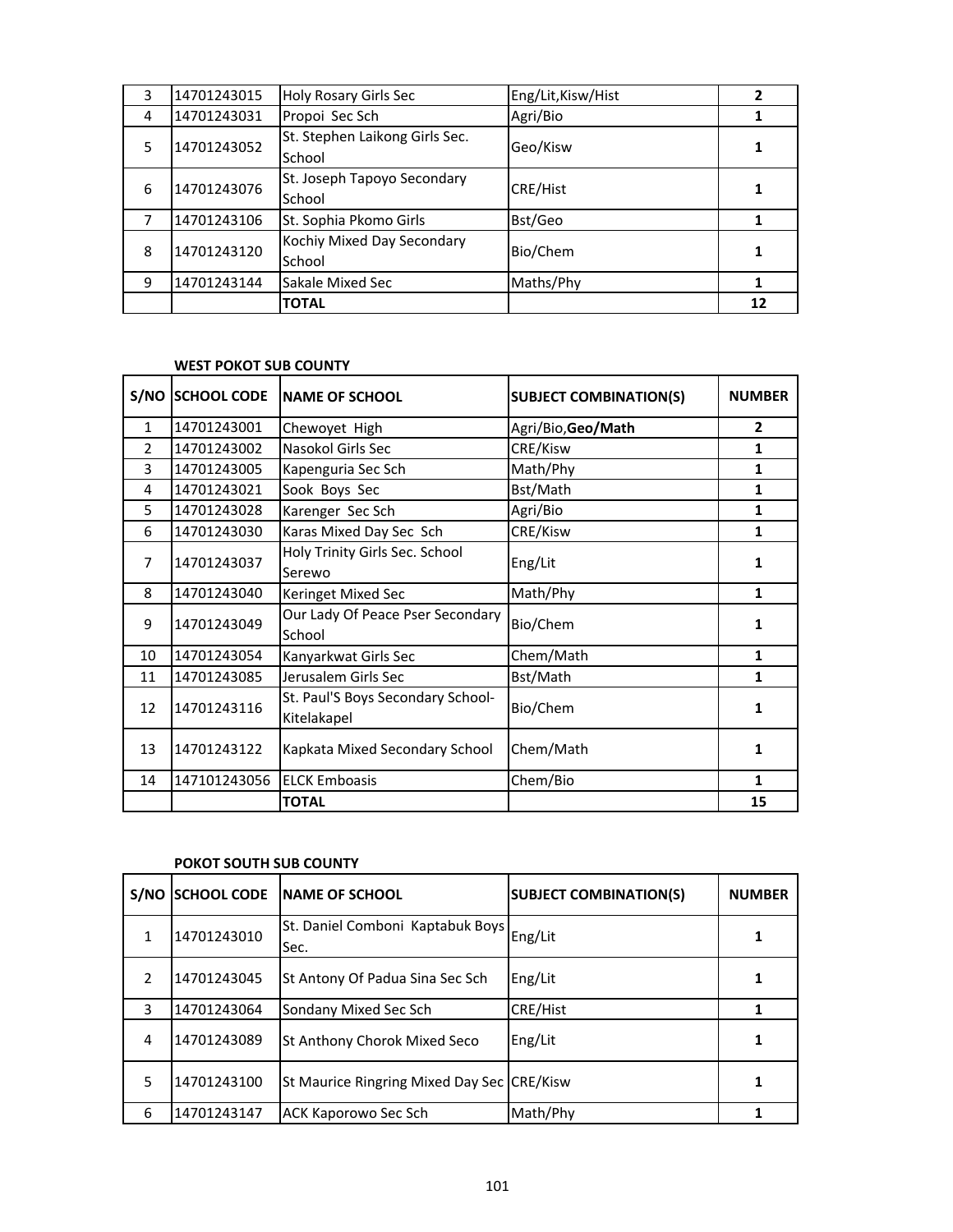|    |             | <b>TOTAL</b>                             |                    | 12 |
|----|-------------|------------------------------------------|--------------------|----|
| 9  | 14701243144 | Sakale Mixed Sec                         | Maths/Phy          |    |
| 8  | 14701243120 | Kochiy Mixed Day Secondary<br>School     | Bio/Chem           |    |
|    | 14701243106 | St. Sophia Pkomo Girls                   | Bst/Geo            |    |
| 6  | 14701243076 | St. Joseph Tapoyo Secondary<br>School    | CRE/Hist           |    |
| .5 | 14701243052 | St. Stephen Laikong Girls Sec.<br>School | Geo/Kisw           |    |
| 4  | 14701243031 | Propoi Sec Sch                           | Agri/Bio           |    |
| 3  | 14701243015 | Holy Rosary Girls Sec                    | Eng/Lit, Kisw/Hist |    |

#### **WEST POKOT SUB COUNTY**

| S/NO          | <b>SCHOOL CODE</b> | <b>NAME OF SCHOOL</b>                            | <b>SUBJECT COMBINATION(S)</b> | <b>NUMBER</b> |
|---------------|--------------------|--------------------------------------------------|-------------------------------|---------------|
| $\mathbf{1}$  | 14701243001        | Chewoyet High                                    | Agri/Bio, Geo/Math            | $\mathbf{2}$  |
| $\mathcal{P}$ | 14701243002        | Nasokol Girls Sec                                | CRE/Kisw                      | 1             |
| 3             | 14701243005        | Kapenguria Sec Sch                               | Math/Phy                      | 1             |
| 4             | 14701243021        | Sook Boys Sec                                    | Bst/Math                      | 1             |
| 5             | 14701243028        | Karenger Sec Sch                                 | Agri/Bio                      | 1             |
| 6             | 14701243030        | Karas Mixed Day Sec Sch                          | CRE/Kisw                      | 1             |
| 7             | 14701243037        | Holy Trinity Girls Sec. School<br>Serewo         | Eng/Lit                       | 1             |
| 8             | 14701243040        | <b>Keringet Mixed Sec</b>                        | Math/Phy                      | 1             |
| 9             | 14701243049        | Our Lady Of Peace Pser Secondary<br>School       | Bio/Chem                      | 1             |
| 10            | 14701243054        | Kanyarkwat Girls Sec                             | Chem/Math                     | 1             |
| 11            | 14701243085        | Jerusalem Girls Sec                              | Bst/Math                      | 1             |
| 12            | 14701243116        | St. Paul'S Boys Secondary School-<br>Kitelakapel | Bio/Chem                      | 1             |
| 13            | 14701243122        | Kapkata Mixed Secondary School                   | Chem/Math                     | 1             |
| 14            | 147101243056       | <b>ELCK Emboasis</b>                             | Chem/Bio                      | 1             |
|               |                    | <b>TOTAL</b>                                     |                               | 15            |

#### **POKOT SOUTH SUB COUNTY**

| S/NO          | <b>SCHOOL CODE</b> | <b>INAME OF SCHOOL</b>                     | <b>SUBJECT COMBINATION(S)</b> | <b>NUMBER</b> |
|---------------|--------------------|--------------------------------------------|-------------------------------|---------------|
| 1             | 14701243010        | St. Daniel Comboni Kaptabuk Boys<br>Sec.   | Eng/Lit                       | 1             |
| $\mathcal{L}$ | 14701243045        | St Antony Of Padua Sina Sec Sch            | Eng/Lit                       |               |
| 3             | 14701243064        | Sondany Mixed Sec Sch                      | CRE/Hist                      |               |
| 4             | 14701243089        | St Anthony Chorok Mixed Seco               | Eng/Lit                       |               |
| 5             | 14701243100        | St Maurice Ringring Mixed Day Sec CRE/Kisw |                               |               |
| 6             | 14701243147        | ACK Kaporowo Sec Sch                       | Math/Phy                      |               |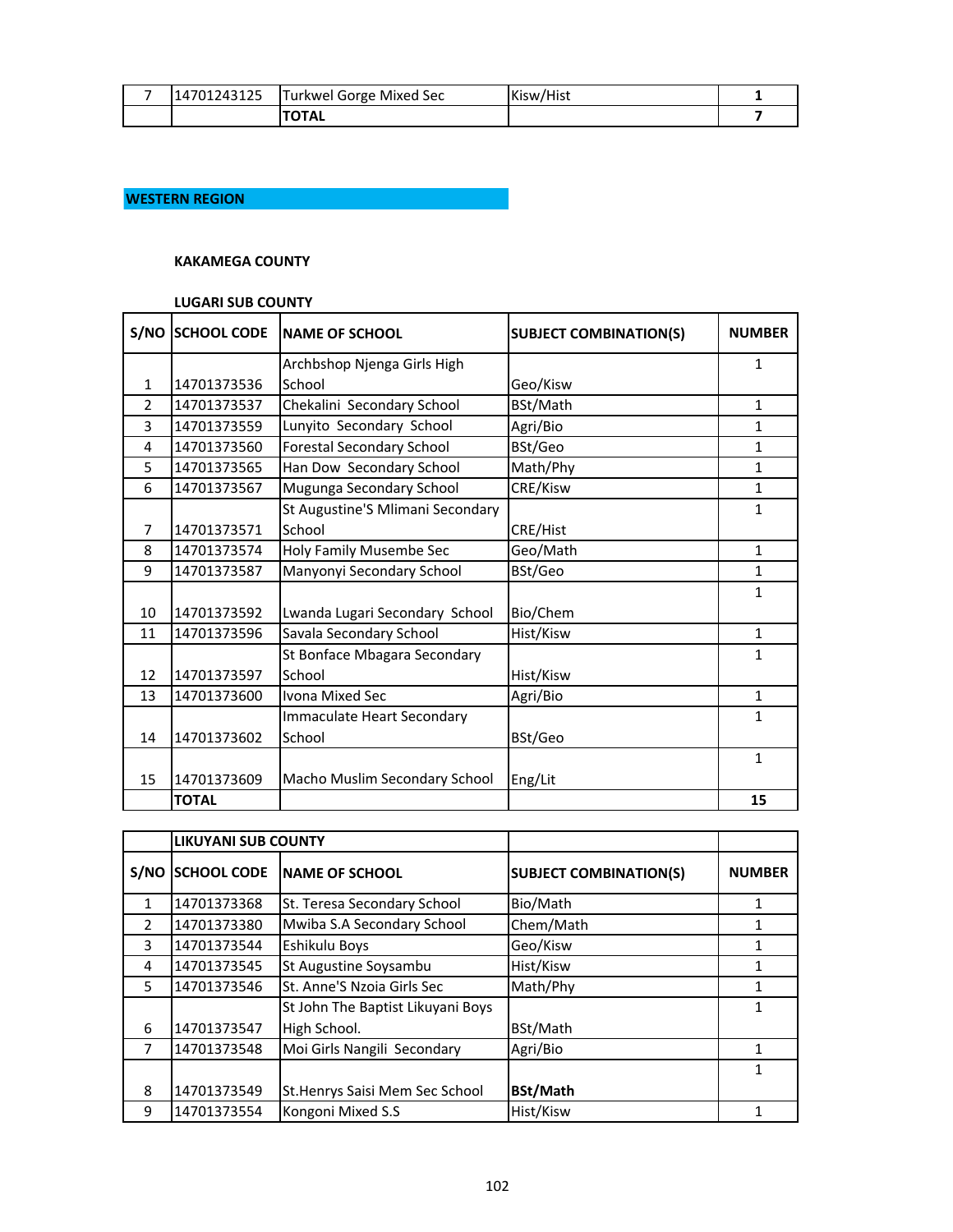| - | 14701243125 | Turkwel Gorge Mixed Sec | Kisw/Hist |  |
|---|-------------|-------------------------|-----------|--|
|   |             | <b>TAL</b>              |           |  |

## **WESTERN REGION**

## **KAKAMEGA COUNTY**

## **LUGARI SUB COUNTY**

| S/NO           | <b>SCHOOL CODE</b> | <b>NAME OF SCHOOL</b>            | <b>SUBJECT COMBINATION(S)</b> | <b>NUMBER</b> |
|----------------|--------------------|----------------------------------|-------------------------------|---------------|
|                |                    | Archbshop Njenga Girls High      |                               | 1             |
| $\mathbf{1}$   | 14701373536        | School                           | Geo/Kisw                      |               |
| $\mathcal{P}$  | 14701373537        | Chekalini Secondary School       | BSt/Math                      | 1             |
| 3              | 14701373559        | Lunyito Secondary School         | Agri/Bio                      | 1             |
| 4              | 14701373560        | <b>Forestal Secondary School</b> | BSt/Geo                       | $\mathbf{1}$  |
| 5              | 14701373565        | Han Dow Secondary School         | Math/Phy                      | $\mathbf{1}$  |
| 6              | 14701373567        | Mugunga Secondary School         | CRE/Kisw                      | $\mathbf{1}$  |
|                |                    | St Augustine'S Mlimani Secondary |                               | 1             |
| $\overline{7}$ | 14701373571        | School                           | CRE/Hist                      |               |
| 8              | 14701373574        | Holy Family Musembe Sec          | Geo/Math                      | 1             |
| 9              | 14701373587        | Manyonyi Secondary School        | BSt/Geo                       | 1             |
|                |                    |                                  |                               | 1             |
| 10             | 14701373592        | Lwanda Lugari Secondary School   | Bio/Chem                      |               |
| 11             | 14701373596        | Savala Secondary School          | Hist/Kisw                     | $\mathbf{1}$  |
|                |                    | St Bonface Mbagara Secondary     |                               | 1             |
| 12             | 14701373597        | School                           | Hist/Kisw                     |               |
| 13             | 14701373600        | Ivona Mixed Sec                  | Agri/Bio                      | $\mathbf{1}$  |
|                |                    | Immaculate Heart Secondary       |                               | 1             |
| 14             | 14701373602        | School                           | BSt/Geo                       |               |
|                |                    |                                  |                               | 1             |
| 15             | 14701373609        | Macho Muslim Secondary School    | Eng/Lit                       |               |
|                | <b>TOTAL</b>       |                                  |                               | 15            |

|               | <b>LIKUYANI SUB COUNTY</b> |                                   |                               |               |
|---------------|----------------------------|-----------------------------------|-------------------------------|---------------|
| S/NO          | <b>SCHOOL CODE</b>         | <b>INAME OF SCHOOL</b>            | <b>SUBJECT COMBINATION(S)</b> | <b>NUMBER</b> |
| 1             | 14701373368                | St. Teresa Secondary School       | Bio/Math                      | 1             |
| $\mathcal{P}$ | 14701373380                | Mwiba S.A Secondary School        | Chem/Math                     |               |
| 3             | 14701373544                | Eshikulu Boys                     | Geo/Kisw                      |               |
| 4             | 14701373545                | St Augustine Soysambu             | Hist/Kisw                     | 1             |
| 5.            | 14701373546                | St. Anne'S Nzoia Girls Sec        | Math/Phy                      | 1             |
|               |                            | St John The Baptist Likuyani Boys |                               | 1             |
| 6             | 14701373547                | High School.                      | BSt/Math                      |               |
| 7             | 14701373548                | Moi Girls Nangili Secondary       | Agri/Bio                      | 1             |
|               |                            |                                   |                               | 1             |
| 8             | 14701373549                | St. Henrys Saisi Mem Sec School   | <b>BSt/Math</b>               |               |
| 9             | 14701373554                | Kongoni Mixed S.S                 | Hist/Kisw                     |               |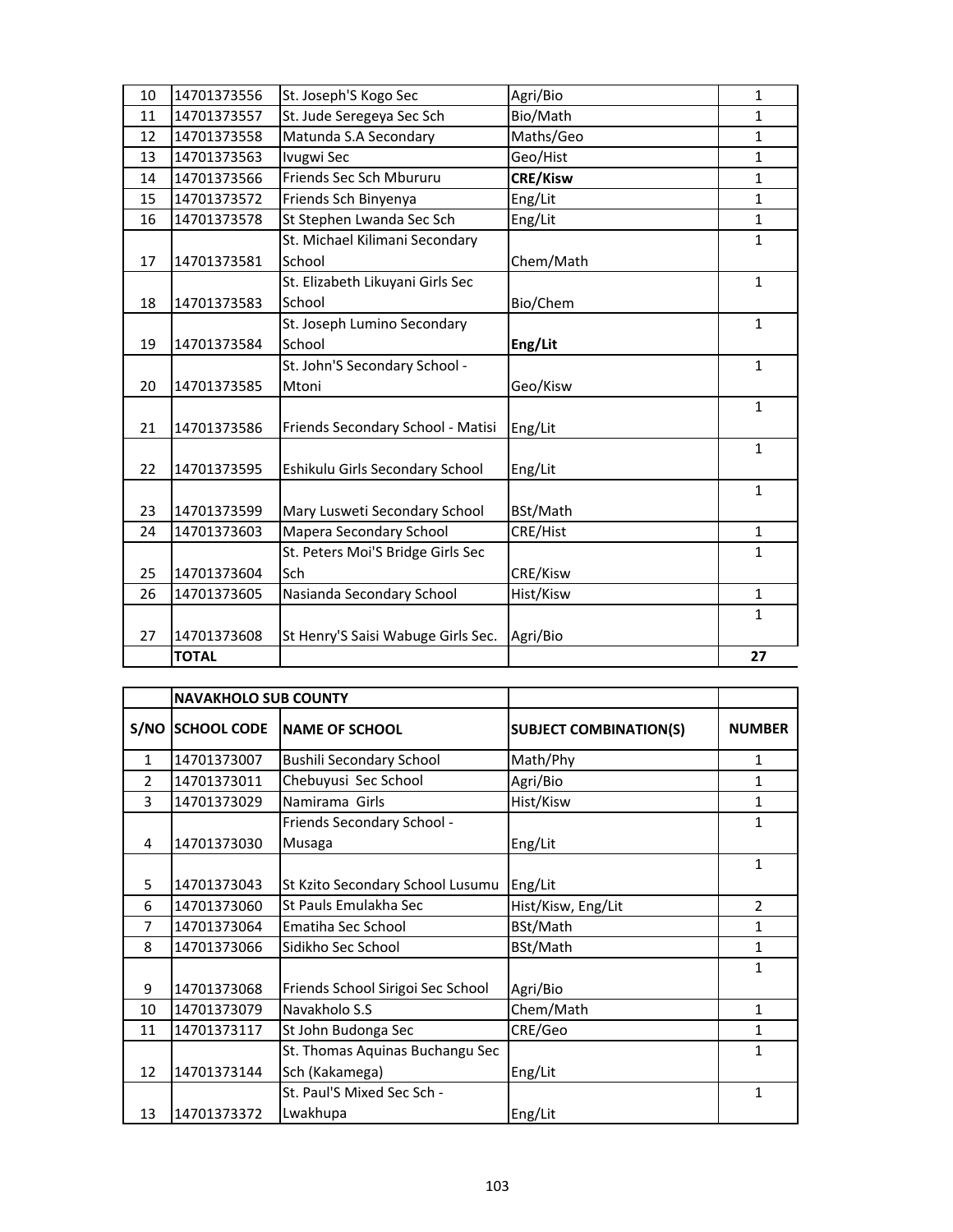|    | <b>TOTAL</b> |                                          |                 | 27           |
|----|--------------|------------------------------------------|-----------------|--------------|
| 27 | 14701373608  | St Henry'S Saisi Wabuge Girls Sec.       | Agri/Bio        | $\mathbf{1}$ |
| 26 | 14701373605  | Nasianda Secondary School                | Hist/Kisw       | $\mathbf{1}$ |
| 25 | 14701373604  |                                          | CRE/Kisw        |              |
|    |              | St. Peters Moi'S Bridge Girls Sec<br>Sch |                 | $\mathbf{1}$ |
| 24 | 14701373603  | Mapera Secondary School                  | CRE/Hist        | $\mathbf{1}$ |
| 23 | 14701373599  | Mary Lusweti Secondary School            | BSt/Math        | $\mathbf{1}$ |
| 22 | 14701373595  | Eshikulu Girls Secondary School          | Eng/Lit         |              |
| 21 | 14701373586  | Friends Secondary School - Matisi        | Eng/Lit         | 1            |
| 20 | 14701373585  | Mtoni                                    | Geo/Kisw        | $\mathbf{1}$ |
|    |              | St. John'S Secondary School -            |                 | $\mathbf{1}$ |
| 19 | 14701373584  | St. Joseph Lumino Secondary<br>School    | Eng/Lit         | $\mathbf{1}$ |
| 18 | 14701373583  | School                                   | Bio/Chem        |              |
|    |              | St. Elizabeth Likuyani Girls Sec         |                 | $\mathbf{1}$ |
| 17 | 14701373581  | School                                   | Chem/Math       |              |
|    |              | St. Michael Kilimani Secondary           |                 | 1            |
| 16 | 14701373578  | St Stephen Lwanda Sec Sch                | Eng/Lit         | $\mathbf{1}$ |
| 15 | 14701373572  | Friends Sch Binyenya                     | Eng/Lit         | 1            |
| 14 | 14701373566  | Friends Sec Sch Mbururu                  | <b>CRE/Kisw</b> | $\mathbf{1}$ |
| 13 | 14701373563  | Ivugwi Sec                               | Geo/Hist        | 1            |
| 12 | 14701373558  | Matunda S.A Secondary                    | Maths/Geo       | 1            |
| 11 | 14701373557  | St. Jude Seregeya Sec Sch                | Bio/Math        | 1            |
| 10 | 14701373556  | St. Joseph'S Kogo Sec                    | Agri/Bio        | $\mathbf{1}$ |

|              | <b>NAVAKHOLO SUB COUNTY</b> |                                   |                               |                |
|--------------|-----------------------------|-----------------------------------|-------------------------------|----------------|
|              | S/NO SCHOOL CODE            | <b>INAME OF SCHOOL</b>            | <b>SUBJECT COMBINATION(S)</b> | <b>NUMBER</b>  |
| $\mathbf{1}$ | 14701373007                 | <b>Bushili Secondary School</b>   | Math/Phy                      | 1              |
| 2            | 14701373011                 | Chebuyusi Sec School              | Agri/Bio                      | 1              |
| 3            | 14701373029                 | Namirama Girls                    | Hist/Kisw                     | 1              |
|              |                             | Friends Secondary School -        |                               | 1              |
| 4            | 14701373030                 | Musaga                            | Eng/Lit                       |                |
|              |                             |                                   |                               | 1              |
| 5            | 14701373043                 | St Kzito Secondary School Lusumu  | Eng/Lit                       |                |
| 6            | 14701373060                 | St Pauls Emulakha Sec             | Hist/Kisw, Eng/Lit            | $\mathfrak{p}$ |
| 7            | 14701373064                 | Ematiha Sec School                | BSt/Math                      | 1              |
| 8            | 14701373066                 | Sidikho Sec School                | BSt/Math                      | 1              |
|              |                             |                                   |                               | 1              |
| 9            | 14701373068                 | Friends School Sirigoi Sec School | Agri/Bio                      |                |
| 10           | 14701373079                 | Navakholo S.S                     | Chem/Math                     | 1              |
| 11           | 14701373117                 | St John Budonga Sec               | CRE/Geo                       | 1              |
|              |                             | St. Thomas Aquinas Buchangu Sec   |                               | 1              |
| 12           | 14701373144                 | Sch (Kakamega)                    | Eng/Lit                       |                |
|              |                             | St. Paul'S Mixed Sec Sch -        |                               | 1              |
| 13           | 14701373372                 | Lwakhupa                          | Eng/Lit                       |                |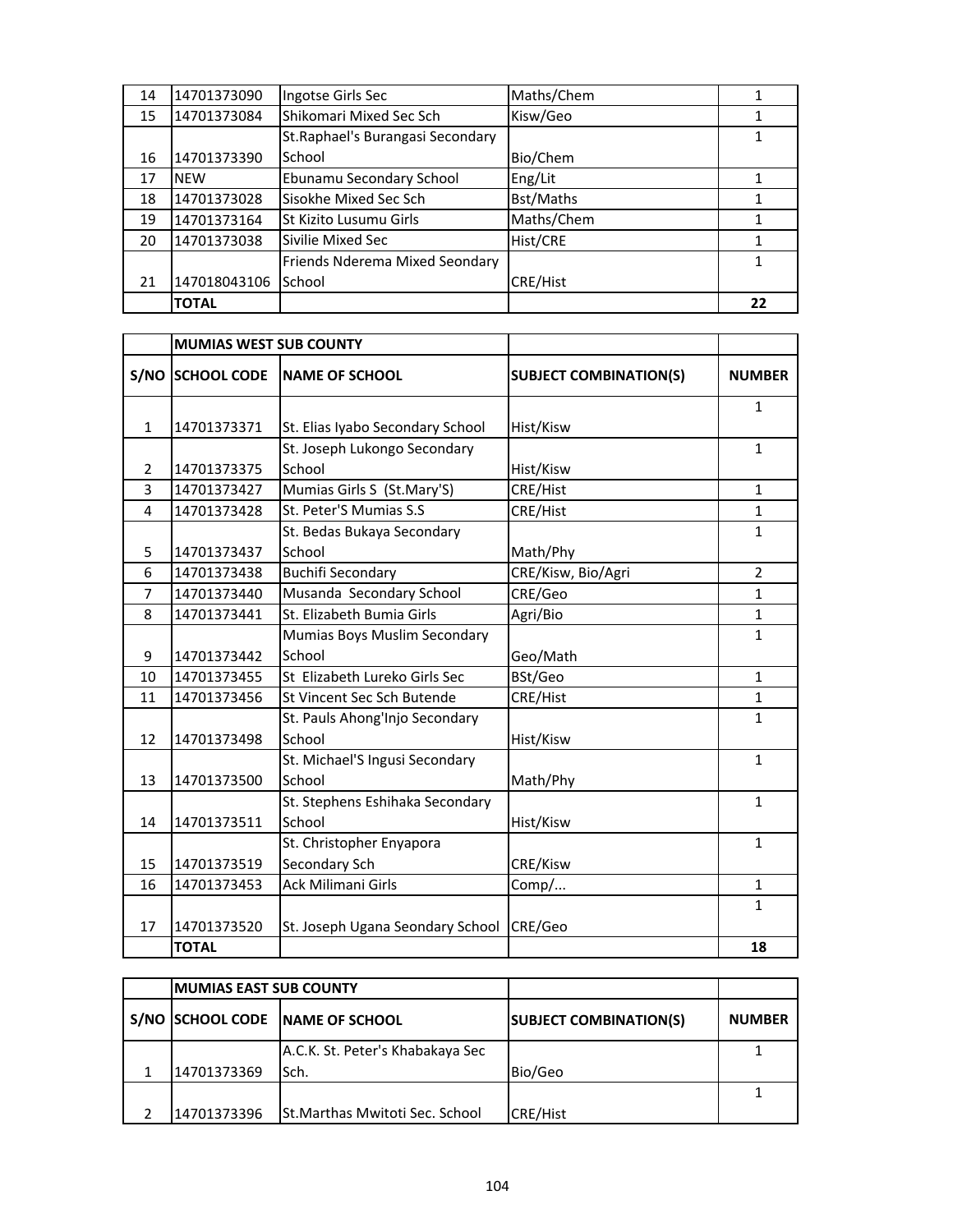| 14 | 14701373090  | Ingotse Girls Sec                 | Maths/Chem |    |
|----|--------------|-----------------------------------|------------|----|
| 15 | 14701373084  | Shikomari Mixed Sec Sch           | Kisw/Geo   |    |
|    |              | St. Raphael's Burangasi Secondary |            |    |
| 16 | 14701373390  | School                            | Bio/Chem   |    |
| 17 | <b>NEW</b>   | Ebunamu Secondary School          | Eng/Lit    |    |
| 18 | 14701373028  | Sisokhe Mixed Sec Sch             | Bst/Maths  |    |
| 19 | 14701373164  | St Kizito Lusumu Girls            | Maths/Chem |    |
| 20 | 14701373038  | Sivilie Mixed Sec                 | Hist/CRE   |    |
|    |              | Friends Nderema Mixed Seondary    |            |    |
| 21 | 147018043106 | School                            | CRE/Hist   |    |
|    | <b>TOTAL</b> |                                   |            | 22 |

|                | <b>MUMIAS WEST SUB COUNTY</b> |                                  |                               |                |
|----------------|-------------------------------|----------------------------------|-------------------------------|----------------|
|                | <b>S/NO SCHOOL CODE</b>       | <b>NAME OF SCHOOL</b>            | <b>SUBJECT COMBINATION(S)</b> | <b>NUMBER</b>  |
|                |                               |                                  |                               | $\mathbf{1}$   |
| $\mathbf{1}$   | 14701373371                   | St. Elias Iyabo Secondary School | Hist/Kisw                     |                |
|                |                               | St. Joseph Lukongo Secondary     |                               | $\mathbf{1}$   |
| $\overline{2}$ | 14701373375                   | School                           | Hist/Kisw                     |                |
| $\overline{3}$ | 14701373427                   | Mumias Girls S (St.Mary'S)       | CRE/Hist                      | $\mathbf{1}$   |
| 4              | 14701373428                   | St. Peter'S Mumias S.S           | CRE/Hist                      | $\mathbf{1}$   |
|                |                               | St. Bedas Bukaya Secondary       |                               | $\mathbf{1}$   |
| 5              | 14701373437                   | School                           | Math/Phy                      |                |
| 6              | 14701373438                   | <b>Buchifi Secondary</b>         | CRE/Kisw, Bio/Agri            | $\overline{2}$ |
| $\overline{7}$ | 14701373440                   | Musanda Secondary School         | CRE/Geo                       | 1              |
| 8              | 14701373441                   | St. Elizabeth Bumia Girls        | Agri/Bio                      | $\mathbf{1}$   |
|                |                               | Mumias Boys Muslim Secondary     |                               | 1              |
| 9              | 14701373442                   | School                           | Geo/Math                      |                |
| 10             | 14701373455                   | St Elizabeth Lureko Girls Sec    | BSt/Geo                       | 1              |
| 11             | 14701373456                   | St Vincent Sec Sch Butende       | CRE/Hist                      | 1              |
|                |                               | St. Pauls Ahong'Injo Secondary   |                               | $\mathbf{1}$   |
| 12             | 14701373498                   | School                           | Hist/Kisw                     |                |
|                |                               | St. Michael'S Ingusi Secondary   |                               | $\mathbf{1}$   |
| 13             | 14701373500                   | School                           | Math/Phy                      |                |
|                |                               | St. Stephens Eshihaka Secondary  |                               | $\mathbf{1}$   |
| 14             | 14701373511                   | School                           | Hist/Kisw                     |                |
|                |                               | St. Christopher Enyapora         |                               | $\mathbf{1}$   |
| 15             | 14701373519                   | Secondary Sch                    | CRE/Kisw                      |                |
| 16             | 14701373453                   | Ack Milimani Girls               | Comp/                         | $\mathbf{1}$   |
|                |                               |                                  |                               | 1              |
| 17             | 14701373520                   | St. Joseph Ugana Seondary School | CRE/Geo                       |                |
|                | <b>TOTAL</b>                  |                                  |                               | 18             |

| <b>MUMIAS EAST SUB COUNTY</b> |                                       |                               |               |
|-------------------------------|---------------------------------------|-------------------------------|---------------|
|                               | S/NO SCHOOL CODE NAME OF SCHOOL       | <b>SUBJECT COMBINATION(S)</b> | <b>NUMBER</b> |
|                               | A.C.K. St. Peter's Khabakaya Sec      |                               |               |
| 14701373369                   | Sch.                                  | Bio/Geo                       |               |
|                               |                                       |                               |               |
| 14701373396                   | <b>St.Marthas Mwitoti Sec. School</b> | <b>CRE/Hist</b>               |               |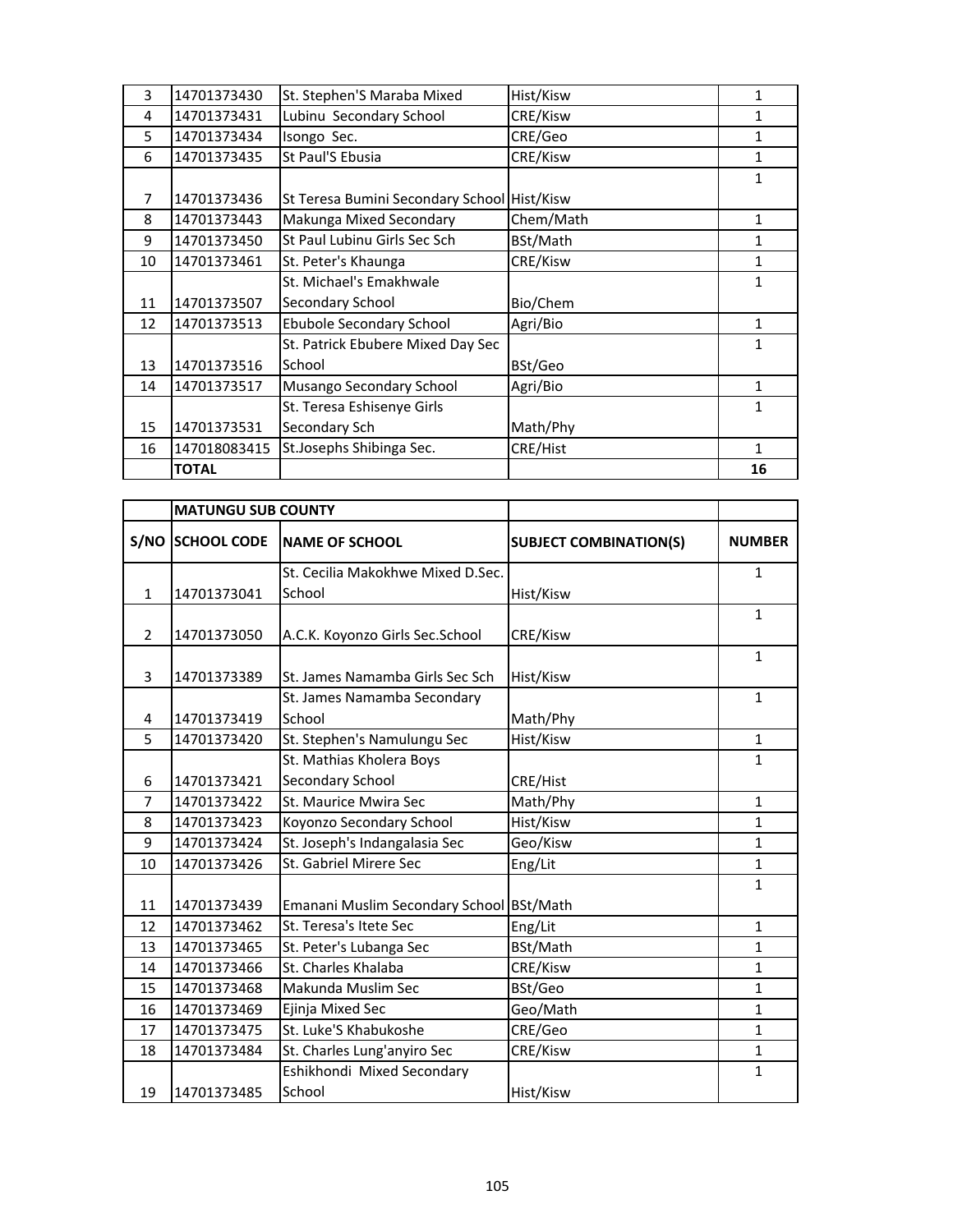| 3  | 14701373430  | St. Stephen'S Maraba Mixed                  | Hist/Kisw | 1            |
|----|--------------|---------------------------------------------|-----------|--------------|
| 4  | 14701373431  | Lubinu Secondary School                     | CRE/Kisw  | 1            |
| 5  | 14701373434  | Isongo Sec.                                 | CRE/Geo   | 1            |
| 6  | 14701373435  | St Paul'S Ebusia                            | CRE/Kisw  | 1            |
|    |              |                                             |           | 1            |
| 7  | 14701373436  | St Teresa Bumini Secondary School Hist/Kisw |           |              |
| 8  | 14701373443  | Makunga Mixed Secondary                     | Chem/Math | 1            |
| 9  | 14701373450  | St Paul Lubinu Girls Sec Sch                | BSt/Math  | 1            |
| 10 | 14701373461  | St. Peter's Khaunga                         | CRE/Kisw  | 1            |
|    |              | St. Michael's Emakhwale                     |           | 1            |
| 11 | 14701373507  | Secondary School                            | Bio/Chem  |              |
| 12 | 14701373513  | Ebubole Secondary School                    | Agri/Bio  | 1            |
|    |              | St. Patrick Ebubere Mixed Day Sec           |           | 1            |
| 13 | 14701373516  | School                                      | BSt/Geo   |              |
| 14 | 14701373517  | Musango Secondary School                    | Agri/Bio  | $\mathbf{1}$ |
|    |              | St. Teresa Eshisenye Girls                  |           | 1            |
| 15 | 14701373531  | Secondary Sch                               | Math/Phy  |              |
| 16 | 147018083415 | St.Josephs Shibinga Sec.                    | CRE/Hist  | 1            |
|    | <b>TOTAL</b> |                                             |           | 16           |

|                | <b>MATUNGU SUB COUNTY</b> |                                          |                               |               |
|----------------|---------------------------|------------------------------------------|-------------------------------|---------------|
|                | S/NO SCHOOL CODE          | <b>NAME OF SCHOOL</b>                    | <b>SUBJECT COMBINATION(S)</b> | <b>NUMBER</b> |
|                |                           | St. Cecilia Makokhwe Mixed D.Sec.        |                               | $\mathbf{1}$  |
| $\mathbf{1}$   | 14701373041               | School                                   | Hist/Kisw                     |               |
| $\overline{2}$ | 14701373050               | A.C.K. Koyonzo Girls Sec.School          | CRE/Kisw                      | $\mathbf{1}$  |
|                |                           |                                          |                               | $\mathbf{1}$  |
| 3              | 14701373389               | St. James Namamba Girls Sec Sch          | Hist/Kisw                     |               |
|                |                           | St. James Namamba Secondary              |                               | $\mathbf{1}$  |
| 4              | 14701373419               | School                                   | Math/Phy                      |               |
| 5              | 14701373420               | St. Stephen's Namulungu Sec              | Hist/Kisw                     | $\mathbf{1}$  |
|                |                           | St. Mathias Kholera Boys                 |                               | 1             |
| 6              | 14701373421               | Secondary School                         | CRE/Hist                      |               |
| $\overline{7}$ | 14701373422               | St. Maurice Mwira Sec                    | Math/Phy                      | $\mathbf{1}$  |
| 8              | 14701373423               | Koyonzo Secondary School                 | Hist/Kisw                     | $\mathbf 1$   |
| 9              | 14701373424               | St. Joseph's Indangalasia Sec            | Geo/Kisw                      | $\mathbf{1}$  |
| 10             | 14701373426               | St. Gabriel Mirere Sec                   | Eng/Lit                       | 1             |
| 11             | 14701373439               | Emanani Muslim Secondary School BSt/Math |                               | $\mathbf{1}$  |
| 12             | 14701373462               | St. Teresa's Itete Sec                   | Eng/Lit                       | $\mathbf{1}$  |
| 13             | 14701373465               | St. Peter's Lubanga Sec                  | BSt/Math                      | 1             |
| 14             | 14701373466               | St. Charles Khalaba                      | CRE/Kisw                      | $\mathbf{1}$  |
| 15             | 14701373468               | Makunda Muslim Sec                       | BSt/Geo                       | $\mathbf{1}$  |
| 16             | 14701373469               | Ejinja Mixed Sec                         | Geo/Math                      | 1             |
| 17             | 14701373475               | St. Luke'S Khabukoshe                    | CRE/Geo                       | $\mathbf{1}$  |
| 18             | 14701373484               | St. Charles Lung'anyiro Sec              | CRE/Kisw                      | 1             |
|                |                           | Eshikhondi Mixed Secondary               |                               | $\mathbf{1}$  |
| 19             | 14701373485               | School                                   | Hist/Kisw                     |               |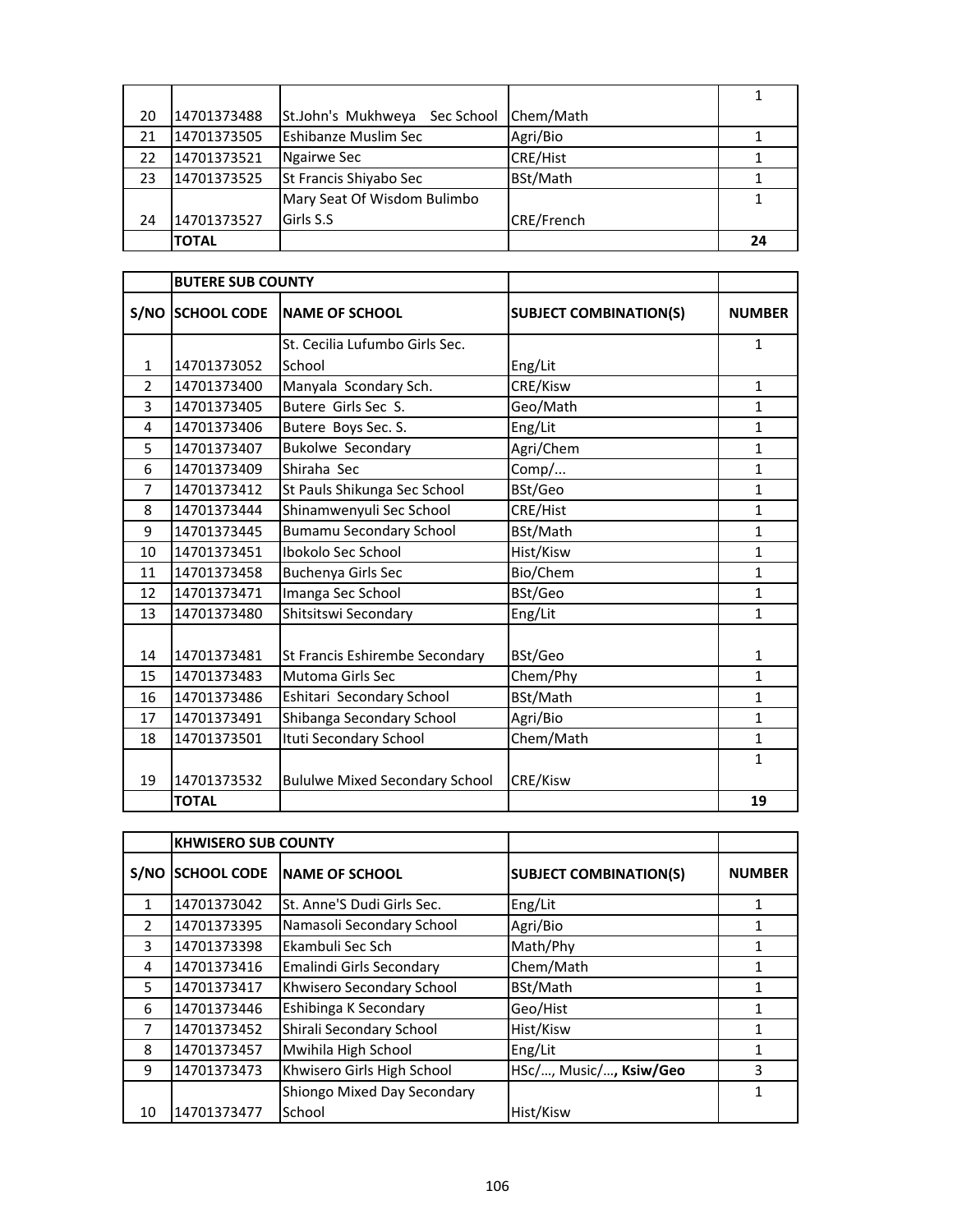| 20 | 14701373488  | St.John's Mukhweya Sec School | Chem/Math         |    |
|----|--------------|-------------------------------|-------------------|----|
| 21 | 14701373505  | <b>Eshibanze Muslim Sec</b>   | Agri/Bio          |    |
| 22 | 14701373521  | Ngairwe Sec                   | <b>CRE/Hist</b>   |    |
| 23 | 14701373525  | St Francis Shiyabo Sec        | BSt/Math          |    |
|    |              | Mary Seat Of Wisdom Bulimbo   |                   |    |
| 24 | 14701373527  | Girls S.S                     | <b>CRE/French</b> |    |
|    | <b>TOTAL</b> |                               |                   | 24 |

|                | <b>BUTERE SUB COUNTY</b> |                                       |                               |               |
|----------------|--------------------------|---------------------------------------|-------------------------------|---------------|
| S/NO           | <b>SCHOOL CODE</b>       | <b>NAME OF SCHOOL</b>                 | <b>SUBJECT COMBINATION(S)</b> | <b>NUMBER</b> |
|                |                          | St. Cecilia Lufumbo Girls Sec.        |                               | $\mathbf{1}$  |
| $\mathbf{1}$   | 14701373052              | School                                | Eng/Lit                       |               |
| $\overline{2}$ | 14701373400              | Manyala Scondary Sch.                 | CRE/Kisw                      | 1             |
| 3              | 14701373405              | Butere Girls Sec S.                   | Geo/Math                      | 1             |
| 4              | 14701373406              | Butere Boys Sec. S.                   | Eng/Lit                       | 1             |
| 5              | 14701373407              | <b>Bukolwe Secondary</b>              | Agri/Chem                     | $\mathbf{1}$  |
| 6              | 14701373409              | Shiraha Sec                           | Comp/                         | $\mathbf{1}$  |
| 7              | 14701373412              | St Pauls Shikunga Sec School          | BSt/Geo                       | 1             |
| 8              | 14701373444              | Shinamwenyuli Sec School              | CRE/Hist                      | $\mathbf{1}$  |
| 9              | 14701373445              | <b>Bumamu Secondary School</b>        | BSt/Math                      | $\mathbf{1}$  |
| 10             | 14701373451              | Ibokolo Sec School                    | Hist/Kisw                     | $\mathbf{1}$  |
| 11             | 14701373458              | Buchenya Girls Sec                    | Bio/Chem                      | 1             |
| 12             | 14701373471              | Imanga Sec School                     | BSt/Geo                       | 1             |
| 13             | 14701373480              | Shitsitswi Secondary                  | Eng/Lit                       | $\mathbf{1}$  |
|                |                          |                                       |                               |               |
| 14             | 14701373481              | St Francis Eshirembe Secondary        | BSt/Geo                       | 1             |
| 15             | 14701373483              | <b>Mutoma Girls Sec</b>               | Chem/Phy                      | 1             |
| 16             | 14701373486              | Eshitari Secondary School             | BSt/Math                      | $\mathbf{1}$  |
| 17             | 14701373491              | Shibanga Secondary School             | Agri/Bio                      | 1             |
| 18             | 14701373501              | Ituti Secondary School                | Chem/Math                     | $\mathbf{1}$  |
| 19             | 14701373532              | <b>Bululwe Mixed Secondary School</b> | CRE/Kisw                      | 1             |
|                | <b>TOTAL</b>             |                                       |                               | 19            |

|               | <b>KHWISERO SUB COUNTY</b> |                             |                               |               |
|---------------|----------------------------|-----------------------------|-------------------------------|---------------|
| S/NO          | <b>SCHOOL CODE</b>         | <b>INAME OF SCHOOL</b>      | <b>SUBJECT COMBINATION(S)</b> | <b>NUMBER</b> |
| $\mathbf{1}$  | 14701373042                | St. Anne'S Dudi Girls Sec.  | Eng/Lit                       | 1             |
| $\mathcal{P}$ | 14701373395                | Namasoli Secondary School   | Agri/Bio                      | 1             |
| 3             | 14701373398                | Ekambuli Sec Sch            | Math/Phy                      | 1             |
| 4             | 14701373416                | Emalindi Girls Secondary    | Chem/Math                     |               |
| 5             | 14701373417                | Khwisero Secondary School   | BSt/Math                      |               |
| 6             | 14701373446                | Eshibinga K Secondary       | Geo/Hist                      | 1             |
| 7             | 14701373452                | Shirali Secondary School    | Hist/Kisw                     |               |
| 8             | 14701373457                | Mwihila High School         | Eng/Lit                       |               |
| 9             | 14701373473                | Khwisero Girls High School  | HSc/, Music/, Ksiw/Geo        | 3             |
|               |                            | Shiongo Mixed Day Secondary |                               |               |
| 10            | 14701373477                | School                      | Hist/Kisw                     |               |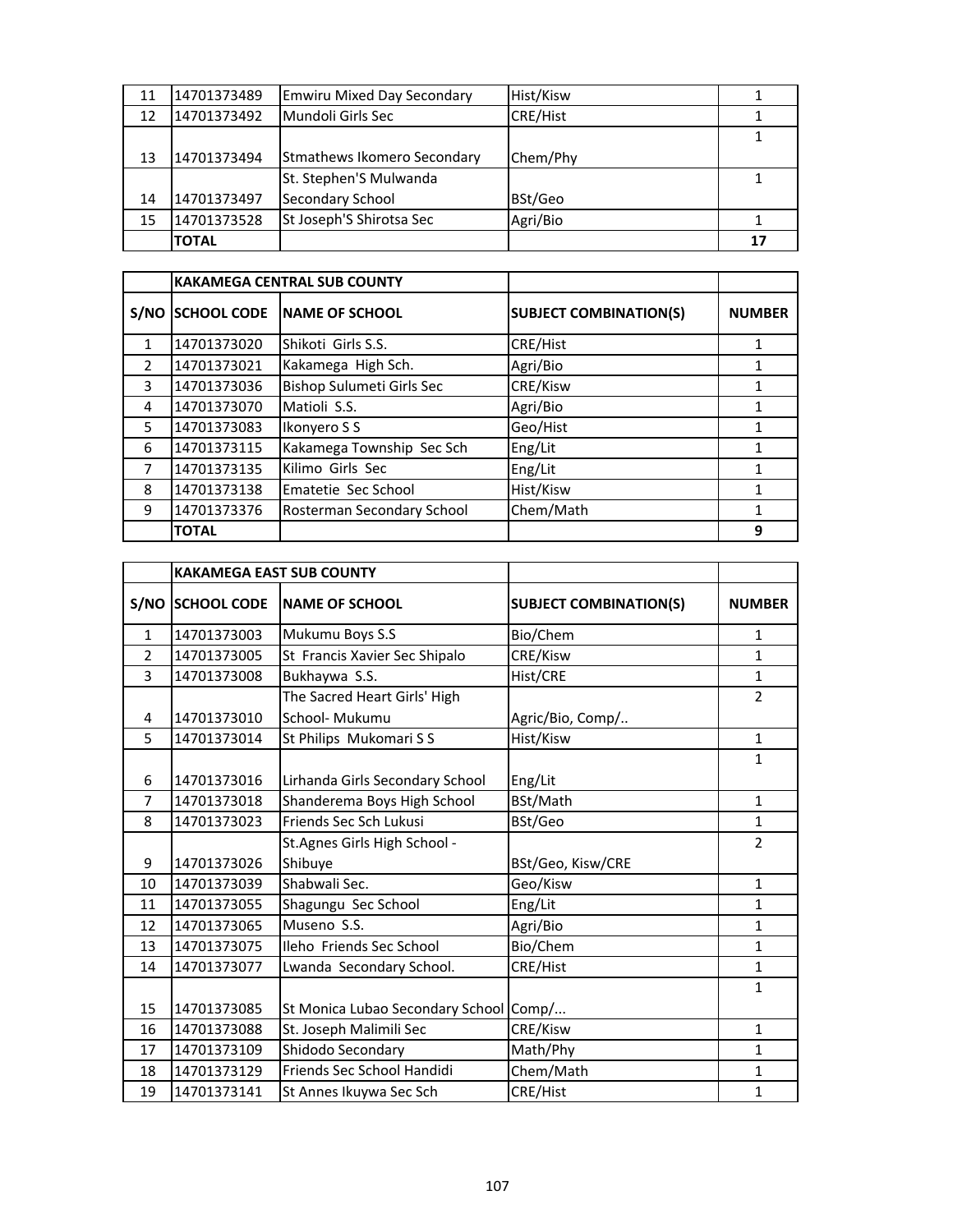| 11 | 14701373489  | <b>Emwiru Mixed Day Secondary</b> | Hist/Kisw |    |
|----|--------------|-----------------------------------|-----------|----|
| 12 | 14701373492  | Mundoli Girls Sec                 | CRE/Hist  |    |
|    |              |                                   |           |    |
| 13 | 14701373494  | Stmathews Ikomero Secondary       | Chem/Phy  |    |
|    |              | St. Stephen'S Mulwanda            |           |    |
| 14 | 14701373497  | <b>Secondary School</b>           | BSt/Geo   |    |
| 15 | 14701373528  | St Joseph'S Shirotsa Sec          | Agri/Bio  |    |
|    | <b>TOTAL</b> |                                   |           | 17 |

|               |                    | <b>KAKAMEGA CENTRAL SUB COUNTY</b> |                               |               |
|---------------|--------------------|------------------------------------|-------------------------------|---------------|
| S/NO          | <b>SCHOOL CODE</b> | <b>INAME OF SCHOOL</b>             | <b>SUBJECT COMBINATION(S)</b> | <b>NUMBER</b> |
| 1             | 14701373020        | Shikoti Girls S.S.                 | <b>CRE/Hist</b>               | 1             |
| $\mathcal{P}$ | 14701373021        | Kakamega High Sch.                 | Agri/Bio                      |               |
| 3             | 14701373036        | Bishop Sulumeti Girls Sec          | CRE/Kisw                      | 1             |
| 4             | 14701373070        | Matioli S.S.                       | Agri/Bio                      |               |
| 5             | 14701373083        | Ikonyero S S                       | Geo/Hist                      | 1             |
| 6             | 14701373115        | Kakamega Township Sec Sch          | Eng/Lit                       |               |
|               | 14701373135        | Kilimo Girls Sec                   | Eng/Lit                       |               |
| 8             | 14701373138        | Ematetie Sec School                | Hist/Kisw                     | 1             |
| 9             | 14701373376        | Rosterman Secondary School         | Chem/Math                     | 1             |
|               | <b>TOTAL</b>       |                                    |                               | 9             |

|                | <b>KAKAMEGA EAST SUB COUNTY</b> |                                        |                               |                          |
|----------------|---------------------------------|----------------------------------------|-------------------------------|--------------------------|
| S/NO           | <b>SCHOOL CODE</b>              | <b>NAME OF SCHOOL</b>                  | <b>SUBJECT COMBINATION(S)</b> | <b>NUMBER</b>            |
| $\mathbf{1}$   | 14701373003                     | Mukumu Boys S.S                        | Bio/Chem                      | 1                        |
| $\overline{2}$ | 14701373005                     | St Francis Xavier Sec Shipalo          | CRE/Kisw                      | $\mathbf{1}$             |
| 3              | 14701373008                     | Bukhaywa S.S.                          | Hist/CRE                      | $\mathbf{1}$             |
|                |                                 | The Sacred Heart Girls' High           |                               | $\overline{2}$           |
| 4              | 14701373010                     | School- Mukumu                         | Agric/Bio, Comp/              |                          |
| 5              | 14701373014                     | St Philips Mukomari S S                | Hist/Kisw                     | $\mathbf{1}$             |
|                |                                 |                                        |                               | $\mathbf{1}$             |
| 6              | 14701373016                     | Lirhanda Girls Secondary School        | Eng/Lit                       |                          |
| 7              | 14701373018                     | Shanderema Boys High School            | BSt/Math                      | $\mathbf{1}$             |
| 8              | 14701373023                     | Friends Sec Sch Lukusi                 | BSt/Geo                       | $\mathbf{1}$             |
|                |                                 | St. Agnes Girls High School -          |                               | $\overline{\phantom{a}}$ |
| 9              | 14701373026                     | Shibuye                                | BSt/Geo, Kisw/CRE             |                          |
| 10             | 14701373039                     | Shabwali Sec.                          | Geo/Kisw                      | $\mathbf{1}$             |
| 11             | 14701373055                     | Shagungu Sec School                    | Eng/Lit                       | 1                        |
| 12             | 14701373065                     | Museno S.S.                            | Agri/Bio                      | 1                        |
| 13             | 14701373075                     | Ileho Friends Sec School               | Bio/Chem                      | $\mathbf{1}$             |
| 14             | 14701373077                     | Lwanda Secondary School.               | CRE/Hist                      | $\mathbf{1}$             |
|                |                                 |                                        |                               | $\mathbf{1}$             |
| 15             | 14701373085                     | St Monica Lubao Secondary School Comp/ |                               |                          |
| 16             | 14701373088                     | St. Joseph Malimili Sec                | CRE/Kisw                      | $\mathbf{1}$             |
| 17             | 14701373109                     | Shidodo Secondary                      | Math/Phy                      | $\mathbf{1}$             |
| 18             | 14701373129                     | Friends Sec School Handidi             | Chem/Math                     | $\mathbf{1}$             |
| 19             | 14701373141                     | St Annes Ikuywa Sec Sch                | CRE/Hist                      | $\mathbf{1}$             |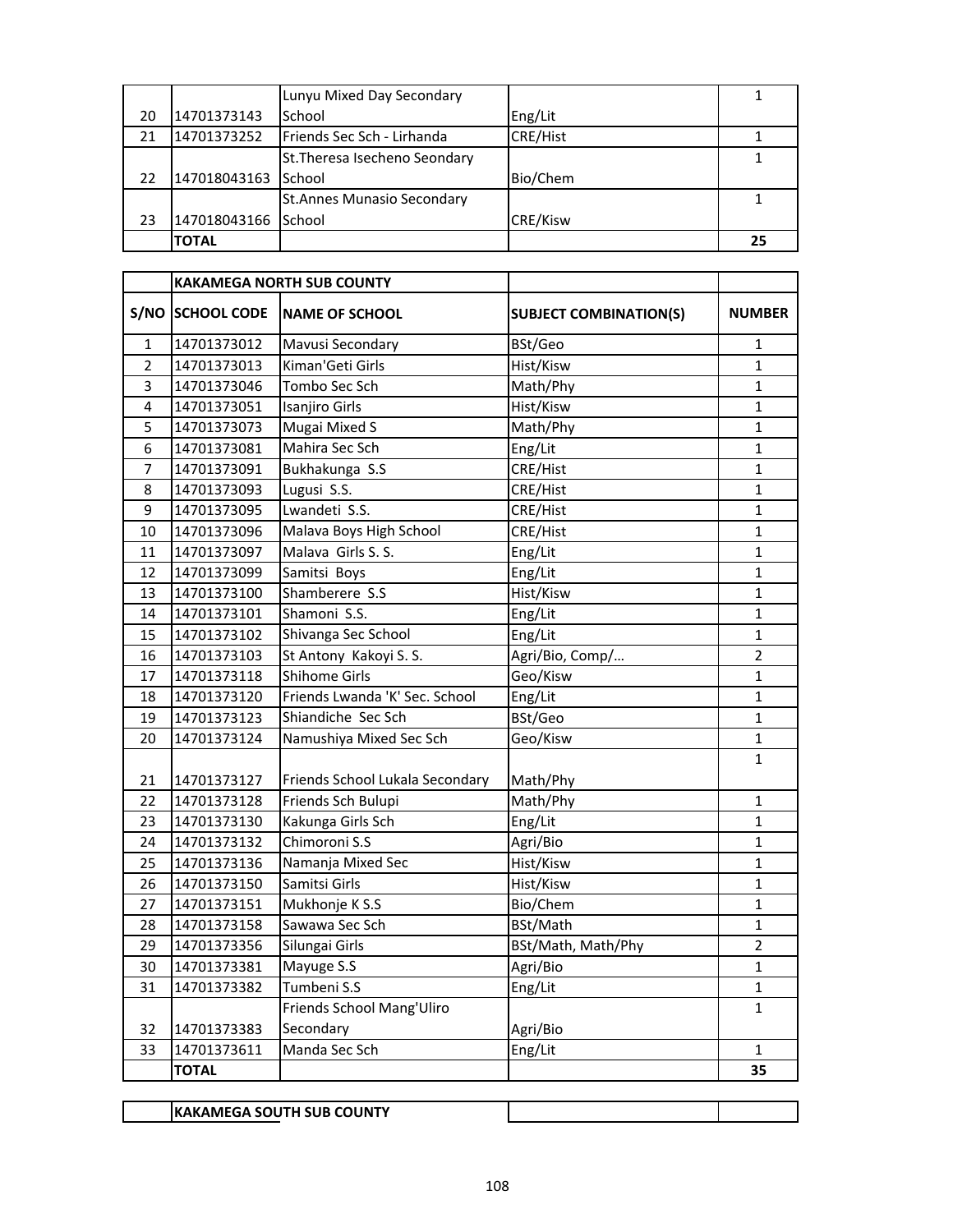|    |              | Lunyu Mixed Day Secondary          |                 |    |
|----|--------------|------------------------------------|-----------------|----|
| 20 | 14701373143  | School                             | Eng/Lit         |    |
| 21 | 14701373252  | <b>IFriends Sec Sch - Lirhanda</b> | <b>CRE/Hist</b> |    |
|    |              | St. Theresa Isecheno Seondary      |                 |    |
| 22 | 147018043163 | School                             | Bio/Chem        |    |
|    |              | <b>St.Annes Munasio Secondary</b>  |                 |    |
| 23 | 147018043166 | School                             | <b>CRE/Kisw</b> |    |
|    | <b>TOTAL</b> |                                    |                 | 25 |

|                |                  | <b>KAKAMEGA NORTH SUB COUNTY</b> |                               |                |
|----------------|------------------|----------------------------------|-------------------------------|----------------|
|                | S/NO SCHOOL CODE | <b>NAME OF SCHOOL</b>            | <b>SUBJECT COMBINATION(S)</b> | <b>NUMBER</b>  |
| $\mathbf{1}$   | 14701373012      | Mavusi Secondary                 | BSt/Geo                       | 1              |
| $\overline{2}$ | 14701373013      | Kiman'Geti Girls                 | Hist/Kisw                     | $\mathbf{1}$   |
| 3              | 14701373046      | Tombo Sec Sch                    | Math/Phy                      | $\mathbf{1}$   |
| 4              | 14701373051      | Isanjiro Girls                   | Hist/Kisw                     | $\mathbf{1}$   |
| 5              | 14701373073      | Mugai Mixed S                    | Math/Phy                      | $\mathbf{1}$   |
| 6              | 14701373081      | Mahira Sec Sch                   | Eng/Lit                       | $\mathbf{1}$   |
| 7              | 14701373091      | Bukhakunga S.S                   | CRE/Hist                      | $\mathbf{1}$   |
| 8              | 14701373093      | Lugusi S.S.                      | CRE/Hist                      | $\mathbf{1}$   |
| 9              | 14701373095      | Lwandeti S.S.                    | CRE/Hist                      | $\mathbf 1$    |
| 10             | 14701373096      | Malava Boys High School          | CRE/Hist                      | $\mathbf{1}$   |
| 11             | 14701373097      | Malava Girls S. S.               | Eng/Lit                       | $\mathbf 1$    |
| 12             | 14701373099      | Samitsi Boys                     | Eng/Lit                       | $\mathbf 1$    |
| 13             | 14701373100      | Shamberere S.S                   | Hist/Kisw                     | $\mathbf{1}$   |
| 14             | 14701373101      | Shamoni S.S.                     | Eng/Lit                       | $\mathbf{1}$   |
| 15             | 14701373102      | Shivanga Sec School              | Eng/Lit                       | $\mathbf{1}$   |
| 16             | 14701373103      | St Antony Kakoyi S. S.           | Agri/Bio, Comp/               | $\overline{2}$ |
| 17             | 14701373118      | Shihome Girls                    | Geo/Kisw                      | 1              |
| 18             | 14701373120      | Friends Lwanda 'K' Sec. School   | Eng/Lit                       | 1              |
| 19             | 14701373123      | Shiandiche Sec Sch               | BSt/Geo                       | $\mathbf 1$    |
| 20             | 14701373124      | Namushiya Mixed Sec Sch          | Geo/Kisw                      | $\mathbf{1}$   |
| 21             | 14701373127      | Friends School Lukala Secondary  | Math/Phy                      | 1              |
| 22             | 14701373128      | Friends Sch Bulupi               | Math/Phy                      | $\mathbf{1}$   |
| 23             | 14701373130      | Kakunga Girls Sch                | Eng/Lit                       | $\mathbf{1}$   |
| 24             | 14701373132      | Chimoroni S.S                    | Agri/Bio                      | $\mathbf{1}$   |
| 25             | 14701373136      | Namanja Mixed Sec                | Hist/Kisw                     | $\mathbf{1}$   |
| 26             | 14701373150      | Samitsi Girls                    | Hist/Kisw                     | $\mathbf{1}$   |
| 27             | 14701373151      | Mukhonje K S.S                   | Bio/Chem                      | 1              |
| 28             | 14701373158      | Sawawa Sec Sch                   | BSt/Math                      | 1              |
| 29             | 14701373356      | Silungai Girls                   | BSt/Math, Math/Phy            | $\overline{2}$ |
| 30             | 14701373381      | Mayuge S.S                       | Agri/Bio                      | $\mathbf{1}$   |
| 31             | 14701373382      | Tumbeni S.S                      | Eng/Lit                       | $\mathbf 1$    |
|                |                  | Friends School Mang'Uliro        |                               | $\mathbf{1}$   |
| 32             | 14701373383      | Secondary                        | Agri/Bio                      |                |
| 33             | 14701373611      | Manda Sec Sch                    | Eng/Lit                       | $\mathbf{1}$   |
|                | <b>TOTAL</b>     |                                  |                               | 35             |

**KAKAMEGA SOUTH SUB COUNTY**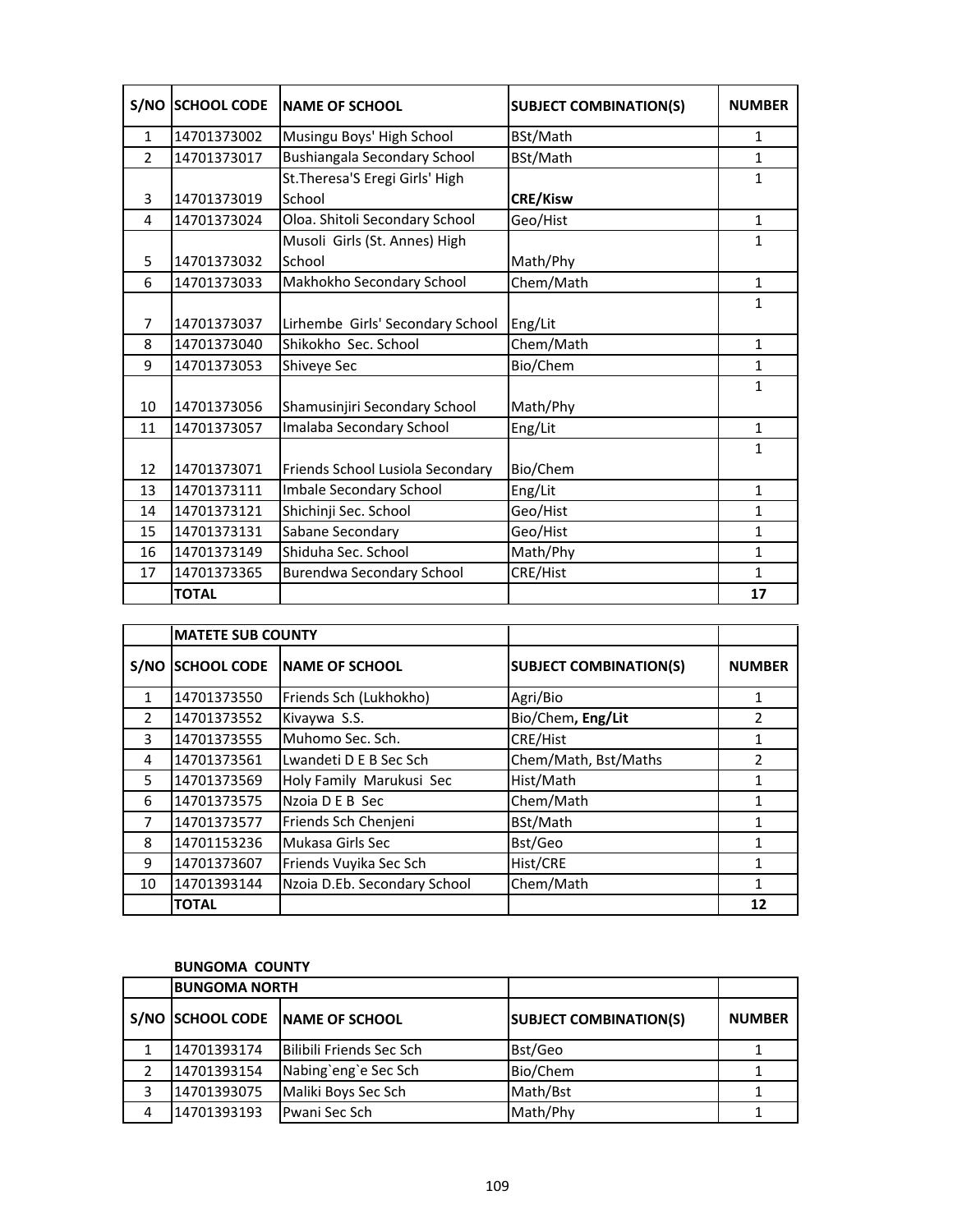| S/NO           | <b>SCHOOL CODE</b> | <b>NAME OF SCHOOL</b>            | <b>SUBJECT COMBINATION(S)</b> | <b>NUMBER</b> |
|----------------|--------------------|----------------------------------|-------------------------------|---------------|
| $\mathbf{1}$   | 14701373002        | Musingu Boys' High School        | BSt/Math                      | $\mathbf{1}$  |
| $\overline{2}$ | 14701373017        | Bushiangala Secondary School     | BSt/Math                      | $\mathbf{1}$  |
|                |                    | St. Theresa'S Eregi Girls' High  |                               | $\mathbf{1}$  |
| 3              | 14701373019        | School                           | <b>CRE/Kisw</b>               |               |
| 4              | 14701373024        | Oloa. Shitoli Secondary School   | Geo/Hist                      | $\mathbf{1}$  |
|                |                    | Musoli Girls (St. Annes) High    |                               | $\mathbf{1}$  |
| 5              | 14701373032        | School                           | Math/Phy                      |               |
| 6              | 14701373033        | Makhokho Secondary School        | Chem/Math                     | $\mathbf{1}$  |
|                |                    |                                  |                               | $\mathbf{1}$  |
| $\overline{7}$ | 14701373037        | Lirhembe Girls' Secondary School | Eng/Lit                       |               |
| 8              | 14701373040        | Shikokho Sec. School             | Chem/Math                     | $\mathbf{1}$  |
| 9              | 14701373053        | Shiveye Sec                      | Bio/Chem                      | 1             |
|                |                    |                                  |                               | $\mathbf{1}$  |
| 10             | 14701373056        | Shamusinjiri Secondary School    | Math/Phy                      |               |
| 11             | 14701373057        | Imalaba Secondary School         | Eng/Lit                       | $\mathbf{1}$  |
|                |                    |                                  |                               | 1             |
| 12             | 14701373071        | Friends School Lusiola Secondary | Bio/Chem                      |               |
| 13             | 14701373111        | Imbale Secondary School          | Eng/Lit                       | $\mathbf{1}$  |
| 14             | 14701373121        | Shichinji Sec. School            | Geo/Hist                      | $\mathbf{1}$  |
| 15             | 14701373131        | Sabane Secondary                 | Geo/Hist                      | $\mathbf{1}$  |
| 16             | 14701373149        | Shiduha Sec. School              | Math/Phy                      | $\mathbf{1}$  |
| 17             | 14701373365        | <b>Burendwa Secondary School</b> | CRE/Hist                      | $\mathbf{1}$  |
|                | <b>TOTAL</b>       |                                  |                               | 17            |

|               | <b>MATETE SUB COUNTY</b> |                              |                               |               |
|---------------|--------------------------|------------------------------|-------------------------------|---------------|
| S/NO          | <b>SCHOOL CODE</b>       | <b>NAME OF SCHOOL</b>        | <b>SUBJECT COMBINATION(S)</b> | <b>NUMBER</b> |
| $\mathbf{1}$  | 14701373550              | Friends Sch (Lukhokho)       | Agri/Bio                      | 1             |
| $\mathcal{P}$ | 14701373552              | Kivaywa S.S.                 | Bio/Chem, Eng/Lit             | $\mathfrak z$ |
| 3             | 14701373555              | Muhomo Sec. Sch.             | CRE/Hist                      | 1             |
| 4             | 14701373561              | Lwandeti D E B Sec Sch       | Chem/Math, Bst/Maths          | $\mathfrak z$ |
| 5             | 14701373569              | Holy Family Marukusi Sec     | Hist/Math                     | 1             |
| 6             | 14701373575              | Nzoia D E B Sec              | Chem/Math                     |               |
| 7             | 14701373577              | Friends Sch Chenjeni         | BSt/Math                      | 1             |
| 8             | 14701153236              | Mukasa Girls Sec             | Bst/Geo                       | 1             |
| 9             | 14701373607              | Friends Vuyika Sec Sch       | Hist/CRE                      |               |
| 10            | 14701393144              | Nzoia D.Eb. Secondary School | Chem/Math                     | 1             |
|               | <b>TOTAL</b>             |                              |                               | 12            |

#### **BUNGOMA COUNTY**

|   | <b>BUNGOMA NORTH</b> |                                 |                               |               |
|---|----------------------|---------------------------------|-------------------------------|---------------|
|   |                      | S/NO SCHOOL CODE NAME OF SCHOOL | <b>SUBJECT COMBINATION(S)</b> | <b>NUMBER</b> |
|   | 14701393174          | Bilibili Friends Sec Sch        | Bst/Geo                       |               |
|   | 14701393154          | Nabing'eng'e Sec Sch            | Bio/Chem                      |               |
|   | 14701393075          | Maliki Boys Sec Sch             | Math/Bst                      |               |
| 4 | 14701393193          | <b>Pwani Sec Sch</b>            | Math/Phy                      |               |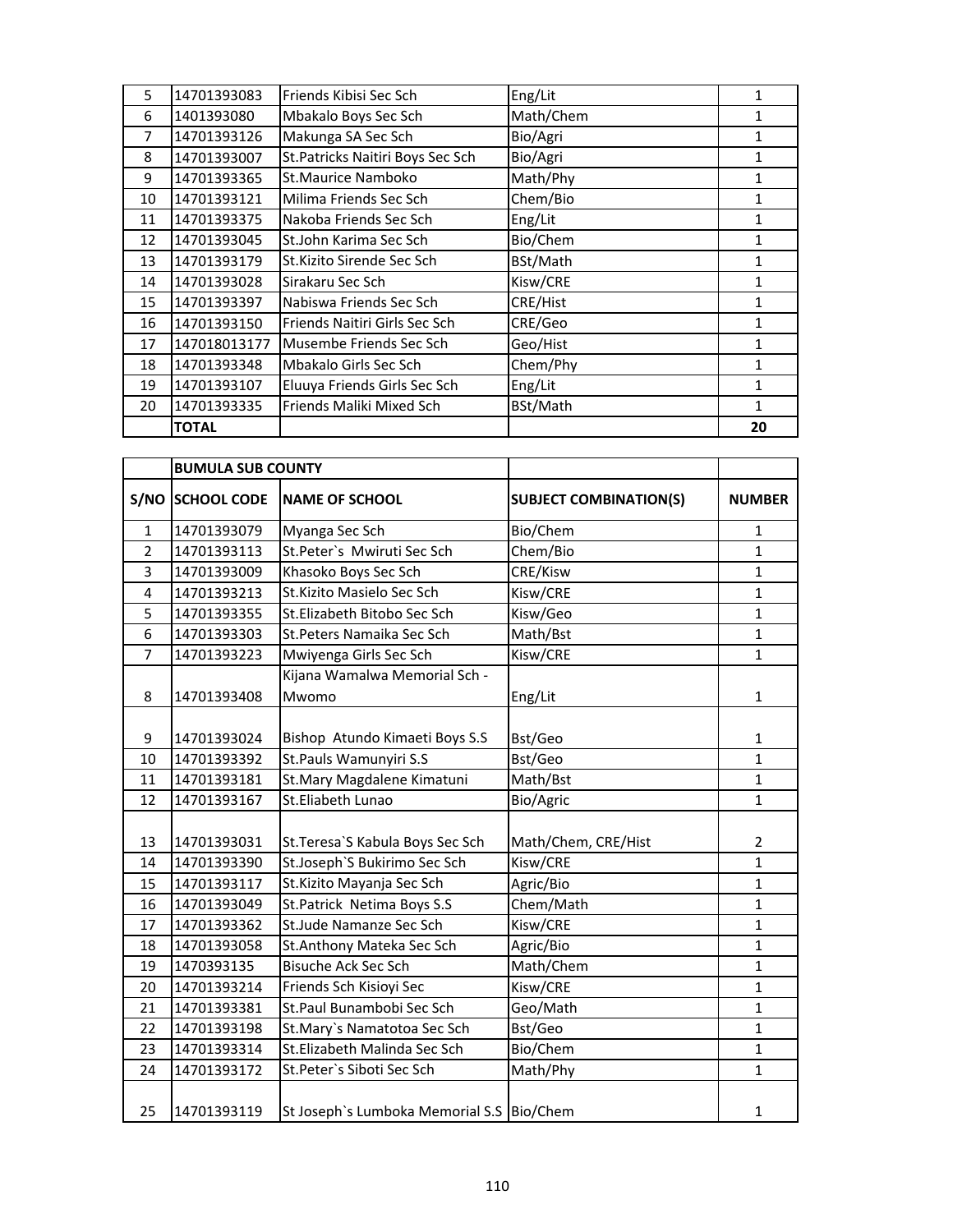| 5  | 14701393083  | Friends Kibisi Sec Sch            | Eng/Lit   |    |
|----|--------------|-----------------------------------|-----------|----|
| 6  | 1401393080   | Mbakalo Boys Sec Sch              | Math/Chem | 1  |
| 7  | 14701393126  | Makunga SA Sec Sch                | Bio/Agri  | 1  |
| 8  | 14701393007  | St. Patricks Naitiri Boys Sec Sch | Bio/Agri  | 1  |
| 9  | 14701393365  | St.Maurice Namboko                | Math/Phy  | 1  |
| 10 | 14701393121  | Milima Friends Sec Sch            | Chem/Bio  | 1  |
| 11 | 14701393375  | Nakoba Friends Sec Sch            | Eng/Lit   | 1  |
| 12 | 14701393045  | St.John Karima Sec Sch            | Bio/Chem  | 1  |
| 13 | 14701393179  | St.Kizito Sirende Sec Sch         | BSt/Math  | 1  |
| 14 | 14701393028  | Sirakaru Sec Sch                  | Kisw/CRE  | 1  |
| 15 | 14701393397  | Nabiswa Friends Sec Sch           | CRE/Hist  | 1  |
| 16 | 14701393150  | Friends Naitiri Girls Sec Sch     | CRE/Geo   | 1  |
| 17 | 147018013177 | Musembe Friends Sec Sch           | Geo/Hist  | 1  |
| 18 | 14701393348  | Mbakalo Girls Sec Sch             | Chem/Phy  | 1  |
| 19 | 14701393107  | Eluuya Friends Girls Sec Sch      | Eng/Lit   | 1  |
| 20 | 14701393335  | Friends Maliki Mixed Sch          | BSt/Math  | 1  |
|    | <b>TOTAL</b> |                                   |           | 20 |

|                | <b>BUMULA SUB COUNTY</b> |                                           |                               |                |
|----------------|--------------------------|-------------------------------------------|-------------------------------|----------------|
|                | S/NO SCHOOL CODE         | <b>NAME OF SCHOOL</b>                     | <b>SUBJECT COMBINATION(S)</b> | <b>NUMBER</b>  |
| $\mathbf{1}$   | 14701393079              | Myanga Sec Sch                            | Bio/Chem                      | 1              |
| $\overline{2}$ | 14701393113              | St.Peter's Mwiruti Sec Sch                | Chem/Bio                      | 1              |
| 3              | 14701393009              | Khasoko Boys Sec Sch                      | CRE/Kisw                      | $\mathbf{1}$   |
| 4              | 14701393213              | St.Kizito Masielo Sec Sch                 | Kisw/CRE                      | $\mathbf 1$    |
| 5              | 14701393355              | St.Elizabeth Bitobo Sec Sch               | Kisw/Geo                      | 1              |
| 6              | 14701393303              | St.Peters Namaika Sec Sch                 | Math/Bst                      | $\mathbf{1}$   |
| 7              | 14701393223              | Mwiyenga Girls Sec Sch                    | Kisw/CRE                      | $\mathbf{1}$   |
|                |                          | Kijana Wamalwa Memorial Sch -             |                               |                |
| 8              | 14701393408              | Mwomo                                     | Eng/Lit                       | 1              |
|                |                          |                                           |                               |                |
| 9              | 14701393024              | Bishop Atundo Kimaeti Boys S.S            | Bst/Geo                       | $\mathbf{1}$   |
| 10             | 14701393392              | St.Pauls Wamunyiri S.S                    | Bst/Geo                       | $\mathbf 1$    |
| 11             | 14701393181              | St.Mary Magdalene Kimatuni                | Math/Bst                      | $\mathbf{1}$   |
| 12             | 14701393167              | St.Eliabeth Lunao                         | Bio/Agric                     | 1              |
|                |                          |                                           |                               |                |
| 13             | 14701393031              | St. Teresa'S Kabula Boys Sec Sch          | Math/Chem, CRE/Hist           | $\overline{2}$ |
| 14             | 14701393390              | St.Joseph'S Bukirimo Sec Sch              | Kisw/CRE                      | $\mathbf{1}$   |
| 15             | 14701393117              | St. Kizito Mayanja Sec Sch                | Agric/Bio                     | $\mathbf{1}$   |
| 16             | 14701393049              | St. Patrick Netima Boys S.S               | Chem/Math                     | 1              |
| 17             | 14701393362              | St.Jude Namanze Sec Sch                   | Kisw/CRE                      | 1              |
| 18             | 14701393058              | St.Anthony Mateka Sec Sch                 | Agric/Bio                     | 1              |
| 19             | 1470393135               | <b>Bisuche Ack Sec Sch</b>                | Math/Chem                     | 1              |
| 20             | 14701393214              | Friends Sch Kisioyi Sec                   | Kisw/CRE                      | $\mathbf{1}$   |
| 21             | 14701393381              | St.Paul Bunambobi Sec Sch                 | Geo/Math                      | $\mathbf{1}$   |
| 22             | 14701393198              | St.Mary's Namatotoa Sec Sch               | Bst/Geo                       | $\mathbf{1}$   |
| 23             | 14701393314              | St.Elizabeth Malinda Sec Sch              | Bio/Chem                      | 1              |
| 24             | 14701393172              | St.Peter's Siboti Sec Sch                 | Math/Phy                      | $\mathbf{1}$   |
| 25             | 14701393119              | St Joseph's Lumboka Memorial S.S Bio/Chem |                               | $\mathbf{1}$   |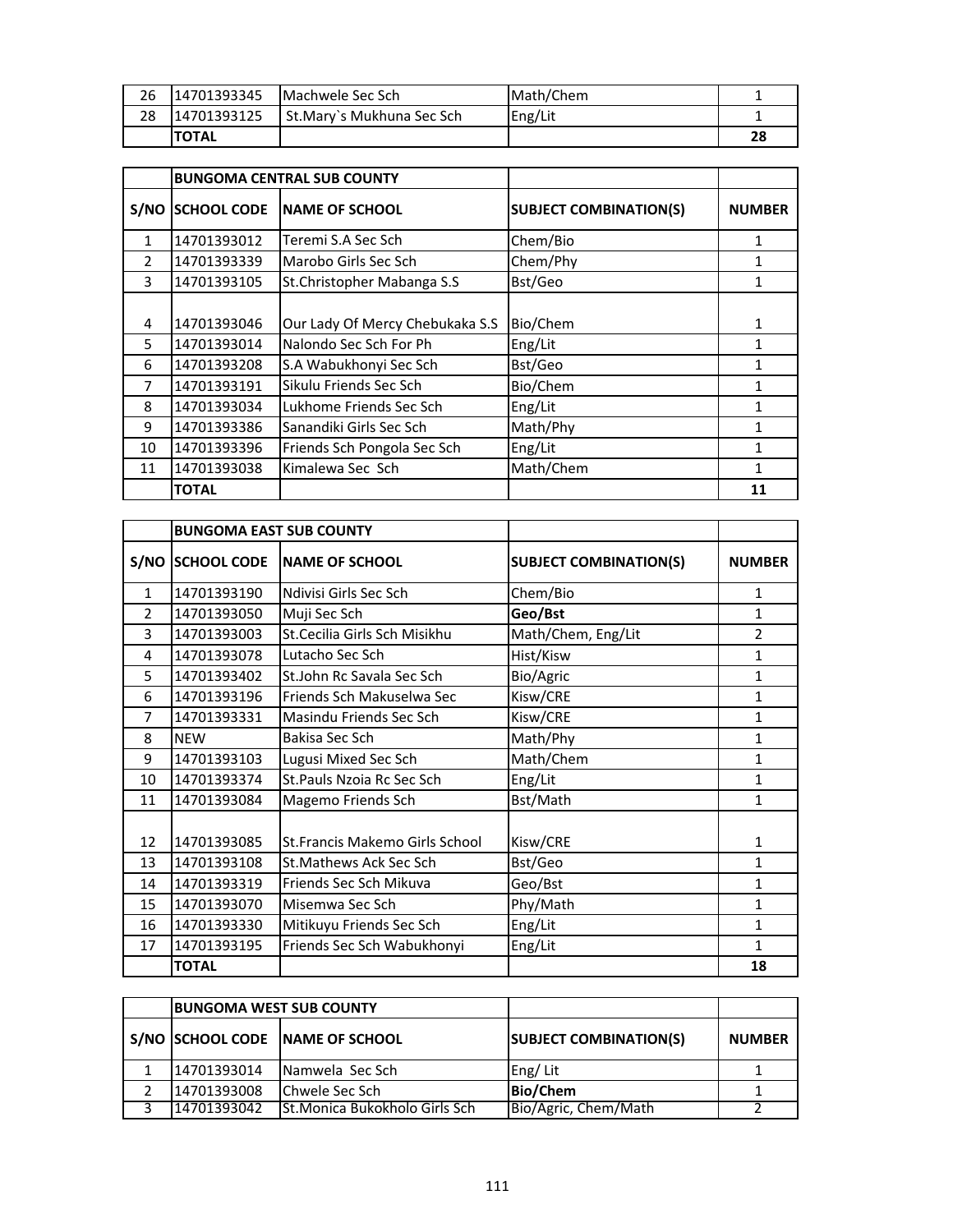| 26 | 14701393345  | Machwele Sec Sch            | Math/Chem |    |
|----|--------------|-----------------------------|-----------|----|
| 28 | 14701393125  | l St.Marv`s Mukhuna Sec Sch | Eng/Lit   |    |
|    | <b>TOTAL</b> |                             |           | 28 |

|               |                    | <b>BUNGOMA CENTRAL SUB COUNTY</b> |                               |               |
|---------------|--------------------|-----------------------------------|-------------------------------|---------------|
| S/NO          | <b>SCHOOL CODE</b> | <b>INAME OF SCHOOL</b>            | <b>SUBJECT COMBINATION(S)</b> | <b>NUMBER</b> |
| $\mathbf{1}$  | 14701393012        | Teremi S.A Sec Sch                | Chem/Bio                      | 1             |
| $\mathcal{P}$ | 14701393339        | Marobo Girls Sec Sch              | Chem/Phy                      | 1             |
| 3             | 14701393105        | St.Christopher Mabanga S.S        | Bst/Geo                       | 1             |
| 4             | 14701393046        | Our Lady Of Mercy Chebukaka S.S   | Bio/Chem                      | 1             |
| 5             | 14701393014        | Nalondo Sec Sch For Ph            | Eng/Lit                       | 1             |
| 6             | 14701393208        | S.A Wabukhonyi Sec Sch            | Bst/Geo                       | 1             |
| 7             | 14701393191        | Sikulu Friends Sec Sch            | Bio/Chem                      | 1             |
| 8             | 14701393034        | Lukhome Friends Sec Sch           | Eng/Lit                       | 1             |
| 9             | 14701393386        | Sanandiki Girls Sec Sch           | Math/Phy                      | 1             |
| 10            | 14701393396        | Friends Sch Pongola Sec Sch       | Eng/Lit                       | 1             |
| 11            | 14701393038        | Kimalewa Sec Sch                  | Math/Chem                     | 1             |
|               | <b>TOTAL</b>       |                                   |                               | 11            |

|              | <b>BUNGOMA EAST SUB COUNTY</b> |                                |                               |                |
|--------------|--------------------------------|--------------------------------|-------------------------------|----------------|
| S/NO         | <b>SCHOOL CODE</b>             | <b>NAME OF SCHOOL</b>          | <b>SUBJECT COMBINATION(S)</b> | <b>NUMBER</b>  |
| $\mathbf{1}$ | 14701393190                    | Ndivisi Girls Sec Sch          | Chem/Bio                      | 1              |
| 2            | 14701393050                    | Muji Sec Sch                   | Geo/Bst                       | 1              |
| 3            | 14701393003                    | St.Cecilia Girls Sch Misikhu   | Math/Chem, Eng/Lit            | $\overline{2}$ |
| 4            | 14701393078                    | Lutacho Sec Sch                | Hist/Kisw                     | 1              |
| 5            | 14701393402                    | St.John Rc Savala Sec Sch      | Bio/Agric                     | 1              |
| 6            | 14701393196                    | Friends Sch Makuselwa Sec      | Kisw/CRE                      | 1              |
| 7            | 14701393331                    | Masindu Friends Sec Sch        | Kisw/CRE                      | 1              |
| 8            | <b>NEW</b>                     | Bakisa Sec Sch                 | Math/Phy                      | 1              |
| 9            | 14701393103                    | Lugusi Mixed Sec Sch           | Math/Chem                     | 1              |
| 10           | 14701393374                    | St. Pauls Nzoia Rc Sec Sch     | Eng/Lit                       | 1              |
| 11           | 14701393084                    | Magemo Friends Sch             | Bst/Math                      | 1              |
| 12           | 14701393085                    | St.Francis Makemo Girls School | Kisw/CRE                      | 1              |
| 13           | 14701393108                    | <b>St.Mathews Ack Sec Sch</b>  | Bst/Geo                       | 1              |
| 14           | 14701393319                    | Friends Sec Sch Mikuva         | Geo/Bst                       | 1              |
| 15           | 14701393070                    | Misemwa Sec Sch                | Phy/Math                      | 1              |
| 16           | 14701393330                    | Mitikuyu Friends Sec Sch       | Eng/Lit                       | 1              |
| 17           | 14701393195                    | Friends Sec Sch Wabukhonyi     | Eng/Lit                       | 1              |
|              | <b>TOTAL</b>                   |                                |                               | 18             |

| <b>BUNGOMA WEST SUB COUNTY</b> |                                 |                               |               |
|--------------------------------|---------------------------------|-------------------------------|---------------|
|                                | S/NO SCHOOL CODE NAME OF SCHOOL | <b>SUBJECT COMBINATION(S)</b> | <b>NUMBER</b> |
| 14701393014                    | Namwela Sec Sch                 | Eng/Lit                       |               |
| 14701393008                    | <b>Chwele Sec Sch</b>           | <b>Bio/Chem</b>               |               |
| 14701393042                    | St.Monica Bukokholo Girls Sch   | Bio/Agric, Chem/Math          |               |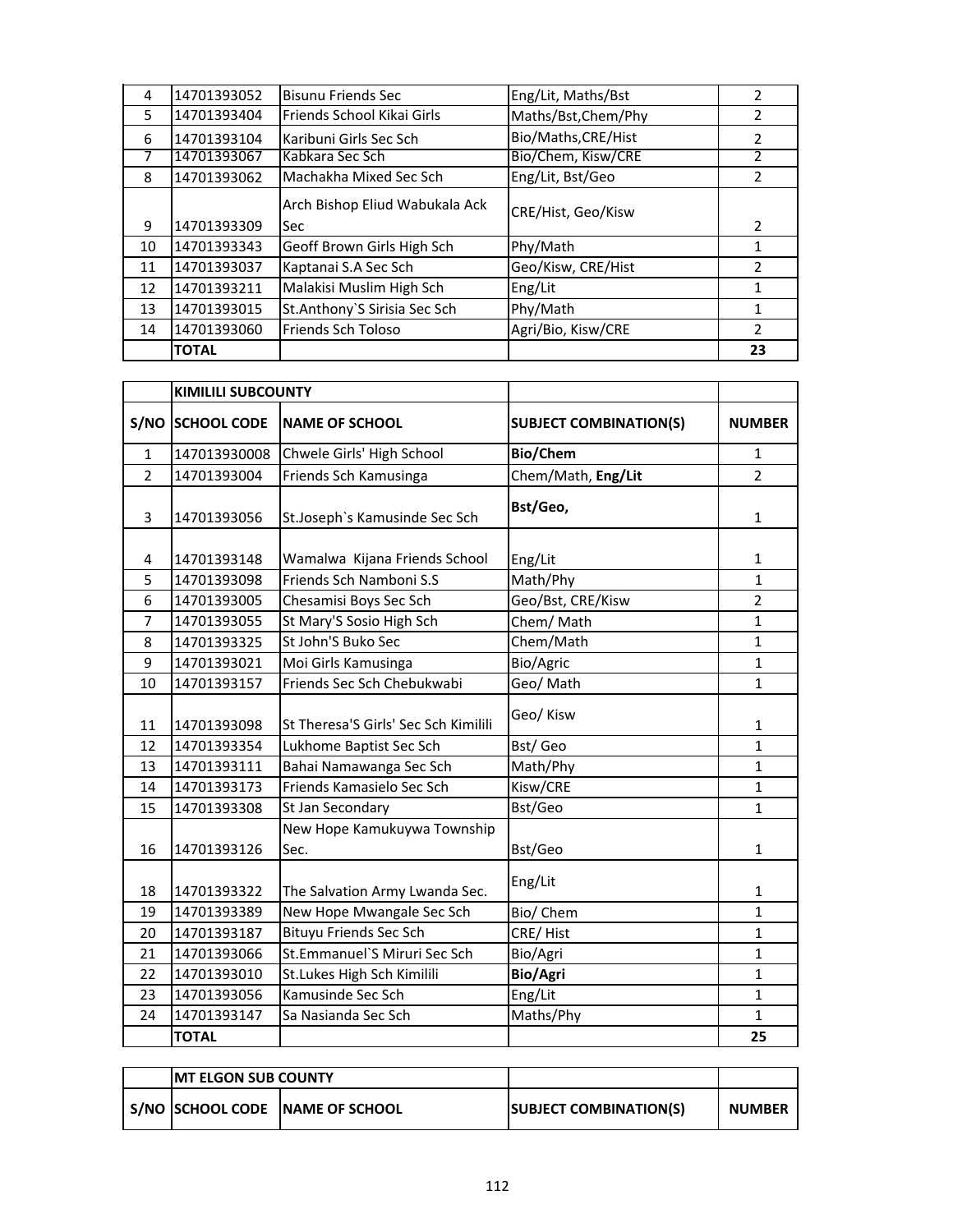| 4  | 14701393052  | <b>Bisunu Friends Sec</b>      | Eng/Lit, Maths/Bst  | $\mathcal{P}$ |
|----|--------------|--------------------------------|---------------------|---------------|
| 5  | 14701393404  | Friends School Kikai Girls     | Maths/Bst, Chem/Phy | 2             |
| 6  | 14701393104  | Karibuni Girls Sec Sch         | Bio/Maths, CRE/Hist | $\mathcal{P}$ |
| 7  | 14701393067  | Kabkara Sec Sch                | Bio/Chem, Kisw/CRE  |               |
| 8  | 14701393062  | Machakha Mixed Sec Sch         | Eng/Lit, Bst/Geo    | 2             |
|    |              | Arch Bishop Eliud Wabukala Ack | CRE/Hist, Geo/Kisw  |               |
| 9  | 14701393309  | <b>Sec</b>                     |                     | 2             |
| 10 | 14701393343  | Geoff Brown Girls High Sch     | Phy/Math            | 1             |
| 11 | 14701393037  | Kaptanai S.A Sec Sch           | Geo/Kisw, CRE/Hist  | $\mathfrak z$ |
| 12 | 14701393211  | Malakisi Muslim High Sch       | Eng/Lit             | 1             |
| 13 | 14701393015  | St.Anthony'S Sirisia Sec Sch   | Phy/Math            | 1             |
| 14 | 14701393060  | Friends Sch Toloso             | Agri/Bio, Kisw/CRE  | $\mathcal{P}$ |
|    | <b>TOTAL</b> |                                |                     | 23            |

|                | <b>KIMILILI SUBCOUNTY</b> |                                      |                               |                |
|----------------|---------------------------|--------------------------------------|-------------------------------|----------------|
|                | <b>S/NO SCHOOL CODE</b>   | <b>NAME OF SCHOOL</b>                | <b>SUBJECT COMBINATION(S)</b> | <b>NUMBER</b>  |
| $\mathbf{1}$   | 147013930008              | Chwele Girls' High School            | Bio/Chem                      | 1              |
| $\overline{2}$ | 14701393004               | Friends Sch Kamusinga                | Chem/Math, Eng/Lit            | $\overline{2}$ |
| 3              | 14701393056               | St.Joseph's Kamusinde Sec Sch        | Bst/Geo,                      | 1              |
| 4              | 14701393148               | Wamalwa Kijana Friends School        | Eng/Lit                       | $\mathbf{1}$   |
| 5              | 14701393098               | Friends Sch Namboni S.S              | Math/Phy                      | $\mathbf{1}$   |
| 6              | 14701393005               | Chesamisi Boys Sec Sch               | Geo/Bst, CRE/Kisw             | $\overline{2}$ |
| $\overline{7}$ | 14701393055               | St Mary'S Sosio High Sch             | Chem/Math                     | 1              |
| 8              | 14701393325               | St John'S Buko Sec                   | Chem/Math                     | 1              |
| 9              | 14701393021               | Moi Girls Kamusinga                  | Bio/Agric                     | $\mathbf{1}$   |
| 10             | 14701393157               | Friends Sec Sch Chebukwabi           | Geo/ Math                     | $\mathbf{1}$   |
| 11             | 14701393098               | St Theresa'S Girls' Sec Sch Kimilili | Geo/ Kisw                     | $\mathbf 1$    |
| 12             | 14701393354               | Lukhome Baptist Sec Sch              | Bst/Geo                       | $\mathbf{1}$   |
| 13             | 14701393111               | Bahai Namawanga Sec Sch              | Math/Phy                      | 1              |
| 14             | 14701393173               | Friends Kamasielo Sec Sch            | Kisw/CRE                      | $\mathbf{1}$   |
| 15             | 14701393308               | St Jan Secondary                     | Bst/Geo                       | $\mathbf{1}$   |
| 16             | 14701393126               | New Hope Kamukuywa Township<br>Sec.  | Bst/Geo                       | $\mathbf{1}$   |
| 18             | 14701393322               | The Salvation Army Lwanda Sec.       | Eng/Lit                       | $\mathbf{1}$   |
| 19             | 14701393389               | New Hope Mwangale Sec Sch            | Bio/ Chem                     | $\mathbf{1}$   |
| 20             | 14701393187               | <b>Bituyu Friends Sec Sch</b>        | CRE/Hist                      | $\mathbf{1}$   |
| 21             | 14701393066               | St.Emmanuel'S Miruri Sec Sch         | Bio/Agri                      | $\mathbf{1}$   |
| 22             | 14701393010               | St.Lukes High Sch Kimilili           | Bio/Agri                      | $\mathbf{1}$   |
| 23             | 14701393056               | Kamusinde Sec Sch                    | Eng/Lit                       | 1              |
| 24             | 14701393147               | Sa Nasianda Sec Sch                  | Maths/Phy                     | $\mathbf{1}$   |
|                | <b>TOTAL</b>              |                                      |                               | 25             |

|  | <b>IMT ELGON SUB COUNTY</b> |                                 |                               |               |
|--|-----------------------------|---------------------------------|-------------------------------|---------------|
|  |                             | S/NO SCHOOL CODE NAME OF SCHOOL | <b>SUBJECT COMBINATION(S)</b> | <b>NUMBER</b> |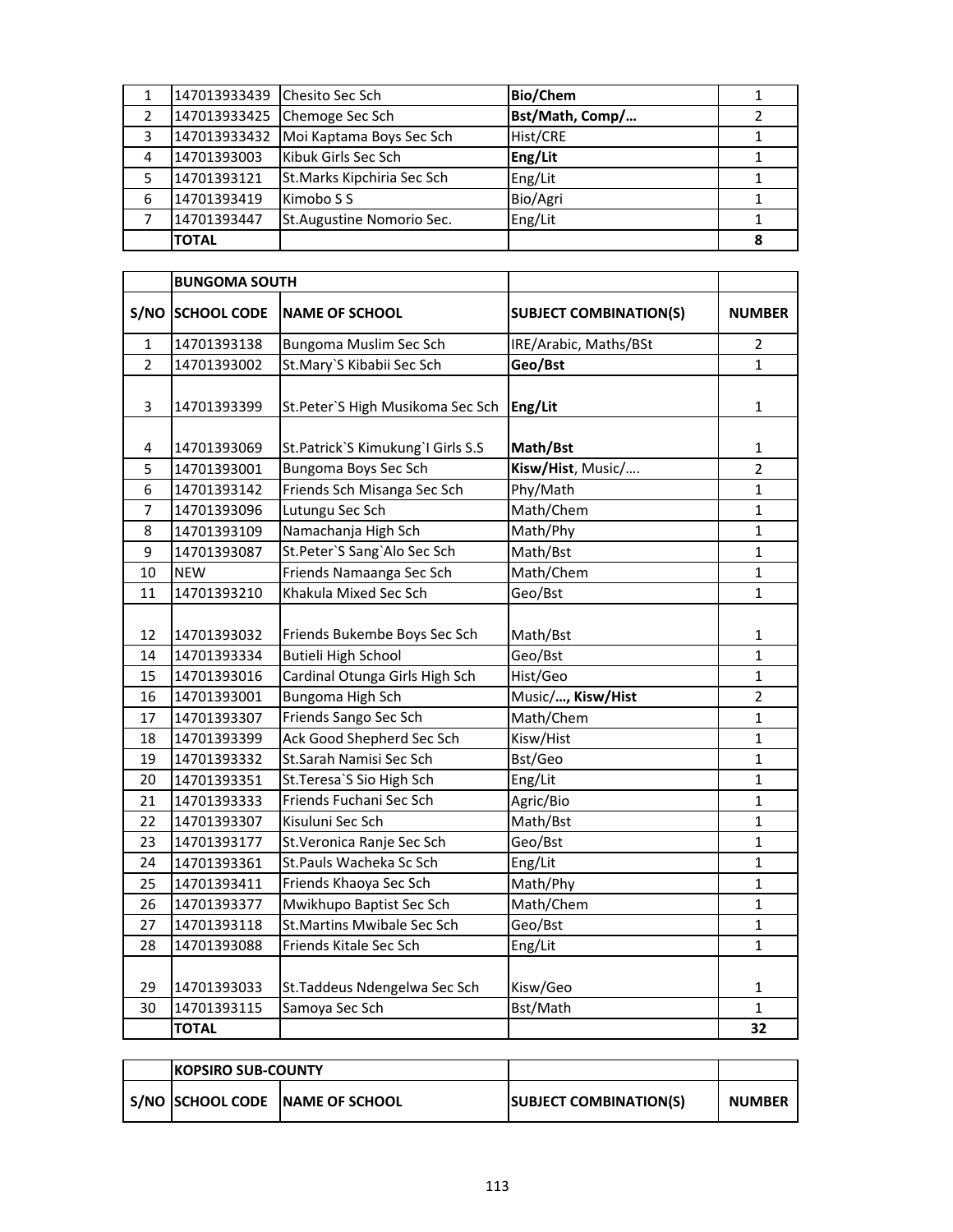|   | 147013933439 Chesito Sec Sch |                             | <b>Bio/Chem</b> |  |
|---|------------------------------|-----------------------------|-----------------|--|
|   | 147013933425                 | Chemoge Sec Sch             | Bst/Math, Comp/ |  |
| 3 | 147013933432                 | Moi Kaptama Boys Sec Sch    | Hist/CRE        |  |
| 4 | 14701393003                  | Kibuk Girls Sec Sch         | Eng/Lit         |  |
| 5 | 14701393121                  | St. Marks Kipchiria Sec Sch | Eng/Lit         |  |
| 6 | 14701393419                  | Kimobo S S                  | Bio/Agri        |  |
|   | 14701393447                  | St.Augustine Nomorio Sec.   | Eng/Lit         |  |
|   | <b>TOTAL</b>                 |                             |                 |  |

|                | <b>BUNGOMA SOUTH</b>       |                                                            |                               |                |
|----------------|----------------------------|------------------------------------------------------------|-------------------------------|----------------|
|                | S/NO SCHOOL CODE           | <b>NAME OF SCHOOL</b>                                      | <b>SUBJECT COMBINATION(S)</b> | <b>NUMBER</b>  |
| 1              | 14701393138                | Bungoma Muslim Sec Sch                                     | IRE/Arabic, Maths/BSt         | 2              |
| $\overline{2}$ | 14701393002                | St.Mary'S Kibabii Sec Sch                                  | Geo/Bst                       | $\mathbf{1}$   |
| 3              | 14701393399                | St.Peter'S High Musikoma Sec Sch                           | Eng/Lit                       | $\mathbf{1}$   |
| 4              | 14701393069                | St.Patrick`S Kimukung`I Girls S.S                          | Math/Bst                      | 1              |
| 5              | 14701393001                | Bungoma Boys Sec Sch                                       | Kisw/Hist, Music/             | $\overline{2}$ |
| 6              | 14701393142                | Friends Sch Misanga Sec Sch                                | Phy/Math                      | 1              |
| 7              | 14701393096                | Lutungu Sec Sch                                            | Math/Chem                     | 1              |
| 8              | 14701393109                | Namachanja High Sch                                        | Math/Phy                      | 1              |
| 9              | 14701393087                | St.Peter'S Sang'Alo Sec Sch                                | Math/Bst                      | 1              |
| 10             | <b>NEW</b>                 | Friends Namaanga Sec Sch                                   | Math/Chem                     | 1              |
| 11             | 14701393210                | Khakula Mixed Sec Sch                                      | Geo/Bst                       | 1              |
| 12<br>14       | 14701393032<br>14701393334 | Friends Bukembe Boys Sec Sch<br><b>Butieli High School</b> | Math/Bst<br>Geo/Bst           | 1<br>1         |
| 15             | 14701393016                | Cardinal Otunga Girls High Sch                             | Hist/Geo                      | 1              |
| 16             | 14701393001                | Bungoma High Sch                                           | Music/, Kisw/Hist             | $\overline{2}$ |
| 17             | 14701393307                | Friends Sango Sec Sch                                      | Math/Chem                     | 1              |
| 18             | 14701393399                | Ack Good Shepherd Sec Sch                                  | Kisw/Hist                     | 1              |
| 19             | 14701393332                | St.Sarah Namisi Sec Sch                                    | Bst/Geo                       | 1              |
| 20             | 14701393351                | St. Teresa'S Sio High Sch                                  | Eng/Lit                       | 1              |
| 21             | 14701393333                | Friends Fuchani Sec Sch                                    | Agric/Bio                     | 1              |
| 22             | 14701393307                | Kisuluni Sec Sch                                           | Math/Bst                      | 1              |
| 23             | 14701393177                | St. Veronica Ranje Sec Sch                                 | Geo/Bst                       | 1              |
| 24             | 14701393361                | St.Pauls Wacheka Sc Sch                                    | Eng/Lit                       | 1              |
| 25             | 14701393411                | Friends Khaoya Sec Sch                                     | Math/Phy                      | 1              |
| 26             | 14701393377                | Mwikhupo Baptist Sec Sch                                   | Math/Chem                     | 1              |
| 27             | 14701393118                | <b>St.Martins Mwibale Sec Sch</b>                          | Geo/Bst                       | 1              |
| 28             | 14701393088                | Friends Kitale Sec Sch                                     | Eng/Lit                       | 1              |
| 29             | 14701393033                | St. Taddeus Ndengelwa Sec Sch                              | Kisw/Geo                      | 1              |
| 30             | 14701393115                | Samoya Sec Sch                                             | Bst/Math                      | $\mathbf{1}$   |
|                | <b>TOTAL</b>               |                                                            |                               | 32             |

| <b>IKOPSIRO SUB-COUNTY</b> |                                 |                               |               |
|----------------------------|---------------------------------|-------------------------------|---------------|
|                            | S/NO SCHOOL CODE NAME OF SCHOOL | <b>SUBJECT COMBINATION(S)</b> | <b>NUMBER</b> |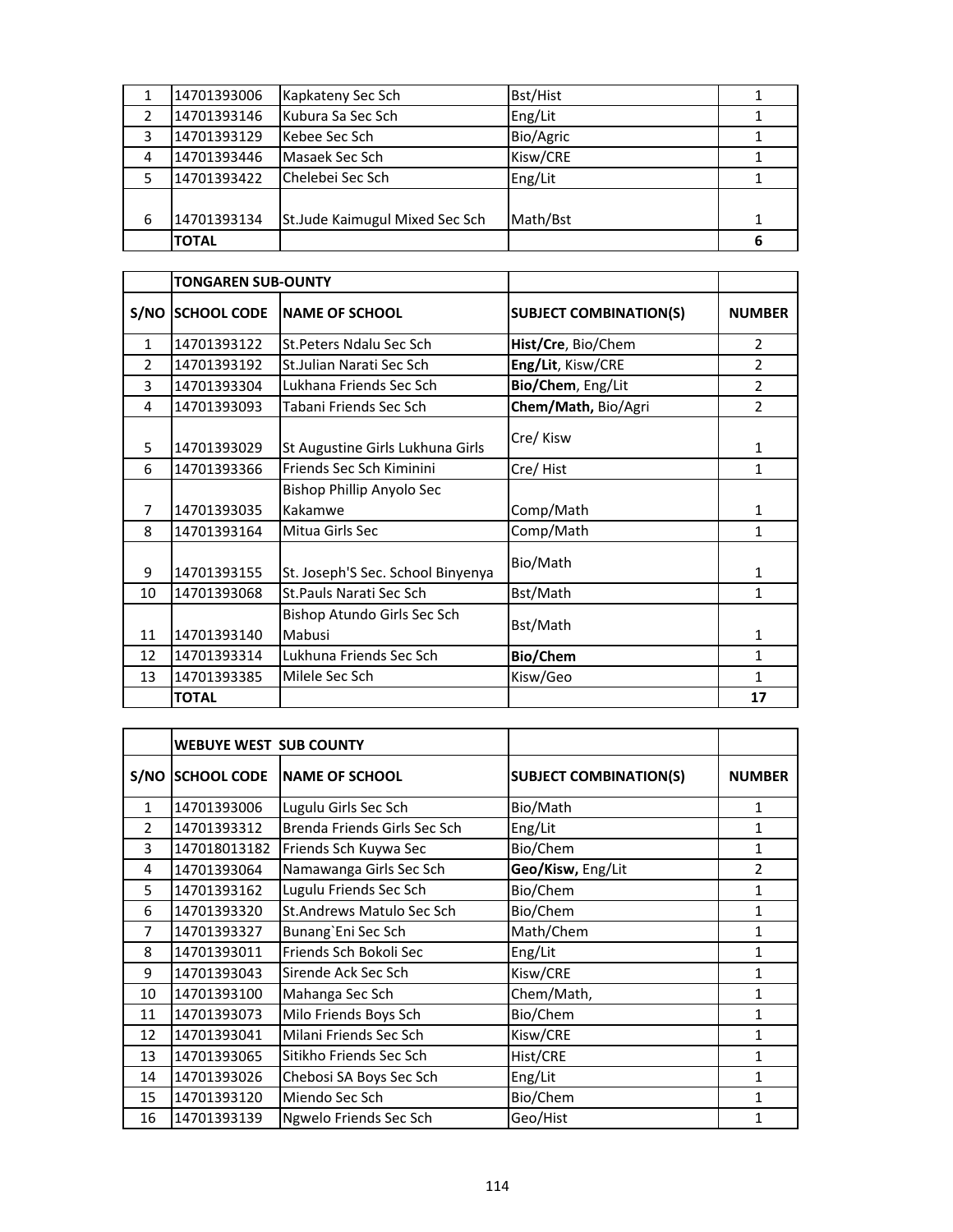|   | 14701393006  | Kapkateny Sec Sch              | <b>Bst/Hist</b> |  |
|---|--------------|--------------------------------|-----------------|--|
|   | 14701393146  | Kubura Sa Sec Sch              | Eng/Lit         |  |
| 3 | 14701393129  | Kebee Sec Sch                  | Bio/Agric       |  |
| 4 | 14701393446  | Masaek Sec Sch                 | Kisw/CRE        |  |
|   | 14701393422  | Chelebei Sec Sch               | Eng/Lit         |  |
|   |              |                                |                 |  |
| 6 | 14701393134  | St.Jude Kaimugul Mixed Sec Sch | Math/Bst        |  |
|   | <b>TOTAL</b> |                                |                 |  |

|               | <b>TONGAREN SUB-OUNTY</b> |                                       |                               |                |
|---------------|---------------------------|---------------------------------------|-------------------------------|----------------|
|               | S/NO SCHOOL CODE          | <b>INAME OF SCHOOL</b>                | <b>SUBJECT COMBINATION(S)</b> | <b>NUMBER</b>  |
| $\mathbf{1}$  | 14701393122               | St. Peters Ndalu Sec Sch              | Hist/Cre, Bio/Chem            | $\overline{2}$ |
| $\mathcal{P}$ | 14701393192               | St. Julian Narati Sec Sch             | Eng/Lit, Kisw/CRE             | $\mathfrak z$  |
| 3             | 14701393304               | Lukhana Friends Sec Sch               | Bio/Chem, Eng/Lit             | $\overline{2}$ |
| 4             | 14701393093               | Tabani Friends Sec Sch                | Chem/Math, Bio/Agri           | $\overline{2}$ |
| 5             | 14701393029               | St Augustine Girls Lukhuna Girls      | Cre/Kisw                      | $\mathbf{1}$   |
| 6             | 14701393366               | Friends Sec Sch Kiminini              | Cre/Hist                      | 1              |
|               |                           | Bishop Phillip Anyolo Sec             |                               |                |
| 7             | 14701393035               | Kakamwe                               | Comp/Math                     | 1              |
| 8             | 14701393164               | Mitua Girls Sec                       | Comp/Math                     | 1              |
| 9             | 14701393155               | St. Joseph'S Sec. School Binyenya     | Bio/Math                      | 1              |
| 10            | 14701393068               | <b>St.Pauls Narati Sec Sch</b>        | Bst/Math                      | $\mathbf{1}$   |
| 11            | 14701393140               | Bishop Atundo Girls Sec Sch<br>Mabusi | Bst/Math                      | 1              |
| 12            | 14701393314               | Lukhuna Friends Sec Sch               | Bio/Chem                      | 1              |
| 13            | 14701393385               | Milele Sec Sch                        | Kisw/Geo                      | 1              |
|               | <b>TOTAL</b>              |                                       |                               | 17             |

|                | <b>WEBUYE WEST SUB COUNTY</b> |                              |                               |               |
|----------------|-------------------------------|------------------------------|-------------------------------|---------------|
| S/NO           | <b>SCHOOL CODE</b>            | <b>NAME OF SCHOOL</b>        | <b>SUBJECT COMBINATION(S)</b> | <b>NUMBER</b> |
| $\mathbf{1}$   | 14701393006                   | Lugulu Girls Sec Sch         | Bio/Math                      | 1             |
| $\mathcal{P}$  | 14701393312                   | Brenda Friends Girls Sec Sch | Eng/Lit                       | 1             |
| 3              | 147018013182                  | Friends Sch Kuywa Sec        | Bio/Chem                      | 1             |
| 4              | 14701393064                   | Namawanga Girls Sec Sch      | Geo/Kisw, Eng/Lit             | 2             |
| 5              | 14701393162                   | Lugulu Friends Sec Sch       | Bio/Chem                      | 1             |
| 6              | 14701393320                   | St.Andrews Matulo Sec Sch    | Bio/Chem                      | 1             |
| $\overline{7}$ | 14701393327                   | Bunang'Eni Sec Sch           | Math/Chem                     | 1             |
| 8              | 14701393011                   | Friends Sch Bokoli Sec       | Eng/Lit                       | 1             |
| 9              | 14701393043                   | Sirende Ack Sec Sch          | Kisw/CRE                      | 1             |
| 10             | 14701393100                   | Mahanga Sec Sch              | Chem/Math,                    | 1             |
| 11             | 14701393073                   | Milo Friends Boys Sch        | Bio/Chem                      | 1             |
| 12             | 14701393041                   | Milani Friends Sec Sch       | Kisw/CRE                      | 1             |
| 13             | 14701393065                   | Sitikho Friends Sec Sch      | Hist/CRE                      | 1             |
| 14             | 14701393026                   | Chebosi SA Boys Sec Sch      | Eng/Lit                       | 1             |
| 15             | 14701393120                   | Miendo Sec Sch               | Bio/Chem                      | 1             |
| 16             | 14701393139                   | Ngwelo Friends Sec Sch       | Geo/Hist                      | 1             |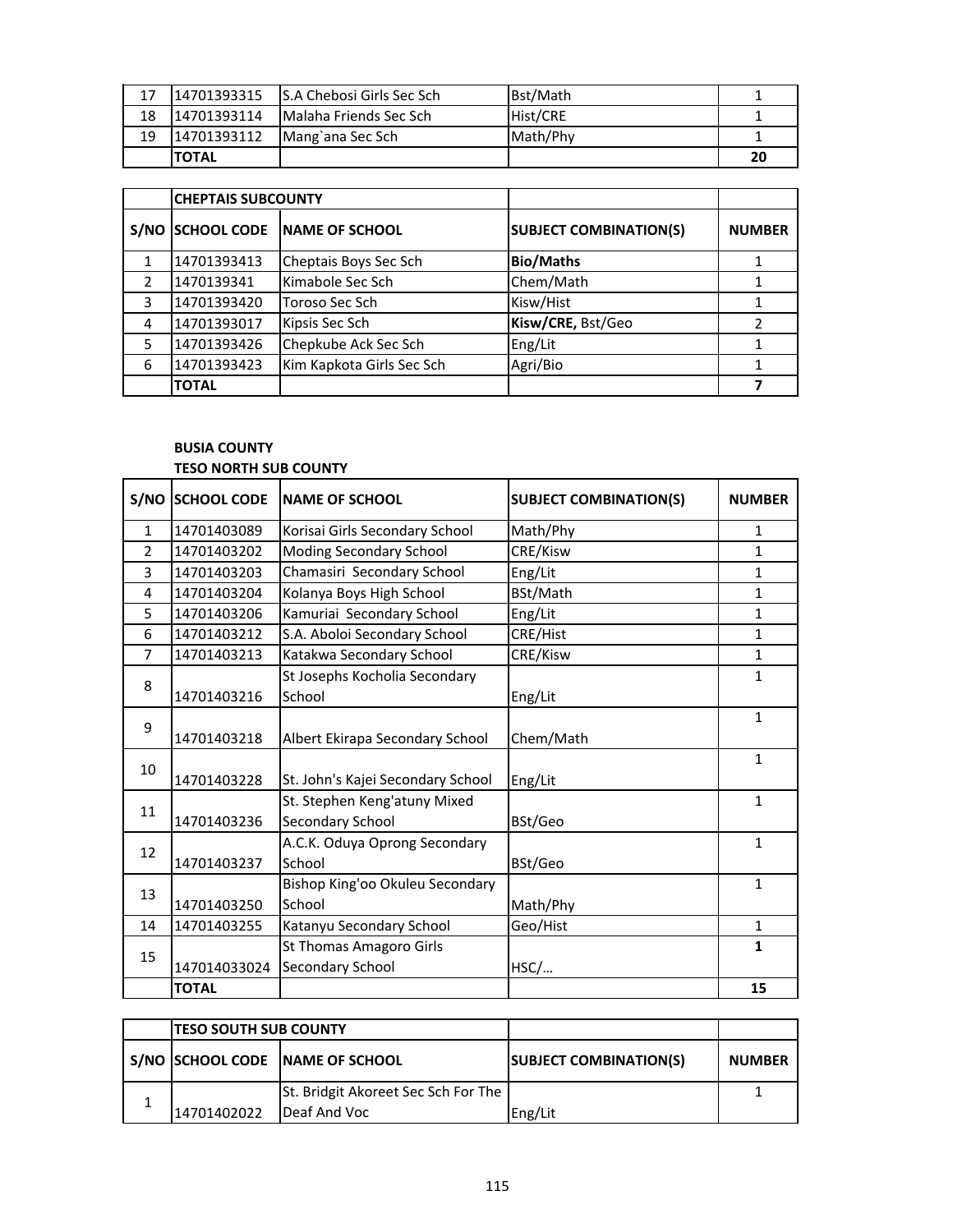| 17 | 14701393315  | <b>IS.A Chebosi Girls Sec Sch</b> | Bst/Math |    |
|----|--------------|-----------------------------------|----------|----|
| 18 | 14701393114  | <b>Malaha Friends Sec Sch</b>     | Hist/CRE |    |
| 19 | 14701393112  | Mang`ana Sec Sch                  | Math/Phy |    |
|    | <b>TOTAL</b> |                                   |          | 20 |

|      | <b>CHEPTAIS SUBCOUNTY</b> |                           |                               |               |
|------|---------------------------|---------------------------|-------------------------------|---------------|
| S/NO | <b>SCHOOL CODE</b>        | <b>INAME OF SCHOOL</b>    | <b>SUBJECT COMBINATION(S)</b> | <b>NUMBER</b> |
|      | 14701393413               | Cheptais Boys Sec Sch     | <b>Bio/Maths</b>              |               |
|      | 1470139341                | Kimabole Sec Sch          | Chem/Math                     |               |
| 3    | 14701393420               | Toroso Sec Sch            | Kisw/Hist                     |               |
| 4    | 14701393017               | Kipsis Sec Sch            | Kisw/CRE, Bst/Geo             | $\mathcal{P}$ |
| 5    | 14701393426               | Chepkube Ack Sec Sch      | Eng/Lit                       |               |
| 6    | 14701393423               | Kim Kapkota Girls Sec Sch | Agri/Bio                      |               |
|      | <b>TOTAL</b>              |                           |                               |               |

### **BUSIA COUNTY**

#### **TESO NORTH SUB COUNTY**

| S/NO          | <b>SCHOOL CODE</b> | <b>NAME OF SCHOOL</b>             | <b>SUBJECT COMBINATION(S)</b> | <b>NUMBER</b> |
|---------------|--------------------|-----------------------------------|-------------------------------|---------------|
| $\mathbf{1}$  | 14701403089        | Korisai Girls Secondary School    | Math/Phy                      | 1             |
| $\mathcal{P}$ | 14701403202        | Moding Secondary School           | CRE/Kisw                      | $\mathbf{1}$  |
| 3             | 14701403203        | Chamasiri Secondary School        | Eng/Lit                       | $\mathbf{1}$  |
| 4             | 14701403204        | Kolanya Boys High School          | BSt/Math                      | 1             |
| 5             | 14701403206        | Kamuriai Secondary School         | Eng/Lit                       | $\mathbf{1}$  |
| 6             | 14701403212        | S.A. Aboloi Secondary School      | CRE/Hist                      | 1             |
| 7             | 14701403213        | Katakwa Secondary School          | CRE/Kisw                      | $\mathbf{1}$  |
| 8             |                    | St Josephs Kocholia Secondary     |                               | $\mathbf{1}$  |
|               | 14701403216        | School                            | Eng/Lit                       |               |
| 9             |                    |                                   |                               | $\mathbf{1}$  |
|               | 14701403218        | Albert Ekirapa Secondary School   | Chem/Math                     |               |
| 10            |                    |                                   |                               | $\mathbf{1}$  |
|               | 14701403228        | St. John's Kajei Secondary School | Eng/Lit                       |               |
| 11            |                    | St. Stephen Keng'atuny Mixed      |                               | $\mathbf{1}$  |
|               | 14701403236        | Secondary School                  | BSt/Geo                       |               |
| 12            |                    | A.C.K. Oduya Oprong Secondary     |                               | $\mathbf{1}$  |
|               | 14701403237        | School                            | BSt/Geo                       |               |
| 13            |                    | Bishop King'oo Okuleu Secondary   |                               | $\mathbf{1}$  |
|               | 14701403250        | School                            | Math/Phy                      |               |
| 14            | 14701403255        | Katanyu Secondary School          | Geo/Hist                      | $\mathbf{1}$  |
| 15            |                    | St Thomas Amagoro Girls           |                               | $\mathbf{1}$  |
|               | 147014033024       | Secondary School                  | HSC/                          |               |
|               | <b>TOTAL</b>       |                                   |                               | 15            |

| <b>TESO SOUTH SUB COUNTY</b> |                                                     |                               |               |
|------------------------------|-----------------------------------------------------|-------------------------------|---------------|
|                              | S/NO SCHOOL CODE NAME OF SCHOOL                     | <b>SUBJECT COMBINATION(S)</b> | <b>NUMBER</b> |
| 14701402022                  | St. Bridgit Akoreet Sec Sch For The<br>Deaf And Voc | Eng/Lit                       |               |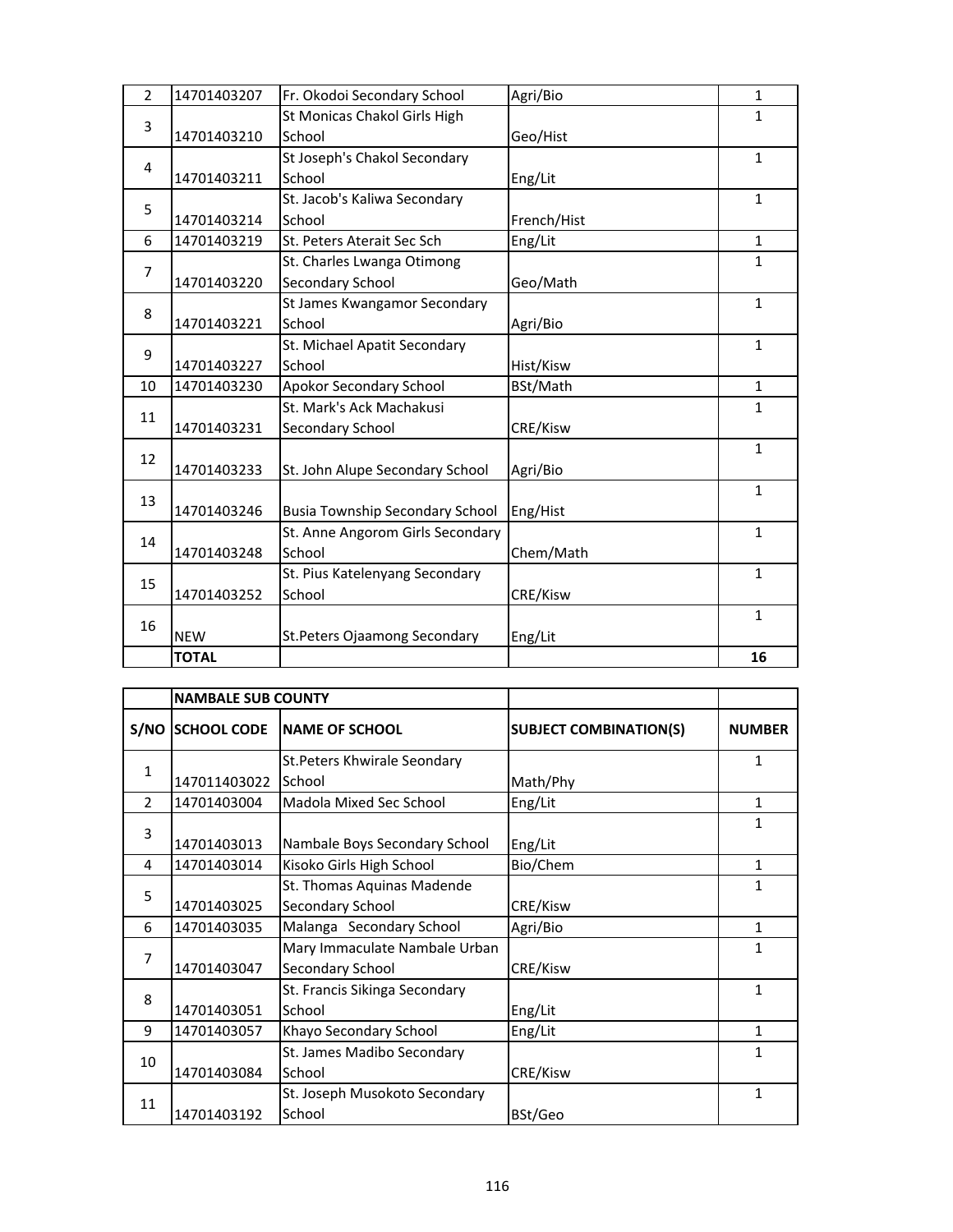| 3              | 14701403210  | School                                 | Geo/Hist    |              |
|----------------|--------------|----------------------------------------|-------------|--------------|
| 4              |              | St Joseph's Chakol Secondary           |             | $\mathbf{1}$ |
|                | 14701403211  | School                                 | Eng/Lit     |              |
| 5              |              | St. Jacob's Kaliwa Secondary           |             | $\mathbf{1}$ |
|                | 14701403214  | School                                 | French/Hist |              |
| 6              | 14701403219  | St. Peters Aterait Sec Sch             | Eng/Lit     | 1            |
| $\overline{7}$ |              | St. Charles Lwanga Otimong             |             | $\mathbf{1}$ |
|                | 14701403220  | Secondary School                       | Geo/Math    |              |
| 8              |              | St James Kwangamor Secondary           |             | $\mathbf{1}$ |
|                | 14701403221  | School                                 | Agri/Bio    |              |
| 9              |              | St. Michael Apatit Secondary           |             | $\mathbf{1}$ |
|                | 14701403227  | School                                 | Hist/Kisw   |              |
| 10             | 14701403230  | Apokor Secondary School                | BSt/Math    | $\mathbf{1}$ |
| 11             |              | St. Mark's Ack Machakusi               |             | $\mathbf{1}$ |
|                | 14701403231  | Secondary School                       | CRE/Kisw    |              |
| 12             |              |                                        |             | $\mathbf{1}$ |
|                | 14701403233  | St. John Alupe Secondary School        | Agri/Bio    |              |
| 13             |              |                                        |             | $\mathbf{1}$ |
|                | 14701403246  | <b>Busia Township Secondary School</b> | Eng/Hist    |              |
| 14             |              | St. Anne Angorom Girls Secondary       |             | $\mathbf{1}$ |
|                | 14701403248  | School                                 | Chem/Math   |              |
| 15             |              | St. Pius Katelenyang Secondary         |             | $\mathbf{1}$ |
|                | 14701403252  | School                                 | CRE/Kisw    |              |
|                |              |                                        |             | $\mathbf{1}$ |
| 16             | <b>NEW</b>   | St. Peters Ojaamong Secondary          | Eng/Lit     |              |
|                | <b>TOTAL</b> |                                        |             | 16           |

|                | <b>NAMBALE SUB COUNTY</b> |                               |                               |               |
|----------------|---------------------------|-------------------------------|-------------------------------|---------------|
|                | S/NO SCHOOL CODE          | <b>INAME OF SCHOOL</b>        | <b>SUBJECT COMBINATION(S)</b> | <b>NUMBER</b> |
| $\mathbf{1}$   |                           | St. Peters Khwirale Seondary  |                               | 1             |
|                | 147011403022              | School                        | Math/Phy                      |               |
| $\mathcal{P}$  | 14701403004               | Madola Mixed Sec School       | Eng/Lit                       | 1             |
| 3              |                           |                               |                               | 1             |
|                | 14701403013               | Nambale Boys Secondary School | Eng/Lit                       |               |
| 4              | 14701403014               | Kisoko Girls High School      | Bio/Chem                      | 1             |
| 5              |                           | St. Thomas Aquinas Madende    |                               | 1             |
|                | 14701403025               | Secondary School              | CRE/Kisw                      |               |
| 6              | 14701403035               | Malanga Secondary School      | Agri/Bio                      | 1             |
| $\overline{7}$ |                           | Mary Immaculate Nambale Urban |                               | 1             |
|                | 14701403047               | Secondary School              | CRE/Kisw                      |               |
| 8              |                           | St. Francis Sikinga Secondary |                               | 1             |
|                | 14701403051               | School                        | Eng/Lit                       |               |
| 9              | 14701403057               | Khayo Secondary School        | Eng/Lit                       | 1             |
| 10             |                           | St. James Madibo Secondary    |                               | 1             |
|                | 14701403084               | School                        | CRE/Kisw                      |               |
| 11             |                           | St. Joseph Musokoto Secondary |                               | 1             |
|                | 14701403192               | School                        | BSt/Geo                       |               |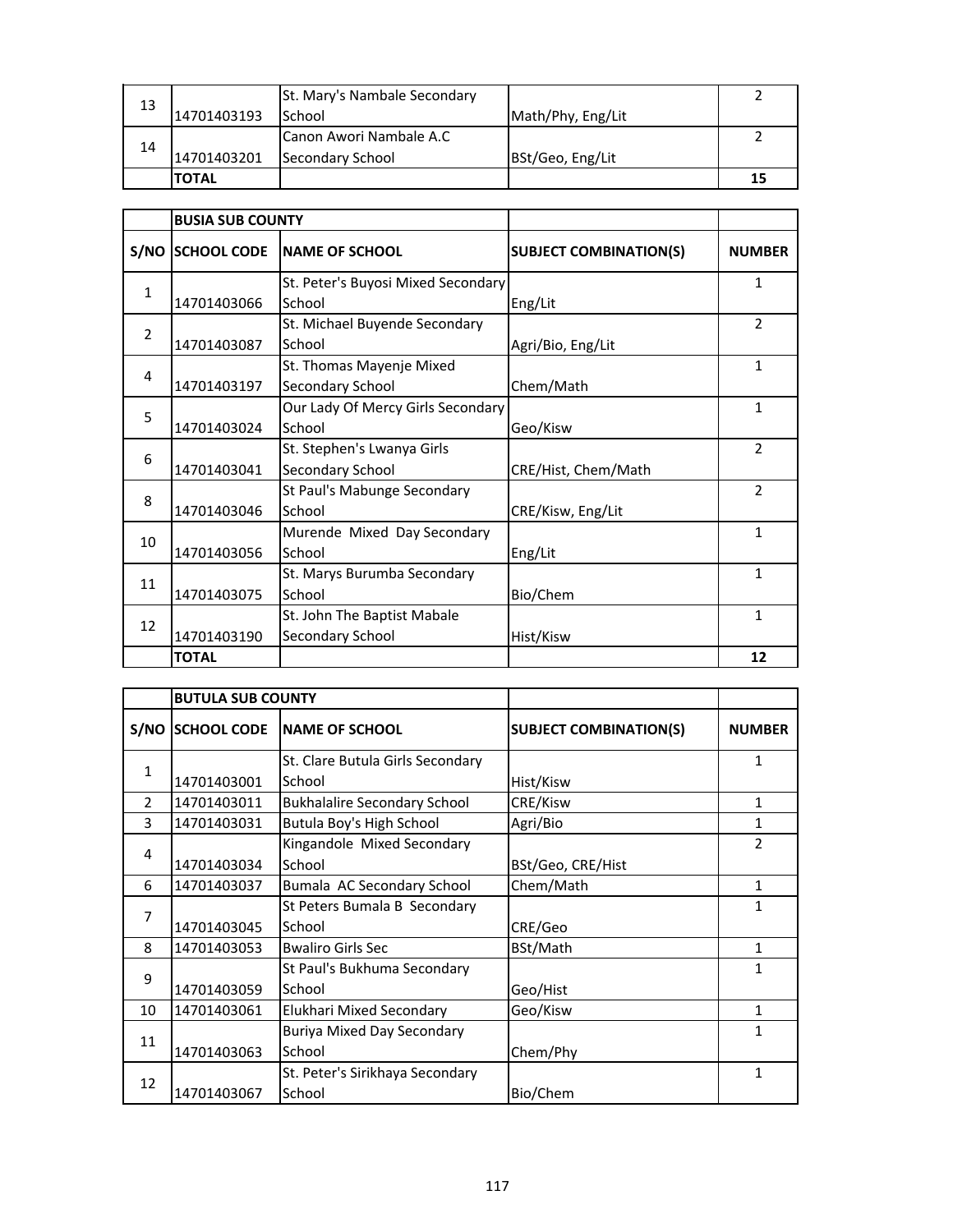| 13 |              | St. Mary's Nambale Secondary |                   |    |
|----|--------------|------------------------------|-------------------|----|
|    | 14701403193  | School                       | Math/Phy, Eng/Lit |    |
|    |              | Canon Awori Nambale A.C      |                   |    |
| 14 | 14701403201  | Secondary School             | BSt/Geo, Eng/Lit  |    |
|    | <b>TOTAL</b> |                              |                   | 15 |

|                | <b>BUSIA SUB COUNTY</b>          |                                    |                               |                |
|----------------|----------------------------------|------------------------------------|-------------------------------|----------------|
|                | S/NO SCHOOL CODE                 | <b>INAME OF SCHOOL</b>             | <b>SUBJECT COMBINATION(S)</b> | <b>NUMBER</b>  |
| $\mathbf{1}$   |                                  | St. Peter's Buyosi Mixed Secondary |                               | 1              |
|                | 14701403066                      | School                             | Eng/Lit                       |                |
| $\overline{2}$ |                                  | St. Michael Buyende Secondary      |                               | $\mathfrak{p}$ |
|                | 14701403087                      | School                             | Agri/Bio, Eng/Lit             |                |
| 4              |                                  | St. Thomas Mayenje Mixed           |                               | 1              |
|                | 14701403197                      | Secondary School                   | Chem/Math                     |                |
|                |                                  | Our Lady Of Mercy Girls Secondary  |                               | 1              |
| 5              | 14701403024                      | School                             | Geo/Kisw                      |                |
|                |                                  | St. Stephen's Lwanya Girls         |                               | $\overline{2}$ |
| 6              | 14701403041                      | Secondary School                   | CRE/Hist, Chem/Math           |                |
|                | St Paul's Mabunge Secondary<br>8 | $\overline{2}$                     |                               |                |
|                | 14701403046                      | School                             | CRE/Kisw, Eng/Lit             |                |
|                |                                  | Murende Mixed Day Secondary        |                               | 1              |
|                | 14701403056                      | School                             | Eng/Lit                       |                |
| 10<br>11       |                                  | St. Marys Burumba Secondary        |                               | 1              |
|                | 14701403075                      | School                             | Bio/Chem                      |                |
|                |                                  | St. John The Baptist Mabale        |                               | 1              |
| 12             | 14701403190                      | Secondary School                   | Hist/Kisw                     |                |
|                | <b>TOTAL</b>                     |                                    |                               | 12             |

|                                                   | <b>BUTULA SUB COUNTY</b> |                                                                             |                               |               |
|---------------------------------------------------|--------------------------|-----------------------------------------------------------------------------|-------------------------------|---------------|
|                                                   | S/NO SCHOOL CODE         | <b>INAME OF SCHOOL</b>                                                      | <b>SUBJECT COMBINATION(S)</b> | <b>NUMBER</b> |
|                                                   |                          | St. Clare Butula Girls Secondary                                            |                               | 1             |
|                                                   | 14701403001              | School                                                                      | Hist/Kisw                     |               |
| $\overline{2}$                                    | 14701403011              | <b>Bukhalalire Secondary School</b>                                         | CRE/Kisw                      | 1             |
| 3                                                 | 14701403031              | Butula Boy's High School                                                    | Agri/Bio                      | 1             |
|                                                   |                          | Kingandole Mixed Secondary                                                  |                               | 2             |
|                                                   | 14701403034              | School                                                                      | BSt/Geo, CRE/Hist             |               |
| 6                                                 | 14701403037              | Bumala AC Secondary School                                                  | Chem/Math                     | 1             |
| $\overline{7}$                                    |                          | St Peters Bumala B Secondary                                                |                               | 1             |
|                                                   | 14701403045              | School                                                                      | CRE/Geo                       |               |
| 8                                                 | 14701403053              | <b>Bwaliro Girls Sec</b>                                                    | BSt/Math                      | 1             |
|                                                   |                          | St Paul's Bukhuma Secondary                                                 |                               | 1             |
|                                                   | 14701403059              | School                                                                      | Geo/Hist                      |               |
| 10                                                | 14701403061              | Elukhari Mixed Secondary                                                    | Geo/Kisw                      | 1             |
|                                                   |                          | <b>Buriya Mixed Day Secondary</b>                                           |                               | 1             |
|                                                   | 14701403063              | Chem/Phy<br>School<br>St. Peter's Sirikhaya Secondary<br>School<br>Bio/Chem |                               |               |
|                                                   |                          |                                                                             |                               | 1             |
| $\mathbf{1}$<br>4<br>9<br>11<br>12<br>14701403067 |                          |                                                                             |                               |               |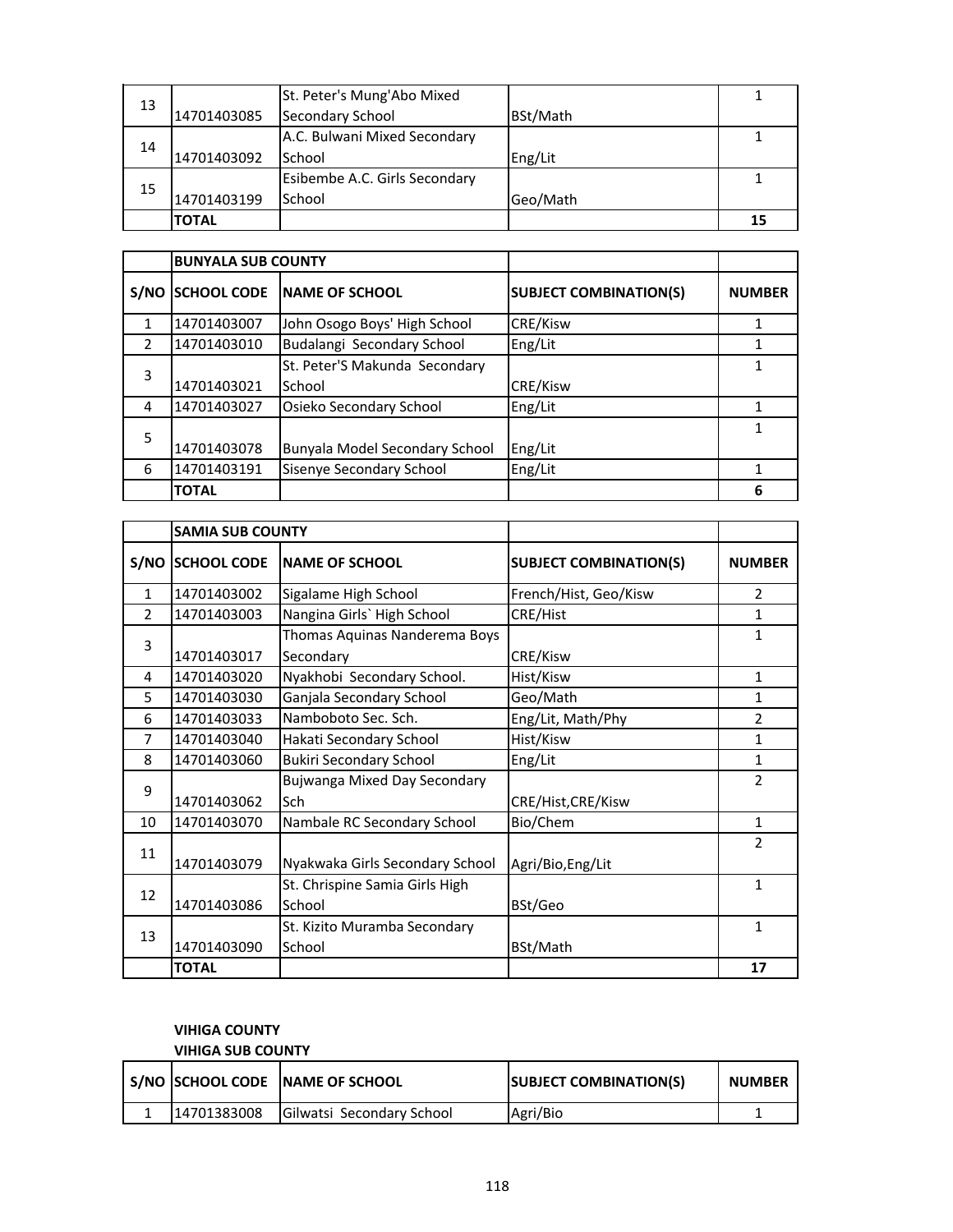|    |             | St. Peter's Mung'Abo Mixed    |          |    |
|----|-------------|-------------------------------|----------|----|
| 13 | 14701403085 | Secondary School              | BSt/Math |    |
|    |             | A.C. Bulwani Mixed Secondary  |          |    |
| 14 | 14701403092 | School                        | Eng/Lit  |    |
|    |             | Esibembe A.C. Girls Secondary |          |    |
| 15 | 14701403199 | School                        | Geo/Math |    |
|    | ΤΟΤΑL       |                               |          | 15 |

|               | <b>BUNYALA SUB COUNTY</b> |                                |                               |               |
|---------------|---------------------------|--------------------------------|-------------------------------|---------------|
| S/NO          | <b>SCHOOL CODE</b>        | <b>INAME OF SCHOOL</b>         | <b>SUBJECT COMBINATION(S)</b> | <b>NUMBER</b> |
|               | 14701403007               | John Osogo Boys' High School   | CRE/Kisw                      |               |
| $\mathcal{P}$ | 14701403010               | Budalangi Secondary School     | Eng/Lit                       |               |
| 3             |                           | St. Peter'S Makunda Secondary  |                               |               |
|               | 14701403021               | School                         | CRE/Kisw                      |               |
| 4             | 14701403027               | Osieko Secondary School        | Eng/Lit                       |               |
| 5             |                           |                                |                               |               |
|               | 14701403078               | Bunyala Model Secondary School | Eng/Lit                       |               |
| 6             | 14701403191               | Sisenye Secondary School       | Eng/Lit                       |               |
|               | <b>TOTAL</b>              |                                |                               | 6             |

|                                                                                                                                                                                            | <b>SAMIA SUB COUNTY</b> |                                |                               |                |
|--------------------------------------------------------------------------------------------------------------------------------------------------------------------------------------------|-------------------------|--------------------------------|-------------------------------|----------------|
|                                                                                                                                                                                            | S/NO SCHOOL CODE        | <b>NAME OF SCHOOL</b>          | <b>SUBJECT COMBINATION(S)</b> | <b>NUMBER</b>  |
| 1                                                                                                                                                                                          | 14701403002             | Sigalame High School           | French/Hist, Geo/Kisw         | 2              |
| $\mathcal{P}$                                                                                                                                                                              | 14701403003             | Nangina Girls' High School     | CRE/Hist                      | 1              |
| 3                                                                                                                                                                                          |                         | Thomas Aquinas Nanderema Boys  |                               | 1              |
|                                                                                                                                                                                            | 14701403017             | Secondary                      | CRE/Kisw                      |                |
| 4                                                                                                                                                                                          | 14701403020             | Nyakhobi Secondary School.     | Hist/Kisw                     | 1              |
| 5                                                                                                                                                                                          | 14701403030             | Ganjala Secondary School       | Geo/Math                      | 1              |
| 6                                                                                                                                                                                          | 14701403033             | Namboboto Sec. Sch.            | Eng/Lit, Math/Phy             | 2              |
| $\overline{7}$                                                                                                                                                                             | 14701403040             | Hakati Secondary School        | Hist/Kisw                     | $\mathbf{1}$   |
| 8                                                                                                                                                                                          | 14701403060             | <b>Bukiri Secondary School</b> | Eng/Lit                       | 1              |
| 9                                                                                                                                                                                          |                         | Bujwanga Mixed Day Secondary   |                               | $\overline{2}$ |
|                                                                                                                                                                                            |                         | Sch                            |                               |                |
| 10                                                                                                                                                                                         | 14701403070             | Nambale RC Secondary School    | Bio/Chem                      | 1              |
|                                                                                                                                                                                            |                         |                                |                               | $\mathfrak{p}$ |
| 14701403062<br>CRE/Hist, CRE/Kisw<br>11<br>14701403079<br>Agri/Bio, Eng/Lit<br>Nyakwaka Girls Secondary School<br>St. Chrispine Samia Girls High<br>12<br>School<br>BSt/Geo<br>14701403086 |                         |                                |                               |                |
| St. Kizito Muramba Secondary<br>13                                                                                                                                                         |                         |                                |                               | 1              |
|                                                                                                                                                                                            |                         |                                |                               |                |
|                                                                                                                                                                                            |                         |                                |                               | 1              |
|                                                                                                                                                                                            | 14701403090             | School                         | BSt/Math                      |                |
|                                                                                                                                                                                            | <b>TOTAL</b>            |                                |                               | 17             |

## **VIHIGA COUNTY**

# **VIHIGA SUB COUNTY S/NO SCHOOL CODE NAME OF SCHOOL SUBJECT COMBINATION(S) NUMBER** 1 14701383008 Gilwatsi Secondary School Agri/Bio 1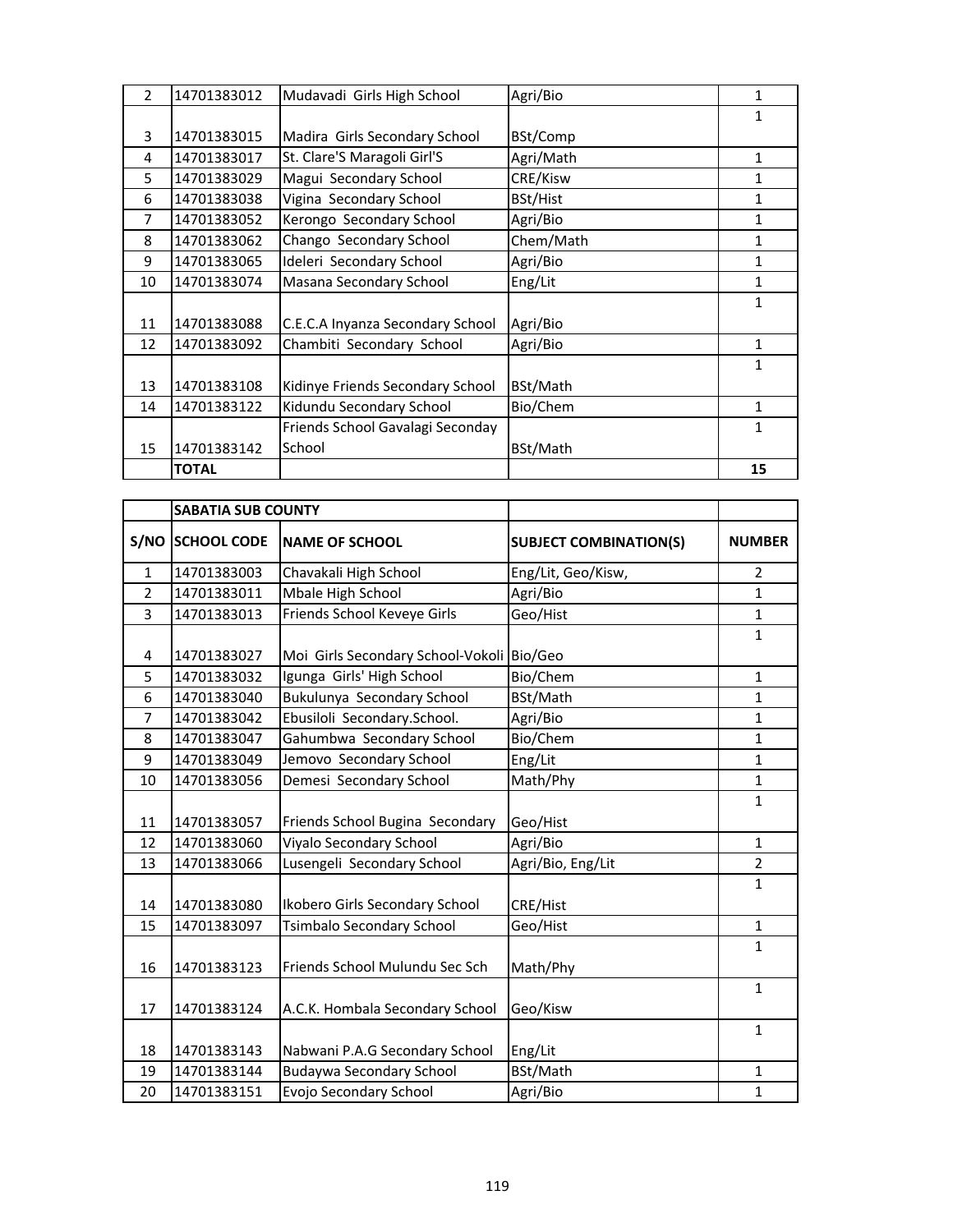| $\mathcal{P}$ | 14701383012  | Mudavadi Girls High School       | Agri/Bio  | 1            |
|---------------|--------------|----------------------------------|-----------|--------------|
|               |              |                                  |           | $\mathbf{1}$ |
| 3             | 14701383015  | Madira Girls Secondary School    | BSt/Comp  |              |
| 4             | 14701383017  | St. Clare'S Maragoli Girl'S      | Agri/Math | 1            |
| 5.            | 14701383029  | Magui Secondary School           | CRE/Kisw  | 1            |
| 6             | 14701383038  | Vigina Secondary School          | BSt/Hist  | $\mathbf{1}$ |
| 7             | 14701383052  | Kerongo Secondary School         | Agri/Bio  | 1            |
| 8             | 14701383062  | Chango Secondary School          | Chem/Math | 1            |
| 9             | 14701383065  | Ideleri Secondary School         | Agri/Bio  | 1            |
| 10            | 14701383074  | Masana Secondary School          | Eng/Lit   | 1            |
|               |              |                                  |           | 1            |
| 11            | 14701383088  | C.E.C.A Inyanza Secondary School | Agri/Bio  |              |
| 12            | 14701383092  | Chambiti Secondary School        | Agri/Bio  | $\mathbf{1}$ |
|               |              |                                  |           | 1            |
| 13            | 14701383108  | Kidinye Friends Secondary School | BSt/Math  |              |
| 14            | 14701383122  | Kidundu Secondary School         | Bio/Chem  | $\mathbf{1}$ |
|               |              | Friends School Gavalagi Seconday |           | 1            |
| 15            | 14701383142  | School                           | BSt/Math  |              |
|               | <b>TOTAL</b> |                                  |           | 15           |

|                | <b>SABATIA SUB COUNTY</b> |                                   |                               |                |
|----------------|---------------------------|-----------------------------------|-------------------------------|----------------|
|                | S/NO SCHOOL CODE          | <b>NAME OF SCHOOL</b>             | <b>SUBJECT COMBINATION(S)</b> | <b>NUMBER</b>  |
| $\mathbf{1}$   | 14701383003               | Chavakali High School             | Eng/Lit, Geo/Kisw,            | $\overline{2}$ |
| $\overline{2}$ | 14701383011               | Mbale High School                 | Agri/Bio                      | $\mathbf{1}$   |
| 3              | 14701383013               | Friends School Keveye Girls       | Geo/Hist                      | $\mathbf{1}$   |
|                |                           |                                   |                               | $\mathbf{1}$   |
| 4              | 14701383027               | Moi Girls Secondary School-Vokoli | Bio/Geo                       |                |
| 5              | 14701383032               | Igunga Girls' High School         | Bio/Chem                      | $\mathbf{1}$   |
| 6              | 14701383040               | Bukulunya Secondary School        | BSt/Math                      | 1              |
| $\overline{7}$ | 14701383042               | Ebusiloli Secondary.School.       | Agri/Bio                      | $\mathbf 1$    |
| 8              | 14701383047               | Gahumbwa Secondary School         | Bio/Chem                      | 1              |
| 9              | 14701383049               | Jemovo Secondary School           | Eng/Lit                       | 1              |
| 10             | 14701383056               | Demesi Secondary School           | Math/Phy                      | $\mathbf{1}$   |
| 11             | 14701383057               | Friends School Bugina Secondary   | Geo/Hist                      | $\mathbf{1}$   |
| 12             | 14701383060               | Viyalo Secondary School           | Agri/Bio                      | $\mathbf{1}$   |
| 13             | 14701383066               | Lusengeli Secondary School        | Agri/Bio, Eng/Lit             | $\overline{2}$ |
| 14             | 14701383080               | Ikobero Girls Secondary School    | CRE/Hist                      | $\mathbf{1}$   |
| 15             | 14701383097               | <b>Tsimbalo Secondary School</b>  | Geo/Hist                      | $\mathbf{1}$   |
| 16             | 14701383123               | Friends School Mulundu Sec Sch    | Math/Phy                      | $\mathbf{1}$   |
| 17             | 14701383124               | A.C.K. Hombala Secondary School   | Geo/Kisw                      | $\mathbf{1}$   |
| 18             | 14701383143               | Nabwani P.A.G Secondary School    | Eng/Lit                       | $\mathbf{1}$   |
| 19             | 14701383144               | <b>Budaywa Secondary School</b>   | BSt/Math                      | $\mathbf{1}$   |
| 20             | 14701383151               | Evojo Secondary School            | Agri/Bio                      | 1              |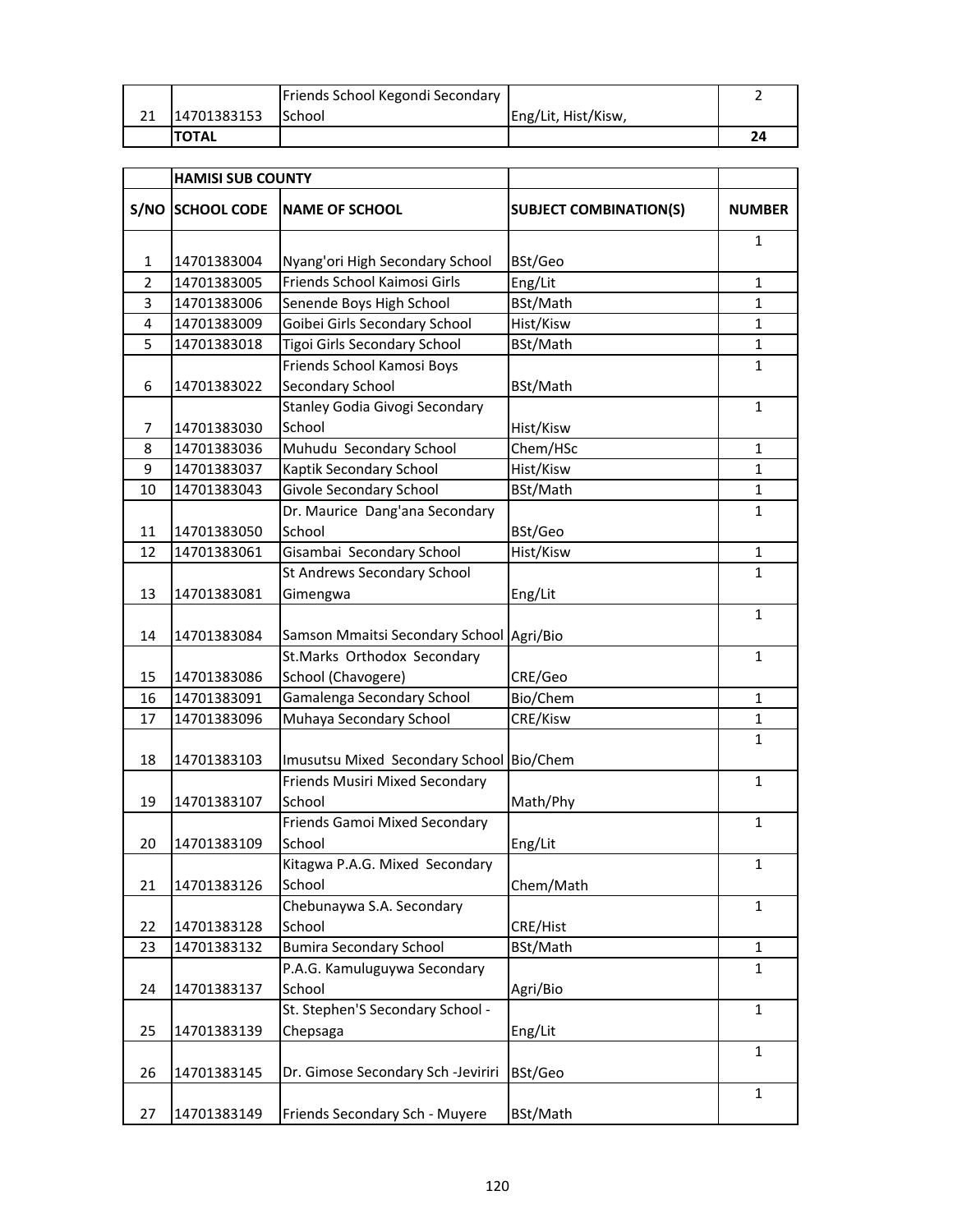|              | Friends School Kegondi Secondary |                     |  |
|--------------|----------------------------------|---------------------|--|
| 14701383153  | <b>School</b>                    | Eng/Lit, Hist/Kisw, |  |
| <b>TOTAL</b> |                                  |                     |  |

|                | <b>HAMISI SUB COUNTY</b> |                                          |                               |               |
|----------------|--------------------------|------------------------------------------|-------------------------------|---------------|
| S/NO           | <b>SCHOOL CODE</b>       | <b>NAME OF SCHOOL</b>                    | <b>SUBJECT COMBINATION(S)</b> | <b>NUMBER</b> |
| $\mathbf{1}$   | 14701383004              | Nyang'ori High Secondary School          | BSt/Geo                       | 1             |
| $\overline{2}$ | 14701383005              | Friends School Kaimosi Girls             | Eng/Lit                       | $\mathbf{1}$  |
| 3              | 14701383006              | Senende Boys High School                 | BSt/Math                      | $\mathbf{1}$  |
| 4              | 14701383009              | Goibei Girls Secondary School            | Hist/Kisw                     | $\mathbf{1}$  |
| 5              | 14701383018              | Tigoi Girls Secondary School             | BSt/Math                      | $\mathbf{1}$  |
|                |                          | Friends School Kamosi Boys               |                               | $\mathbf{1}$  |
| 6              | 14701383022              | Secondary School                         | BSt/Math                      |               |
|                |                          | Stanley Godia Givogi Secondary           |                               | $\mathbf{1}$  |
| $\overline{7}$ | 14701383030              | School                                   | Hist/Kisw                     |               |
| 8              | 14701383036              | Muhudu Secondary School                  | Chem/HSc                      | $\mathbf{1}$  |
| 9              | 14701383037              | Kaptik Secondary School                  | Hist/Kisw                     | $\mathbf{1}$  |
| 10             | 14701383043              | Givole Secondary School                  | BSt/Math                      | $\mathbf{1}$  |
|                |                          | Dr. Maurice Dang'ana Secondary           |                               | 1             |
| 11             | 14701383050              | School                                   | BSt/Geo                       |               |
| 12             | 14701383061              | Gisambai Secondary School                | Hist/Kisw                     | $\mathbf{1}$  |
|                |                          | St Andrews Secondary School              |                               | $\mathbf{1}$  |
| 13             | 14701383081              | Gimengwa                                 | Eng/Lit                       |               |
|                |                          |                                          |                               | $\mathbf{1}$  |
| 14             | 14701383084              | Samson Mmaitsi Secondary School          | Agri/Bio                      |               |
|                |                          | St.Marks Orthodox Secondary              |                               | 1             |
| 15             | 14701383086              | School (Chavogere)                       | CRE/Geo                       |               |
| 16             | 14701383091              | Gamalenga Secondary School               | Bio/Chem                      | $\mathbf{1}$  |
| 17             | 14701383096              | Muhaya Secondary School                  | CRE/Kisw                      | $\mathbf{1}$  |
| 18             | 14701383103              | Imusutsu Mixed Secondary School          | Bio/Chem                      | 1             |
| 19             | 14701383107              | Friends Musiri Mixed Secondary<br>School | Math/Phy                      | $\mathbf{1}$  |
| 20             | 14701383109              | Friends Gamoi Mixed Secondary<br>School  | Eng/Lit                       | $\mathbf{1}$  |
| 21             | 14701383126              | Kitagwa P.A.G. Mixed Secondary<br>School | Chem/Math                     | $\mathbf{1}$  |
| 22             | 14701383128              | Chebunaywa S.A. Secondary<br>School      | CRE/Hist                      | $\mathbf{1}$  |
| 23             | 14701383132              | <b>Bumira Secondary School</b>           | BSt/Math                      | $\mathbf{1}$  |
|                |                          | P.A.G. Kamuluguywa Secondary             |                               | $\mathbf{1}$  |
| 24             | 14701383137              | School                                   | Agri/Bio                      |               |
|                |                          | St. Stephen'S Secondary School -         |                               | 1             |
| 25             | 14701383139              | Chepsaga                                 | Eng/Lit                       |               |
|                |                          |                                          |                               | $\mathbf{1}$  |
| 26             | 14701383145              | Dr. Gimose Secondary Sch -Jeviriri       | BSt/Geo                       |               |
|                |                          |                                          |                               | $\mathbf{1}$  |
| 27             | 14701383149              | Friends Secondary Sch - Muyere           | BSt/Math                      |               |